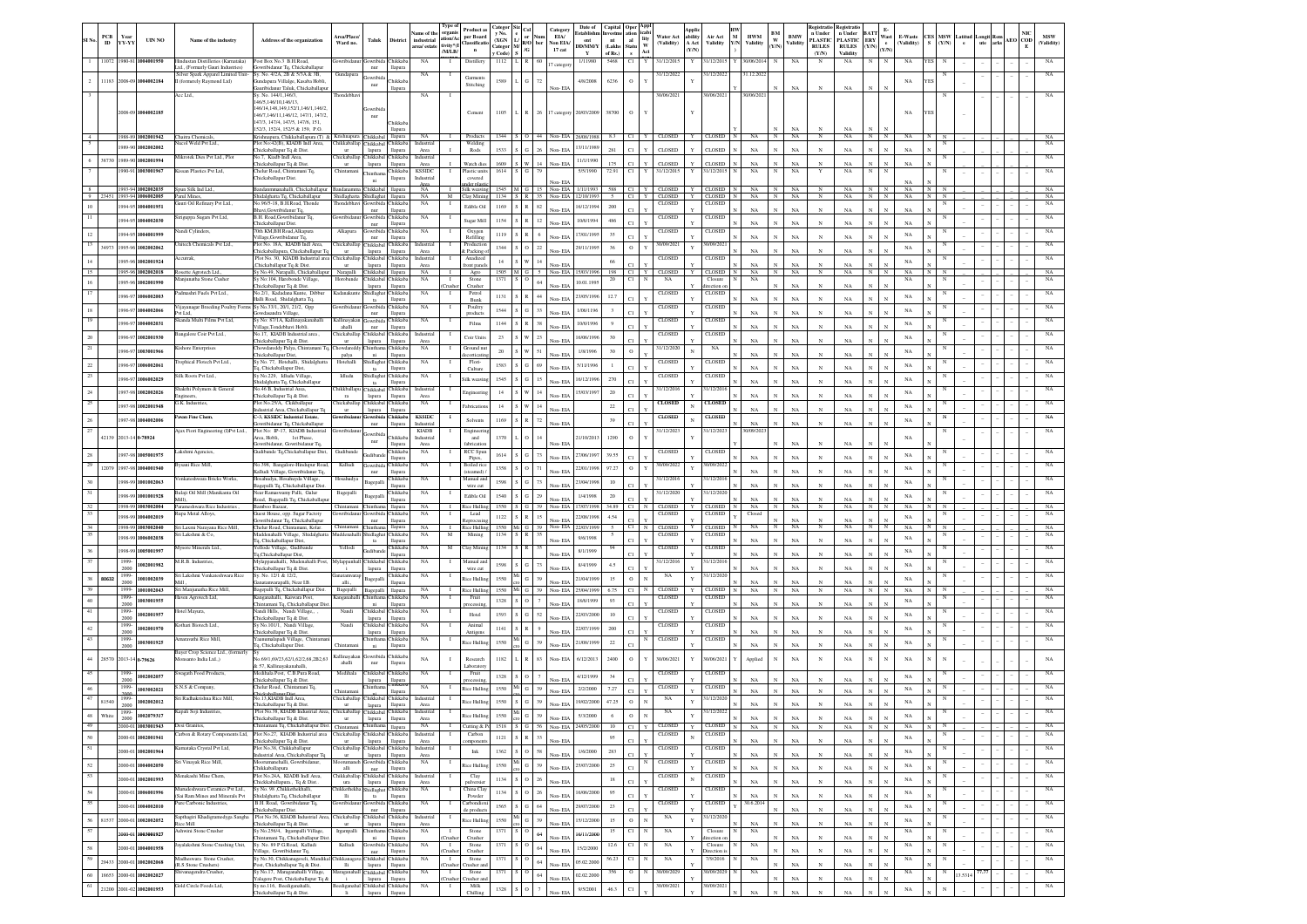|              | PCB<br>ID                | Year<br>YY-YY          | <b>UIN NO</b>                                    | Name of the industry                                                                                             | <b>Address of the organization</b>                                                                                                                                      | trea/Place/<br>Ward no                                          | Taluk                                               | District                          | Name of the<br>industrial<br>area/ estat | Type o<br>organis<br>tion/Ac<br>ivitv*(I | Product a<br>per Board<br>lassifica<br>$\mathbf{n}$ | v No<br>(XGN<br>Categor | R/O<br>КG                                                                                   | ber    | Category<br>EIA/<br>Non EIA/<br>17 cat   | Date of<br>Establishi<br>ent<br>DD/MM/Y       | Capital Oper Appl<br>Investme ation icabi<br>nt<br>(Lakhs Statu | $_{\rm{nl}}$   | Water Act<br>lity $_{\rm W}^{\rm H}$<br>(Validity) | ability<br>$\Lambda$ Act<br><b>Y/N</b> | Air Act<br>Validity            | YN           | <b>HWM</b><br>Validity | BM<br>w<br>Y/N | <b>BMW</b><br>Validity | egistratio<br>n Under<br><b>PLASTIC</b><br><b>RULES</b> | Registrat<br>n Under<br><b>PLASTIC</b><br><b>RULES</b> | BAT<br><b>ERY</b><br>Y/N<br>$\alpha_{N}$ | Wast<br>E-Waste<br>(Validity) | CES MSW<br>$S = (Y/N)$ |              | Latituc | .ongit Re<br>ute | AEO COD | <b>MSW</b><br>(Validity)   |
|--------------|--------------------------|------------------------|--------------------------------------------------|------------------------------------------------------------------------------------------------------------------|-------------------------------------------------------------------------------------------------------------------------------------------------------------------------|-----------------------------------------------------------------|-----------------------------------------------------|-----------------------------------|------------------------------------------|------------------------------------------|-----------------------------------------------------|-------------------------|---------------------------------------------------------------------------------------------|--------|------------------------------------------|-----------------------------------------------|-----------------------------------------------------------------|----------------|----------------------------------------------------|----------------------------------------|--------------------------------|--------------|------------------------|----------------|------------------------|---------------------------------------------------------|--------------------------------------------------------|------------------------------------------|-------------------------------|------------------------|--------------|---------|------------------|---------|----------------------------|
| $\mathbf{1}$ | 11072                    | 980-81                 | 1004001950                                       | findustan Distilleries (Kamataka)                                                                                | Post Box No.3 B.H.Road,<br>Gowribidanur To, Chickaballapur                                                                                                              | owribidan                                                       | Gowribida Chikkaba                                  |                                   | NA                                       | /M/LB/<br>- 1                            | Distillery                                          | Code)<br>1112           |                                                                                             |        | 17 catego                                | 1/11980                                       | of Rs.)<br>5468                                                 | $\bf{s}$<br>CI | Act<br>Y<br>31/12/2015                             |                                        | 31/12/2015                     |              | 0/06/2014              |                | NA                     | (Y/N)<br>$_{\rm N}$                                     | Validity<br>NA                                         | N                                        | NA                            | YES                    |              |         |                  |         |                            |
|              |                          |                        | 2 11183 2008-09 1004002184                       | Ltd., (Formarly Gauri Industries)<br>Silver Spark Apparel Limited Unit-<br>I (formerely Raymond Ltd)<br>lee Ltd. | Sy. No. 4/2A, 2B & 5/3A & 3B,<br>ndapura Villalge, Kasaba Hobli<br>ribidanur Taluk, Chickaballapu<br>Sy. No. 144/1,146/3                                                | Gundapura<br>hondebha                                           | nur<br><b>lowribid</b><br>nur                       | llapura<br>Chikkab<br>llapura     | NA<br>NA                                 |                                          | Garment<br>Stitching                                | 1589                    |                                                                                             |        | Non-EL                                   | 4/8/2008                                      | 6236                                                            | $\,$ O         | 31/12/2022<br>30/06/2021                           |                                        | 31/12/2022<br>1/06/202         |              | 31.12.2022<br>V06/202  |                | $_{\rm NA}$            |                                                         | NA                                                     |                                          | NA                            |                        |              |         |                  |         |                            |
|              |                          |                        | 2008-09 1004002185                               |                                                                                                                  | 46/5,146/10,146/13<br>146/14, 148, 149, 152/1, 146/1, 146/2<br>146/7.146/11.146/12, 147/1, 147/2<br>147/3, 147/4, 147/5, 147/6, 151,<br>152/3, 152/4, 152/5 & 159, P.O. |                                                                 | Gowribi<br>nur                                      | <b>Thikkab</b><br>llapura         |                                          |                                          | Cement                                              | 1105                    | R                                                                                           | 26     |                                          | 17 category 20/03/2009 38700                  |                                                                 | $\circ$        |                                                    |                                        |                                |              |                        |                |                        |                                                         | NA                                                     |                                          | NA                            |                        |              |         |                  |         |                            |
|              |                          |                        | 1988-89 1002001942<br>989-90 1002002002          | Chaitra Chemicals<br>acol Weld Pvt Ltd.                                                                          | Krishnapura, Chikkaballapura (T) 2<br>Plot No:42(B), KIADB Indl Area,                                                                                                   | hikkaballap                                                     | crishnapura Chikkabal llapura<br>Chikkabal Chikkaba |                                   | NA<br>Industria                          |                                          | Products<br>Welding                                 |                         |                                                                                             |        |                                          | 1344 S O 44 Non-EIA 26/08/1988<br>13/11/1989  | 8.3                                                             |                | CI Y CLOSED                                        |                                        | Y CLOSED                       | $\mathbb{N}$ | $NA$ $N$               |                | NA                     | $\mathbb{N}$                                            | NA                                                     | $N$ $N$                                  | NA                            |                        |              |         |                  |         | NA<br>NA                   |
|              |                          |                        | 38730 1989-90 1002001994                         | Mikrotek Dies Pvt Ltd., Plot                                                                                     | Thickaballapur To & Dist.<br>No.7. Kiadb Indl Area                                                                                                                      | hickaballap Chikkabal Chikkaba                                  | lapura                                              | llapura                           | Area<br>Industrial                       |                                          | Rods                                                | $1533$ $S$<br>1609      |                                                                                             | 14     | Non-EIA                                  | 11/1/1990                                     | 281<br>175                                                      | C1<br>C1       | CLOSED                                             |                                        | <b>CLOSED</b>                  |              | NA                     |                | NA                     | $\mathbf N$                                             | NA                                                     |                                          | NA                            |                        |              |         |                  |         | NA                         |
|              |                          |                        | 990-91 1003001967                                | Kissan Plastics Pvt Ltd,                                                                                         | hickaballapur To & Dist<br>Thelur Road, Chintamani Tq.<br>Thickaballapur Dist.                                                                                          | <b>ur</b><br>hintama                                            | lapura<br><b>Thinthar</b>                           | llapura<br>Chikkaba               | Area<br><b>KSSIDC</b>                    |                                          | Watch dies<br>Plastic unit                          | 1614                    |                                                                                             |        | Non-EIA                                  | 5/5/1990                                      | 72.91                                                           | C1             | <b>CLOSED</b><br>31/12/2015                        |                                        | CLOSED<br>31/12/201            |              | NA<br>NA               |                | NA<br>NA               |                                                         | NA<br>NA                                               |                                          | NA                            |                        |              |         |                  |         |                            |
| 8            |                          |                        | 1993-94 1002002035                               | Spun Silk Ind Ltd.,                                                                                              | Bandanmmanahalli, Chickaballapu                                                                                                                                         | Bandanamma Chikkabal llapura                                    | ni                                                  | llapura                           | Industrial<br>NA.                        | $\mathbf{L}$                             | covered<br>der nias<br>Silk weaving                 |                         |                                                                                             |        | Von-FIA                                  | 1545 M G 15 Non-EIA 1/11/1993                 |                                                                 |                | $sss$ $Cl$ $Y$ $Cl$ $OSED$                         |                                        | Y CLOSED                       |              | NA -                   | $\mathbb{N}$   | NA                     | $_{\rm N}$                                              | NA                                                     | $_{\rm N}$                               | NA                            | NN                     |              |         |                  |         | NA                         |
|              |                          |                        | 9 23451 1993-94 1006002005<br>1994-95 1004001951 | Parul Mines<br>auri Oil Refinary Pyt Ltd.                                                                        | Shidalghatta Tq, Chickaballapur<br>No.96/5-18, B.H.Road, Thonde                                                                                                         | Shidlaghatta Shidlaghat llapura<br>hondebhavi Gowribida Chikkab |                                                     |                                   | <b>NA</b><br>NA                          | M<br>-1                                  | Clay Minin                                          |                         |                                                                                             |        | 1134 S R 35 Non-EIA 12/10/1993           |                                               | 5                                                               |                | CI Y CLOSED<br>CLOSED                              | Y                                      | CLOSED<br>CLOSED               |              | NA                     |                | NA                     | $_{\rm N}$                                              | NA                                                     | N                                        | NA                            |                        |              |         |                  |         | NA                         |
|              |                          |                        | 994-95 1004002030                                | širiguppa Sugars Pvt Ltd,                                                                                        | havi.Gowribidanur To.<br>B.H. Road, Gowribidanur Tq,                                                                                                                    | wribidan                                                        | nur<br>Gowribida Chikkaba                           | llapura                           | NA                                       |                                          | Edible Oil                                          | 1154                    | 1169 S R 82                                                                                 | 12     | Non-EIA                                  | 16/12/1994<br>10/6/1994                       | 200<br>486                                                      |                | CLOSED                                             |                                        | CLOSED                         |              | NA                     |                | $_{\rm NA}$            |                                                         | NA                                                     |                                          | NA                            |                        |              |         |                  |         |                            |
| 12           |                          |                        | 1994-95 1004001999                               | iandi Cylinders                                                                                                  | Thickaballapur Dist.<br>70th KM,BH Road,Alkapura                                                                                                                        | Alkapura                                                        | nur<br>Gowribida Chikkaba                           | llapura                           | $_{\rm NA}$                              |                                          | Sugar Mill<br>Oxygen                                |                         | 1119 S R                                                                                    |        | Von-EIA                                  |                                               |                                                                 |                | CLOSED                                             |                                        | CLOSED                         |              | NA                     |                | NA                     |                                                         | NA                                                     |                                          | NA                            |                        |              |         |                  |         |                            |
| 13           | 34973                    |                        | 1995-96 1002002062                               | Initech Chemicals Pvt Ltd.                                                                                       | Village.Gowribidanur To.<br>Plot No. 18A, KIADB Indl Area,                                                                                                              | hickaballap                                                     | nur<br>Chikkabal Chikkaba                           | llapura                           | ndustria                                 |                                          | Refilling<br>Productic                              |                         | $1344$ $S$ O                                                                                | $22\,$ | Non-EIA                                  | 17/01/1995<br>29/11/1995                      | 35<br>36                                                        | $\circ$        | 30/09/2021<br>$\mathbf{v}$                         |                                        | 1/09/20                        |              | NA                     |                | NA                     |                                                         | NA                                                     |                                          | $_{\rm NA}$<br>NA             |                        |              |         |                  |         |                            |
|              |                          |                        | 995-96 1002001924                                | .ccutrak,                                                                                                        | Thickaballapura, Chickaballapur To<br>Plot No. 30, KIADB Industrial are                                                                                                 | hickaballa                                                      | lapura<br>hikkabal                                  | llapura<br>Chikkaba               | Area<br>Industria                        |                                          | & Packing<br>Anadize                                | 14                      | $S$ W                                                                                       | 14     | Non-EIA                                  |                                               | 66                                                              |                | CLOSED                                             |                                        | CLOSED                         |              | NA                     |                | NA                     |                                                         | NA                                                     |                                          | NA                            |                        |              |         |                  |         |                            |
|              |                          |                        | 995-96 1002002018                                | Rosette Agrotech Ltd.,                                                                                           | hickaballapur Tq & Dist.<br>Sy No.49, Narapalli, Chickaballapı                                                                                                          | Narapalli                                                       | lapura<br>Chikkabal                                 | llapura<br>llapura                | Area<br>NA                               |                                          | ront pane<br>Agro                                   |                         | 1505 M G 5                                                                                  |        | Non-EIA 15/03/199                        |                                               | 198 Cl                                                          |                | CLOSED                                             |                                        | CLOSED                         |              | NA                     |                | $N_A$<br>NA            | $_{\rm N}$                                              | NA                                                     |                                          | $_{\rm NA}$                   |                        |              |         |                  |         |                            |
|              |                          |                        | 995-96 1002001990                                | injunatha Stone Cushe                                                                                            | No:104, Harobonde Village.<br>hickaballapur Tq & Dist.                                                                                                                  | Horobande                                                       | Chikkabal Chikkaba<br>lapura                        | llapura                           | $_{\rm NA}$                              | `rush                                    | Stone<br>Crusher                                    | 1371                    | s   o                                                                                       | 64     | Non-EIA                                  | 10.01.1995                                    | 20                                                              | СI             | NA                                                 |                                        | Closure<br>ection              |              | $_{\rm NA}$            |                | $_{\rm NA}$            | $_{\rm N}$                                              | NA                                                     |                                          | $_{\rm NA}$                   |                        |              |         |                  |         |                            |
|              |                          | 996-97                 | 1006002003                                       | dmashri Fuels Pvt Ltd.,                                                                                          | Vo.2/1, Kadadana Kunte, Dibbu<br>falli Road, Shidalghatta Tq.                                                                                                           | ıdanakur                                                        | hidlaghat Chikkaba<br>ta                            | llapura                           | NA                                       |                                          | Petro<br>Bunk                                       | 1131                    |                                                                                             | 44     | Non-EIA                                  | 23/05/1996                                    | 12.7                                                            |                | CLOSED                                             |                                        | <b>CLOSED</b>                  |              | NA                     |                | $_{\rm NA}$            | $_{\rm N}$                                              | NA                                                     |                                          | NA                            |                        |              |         |                  |         |                            |
|              |                          |                        | 996-97 100400206                                 | ijayanagar Breeding Poultry I<br>ht I te                                                                         | Sy No.33/1, 20/1, 21/2, Opp<br>wdasandra Village.                                                                                                                       |                                                                 | iowribid<br>nur                                     | Chikkab<br>llapura                | $_{\rm NA}$                              |                                          | Poultry<br>roduct:                                  | 1544                    |                                                                                             | 33     | Non-FIA                                  | 1/06/1196                                     |                                                                 |                | <b>CLOSED</b>                                      |                                        | CLOSED                         |              | NA                     |                | NA                     |                                                         | NA                                                     |                                          | $_{\rm NA}$                   |                        |              |         |                  |         |                            |
|              |                          |                        | 996-97 100400203                                 | Skanda Multi Films Pvt Ltd,                                                                                      | Sy No: 87/1A, Kallinayakanahalli<br>illage.Tondebhavi Hobli.<br>No.17. KIADB Industrial area                                                                            | allinayaka<br>ahalli<br>hickaballar                             | nur                                                 | iowribida Chikkaba<br>llapura     | NA<br>Industrial                         |                                          | Films                                               | 1144                    |                                                                                             |        | Non-EIA                                  | 10/6/1996                                     |                                                                 |                | <b>CLOSED</b>                                      |                                        | <b>CLOSED</b>                  |              | NA                     |                | NA                     |                                                         | NA                                                     |                                          | NA                            |                        |              |         |                  |         |                            |
|              |                          |                        | 996-97 1002001930                                | Bangalore Coir Pvt Ltd.                                                                                          | Thickaballapur To & Dist.<br>howdareddy Palya, Chintamani To                                                                                                            | <b>ur</b><br>owdared                                            | Chikkabal Chikkaba<br>lapura                        | llapura<br>inthama Chikkaba       | Area                                     |                                          | Coir Units<br>Ground nu                             | 23                      | $S$ W                                                                                       | 23     | Non-EIA                                  | 16/06/199                                     | 30                                                              |                | CLOSED                                             |                                        | CLOSED                         |              | NA                     |                | NA                     | $_{\rm N}$                                              | NA                                                     |                                          | NA                            |                        |              |         |                  |         |                            |
|              |                          |                        | 996-97 1003001966                                | Kishore Enterprises<br>rophical Flotech Pvt Ltd.,                                                                | hickaballapur Dist,<br>Sy No. 77, Hotehalli, Shidalghatta                                                                                                               | palya<br>Hotchalli                                              | ni.                                                 | <b>Hapura</b>                     | NA                                       |                                          | corticati<br>Flori-                                 |                         | $S$ W                                                                                       |        | Non-FIA                                  | 1/8/1996                                      | 30                                                              | $\,$ O         | 31/12/2020<br>CLOSED                               |                                        | NA<br>CLOSED                   |              | NA                     |                | NA                     |                                                         | NA                                                     |                                          | NA                            |                        |              |         |                  |         |                            |
| $22\,$<br>23 |                          |                        | 996-97 100600206                                 | ilk Roots Pvt Ltd.                                                                                               | Iq, Chickaballapur Dist,<br>Sy No.229, Idludu Village                                                                                                                   | Idludu                                                          | Shidlaghat Chikkaba<br>ta                           | llapura                           | NA<br>NA                                 |                                          | Culture                                             | 1583                    | $S$ G                                                                                       | 69     | Von-EIA                                  | 5/11/1996                                     |                                                                 |                | <b>CLOSED</b>                                      |                                        | CLOSED                         |              | NA                     |                | NA                     | $_{\rm N}$                                              | NA                                                     |                                          | NA                            |                        |              |         |                  |         |                            |
|              |                          |                        | 996-97 1006002029                                | hakthi Polymers & General                                                                                        | Shidalghatta Tq, Chickaballapt<br>No.46 B, Industrial Area,                                                                                                             | hikkballap                                                      | Shidlaghat Chikkaba<br>ta<br>Chikkabal              | llapura<br>Chikkab2               | Industrial                               |                                          | silk weavir                                         | 1545                    |                                                                                             |        | Non-EIA                                  | 16/12/199                                     | 270                                                             |                | 31/12/2016                                         |                                        | 1/12/2016                      |              | NA                     |                | NA                     |                                                         | NA                                                     |                                          | NA                            |                        |              |         |                  |         |                            |
| 24<br>25     |                          |                        | 997-98 1002002026                                | ngineers.<br>G.K. Industries,                                                                                    | Thickaballapur Tq & Dist.<br>Plot No.25/A, Ckikballapur                                                                                                                 | ra<br>'hickaballap Chikkabal Chikkaba                           | lapura                                              | llapura                           | Area<br>NA                               | -1                                       | Engineerin                                          | 14                      | $S$ W                                                                                       | 14     | Non-EIA                                  | 15/03/1997                                    | 20                                                              |                | <b>CLOSED</b>                                      |                                        | <b>CLOSED</b>                  |              | NA                     |                | NA                     |                                                         | NA                                                     |                                          | $_{\rm NA}$                   |                        |              |         |                  |         |                            |
|              |                          |                        | 997-98 1002001948                                | avan Fine Chem,                                                                                                  | strial Area, Chickaballapur Tq<br>C-3, KSSIDC Industrial Estate,                                                                                                        | ur                                                              | lapura<br>Gowribida Chikkaba                        | llapura                           | <b>KSSIDC</b>                            |                                          | abrication                                          | 14                      | $\vert$ s $\vert$ w                                                                         | 14     | Non-EIA                                  |                                               | $22\,$                                                          |                | <b>CLOSED</b>                                      | $\mathbf{v}$                           | CLOSED                         |              | NA                     |                | NA                     |                                                         | NA                                                     |                                          | NA                            |                        |              |         |                  |         |                            |
| 26<br>27     |                          |                        | 997-98 1004002006                                | Ajax Fiori Engineering (I)Pvt Ltd.,                                                                              | wribidanur Tq, Chickaballapur<br>Plot No: IP-17, KIADB Industrial                                                                                                       | wribid                                                          | $_{\rm nur}$                                        | llapura                           | Industria<br><b>KIADB</b>                |                                          | Solvents<br>Engineer                                |                         | 1169 S R                                                                                    | $72\,$ | Non-EIA                                  |                                               | 39                                                              |                | 31/12/2023                                         |                                        | 31/12/202                      |              | $_{\rm NA}$            |                | $_{\rm NA}$            |                                                         | NA                                                     |                                          | NA                            |                        |              |         |                  |         |                            |
|              |                          |                        | 42139 2013-14 0-78924                            |                                                                                                                  | Area, Hobli,<br>1st Phase,<br>Gowribidanur, Gowribidanur Tq                                                                                                             |                                                                 | iowribid:<br>nur                                    | <b>hikkab</b><br>lapura           | ndustrial<br>Area                        |                                          | and<br>abricatio                                    | 1370                    |                                                                                             |        |                                          | 21/10/201                                     | 1290                                                            | $\circ$        |                                                    |                                        |                                |              |                        |                | NA                     |                                                         |                                                        |                                          | NA                            |                        |              |         |                  |         |                            |
|              |                          |                        | 997-98 1005001975                                | akshmi Agencies,                                                                                                 | udibande Tq,Chickaballapur Dist,                                                                                                                                        | Gudiband                                                        | <b>Judibar</b>                                      | <b>Thikkab</b><br>Hamura          | $_{\rm NA}$                              |                                          | RCC Spur<br>Pipes                                   | 1614                    |                                                                                             |        | Non-EIA                                  | 27/06/1997                                    | 39.55                                                           |                | CLOSED                                             |                                        | <b>CLOSED</b>                  |              | NA                     |                | NA                     |                                                         | NA                                                     |                                          | NA                            |                        |              |         |                  |         |                            |
| 29           | 12079                    |                        | 1997-98 1004001940                               | vsani Rice Mill.                                                                                                 | No.398, Bangalore-Hindupur Road<br>Kalludi Village, Gowribidanur Tq,                                                                                                    | Kalludi                                                         | Gowribida Chikkaba<br>nur                           | llapura                           | $_{\rm NA}$                              |                                          | Boiled rio<br>steamed)                              | 1358                    |                                                                                             |        | Non-FIA                                  | 22/01/1998                                    | 97.27                                                           | $\circ$        | 30/09/2022                                         |                                        | 1/09/202                       |              | NA                     |                | NA                     | $\mathbf{N}$                                            | NA                                                     |                                          | NA                            |                        |              |         |                  |         |                            |
|              |                          |                        | 998-99 100100206                                 | 'enkateshwara Bricks Works                                                                                       | sahudya, Hosahuyda Village<br>agepalli Tq, Chickaballapur Dist                                                                                                          | losahudy                                                        | Bagepall                                            | Thikkab<br>llapur                 | NA                                       |                                          | Manual an<br>wire cut                               | 1598                    |                                                                                             |        | Non-FIA                                  | 23/04/199                                     | 10                                                              |                | 31/12/201                                          |                                        | 1/12/20                        |              | NA                     |                | NA                     |                                                         | NA                                                     |                                          | NA                            |                        |              |         |                  |         |                            |
|              |                          |                        | 998-99 1001001928                                | Balaji Oil Mill (Manikanta Oil<br>Aill).                                                                         | Near Ramaswamy Palli, Gulur<br>load, Bagepalli Tq, Chickaballap                                                                                                         | Bagepalli                                                       | Bagepall                                            | Chikkab.<br>llapura               | NA                                       |                                          | Edible Oil                                          | 1540                    | $S$ $G$                                                                                     | 29     | Non-EIA                                  | 1/4/1998                                      | 20                                                              | ĊΤ             | 31/12/2020                                         |                                        | 1/12/2020                      |              | NA                     |                | NA                     |                                                         | NA                                                     |                                          | NA                            |                        |              |         |                  |         |                            |
| 32.          |                          |                        | 1998-99 1003002004<br>98-99 1004002019           | Parameshwara Rice Industrie<br>tuna Metal Alloys                                                                 | Bamboo Bazaar.<br>luest House, opp. Sugar Factoty                                                                                                                       | wribida                                                         |                                                     | llapura<br>kowribida Chikkaba     | <b>NA</b><br>NA                          | $\blacksquare$<br>-1                     | <b>Rice Hullin</b><br>Lead                          | 1122                    |                                                                                             |        | 1550   S   G   39   Non-EIA   17/07/1998 | 22/08/199                                     | 34.89<br>4.54                                                   | C1             | CLOSED<br>N<br>CLOSED                              |                                        | <b>CLOSED</b><br><b>CLOSED</b> |              | NA.<br>Closed          | N              | NA.                    | $_{\rm N}$                                              | NA                                                     | N<br>N                                   | NA<br>NA                      | N                      |              |         |                  |         |                            |
| 34           |                          |                        | 1998-99 1003002040                               | Sri Laxmi Narayana Rice Mill.                                                                                    | owribidanur To, Chickaballapur<br>Chelur Road, Chintamani, Kolar.                                                                                                       | Chintamani                                                      | nur<br>Chinthama llapura                            | llapura                           | <b>NA</b>                                | п.                                       | eprocssin<br><b>Rice Hullins</b>                    |                         | 1550 Mi G 39 Non-EIA                                                                        |        | Non-EIA                                  | 22/03/199                                     |                                                                 | C1.<br>C1      | CLOSED                                             |                                        | <b>CLOSED</b>                  |              | NA.                    | N              | NA<br>NA.              | $_{\rm N}$                                              | NA<br>NA                                               | N<br>N                                   | NA                            |                        |              |         |                  |         |                            |
|              |                          |                        | 998-99 100600203                                 | šri Lakshmi & Co.                                                                                                | laddenahalli Village, Shidalghatt<br>Iq, Chickaballapur Dist,                                                                                                           | uddenahall                                                      | Shidlaghat Chikkaba<br>ta                           | llapura                           | NA                                       | $\mathbf{M}$                             | Mining                                              | 1134 S R                |                                                                                             |        | Non-EIA                                  | 9/6/1998                                      |                                                                 |                | CLOSED                                             |                                        | <b>CLOSED</b>                  |              | NA                     |                | NA                     |                                                         | NA                                                     |                                          | NA                            |                        |              |         |                  |         |                            |
|              |                          |                        | 998-99 1005001997                                | Mysore Minerals Ltd.,                                                                                            | Yellode Village, Gudibande<br>lq,Chickaballapur Dist,                                                                                                                   | Yellodi                                                         | ıdiba                                               | Chikkab2<br>llapura               | NA                                       | M                                        | Clay Minin                                          | 1134 S                  |                                                                                             |        | Non-EIA                                  | 8/1/1999                                      |                                                                 |                | CLOSED                                             |                                        | CLOSED                         |              | NA                     |                | NA                     |                                                         | NA                                                     |                                          | NA                            |                        |              |         |                  |         |                            |
|              |                          | 1999-<br>2000          | 002001982                                        | <b>M.R.B.</b> Industries,                                                                                        | Mylappanahalli, Mudenahalli Post<br>Thickaballapur Tq & Dist.                                                                                                           | Iylappanh                                                       | Chikkabal Chikkab<br>lapura                         | llapura                           | NA                                       |                                          | Manual an<br>wire cut                               | 1598                    |                                                                                             |        | Non-ELA                                  | 8/4/1999                                      | 4.5                                                             |                | 31/12/201                                          |                                        | 1/12/201                       |              | NA                     |                | NA                     |                                                         | NA                                                     |                                          | $_{\rm NA}$                   |                        |              |         |                  |         |                            |
| 38<br>39     | 80632                    | 1999.<br>2000<br>1999. | 001002039                                        | Sri Lakshmi Venkateshwara Rice<br>Sri Manjunatha Rice Mill                                                       | Sy. No. 12/1 & 12/2,<br>natamvarapalli, Near I.B<br>Bagepalli Tq, Chickaballapur Dist.                                                                                  | anatamy<br>alli.<br>Bagepalli                                   | Bagepalli                                           | hikkab.<br>llapura                | NA<br>NA                                 | -1<br>$\mathbf{I}$                       | Rice Hullin                                         | 1550                    | G                                                                                           | 39     | Non-EIA                                  | 21/04/1999<br>1550 Mi G 39 Non-EIA 25/04/1999 | 15<br>6.75                                                      | $\Omega$<br>C1 | NA<br>$\mathbf{N}$<br>CLOSED                       |                                        | 31/12/2020<br>CLOSED           |              | NA<br>NA               | $_{\rm N}$     | NA<br>NA               | $_{\rm N}$                                              | NA<br>NA                                               | $\mathbf{N}$<br>N                        | $_{\rm NA}$<br>NA             |                        |              |         |                  |         |                            |
|              |                          | 1999.<br>2000          | 1001002043<br>003001955                          | Haven Agrotech Ltd,                                                                                              | Kanganahalli, Kaiwara Post,<br>hintamani To, Chickaballapur Di:                                                                                                         | anganahalli                                                     | Bagepalli llapura<br>ni                             | hinthama Chikkaba<br>llapura      | NA                                       |                                          | Rice Hullin<br>Fruit<br>vorssir                     | 1328                    |                                                                                             |        | Non-FIA                                  | 18/6/1999                                     | 93                                                              |                | CLOSED                                             |                                        | CLOSED                         |              | NA                     |                | NA                     |                                                         | NA                                                     |                                          | NA                            |                        |              |         |                  |         |                            |
|              |                          | 1999-                  | 002001957                                        | Hotel Mayura,                                                                                                    | Nandi Hills, Nandi Village,                                                                                                                                             | Nandi                                                           | Chikkahal Chikkaba                                  |                                   | NA                                       |                                          | Hotel                                               | 1593                    |                                                                                             |        | Non-EIA                                  | 22/03/200                                     | 10                                                              | cτ             | CLOSED                                             |                                        | <b>CLOSED</b>                  |              | NA                     |                | NA                     | $_{\rm N}$                                              | NA                                                     |                                          | NA                            |                        |              |         |                  |         |                            |
| $42\,$       |                          | 2000<br>1999.<br>2000  | 00200197                                         | Cothari Biotech Ltd                                                                                              | Thickaballapur To & Dist<br>Sv No 101/1 Nandi Village<br>hickaballapur Tq & Dist                                                                                        | Nandi                                                           | lapura<br>Chikkabal Chikkaba<br>lapura              | llapura<br><b>Hapura</b>          | NA                                       |                                          | Animal<br>Antigen                                   | 1141                    |                                                                                             |        | Non-EIA                                  | 22/07/1999                                    | 200                                                             | ĊT.            | CLOSED                                             |                                        | <b>CLOSED</b>                  |              | NA                     |                | NA                     |                                                         | NA                                                     |                                          | NA                            |                        |              |         |                  |         |                            |
| 43           |                          | 1999.<br>2000          | 003001925                                        | Amaravathi Rice Mill,                                                                                            | 'aanumalapadi Village, Chintama<br><b>Tq.</b> Chickaballapur Dist.                                                                                                      | hintama                                                         | hintham<br>ni                                       | Chikkaba<br>llapura               | NA                                       |                                          | tice Hullin                                         | 1550                    |                                                                                             |        | Non-EIA                                  | 21/08/1999                                    | 22                                                              |                | CLOSED                                             |                                        | CLOSED                         |              | NA                     |                | NA                     |                                                         | NA                                                     |                                          | NA                            |                        |              |         |                  |         |                            |
|              | 44 28570 2013-14 0-79626 |                        |                                                  | Bayer Crop Science Ltd., (formerly<br>onsanto India Ltd.,)                                                       | vo.69/1,69/23,62/1,62/2,68,2B2,6                                                                                                                                        | allinayaka                                                      | iowribid                                            | Chikkab                           | NA                                       | -1                                       | Research                                            | 1182                    |                                                                                             |        | Non-EIA                                  | 6/12/2013                                     | 2400                                                            | $\circ$        | 30/06/2021                                         |                                        | 30/06/2021                     |              | Applied                |                | $_{\rm NA}$            | $_{\rm N}$                                              | NA                                                     |                                          | $_{\rm NA}$                   |                        |              |         |                  |         |                            |
|              |                          | 1999                   |                                                  | Swagath Food Products                                                                                            | & 57, Kallinayakanahalli,<br>Medihala Post, C.B.Pura Road,                                                                                                              | ahalli<br>Medihala                                              | nur<br>Chikkabal Chikkaba                           | llapura                           | NA                                       | - 1                                      | Laboratory<br>Fruit                                 |                         |                                                                                             |        |                                          |                                               |                                                                 |                | CLOSED                                             |                                        | CLOSED                         |              |                        |                |                        |                                                         |                                                        |                                          |                               |                        |              |         |                  |         |                            |
|              |                          | 2000<br>1999-          | 002002057<br>1003002021                          | S.N.S & Company,                                                                                                 | hickaballapur Tq & Dist.<br>Chelur Road, Chintamani To.                                                                                                                 |                                                                 | lapura<br>Chinthan                                  | llapura<br>пкка                   | NA                                       | -1                                       | rocessin<br>Rice Hulling                            | 1550                    | 1328 S O<br>$\mathrm{Mi}$ G                                                                 | 39     | Non-EIA                                  | 4/12/1999<br>2/2/2000                         | 34<br>7.27                                                      | C1.            | CLOSED                                             |                                        | CLOSED                         |              | NA                     |                | NA                     |                                                         | NA                                                     |                                          | $_{\rm NA}$<br>$_{\rm NA}$    |                        |              |         |                  |         |                            |
|              | 81540                    | 1999<br>2000           | 1002002012                                       | ri Radhakrishna Rice Mill.                                                                                       | No.13.KIADB Indi Area.                                                                                                                                                  | Chintaman<br>hickaballap Chikkabal Chikkaba                     |                                                     | llapura                           | Industria                                |                                          | Rice Hullin                                         | 1550                    | $S$ $G$                                                                                     | 39     | Non-EIA                                  | 19/02/2000                                    | 47.25                                                           | $\circ$        | NA<br>$\mathbf{N}$                                 |                                        | 1/12/202                       |              | NA                     | $\mathbf N$    | $_{\rm NA}$            | $_{\rm N}$                                              | NA<br>NA                                               |                                          | NA                            |                        |              |         |                  |         |                            |
| 48           | Whit                     | 1999.                  | 002079317                                        | Kapali Soji Industries                                                                                           | Chickaballapur Tq & Dis<br>Plot No.38, KIADB Industrial Area,                                                                                                           | $_{\rm{ur}}$<br>hickaballap Chikkabal Chikkaba                  | lapura                                              | llapura                           | Area<br>Industrial                       |                                          |                                                     | 1550                    |                                                                                             | 39     | Non-EIA                                  |                                               |                                                                 |                | NA                                                 |                                        | 1/12/202                       |              | NA                     |                | NA                     | $_{\rm N}$                                              |                                                        |                                          |                               |                        |              |         |                  |         |                            |
| 49           |                          | 2000                   | 2000-01 1003001943                               | Desi Granites,                                                                                                   | Chickaballapur Tq & Dist<br>Chintamani Tq, Chickaballapur Dist. Chintamani Chinthama Ilapura                                                                            |                                                                 | lapura llapura                                      |                                   | Area<br>$_{\rm NA}$                      |                                          | Cutting & Pa 1518   S   G   56   Non-EIA 24/05/2000 |                         |                                                                                             |        | Non-EIA                                  |                                               |                                                                 | $10$ Cl Y      | <b>CLOSED</b>                                      |                                        | CLOSED                         |              | NA<br>$_{\rm NA}$      | N NA<br>N      | NA                     | ${\bf N}$                                               | NA.<br>$_{\rm NA}$                                     | $N$   $N$<br>${\bf N}$ $ {\bf N}$        | $_{\rm NA}$                   | $_{\rm N}$             | $\mathbb{N}$ |         |                  |         | $_{\rm NA}$                |
| $50\,$       |                          |                        | 2000-01 1002001941                               | larbon & Rotary Components Ltd,                                                                                  | Plot No.27, KIADB Industrial area Chickaballap Chikkabal Chikkaba Industrial<br>Chickaballapur To & Dist.                                                               | ur                                                              | lapura llapura                                      |                                   | Area                                     | $\mathbf{I}$                             | Carbon<br>component                                 |                         | 1121 S R 33                                                                                 |        | Non-EIA                                  |                                               | 95                                                              |                | CLOSED                                             | $\mathbf{x}$                           | CLOSED                         |              | $_{\rm NA}$            |                | $_{\rm NA}$            | $_{\rm N}$                                              | NA                                                     |                                          | $_{\rm NA}$                   |                        | N            |         |                  |         | $_{\rm NA}$                |
| 51           |                          |                        | 2000-01 1002001964                               | Karnataka Crystal Pvt Ltd,                                                                                       | Plot No.38, Chikkaballapur<br>ndustrial Area, Chickaballapur Tq                                                                                                         | hickaballap Chikkabal Chikkaba<br>ur                            | lapura llapura                                      |                                   | Industrial<br>Area                       |                                          | $_{\rm lnk}$                                        |                         | $1362$ $\,$ S $\,$ O $\,$ 58                                                                |        | Non-EIA                                  | 1/6/2000                                      | 283                                                             |                | CLOSED                                             |                                        | CLOSED                         |              | $_{\rm NA}$            |                | $_{\rm NA}$            | $_{\rm N}$                                              | NA                                                     |                                          | $_{\rm NA}$                   |                        |              |         |                  |         | NA                         |
| $52\,$       |                          |                        | 2000-01 1004002050                               | Sri Vinayak Rice Mill,                                                                                           | Moorumanehalli, Gowribidanur,<br>Chikkaballapura                                                                                                                        | Moorumaneh Gowribida Chikkaba<br>$\it alli$                     | nur                                                 | llapura                           | $_{\rm NA}$                              | -1                                       | <b>Rice Hulling</b>                                 |                         | 1550 Mi G 39                                                                                |        |                                          | Non-EIA 25/07/2000                            | 25                                                              | $_{c1}$        | CLOSED<br>N                                        |                                        | CLOSED                         |              | $_{\rm NA}$            | $\overline{N}$ | $_{\rm NA}$            | $_{\rm N}$                                              | $_{\rm NA}$                                            | $\overline{N}$                           | $_{\rm NA}$                   |                        |              |         |                  |         | $_{\rm NA}$                |
| 53           |                          |                        | 2000-01 1002001993                               | Menakashi Mine Chem,<br>furudeshwara Ceramics Pvt Ltd.                                                           | Plot No.24A, KIADB Indl Area,<br>Chickkaballapura., Tq & Dist                                                                                                           | hikkaballap Chikkabal Chikkaba<br>ura<br>hikkethekh             | lapura llapura                                      |                                   | Industrial<br>Area                       | -1                                       | Clay<br>pulversier                                  |                         | $1134$ $\,$ S $\,$ O $\,$ 26 $\,$                                                           |        | Non-EIA                                  |                                               | $18\,$                                                          | $_{\rm C1}$    | CLOSED                                             | $_{\rm N}$                             | CLOSED                         |              | $_{\rm NA}$            |                | $_{\rm NA}$            | $_{\rm N}$                                              | $_{\rm NA}$                                            | $\mathbf{N}$                             | $_{\rm NA}$                   |                        | N            |         |                  |         | NA                         |
| 54<br>55     |                          |                        | 2000-01 1006001996                               | (Sai Ram Mines and Minerals Pvt<br>Pure Carbonic Industries.                                                     | Sy No. 98 ,Chikkethekhalli,<br>Shidalghatta Tq, Chickaballapur                                                                                                          | $\rm_{H}$<br>wribida                                            | Shidlaghat Chikkaba<br>ta                           | llapura                           | NA                                       |                                          | China Clay<br>Powder<br>Carbondio                   |                         | $1134$ $\,$ S $\,$ O $\,$ 26 $\,$                                                           |        |                                          | $\underline{\text{Non-ELA}}$ 16/06/2000       | 95                                                              | $_{\rm CI}$    | CLOSED                                             |                                        | CLOSED<br>CLOSED               |              | $_{\rm NA}$            | $\overline{N}$ | $_{\rm NA}$            | $_{\rm N}$                                              | $_{\rm NA}$                                            |                                          | NA                            |                        |              |         |                  |         | $_{\rm NA}$<br>$_{\rm NA}$ |
|              |                          |                        | 2000-01 1004002010                               |                                                                                                                  | B.H. Road, Gowribidanur Tq,<br>hickaballapur Dist.<br>Plot No:36, KIADB Industrial Area                                                                                 | hickaballap Chikkabal Chikkaba                                  |                                                     | Gowribida Chikkaba<br>nur llapura | NA                                       |                                          | de product:                                         |                         | $1565$ $\,$ S $\,$ G $\,$ 64 $\,$                                                           |        | Non-EIA                                  | 29/07/2000                                    | 23                                                              | $_{c1}$        | CLOSED                                             |                                        |                                |              | 30.6.2014              |                | $_{\rm NA}$            | $_{\rm N}$                                              | $_{\rm NA}$                                            |                                          | NA                            |                        |              |         |                  |         | $_{\rm NA}$                |
| 57           |                          |                        | 56 81537 2000-01 1002002052                      | Sapthagiri Khadigramodyga Sangha<br>Rice Mill<br>shwini Stone Crusher                                            | Chickaballapur Tq & Dist.<br>Sy No.256/4, Irgampalli Village,                                                                                                           | $_{\rm{ur}}$<br>Irgampalli                                      | lapura llapura                                      | Thinthama Chikkaba                | Industrial<br>Area<br>NA                 | 1<br>$\mathbf{I}$                        | <b>Rice Hulling</b><br>Stone                        |                         | 1550 $\begin{array}{ c c c }\n\hline\n\text{Mi} & \text{G} & 39\n\end{array}$<br>$1371$ S O |        | Non-EIA                                  | 15/12/2000                                    | 15<br>15                                                        | $\circ$<br>C1  | $_{\rm NA}$<br>$_{\rm N}$<br>N<br>NA               | $\mathbf{Y}$                           | 31/12/2020<br>Closure          |              | $_{\rm NA}$<br>NA      | $\mathbf{N}$   | $_{\rm NA}$            | $_{\rm N}$                                              | $_{\rm NA}$                                            | $\mathbf{N}$<br>$\mathbf{N}$             | $_{\rm NA}$<br>$_{\rm NA}$    |                        |              |         |                  |         | NA                         |
|              |                          |                        | 2000-01 1003001927                               | ayalakshmi Stone Crushing Unit,                                                                                  | Chintamani Tq, Chickaballapur Dis<br>Sy. No. 89 P.G.Road, Kalludi                                                                                                       | Kalludi                                                         | Gowribida Chikkaba                                  | ni llapura                        | NA                                       | Trushe<br>$\blacksquare$                 | Crusher<br>Stone                                    |                         | 1371 S O                                                                                    | $64\,$ | Non-EIA                                  | 16/11/2000                                    | 12.6                                                            | C1             | NA<br>N                                            |                                        | ection or<br>Closure           |              | NA                     |                | $_{\rm NA}$            | $_{\rm N}$                                              | $_{\rm NA}$                                            | $\mathbf{N}$                             | $_{\rm NA}$                   |                        |              |         |                  |         | NA                         |
| 58<br>59     |                          |                        | 2000-01 1004001958                               | Madheswara Stone Crusher.                                                                                        | 'illage, Gowribidanur Tq,<br>Sy No.30, Chikkanagaveli, Mandikal                                                                                                         | hikkanagav                                                      | nur<br>a Chikkabal Chikkaba                         | llapura                           | $_{\rm NA}$                              | 'rushe<br>$\mathbf{I}$                   | Crusher<br>Stone                                    |                         | 1371 S O                                                                                    | $64\,$ | Non-EIA                                  | 15/2/2000                                     | 56.23                                                           | $1$            | NA<br>$_{\rm N}$                                   |                                        | <i>irection</i><br>7/9/2016    |              | $_{\rm NA}$            |                | $_{\rm NA}$            | $\mathbf{N}$                                            | $_{\rm NA}$                                            |                                          | $_{\rm NA}$                   |                        |              |         |                  |         | NA                         |
|              |                          |                        | 29433 2000-01 1002002068                         | (R.S Stone Crushers)<br>ivanagendra Crusher.                                                                     | 'ost, Chickaballapur Tq & Dist.<br>Sy No.17, Maraganahalli Village,                                                                                                     | <b>Hi</b><br>Aaraganahall Chikkabal Chikkaba                    | lapura                                              | llapura                           | NA                                       | Crusher<br>$\blacksquare$                | Tusher and<br>Stone                                 |                         | 1371 S                                                                                      | $64\,$ | Non-EIA                                  | 05.02.2000                                    | 356                                                             | $\circ$        | 30/09/2029<br>$_{\rm N}$                           |                                        | 0/09/2029                      |              | NA                     |                | $_{\rm NA}$            | $_{\rm N}$                                              | NA                                                     | $_{\rm N}$<br>$\mathbf{N}$               | NA                            |                        |              |         |                  |         | NA.                        |
| 60<br>61     |                          |                        | 18653 2000-01 1002002027                         | Gold Circle Foods Ltd.                                                                                           | Yalagere Post, Chickaballapur Tq &<br>Sy no.116, Beediganahalli,                                                                                                        | $\ddot{\phantom{1}}$<br>eediganahal Chikkabal Chikkaba          | lapura                                              | llapura                           | NA                                       | Crusher<br>$\mathbf{I}$                  | Crusher and<br>Milk                                 |                         |                                                                                             | $64\,$ | Non-EIA                                  | 02.02.2000                                    |                                                                 |                | 30/09/2021                                         |                                        | 0/09/202                       |              |                        | N              | $_{\rm NA}$            | $_{\rm N}$                                              | NA                                                     | N                                        |                               |                        |              | 3.5314  |                  |         | NA -                       |
|              |                          |                        | 21200 2001-02 1002001953                         |                                                                                                                  | Thickaballapur Tq & Dist.                                                                                                                                               |                                                                 | lapura                                              | llapura                           |                                          |                                          | Chillins                                            | 1328                    | $S$ O                                                                                       |        | Non-EIA                                  | 9/5/2001                                      | 46.3                                                            | $_{\rm C1}$    |                                                    |                                        |                                |              | NA                     |                | NA                     |                                                         | NA                                                     |                                          | $_{\rm NA}$                   |                        | $_{\rm N}$   |         |                  |         |                            |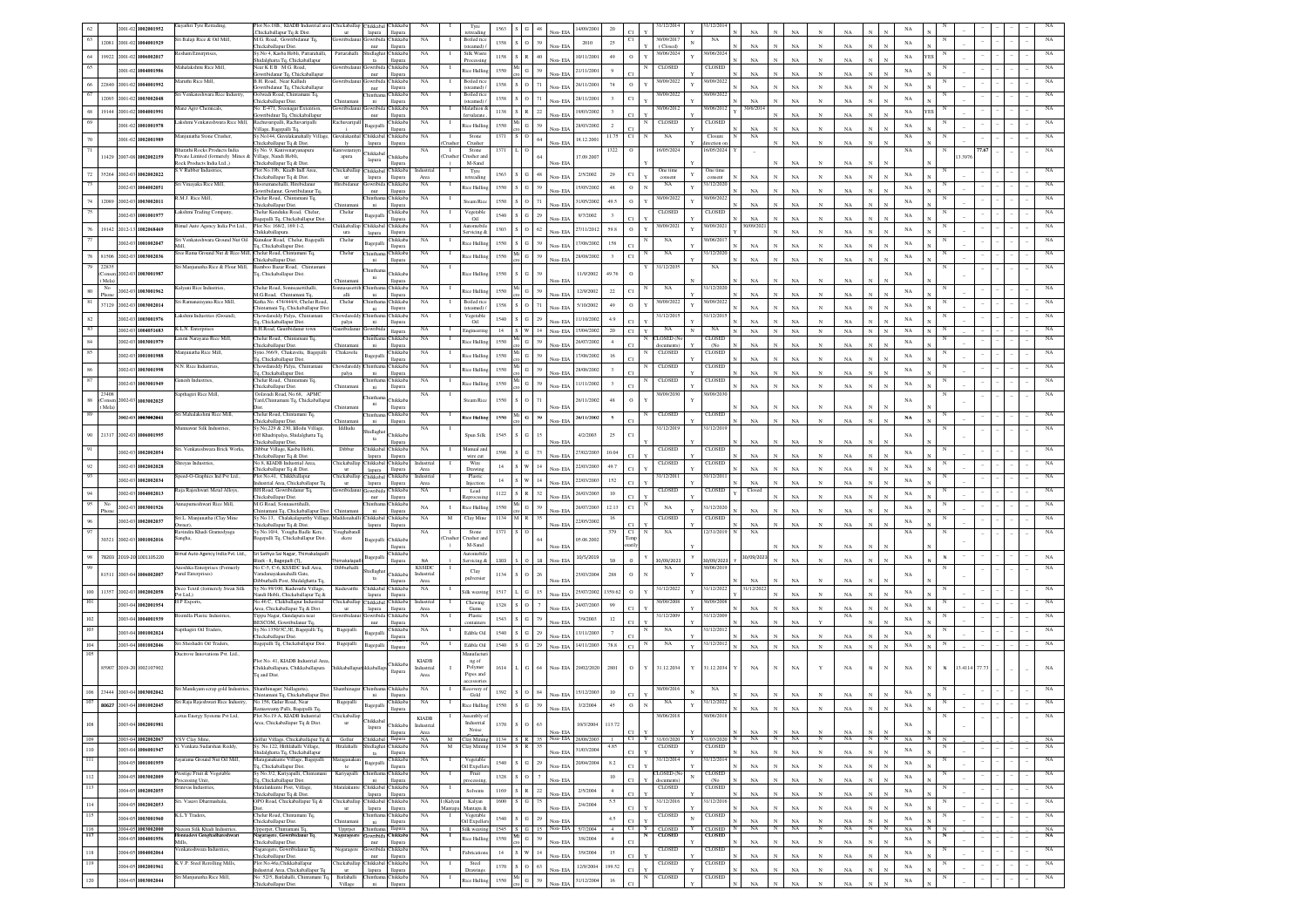|                |                | 2001-02       | 1002001952               | syathri Tyre Retrading                                          | Plot No.18B, KIADB Industrial area<br>Chickaballapur Tq & Dist.                                   | hickaballap               | lapura                               | Chikkabal Chikkaba<br>llapura           | NA                         |                       | Tyre                                  | 1563                              |                                 | Non-EIA                                      | 14/09/200        | 20<br>e.                               |              | 31/12/2014                      | 1/12/201                                   |              | NA                         | NA                         |                 |                   |                                       | NA          |   |           |               |  |             |
|----------------|----------------|---------------|--------------------------|-----------------------------------------------------------------|---------------------------------------------------------------------------------------------------|---------------------------|--------------------------------------|-----------------------------------------|----------------------------|-----------------------|---------------------------------------|-----------------------------------|---------------------------------|----------------------------------------------|------------------|----------------------------------------|--------------|---------------------------------|--------------------------------------------|--------------|----------------------------|----------------------------|-----------------|-------------------|---------------------------------------|-------------|---|-----------|---------------|--|-------------|
|                | 12081          | 2001-02       | 1004001929               | ri Balaji Rice & Oil Mill,                                      | M.G. Road, Gowribidanur Tq.<br>Chickaballapur Dist.                                               | wribida                   | iowribida<br>nur                     | <b>Chikkab</b><br>llapura               | NA                         |                       | <b>Boiled</b> rice<br>steamed)        | 1358                              | $S = O$                         | 39<br>Non-EIA                                | 2010             | 25                                     |              | 30/09/2017<br>(Closed)          | NA                                         |              | $_{\rm NA}$                | $_{\rm NA}$                | $_{\rm N}$      | NA                | $\mathbf{x}$<br>$\mathbf{x}$          | $_{\rm NA}$ |   |           |               |  |             |
| 64             | 19922          | 2001-02       | 1006002017               | sham Enterprises.                                               | Sy.No 4, Kasba Hobli, Pattarahalli,                                                               | Pattarahall               | hidlagha                             | Chikkab                                 | NA                         |                       | Silk Waste                            | 1158                              | $S$ R                           | 40<br>Non-EIA                                | 10/11/2001       | 49<br>$\circ$                          | Y            | 30/06/2024                      | 10/06/202                                  |              | $_{\rm NA}$                |                            |                 | NA                |                                       | $_{\rm NA}$ |   |           |               |  |             |
| 65             |                |               | 2001-02 1004001986       | ahalakshmi Rice Mill                                            | hidalghatta Tq, Chickaballapur<br>Near KEB M.G. Road.                                             | kwribidar                 | $_{\rm ta}$                          | llapura<br>owribida Chikkaba            | NA                         |                       | Processir<br>Rice Hulling             | 1550                              | $\frac{Mi}{G}$                  | 39                                           | 21/11/2001       | $\overline{9}$                         |              | CLOSED                          | CLOSED                                     |              |                            | NA                         |                 |                   |                                       | $_{\rm NA}$ |   |           |               |  |             |
| 66             |                |               | 22840 2001-02 1004001992 | aruthi Rice Mill.                                               | lowribidanur To, Chickaballapur<br>B.H. Road, Near Kalludi                                        |                           | nur                                  | llapura<br>owribida Chikkab             | NA                         |                       | Boiled rice                           | 1358                              | $S = O$                         | Non-EIA<br>71                                | 26/11/2001       | C1.<br>$\,$ o<br>74                    |              | 30/09/2022                      | 0/09/202                                   |              | NA                         | NA                         | $_{\rm N}$      | NA                |                                       | $_{\rm NA}$ |   |           |               |  |             |
| 67             |                |               |                          | iri Venkateshwara Rice Industry.                                | lowribidanur To, Chickaballapu<br>Oolwadi Road, Chintamani Tq,                                    |                           | nur<br>hintha                        | llapura<br>Chikkab.                     | NA                         |                       | (steamed)<br>Boiled rice              |                                   |                                 | Non-EIA                                      |                  |                                        |              | 30/09/2022                      | 0/09/202                                   |              | NA                         | NA                         |                 | NA                |                                       |             |   |           |               |  |             |
|                |                | 12093 2001-02 | 1003002048               | Aanz Agro Chemicals                                             | 'hickaballapur Dist.<br>No: E-471. Sreenagar Extention.                                           | Thintama<br>Gowribidan    | ni                                   | llapura<br>Jowribida Chikkaba           | NA                         | - 1                   | (steamed)<br>Malathion &              | 1358                              | $S$ O                           | 71<br>Non-ELA                                | 28/11/200        | $_{\rm C1}$<br>$\overline{\mathbf{3}}$ |              | 30/06/2012                      | 30/06/2013                                 |              | $_{\rm NA}$<br>30/6/2014   | <b>NA</b>                  |                 | NA                |                                       | NA          |   |           |               |  |             |
| 68<br>69       | 19144          | 2001-02       | 1004001991               | akshmi Venkateshwara Rice Mill                                  | lowribidnur Tq, Chickaballapur                                                                    |                           | nur                                  | llapura                                 | NA                         |                       | fervalarate                           | 1138                              | $\,$ S $\,$ R $\,$ 22           | Non-ELA                                      | 9/03/200         | $\overline{\mathbf{3}}$                |              | CLOSED                          | CLOSEL                                     |              |                            | $_{\rm NA}$                |                 | NA                |                                       | NA          |   |           |               |  |             |
|                |                | 2001-02       | 1001001978               |                                                                 | Rachuvaripalli, Rachuvaripalli<br>Village, Bagepalli Tq.                                          | Rachuvaripa               | Bagepalli                            | hikkab.<br>llapura                      |                            |                       | Rice Hullin                           | 1550                              | $$\rm{Mi}$$ G                   | 39<br>Non-EIA                                | 28/03/2002       | $\,2\,$                                |              |                                 |                                            |              | NA                         | $_{\rm NA}$                |                 | $_{\rm NA}$       |                                       | NA          |   |           |               |  |             |
| $70\,$         |                |               | 2001-02 1002001989       | Ianjunatha Stone Crusher                                        | Sy.No144, Guvalakanahally Village, Guvalakanha<br>hickaballapur Tq & Dist.                        | 1v                        | hikkabal Chikkab<br>lapura           | llapura                                 | NA                         |                       | Stone<br>Crusher                      | 1371                              | $S$ O                           | 64<br>Non-EIA                                | 18.12.2001       | 11.75<br>C1                            |              | NA                              | Closure<br>rection o                       |              | NA                         | $_{\rm NA}$                |                 | NA                |                                       | NA          |   |           |               |  |             |
| 71             | 11429          |               | 2007-08 1002002159       | Bharathi Rocks Products India<br>vate Limited (formerely Mines  | Sy No. 9, Kanivenaryanapura<br>illage, Nandi Hobli.                                               | Kanivenaray<br>apura      | <b>Thikkabal</b>                     | hikkab.                                 | NA                         | $\mathbf{I}$<br>`rush | Stone<br>Tusher at                    | 1371                              | L I O                           |                                              | 17.09.2007       | 1322<br>$\circ$                        |              | 16/05/2024                      | 6/05/2024                                  |              |                            |                            |                 |                   |                                       | $_{\rm NA}$ |   |           | 77.67<br>3397 |  |             |
|                |                |               |                          | (ock Products India Ltd.,)<br>V Rubber Industries               | Chickaballapur Tq & Dist<br>Plot No.19b, Kiadb Indl Area,                                         | hickaballa                | lapura<br>Chikkabal                  | llapura<br><b>Thikkaba</b>              | Industrial                 |                       | M-Sand<br>Tyre                        |                                   |                                 | Non-EIA                                      |                  |                                        |              | One time                        | One tim                                    |              |                            | $_{\rm NA}$                |                 | $_{\rm NA}$       |                                       |             |   |           |               |  |             |
| $72\,$         |                |               | 35264 2002-03 1002002022 |                                                                 | Chickaballapur Tq & Dist.                                                                         | $_{\rm{ur}}$              | lapura                               | llapura                                 | Area                       |                       | retreadin                             | 1563                              | $S$ $G$                         | $48\,$<br>Non-EIA                            | 2/5/2002         | C1<br>29                               |              | consent                         | onsent                                     |              | NA                         | $_{\rm NA}$                | $_{\rm N}$      | $_{\rm NA}$       |                                       | $_{\rm NA}$ |   |           |               |  |             |
|                |                | 2002-03       | 1004002051               | ri Vinayaka Rice Mill                                           | Ioorumanehalli, Hirebidan<br>lowribidanur, Gowribidanur Tq.                                       | irebida                   | owribid<br>nur                       | hikkab<br><b>Hapura</b>                 | $_{\rm NA}$                |                       | Rice Hullin                           | 1550                              | $S$ $G$                         | 39<br>Non-EL                                 | 15/05/2002       | $\circ$<br>48                          | $\mathbf{N}$ | NA                              | 1/12/202                                   |              | NA                         | $_{\rm NA}$                |                 | NA                |                                       | $_{\rm NA}$ |   |           |               |  |             |
| $74\,$         |                |               | 12089 2002-03 1003002011 | .M.J. Rice Mill,                                                | Thelur Road, Chintamani Tq,<br>Chickaballapur Dist.                                               | Thintama                  | hintha<br>$_{\rm{ni}}$               | Chikkaba<br>llapura                     | $_{\rm NA}$                |                       | Steam Rio                             | 1550                              | $S$ 0                           | 71<br>Non-EIA                                | 31/05/2002       | $\circ$<br>49.5                        |              | 30/09/2022                      | 0/09/2022                                  |              | NA                         | $_{\rm NA}$                | $_{\rm N}$      | NA                |                                       | NA          |   |           |               |  |             |
|                |                |               | 2002-03 1001001977       | akshmi Trading Company                                          | 'helur Kunduku Road, Chelur.<br>agepalli Tq, Chickaballapur Dist.                                 | Chelur                    | Bagepalli                            | hikkab<br><b>Hapura</b>                 | NA                         |                       | Vegetable<br>Oil                      | 1540                              | $S$ $G$                         | 29<br>Non-EIA                                | 9/7/2002         | $\overline{\mathbf{3}}$<br>c.          |              | CLOSED                          | CLOSE                                      |              | NA                         | $_{\rm NA}$                | $\mathbf{N}$    | NA                |                                       | $_{\rm NA}$ |   |           |               |  |             |
| $76\,$         |                | 19142 2012-13 | 1002068469               | mal Auto Agency India Pvt Ltd.,                                 | Plot No: 168/2, 169:1-2,<br>Chikkaballapura.                                                      | hikkaballa                | Chikkabal Chikkab<br>lapura          | llapura                                 | NA                         |                       | Automobi<br>ervicing &                | 1303                              | $S = O$                         | $62\,$<br>Non-FIA                            | 27/11/2012       | 59.8<br>$\circ$                        |              | 30/09/202                       | 0/09/202                                   |              | V09/20.                    | <b>NA</b>                  |                 | NA                |                                       | $_{\rm NA}$ |   |           |               |  |             |
| 77             |                |               | 2002-03 1001002047       | Sri Venkateshwara Ground Nut Oil                                | Kunukur Road, Chelur, Bagepalli                                                                   | Chelur                    | Bagepalli                            | Chikkab                                 | NA                         |                       | Rice Hulling                          | 1550                              | $S$ $G$                         | 39                                           | 17/08/2002       | 158                                    |              | NA                              | 10/06/201                                  |              | $_{\rm NA}$                | NA                         | $\mathbf{N}$    | NA                |                                       | $_{\rm NA}$ |   |           |               |  |             |
| $78\,$         |                |               | 81506 2002-03 1003002036 | ree Rama Ground Nut & Rice Mill. Chelur Road. Chintamani To     | Tq, Chickaballapur Dist.                                                                          | Chelur                    | <b>Thintha</b>                       | llapura<br>Chikkab                      | NA                         |                       | Rice Hullin                           | 1550                              | $\frac{Mi}{G}$                  | Non-EIA<br>39                                | 28/08/2002       | $\overline{\mathbf{3}}$<br>C1          |              | NA                              | 1/12/202                                   |              |                            |                            |                 |                   |                                       | $_{\rm NA}$ |   |           |               |  |             |
| 79             | 22835          |               |                          | Sri Manjunatha Rice & Flour Mill, Bamboo Bazar Road, Chintamani | Chickaballapur Dist.                                                                              |                           | ni                                   | llapura                                 | NA                         |                       |                                       |                                   |                                 | Non-EIA                                      |                  |                                        |              | 31/12/2035                      | NA                                         |              | $_{\rm NA}$                | $_{\rm NA}$                | $_{\rm N}$      | NA                |                                       |             |   |           |               |  |             |
|                | Consen<br>Mela |               | 002-03 1003001987        |                                                                 | Tq, Chickaballapur Dist.                                                                          | Chintama                  | ni                                   | <b>Thikkab</b><br>llapura               |                            |                       | Rice Hullin                           | 1550                              | G                               | Non-ELA                                      | 11/9/2002        | 49.76<br>$\circ$                       |              |                                 |                                            |              | NA                         | NA                         |                 | NA                |                                       | NA          |   |           |               |  |             |
| $80\,$         | No<br>Phone    | 2002-03       | 1003001962               | Kalyani Rice Industries.                                        | Chelur Road, Sonnsasettihalli.<br>M.G.Road, Chintamani Tq,                                        | alli                      | hintha<br>ni                         | Chikkaba<br>llapura                     | NA                         |                       | tice Hullin                           | 1550                              | G                               | Non-EIA                                      | 12/9/2002        | $22\,$<br>C1                           |              | NA                              | 1/12/202                                   |              | NA                         | $_{\rm NA}$                |                 | NA                |                                       | NA          |   |           |               |  |             |
| 81             |                |               | 37129 2002-03 1003002014 | iri Ramanarayana Rice Mill,                                     | Katha No. 474/444/4, Chelur Road,<br>hintamani Tq, Chickaballapur Dist                            | Chelur                    | hinthar<br>ni                        | Chikkab.<br>llapura                     | NA                         |                       | Boiled rio                            | 1358                              | slo                             | Non-ELA                                      | 5/10/200         | $\circ$<br>49                          |              | 10/09/2022                      | 0/09/202                                   |              | NA                         | $_{\rm NA}$                |                 | NA                |                                       | $_{\rm NA}$ |   |           |               |  |             |
| $82\,$         |                | 2002-03       | 1003001976               | akshmi Industries (Ground),                                     | howdareddy Palya, Chintamani                                                                      | howdared                  | intha                                | Chikkab                                 | NA                         |                       | steamed)<br>Vegetable                 | 1540                              | $S$ $G$                         |                                              | 11/10/200        | 4.9                                    |              | 31/12/2015                      | 1/12/20                                    |              |                            |                            |                 |                   |                                       | $_{\rm NA}$ |   |           |               |  |             |
| 83             |                |               | 2002-03 1004051683       | K.L.N. Enterprises                                              | Tq, Chickaballapur Dist.<br>B.H.Road, Gauribidanur town                                           | palya<br>Gauribidanu      | ni<br><b>Jowribida</b>               | llapura<br>llapura                      | NA                         |                       | Oil<br>Engineering                    |                                   | 14 S W 14                       | Non-EL<br>Non-EIA                            | 15/04/2002       | 20<br>C1                               | Y            | NA                              | NA                                         |              | NA<br>$_{\rm NA}$          | $_{\rm NA}$<br>$_{\rm NA}$ | $_{\rm N}$      | NA<br>$_{\rm NA}$ | $_{\rm N}$<br>$_{\rm N}$              | $_{\rm NA}$ |   |           |               |  |             |
| $\mathbf{84}$  |                | 2002-03       | 1003001979               | ixmi Narayana Rice Mill.                                        | helur Road, Chintamani Tq,<br>Chickaballapur Dist.                                                |                           | ntha                                 | Chikkab.                                | NA                         |                       | Rice Hullin                           | 1550                              | $\mathbf{G}$                    | Non-EIA                                      | 26/07/200        | $\Delta$                               |              | LOSED (N                        | CLOSEL<br>(N <sub>0</sub> )                |              | NA                         | $_{\rm NA}$                | $_{\rm N}$      | NA                |                                       | $_{\rm NA}$ |   |           |               |  |             |
| 85             |                | 2002-03       | 1001001988               | anjunatha Rice Mill                                             | Syno.366/9, Chakavelu, Bagepalli                                                                  | Chintaman<br>Chakavelu    | agepalli                             | llapura<br>Chikkaba                     | NA                         | л.                    | Rice Hulli                            | 1550                              | ${\bf G}$                       | 39                                           | 17/08/200        | 16<br>C1.                              |              | CLOSED                          | <b>CLOSE</b>                               |              |                            |                            |                 |                   |                                       | $_{\rm NA}$ |   |           |               |  |             |
| $86\,$         |                |               | 2002-03 1003001998       | N. Rice Industries                                              | Tq, Chickaballapur Dist.<br>owdareddy Palya, Chintamani                                           | owdared                   | hintha                               | llapura<br>hikkab                       | NA                         |                       | Rice Hullin                           | 1550                              | $\frac{d}{dt}$ G $\vert$        | Non-EIA<br>39                                | 28/08/2002       |                                        |              | <b>CLOSED</b>                   | CLOSEL                                     |              | $_{\rm NA}$                | $_{\rm NA}$                | $_{\rm N}$      | $_{\rm NA}$       |                                       | $_{\rm NA}$ |   |           |               |  |             |
| 87             |                |               | 9491005001 20-5009       | nesh Industries.                                                | Tq, Chickaballapur Dist.<br>helur Road, Chintamani Tq.                                            | palya                     | ni                                   | llapura<br>hikkab                       | NA                         |                       |                                       |                                   |                                 | Non-EIA                                      |                  | C1.                                    |              | CLOSED                          | <b>LOSE</b>                                |              | $_{\rm NA}$                | $_{\rm NA}$                | $_{\rm N}$      | $_{\rm NA}$       |                                       |             |   |           |               |  |             |
|                | 2340           |               |                          | apthagiri Rice Mill,                                            | Chickaballapur Dist.<br>Dolavadi Road, No.68, APMC                                                | <b>Thintamar</b>          | ni                                   | llapura                                 | $_{\rm NA}$                |                       | Rice Hullin                           | 1550                              | $\mathbf{G}$                    | 39<br>Non-EL                                 | 11/11/2002       | $\overline{\mathbf{3}}$<br>c1.         |              | 30/09/2030                      | 1/09/203                                   |              | $_{\rm NA}$                | $_{\rm NA}$                |                 | $_{\rm NA}$       |                                       | $_{\rm NA}$ |   |           |               |  |             |
| $88\,$         | Mela           | $002 - 03$    | 1003002025               |                                                                 | ard, Chintamani Tq, Chickaballap                                                                  | Chintar                   | hinth:<br>ni                         | <b>hikkab</b><br>llapura                |                            |                       | steam Ric                             | 1550                              | $S$ O                           | Non-EL                                       | 26/11/2002       | $48\,$<br>$\,$ O                       |              |                                 |                                            |              | NA                         | NA                         |                 | NA                |                                       | NA          |   |           |               |  |             |
| 89             |                |               | 002-03 1003002041        | iri Mahalakshmi Rice Mill,                                      | Chelur Road, Chintamani Tq,                                                                       |                           | hinth:                               | Chikkab                                 | NA                         |                       | Rice Hullin                           | 1550                              | $_{\rm Mi}$ $_{\rm G}$ $ $      | 39                                           | 26/11/2002       | $\mathbf{s}$                           |              | CLOSED                          | CLOSED                                     |              |                            |                            |                 |                   |                                       | $_{\rm NA}$ |   |           |               |  |             |
|                |                |               |                          | annawar Silk Industries                                         | Chickaballapur Dist.<br>Sy.No,229 & 230, Idlodu Village,                                          | Chintan<br>Iddludu        | $\rm{ni}$<br>hidlagha                | llapura                                 | NA                         |                       |                                       |                                   |                                 | Non-EIA                                      |                  |                                        |              | 31/12/2019                      | 31/12/201                                  |              | NA                         | $_{\rm NA}$                |                 | NA                |                                       |             |   |           |               |  |             |
| $90\,$         | 21317          |               | 2002-03 1006001995       |                                                                 | Off Khadripalya, Shidalghatta Tq,<br>hickaballapur Dist,                                          |                           | ta                                   | <b>Thikkab</b><br>llapura               |                            |                       | Spun Silk                             | 1545                              | $\sim$ 1.2                      | Non-EIA                                      | 4/2/2003         | C1<br>25                               |              |                                 |                                            |              | NA                         | <b>NA</b>                  |                 | NA                |                                       | $_{\rm NA}$ |   |           |               |  |             |
|                |                |               | 2002-03 1002002054       | Sri. Venkateshwara Brick Works,                                 | Dibbur Village, Kasba Hobli,<br>hickaballapur Tq & Dist.                                          | Dibbur                    | Chikkabal Chikkaba<br>lapura         | llapura                                 | $_{\rm NA}$                |                       | Manual an<br>wire cut                 | 1598                              | ${\bf S}={\bf G}$               | 73<br>Non-EIA                                | 27/02/2003       | 10.04                                  |              | CLOSED                          | CLOSED                                     |              | NA                         | NA                         | $_{\rm N}$      | NA                |                                       | NA          |   |           |               |  |             |
|                |                |               |                          |                                                                 |                                                                                                   |                           |                                      |                                         |                            |                       |                                       |                                   |                                 |                                              |                  |                                        |              |                                 |                                            |              |                            |                            |                 |                   |                                       |             |   |           |               |  |             |
| 92             |                | 2002-03       | 1002002028               | reyas Industries                                                | No.8, KIADB Industrial Area.                                                                      | <b>Thickaballar</b>       |                                      | Chikkabal Chikkaba                      | Industrial                 |                       | Wire                                  | 14                                | ${\bf S} - {\bf W}$             | 14                                           | 22/03/200        | 49.7                                   |              | CLOSED                          | <b>CLOSED</b>                              |              |                            |                            |                 |                   |                                       | NA          |   |           |               |  |             |
| 93             |                | 2002-03       |                          | peed-O-Graphics Ind Pvt Ltd.,                                   | hickaballapur Tq & Dist.<br>Plot No.41. Chikkballapur                                             | Chickaballap              | lapura<br>Chikkabal Chikkaba         | <b>Hapura</b>                           | Area<br>Industrial         |                       | Drawing<br>Plastic                    |                                   |                                 | Non-ELA<br>14                                | 22/03/200        |                                        |              | 31/12/2011                      | 31/12/201                                  |              | NA                         | NA                         |                 | NA                |                                       | NA          |   |           |               |  |             |
|                |                |               | 1002002034               | Raja Rajeshwari Metal Alloys,                                   | dustrial Area, Chickaballapur Tq<br>BH Road, Gowribidanur Tq,                                     | ur<br>Gowribidar          | lapura<br>Jowribida Chikkab.         | llapura                                 | Area<br>NA                 |                       | Injection<br>Lead                     | $14\,$                            | ${\bf S}$ $-{\bf W}$            | Non-EIA                                      |                  | 152                                    |              | CLOSED                          | CLOSED                                     |              | NA<br>Closed               | $_{\rm NA}$                |                 | NA                |                                       |             |   |           |               |  |             |
| $\,94$<br>95   | No             | 1002-03       | 1004002013               | anapurneshwari Rice Mill                                        | hickaballapur Dist.<br>M.G Road, Sonnasettihalli.                                                 |                           | nur<br>Thinthama Chikkab.            | llapura                                 |                            |                       | <b>Reprocssit</b>                     | 1122                              | ${\bf S} - {\bf R}$             | 32<br>Non-ELA                                | 26/03/200        | $10\,$                                 |              |                                 |                                            |              |                            | $_{\rm NA}$                |                 | NA                |                                       | NA          |   |           |               |  |             |
|                | Phot           |               | 2002-03 1003001926       |                                                                 | hintamani Tq, Chickaballapur Dist. Chintaman                                                      |                           | ni                                   | llapura                                 | NA                         | $\;$ I                | <b>Rice Hullin</b>                    | 1550                              | $$\rm{Mi}$$ G $\,$              | 39<br>Non-EIA                                | 26/07/200        | 12.13<br>CI                            |              | NA                              | 31/12/202                                  |              | NA                         | $_{\rm NA}$                |                 | $_{\rm NA}$       |                                       | $_{\rm NA}$ |   |           |               |  |             |
| $96\,$         |                |               | 2002-03 1002002037       | Sri L. Manjunatha (Clay Mine<br>wner),                          | Sy No.13, Chalakalapurthy Village, Maddenahalli<br>hickaballapur Tq & Dist.                       |                           | Chikkabal Chikkaba<br>lapura llapura |                                         | NA                         | M                     | Clay Min                              | 1134                              | M R                             | Non-EIA                                      | 22/05/2002       |                                        |              | CLOSED                          | CLOSED                                     |              | NA                         | $_{\rm NA}$                |                 | NA                |                                       | $_{\rm NA}$ |   |           |               |  |             |
| 97             | 30321          |               | 2002-03 1001002016       | Ravindra Khadi Gramodyaga<br>ingha,                             | Sy No.10/4, Yougha Badle Kere,<br>agepalli Tq, Chickaballapur Dist.                               | Youghabane<br>ckere       | Bagepalli                            | Chikkah                                 | NA                         | -1<br>`rush           | Stone<br>Trusher an                   | 1371                              | s I o                           |                                              | 05.08.200        | C1<br>379                              |              | NA                              | 12/31/2019                                 |              | NA                         |                            |                 |                   |                                       | $_{\rm NA}$ |   |           |               |  |             |
|                |                |               |                          | mal Auto Agency India Pvt. Ltd.,                                | Sri Sathya Sai Nagar, Thimakalapall                                                               |                           |                                      | llapura<br><b>hikkab</b>                |                            |                       | M-Sand<br>lutomobi                    |                                   |                                 | Non-ELA                                      |                  |                                        |              |                                 |                                            |              |                            | NA                         |                 | NA                |                                       |             |   |           |               |  |             |
| 98             |                |               | 78203 2019-20 1001105220 | moshka Enterprises (Formerly                                    | lock - II. Bagepalli (T).<br>No.C-5, C-6, KSSIDC Indl Area.                                       | imakalapa<br>Dibburhalli  | Bagepalli                            | llapura                                 | <b>NA</b><br><b>KSSIDC</b> |                       | Servicing &                           | 1303                              | $\mathsf{L}$                    | 18<br>Non-EIA                                | 10/5/2019        | 59<br>$\Omega$                         |              | 30/09/2023<br>NA                | 0/09/2023<br>0/06/201                      |              | 30/09/2023                 | $_{\rm NA}$                | $_{\rm N}$      | NA                | $\mathbf{N}$<br>$\mathbb{N}$          | $_{\rm NA}$ | N |           |               |  | NA          |
|                |                |               | 81511 2003-04 1006002007 | Parul Enterprises)                                              | /aradanavakanahalli Gate.                                                                         |                           | idlagha<br>$t$ a                     | Chikkab.                                | Industrial                 |                       | $_{\rm Clay}$<br>pulversie            | 1134                              | $S$ O                           | Von-ELA                                      | 25/03/2004       | $\circ$<br>288                         |              |                                 |                                            |              | NA                         |                            |                 | NA                |                                       | $_{\rm NA}$ |   |           |               |  |             |
| $100\,$        |                |               | 11357 2002-03 1002002058 | Deco Textil (formerely Swan Silk                                | libburhalli Post, Shidalghatta Tq<br>Sv No.99/100. Kuduvathi Village.                             | Kuduvatthi                | Chikkabal Chikkaba                   | llapura                                 | Area<br>NA                 |                       | Silk weavir                           | 1517                              | ${\bf L} - {\bf G}$             | 15                                           | 25/07/2002       | 1359.62<br>$\,$ O                      |              | 31/12/2022                      | 31/12/2022                                 |              | 31/12/2022                 | NA                         |                 |                   |                                       | NA          |   |           |               |  |             |
| 101            |                |               | 1003-04 1002001954       | t Ltd.)<br>H P Exports                                          | vandi Hobli, Chickaballapur Tq &<br>No.46 C, Ckikballapur Industrial                              | <b>Thickaballa</b>        | lapura<br>Chikkabal Chikkaba         | llapura                                 | Industrial                 |                       | Chewing                               | 1328                              | $S$ O                           | Non-EIA                                      | 24/07/2003       | 99                                     |              | 0/09/2008                       | 10/09/200                                  |              |                            | $_{\rm NA}$                |                 | NA                |                                       | $_{\rm NA}$ |   |           |               |  |             |
|                |                |               | 9791004001939            | ismilla Plastic Industries,                                     | Area, Chickaballapur Tq & Dist.<br>Tippu Nagar, Gundapura near                                    | owribid:                  | lapura                               | llapura<br>owribida Chikkab             | Area<br>NA                 |                       | Gums<br>Plastic                       | 1543                              |                                 | Non-ELA                                      | 7/9/2003         |                                        |              | 31/12/2009                      | 1/12/200                                   |              | NA                         | $_{\rm NA}$                |                 | NA<br>NA          |                                       |             |   |           |               |  |             |
| $102\,$<br>103 |                |               |                          | apthagiri Oil Traders                                           | BESCOM, Gowribidanur Tq,                                                                          | Bagepalli                 | nur                                  | llapura<br>Chikkaba                     | NA                         |                       | container                             |                                   | ${\bf S}={\bf G}$               | 79<br>Non-EIA                                |                  | 12                                     |              | NA                              | 31/12/201                                  |              | NA                         | $_{\rm NA}$                |                 |                   |                                       | $_{\rm NA}$ |   |           |               |  |             |
|                |                |               | 2003-04 1001002024       | Sri Sheshadri Oil Traders,                                      | Sy.No.1350/3C,3E, Bagepalli Tq,<br>hickaballapur Dist.<br>Bagepalli Tq, Chickaballapur Dist.      | Bagepalli                 | Bagepalli                            |                                         | NA                         |                       | Edible Oil                            | 1540                              | $\,$ S $\,$ G $\,$ $\,$ 29 $\,$ | Non-EL                                       | 13/11/2003       | $\overline{7}$                         |              | NA                              | 31/12/2012                                 |              | $_{\rm NA}$                | NA                         |                 | NA                |                                       | $_{\rm NA}$ |   |           |               |  |             |
| $104\,$<br>105 |                |               | 2003-04 1001002046       | Juctrove Innovations Pvt. Ltd.,                                 |                                                                                                   |                           | Bagepalli <sub>llapura</sub>         |                                         |                            |                       | Edible Oil<br>Manufactu               | 1540                              | $\,$ S $\,$ G $\,$ $\,$ 29 $\,$ | Non-EIA                                      | 14/11/2003       | 78.8<br>C1                             |              |                                 |                                            |              | NA                         | $_{\rm NA}$<br>$_{\rm N}$  | $_{\rm N}$      | NA                | $_{\rm N}$<br>$_{\rm N}$              | $_{\rm NA}$ |   |           |               |  |             |
|                |                |               | 85907 2019-20 1002107902 |                                                                 | Plot No. 41, KIADB Industrial Area<br>Chikkaballapura, Chikkaballapura                            | hikkaballapunikkaballap   |                                      | Chikkab.                                | <b>KIADR</b><br>Industrial |                       | ng of<br>Polymer                      | 1614                              | $L$ G $64$                      | Non-EIA                                      | 29/02/2020       | $\circ$<br>2801                        | Y            | 31.12.2034                      | 31.12.2034<br>Y                            |              | $_{\rm NA}$                | $_{\rm NA}$<br>$_{\rm N}$  | Y               | $_{\rm NA}$       | $\mathbf{N}$<br>N                     | NA          |   | N 13.4114 | 77.73         |  |             |
|                |                |               |                          |                                                                 | To and Dist.                                                                                      |                           |                                      | llapura                                 | Area                       |                       | Pipes and<br>accessorie               |                                   |                                 |                                              |                  |                                        |              |                                 |                                            |              |                            |                            |                 |                   |                                       |             |   |           |               |  |             |
| 106            | 23444          |               | 2003-04 1003002042       | Sri Manikyam scrap gold Industries,                             | Shanthinagar(Nullagutta),                                                                         | Shanthinaga               | hinthar                              | Chikkaba                                | NA                         |                       | Recovery o                            | 1392                              | ${\bf S}={\bf O}$               | 84                                           | 15/12/2003       | 10                                     |              | 30/09/2016                      | NA                                         |              |                            |                            |                 |                   |                                       | NA          |   |           |               |  |             |
| 107            |                |               |                          | Sri Raja Rajeshwari Rice Industry,                              | Chintamani Tq, Chickaballapur Dis<br>No.156, Gulur Road, Near                                     | Bagepalli                 |                                      | llapura<br>Chikkaba                     | NA                         | - 1                   | Gold                                  |                                   |                                 | Non-EIA                                      |                  | C1                                     |              | NA                              | 31/12/202                                  |              | NA                         | $_{\rm NA}$                |                 | $_{\rm NA}$       |                                       |             |   |           |               |  |             |
|                |                |               | 80627 2003-04 1001002045 | Lotus Energy Systems Pvt Ltd,                                   | Ramaswamy Palli, Bagepalli To.<br>Plot No.19 A, KIADB Industrial                                  | Chickaballap              | Bagepalli                            | llapura                                 | KIADR                      |                       | Rice Hullin<br>Assembly of            | 1550                              | ${\bf S}={\bf G}$               | 39<br>Non-EIA                                | 3/2/2004         | $\,$ O<br>45                           |              | 30/06/2018                      | 30/06/2018                                 |              | $_{\rm NA}$                | $_{\rm NA}$                |                 | $_{\rm NA}$       |                                       | $_{\rm NA}$ |   |           |               |  |             |
| $108\,$        |                |               | 2003-04 1002001981       |                                                                 | Area, Chickaballapur Tq & Dist.                                                                   | ur                        | hikkabal<br>lapura                   | Chikkaba                                | Industrial                 |                       | Industrial<br>Noise                   | 1370 S O 63                       |                                 |                                              | 10/3/2004 113.72 |                                        |              |                                 |                                            |              | NA                         | NA                         |                 | NA                |                                       | $_{\rm NA}$ |   |           |               |  |             |
| 109            |                |               | 2003-04 1002002067       | VSV Clay Mine,                                                  | Gollur Village, Chickaballapur Tq & Gollur                                                        |                           | Chikkabal llapura                    | llapura                                 | Area<br>NA                 |                       |                                       |                                   |                                 | Non-EIA<br>M Clay Mining 1134 S R 35 Non-EIA | 26/08/2003       | $1$ Cl                                 | Y            | 31/03/2020                      | Y                                          | 31/03/2020 N | NA                         | NA<br>$_{\rm N}$           | $_{\rm N}$      | NA                | ${\bf N}$<br>N                        | NA          | N |           |               |  | NA          |
| $110\,$        |                |               | 2003-04 1006001947       | Venkata Sudarshan Reddy,                                        | Sy. No.122, Hithlahalli Village,<br>hidalghatta Tq, Chickaballapur                                | Hitalahalli               | ta                                   | Shidlaghat Chikkaba<br>llapura          | NA                         | M                     | Clay Mining                           | 1134 S R 35                       |                                 | Non-EIA                                      | 31/03/2004       | 4.85<br>$\frac{c_1}{c_2}$              |              | CLOSED                          | CLOSED                                     |              | $_{\rm NA}$                | $_{\rm NA}$                | $_{\rm N}$      | $_{\rm NA}$       | $\mathbf{N}$<br>$_{\rm N}$            | $_{\rm NA}$ | N |           |               |  | $_{\rm NA}$ |
| $111\,$        |                |               | 2004-05 1001001959       | Javarama Ground Nut Oil Mill.                                   | Maraganakunte Village, Bagepalli<br>Tq, Chickaballapur Dist.                                      | Maraganakt<br>te          | Bagepalli                            | Chikkaba<br>llapura                     | $_{\rm NA}$                |                       | Vegetabl<br><b>Dil Expelle</b>        | $1540$ $\,$ S $\,$ G $\,$ 29 $\,$ |                                 | Non-EIA                                      | 20/04/2004       | $8.2\,$<br>$_{\rm Cl}$                 |              | 31/12/20                        | 1/12/20                                    |              | $_{\rm NA}$                | $_{\rm NA}$                | $\mathbf{N}$    | NA                | $\mathbf{N}$                          | $_{\rm NA}$ |   |           |               |  | NA          |
| $112\,$        |                |               | 2004-05 1003002009       | restige Fruit & Vegetable<br>ocessing Unit,                     | Sy No.3/2, Kariyapalli, Chintamani<br>Tq, Chickaballapur Dist.                                    | Kariyapall                | $\mathbf{n}$                         | Chikkab:<br>llapura                     | $_{\rm NA}$                |                       | Fruit<br>rocessin                     | 1328 S O 7                        |                                 | Non-EL                                       |                  | 10<br>C1                               |              | LOSED <sub>(</sub><br>documents | CLOSE<br>$\mathbb{N}$<br>(N <sub>o</sub> ) |              | $_{\rm NA}$                | $_{\rm NA}$                | $\mathbf{N}$    | $_{\rm NA}$       | $\mathbf{N}$                          | NA          |   |           |               |  | NA          |
| 113            |                |               | 2004-05 1002002055       | inivas Industries                                               | Maralankunte Post, Village,                                                                       | Maralakun                 |                                      | Thikkabal Chikkaba                      | $_{\rm NA}$                |                       | Solvents                              | 1169   $S$   $R$   22             |                                 |                                              | 2/5/2004         | $4 -$<br>$_{\rm Cl}$                   |              | CLOSED                          | CLOSED                                     |              |                            |                            | $_{\rm N}$      | $_{\rm NA}$       | $\mathbf{N}$<br>$\mathbf{N}$          | NA          | N |           |               |  | $_{\rm NA}$ |
| $114\,$        |                |               | 2004-05 1002002053       | Sri. Vasavi Dharmashala,                                        | Chickaballapur Tq & Dist.<br>OPO Road, Chickaballapur Tq &                                        | <b>hickaballa</b>         | hikkabal                             | lapura llapura<br>Chikkaba              | NA                         | (Kalyar               | Kalyan                                |                                   | 1600 S G                        | Non-EIA<br>79                                | 2/4/2004         | 5.5                                    |              | 31/12/2016                      | 31/12/201                                  |              | $_{\rm NA}$                | $_{\rm NA}$                |                 |                   |                                       | NA          |   |           |               |  | NA          |
| 115            |                |               | 004-05 1003001960        | K.L.Y Traders.                                                  | Dist.<br>Chelur Road, Chintamani Tq,                                                              | $_{\rm{ur}}$              | lapura                               | llapura<br>hikkab;                      | NA                         | fantapa               | Mantapa &<br>Vegetable                |                                   | 1540 S G 29                     | Non-EIA                                      |                  | C1<br>$4.5\,$                          |              | <b>CLOSED</b>                   | CLOSED<br>$\mathbb{N}$                     |              | $_{\rm NA}$                | $_{\rm NA}$                | $_{\rm N}$      | $_{\rm NA}$       | $\mathbf{N}$<br>$\mathbf{N}$          | $_{\rm NA}$ |   |           |               |  | NA          |
| 116            |                |               | 2004-05 1003002000       | Nazeen Silk Khadi Industries                                    | Chickaballapur Dist.<br>Upperpet, Chintamani Tq.                                                  | Chintan<br>Upprpet        | ni<br>Chinthama Ilapura              | llapura                                 | NA                         |                       | <b>Dil Expeller</b><br>I Silk weaving |                                   |                                 | Non-FIA<br>1545 S G 15 Non-EIA 5/7/2004      |                  | C1<br>$4$ C1 Y                         |              | CLOSED.                         | Y                                          | CLOSED N     | NA<br>NA                   | <b>NA</b><br>N<br>NA       | $_{\rm N}$<br>N | NA<br>NA          | $\mathbf{v}$<br>$\mathbf N$<br>N<br>N | NA          | N |           |               |  | NA          |
| $117$          |                |               | 2004-05 1004001956       | nnadevi Genghadhareshwar<br>ills:                               | Nagaragere, Gowribidanur Tq.<br>Chickaballapur Dist.                                              | Nagaragees                | nur                                  | lowribida Chikkaba<br>llapura           | $_{\rm NA}$                |                       | Rice Hulling                          | 1550                              | " G                             | 39<br>Non-EIA                                | 3/8/2004         | $4 -$<br>C1.                           |              | CLOSED                          | <b>CLOSED</b>                              |              | $_{\rm NA}$                | NA                         | $_{\rm N}$      | NA                | $\mathbf{N}$<br>$\mathbf{N}$          | $_{\rm NA}$ | N |           |               |  | $_{\rm NA}$ |
| $118\,$        |                | 2004-05       | 1004002064               | enkateshwara Industries                                         | Nagaregere, Gowribidanur Tq.<br>Chickaballapur Dist.                                              | Negaragere                | nur                                  | Jowribida Chikkaba<br>llapura           | NA                         |                       | abricatio                             | 14                                | ${\rm S-W}=14$                  | Non-EIA                                      | 3/9/2004         | 15<br>C1                               |              | CLOSED                          | CLOSED                                     |              | $_{\rm NA}$                | $_{\rm NA}$                | $_{\rm N}$      | NA                | $\mathbf N$<br>$\mathbb{N}$           | $_{\rm NA}$ |   |           |               |  | NA          |
| 119            |                |               | 2004-05 1002001961       | K.V.P. Steel Rerolling Mills                                    | Plot No 46a Chikkaballanın                                                                        | <b>Thickaballar</b><br>ur |                                      | Chikkabal Chikkaba                      | NA                         | -1                    | Steel                                 | 1370                              | $S$ O 63                        | Non-EIA                                      | 12/9/2004        | 199.52                                 |              | CLOSED                          | CLOSED                                     |              |                            | NA                         | $\mathbf{N}$    | NA                | $\mathbf{N}$                          | $_{\rm NA}$ |   |           |               |  | NA          |
| $120\,$        |                |               | 2004-05 1003002044       | Sri Manjunatha Rice Mill,                                       | idustrial Area, Chickaballapur Tq<br>No: 52/5, Batlahalli, Chintamani Tq,<br>Chickaballapur Dist. | Batlahalli<br>Village     | lapura<br>ni                         | llapura<br>hinthama Chikkaba<br>llapura | NA                         | -1                    | Drawings<br>Rice Hulling              | 1550                              | $$\rm{Mi}$$ G $\,$              | 39<br>Non-EIA                                | 31/12/2004       | 16                                     |              | CLOSED                          | CLOSED                                     |              | $_{\rm NA}$<br>$_{\rm NA}$ | $_{\rm NA}$                |                 | $_{\rm NA}$       |                                       | $_{\rm NA}$ | N |           |               |  | $_{\rm NA}$ |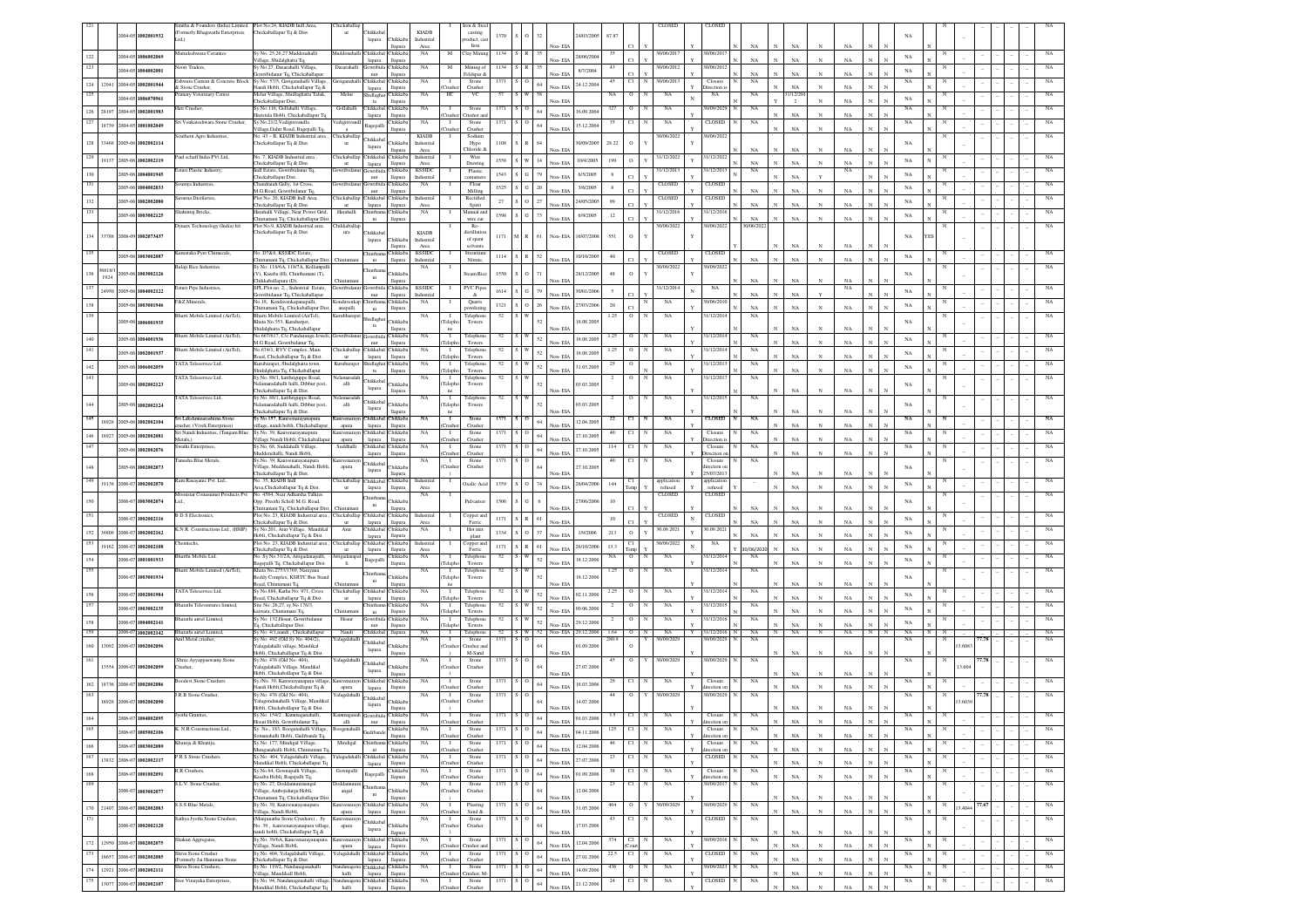| 2004-05 1002001932<br>24/03/2005<br>1370<br>87.87<br>0.141<br><b>Thikkab</b><br>Industrial<br>oduct, ca<br>lapura<br>Iron<br>NA<br>NA<br>NA<br>llapura<br>Area<br>Non-EL<br>furudeshwara Ceramics<br>Sy No. 25,26,27 Maddenahalli<br>hikkabal Chikkab<br>NA<br>Clay Minir<br>1134<br>30/06/201<br>0/06/20<br>Inddenah<br>M<br>S R<br>2004-05 1006002069<br>28/06/200<br>$_{\rm NA}$<br>NA<br>$_{\rm NA}$<br>/illage, Shidalghatta Tq,<br>Non-ELA<br>NA<br>lapura<br>llapura<br>loori Traders.<br>Sy No.27, Dasarahalli Village,<br>Dasarahalli<br>awribida Chikkaba<br>$_{\rm NA}$<br>Mining of<br>30/06/2012<br>30/06/201<br>M<br>1134<br>S R<br>43<br>004-05 1004002001<br>8/7/2004<br>$_{\rm NA}$<br>C1.<br>NA<br>NA<br>NA<br>Non-ELA<br>owribidanur Tq, Chickaballapur<br>nur<br>llapura<br>Feldspar &<br>$_{\rm N}$<br>N<br>shwara Cement & Concrete Block<br>Sy No: 57/5, Gaviganahalli Village<br>Chikkabal Chikkaba<br><b>NA</b><br>Stone<br>1371<br>C1<br>30/06/2013<br>Closure<br><b>NA</b><br>NA<br>viganahall<br>- 1<br>$^{\circ}$<br>45<br>12941 2004-05 1002001944<br>24.12.200<br>124<br>64<br><b>NA</b><br>NA<br>vandi Hobli, Chickaballapur Tq &<br>& Stone Crusher.<br>lapura<br>llapura<br>Tushe<br>Crusher<br>Non-EIA<br>lirection<br>$_{\rm N}$<br>Melur<br>125<br>mary Veterinary Centre<br>Melur Village, Shidlaghatta Taluk,<br>Chikkaba<br><b>NA</b><br>HС<br>VC<br>57<br>NA<br>$\circ$<br>NA<br>NA<br>NA<br>1/12/20<br>W<br>55<br>006070961<br>$004 - 05$<br>NA<br>NA<br>Thickaballapur Dist,<br>ta<br>llapura<br>Non-EL<br>$\overline{2}$<br>Hari Crusher.<br>Sy No:116, Gollahalli Village,<br>Gollahalli<br>Chikkabal Chikkaba<br>NA<br>Stone<br>1371<br>327<br>$\circ$<br>NA<br>0/09/202<br>NA<br>NA<br>- 1<br>∶IO<br>28197<br>1002001983<br>2004-05<br>16.09.200<br>$_{\rm NA}$<br>laristala Hobli, Chickaballapur Tq<br>Non-EIA<br>NA<br>Crusher<br>lapura<br>llapura<br>Tusher at<br>127<br>CLOSED<br>NA<br>NA<br>NA<br>Sri Venkateshwara Stone Crusher,<br>Sv No.21/2. Vedigiriyandla<br>edigiriyanc<br>hikkaba<br>Stone<br>1371<br>C1<br>NA<br>$\mathbf{I}$<br>o<br>35<br>18739<br>$004 - 05$<br>1001002049<br>15.12.200<br>Bagepalli<br>$_{\rm NA}$<br>$_{\rm NA}$<br>.<br>Village, Gulur Road, Bagepalli Tq.<br>Non-EIA<br>Tushe<br>Crusher<br>llapura<br>outhern Agro Industries,<br>No. 43 - B, KIADB Industrial area<br><b>KIADB</b><br>hickaballap<br>Sodium<br>90/06/2022<br>10/06/202<br>Chikkab<br>33468 2005-06 1002002114<br>$S \rvert R$<br>28.22<br>$\circ$<br>128<br>Chikkab.<br>1108<br>60/09/200<br>NA<br>Thickaballapur Tq & Dist.<br>$_{\rm{ur}}$<br>Industrial<br>Hypo<br>lapura<br>Chloride<br><b>NA</b><br>NA<br>NA<br>llapura<br>Area<br>√on- EL<br>No. 7, KIADB Industrial area,<br>31/12/202<br>Paul schaff India PVt Ltd.<br>Chickaballap<br>Chikkabal Chikkaba<br>31/12/2022<br>Industrial<br>Wire<br>129<br>1558 S W 14<br>19137 2005-06 1002002119<br>10/4/2005<br>199<br>$\circ$<br>$_{\rm NA}$<br>NA<br>$_{\rm NA}$<br>NA<br>Chickaballapur Tq & Dist.<br>llapura<br>Area<br>Drawing<br>Non-EL<br>ur<br>lapura<br>1/12/20<br>sturi Plastic Industry<br>Indl Estate, Gowribidanur Tq<br>wribic<br>Chikkab<br><b>KSSID</b><br>31/12/201<br>NA<br>Plastic<br>NA<br>iowribida<br>$S$ $G$<br>2005-06 1004001945<br>1543<br>NA<br>79<br>6/5/2005<br>8<br>$_{\rm NA}$<br>Chickaballapur Dist.<br>nur<br>llapura<br>Industria<br>containe<br>Non-EL<br>umya Industries<br>handraiah Gally, 1st Cross,<br>Chikkab<br>NA<br>Flour<br>CLOSED<br><b>CLOSE</b><br>iowribi<br>$1525$ $\,$ S $\,$ G $\,$ $\,$ 20 $\,$<br>2005-06 1004002033<br>NA<br>3/6/2005<br>8<br>NA<br>$_{\rm NA}$<br>NA<br>M.G.Road, Gowribidanur Tq.<br>nur<br>llapura<br>Milling<br>Non-EL<br>Plot No. 20, KIADB Indl Area,<br>CLOSED<br>uvarna Distileries,<br>hickaballa<br>Thikkabal Chikkaba<br>Industria<br>Rectified<br>CLOSED<br>${\bf S}={\bf O} = 27$<br>27<br>99<br>2005-06 1002002080<br>24/05/2005<br>NA<br>132<br>NA<br>$_{\rm NA}$<br>Chickaballapur Tq & Dist.<br>llapura<br>Non-EL<br>NA<br>Area<br>Spirit<br>lapura<br>šhahintaj Bricks,<br>farahalli Village, Near Power Grid,<br>Harahalli<br>Chikkaba<br>NA<br>Manual ar<br>1/12/201<br>1/12/201<br>hintha<br>$S$ $G$ 73<br>2005-06 1003002125<br>12<br>1598<br>NA<br>6/9/2005<br>NA<br>$_{\rm NA}$<br>NA<br>Thintamani Tq, Chickaballapur Dis<br>ni<br>wire cut<br>Non-EL<br>$_{\rm N}$<br>llapura<br>Dynarx Techonology (India) Itd<br>Plot No.9, KIADB Industrial area<br>hikkaballa<br>Re-<br>30/06/2022<br>30/06/2022<br>30/06/20<br>Thickaballapur Tq & Dist.<br>Chikkab<br><b>KIADB</b><br>distillatio<br>ura<br>134 33786 2008-09 1002073437<br>1171<br>M R<br>61<br>16/07/2008<br>551<br>$\circ$<br>Non-EIA<br>NA<br>YES<br><b>Thikkab</b><br>Industrial<br>of spent<br>lapura<br>$_{\rm NA}$<br>Area<br>solvents<br>NA<br>llapura<br>No. D7&8, KSSIDC Estate.<br>Karnataka Pyro Chimecals,<br>Chikkaba<br><b>KSSIDC</b><br><b>CLOSED</b><br>CLOSEI<br>hintha<br>Strontium<br>005-06 1003002087<br>$S$ R<br>10/10/2005<br>$40\,$<br>1114<br>52<br>$_{\rm NA}$<br>NA<br>$_{\rm NA}$<br>NA<br>Non-EIA<br>hintamani To, Chickaballapur Dis<br>Chintan<br>ni<br>llapura<br>Industrial<br>Nitrate.<br>$_{\rm N}$<br>Balaji Rice Industries<br>Sv No: 118/6A, 118/7A, Kollanpal<br>NA<br>30/09/2022<br>30/09/202<br>6818/1<br>so<br>$\circ$<br>005-06 1003002126<br>1550<br>28/12/2005<br>(V), Kasaba (H), Chinthamani (T),<br>Chikkab<br>Steam Rio<br>48<br>NA<br>1924<br>ni<br>`hikkaballapura (D).<br>NA<br>N <sub>A</sub><br>Hamura<br>31/12/2014<br><b>Esturi Pipe Industries</b><br>SPL Plot no. 2. . Industrial Estate.<br>Gowribida Chikkaba<br><b>KSSIDC</b><br>PVC Piper<br>NA<br>NA<br>iowribidanus<br>24950 2005-06 1004002122<br>$S$ $G$<br>79<br>1614<br>30/01/200<br>$\mathfrak{s}$<br>NA<br>NA<br>$_{\rm NA}$<br>Non-EIA<br>Jowribidanur Tq, Chickaballapur<br>llapura<br>Industrial<br>nur<br>&Z Minerals,<br>10/06/201<br>No.18, Kondavenkapanapalli,<br>NA<br>NA<br>Quarts<br>Condavenkap<br>hinthama Chikkab.<br>${\bf S}={\bf O}=26$<br>138<br>2005-06 1003001946<br>1321<br>27/03/2006<br>20<br>$_{\rm NA}$<br>owdering<br>NA<br>$_{\rm NA}$<br>NA<br>hintamani Tq, Chickaballapur Dist<br>Non-EIA<br>anapalli<br>llapura<br>ni<br>3harti Mobile Limited (AirTel),<br>1/12/2014<br>Bharti Mobile Limited (AirTel),<br>52<br>1.25<br>NA<br>NA<br>Telephone<br>Kurubharape<br>NA<br>shidlagh<br>006001935<br>hata No.353, Kurubarpet,<br>Chikkab<br>18.08.2005<br>005-06<br>$_{\rm NA}$<br>Towers<br>Teleph<br>$_{\rm ta}$<br>$_{\rm NA}$<br>hidalghatta Tq, Chickaballapur<br>llapura<br>Non-EIA<br>NA<br>ne<br>harti Mobile Limited (AirTel),<br>No.667/617, C/o Panduranga Jewels<br>1/12/201<br>wribidan<br>Gowribid:<br>Chikkaba<br>NA<br>NA<br>$\blacksquare$<br>Telephone<br>52<br>1.25<br>$\circ$<br>NA<br>005-06 1004001936<br>52<br>18.08.200<br>$_{\rm NA}$<br>Non-EIA<br>$_{\rm NA}$<br>$_{\rm NA}$<br>M.G Road, Gowribidanur Tq,<br>llapura<br>Towers<br>nur<br>Teleph<br>harti Mobile Limited (AirTel),<br>o.674/1, RVV Complex, Main<br>hikkab.<br>hickaballa<br>Chikkabal<br>NA<br>/12/20<br>NA<br>Telephone<br>1.25<br>52<br>NA<br>2005-06 1002001937<br>18.08.200<br>52<br>NA<br>Non-EIA<br>$_{\rm NA}$<br>$_{\rm NA}$<br>oad, Chickaballapur Tq & Dist<br>llapura<br>Telepho<br>Towers<br>lapura<br>ur<br>ATA Teleservice Ltd.<br>Gurubarapet, Shidalghatta town,<br>hikkaba<br>1/12/201<br>urubarap<br>$_{\rm NA}$<br>NA<br>$\blacksquare$<br>Telephone<br>NA<br>idlagh<br>52<br>52<br>31.03.2005<br>$_{\rm NA}$<br>2005-06 1006002059<br>$_{\rm NA}$<br>Shidalghatta Tq, Chickaballapur<br>Towers<br>Non-EIA<br>$_{\rm N}$<br>NA<br>llapura<br>Teleph<br>ta<br>1/12/201<br>ATA Teleservice Ltd.<br>Sy No. 88/1, katthriguppe Road,<br>$_{\rm NA}$<br>Telephone<br>$\mathbf{o}$<br>$_{\rm NA}$<br>NA<br><b>damaradal</b><br>52<br>$\blacksquare$<br>Chikkaba<br>005-06<br>1002002123<br>elamaradahalli halli, Dibbur post,<br>Chikkah<br><b>Teleph</b><br>03.03.200<br>NA<br>alli<br>Towers<br>lapura<br>Chickaballapur Tq & Dist.<br>$_{\rm NA}$<br>NA<br>llapura<br>Non-EL<br><b>FATA Teleservice Ltd.</b><br>1/12/201<br>NA<br>Sy No. 88/1, katthriguppe Road,<br>clamarada<br>NA<br>$\blacksquare$<br>Telephon<br>52<br>NA<br>Chikkabal<br>005-06<br>1002002124<br>elamaradahalli halli, Dibbur post,<br>Chikkab<br>03.03.200<br>NA<br>alli<br>Teleph<br>Towers<br>lapura<br>hickaballapur To & Dist.<br>NA<br>NA<br>lamur<br>Von-FD<br>Sri Lakshminarashima Stone<br>Sy No.157, Kanivenarayanapura<br>Chikkabal Chikkab.<br>CLOSED<br>NA<br>Ston<br>s o<br>NA<br>NA<br>NA<br>18926<br>2005-06 1002002104<br>64<br>12.04.2005<br><b>NA</b><br>NA<br>Non-EIA<br>$_{\rm N}$<br>usher, (Vivek Enterprises)<br>llage, nandi hobli. Chickaballapu<br>llapura<br>Tushe<br>Crusher<br>apura<br>lapura<br>Sri Nandi Industries, (Tangam Blue<br>Sv.No. 39. Kanvenarav<br>Chikkabal Chikkaba<br>NA<br>Stone<br>1371<br>C1<br>NA<br>Closure<br>NA<br>NA<br>л.<br>$\overline{\phantom{0}}$<br>$64\,$<br>146<br>18927<br>2005-06<br>1002002081<br>27.10.200<br>NA<br>NA<br>Metals.)<br>/illage Nandi Hobli, Chickaballap<br>apura<br>lapura<br>llapura<br>Tushe<br>Crusher<br>Non-EIA<br>Direction i<br>Swathi Enterprises<br>Sy.No. 68, Suddahalli Village,<br>Suddhalli<br>Thikkahal Chikkah<br>NA<br>Stone<br>NA<br>Closure<br>NA<br>NA<br>- 1<br>1371<br>s o<br>114<br>C1<br>005-06 1002002076<br>$64\,$<br>27.10.200<br><b>NA</b><br>NA<br>Iuddenehalli, Nandi Hobli.<br>lapura<br>llapura<br>Tushe<br>Crusher<br>Non-EIA<br>lirection<br>C1<br>NA<br><b>Tanasha Rine Metals</b><br>Sy.No. 39, Kanivenarayanapura<br>anivenaray<br>NA<br>Stone<br>1371<br>$S1$ O<br>40<br>NA<br>Closure<br>- 1<br>Chikkaba<br>.<br>Village, Muddenahalli, Nandi Hobli<br>Chikkab.<br>Crusher<br>NA<br>005-06<br>1002002073<br>apura<br>Crushe<br>27.10.2005<br>rection o<br>lapura<br>25/07/2013<br>$_{\rm NA}$<br>Chickaballapur Tq & Dist.<br>Non-EL<br>NA<br>llapura<br>am Rasayanic Pvt. Ltd.,<br>No. 35, KIADB Indl<br>hickaballap<br>Chikkabal<br>Chikkaba<br>Industria<br>applicatio<br>applicatio<br>19138 2006-07 1002002070<br>${\bf S}={\bf O}$<br>Oxalic Acio<br>1359<br>26/04/200<br>$144\,$<br>$_{\rm NA}$<br>Non-EIA<br>refused<br>$_{\rm NA}$<br>NA<br>Area, Chickaballapur Tq & Dist<br>refused<br>lapura<br>llapura<br>Area<br>No. 4584, Near Adharsha Talkies<br>CLOSED<br>Ioonstar Conusumer Products Pvt<br>NA<br>CLOSE<br>hinth<br>006-07 1003002074<br>Opp. Preethi Scholl M.G. Road,<br><b>Thikkab</b><br>1506<br>i G<br>7/06/200<br>10<br>NA<br>Pulvariser<br>ni<br>hintamani Tq, Chickaballapur Dist.<br>Non-EIA<br>NA<br>$_{\rm NA}$<br>NA<br>llapura<br>Plot No. 23, KIADB Industrial area,<br>Chickaballap Chikkabal Chikkaba<br>Industrial<br>CLOSED<br>CLOSED<br><b>B D S Electronics</b> ,<br>Copper and<br>-1<br>$\mathbf{N}$<br>$\,$ S $\,$ R $\,$ 61<br>2006-07 1002002116<br>1171<br>10<br>$_{\rm NA}$<br>$_{\rm NA}$<br>$_{\rm NA}$<br>Chickaballapur Tq & Dist.<br>llapura<br>Non-EL<br>NA<br>Ferric<br>lapura<br>Area<br>K.N.R. Constructions Ltd., (HMP)<br>Sy No.201, Arur Village, Mandika<br>$_{\rm NA}$<br>0.09.202<br>0.09.202<br>Arur<br>Chikkabal Chikkab<br>Hot mix<br>$\circ$<br>36809 2006-07 1002002162<br>$S$ 0<br>213<br>152<br>1334<br>1/9/2006<br>NA<br>37<br>NA<br>Iobli, Chickaballapur Tq & Dist.<br>llapura<br>plant<br>Von-EL<br>$N_A$<br>N/<br>lapura<br>Plot No. 23, KIADB Industrial area<br>$_{\rm NA}$<br>153<br>emtechs<br>hickaballa<br><b>Thikkaba</b><br>Chikkaba<br>Industria<br>C1<br>0/06/2022<br>Copper an<br>19162<br>$S$ $R$ $61$<br>2006-07 1002002108<br>1171<br>13.3<br>NA<br>26/10/2006<br>$_{\rm NA}$<br>Chickaballapur Tq & Dist.<br>llapura<br>Ferric<br>Non-EIA<br>NA<br>Area<br>/06/20<br>lapura<br>No. Sy No.31/2A, Attigadanapalli,<br>1/12/201<br>harthi Mobile Ltd.<br><b>Thikkab</b><br>$_{\rm NA}$<br>$\mathbbm{I}$<br>Telephone<br>52<br>NA<br>$\rm ^o$<br>$_{\rm NA}$<br>atigadana<br>S W<br>NA<br>52<br>006-07 1001001933<br>18.12.2006<br>$_{\rm NA}$<br>Bagepalli<br>$_{\rm NA}$<br>NA<br>3 agepalli Tq, Chickaballapur Dist.<br>Towers<br>Non-EIA<br>$_{\rm N}$<br>llapura<br><b>Telenl</b><br>harti Mobile Limited (AirTel),<br>Khata No.2753/1769, Narayana<br>NA<br>NA<br>1/12/201<br>NA<br>$\mathbf{I}$<br>Telephor<br>52<br>1.25<br>$\circ$<br>1003001934<br>teddy Complex, KSRTC Bus Stan<br>Chikkab<br>Towers<br>18.12.200<br>$_{\rm NA}$<br>006-00<br>Teleph<br>ni<br>load, Chintamani Tq.<br>NA<br>NA<br>llapura<br>Non-EL<br><b>TATA Teleservice Ltd.</b><br>Sy No.888, Katha No: 971, Cross<br>Chickaballap Chikkabal Chikkaba<br>1/12/201<br>NA<br>Telephor<br>52<br>S W<br>2.25<br>$\circ$<br>N<br>NA<br>NA<br>1002001984<br>52<br>02.11.2006<br>$_{\rm NA}$<br>2006-07<br>Non-EIA<br>NA<br>NA<br>oad, Chickaballapur Tq & Dist.<br>llapura<br>Teleph<br>Towers<br>ur<br>lapura<br>arathi Televentures limited.<br>Site No: 26,27, sy No 176/3,<br>inthama Chikkaba<br>NA<br>$\blacksquare$<br>Telephor<br>NA<br>1/12/201<br>NA<br>52<br>$\circ$<br>1003002135<br>52<br>09.06.200<br>NA<br>006-07<br><b>NA</b><br>NA<br>$_{\rm N}$<br>iiwara. Chintamani To<br>Chintama<br>ni<br>llapura<br>Teleph<br>Towers<br>Non-EIA<br>harathi airtel Limited.<br>Sv No: 132. Hosur, Gowribidanur<br>Hosur<br>Gowribida Chikkab<br>NA<br>$\blacksquare$<br>Telephon<br>52<br>NA<br>1/12/20<br>NA<br>$\circ$<br>1004002141<br>$52\,$<br>006-07<br>29.12.200<br>$_{\rm NA}$<br>NA<br>q, Chickaballapur Dist.<br>nur<br>llapura<br>Towers<br>Non-ELA<br>NA<br>Teleph<br>159<br>52 S W 52 Non-EIA 29.12.2006<br>2006-07 1002002142<br>NA<br>NA<br>Y 31/12/2016 N NA<br>NA N N<br>Bharathi airtel Limited.<br>Sy No. 4/1, nandi, Chickaballapur<br>Nandi<br>Chikkabal Ilapura<br>$\blacksquare$<br>Telephone<br>$1.64$ 0<br>N<br>N<br>NA<br>N<br>NA<br>N<br>N<br>Anil Metal crusher<br>Sv No. 492 (Old Sv No. 404/2).<br>Yalagalahalli<br>NA<br>$\blacksquare$<br>Stone<br>1371<br>slo<br>280.9<br>30/09/2029<br>30/09/2029<br>NA<br>NA<br>7.78<br>Y<br>N<br><b>Thikkabal</b><br>160<br>13092 2006-07 1002002096<br>falagalahalli village, Mandikal<br>Chikkab<br>Crushe<br>Tusher an<br>01.09.200<br>3.6083<br>lapura<br>Iobli, Chickaballapur Tq & Dist.<br>NA<br>$_{\rm NA}$<br>M-Sand<br>Non-EIA<br>llapura<br>10/09/2029<br>30/09/202<br>NA<br>Shree Ayyappaswamy Stone<br>Sy.No. 476 (Old No: 404),<br>Yalagalahall<br>NA<br>$\blacksquare$<br>Stone<br>1371<br><b>NA</b><br>Chikkaba<br>13554<br>1002002099<br>falagalahalli Village, Mandikal<br>hikkab.<br>27.07.200<br>$006 - 07$<br>3.604<br>Crusher<br>rusher.<br>Crushe<br>lapura<br>Hobli, Chickaballapur Tq & Dist<br>NA<br>NA<br>Non-EL<br>llapura<br>oodevi Stone Crushers<br>Sy./No. 39, Kanverayanapura villag<br>Chikkabal Chikkaba<br>$_{\rm NA}$<br>NA<br>Closure<br>NA<br>$_{\rm NA}$<br>anivenarayn<br>Stone<br>1371<br>:   O<br>29<br>C1<br>-1<br>162<br>18736<br>2006-07 1002002086<br>64<br>18.03.200<br>$_{\rm NA}$<br>$_{\rm NA}$<br>Nandi Hobli, Chickaballapur Tq &<br>Crusher<br>Non-EIA<br>N<br>llapura<br>Tushe<br>ection<br>apura<br>lapura<br>R.B Stone Crusher<br>Sy.No. 476 (Old No: 404).<br>Stone<br>$\overline{0}$<br>30/09/202<br>0/09/202<br>NA<br>alagalahall<br>NA<br>$\mathbf{I}$<br>Chikkaba<br>18928 2006-07 1002002090<br>ralagondanahalli Village, Mandikal<br><b>Thikkab</b><br>14.07.200<br>Crusher<br>Crushe<br>lapura<br>Hobli, Chickaballapur Tq & Dist.<br>llapur.<br>Jyothi Granite<br>Sy No. 154/2, Kamma<br>Stone<br>Kammaganah<br>NA<br>NA<br>Closure<br>164<br>2006-07 1004002095<br>64<br>01.03.2006<br>$\mathbb{N}$<br>Hosur Hobli, Gowribidanur Tq,<br>$\it allli$<br>llapura<br>Non-EIA<br>$_{\rm NA}$<br>$_{\rm N}$<br>$_{\rm NA}$<br>$_{\rm N}$<br>nur<br>(Crusher<br>Crusher<br>direction<br>165<br>Sy. No., 183, Boogenahalli Village<br>K. N.R Constructions Ltd.,<br>Chikkaba<br>$_{\rm NA}$<br>$\mathbf{I}$<br>Stone<br>1371<br>$S$ – $\cal{O}$<br>$125\,$<br>C1<br>NA<br>Closure<br>NA<br>$_{\rm NA}$<br>oogenahal<br>006-07 1005002106<br><b>Judibano</b><br>04.11.2006<br>64<br>$_{\rm NA}$<br>$_{\rm N}$<br>NA<br>manahalli Hobli, Gudibande To<br>llapura<br>Crusher<br>Non-FIA<br>irection<br>Tushe<br>Khanija & Khanija,<br>Sy.No. 177, Mindigal Village,<br>Mindigal<br>Chikkaba<br>NA<br>Stone<br>1371<br>NA<br>Closure<br>$_{\rm NA}$<br>$_{\rm NA}$<br>hinthar<br>$\mathbf{I}$<br>$S$ O<br>C1<br>1003002089<br>166<br>006-07<br>64<br>12.04.2006<br>$_{\rm NA}$<br>$_{\rm NA}$<br>$\mathbb{N}$<br>$\mathbf{N}$<br>Munganahalli Hobli, Chintamani T<br>ni<br>llapura<br>Crushe<br>Crusher<br>Non-EIA<br>linytion.<br>167<br>R S Stone Crushers<br>Sy No: 404, Yelagadahalli Village,<br>hikkabal Chikkaba<br>NA<br>Stone<br>1371<br>Cl<br>NA<br>CLOSED<br>NA<br>$_{\rm NA}$<br>alagadahal<br>$\mathbf{I}$<br>$S$ 0<br>23<br>13832 2006-07 1002002117<br>64<br>27.07.2006<br>$_{\rm NA}$<br>NA<br>Mandikal Hobli, Chickaballapur Tq<br>llapura<br>Crusher<br>Non-FIA<br>$\mathbf{v}$<br>lapura<br>'mshe<br>R R Crushers,<br>Sy No.64, Gownapalli Village,<br>Chikkaba<br>$_{\rm NA}$<br>Stone<br>1371<br>C1<br>$_{\rm NA}$<br>Closure<br>$_{\rm NA}$<br>$_{\rm NA}$<br>Gownpalli<br>$\blacksquare$<br>$S$ O<br>38<br>168<br>006-07 1001002091<br>64<br>01.09.200<br>Bagepalli<br>$_{\rm NA}$<br>NA<br>$\mathbf{N}$<br>Non-EIA<br>$_{\rm N}$<br>N<br>Kasaba Hobli, Bagepalli Tq,<br>llapura<br>Crusher<br>Crusher<br>lirection o<br>169<br>NA.<br>S.L.V. Stone Crusher.<br>Sv No. 27. Doddamunimaneal<br>oddam<br>NA<br>$\blacksquare$<br>Stone<br>1371<br>C1<br>NA<br>30/09/2017<br>NA<br>slo<br>23<br>N<br>Village, Ambojidurga Hobli,<br>Chikkab<br>12.04.200<br>006-07 1003002077<br>angal<br>Crushe<br>Crusher<br>64<br>$\rm{ni}$<br>hintamani Tq, Chickaballapur Dist<br>NA<br>NA<br>llapura<br>Non-ELA<br>S.S.S Blue Metals.<br>Sy No. 39, Kanivenarayanapura<br>30/09/2029<br>30/09/2029<br>$_{\rm NA}$<br>Canivenarayn Chikkabal Chikkaba<br>NA<br>$\blacksquare$<br>Plasting<br>1371 S O<br>464<br>$\circ$<br>$_{\rm NA}$<br>77.67<br>Y<br>N<br>3.4044<br>170 21407 2006-07 1002002083<br>$\,$ 64 $\,$<br>31.05.2006<br>$_{\rm NA}$<br>.<br>Village, Nandi Hobli,<br>Sand $\&$<br>Non-EIA<br>$_{\rm N}$<br>$_{\rm NA}$<br>$\mathbf{N}$<br>llapura<br>apura<br>lapura<br>Crusher<br>171<br>Sathya Jyothi Stone Crushers.<br>CLOSED<br>NA<br>(Maniunatha Stone Crushers), Sy<br>Canivenaravr<br>NA<br>$\blacksquare$<br>Stone<br>1371<br>C1<br>NA<br>NA<br>sιo<br>43<br>Chikkaba<br>Chikkaba<br>17.03.200<br>1002002120<br>No. 39, kanivenarayanapura villag<br>Crusher<br>$006-07$<br>Crushe<br>apura<br>lapura<br>andi hobli, Chickaballapur Tq &<br>$_{\rm NA}$<br>$\mathbf{N}$<br>Non-EL<br>$_{\rm NA}$<br>llapura<br>N<br>Chikkabal Chikkaba<br>0/09/2016<br>NA<br>NA<br>NA<br>Shakun Aggregates,<br>Sy.No. 39/6A, Kanevenarayanapura<br>Stone<br>1371<br>374<br>C2<br>NA<br>anivenarayn<br>$\blacksquare$<br>$\overline{\phantom{0}}$<br>172<br>12950 2006-07 1002002075<br>64<br>12.04.2006<br>$_{\rm NA}$<br>Non-EIA<br>$_{\rm NA}$<br>$\mathbf{N}$<br>Village, Nandi Hobli,<br>llapura<br>Crusher an<br>apura<br>lapura<br>Crusher<br>Sy.No. 404, Yelagalahalli Village,<br>173<br>Shiva Stone Crusher<br>C1<br>NA<br>CLOSED<br>NA<br>NA<br>1371<br>22.5<br>NA<br>f elagalahalli<br>Chikkabal Chikkaba<br>$\blacksquare$<br>Stone<br>∶IO<br>N<br>N<br>18657<br>200507-002002085<br>64<br>27.01.200<br>Non-EIA<br>$_{\rm NA}$<br>$_{\rm NA}$<br>$\mathbf{N}$<br>ormerly Jai Hanuman Stone<br>Chickaballapur Tq & Dist.<br>llapura<br>Crusher<br>Crusher<br>lapura<br>iva Stone Crushers,<br>Sy No. 119/2, Nandanagenahalli<br>Chikkabal Chikkaba<br>$_{\rm NA}$<br>Stone<br>$\overline{0}$<br>NA<br>1/09/2023<br>$_{\rm NA}$<br>$_{\rm NA}$<br>$\mathbf{I}$<br>1371<br>436<br>ndanagen<br>  O<br>174<br>12921<br>2006-07 1002002111<br>64<br>14.09.200<br>Village, Mandikall Hobli,<br>Non-EIA<br>$_{\rm NA}$<br>$_{\rm NA}$<br>$_{\rm N}$<br>halli<br>lapura<br>llapura<br>Crusher Crusher, M-<br>$\mathbf N$<br>CLOSED<br>NA<br>175<br>Sree Vinayaka Enterprises,<br>Sy No. 94, Nandanagenahalli village<br>Chikkabal Chikkaba<br>NA<br>Stone<br>C1<br>$_{\rm NA}$<br>$_{\rm NA}$<br>$_{\rm NA}$<br>danagen<br>$\mathbf{I}$<br>1371<br>24<br>$\circ$<br>2006-07 1002002107<br>64<br>13077<br>21.12.200<br>Aandikal Hobli, Chickaballapur Tq<br>Non-EIA<br>$_{\rm NA}$<br>$_{\rm NA}$<br>halli<br>lapura llapura<br>Crusher<br>Crusher |  | miths & Founders (India) Limited | Plot No.24, KIADB Indl Area, | hickaballap |                |              | ron & St |  |  |  | CLOSED | <b>CLOSE</b> |  |  |  |  |  |  |  |             |
|-----------------------------------------------------------------------------------------------------------------------------------------------------------------------------------------------------------------------------------------------------------------------------------------------------------------------------------------------------------------------------------------------------------------------------------------------------------------------------------------------------------------------------------------------------------------------------------------------------------------------------------------------------------------------------------------------------------------------------------------------------------------------------------------------------------------------------------------------------------------------------------------------------------------------------------------------------------------------------------------------------------------------------------------------------------------------------------------------------------------------------------------------------------------------------------------------------------------------------------------------------------------------------------------------------------------------------------------------------------------------------------------------------------------------------------------------------------------------------------------------------------------------------------------------------------------------------------------------------------------------------------------------------------------------------------------------------------------------------------------------------------------------------------------------------------------------------------------------------------------------------------------------------------------------------------------------------------------------------------------------------------------------------------------------------------------------------------------------------------------------------------------------------------------------------------------------------------------------------------------------------------------------------------------------------------------------------------------------------------------------------------------------------------------------------------------------------------------------------------------------------------------------------------------------------------------------------------------------------------------------------------------------------------------------------------------------------------------------------------------------------------------------------------------------------------------------------------------------------------------------------------------------------------------------------------------------------------------------------------------------------------------------------------------------------------------------------------------------------------------------------------------------------------------------------------------------------------------------------------------------------------------------------------------------------------------------------------------------------------------------------------------------------------------------------------------------------------------------------------------------------------------------------------------------------------------------------------------------------------------------------------------------------------------------------------------------------------------------------------------------------------------------------------------------------------------------------------------------------------------------------------------------------------------------------------------------------------------------------------------------------------------------------------------------------------------------------------------------------------------------------------------------------------------------------------------------------------------------------------------------------------------------------------------------------------------------------------------------------------------------------------------------------------------------------------------------------------------------------------------------------------------------------------------------------------------------------------------------------------------------------------------------------------------------------------------------------------------------------------------------------------------------------------------------------------------------------------------------------------------------------------------------------------------------------------------------------------------------------------------------------------------------------------------------------------------------------------------------------------------------------------------------------------------------------------------------------------------------------------------------------------------------------------------------------------------------------------------------------------------------------------------------------------------------------------------------------------------------------------------------------------------------------------------------------------------------------------------------------------------------------------------------------------------------------------------------------------------------------------------------------------------------------------------------------------------------------------------------------------------------------------------------------------------------------------------------------------------------------------------------------------------------------------------------------------------------------------------------------------------------------------------------------------------------------------------------------------------------------------------------------------------------------------------------------------------------------------------------------------------------------------------------------------------------------------------------------------------------------------------------------------------------------------------------------------------------------------------------------------------------------------------------------------------------------------------------------------------------------------------------------------------------------------------------------------------------------------------------------------------------------------------------------------------------------------------------------------------------------------------------------------------------------------------------------------------------------------------------------------------------------------------------------------------------------------------------------------------------------------------------------------------------------------------------------------------------------------------------------------------------------------------------------------------------------------------------------------------------------------------------------------------------------------------------------------------------------------------------------------------------------------------------------------------------------------------------------------------------------------------------------------------------------------------------------------------------------------------------------------------------------------------------------------------------------------------------------------------------------------------------------------------------------------------------------------------------------------------------------------------------------------------------------------------------------------------------------------------------------------------------------------------------------------------------------------------------------------------------------------------------------------------------------------------------------------------------------------------------------------------------------------------------------------------------------------------------------------------------------------------------------------------------------------------------------------------------------------------------------------------------------------------------------------------------------------------------------------------------------------------------------------------------------------------------------------------------------------------------------------------------------------------------------------------------------------------------------------------------------------------------------------------------------------------------------------------------------------------------------------------------------------------------------------------------------------------------------------------------------------------------------------------------------------------------------------------------------------------------------------------------------------------------------------------------------------------------------------------------------------------------------------------------------------------------------------------------------------------------------------------------------------------------------------------------------------------------------------------------------------------------------------------------------------------------------------------------------------------------------------------------------------------------------------------------------------------------------------------------------------------------------------------------------------------------------------------------------------------------------------------------------------------------------------------------------------------------------------------------------------------------------------------------------------------------------------------------------------------------------------------------------------------------------------------------------------------------------------------------------------------------------------------------------------------------------------------------------------------------------------------------------------------------------------------------------------------------------------------------------------------------------------------------------------------------------------------------------------------------------------------------------------------------------------------------------------------------------------------------------------------------------------------------------------------------------------------------------------------------------------------------------------------------------------------------------------------------------------------------------------------------------------------------------------------------------------------------------------------------------------------------------------------------------------------------------------------------------------------------------------------------------------------------------------------------------------------------------------------------------------------------------------------------------------------------------------------------------------------------------------------------------------------------------------------------------------------------------------------------------------------------------------------------------------------------------------------------------------------------------------------------------------------------------------------------------------------------------------------------------------------------------------------------------------------------------------------------------------------------------------------------------------------------------------------------------------------------------------------------------------------------------------------------------------------------------------------------------------------------------------------------------------------------------------------------------------------------------------------------------------------------------------------------------------------------------------------------------------------------------------------------------------------------------------------------------------------------------------------------------------------------------------------------------------------------------------------------------------------------------------------------------------------------------------------------------------------------------------------------------------------------------------------------------------------------------------------------------------------------------------------------------------------------------------------------------------------------------------------------------------------------------------------------------------------------------------------------------------------------------------------------------------------------------------------------------------------------------------------------------------------------------------------------------------------------------------------------------------------------------------------------------------------------------------------------------------------------------------------------------------------------------------------------------------------------------------------------------------------------------------------------------------------------------------------------------------------------------------------------------------------------------------------------------------------------------------------------------------------------------------------------------------------------------------------------------------------------------------------------------------------------------------------------------------------------------------------------------------------------------------------------------------------------------------------------------------------------------------------------------------------------------------------------------------------------------------------------------------------------------------------------------------------------------------------------------------------------------------------------------------------------------------------------------------------------------------------------------------------------------------------------------------------------------------------------------------------------------------------------------------------------------------------------------------------------------------------------------------------------------------------------------------------------------------------------------------------------------------------------------------------------------------------------------------------------------------------------------------------------------------------------------------------------------------------------------------------------------------------------------------------------------------------------------------------------------------------------------------------------------------------------------------------------------------------------------------------------------------------------------------------------------------------------------------------------------------------------------------------------------------------------------------------------------------------------------------------------------------------------------------------------------------------------------------------------------------------------------------------------------------------------------------------------------------------------------------------------------------------------------------------------------------------------------------------------------------------------------------------------------------------------------------------------------------------------------------------------------------------------------------------------------------------------------------------------------------------------------------------------------------------------------------------------------------------------------------------------------------------------------------------------------------------------------------------------------------------------------------------------------------------------------------------------------------------------------------------------------------------------------------------------------------------------------------------------------------------------------------------------------------------------------------------------------------------------------------------------------------------------------------------------------------------------------------------------------------------------------------------------------------------------------------------------------------------------------------------------------------------------------------------------------------------------------------------------------------------------------------------------------------------------------------------------------------------------------------------------------------------------------------------------------------------------------------------------------------------------------------------------------------------------------------------------------------------------------------------------------------------------------------------------------------------------------------------------------------------------------------------------------------------------------------------------------------------------------------------------------------------------------------------------------------------------------------------------------------------------------------------------------------------------------------------------------------------------------------------------------------------------------------------------------------------------------------------------------------------------------------------------------------------------------------------------------------------------------------------------------------------------------------------------------------------------------------------------------------------------------------------------------------------------------------------------------------------------------------------------------------------------------------------------------------------------------------------------------------------------------------------------------------------------------------------------------------------------------------------------------------------------------------------------------------------------------------------------------------------------------------------------------------------------------------------------------------------------------------------------------------------------------------------------------------------------------------------------------------------------------------------------------------------------------------------------------------------------------------------------------------------------------------------------------------------------------------------------------------------------------------------------------------------------------------------------------------------------------------------------------------------------------------------------------------------------------------------------------------------------------------------------------------------------------------------------------------------------------------------------------------------------------------------------------------|--|----------------------------------|------------------------------|-------------|----------------|--------------|----------|--|--|--|--------|--------------|--|--|--|--|--|--|--|-------------|
|                                                                                                                                                                                                                                                                                                                                                                                                                                                                                                                                                                                                                                                                                                                                                                                                                                                                                                                                                                                                                                                                                                                                                                                                                                                                                                                                                                                                                                                                                                                                                                                                                                                                                                                                                                                                                                                                                                                                                                                                                                                                                                                                                                                                                                                                                                                                                                                                                                                                                                                                                                                                                                                                                                                                                                                                                                                                                                                                                                                                                                                                                                                                                                                                                                                                                                                                                                                                                                                                                                                                                                                                                                                                                                                                                                                                                                                                                                                                                                                                                                                                                                                                                                                                                                                                                                                                                                                                                                                                                                                                                                                                                                                                                                                                                                                                                                                                                                                                                                                                                                                                                                                                                                                                                                                                                                                                                                                                                                                                                                                                                                                                                                                                                                                                                                                                                                                                                                                                                                                                                                                                                                                                                                                                                                                                                                                                                                                                                                                                                                                                                                                                                                                                                                                                                                                                                                                                                                                                                                                                                                                                                                                                                                                                                                                                                                                                                                                                                                                                                                                                                                                                                                                                                                                                                                                                                                                                                                                                                                                                                                                                                                                                                                                                                                                                                                                                                                                                                                                                                                                                                                                                                                                                                                                                                                                                                                                                                                                                                                                                                                                                                                                                                                                                                                                                                                                                                                                                                                                                                                                                                                                                                                                                                                                                                                                                                                                                                                                                                                                                                                                                                                                                                                                                                                                                                                                                                                                                                                                                                                                                                                                                                                                                                                                                                                                                                                                                                                                                                                                                                                                                                                                                                                                                                                                                                                                                                                                                                                                                                                                                                                                                                                                                                                                                                                                                                                                                                                                                                                                                                                                                                                                                                                                                                                                                                                                                                                                                                                                                                                                                                                                                                                                                                                                                                                                                                                                                                                                                                                                                                                                                                                                                                                                                                                                                                                                                                                                                                                                                                                                                                                                                                                                                                                                                                                                                                                                                                                                                                                                                                                                                                                                                                                                                                                                                                                                                                                                                                                                                                                                                                                                                                                                                                                                                                                                                                                                                                                                                                                                                                                                                                                                                                                                                                                                                                                                                                                                                                                                                                                                                                                                                                                                                                                                                                                                                                                                                                                                                                                                                                                                                                                                                                                                                                                                                                                                                                                                                                                                                                                                                                                                                                                                                                                                                                                                                                                                                                                                                                                                                                                                                                                                                                                                                                                                                                                                                                                                                                                                                                                                                                                                                                                                                                                                                                                                                                                                                                                                                                                                                                                                                                                                                                                                                                                                                                                                                                                                                                                                                                                                                                                                                                                                                                                                                                                                                                                                                                                                                                                                                                                                                                                                                                                                                                                                                                                                                                                                                                                                                                                                                                                                                                                                                                                                                                                                                                                                                                                                                                                                                                                                                                                                                                                                                                                                                                                                                                                                                                                                                                                           |  | Formerly Bhagavathi Enterprises  | Chickaballapur Tq & Dist.    | $_{\rm ur}$ | <b>Thikkab</b> | <b>KIADB</b> | casting  |  |  |  |        |              |  |  |  |  |  |  |  |             |
|                                                                                                                                                                                                                                                                                                                                                                                                                                                                                                                                                                                                                                                                                                                                                                                                                                                                                                                                                                                                                                                                                                                                                                                                                                                                                                                                                                                                                                                                                                                                                                                                                                                                                                                                                                                                                                                                                                                                                                                                                                                                                                                                                                                                                                                                                                                                                                                                                                                                                                                                                                                                                                                                                                                                                                                                                                                                                                                                                                                                                                                                                                                                                                                                                                                                                                                                                                                                                                                                                                                                                                                                                                                                                                                                                                                                                                                                                                                                                                                                                                                                                                                                                                                                                                                                                                                                                                                                                                                                                                                                                                                                                                                                                                                                                                                                                                                                                                                                                                                                                                                                                                                                                                                                                                                                                                                                                                                                                                                                                                                                                                                                                                                                                                                                                                                                                                                                                                                                                                                                                                                                                                                                                                                                                                                                                                                                                                                                                                                                                                                                                                                                                                                                                                                                                                                                                                                                                                                                                                                                                                                                                                                                                                                                                                                                                                                                                                                                                                                                                                                                                                                                                                                                                                                                                                                                                                                                                                                                                                                                                                                                                                                                                                                                                                                                                                                                                                                                                                                                                                                                                                                                                                                                                                                                                                                                                                                                                                                                                                                                                                                                                                                                                                                                                                                                                                                                                                                                                                                                                                                                                                                                                                                                                                                                                                                                                                                                                                                                                                                                                                                                                                                                                                                                                                                                                                                                                                                                                                                                                                                                                                                                                                                                                                                                                                                                                                                                                                                                                                                                                                                                                                                                                                                                                                                                                                                                                                                                                                                                                                                                                                                                                                                                                                                                                                                                                                                                                                                                                                                                                                                                                                                                                                                                                                                                                                                                                                                                                                                                                                                                                                                                                                                                                                                                                                                                                                                                                                                                                                                                                                                                                                                                                                                                                                                                                                                                                                                                                                                                                                                                                                                                                                                                                                                                                                                                                                                                                                                                                                                                                                                                                                                                                                                                                                                                                                                                                                                                                                                                                                                                                                                                                                                                                                                                                                                                                                                                                                                                                                                                                                                                                                                                                                                                                                                                                                                                                                                                                                                                                                                                                                                                                                                                                                                                                                                                                                                                                                                                                                                                                                                                                                                                                                                                                                                                                                                                                                                                                                                                                                                                                                                                                                                                                                                                                                                                                                                                                                                                                                                                                                                                                                                                                                                                                                                                                                                                                                                                                                                                                                                                                                                                                                                                                                                                                                                                                                                                                                                                                                                                                                                                                                                                                                                                                                                                                                                                                                                                                                                                                                                                                                                                                                                                                                                                                                                                                                                                                                                                                                                                                                                                                                                                                                                                                                                                                                                                                                                                                                                                                                                                                                                                                                                                                                                                                                                                                                                                                                                                                                                                                                                                                                                                                                                                                                                                                                                                                                                                                                                                                                           |  |                                  |                              |             |                |              |          |  |  |  |        |              |  |  |  |  |  |  |  |             |
|                                                                                                                                                                                                                                                                                                                                                                                                                                                                                                                                                                                                                                                                                                                                                                                                                                                                                                                                                                                                                                                                                                                                                                                                                                                                                                                                                                                                                                                                                                                                                                                                                                                                                                                                                                                                                                                                                                                                                                                                                                                                                                                                                                                                                                                                                                                                                                                                                                                                                                                                                                                                                                                                                                                                                                                                                                                                                                                                                                                                                                                                                                                                                                                                                                                                                                                                                                                                                                                                                                                                                                                                                                                                                                                                                                                                                                                                                                                                                                                                                                                                                                                                                                                                                                                                                                                                                                                                                                                                                                                                                                                                                                                                                                                                                                                                                                                                                                                                                                                                                                                                                                                                                                                                                                                                                                                                                                                                                                                                                                                                                                                                                                                                                                                                                                                                                                                                                                                                                                                                                                                                                                                                                                                                                                                                                                                                                                                                                                                                                                                                                                                                                                                                                                                                                                                                                                                                                                                                                                                                                                                                                                                                                                                                                                                                                                                                                                                                                                                                                                                                                                                                                                                                                                                                                                                                                                                                                                                                                                                                                                                                                                                                                                                                                                                                                                                                                                                                                                                                                                                                                                                                                                                                                                                                                                                                                                                                                                                                                                                                                                                                                                                                                                                                                                                                                                                                                                                                                                                                                                                                                                                                                                                                                                                                                                                                                                                                                                                                                                                                                                                                                                                                                                                                                                                                                                                                                                                                                                                                                                                                                                                                                                                                                                                                                                                                                                                                                                                                                                                                                                                                                                                                                                                                                                                                                                                                                                                                                                                                                                                                                                                                                                                                                                                                                                                                                                                                                                                                                                                                                                                                                                                                                                                                                                                                                                                                                                                                                                                                                                                                                                                                                                                                                                                                                                                                                                                                                                                                                                                                                                                                                                                                                                                                                                                                                                                                                                                                                                                                                                                                                                                                                                                                                                                                                                                                                                                                                                                                                                                                                                                                                                                                                                                                                                                                                                                                                                                                                                                                                                                                                                                                                                                                                                                                                                                                                                                                                                                                                                                                                                                                                                                                                                                                                                                                                                                                                                                                                                                                                                                                                                                                                                                                                                                                                                                                                                                                                                                                                                                                                                                                                                                                                                                                                                                                                                                                                                                                                                                                                                                                                                                                                                                                                                                                                                                                                                                                                                                                                                                                                                                                                                                                                                                                                                                                                                                                                                                                                                                                                                                                                                                                                                                                                                                                                                                                                                                                                                                                                                                                                                                                                                                                                                                                                                                                                                                                                                                                                                                                                                                                                                                                                                                                                                                                                                                                                                                                                                                                                                                                                                                                                                                                                                                                                                                                                                                                                                                                                                                                                                                                                                                                                                                                                                                                                                                                                                                                                                                                                                                                                                                                                                                                                                                                                                                                                                                                                                                                                                                                                                           |  |                                  |                              |             |                |              |          |  |  |  |        |              |  |  |  |  |  |  |  |             |
|                                                                                                                                                                                                                                                                                                                                                                                                                                                                                                                                                                                                                                                                                                                                                                                                                                                                                                                                                                                                                                                                                                                                                                                                                                                                                                                                                                                                                                                                                                                                                                                                                                                                                                                                                                                                                                                                                                                                                                                                                                                                                                                                                                                                                                                                                                                                                                                                                                                                                                                                                                                                                                                                                                                                                                                                                                                                                                                                                                                                                                                                                                                                                                                                                                                                                                                                                                                                                                                                                                                                                                                                                                                                                                                                                                                                                                                                                                                                                                                                                                                                                                                                                                                                                                                                                                                                                                                                                                                                                                                                                                                                                                                                                                                                                                                                                                                                                                                                                                                                                                                                                                                                                                                                                                                                                                                                                                                                                                                                                                                                                                                                                                                                                                                                                                                                                                                                                                                                                                                                                                                                                                                                                                                                                                                                                                                                                                                                                                                                                                                                                                                                                                                                                                                                                                                                                                                                                                                                                                                                                                                                                                                                                                                                                                                                                                                                                                                                                                                                                                                                                                                                                                                                                                                                                                                                                                                                                                                                                                                                                                                                                                                                                                                                                                                                                                                                                                                                                                                                                                                                                                                                                                                                                                                                                                                                                                                                                                                                                                                                                                                                                                                                                                                                                                                                                                                                                                                                                                                                                                                                                                                                                                                                                                                                                                                                                                                                                                                                                                                                                                                                                                                                                                                                                                                                                                                                                                                                                                                                                                                                                                                                                                                                                                                                                                                                                                                                                                                                                                                                                                                                                                                                                                                                                                                                                                                                                                                                                                                                                                                                                                                                                                                                                                                                                                                                                                                                                                                                                                                                                                                                                                                                                                                                                                                                                                                                                                                                                                                                                                                                                                                                                                                                                                                                                                                                                                                                                                                                                                                                                                                                                                                                                                                                                                                                                                                                                                                                                                                                                                                                                                                                                                                                                                                                                                                                                                                                                                                                                                                                                                                                                                                                                                                                                                                                                                                                                                                                                                                                                                                                                                                                                                                                                                                                                                                                                                                                                                                                                                                                                                                                                                                                                                                                                                                                                                                                                                                                                                                                                                                                                                                                                                                                                                                                                                                                                                                                                                                                                                                                                                                                                                                                                                                                                                                                                                                                                                                                                                                                                                                                                                                                                                                                                                                                                                                                                                                                                                                                                                                                                                                                                                                                                                                                                                                                                                                                                                                                                                                                                                                                                                                                                                                                                                                                                                                                                                                                                                                                                                                                                                                                                                                                                                                                                                                                                                                                                                                                                                                                                                                                                                                                                                                                                                                                                                                                                                                                                                                                                                                                                                                                                                                                                                                                                                                                                                                                                                                                                                                                                                                                                                                                                                                                                                                                                                                                                                                                                                                                                                                                                                                                                                                                                                                                                                                                                                                                                                                                                                                                                                           |  |                                  |                              |             |                |              |          |  |  |  |        |              |  |  |  |  |  |  |  |             |
|                                                                                                                                                                                                                                                                                                                                                                                                                                                                                                                                                                                                                                                                                                                                                                                                                                                                                                                                                                                                                                                                                                                                                                                                                                                                                                                                                                                                                                                                                                                                                                                                                                                                                                                                                                                                                                                                                                                                                                                                                                                                                                                                                                                                                                                                                                                                                                                                                                                                                                                                                                                                                                                                                                                                                                                                                                                                                                                                                                                                                                                                                                                                                                                                                                                                                                                                                                                                                                                                                                                                                                                                                                                                                                                                                                                                                                                                                                                                                                                                                                                                                                                                                                                                                                                                                                                                                                                                                                                                                                                                                                                                                                                                                                                                                                                                                                                                                                                                                                                                                                                                                                                                                                                                                                                                                                                                                                                                                                                                                                                                                                                                                                                                                                                                                                                                                                                                                                                                                                                                                                                                                                                                                                                                                                                                                                                                                                                                                                                                                                                                                                                                                                                                                                                                                                                                                                                                                                                                                                                                                                                                                                                                                                                                                                                                                                                                                                                                                                                                                                                                                                                                                                                                                                                                                                                                                                                                                                                                                                                                                                                                                                                                                                                                                                                                                                                                                                                                                                                                                                                                                                                                                                                                                                                                                                                                                                                                                                                                                                                                                                                                                                                                                                                                                                                                                                                                                                                                                                                                                                                                                                                                                                                                                                                                                                                                                                                                                                                                                                                                                                                                                                                                                                                                                                                                                                                                                                                                                                                                                                                                                                                                                                                                                                                                                                                                                                                                                                                                                                                                                                                                                                                                                                                                                                                                                                                                                                                                                                                                                                                                                                                                                                                                                                                                                                                                                                                                                                                                                                                                                                                                                                                                                                                                                                                                                                                                                                                                                                                                                                                                                                                                                                                                                                                                                                                                                                                                                                                                                                                                                                                                                                                                                                                                                                                                                                                                                                                                                                                                                                                                                                                                                                                                                                                                                                                                                                                                                                                                                                                                                                                                                                                                                                                                                                                                                                                                                                                                                                                                                                                                                                                                                                                                                                                                                                                                                                                                                                                                                                                                                                                                                                                                                                                                                                                                                                                                                                                                                                                                                                                                                                                                                                                                                                                                                                                                                                                                                                                                                                                                                                                                                                                                                                                                                                                                                                                                                                                                                                                                                                                                                                                                                                                                                                                                                                                                                                                                                                                                                                                                                                                                                                                                                                                                                                                                                                                                                                                                                                                                                                                                                                                                                                                                                                                                                                                                                                                                                                                                                                                                                                                                                                                                                                                                                                                                                                                                                                                                                                                                                                                                                                                                                                                                                                                                                                                                                                                                                                                                                                                                                                                                                                                                                                                                                                                                                                                                                                                                                                                                                                                                                                                                                                                                                                                                                                                                                                                                                                                                                                                                                                                                                                                                                                                                                                                                                                                                                                                                                                                                                                           |  |                                  |                              |             |                |              |          |  |  |  |        |              |  |  |  |  |  |  |  |             |
|                                                                                                                                                                                                                                                                                                                                                                                                                                                                                                                                                                                                                                                                                                                                                                                                                                                                                                                                                                                                                                                                                                                                                                                                                                                                                                                                                                                                                                                                                                                                                                                                                                                                                                                                                                                                                                                                                                                                                                                                                                                                                                                                                                                                                                                                                                                                                                                                                                                                                                                                                                                                                                                                                                                                                                                                                                                                                                                                                                                                                                                                                                                                                                                                                                                                                                                                                                                                                                                                                                                                                                                                                                                                                                                                                                                                                                                                                                                                                                                                                                                                                                                                                                                                                                                                                                                                                                                                                                                                                                                                                                                                                                                                                                                                                                                                                                                                                                                                                                                                                                                                                                                                                                                                                                                                                                                                                                                                                                                                                                                                                                                                                                                                                                                                                                                                                                                                                                                                                                                                                                                                                                                                                                                                                                                                                                                                                                                                                                                                                                                                                                                                                                                                                                                                                                                                                                                                                                                                                                                                                                                                                                                                                                                                                                                                                                                                                                                                                                                                                                                                                                                                                                                                                                                                                                                                                                                                                                                                                                                                                                                                                                                                                                                                                                                                                                                                                                                                                                                                                                                                                                                                                                                                                                                                                                                                                                                                                                                                                                                                                                                                                                                                                                                                                                                                                                                                                                                                                                                                                                                                                                                                                                                                                                                                                                                                                                                                                                                                                                                                                                                                                                                                                                                                                                                                                                                                                                                                                                                                                                                                                                                                                                                                                                                                                                                                                                                                                                                                                                                                                                                                                                                                                                                                                                                                                                                                                                                                                                                                                                                                                                                                                                                                                                                                                                                                                                                                                                                                                                                                                                                                                                                                                                                                                                                                                                                                                                                                                                                                                                                                                                                                                                                                                                                                                                                                                                                                                                                                                                                                                                                                                                                                                                                                                                                                                                                                                                                                                                                                                                                                                                                                                                                                                                                                                                                                                                                                                                                                                                                                                                                                                                                                                                                                                                                                                                                                                                                                                                                                                                                                                                                                                                                                                                                                                                                                                                                                                                                                                                                                                                                                                                                                                                                                                                                                                                                                                                                                                                                                                                                                                                                                                                                                                                                                                                                                                                                                                                                                                                                                                                                                                                                                                                                                                                                                                                                                                                                                                                                                                                                                                                                                                                                                                                                                                                                                                                                                                                                                                                                                                                                                                                                                                                                                                                                                                                                                                                                                                                                                                                                                                                                                                                                                                                                                                                                                                                                                                                                                                                                                                                                                                                                                                                                                                                                                                                                                                                                                                                                                                                                                                                                                                                                                                                                                                                                                                                                                                                                                                                                                                                                                                                                                                                                                                                                                                                                                                                                                                                                                                                                                                                                                                                                                                                                                                                                                                                                                                                                                                                                                                                                                                                                                                                                                                                                                                                                                                                                                                                                                                                           |  |                                  |                              |             |                |              |          |  |  |  |        |              |  |  |  |  |  |  |  | NA          |
|                                                                                                                                                                                                                                                                                                                                                                                                                                                                                                                                                                                                                                                                                                                                                                                                                                                                                                                                                                                                                                                                                                                                                                                                                                                                                                                                                                                                                                                                                                                                                                                                                                                                                                                                                                                                                                                                                                                                                                                                                                                                                                                                                                                                                                                                                                                                                                                                                                                                                                                                                                                                                                                                                                                                                                                                                                                                                                                                                                                                                                                                                                                                                                                                                                                                                                                                                                                                                                                                                                                                                                                                                                                                                                                                                                                                                                                                                                                                                                                                                                                                                                                                                                                                                                                                                                                                                                                                                                                                                                                                                                                                                                                                                                                                                                                                                                                                                                                                                                                                                                                                                                                                                                                                                                                                                                                                                                                                                                                                                                                                                                                                                                                                                                                                                                                                                                                                                                                                                                                                                                                                                                                                                                                                                                                                                                                                                                                                                                                                                                                                                                                                                                                                                                                                                                                                                                                                                                                                                                                                                                                                                                                                                                                                                                                                                                                                                                                                                                                                                                                                                                                                                                                                                                                                                                                                                                                                                                                                                                                                                                                                                                                                                                                                                                                                                                                                                                                                                                                                                                                                                                                                                                                                                                                                                                                                                                                                                                                                                                                                                                                                                                                                                                                                                                                                                                                                                                                                                                                                                                                                                                                                                                                                                                                                                                                                                                                                                                                                                                                                                                                                                                                                                                                                                                                                                                                                                                                                                                                                                                                                                                                                                                                                                                                                                                                                                                                                                                                                                                                                                                                                                                                                                                                                                                                                                                                                                                                                                                                                                                                                                                                                                                                                                                                                                                                                                                                                                                                                                                                                                                                                                                                                                                                                                                                                                                                                                                                                                                                                                                                                                                                                                                                                                                                                                                                                                                                                                                                                                                                                                                                                                                                                                                                                                                                                                                                                                                                                                                                                                                                                                                                                                                                                                                                                                                                                                                                                                                                                                                                                                                                                                                                                                                                                                                                                                                                                                                                                                                                                                                                                                                                                                                                                                                                                                                                                                                                                                                                                                                                                                                                                                                                                                                                                                                                                                                                                                                                                                                                                                                                                                                                                                                                                                                                                                                                                                                                                                                                                                                                                                                                                                                                                                                                                                                                                                                                                                                                                                                                                                                                                                                                                                                                                                                                                                                                                                                                                                                                                                                                                                                                                                                                                                                                                                                                                                                                                                                                                                                                                                                                                                                                                                                                                                                                                                                                                                                                                                                                                                                                                                                                                                                                                                                                                                                                                                                                                                                                                                                                                                                                                                                                                                                                                                                                                                                                                                                                                                                                                                                                                                                                                                                                                                                                                                                                                                                                                                                                                                                                                                                                                                                                                                                                                                                                                                                                                                                                                                                                                                                                                                                                                                                                                                                                                                                                                                                                                                                                                                                                                                                           |  |                                  |                              |             |                |              |          |  |  |  |        |              |  |  |  |  |  |  |  | NA          |
|                                                                                                                                                                                                                                                                                                                                                                                                                                                                                                                                                                                                                                                                                                                                                                                                                                                                                                                                                                                                                                                                                                                                                                                                                                                                                                                                                                                                                                                                                                                                                                                                                                                                                                                                                                                                                                                                                                                                                                                                                                                                                                                                                                                                                                                                                                                                                                                                                                                                                                                                                                                                                                                                                                                                                                                                                                                                                                                                                                                                                                                                                                                                                                                                                                                                                                                                                                                                                                                                                                                                                                                                                                                                                                                                                                                                                                                                                                                                                                                                                                                                                                                                                                                                                                                                                                                                                                                                                                                                                                                                                                                                                                                                                                                                                                                                                                                                                                                                                                                                                                                                                                                                                                                                                                                                                                                                                                                                                                                                                                                                                                                                                                                                                                                                                                                                                                                                                                                                                                                                                                                                                                                                                                                                                                                                                                                                                                                                                                                                                                                                                                                                                                                                                                                                                                                                                                                                                                                                                                                                                                                                                                                                                                                                                                                                                                                                                                                                                                                                                                                                                                                                                                                                                                                                                                                                                                                                                                                                                                                                                                                                                                                                                                                                                                                                                                                                                                                                                                                                                                                                                                                                                                                                                                                                                                                                                                                                                                                                                                                                                                                                                                                                                                                                                                                                                                                                                                                                                                                                                                                                                                                                                                                                                                                                                                                                                                                                                                                                                                                                                                                                                                                                                                                                                                                                                                                                                                                                                                                                                                                                                                                                                                                                                                                                                                                                                                                                                                                                                                                                                                                                                                                                                                                                                                                                                                                                                                                                                                                                                                                                                                                                                                                                                                                                                                                                                                                                                                                                                                                                                                                                                                                                                                                                                                                                                                                                                                                                                                                                                                                                                                                                                                                                                                                                                                                                                                                                                                                                                                                                                                                                                                                                                                                                                                                                                                                                                                                                                                                                                                                                                                                                                                                                                                                                                                                                                                                                                                                                                                                                                                                                                                                                                                                                                                                                                                                                                                                                                                                                                                                                                                                                                                                                                                                                                                                                                                                                                                                                                                                                                                                                                                                                                                                                                                                                                                                                                                                                                                                                                                                                                                                                                                                                                                                                                                                                                                                                                                                                                                                                                                                                                                                                                                                                                                                                                                                                                                                                                                                                                                                                                                                                                                                                                                                                                                                                                                                                                                                                                                                                                                                                                                                                                                                                                                                                                                                                                                                                                                                                                                                                                                                                                                                                                                                                                                                                                                                                                                                                                                                                                                                                                                                                                                                                                                                                                                                                                                                                                                                                                                                                                                                                                                                                                                                                                                                                                                                                                                                                                                                                                                                                                                                                                                                                                                                                                                                                                                                                                                                                                                                                                                                                                                                                                                                                                                                                                                                                                                                                                                                                                                                                                                                                                                                                                                                                                                                                                                                                                                                                                                           |  |                                  |                              |             |                |              |          |  |  |  |        |              |  |  |  |  |  |  |  | NA          |
|                                                                                                                                                                                                                                                                                                                                                                                                                                                                                                                                                                                                                                                                                                                                                                                                                                                                                                                                                                                                                                                                                                                                                                                                                                                                                                                                                                                                                                                                                                                                                                                                                                                                                                                                                                                                                                                                                                                                                                                                                                                                                                                                                                                                                                                                                                                                                                                                                                                                                                                                                                                                                                                                                                                                                                                                                                                                                                                                                                                                                                                                                                                                                                                                                                                                                                                                                                                                                                                                                                                                                                                                                                                                                                                                                                                                                                                                                                                                                                                                                                                                                                                                                                                                                                                                                                                                                                                                                                                                                                                                                                                                                                                                                                                                                                                                                                                                                                                                                                                                                                                                                                                                                                                                                                                                                                                                                                                                                                                                                                                                                                                                                                                                                                                                                                                                                                                                                                                                                                                                                                                                                                                                                                                                                                                                                                                                                                                                                                                                                                                                                                                                                                                                                                                                                                                                                                                                                                                                                                                                                                                                                                                                                                                                                                                                                                                                                                                                                                                                                                                                                                                                                                                                                                                                                                                                                                                                                                                                                                                                                                                                                                                                                                                                                                                                                                                                                                                                                                                                                                                                                                                                                                                                                                                                                                                                                                                                                                                                                                                                                                                                                                                                                                                                                                                                                                                                                                                                                                                                                                                                                                                                                                                                                                                                                                                                                                                                                                                                                                                                                                                                                                                                                                                                                                                                                                                                                                                                                                                                                                                                                                                                                                                                                                                                                                                                                                                                                                                                                                                                                                                                                                                                                                                                                                                                                                                                                                                                                                                                                                                                                                                                                                                                                                                                                                                                                                                                                                                                                                                                                                                                                                                                                                                                                                                                                                                                                                                                                                                                                                                                                                                                                                                                                                                                                                                                                                                                                                                                                                                                                                                                                                                                                                                                                                                                                                                                                                                                                                                                                                                                                                                                                                                                                                                                                                                                                                                                                                                                                                                                                                                                                                                                                                                                                                                                                                                                                                                                                                                                                                                                                                                                                                                                                                                                                                                                                                                                                                                                                                                                                                                                                                                                                                                                                                                                                                                                                                                                                                                                                                                                                                                                                                                                                                                                                                                                                                                                                                                                                                                                                                                                                                                                                                                                                                                                                                                                                                                                                                                                                                                                                                                                                                                                                                                                                                                                                                                                                                                                                                                                                                                                                                                                                                                                                                                                                                                                                                                                                                                                                                                                                                                                                                                                                                                                                                                                                                                                                                                                                                                                                                                                                                                                                                                                                                                                                                                                                                                                                                                                                                                                                                                                                                                                                                                                                                                                                                                                                                                                                                                                                                                                                                                                                                                                                                                                                                                                                                                                                                                                                                                                                                                                                                                                                                                                                                                                                                                                                                                                                                                                                                                                                                                                                                                                                                                                                                                                                                                                                                                                                                           |  |                                  |                              |             |                |              |          |  |  |  |        |              |  |  |  |  |  |  |  |             |
|                                                                                                                                                                                                                                                                                                                                                                                                                                                                                                                                                                                                                                                                                                                                                                                                                                                                                                                                                                                                                                                                                                                                                                                                                                                                                                                                                                                                                                                                                                                                                                                                                                                                                                                                                                                                                                                                                                                                                                                                                                                                                                                                                                                                                                                                                                                                                                                                                                                                                                                                                                                                                                                                                                                                                                                                                                                                                                                                                                                                                                                                                                                                                                                                                                                                                                                                                                                                                                                                                                                                                                                                                                                                                                                                                                                                                                                                                                                                                                                                                                                                                                                                                                                                                                                                                                                                                                                                                                                                                                                                                                                                                                                                                                                                                                                                                                                                                                                                                                                                                                                                                                                                                                                                                                                                                                                                                                                                                                                                                                                                                                                                                                                                                                                                                                                                                                                                                                                                                                                                                                                                                                                                                                                                                                                                                                                                                                                                                                                                                                                                                                                                                                                                                                                                                                                                                                                                                                                                                                                                                                                                                                                                                                                                                                                                                                                                                                                                                                                                                                                                                                                                                                                                                                                                                                                                                                                                                                                                                                                                                                                                                                                                                                                                                                                                                                                                                                                                                                                                                                                                                                                                                                                                                                                                                                                                                                                                                                                                                                                                                                                                                                                                                                                                                                                                                                                                                                                                                                                                                                                                                                                                                                                                                                                                                                                                                                                                                                                                                                                                                                                                                                                                                                                                                                                                                                                                                                                                                                                                                                                                                                                                                                                                                                                                                                                                                                                                                                                                                                                                                                                                                                                                                                                                                                                                                                                                                                                                                                                                                                                                                                                                                                                                                                                                                                                                                                                                                                                                                                                                                                                                                                                                                                                                                                                                                                                                                                                                                                                                                                                                                                                                                                                                                                                                                                                                                                                                                                                                                                                                                                                                                                                                                                                                                                                                                                                                                                                                                                                                                                                                                                                                                                                                                                                                                                                                                                                                                                                                                                                                                                                                                                                                                                                                                                                                                                                                                                                                                                                                                                                                                                                                                                                                                                                                                                                                                                                                                                                                                                                                                                                                                                                                                                                                                                                                                                                                                                                                                                                                                                                                                                                                                                                                                                                                                                                                                                                                                                                                                                                                                                                                                                                                                                                                                                                                                                                                                                                                                                                                                                                                                                                                                                                                                                                                                                                                                                                                                                                                                                                                                                                                                                                                                                                                                                                                                                                                                                                                                                                                                                                                                                                                                                                                                                                                                                                                                                                                                                                                                                                                                                                                                                                                                                                                                                                                                                                                                                                                                                                                                                                                                                                                                                                                                                                                                                                                                                                                                                                                                                                                                                                                                                                                                                                                                                                                                                                                                                                                                                                                                                                                                                                                                                                                                                                                                                                                                                                                                                                                                                                                                                                                                                                                                                                                                                                                                                                                                                                                                                                                                                           |  |                                  |                              |             |                |              |          |  |  |  |        |              |  |  |  |  |  |  |  | NA          |
|                                                                                                                                                                                                                                                                                                                                                                                                                                                                                                                                                                                                                                                                                                                                                                                                                                                                                                                                                                                                                                                                                                                                                                                                                                                                                                                                                                                                                                                                                                                                                                                                                                                                                                                                                                                                                                                                                                                                                                                                                                                                                                                                                                                                                                                                                                                                                                                                                                                                                                                                                                                                                                                                                                                                                                                                                                                                                                                                                                                                                                                                                                                                                                                                                                                                                                                                                                                                                                                                                                                                                                                                                                                                                                                                                                                                                                                                                                                                                                                                                                                                                                                                                                                                                                                                                                                                                                                                                                                                                                                                                                                                                                                                                                                                                                                                                                                                                                                                                                                                                                                                                                                                                                                                                                                                                                                                                                                                                                                                                                                                                                                                                                                                                                                                                                                                                                                                                                                                                                                                                                                                                                                                                                                                                                                                                                                                                                                                                                                                                                                                                                                                                                                                                                                                                                                                                                                                                                                                                                                                                                                                                                                                                                                                                                                                                                                                                                                                                                                                                                                                                                                                                                                                                                                                                                                                                                                                                                                                                                                                                                                                                                                                                                                                                                                                                                                                                                                                                                                                                                                                                                                                                                                                                                                                                                                                                                                                                                                                                                                                                                                                                                                                                                                                                                                                                                                                                                                                                                                                                                                                                                                                                                                                                                                                                                                                                                                                                                                                                                                                                                                                                                                                                                                                                                                                                                                                                                                                                                                                                                                                                                                                                                                                                                                                                                                                                                                                                                                                                                                                                                                                                                                                                                                                                                                                                                                                                                                                                                                                                                                                                                                                                                                                                                                                                                                                                                                                                                                                                                                                                                                                                                                                                                                                                                                                                                                                                                                                                                                                                                                                                                                                                                                                                                                                                                                                                                                                                                                                                                                                                                                                                                                                                                                                                                                                                                                                                                                                                                                                                                                                                                                                                                                                                                                                                                                                                                                                                                                                                                                                                                                                                                                                                                                                                                                                                                                                                                                                                                                                                                                                                                                                                                                                                                                                                                                                                                                                                                                                                                                                                                                                                                                                                                                                                                                                                                                                                                                                                                                                                                                                                                                                                                                                                                                                                                                                                                                                                                                                                                                                                                                                                                                                                                                                                                                                                                                                                                                                                                                                                                                                                                                                                                                                                                                                                                                                                                                                                                                                                                                                                                                                                                                                                                                                                                                                                                                                                                                                                                                                                                                                                                                                                                                                                                                                                                                                                                                                                                                                                                                                                                                                                                                                                                                                                                                                                                                                                                                                                                                                                                                                                                                                                                                                                                                                                                                                                                                                                                                                                                                                                                                                                                                                                                                                                                                                                                                                                                                                                                                                                                                                                                                                                                                                                                                                                                                                                                                                                                                                                                                                                                                                                                                                                                                                                                                                                                                                                                                                                                                                                                           |  |                                  |                              |             |                |              |          |  |  |  |        |              |  |  |  |  |  |  |  | NA          |
|                                                                                                                                                                                                                                                                                                                                                                                                                                                                                                                                                                                                                                                                                                                                                                                                                                                                                                                                                                                                                                                                                                                                                                                                                                                                                                                                                                                                                                                                                                                                                                                                                                                                                                                                                                                                                                                                                                                                                                                                                                                                                                                                                                                                                                                                                                                                                                                                                                                                                                                                                                                                                                                                                                                                                                                                                                                                                                                                                                                                                                                                                                                                                                                                                                                                                                                                                                                                                                                                                                                                                                                                                                                                                                                                                                                                                                                                                                                                                                                                                                                                                                                                                                                                                                                                                                                                                                                                                                                                                                                                                                                                                                                                                                                                                                                                                                                                                                                                                                                                                                                                                                                                                                                                                                                                                                                                                                                                                                                                                                                                                                                                                                                                                                                                                                                                                                                                                                                                                                                                                                                                                                                                                                                                                                                                                                                                                                                                                                                                                                                                                                                                                                                                                                                                                                                                                                                                                                                                                                                                                                                                                                                                                                                                                                                                                                                                                                                                                                                                                                                                                                                                                                                                                                                                                                                                                                                                                                                                                                                                                                                                                                                                                                                                                                                                                                                                                                                                                                                                                                                                                                                                                                                                                                                                                                                                                                                                                                                                                                                                                                                                                                                                                                                                                                                                                                                                                                                                                                                                                                                                                                                                                                                                                                                                                                                                                                                                                                                                                                                                                                                                                                                                                                                                                                                                                                                                                                                                                                                                                                                                                                                                                                                                                                                                                                                                                                                                                                                                                                                                                                                                                                                                                                                                                                                                                                                                                                                                                                                                                                                                                                                                                                                                                                                                                                                                                                                                                                                                                                                                                                                                                                                                                                                                                                                                                                                                                                                                                                                                                                                                                                                                                                                                                                                                                                                                                                                                                                                                                                                                                                                                                                                                                                                                                                                                                                                                                                                                                                                                                                                                                                                                                                                                                                                                                                                                                                                                                                                                                                                                                                                                                                                                                                                                                                                                                                                                                                                                                                                                                                                                                                                                                                                                                                                                                                                                                                                                                                                                                                                                                                                                                                                                                                                                                                                                                                                                                                                                                                                                                                                                                                                                                                                                                                                                                                                                                                                                                                                                                                                                                                                                                                                                                                                                                                                                                                                                                                                                                                                                                                                                                                                                                                                                                                                                                                                                                                                                                                                                                                                                                                                                                                                                                                                                                                                                                                                                                                                                                                                                                                                                                                                                                                                                                                                                                                                                                                                                                                                                                                                                                                                                                                                                                                                                                                                                                                                                                                                                                                                                                                                                                                                                                                                                                                                                                                                                                                                                                                                                                                                                                                                                                                                                                                                                                                                                                                                                                                                                                                                                                                                                                                                                                                                                                                                                                                                                                                                                                                                                                                                                                                                                                                                                                                                                                                                                                                                                                                                                                                                                                                           |  |                                  |                              |             |                |              |          |  |  |  |        |              |  |  |  |  |  |  |  |             |
|                                                                                                                                                                                                                                                                                                                                                                                                                                                                                                                                                                                                                                                                                                                                                                                                                                                                                                                                                                                                                                                                                                                                                                                                                                                                                                                                                                                                                                                                                                                                                                                                                                                                                                                                                                                                                                                                                                                                                                                                                                                                                                                                                                                                                                                                                                                                                                                                                                                                                                                                                                                                                                                                                                                                                                                                                                                                                                                                                                                                                                                                                                                                                                                                                                                                                                                                                                                                                                                                                                                                                                                                                                                                                                                                                                                                                                                                                                                                                                                                                                                                                                                                                                                                                                                                                                                                                                                                                                                                                                                                                                                                                                                                                                                                                                                                                                                                                                                                                                                                                                                                                                                                                                                                                                                                                                                                                                                                                                                                                                                                                                                                                                                                                                                                                                                                                                                                                                                                                                                                                                                                                                                                                                                                                                                                                                                                                                                                                                                                                                                                                                                                                                                                                                                                                                                                                                                                                                                                                                                                                                                                                                                                                                                                                                                                                                                                                                                                                                                                                                                                                                                                                                                                                                                                                                                                                                                                                                                                                                                                                                                                                                                                                                                                                                                                                                                                                                                                                                                                                                                                                                                                                                                                                                                                                                                                                                                                                                                                                                                                                                                                                                                                                                                                                                                                                                                                                                                                                                                                                                                                                                                                                                                                                                                                                                                                                                                                                                                                                                                                                                                                                                                                                                                                                                                                                                                                                                                                                                                                                                                                                                                                                                                                                                                                                                                                                                                                                                                                                                                                                                                                                                                                                                                                                                                                                                                                                                                                                                                                                                                                                                                                                                                                                                                                                                                                                                                                                                                                                                                                                                                                                                                                                                                                                                                                                                                                                                                                                                                                                                                                                                                                                                                                                                                                                                                                                                                                                                                                                                                                                                                                                                                                                                                                                                                                                                                                                                                                                                                                                                                                                                                                                                                                                                                                                                                                                                                                                                                                                                                                                                                                                                                                                                                                                                                                                                                                                                                                                                                                                                                                                                                                                                                                                                                                                                                                                                                                                                                                                                                                                                                                                                                                                                                                                                                                                                                                                                                                                                                                                                                                                                                                                                                                                                                                                                                                                                                                                                                                                                                                                                                                                                                                                                                                                                                                                                                                                                                                                                                                                                                                                                                                                                                                                                                                                                                                                                                                                                                                                                                                                                                                                                                                                                                                                                                                                                                                                                                                                                                                                                                                                                                                                                                                                                                                                                                                                                                                                                                                                                                                                                                                                                                                                                                                                                                                                                                                                                                                                                                                                                                                                                                                                                                                                                                                                                                                                                                                                                                                                                                                                                                                                                                                                                                                                                                                                                                                                                                                                                                                                                                                                                                                                                                                                                                                                                                                                                                                                                                                                                                                                                                                                                                                                                                                                                                                                                                                                                                                                                                                                                           |  |                                  |                              |             |                |              |          |  |  |  |        |              |  |  |  |  |  |  |  |             |
|                                                                                                                                                                                                                                                                                                                                                                                                                                                                                                                                                                                                                                                                                                                                                                                                                                                                                                                                                                                                                                                                                                                                                                                                                                                                                                                                                                                                                                                                                                                                                                                                                                                                                                                                                                                                                                                                                                                                                                                                                                                                                                                                                                                                                                                                                                                                                                                                                                                                                                                                                                                                                                                                                                                                                                                                                                                                                                                                                                                                                                                                                                                                                                                                                                                                                                                                                                                                                                                                                                                                                                                                                                                                                                                                                                                                                                                                                                                                                                                                                                                                                                                                                                                                                                                                                                                                                                                                                                                                                                                                                                                                                                                                                                                                                                                                                                                                                                                                                                                                                                                                                                                                                                                                                                                                                                                                                                                                                                                                                                                                                                                                                                                                                                                                                                                                                                                                                                                                                                                                                                                                                                                                                                                                                                                                                                                                                                                                                                                                                                                                                                                                                                                                                                                                                                                                                                                                                                                                                                                                                                                                                                                                                                                                                                                                                                                                                                                                                                                                                                                                                                                                                                                                                                                                                                                                                                                                                                                                                                                                                                                                                                                                                                                                                                                                                                                                                                                                                                                                                                                                                                                                                                                                                                                                                                                                                                                                                                                                                                                                                                                                                                                                                                                                                                                                                                                                                                                                                                                                                                                                                                                                                                                                                                                                                                                                                                                                                                                                                                                                                                                                                                                                                                                                                                                                                                                                                                                                                                                                                                                                                                                                                                                                                                                                                                                                                                                                                                                                                                                                                                                                                                                                                                                                                                                                                                                                                                                                                                                                                                                                                                                                                                                                                                                                                                                                                                                                                                                                                                                                                                                                                                                                                                                                                                                                                                                                                                                                                                                                                                                                                                                                                                                                                                                                                                                                                                                                                                                                                                                                                                                                                                                                                                                                                                                                                                                                                                                                                                                                                                                                                                                                                                                                                                                                                                                                                                                                                                                                                                                                                                                                                                                                                                                                                                                                                                                                                                                                                                                                                                                                                                                                                                                                                                                                                                                                                                                                                                                                                                                                                                                                                                                                                                                                                                                                                                                                                                                                                                                                                                                                                                                                                                                                                                                                                                                                                                                                                                                                                                                                                                                                                                                                                                                                                                                                                                                                                                                                                                                                                                                                                                                                                                                                                                                                                                                                                                                                                                                                                                                                                                                                                                                                                                                                                                                                                                                                                                                                                                                                                                                                                                                                                                                                                                                                                                                                                                                                                                                                                                                                                                                                                                                                                                                                                                                                                                                                                                                                                                                                                                                                                                                                                                                                                                                                                                                                                                                                                                                                                                                                                                                                                                                                                                                                                                                                                                                                                                                                                                                                                                                                                                                                                                                                                                                                                                                                                                                                                                                                                                                                                                                                                                                                                                                                                                                                                                                                                                                                                                                                                                           |  |                                  |                              |             |                |              |          |  |  |  |        |              |  |  |  |  |  |  |  |             |
|                                                                                                                                                                                                                                                                                                                                                                                                                                                                                                                                                                                                                                                                                                                                                                                                                                                                                                                                                                                                                                                                                                                                                                                                                                                                                                                                                                                                                                                                                                                                                                                                                                                                                                                                                                                                                                                                                                                                                                                                                                                                                                                                                                                                                                                                                                                                                                                                                                                                                                                                                                                                                                                                                                                                                                                                                                                                                                                                                                                                                                                                                                                                                                                                                                                                                                                                                                                                                                                                                                                                                                                                                                                                                                                                                                                                                                                                                                                                                                                                                                                                                                                                                                                                                                                                                                                                                                                                                                                                                                                                                                                                                                                                                                                                                                                                                                                                                                                                                                                                                                                                                                                                                                                                                                                                                                                                                                                                                                                                                                                                                                                                                                                                                                                                                                                                                                                                                                                                                                                                                                                                                                                                                                                                                                                                                                                                                                                                                                                                                                                                                                                                                                                                                                                                                                                                                                                                                                                                                                                                                                                                                                                                                                                                                                                                                                                                                                                                                                                                                                                                                                                                                                                                                                                                                                                                                                                                                                                                                                                                                                                                                                                                                                                                                                                                                                                                                                                                                                                                                                                                                                                                                                                                                                                                                                                                                                                                                                                                                                                                                                                                                                                                                                                                                                                                                                                                                                                                                                                                                                                                                                                                                                                                                                                                                                                                                                                                                                                                                                                                                                                                                                                                                                                                                                                                                                                                                                                                                                                                                                                                                                                                                                                                                                                                                                                                                                                                                                                                                                                                                                                                                                                                                                                                                                                                                                                                                                                                                                                                                                                                                                                                                                                                                                                                                                                                                                                                                                                                                                                                                                                                                                                                                                                                                                                                                                                                                                                                                                                                                                                                                                                                                                                                                                                                                                                                                                                                                                                                                                                                                                                                                                                                                                                                                                                                                                                                                                                                                                                                                                                                                                                                                                                                                                                                                                                                                                                                                                                                                                                                                                                                                                                                                                                                                                                                                                                                                                                                                                                                                                                                                                                                                                                                                                                                                                                                                                                                                                                                                                                                                                                                                                                                                                                                                                                                                                                                                                                                                                                                                                                                                                                                                                                                                                                                                                                                                                                                                                                                                                                                                                                                                                                                                                                                                                                                                                                                                                                                                                                                                                                                                                                                                                                                                                                                                                                                                                                                                                                                                                                                                                                                                                                                                                                                                                                                                                                                                                                                                                                                                                                                                                                                                                                                                                                                                                                                                                                                                                                                                                                                                                                                                                                                                                                                                                                                                                                                                                                                                                                                                                                                                                                                                                                                                                                                                                                                                                                                                                                                                                                                                                                                                                                                                                                                                                                                                                                                                                                                                                                                                                                                                                                                                                                                                                                                                                                                                                                                                                                                                                                                                                                                                                                                                                                                                                                                                                                                                                                                                                                                                                           |  |                                  |                              |             |                |              |          |  |  |  |        |              |  |  |  |  |  |  |  |             |
|                                                                                                                                                                                                                                                                                                                                                                                                                                                                                                                                                                                                                                                                                                                                                                                                                                                                                                                                                                                                                                                                                                                                                                                                                                                                                                                                                                                                                                                                                                                                                                                                                                                                                                                                                                                                                                                                                                                                                                                                                                                                                                                                                                                                                                                                                                                                                                                                                                                                                                                                                                                                                                                                                                                                                                                                                                                                                                                                                                                                                                                                                                                                                                                                                                                                                                                                                                                                                                                                                                                                                                                                                                                                                                                                                                                                                                                                                                                                                                                                                                                                                                                                                                                                                                                                                                                                                                                                                                                                                                                                                                                                                                                                                                                                                                                                                                                                                                                                                                                                                                                                                                                                                                                                                                                                                                                                                                                                                                                                                                                                                                                                                                                                                                                                                                                                                                                                                                                                                                                                                                                                                                                                                                                                                                                                                                                                                                                                                                                                                                                                                                                                                                                                                                                                                                                                                                                                                                                                                                                                                                                                                                                                                                                                                                                                                                                                                                                                                                                                                                                                                                                                                                                                                                                                                                                                                                                                                                                                                                                                                                                                                                                                                                                                                                                                                                                                                                                                                                                                                                                                                                                                                                                                                                                                                                                                                                                                                                                                                                                                                                                                                                                                                                                                                                                                                                                                                                                                                                                                                                                                                                                                                                                                                                                                                                                                                                                                                                                                                                                                                                                                                                                                                                                                                                                                                                                                                                                                                                                                                                                                                                                                                                                                                                                                                                                                                                                                                                                                                                                                                                                                                                                                                                                                                                                                                                                                                                                                                                                                                                                                                                                                                                                                                                                                                                                                                                                                                                                                                                                                                                                                                                                                                                                                                                                                                                                                                                                                                                                                                                                                                                                                                                                                                                                                                                                                                                                                                                                                                                                                                                                                                                                                                                                                                                                                                                                                                                                                                                                                                                                                                                                                                                                                                                                                                                                                                                                                                                                                                                                                                                                                                                                                                                                                                                                                                                                                                                                                                                                                                                                                                                                                                                                                                                                                                                                                                                                                                                                                                                                                                                                                                                                                                                                                                                                                                                                                                                                                                                                                                                                                                                                                                                                                                                                                                                                                                                                                                                                                                                                                                                                                                                                                                                                                                                                                                                                                                                                                                                                                                                                                                                                                                                                                                                                                                                                                                                                                                                                                                                                                                                                                                                                                                                                                                                                                                                                                                                                                                                                                                                                                                                                                                                                                                                                                                                                                                                                                                                                                                                                                                                                                                                                                                                                                                                                                                                                                                                                                                                                                                                                                                                                                                                                                                                                                                                                                                                                                                                                                                                                                                                                                                                                                                                                                                                                                                                                                                                                                                                                                                                                                                                                                                                                                                                                                                                                                                                                                                                                                                                                                                                                                                                                                                                                                                                                                                                                                                                                                                                                                                                           |  |                                  |                              |             |                |              |          |  |  |  |        |              |  |  |  |  |  |  |  |             |
|                                                                                                                                                                                                                                                                                                                                                                                                                                                                                                                                                                                                                                                                                                                                                                                                                                                                                                                                                                                                                                                                                                                                                                                                                                                                                                                                                                                                                                                                                                                                                                                                                                                                                                                                                                                                                                                                                                                                                                                                                                                                                                                                                                                                                                                                                                                                                                                                                                                                                                                                                                                                                                                                                                                                                                                                                                                                                                                                                                                                                                                                                                                                                                                                                                                                                                                                                                                                                                                                                                                                                                                                                                                                                                                                                                                                                                                                                                                                                                                                                                                                                                                                                                                                                                                                                                                                                                                                                                                                                                                                                                                                                                                                                                                                                                                                                                                                                                                                                                                                                                                                                                                                                                                                                                                                                                                                                                                                                                                                                                                                                                                                                                                                                                                                                                                                                                                                                                                                                                                                                                                                                                                                                                                                                                                                                                                                                                                                                                                                                                                                                                                                                                                                                                                                                                                                                                                                                                                                                                                                                                                                                                                                                                                                                                                                                                                                                                                                                                                                                                                                                                                                                                                                                                                                                                                                                                                                                                                                                                                                                                                                                                                                                                                                                                                                                                                                                                                                                                                                                                                                                                                                                                                                                                                                                                                                                                                                                                                                                                                                                                                                                                                                                                                                                                                                                                                                                                                                                                                                                                                                                                                                                                                                                                                                                                                                                                                                                                                                                                                                                                                                                                                                                                                                                                                                                                                                                                                                                                                                                                                                                                                                                                                                                                                                                                                                                                                                                                                                                                                                                                                                                                                                                                                                                                                                                                                                                                                                                                                                                                                                                                                                                                                                                                                                                                                                                                                                                                                                                                                                                                                                                                                                                                                                                                                                                                                                                                                                                                                                                                                                                                                                                                                                                                                                                                                                                                                                                                                                                                                                                                                                                                                                                                                                                                                                                                                                                                                                                                                                                                                                                                                                                                                                                                                                                                                                                                                                                                                                                                                                                                                                                                                                                                                                                                                                                                                                                                                                                                                                                                                                                                                                                                                                                                                                                                                                                                                                                                                                                                                                                                                                                                                                                                                                                                                                                                                                                                                                                                                                                                                                                                                                                                                                                                                                                                                                                                                                                                                                                                                                                                                                                                                                                                                                                                                                                                                                                                                                                                                                                                                                                                                                                                                                                                                                                                                                                                                                                                                                                                                                                                                                                                                                                                                                                                                                                                                                                                                                                                                                                                                                                                                                                                                                                                                                                                                                                                                                                                                                                                                                                                                                                                                                                                                                                                                                                                                                                                                                                                                                                                                                                                                                                                                                                                                                                                                                                                                                                                                                                                                                                                                                                                                                                                                                                                                                                                                                                                                                                                                                                                                                                                                                                                                                                                                                                                                                                                                                                                                                                                                                                                                                                                                                                                                                                                                                                                                                                                                                                                                                                                           |  |                                  |                              |             |                |              |          |  |  |  |        |              |  |  |  |  |  |  |  | NA          |
|                                                                                                                                                                                                                                                                                                                                                                                                                                                                                                                                                                                                                                                                                                                                                                                                                                                                                                                                                                                                                                                                                                                                                                                                                                                                                                                                                                                                                                                                                                                                                                                                                                                                                                                                                                                                                                                                                                                                                                                                                                                                                                                                                                                                                                                                                                                                                                                                                                                                                                                                                                                                                                                                                                                                                                                                                                                                                                                                                                                                                                                                                                                                                                                                                                                                                                                                                                                                                                                                                                                                                                                                                                                                                                                                                                                                                                                                                                                                                                                                                                                                                                                                                                                                                                                                                                                                                                                                                                                                                                                                                                                                                                                                                                                                                                                                                                                                                                                                                                                                                                                                                                                                                                                                                                                                                                                                                                                                                                                                                                                                                                                                                                                                                                                                                                                                                                                                                                                                                                                                                                                                                                                                                                                                                                                                                                                                                                                                                                                                                                                                                                                                                                                                                                                                                                                                                                                                                                                                                                                                                                                                                                                                                                                                                                                                                                                                                                                                                                                                                                                                                                                                                                                                                                                                                                                                                                                                                                                                                                                                                                                                                                                                                                                                                                                                                                                                                                                                                                                                                                                                                                                                                                                                                                                                                                                                                                                                                                                                                                                                                                                                                                                                                                                                                                                                                                                                                                                                                                                                                                                                                                                                                                                                                                                                                                                                                                                                                                                                                                                                                                                                                                                                                                                                                                                                                                                                                                                                                                                                                                                                                                                                                                                                                                                                                                                                                                                                                                                                                                                                                                                                                                                                                                                                                                                                                                                                                                                                                                                                                                                                                                                                                                                                                                                                                                                                                                                                                                                                                                                                                                                                                                                                                                                                                                                                                                                                                                                                                                                                                                                                                                                                                                                                                                                                                                                                                                                                                                                                                                                                                                                                                                                                                                                                                                                                                                                                                                                                                                                                                                                                                                                                                                                                                                                                                                                                                                                                                                                                                                                                                                                                                                                                                                                                                                                                                                                                                                                                                                                                                                                                                                                                                                                                                                                                                                                                                                                                                                                                                                                                                                                                                                                                                                                                                                                                                                                                                                                                                                                                                                                                                                                                                                                                                                                                                                                                                                                                                                                                                                                                                                                                                                                                                                                                                                                                                                                                                                                                                                                                                                                                                                                                                                                                                                                                                                                                                                                                                                                                                                                                                                                                                                                                                                                                                                                                                                                                                                                                                                                                                                                                                                                                                                                                                                                                                                                                                                                                                                                                                                                                                                                                                                                                                                                                                                                                                                                                                                                                                                                                                                                                                                                                                                                                                                                                                                                                                                                                                                                                                                                                                                                                                                                                                                                                                                                                                                                                                                                                                                                                                                                                                                                                                                                                                                                                                                                                                                                                                                                                                                                                                                                                                                                                                                                                                                                                                                                                                                                                                                                                                                           |  |                                  |                              |             |                |              |          |  |  |  |        |              |  |  |  |  |  |  |  |             |
|                                                                                                                                                                                                                                                                                                                                                                                                                                                                                                                                                                                                                                                                                                                                                                                                                                                                                                                                                                                                                                                                                                                                                                                                                                                                                                                                                                                                                                                                                                                                                                                                                                                                                                                                                                                                                                                                                                                                                                                                                                                                                                                                                                                                                                                                                                                                                                                                                                                                                                                                                                                                                                                                                                                                                                                                                                                                                                                                                                                                                                                                                                                                                                                                                                                                                                                                                                                                                                                                                                                                                                                                                                                                                                                                                                                                                                                                                                                                                                                                                                                                                                                                                                                                                                                                                                                                                                                                                                                                                                                                                                                                                                                                                                                                                                                                                                                                                                                                                                                                                                                                                                                                                                                                                                                                                                                                                                                                                                                                                                                                                                                                                                                                                                                                                                                                                                                                                                                                                                                                                                                                                                                                                                                                                                                                                                                                                                                                                                                                                                                                                                                                                                                                                                                                                                                                                                                                                                                                                                                                                                                                                                                                                                                                                                                                                                                                                                                                                                                                                                                                                                                                                                                                                                                                                                                                                                                                                                                                                                                                                                                                                                                                                                                                                                                                                                                                                                                                                                                                                                                                                                                                                                                                                                                                                                                                                                                                                                                                                                                                                                                                                                                                                                                                                                                                                                                                                                                                                                                                                                                                                                                                                                                                                                                                                                                                                                                                                                                                                                                                                                                                                                                                                                                                                                                                                                                                                                                                                                                                                                                                                                                                                                                                                                                                                                                                                                                                                                                                                                                                                                                                                                                                                                                                                                                                                                                                                                                                                                                                                                                                                                                                                                                                                                                                                                                                                                                                                                                                                                                                                                                                                                                                                                                                                                                                                                                                                                                                                                                                                                                                                                                                                                                                                                                                                                                                                                                                                                                                                                                                                                                                                                                                                                                                                                                                                                                                                                                                                                                                                                                                                                                                                                                                                                                                                                                                                                                                                                                                                                                                                                                                                                                                                                                                                                                                                                                                                                                                                                                                                                                                                                                                                                                                                                                                                                                                                                                                                                                                                                                                                                                                                                                                                                                                                                                                                                                                                                                                                                                                                                                                                                                                                                                                                                                                                                                                                                                                                                                                                                                                                                                                                                                                                                                                                                                                                                                                                                                                                                                                                                                                                                                                                                                                                                                                                                                                                                                                                                                                                                                                                                                                                                                                                                                                                                                                                                                                                                                                                                                                                                                                                                                                                                                                                                                                                                                                                                                                                                                                                                                                                                                                                                                                                                                                                                                                                                                                                                                                                                                                                                                                                                                                                                                                                                                                                                                                                                                                                                                                                                                                                                                                                                                                                                                                                                                                                                                                                                                                                                                                                                                                                                                                                                                                                                                                                                                                                                                                                                                                                                                                                                                                                                                                                                                                                                                                                                                                                                                                                                                                                                           |  |                                  |                              |             |                |              |          |  |  |  |        |              |  |  |  |  |  |  |  |             |
|                                                                                                                                                                                                                                                                                                                                                                                                                                                                                                                                                                                                                                                                                                                                                                                                                                                                                                                                                                                                                                                                                                                                                                                                                                                                                                                                                                                                                                                                                                                                                                                                                                                                                                                                                                                                                                                                                                                                                                                                                                                                                                                                                                                                                                                                                                                                                                                                                                                                                                                                                                                                                                                                                                                                                                                                                                                                                                                                                                                                                                                                                                                                                                                                                                                                                                                                                                                                                                                                                                                                                                                                                                                                                                                                                                                                                                                                                                                                                                                                                                                                                                                                                                                                                                                                                                                                                                                                                                                                                                                                                                                                                                                                                                                                                                                                                                                                                                                                                                                                                                                                                                                                                                                                                                                                                                                                                                                                                                                                                                                                                                                                                                                                                                                                                                                                                                                                                                                                                                                                                                                                                                                                                                                                                                                                                                                                                                                                                                                                                                                                                                                                                                                                                                                                                                                                                                                                                                                                                                                                                                                                                                                                                                                                                                                                                                                                                                                                                                                                                                                                                                                                                                                                                                                                                                                                                                                                                                                                                                                                                                                                                                                                                                                                                                                                                                                                                                                                                                                                                                                                                                                                                                                                                                                                                                                                                                                                                                                                                                                                                                                                                                                                                                                                                                                                                                                                                                                                                                                                                                                                                                                                                                                                                                                                                                                                                                                                                                                                                                                                                                                                                                                                                                                                                                                                                                                                                                                                                                                                                                                                                                                                                                                                                                                                                                                                                                                                                                                                                                                                                                                                                                                                                                                                                                                                                                                                                                                                                                                                                                                                                                                                                                                                                                                                                                                                                                                                                                                                                                                                                                                                                                                                                                                                                                                                                                                                                                                                                                                                                                                                                                                                                                                                                                                                                                                                                                                                                                                                                                                                                                                                                                                                                                                                                                                                                                                                                                                                                                                                                                                                                                                                                                                                                                                                                                                                                                                                                                                                                                                                                                                                                                                                                                                                                                                                                                                                                                                                                                                                                                                                                                                                                                                                                                                                                                                                                                                                                                                                                                                                                                                                                                                                                                                                                                                                                                                                                                                                                                                                                                                                                                                                                                                                                                                                                                                                                                                                                                                                                                                                                                                                                                                                                                                                                                                                                                                                                                                                                                                                                                                                                                                                                                                                                                                                                                                                                                                                                                                                                                                                                                                                                                                                                                                                                                                                                                                                                                                                                                                                                                                                                                                                                                                                                                                                                                                                                                                                                                                                                                                                                                                                                                                                                                                                                                                                                                                                                                                                                                                                                                                                                                                                                                                                                                                                                                                                                                                                                                                                                                                                                                                                                                                                                                                                                                                                                                                                                                                                                                                                                                                                                                                                                                                                                                                                                                                                                                                                                                                                                                                                                                                                                                                                                                                                                                                                                                                                                                                                                                                                                                           |  |                                  |                              |             |                |              |          |  |  |  |        |              |  |  |  |  |  |  |  |             |
|                                                                                                                                                                                                                                                                                                                                                                                                                                                                                                                                                                                                                                                                                                                                                                                                                                                                                                                                                                                                                                                                                                                                                                                                                                                                                                                                                                                                                                                                                                                                                                                                                                                                                                                                                                                                                                                                                                                                                                                                                                                                                                                                                                                                                                                                                                                                                                                                                                                                                                                                                                                                                                                                                                                                                                                                                                                                                                                                                                                                                                                                                                                                                                                                                                                                                                                                                                                                                                                                                                                                                                                                                                                                                                                                                                                                                                                                                                                                                                                                                                                                                                                                                                                                                                                                                                                                                                                                                                                                                                                                                                                                                                                                                                                                                                                                                                                                                                                                                                                                                                                                                                                                                                                                                                                                                                                                                                                                                                                                                                                                                                                                                                                                                                                                                                                                                                                                                                                                                                                                                                                                                                                                                                                                                                                                                                                                                                                                                                                                                                                                                                                                                                                                                                                                                                                                                                                                                                                                                                                                                                                                                                                                                                                                                                                                                                                                                                                                                                                                                                                                                                                                                                                                                                                                                                                                                                                                                                                                                                                                                                                                                                                                                                                                                                                                                                                                                                                                                                                                                                                                                                                                                                                                                                                                                                                                                                                                                                                                                                                                                                                                                                                                                                                                                                                                                                                                                                                                                                                                                                                                                                                                                                                                                                                                                                                                                                                                                                                                                                                                                                                                                                                                                                                                                                                                                                                                                                                                                                                                                                                                                                                                                                                                                                                                                                                                                                                                                                                                                                                                                                                                                                                                                                                                                                                                                                                                                                                                                                                                                                                                                                                                                                                                                                                                                                                                                                                                                                                                                                                                                                                                                                                                                                                                                                                                                                                                                                                                                                                                                                                                                                                                                                                                                                                                                                                                                                                                                                                                                                                                                                                                                                                                                                                                                                                                                                                                                                                                                                                                                                                                                                                                                                                                                                                                                                                                                                                                                                                                                                                                                                                                                                                                                                                                                                                                                                                                                                                                                                                                                                                                                                                                                                                                                                                                                                                                                                                                                                                                                                                                                                                                                                                                                                                                                                                                                                                                                                                                                                                                                                                                                                                                                                                                                                                                                                                                                                                                                                                                                                                                                                                                                                                                                                                                                                                                                                                                                                                                                                                                                                                                                                                                                                                                                                                                                                                                                                                                                                                                                                                                                                                                                                                                                                                                                                                                                                                                                                                                                                                                                                                                                                                                                                                                                                                                                                                                                                                                                                                                                                                                                                                                                                                                                                                                                                                                                                                                                                                                                                                                                                                                                                                                                                                                                                                                                                                                                                                                                                                                                                                                                                                                                                                                                                                                                                                                                                                                                                                                                                                                                                                                                                                                                                                                                                                                                                                                                                                                                                                                                                                                                                                                                                                                                                                                                                                                                                                                                                                                                                                                                                           |  |                                  |                              |             |                |              |          |  |  |  |        |              |  |  |  |  |  |  |  |             |
|                                                                                                                                                                                                                                                                                                                                                                                                                                                                                                                                                                                                                                                                                                                                                                                                                                                                                                                                                                                                                                                                                                                                                                                                                                                                                                                                                                                                                                                                                                                                                                                                                                                                                                                                                                                                                                                                                                                                                                                                                                                                                                                                                                                                                                                                                                                                                                                                                                                                                                                                                                                                                                                                                                                                                                                                                                                                                                                                                                                                                                                                                                                                                                                                                                                                                                                                                                                                                                                                                                                                                                                                                                                                                                                                                                                                                                                                                                                                                                                                                                                                                                                                                                                                                                                                                                                                                                                                                                                                                                                                                                                                                                                                                                                                                                                                                                                                                                                                                                                                                                                                                                                                                                                                                                                                                                                                                                                                                                                                                                                                                                                                                                                                                                                                                                                                                                                                                                                                                                                                                                                                                                                                                                                                                                                                                                                                                                                                                                                                                                                                                                                                                                                                                                                                                                                                                                                                                                                                                                                                                                                                                                                                                                                                                                                                                                                                                                                                                                                                                                                                                                                                                                                                                                                                                                                                                                                                                                                                                                                                                                                                                                                                                                                                                                                                                                                                                                                                                                                                                                                                                                                                                                                                                                                                                                                                                                                                                                                                                                                                                                                                                                                                                                                                                                                                                                                                                                                                                                                                                                                                                                                                                                                                                                                                                                                                                                                                                                                                                                                                                                                                                                                                                                                                                                                                                                                                                                                                                                                                                                                                                                                                                                                                                                                                                                                                                                                                                                                                                                                                                                                                                                                                                                                                                                                                                                                                                                                                                                                                                                                                                                                                                                                                                                                                                                                                                                                                                                                                                                                                                                                                                                                                                                                                                                                                                                                                                                                                                                                                                                                                                                                                                                                                                                                                                                                                                                                                                                                                                                                                                                                                                                                                                                                                                                                                                                                                                                                                                                                                                                                                                                                                                                                                                                                                                                                                                                                                                                                                                                                                                                                                                                                                                                                                                                                                                                                                                                                                                                                                                                                                                                                                                                                                                                                                                                                                                                                                                                                                                                                                                                                                                                                                                                                                                                                                                                                                                                                                                                                                                                                                                                                                                                                                                                                                                                                                                                                                                                                                                                                                                                                                                                                                                                                                                                                                                                                                                                                                                                                                                                                                                                                                                                                                                                                                                                                                                                                                                                                                                                                                                                                                                                                                                                                                                                                                                                                                                                                                                                                                                                                                                                                                                                                                                                                                                                                                                                                                                                                                                                                                                                                                                                                                                                                                                                                                                                                                                                                                                                                                                                                                                                                                                                                                                                                                                                                                                                                                                                                                                                                                                                                                                                                                                                                                                                                                                                                                                                                                                                                                                                                                                                                                                                                                                                                                                                                                                                                                                                                                                                                                                                                                                                                                                                                                                                                                                                                                                                                                                                                                                                           |  |                                  |                              |             |                |              |          |  |  |  |        |              |  |  |  |  |  |  |  |             |
|                                                                                                                                                                                                                                                                                                                                                                                                                                                                                                                                                                                                                                                                                                                                                                                                                                                                                                                                                                                                                                                                                                                                                                                                                                                                                                                                                                                                                                                                                                                                                                                                                                                                                                                                                                                                                                                                                                                                                                                                                                                                                                                                                                                                                                                                                                                                                                                                                                                                                                                                                                                                                                                                                                                                                                                                                                                                                                                                                                                                                                                                                                                                                                                                                                                                                                                                                                                                                                                                                                                                                                                                                                                                                                                                                                                                                                                                                                                                                                                                                                                                                                                                                                                                                                                                                                                                                                                                                                                                                                                                                                                                                                                                                                                                                                                                                                                                                                                                                                                                                                                                                                                                                                                                                                                                                                                                                                                                                                                                                                                                                                                                                                                                                                                                                                                                                                                                                                                                                                                                                                                                                                                                                                                                                                                                                                                                                                                                                                                                                                                                                                                                                                                                                                                                                                                                                                                                                                                                                                                                                                                                                                                                                                                                                                                                                                                                                                                                                                                                                                                                                                                                                                                                                                                                                                                                                                                                                                                                                                                                                                                                                                                                                                                                                                                                                                                                                                                                                                                                                                                                                                                                                                                                                                                                                                                                                                                                                                                                                                                                                                                                                                                                                                                                                                                                                                                                                                                                                                                                                                                                                                                                                                                                                                                                                                                                                                                                                                                                                                                                                                                                                                                                                                                                                                                                                                                                                                                                                                                                                                                                                                                                                                                                                                                                                                                                                                                                                                                                                                                                                                                                                                                                                                                                                                                                                                                                                                                                                                                                                                                                                                                                                                                                                                                                                                                                                                                                                                                                                                                                                                                                                                                                                                                                                                                                                                                                                                                                                                                                                                                                                                                                                                                                                                                                                                                                                                                                                                                                                                                                                                                                                                                                                                                                                                                                                                                                                                                                                                                                                                                                                                                                                                                                                                                                                                                                                                                                                                                                                                                                                                                                                                                                                                                                                                                                                                                                                                                                                                                                                                                                                                                                                                                                                                                                                                                                                                                                                                                                                                                                                                                                                                                                                                                                                                                                                                                                                                                                                                                                                                                                                                                                                                                                                                                                                                                                                                                                                                                                                                                                                                                                                                                                                                                                                                                                                                                                                                                                                                                                                                                                                                                                                                                                                                                                                                                                                                                                                                                                                                                                                                                                                                                                                                                                                                                                                                                                                                                                                                                                                                                                                                                                                                                                                                                                                                                                                                                                                                                                                                                                                                                                                                                                                                                                                                                                                                                                                                                                                                                                                                                                                                                                                                                                                                                                                                                                                                                                                                                                                                                                                                                                                                                                                                                                                                                                                                                                                                                                                                                                                                                                                                                                                                                                                                                                                                                                                                                                                                                                                                                                                                                                                                                                                                                                                                                                                                                                                                                                                                                                                                           |  |                                  |                              |             |                |              |          |  |  |  |        |              |  |  |  |  |  |  |  |             |
|                                                                                                                                                                                                                                                                                                                                                                                                                                                                                                                                                                                                                                                                                                                                                                                                                                                                                                                                                                                                                                                                                                                                                                                                                                                                                                                                                                                                                                                                                                                                                                                                                                                                                                                                                                                                                                                                                                                                                                                                                                                                                                                                                                                                                                                                                                                                                                                                                                                                                                                                                                                                                                                                                                                                                                                                                                                                                                                                                                                                                                                                                                                                                                                                                                                                                                                                                                                                                                                                                                                                                                                                                                                                                                                                                                                                                                                                                                                                                                                                                                                                                                                                                                                                                                                                                                                                                                                                                                                                                                                                                                                                                                                                                                                                                                                                                                                                                                                                                                                                                                                                                                                                                                                                                                                                                                                                                                                                                                                                                                                                                                                                                                                                                                                                                                                                                                                                                                                                                                                                                                                                                                                                                                                                                                                                                                                                                                                                                                                                                                                                                                                                                                                                                                                                                                                                                                                                                                                                                                                                                                                                                                                                                                                                                                                                                                                                                                                                                                                                                                                                                                                                                                                                                                                                                                                                                                                                                                                                                                                                                                                                                                                                                                                                                                                                                                                                                                                                                                                                                                                                                                                                                                                                                                                                                                                                                                                                                                                                                                                                                                                                                                                                                                                                                                                                                                                                                                                                                                                                                                                                                                                                                                                                                                                                                                                                                                                                                                                                                                                                                                                                                                                                                                                                                                                                                                                                                                                                                                                                                                                                                                                                                                                                                                                                                                                                                                                                                                                                                                                                                                                                                                                                                                                                                                                                                                                                                                                                                                                                                                                                                                                                                                                                                                                                                                                                                                                                                                                                                                                                                                                                                                                                                                                                                                                                                                                                                                                                                                                                                                                                                                                                                                                                                                                                                                                                                                                                                                                                                                                                                                                                                                                                                                                                                                                                                                                                                                                                                                                                                                                                                                                                                                                                                                                                                                                                                                                                                                                                                                                                                                                                                                                                                                                                                                                                                                                                                                                                                                                                                                                                                                                                                                                                                                                                                                                                                                                                                                                                                                                                                                                                                                                                                                                                                                                                                                                                                                                                                                                                                                                                                                                                                                                                                                                                                                                                                                                                                                                                                                                                                                                                                                                                                                                                                                                                                                                                                                                                                                                                                                                                                                                                                                                                                                                                                                                                                                                                                                                                                                                                                                                                                                                                                                                                                                                                                                                                                                                                                                                                                                                                                                                                                                                                                                                                                                                                                                                                                                                                                                                                                                                                                                                                                                                                                                                                                                                                                                                                                                                                                                                                                                                                                                                                                                                                                                                                                                                                                                                                                                                                                                                                                                                                                                                                                                                                                                                                                                                                                                                                                                                                                                                                                                                                                                                                                                                                                                                                                                                                                                                                                                                                                                                                                                                                                                                                                                                                                                                                                                                                                                           |  |                                  |                              |             |                |              |          |  |  |  |        |              |  |  |  |  |  |  |  | NA          |
|                                                                                                                                                                                                                                                                                                                                                                                                                                                                                                                                                                                                                                                                                                                                                                                                                                                                                                                                                                                                                                                                                                                                                                                                                                                                                                                                                                                                                                                                                                                                                                                                                                                                                                                                                                                                                                                                                                                                                                                                                                                                                                                                                                                                                                                                                                                                                                                                                                                                                                                                                                                                                                                                                                                                                                                                                                                                                                                                                                                                                                                                                                                                                                                                                                                                                                                                                                                                                                                                                                                                                                                                                                                                                                                                                                                                                                                                                                                                                                                                                                                                                                                                                                                                                                                                                                                                                                                                                                                                                                                                                                                                                                                                                                                                                                                                                                                                                                                                                                                                                                                                                                                                                                                                                                                                                                                                                                                                                                                                                                                                                                                                                                                                                                                                                                                                                                                                                                                                                                                                                                                                                                                                                                                                                                                                                                                                                                                                                                                                                                                                                                                                                                                                                                                                                                                                                                                                                                                                                                                                                                                                                                                                                                                                                                                                                                                                                                                                                                                                                                                                                                                                                                                                                                                                                                                                                                                                                                                                                                                                                                                                                                                                                                                                                                                                                                                                                                                                                                                                                                                                                                                                                                                                                                                                                                                                                                                                                                                                                                                                                                                                                                                                                                                                                                                                                                                                                                                                                                                                                                                                                                                                                                                                                                                                                                                                                                                                                                                                                                                                                                                                                                                                                                                                                                                                                                                                                                                                                                                                                                                                                                                                                                                                                                                                                                                                                                                                                                                                                                                                                                                                                                                                                                                                                                                                                                                                                                                                                                                                                                                                                                                                                                                                                                                                                                                                                                                                                                                                                                                                                                                                                                                                                                                                                                                                                                                                                                                                                                                                                                                                                                                                                                                                                                                                                                                                                                                                                                                                                                                                                                                                                                                                                                                                                                                                                                                                                                                                                                                                                                                                                                                                                                                                                                                                                                                                                                                                                                                                                                                                                                                                                                                                                                                                                                                                                                                                                                                                                                                                                                                                                                                                                                                                                                                                                                                                                                                                                                                                                                                                                                                                                                                                                                                                                                                                                                                                                                                                                                                                                                                                                                                                                                                                                                                                                                                                                                                                                                                                                                                                                                                                                                                                                                                                                                                                                                                                                                                                                                                                                                                                                                                                                                                                                                                                                                                                                                                                                                                                                                                                                                                                                                                                                                                                                                                                                                                                                                                                                                                                                                                                                                                                                                                                                                                                                                                                                                                                                                                                                                                                                                                                                                                                                                                                                                                                                                                                                                                                                                                                                                                                                                                                                                                                                                                                                                                                                                                                                                                                                                                                                                                                                                                                                                                                                                                                                                                                                                                                                                                                                                                                                                                                                                                                                                                                                                                                                                                                                                                                                                                                                                                                                                                                                                                                                                                                                                                                                                                                                                                                                                           |  |                                  |                              |             |                |              |          |  |  |  |        |              |  |  |  |  |  |  |  |             |
|                                                                                                                                                                                                                                                                                                                                                                                                                                                                                                                                                                                                                                                                                                                                                                                                                                                                                                                                                                                                                                                                                                                                                                                                                                                                                                                                                                                                                                                                                                                                                                                                                                                                                                                                                                                                                                                                                                                                                                                                                                                                                                                                                                                                                                                                                                                                                                                                                                                                                                                                                                                                                                                                                                                                                                                                                                                                                                                                                                                                                                                                                                                                                                                                                                                                                                                                                                                                                                                                                                                                                                                                                                                                                                                                                                                                                                                                                                                                                                                                                                                                                                                                                                                                                                                                                                                                                                                                                                                                                                                                                                                                                                                                                                                                                                                                                                                                                                                                                                                                                                                                                                                                                                                                                                                                                                                                                                                                                                                                                                                                                                                                                                                                                                                                                                                                                                                                                                                                                                                                                                                                                                                                                                                                                                                                                                                                                                                                                                                                                                                                                                                                                                                                                                                                                                                                                                                                                                                                                                                                                                                                                                                                                                                                                                                                                                                                                                                                                                                                                                                                                                                                                                                                                                                                                                                                                                                                                                                                                                                                                                                                                                                                                                                                                                                                                                                                                                                                                                                                                                                                                                                                                                                                                                                                                                                                                                                                                                                                                                                                                                                                                                                                                                                                                                                                                                                                                                                                                                                                                                                                                                                                                                                                                                                                                                                                                                                                                                                                                                                                                                                                                                                                                                                                                                                                                                                                                                                                                                                                                                                                                                                                                                                                                                                                                                                                                                                                                                                                                                                                                                                                                                                                                                                                                                                                                                                                                                                                                                                                                                                                                                                                                                                                                                                                                                                                                                                                                                                                                                                                                                                                                                                                                                                                                                                                                                                                                                                                                                                                                                                                                                                                                                                                                                                                                                                                                                                                                                                                                                                                                                                                                                                                                                                                                                                                                                                                                                                                                                                                                                                                                                                                                                                                                                                                                                                                                                                                                                                                                                                                                                                                                                                                                                                                                                                                                                                                                                                                                                                                                                                                                                                                                                                                                                                                                                                                                                                                                                                                                                                                                                                                                                                                                                                                                                                                                                                                                                                                                                                                                                                                                                                                                                                                                                                                                                                                                                                                                                                                                                                                                                                                                                                                                                                                                                                                                                                                                                                                                                                                                                                                                                                                                                                                                                                                                                                                                                                                                                                                                                                                                                                                                                                                                                                                                                                                                                                                                                                                                                                                                                                                                                                                                                                                                                                                                                                                                                                                                                                                                                                                                                                                                                                                                                                                                                                                                                                                                                                                                                                                                                                                                                                                                                                                                                                                                                                                                                                                                                                                                                                                                                                                                                                                                                                                                                                                                                                                                                                                                                                                                                                                                                                                                                                                                                                                                                                                                                                                                                                                                                                                                                                                                                                                                                                                                                                                                                                                                                                                                                                                                                           |  |                                  |                              |             |                |              |          |  |  |  |        |              |  |  |  |  |  |  |  |             |
|                                                                                                                                                                                                                                                                                                                                                                                                                                                                                                                                                                                                                                                                                                                                                                                                                                                                                                                                                                                                                                                                                                                                                                                                                                                                                                                                                                                                                                                                                                                                                                                                                                                                                                                                                                                                                                                                                                                                                                                                                                                                                                                                                                                                                                                                                                                                                                                                                                                                                                                                                                                                                                                                                                                                                                                                                                                                                                                                                                                                                                                                                                                                                                                                                                                                                                                                                                                                                                                                                                                                                                                                                                                                                                                                                                                                                                                                                                                                                                                                                                                                                                                                                                                                                                                                                                                                                                                                                                                                                                                                                                                                                                                                                                                                                                                                                                                                                                                                                                                                                                                                                                                                                                                                                                                                                                                                                                                                                                                                                                                                                                                                                                                                                                                                                                                                                                                                                                                                                                                                                                                                                                                                                                                                                                                                                                                                                                                                                                                                                                                                                                                                                                                                                                                                                                                                                                                                                                                                                                                                                                                                                                                                                                                                                                                                                                                                                                                                                                                                                                                                                                                                                                                                                                                                                                                                                                                                                                                                                                                                                                                                                                                                                                                                                                                                                                                                                                                                                                                                                                                                                                                                                                                                                                                                                                                                                                                                                                                                                                                                                                                                                                                                                                                                                                                                                                                                                                                                                                                                                                                                                                                                                                                                                                                                                                                                                                                                                                                                                                                                                                                                                                                                                                                                                                                                                                                                                                                                                                                                                                                                                                                                                                                                                                                                                                                                                                                                                                                                                                                                                                                                                                                                                                                                                                                                                                                                                                                                                                                                                                                                                                                                                                                                                                                                                                                                                                                                                                                                                                                                                                                                                                                                                                                                                                                                                                                                                                                                                                                                                                                                                                                                                                                                                                                                                                                                                                                                                                                                                                                                                                                                                                                                                                                                                                                                                                                                                                                                                                                                                                                                                                                                                                                                                                                                                                                                                                                                                                                                                                                                                                                                                                                                                                                                                                                                                                                                                                                                                                                                                                                                                                                                                                                                                                                                                                                                                                                                                                                                                                                                                                                                                                                                                                                                                                                                                                                                                                                                                                                                                                                                                                                                                                                                                                                                                                                                                                                                                                                                                                                                                                                                                                                                                                                                                                                                                                                                                                                                                                                                                                                                                                                                                                                                                                                                                                                                                                                                                                                                                                                                                                                                                                                                                                                                                                                                                                                                                                                                                                                                                                                                                                                                                                                                                                                                                                                                                                                                                                                                                                                                                                                                                                                                                                                                                                                                                                                                                                                                                                                                                                                                                                                                                                                                                                                                                                                                                                                                                                                                                                                                                                                                                                                                                                                                                                                                                                                                                                                                                                                                                                                                                                                                                                                                                                                                                                                                                                                                                                                                                                                                                                                                                                                                                                                                                                                                                                                                                                                                                                                                                                           |  |                                  |                              |             |                |              |          |  |  |  |        |              |  |  |  |  |  |  |  |             |
|                                                                                                                                                                                                                                                                                                                                                                                                                                                                                                                                                                                                                                                                                                                                                                                                                                                                                                                                                                                                                                                                                                                                                                                                                                                                                                                                                                                                                                                                                                                                                                                                                                                                                                                                                                                                                                                                                                                                                                                                                                                                                                                                                                                                                                                                                                                                                                                                                                                                                                                                                                                                                                                                                                                                                                                                                                                                                                                                                                                                                                                                                                                                                                                                                                                                                                                                                                                                                                                                                                                                                                                                                                                                                                                                                                                                                                                                                                                                                                                                                                                                                                                                                                                                                                                                                                                                                                                                                                                                                                                                                                                                                                                                                                                                                                                                                                                                                                                                                                                                                                                                                                                                                                                                                                                                                                                                                                                                                                                                                                                                                                                                                                                                                                                                                                                                                                                                                                                                                                                                                                                                                                                                                                                                                                                                                                                                                                                                                                                                                                                                                                                                                                                                                                                                                                                                                                                                                                                                                                                                                                                                                                                                                                                                                                                                                                                                                                                                                                                                                                                                                                                                                                                                                                                                                                                                                                                                                                                                                                                                                                                                                                                                                                                                                                                                                                                                                                                                                                                                                                                                                                                                                                                                                                                                                                                                                                                                                                                                                                                                                                                                                                                                                                                                                                                                                                                                                                                                                                                                                                                                                                                                                                                                                                                                                                                                                                                                                                                                                                                                                                                                                                                                                                                                                                                                                                                                                                                                                                                                                                                                                                                                                                                                                                                                                                                                                                                                                                                                                                                                                                                                                                                                                                                                                                                                                                                                                                                                                                                                                                                                                                                                                                                                                                                                                                                                                                                                                                                                                                                                                                                                                                                                                                                                                                                                                                                                                                                                                                                                                                                                                                                                                                                                                                                                                                                                                                                                                                                                                                                                                                                                                                                                                                                                                                                                                                                                                                                                                                                                                                                                                                                                                                                                                                                                                                                                                                                                                                                                                                                                                                                                                                                                                                                                                                                                                                                                                                                                                                                                                                                                                                                                                                                                                                                                                                                                                                                                                                                                                                                                                                                                                                                                                                                                                                                                                                                                                                                                                                                                                                                                                                                                                                                                                                                                                                                                                                                                                                                                                                                                                                                                                                                                                                                                                                                                                                                                                                                                                                                                                                                                                                                                                                                                                                                                                                                                                                                                                                                                                                                                                                                                                                                                                                                                                                                                                                                                                                                                                                                                                                                                                                                                                                                                                                                                                                                                                                                                                                                                                                                                                                                                                                                                                                                                                                                                                                                                                                                                                                                                                                                                                                                                                                                                                                                                                                                                                                                                                                                                                                                                                                                                                                                                                                                                                                                                                                                                                                                                                                                                                                                                                                                                                                                                                                                                                                                                                                                                                                                                                                                                                                                                                                                                                                                                                                                                                                                                                                                                                                                                                                           |  |                                  |                              |             |                |              |          |  |  |  |        |              |  |  |  |  |  |  |  |             |
|                                                                                                                                                                                                                                                                                                                                                                                                                                                                                                                                                                                                                                                                                                                                                                                                                                                                                                                                                                                                                                                                                                                                                                                                                                                                                                                                                                                                                                                                                                                                                                                                                                                                                                                                                                                                                                                                                                                                                                                                                                                                                                                                                                                                                                                                                                                                                                                                                                                                                                                                                                                                                                                                                                                                                                                                                                                                                                                                                                                                                                                                                                                                                                                                                                                                                                                                                                                                                                                                                                                                                                                                                                                                                                                                                                                                                                                                                                                                                                                                                                                                                                                                                                                                                                                                                                                                                                                                                                                                                                                                                                                                                                                                                                                                                                                                                                                                                                                                                                                                                                                                                                                                                                                                                                                                                                                                                                                                                                                                                                                                                                                                                                                                                                                                                                                                                                                                                                                                                                                                                                                                                                                                                                                                                                                                                                                                                                                                                                                                                                                                                                                                                                                                                                                                                                                                                                                                                                                                                                                                                                                                                                                                                                                                                                                                                                                                                                                                                                                                                                                                                                                                                                                                                                                                                                                                                                                                                                                                                                                                                                                                                                                                                                                                                                                                                                                                                                                                                                                                                                                                                                                                                                                                                                                                                                                                                                                                                                                                                                                                                                                                                                                                                                                                                                                                                                                                                                                                                                                                                                                                                                                                                                                                                                                                                                                                                                                                                                                                                                                                                                                                                                                                                                                                                                                                                                                                                                                                                                                                                                                                                                                                                                                                                                                                                                                                                                                                                                                                                                                                                                                                                                                                                                                                                                                                                                                                                                                                                                                                                                                                                                                                                                                                                                                                                                                                                                                                                                                                                                                                                                                                                                                                                                                                                                                                                                                                                                                                                                                                                                                                                                                                                                                                                                                                                                                                                                                                                                                                                                                                                                                                                                                                                                                                                                                                                                                                                                                                                                                                                                                                                                                                                                                                                                                                                                                                                                                                                                                                                                                                                                                                                                                                                                                                                                                                                                                                                                                                                                                                                                                                                                                                                                                                                                                                                                                                                                                                                                                                                                                                                                                                                                                                                                                                                                                                                                                                                                                                                                                                                                                                                                                                                                                                                                                                                                                                                                                                                                                                                                                                                                                                                                                                                                                                                                                                                                                                                                                                                                                                                                                                                                                                                                                                                                                                                                                                                                                                                                                                                                                                                                                                                                                                                                                                                                                                                                                                                                                                                                                                                                                                                                                                                                                                                                                                                                                                                                                                                                                                                                                                                                                                                                                                                                                                                                                                                                                                                                                                                                                                                                                                                                                                                                                                                                                                                                                                                                                                                                                                                                                                                                                                                                                                                                                                                                                                                                                                                                                                                                                                                                                                                                                                                                                                                                                                                                                                                                                                                                                                                                                                                                                                                                                                                                                                                                                                                                                                                                                                                                                                                                           |  |                                  |                              |             |                |              |          |  |  |  |        |              |  |  |  |  |  |  |  |             |
|                                                                                                                                                                                                                                                                                                                                                                                                                                                                                                                                                                                                                                                                                                                                                                                                                                                                                                                                                                                                                                                                                                                                                                                                                                                                                                                                                                                                                                                                                                                                                                                                                                                                                                                                                                                                                                                                                                                                                                                                                                                                                                                                                                                                                                                                                                                                                                                                                                                                                                                                                                                                                                                                                                                                                                                                                                                                                                                                                                                                                                                                                                                                                                                                                                                                                                                                                                                                                                                                                                                                                                                                                                                                                                                                                                                                                                                                                                                                                                                                                                                                                                                                                                                                                                                                                                                                                                                                                                                                                                                                                                                                                                                                                                                                                                                                                                                                                                                                                                                                                                                                                                                                                                                                                                                                                                                                                                                                                                                                                                                                                                                                                                                                                                                                                                                                                                                                                                                                                                                                                                                                                                                                                                                                                                                                                                                                                                                                                                                                                                                                                                                                                                                                                                                                                                                                                                                                                                                                                                                                                                                                                                                                                                                                                                                                                                                                                                                                                                                                                                                                                                                                                                                                                                                                                                                                                                                                                                                                                                                                                                                                                                                                                                                                                                                                                                                                                                                                                                                                                                                                                                                                                                                                                                                                                                                                                                                                                                                                                                                                                                                                                                                                                                                                                                                                                                                                                                                                                                                                                                                                                                                                                                                                                                                                                                                                                                                                                                                                                                                                                                                                                                                                                                                                                                                                                                                                                                                                                                                                                                                                                                                                                                                                                                                                                                                                                                                                                                                                                                                                                                                                                                                                                                                                                                                                                                                                                                                                                                                                                                                                                                                                                                                                                                                                                                                                                                                                                                                                                                                                                                                                                                                                                                                                                                                                                                                                                                                                                                                                                                                                                                                                                                                                                                                                                                                                                                                                                                                                                                                                                                                                                                                                                                                                                                                                                                                                                                                                                                                                                                                                                                                                                                                                                                                                                                                                                                                                                                                                                                                                                                                                                                                                                                                                                                                                                                                                                                                                                                                                                                                                                                                                                                                                                                                                                                                                                                                                                                                                                                                                                                                                                                                                                                                                                                                                                                                                                                                                                                                                                                                                                                                                                                                                                                                                                                                                                                                                                                                                                                                                                                                                                                                                                                                                                                                                                                                                                                                                                                                                                                                                                                                                                                                                                                                                                                                                                                                                                                                                                                                                                                                                                                                                                                                                                                                                                                                                                                                                                                                                                                                                                                                                                                                                                                                                                                                                                                                                                                                                                                                                                                                                                                                                                                                                                                                                                                                                                                                                                                                                                                                                                                                                                                                                                                                                                                                                                                                                                                                                                                                                                                                                                                                                                                                                                                                                                                                                                                                                                                                                                                                                                                                                                                                                                                                                                                                                                                                                                                                                                                                                                                                                                                                                                                                                                                                                                                                                                                                                                                                                                                           |  |                                  |                              |             |                |              |          |  |  |  |        |              |  |  |  |  |  |  |  |             |
|                                                                                                                                                                                                                                                                                                                                                                                                                                                                                                                                                                                                                                                                                                                                                                                                                                                                                                                                                                                                                                                                                                                                                                                                                                                                                                                                                                                                                                                                                                                                                                                                                                                                                                                                                                                                                                                                                                                                                                                                                                                                                                                                                                                                                                                                                                                                                                                                                                                                                                                                                                                                                                                                                                                                                                                                                                                                                                                                                                                                                                                                                                                                                                                                                                                                                                                                                                                                                                                                                                                                                                                                                                                                                                                                                                                                                                                                                                                                                                                                                                                                                                                                                                                                                                                                                                                                                                                                                                                                                                                                                                                                                                                                                                                                                                                                                                                                                                                                                                                                                                                                                                                                                                                                                                                                                                                                                                                                                                                                                                                                                                                                                                                                                                                                                                                                                                                                                                                                                                                                                                                                                                                                                                                                                                                                                                                                                                                                                                                                                                                                                                                                                                                                                                                                                                                                                                                                                                                                                                                                                                                                                                                                                                                                                                                                                                                                                                                                                                                                                                                                                                                                                                                                                                                                                                                                                                                                                                                                                                                                                                                                                                                                                                                                                                                                                                                                                                                                                                                                                                                                                                                                                                                                                                                                                                                                                                                                                                                                                                                                                                                                                                                                                                                                                                                                                                                                                                                                                                                                                                                                                                                                                                                                                                                                                                                                                                                                                                                                                                                                                                                                                                                                                                                                                                                                                                                                                                                                                                                                                                                                                                                                                                                                                                                                                                                                                                                                                                                                                                                                                                                                                                                                                                                                                                                                                                                                                                                                                                                                                                                                                                                                                                                                                                                                                                                                                                                                                                                                                                                                                                                                                                                                                                                                                                                                                                                                                                                                                                                                                                                                                                                                                                                                                                                                                                                                                                                                                                                                                                                                                                                                                                                                                                                                                                                                                                                                                                                                                                                                                                                                                                                                                                                                                                                                                                                                                                                                                                                                                                                                                                                                                                                                                                                                                                                                                                                                                                                                                                                                                                                                                                                                                                                                                                                                                                                                                                                                                                                                                                                                                                                                                                                                                                                                                                                                                                                                                                                                                                                                                                                                                                                                                                                                                                                                                                                                                                                                                                                                                                                                                                                                                                                                                                                                                                                                                                                                                                                                                                                                                                                                                                                                                                                                                                                                                                                                                                                                                                                                                                                                                                                                                                                                                                                                                                                                                                                                                                                                                                                                                                                                                                                                                                                                                                                                                                                                                                                                                                                                                                                                                                                                                                                                                                                                                                                                                                                                                                                                                                                                                                                                                                                                                                                                                                                                                                                                                                                                                                                                                                                                                                                                                                                                                                                                                                                                                                                                                                                                                                                                                                                                                                                                                                                                                                                                                                                                                                                                                                                                                                                                                                                                                                                                                                                                                                                                                                                                                                                                                                                                                                           |  |                                  |                              |             |                |              |          |  |  |  |        |              |  |  |  |  |  |  |  |             |
|                                                                                                                                                                                                                                                                                                                                                                                                                                                                                                                                                                                                                                                                                                                                                                                                                                                                                                                                                                                                                                                                                                                                                                                                                                                                                                                                                                                                                                                                                                                                                                                                                                                                                                                                                                                                                                                                                                                                                                                                                                                                                                                                                                                                                                                                                                                                                                                                                                                                                                                                                                                                                                                                                                                                                                                                                                                                                                                                                                                                                                                                                                                                                                                                                                                                                                                                                                                                                                                                                                                                                                                                                                                                                                                                                                                                                                                                                                                                                                                                                                                                                                                                                                                                                                                                                                                                                                                                                                                                                                                                                                                                                                                                                                                                                                                                                                                                                                                                                                                                                                                                                                                                                                                                                                                                                                                                                                                                                                                                                                                                                                                                                                                                                                                                                                                                                                                                                                                                                                                                                                                                                                                                                                                                                                                                                                                                                                                                                                                                                                                                                                                                                                                                                                                                                                                                                                                                                                                                                                                                                                                                                                                                                                                                                                                                                                                                                                                                                                                                                                                                                                                                                                                                                                                                                                                                                                                                                                                                                                                                                                                                                                                                                                                                                                                                                                                                                                                                                                                                                                                                                                                                                                                                                                                                                                                                                                                                                                                                                                                                                                                                                                                                                                                                                                                                                                                                                                                                                                                                                                                                                                                                                                                                                                                                                                                                                                                                                                                                                                                                                                                                                                                                                                                                                                                                                                                                                                                                                                                                                                                                                                                                                                                                                                                                                                                                                                                                                                                                                                                                                                                                                                                                                                                                                                                                                                                                                                                                                                                                                                                                                                                                                                                                                                                                                                                                                                                                                                                                                                                                                                                                                                                                                                                                                                                                                                                                                                                                                                                                                                                                                                                                                                                                                                                                                                                                                                                                                                                                                                                                                                                                                                                                                                                                                                                                                                                                                                                                                                                                                                                                                                                                                                                                                                                                                                                                                                                                                                                                                                                                                                                                                                                                                                                                                                                                                                                                                                                                                                                                                                                                                                                                                                                                                                                                                                                                                                                                                                                                                                                                                                                                                                                                                                                                                                                                                                                                                                                                                                                                                                                                                                                                                                                                                                                                                                                                                                                                                                                                                                                                                                                                                                                                                                                                                                                                                                                                                                                                                                                                                                                                                                                                                                                                                                                                                                                                                                                                                                                                                                                                                                                                                                                                                                                                                                                                                                                                                                                                                                                                                                                                                                                                                                                                                                                                                                                                                                                                                                                                                                                                                                                                                                                                                                                                                                                                                                                                                                                                                                                                                                                                                                                                                                                                                                                                                                                                                                                                                                                                                                                                                                                                                                                                                                                                                                                                                                                                                                                                                                                                                                                                                                                                                                                                                                                                                                                                                                                                                                                                                                                                                                                                                                                                                                                                                                                                                                                                                                                                                                                                                                           |  |                                  |                              |             |                |              |          |  |  |  |        |              |  |  |  |  |  |  |  |             |
|                                                                                                                                                                                                                                                                                                                                                                                                                                                                                                                                                                                                                                                                                                                                                                                                                                                                                                                                                                                                                                                                                                                                                                                                                                                                                                                                                                                                                                                                                                                                                                                                                                                                                                                                                                                                                                                                                                                                                                                                                                                                                                                                                                                                                                                                                                                                                                                                                                                                                                                                                                                                                                                                                                                                                                                                                                                                                                                                                                                                                                                                                                                                                                                                                                                                                                                                                                                                                                                                                                                                                                                                                                                                                                                                                                                                                                                                                                                                                                                                                                                                                                                                                                                                                                                                                                                                                                                                                                                                                                                                                                                                                                                                                                                                                                                                                                                                                                                                                                                                                                                                                                                                                                                                                                                                                                                                                                                                                                                                                                                                                                                                                                                                                                                                                                                                                                                                                                                                                                                                                                                                                                                                                                                                                                                                                                                                                                                                                                                                                                                                                                                                                                                                                                                                                                                                                                                                                                                                                                                                                                                                                                                                                                                                                                                                                                                                                                                                                                                                                                                                                                                                                                                                                                                                                                                                                                                                                                                                                                                                                                                                                                                                                                                                                                                                                                                                                                                                                                                                                                                                                                                                                                                                                                                                                                                                                                                                                                                                                                                                                                                                                                                                                                                                                                                                                                                                                                                                                                                                                                                                                                                                                                                                                                                                                                                                                                                                                                                                                                                                                                                                                                                                                                                                                                                                                                                                                                                                                                                                                                                                                                                                                                                                                                                                                                                                                                                                                                                                                                                                                                                                                                                                                                                                                                                                                                                                                                                                                                                                                                                                                                                                                                                                                                                                                                                                                                                                                                                                                                                                                                                                                                                                                                                                                                                                                                                                                                                                                                                                                                                                                                                                                                                                                                                                                                                                                                                                                                                                                                                                                                                                                                                                                                                                                                                                                                                                                                                                                                                                                                                                                                                                                                                                                                                                                                                                                                                                                                                                                                                                                                                                                                                                                                                                                                                                                                                                                                                                                                                                                                                                                                                                                                                                                                                                                                                                                                                                                                                                                                                                                                                                                                                                                                                                                                                                                                                                                                                                                                                                                                                                                                                                                                                                                                                                                                                                                                                                                                                                                                                                                                                                                                                                                                                                                                                                                                                                                                                                                                                                                                                                                                                                                                                                                                                                                                                                                                                                                                                                                                                                                                                                                                                                                                                                                                                                                                                                                                                                                                                                                                                                                                                                                                                                                                                                                                                                                                                                                                                                                                                                                                                                                                                                                                                                                                                                                                                                                                                                                                                                                                                                                                                                                                                                                                                                                                                                                                                                                                                                                                                                                                                                                                                                                                                                                                                                                                                                                                                                                                                                                                                                                                                                                                                                                                                                                                                                                                                                                                                                                                                                                                                                                                                                                                                                                                                                                                                                                                                                                                                                                                           |  |                                  |                              |             |                |              |          |  |  |  |        |              |  |  |  |  |  |  |  |             |
|                                                                                                                                                                                                                                                                                                                                                                                                                                                                                                                                                                                                                                                                                                                                                                                                                                                                                                                                                                                                                                                                                                                                                                                                                                                                                                                                                                                                                                                                                                                                                                                                                                                                                                                                                                                                                                                                                                                                                                                                                                                                                                                                                                                                                                                                                                                                                                                                                                                                                                                                                                                                                                                                                                                                                                                                                                                                                                                                                                                                                                                                                                                                                                                                                                                                                                                                                                                                                                                                                                                                                                                                                                                                                                                                                                                                                                                                                                                                                                                                                                                                                                                                                                                                                                                                                                                                                                                                                                                                                                                                                                                                                                                                                                                                                                                                                                                                                                                                                                                                                                                                                                                                                                                                                                                                                                                                                                                                                                                                                                                                                                                                                                                                                                                                                                                                                                                                                                                                                                                                                                                                                                                                                                                                                                                                                                                                                                                                                                                                                                                                                                                                                                                                                                                                                                                                                                                                                                                                                                                                                                                                                                                                                                                                                                                                                                                                                                                                                                                                                                                                                                                                                                                                                                                                                                                                                                                                                                                                                                                                                                                                                                                                                                                                                                                                                                                                                                                                                                                                                                                                                                                                                                                                                                                                                                                                                                                                                                                                                                                                                                                                                                                                                                                                                                                                                                                                                                                                                                                                                                                                                                                                                                                                                                                                                                                                                                                                                                                                                                                                                                                                                                                                                                                                                                                                                                                                                                                                                                                                                                                                                                                                                                                                                                                                                                                                                                                                                                                                                                                                                                                                                                                                                                                                                                                                                                                                                                                                                                                                                                                                                                                                                                                                                                                                                                                                                                                                                                                                                                                                                                                                                                                                                                                                                                                                                                                                                                                                                                                                                                                                                                                                                                                                                                                                                                                                                                                                                                                                                                                                                                                                                                                                                                                                                                                                                                                                                                                                                                                                                                                                                                                                                                                                                                                                                                                                                                                                                                                                                                                                                                                                                                                                                                                                                                                                                                                                                                                                                                                                                                                                                                                                                                                                                                                                                                                                                                                                                                                                                                                                                                                                                                                                                                                                                                                                                                                                                                                                                                                                                                                                                                                                                                                                                                                                                                                                                                                                                                                                                                                                                                                                                                                                                                                                                                                                                                                                                                                                                                                                                                                                                                                                                                                                                                                                                                                                                                                                                                                                                                                                                                                                                                                                                                                                                                                                                                                                                                                                                                                                                                                                                                                                                                                                                                                                                                                                                                                                                                                                                                                                                                                                                                                                                                                                                                                                                                                                                                                                                                                                                                                                                                                                                                                                                                                                                                                                                                                                                                                                                                                                                                                                                                                                                                                                                                                                                                                                                                                                                                                                                                                                                                                                                                                                                                                                                                                                                                                                                                                                                                                                                                                                                                                                                                                                                                                                                                                                                                                                                                                                                                           |  |                                  |                              |             |                |              |          |  |  |  |        |              |  |  |  |  |  |  |  |             |
|                                                                                                                                                                                                                                                                                                                                                                                                                                                                                                                                                                                                                                                                                                                                                                                                                                                                                                                                                                                                                                                                                                                                                                                                                                                                                                                                                                                                                                                                                                                                                                                                                                                                                                                                                                                                                                                                                                                                                                                                                                                                                                                                                                                                                                                                                                                                                                                                                                                                                                                                                                                                                                                                                                                                                                                                                                                                                                                                                                                                                                                                                                                                                                                                                                                                                                                                                                                                                                                                                                                                                                                                                                                                                                                                                                                                                                                                                                                                                                                                                                                                                                                                                                                                                                                                                                                                                                                                                                                                                                                                                                                                                                                                                                                                                                                                                                                                                                                                                                                                                                                                                                                                                                                                                                                                                                                                                                                                                                                                                                                                                                                                                                                                                                                                                                                                                                                                                                                                                                                                                                                                                                                                                                                                                                                                                                                                                                                                                                                                                                                                                                                                                                                                                                                                                                                                                                                                                                                                                                                                                                                                                                                                                                                                                                                                                                                                                                                                                                                                                                                                                                                                                                                                                                                                                                                                                                                                                                                                                                                                                                                                                                                                                                                                                                                                                                                                                                                                                                                                                                                                                                                                                                                                                                                                                                                                                                                                                                                                                                                                                                                                                                                                                                                                                                                                                                                                                                                                                                                                                                                                                                                                                                                                                                                                                                                                                                                                                                                                                                                                                                                                                                                                                                                                                                                                                                                                                                                                                                                                                                                                                                                                                                                                                                                                                                                                                                                                                                                                                                                                                                                                                                                                                                                                                                                                                                                                                                                                                                                                                                                                                                                                                                                                                                                                                                                                                                                                                                                                                                                                                                                                                                                                                                                                                                                                                                                                                                                                                                                                                                                                                                                                                                                                                                                                                                                                                                                                                                                                                                                                                                                                                                                                                                                                                                                                                                                                                                                                                                                                                                                                                                                                                                                                                                                                                                                                                                                                                                                                                                                                                                                                                                                                                                                                                                                                                                                                                                                                                                                                                                                                                                                                                                                                                                                                                                                                                                                                                                                                                                                                                                                                                                                                                                                                                                                                                                                                                                                                                                                                                                                                                                                                                                                                                                                                                                                                                                                                                                                                                                                                                                                                                                                                                                                                                                                                                                                                                                                                                                                                                                                                                                                                                                                                                                                                                                                                                                                                                                                                                                                                                                                                                                                                                                                                                                                                                                                                                                                                                                                                                                                                                                                                                                                                                                                                                                                                                                                                                                                                                                                                                                                                                                                                                                                                                                                                                                                                                                                                                                                                                                                                                                                                                                                                                                                                                                                                                                                                                                                                                                                                                                                                                                                                                                                                                                                                                                                                                                                                                                                                                                                                                                                                                                                                                                                                                                                                                                                                                                                                                                                                                                                                                                                                                                                                                                                                                                                                                                                                                                                                                                           |  |                                  |                              |             |                |              |          |  |  |  |        |              |  |  |  |  |  |  |  |             |
|                                                                                                                                                                                                                                                                                                                                                                                                                                                                                                                                                                                                                                                                                                                                                                                                                                                                                                                                                                                                                                                                                                                                                                                                                                                                                                                                                                                                                                                                                                                                                                                                                                                                                                                                                                                                                                                                                                                                                                                                                                                                                                                                                                                                                                                                                                                                                                                                                                                                                                                                                                                                                                                                                                                                                                                                                                                                                                                                                                                                                                                                                                                                                                                                                                                                                                                                                                                                                                                                                                                                                                                                                                                                                                                                                                                                                                                                                                                                                                                                                                                                                                                                                                                                                                                                                                                                                                                                                                                                                                                                                                                                                                                                                                                                                                                                                                                                                                                                                                                                                                                                                                                                                                                                                                                                                                                                                                                                                                                                                                                                                                                                                                                                                                                                                                                                                                                                                                                                                                                                                                                                                                                                                                                                                                                                                                                                                                                                                                                                                                                                                                                                                                                                                                                                                                                                                                                                                                                                                                                                                                                                                                                                                                                                                                                                                                                                                                                                                                                                                                                                                                                                                                                                                                                                                                                                                                                                                                                                                                                                                                                                                                                                                                                                                                                                                                                                                                                                                                                                                                                                                                                                                                                                                                                                                                                                                                                                                                                                                                                                                                                                                                                                                                                                                                                                                                                                                                                                                                                                                                                                                                                                                                                                                                                                                                                                                                                                                                                                                                                                                                                                                                                                                                                                                                                                                                                                                                                                                                                                                                                                                                                                                                                                                                                                                                                                                                                                                                                                                                                                                                                                                                                                                                                                                                                                                                                                                                                                                                                                                                                                                                                                                                                                                                                                                                                                                                                                                                                                                                                                                                                                                                                                                                                                                                                                                                                                                                                                                                                                                                                                                                                                                                                                                                                                                                                                                                                                                                                                                                                                                                                                                                                                                                                                                                                                                                                                                                                                                                                                                                                                                                                                                                                                                                                                                                                                                                                                                                                                                                                                                                                                                                                                                                                                                                                                                                                                                                                                                                                                                                                                                                                                                                                                                                                                                                                                                                                                                                                                                                                                                                                                                                                                                                                                                                                                                                                                                                                                                                                                                                                                                                                                                                                                                                                                                                                                                                                                                                                                                                                                                                                                                                                                                                                                                                                                                                                                                                                                                                                                                                                                                                                                                                                                                                                                                                                                                                                                                                                                                                                                                                                                                                                                                                                                                                                                                                                                                                                                                                                                                                                                                                                                                                                                                                                                                                                                                                                                                                                                                                                                                                                                                                                                                                                                                                                                                                                                                                                                                                                                                                                                                                                                                                                                                                                                                                                                                                                                                                                                                                                                                                                                                                                                                                                                                                                                                                                                                                                                                                                                                                                                                                                                                                                                                                                                                                                                                                                                                                                                                                                                                                                                                                                                                                                                                                                                                                                                                                                                                                                                                                           |  |                                  |                              |             |                |              |          |  |  |  |        |              |  |  |  |  |  |  |  |             |
|                                                                                                                                                                                                                                                                                                                                                                                                                                                                                                                                                                                                                                                                                                                                                                                                                                                                                                                                                                                                                                                                                                                                                                                                                                                                                                                                                                                                                                                                                                                                                                                                                                                                                                                                                                                                                                                                                                                                                                                                                                                                                                                                                                                                                                                                                                                                                                                                                                                                                                                                                                                                                                                                                                                                                                                                                                                                                                                                                                                                                                                                                                                                                                                                                                                                                                                                                                                                                                                                                                                                                                                                                                                                                                                                                                                                                                                                                                                                                                                                                                                                                                                                                                                                                                                                                                                                                                                                                                                                                                                                                                                                                                                                                                                                                                                                                                                                                                                                                                                                                                                                                                                                                                                                                                                                                                                                                                                                                                                                                                                                                                                                                                                                                                                                                                                                                                                                                                                                                                                                                                                                                                                                                                                                                                                                                                                                                                                                                                                                                                                                                                                                                                                                                                                                                                                                                                                                                                                                                                                                                                                                                                                                                                                                                                                                                                                                                                                                                                                                                                                                                                                                                                                                                                                                                                                                                                                                                                                                                                                                                                                                                                                                                                                                                                                                                                                                                                                                                                                                                                                                                                                                                                                                                                                                                                                                                                                                                                                                                                                                                                                                                                                                                                                                                                                                                                                                                                                                                                                                                                                                                                                                                                                                                                                                                                                                                                                                                                                                                                                                                                                                                                                                                                                                                                                                                                                                                                                                                                                                                                                                                                                                                                                                                                                                                                                                                                                                                                                                                                                                                                                                                                                                                                                                                                                                                                                                                                                                                                                                                                                                                                                                                                                                                                                                                                                                                                                                                                                                                                                                                                                                                                                                                                                                                                                                                                                                                                                                                                                                                                                                                                                                                                                                                                                                                                                                                                                                                                                                                                                                                                                                                                                                                                                                                                                                                                                                                                                                                                                                                                                                                                                                                                                                                                                                                                                                                                                                                                                                                                                                                                                                                                                                                                                                                                                                                                                                                                                                                                                                                                                                                                                                                                                                                                                                                                                                                                                                                                                                                                                                                                                                                                                                                                                                                                                                                                                                                                                                                                                                                                                                                                                                                                                                                                                                                                                                                                                                                                                                                                                                                                                                                                                                                                                                                                                                                                                                                                                                                                                                                                                                                                                                                                                                                                                                                                                                                                                                                                                                                                                                                                                                                                                                                                                                                                                                                                                                                                                                                                                                                                                                                                                                                                                                                                                                                                                                                                                                                                                                                                                                                                                                                                                                                                                                                                                                                                                                                                                                                                                                                                                                                                                                                                                                                                                                                                                                                                                                                                                                                                                                                                                                                                                                                                                                                                                                                                                                                                                                                                                                                                                                                                                                                                                                                                                                                                                                                                                                                                                                                                                                                                                                                                                                                                                                                                                                                                                                                                                                                                                                                                           |  |                                  |                              |             |                |              |          |  |  |  |        |              |  |  |  |  |  |  |  |             |
|                                                                                                                                                                                                                                                                                                                                                                                                                                                                                                                                                                                                                                                                                                                                                                                                                                                                                                                                                                                                                                                                                                                                                                                                                                                                                                                                                                                                                                                                                                                                                                                                                                                                                                                                                                                                                                                                                                                                                                                                                                                                                                                                                                                                                                                                                                                                                                                                                                                                                                                                                                                                                                                                                                                                                                                                                                                                                                                                                                                                                                                                                                                                                                                                                                                                                                                                                                                                                                                                                                                                                                                                                                                                                                                                                                                                                                                                                                                                                                                                                                                                                                                                                                                                                                                                                                                                                                                                                                                                                                                                                                                                                                                                                                                                                                                                                                                                                                                                                                                                                                                                                                                                                                                                                                                                                                                                                                                                                                                                                                                                                                                                                                                                                                                                                                                                                                                                                                                                                                                                                                                                                                                                                                                                                                                                                                                                                                                                                                                                                                                                                                                                                                                                                                                                                                                                                                                                                                                                                                                                                                                                                                                                                                                                                                                                                                                                                                                                                                                                                                                                                                                                                                                                                                                                                                                                                                                                                                                                                                                                                                                                                                                                                                                                                                                                                                                                                                                                                                                                                                                                                                                                                                                                                                                                                                                                                                                                                                                                                                                                                                                                                                                                                                                                                                                                                                                                                                                                                                                                                                                                                                                                                                                                                                                                                                                                                                                                                                                                                                                                                                                                                                                                                                                                                                                                                                                                                                                                                                                                                                                                                                                                                                                                                                                                                                                                                                                                                                                                                                                                                                                                                                                                                                                                                                                                                                                                                                                                                                                                                                                                                                                                                                                                                                                                                                                                                                                                                                                                                                                                                                                                                                                                                                                                                                                                                                                                                                                                                                                                                                                                                                                                                                                                                                                                                                                                                                                                                                                                                                                                                                                                                                                                                                                                                                                                                                                                                                                                                                                                                                                                                                                                                                                                                                                                                                                                                                                                                                                                                                                                                                                                                                                                                                                                                                                                                                                                                                                                                                                                                                                                                                                                                                                                                                                                                                                                                                                                                                                                                                                                                                                                                                                                                                                                                                                                                                                                                                                                                                                                                                                                                                                                                                                                                                                                                                                                                                                                                                                                                                                                                                                                                                                                                                                                                                                                                                                                                                                                                                                                                                                                                                                                                                                                                                                                                                                                                                                                                                                                                                                                                                                                                                                                                                                                                                                                                                                                                                                                                                                                                                                                                                                                                                                                                                                                                                                                                                                                                                                                                                                                                                                                                                                                                                                                                                                                                                                                                                                                                                                                                                                                                                                                                                                                                                                                                                                                                                                                                                                                                                                                                                                                                                                                                                                                                                                                                                                                                                                                                                                                                                                                                                                                                                                                                                                                                                                                                                                                                                                                                                                                                                                                                                                                                                                                                                                                                                                                                                                                                                                                                                           |  |                                  |                              |             |                |              |          |  |  |  |        |              |  |  |  |  |  |  |  |             |
|                                                                                                                                                                                                                                                                                                                                                                                                                                                                                                                                                                                                                                                                                                                                                                                                                                                                                                                                                                                                                                                                                                                                                                                                                                                                                                                                                                                                                                                                                                                                                                                                                                                                                                                                                                                                                                                                                                                                                                                                                                                                                                                                                                                                                                                                                                                                                                                                                                                                                                                                                                                                                                                                                                                                                                                                                                                                                                                                                                                                                                                                                                                                                                                                                                                                                                                                                                                                                                                                                                                                                                                                                                                                                                                                                                                                                                                                                                                                                                                                                                                                                                                                                                                                                                                                                                                                                                                                                                                                                                                                                                                                                                                                                                                                                                                                                                                                                                                                                                                                                                                                                                                                                                                                                                                                                                                                                                                                                                                                                                                                                                                                                                                                                                                                                                                                                                                                                                                                                                                                                                                                                                                                                                                                                                                                                                                                                                                                                                                                                                                                                                                                                                                                                                                                                                                                                                                                                                                                                                                                                                                                                                                                                                                                                                                                                                                                                                                                                                                                                                                                                                                                                                                                                                                                                                                                                                                                                                                                                                                                                                                                                                                                                                                                                                                                                                                                                                                                                                                                                                                                                                                                                                                                                                                                                                                                                                                                                                                                                                                                                                                                                                                                                                                                                                                                                                                                                                                                                                                                                                                                                                                                                                                                                                                                                                                                                                                                                                                                                                                                                                                                                                                                                                                                                                                                                                                                                                                                                                                                                                                                                                                                                                                                                                                                                                                                                                                                                                                                                                                                                                                                                                                                                                                                                                                                                                                                                                                                                                                                                                                                                                                                                                                                                                                                                                                                                                                                                                                                                                                                                                                                                                                                                                                                                                                                                                                                                                                                                                                                                                                                                                                                                                                                                                                                                                                                                                                                                                                                                                                                                                                                                                                                                                                                                                                                                                                                                                                                                                                                                                                                                                                                                                                                                                                                                                                                                                                                                                                                                                                                                                                                                                                                                                                                                                                                                                                                                                                                                                                                                                                                                                                                                                                                                                                                                                                                                                                                                                                                                                                                                                                                                                                                                                                                                                                                                                                                                                                                                                                                                                                                                                                                                                                                                                                                                                                                                                                                                                                                                                                                                                                                                                                                                                                                                                                                                                                                                                                                                                                                                                                                                                                                                                                                                                                                                                                                                                                                                                                                                                                                                                                                                                                                                                                                                                                                                                                                                                                                                                                                                                                                                                                                                                                                                                                                                                                                                                                                                                                                                                                                                                                                                                                                                                                                                                                                                                                                                                                                                                                                                                                                                                                                                                                                                                                                                                                                                                                                                                                                                                                                                                                                                                                                                                                                                                                                                                                                                                                                                                                                                                                                                                                                                                                                                                                                                                                                                                                                                                                                                                                                                                                                                                                                                                                                                                                                                                                                                                                                                                                                                                           |  |                                  |                              |             |                |              |          |  |  |  |        |              |  |  |  |  |  |  |  |             |
|                                                                                                                                                                                                                                                                                                                                                                                                                                                                                                                                                                                                                                                                                                                                                                                                                                                                                                                                                                                                                                                                                                                                                                                                                                                                                                                                                                                                                                                                                                                                                                                                                                                                                                                                                                                                                                                                                                                                                                                                                                                                                                                                                                                                                                                                                                                                                                                                                                                                                                                                                                                                                                                                                                                                                                                                                                                                                                                                                                                                                                                                                                                                                                                                                                                                                                                                                                                                                                                                                                                                                                                                                                                                                                                                                                                                                                                                                                                                                                                                                                                                                                                                                                                                                                                                                                                                                                                                                                                                                                                                                                                                                                                                                                                                                                                                                                                                                                                                                                                                                                                                                                                                                                                                                                                                                                                                                                                                                                                                                                                                                                                                                                                                                                                                                                                                                                                                                                                                                                                                                                                                                                                                                                                                                                                                                                                                                                                                                                                                                                                                                                                                                                                                                                                                                                                                                                                                                                                                                                                                                                                                                                                                                                                                                                                                                                                                                                                                                                                                                                                                                                                                                                                                                                                                                                                                                                                                                                                                                                                                                                                                                                                                                                                                                                                                                                                                                                                                                                                                                                                                                                                                                                                                                                                                                                                                                                                                                                                                                                                                                                                                                                                                                                                                                                                                                                                                                                                                                                                                                                                                                                                                                                                                                                                                                                                                                                                                                                                                                                                                                                                                                                                                                                                                                                                                                                                                                                                                                                                                                                                                                                                                                                                                                                                                                                                                                                                                                                                                                                                                                                                                                                                                                                                                                                                                                                                                                                                                                                                                                                                                                                                                                                                                                                                                                                                                                                                                                                                                                                                                                                                                                                                                                                                                                                                                                                                                                                                                                                                                                                                                                                                                                                                                                                                                                                                                                                                                                                                                                                                                                                                                                                                                                                                                                                                                                                                                                                                                                                                                                                                                                                                                                                                                                                                                                                                                                                                                                                                                                                                                                                                                                                                                                                                                                                                                                                                                                                                                                                                                                                                                                                                                                                                                                                                                                                                                                                                                                                                                                                                                                                                                                                                                                                                                                                                                                                                                                                                                                                                                                                                                                                                                                                                                                                                                                                                                                                                                                                                                                                                                                                                                                                                                                                                                                                                                                                                                                                                                                                                                                                                                                                                                                                                                                                                                                                                                                                                                                                                                                                                                                                                                                                                                                                                                                                                                                                                                                                                                                                                                                                                                                                                                                                                                                                                                                                                                                                                                                                                                                                                                                                                                                                                                                                                                                                                                                                                                                                                                                                                                                                                                                                                                                                                                                                                                                                                                                                                                                                                                                                                                                                                                                                                                                                                                                                                                                                                                                                                                                                                                                                                                                                                                                                                                                                                                                                                                                                                                                                                                                                                                                                                                                                                                                                                                                                                                                                                                                                                                                                                                                                           |  |                                  |                              |             |                |              |          |  |  |  |        |              |  |  |  |  |  |  |  | NA          |
|                                                                                                                                                                                                                                                                                                                                                                                                                                                                                                                                                                                                                                                                                                                                                                                                                                                                                                                                                                                                                                                                                                                                                                                                                                                                                                                                                                                                                                                                                                                                                                                                                                                                                                                                                                                                                                                                                                                                                                                                                                                                                                                                                                                                                                                                                                                                                                                                                                                                                                                                                                                                                                                                                                                                                                                                                                                                                                                                                                                                                                                                                                                                                                                                                                                                                                                                                                                                                                                                                                                                                                                                                                                                                                                                                                                                                                                                                                                                                                                                                                                                                                                                                                                                                                                                                                                                                                                                                                                                                                                                                                                                                                                                                                                                                                                                                                                                                                                                                                                                                                                                                                                                                                                                                                                                                                                                                                                                                                                                                                                                                                                                                                                                                                                                                                                                                                                                                                                                                                                                                                                                                                                                                                                                                                                                                                                                                                                                                                                                                                                                                                                                                                                                                                                                                                                                                                                                                                                                                                                                                                                                                                                                                                                                                                                                                                                                                                                                                                                                                                                                                                                                                                                                                                                                                                                                                                                                                                                                                                                                                                                                                                                                                                                                                                                                                                                                                                                                                                                                                                                                                                                                                                                                                                                                                                                                                                                                                                                                                                                                                                                                                                                                                                                                                                                                                                                                                                                                                                                                                                                                                                                                                                                                                                                                                                                                                                                                                                                                                                                                                                                                                                                                                                                                                                                                                                                                                                                                                                                                                                                                                                                                                                                                                                                                                                                                                                                                                                                                                                                                                                                                                                                                                                                                                                                                                                                                                                                                                                                                                                                                                                                                                                                                                                                                                                                                                                                                                                                                                                                                                                                                                                                                                                                                                                                                                                                                                                                                                                                                                                                                                                                                                                                                                                                                                                                                                                                                                                                                                                                                                                                                                                                                                                                                                                                                                                                                                                                                                                                                                                                                                                                                                                                                                                                                                                                                                                                                                                                                                                                                                                                                                                                                                                                                                                                                                                                                                                                                                                                                                                                                                                                                                                                                                                                                                                                                                                                                                                                                                                                                                                                                                                                                                                                                                                                                                                                                                                                                                                                                                                                                                                                                                                                                                                                                                                                                                                                                                                                                                                                                                                                                                                                                                                                                                                                                                                                                                                                                                                                                                                                                                                                                                                                                                                                                                                                                                                                                                                                                                                                                                                                                                                                                                                                                                                                                                                                                                                                                                                                                                                                                                                                                                                                                                                                                                                                                                                                                                                                                                                                                                                                                                                                                                                                                                                                                                                                                                                                                                                                                                                                                                                                                                                                                                                                                                                                                                                                                                                                                                                                                                                                                                                                                                                                                                                                                                                                                                                                                                                                                                                                                                                                                                                                                                                                                                                                                                                                                                                                                                                                                                                                                                                                                                                                                                                                                                                                                                                                                                                                                                                           |  |                                  |                              |             |                |              |          |  |  |  |        |              |  |  |  |  |  |  |  | NA          |
|                                                                                                                                                                                                                                                                                                                                                                                                                                                                                                                                                                                                                                                                                                                                                                                                                                                                                                                                                                                                                                                                                                                                                                                                                                                                                                                                                                                                                                                                                                                                                                                                                                                                                                                                                                                                                                                                                                                                                                                                                                                                                                                                                                                                                                                                                                                                                                                                                                                                                                                                                                                                                                                                                                                                                                                                                                                                                                                                                                                                                                                                                                                                                                                                                                                                                                                                                                                                                                                                                                                                                                                                                                                                                                                                                                                                                                                                                                                                                                                                                                                                                                                                                                                                                                                                                                                                                                                                                                                                                                                                                                                                                                                                                                                                                                                                                                                                                                                                                                                                                                                                                                                                                                                                                                                                                                                                                                                                                                                                                                                                                                                                                                                                                                                                                                                                                                                                                                                                                                                                                                                                                                                                                                                                                                                                                                                                                                                                                                                                                                                                                                                                                                                                                                                                                                                                                                                                                                                                                                                                                                                                                                                                                                                                                                                                                                                                                                                                                                                                                                                                                                                                                                                                                                                                                                                                                                                                                                                                                                                                                                                                                                                                                                                                                                                                                                                                                                                                                                                                                                                                                                                                                                                                                                                                                                                                                                                                                                                                                                                                                                                                                                                                                                                                                                                                                                                                                                                                                                                                                                                                                                                                                                                                                                                                                                                                                                                                                                                                                                                                                                                                                                                                                                                                                                                                                                                                                                                                                                                                                                                                                                                                                                                                                                                                                                                                                                                                                                                                                                                                                                                                                                                                                                                                                                                                                                                                                                                                                                                                                                                                                                                                                                                                                                                                                                                                                                                                                                                                                                                                                                                                                                                                                                                                                                                                                                                                                                                                                                                                                                                                                                                                                                                                                                                                                                                                                                                                                                                                                                                                                                                                                                                                                                                                                                                                                                                                                                                                                                                                                                                                                                                                                                                                                                                                                                                                                                                                                                                                                                                                                                                                                                                                                                                                                                                                                                                                                                                                                                                                                                                                                                                                                                                                                                                                                                                                                                                                                                                                                                                                                                                                                                                                                                                                                                                                                                                                                                                                                                                                                                                                                                                                                                                                                                                                                                                                                                                                                                                                                                                                                                                                                                                                                                                                                                                                                                                                                                                                                                                                                                                                                                                                                                                                                                                                                                                                                                                                                                                                                                                                                                                                                                                                                                                                                                                                                                                                                                                                                                                                                                                                                                                                                                                                                                                                                                                                                                                                                                                                                                                                                                                                                                                                                                                                                                                                                                                                                                                                                                                                                                                                                                                                                                                                                                                                                                                                                                                                                                                                                                                                                                                                                                                                                                                                                                                                                                                                                                                                                                                                                                                                                                                                                                                                                                                                                                                                                                                                                                                                                                                                                                                                                                                                                                                                                                                                                                                                                                                                                                                                                                           |  |                                  |                              |             |                |              |          |  |  |  |        |              |  |  |  |  |  |  |  | NA          |
|                                                                                                                                                                                                                                                                                                                                                                                                                                                                                                                                                                                                                                                                                                                                                                                                                                                                                                                                                                                                                                                                                                                                                                                                                                                                                                                                                                                                                                                                                                                                                                                                                                                                                                                                                                                                                                                                                                                                                                                                                                                                                                                                                                                                                                                                                                                                                                                                                                                                                                                                                                                                                                                                                                                                                                                                                                                                                                                                                                                                                                                                                                                                                                                                                                                                                                                                                                                                                                                                                                                                                                                                                                                                                                                                                                                                                                                                                                                                                                                                                                                                                                                                                                                                                                                                                                                                                                                                                                                                                                                                                                                                                                                                                                                                                                                                                                                                                                                                                                                                                                                                                                                                                                                                                                                                                                                                                                                                                                                                                                                                                                                                                                                                                                                                                                                                                                                                                                                                                                                                                                                                                                                                                                                                                                                                                                                                                                                                                                                                                                                                                                                                                                                                                                                                                                                                                                                                                                                                                                                                                                                                                                                                                                                                                                                                                                                                                                                                                                                                                                                                                                                                                                                                                                                                                                                                                                                                                                                                                                                                                                                                                                                                                                                                                                                                                                                                                                                                                                                                                                                                                                                                                                                                                                                                                                                                                                                                                                                                                                                                                                                                                                                                                                                                                                                                                                                                                                                                                                                                                                                                                                                                                                                                                                                                                                                                                                                                                                                                                                                                                                                                                                                                                                                                                                                                                                                                                                                                                                                                                                                                                                                                                                                                                                                                                                                                                                                                                                                                                                                                                                                                                                                                                                                                                                                                                                                                                                                                                                                                                                                                                                                                                                                                                                                                                                                                                                                                                                                                                                                                                                                                                                                                                                                                                                                                                                                                                                                                                                                                                                                                                                                                                                                                                                                                                                                                                                                                                                                                                                                                                                                                                                                                                                                                                                                                                                                                                                                                                                                                                                                                                                                                                                                                                                                                                                                                                                                                                                                                                                                                                                                                                                                                                                                                                                                                                                                                                                                                                                                                                                                                                                                                                                                                                                                                                                                                                                                                                                                                                                                                                                                                                                                                                                                                                                                                                                                                                                                                                                                                                                                                                                                                                                                                                                                                                                                                                                                                                                                                                                                                                                                                                                                                                                                                                                                                                                                                                                                                                                                                                                                                                                                                                                                                                                                                                                                                                                                                                                                                                                                                                                                                                                                                                                                                                                                                                                                                                                                                                                                                                                                                                                                                                                                                                                                                                                                                                                                                                                                                                                                                                                                                                                                                                                                                                                                                                                                                                                                                                                                                                                                                                                                                                                                                                                                                                                                                                                                                                                                                                                                                                                                                                                                                                                                                                                                                                                                                                                                                                                                                                                                                                                                                                                                                                                                                                                                                                                                                                                                                                                                                                                                                                                                                                                                                                                                                                                                                                                                                                                                                                                           |  |                                  |                              |             |                |              |          |  |  |  |        |              |  |  |  |  |  |  |  |             |
|                                                                                                                                                                                                                                                                                                                                                                                                                                                                                                                                                                                                                                                                                                                                                                                                                                                                                                                                                                                                                                                                                                                                                                                                                                                                                                                                                                                                                                                                                                                                                                                                                                                                                                                                                                                                                                                                                                                                                                                                                                                                                                                                                                                                                                                                                                                                                                                                                                                                                                                                                                                                                                                                                                                                                                                                                                                                                                                                                                                                                                                                                                                                                                                                                                                                                                                                                                                                                                                                                                                                                                                                                                                                                                                                                                                                                                                                                                                                                                                                                                                                                                                                                                                                                                                                                                                                                                                                                                                                                                                                                                                                                                                                                                                                                                                                                                                                                                                                                                                                                                                                                                                                                                                                                                                                                                                                                                                                                                                                                                                                                                                                                                                                                                                                                                                                                                                                                                                                                                                                                                                                                                                                                                                                                                                                                                                                                                                                                                                                                                                                                                                                                                                                                                                                                                                                                                                                                                                                                                                                                                                                                                                                                                                                                                                                                                                                                                                                                                                                                                                                                                                                                                                                                                                                                                                                                                                                                                                                                                                                                                                                                                                                                                                                                                                                                                                                                                                                                                                                                                                                                                                                                                                                                                                                                                                                                                                                                                                                                                                                                                                                                                                                                                                                                                                                                                                                                                                                                                                                                                                                                                                                                                                                                                                                                                                                                                                                                                                                                                                                                                                                                                                                                                                                                                                                                                                                                                                                                                                                                                                                                                                                                                                                                                                                                                                                                                                                                                                                                                                                                                                                                                                                                                                                                                                                                                                                                                                                                                                                                                                                                                                                                                                                                                                                                                                                                                                                                                                                                                                                                                                                                                                                                                                                                                                                                                                                                                                                                                                                                                                                                                                                                                                                                                                                                                                                                                                                                                                                                                                                                                                                                                                                                                                                                                                                                                                                                                                                                                                                                                                                                                                                                                                                                                                                                                                                                                                                                                                                                                                                                                                                                                                                                                                                                                                                                                                                                                                                                                                                                                                                                                                                                                                                                                                                                                                                                                                                                                                                                                                                                                                                                                                                                                                                                                                                                                                                                                                                                                                                                                                                                                                                                                                                                                                                                                                                                                                                                                                                                                                                                                                                                                                                                                                                                                                                                                                                                                                                                                                                                                                                                                                                                                                                                                                                                                                                                                                                                                                                                                                                                                                                                                                                                                                                                                                                                                                                                                                                                                                                                                                                                                                                                                                                                                                                                                                                                                                                                                                                                                                                                                                                                                                                                                                                                                                                                                                                                                                                                                                                                                                                                                                                                                                                                                                                                                                                                                                                                                                                                                                                                                                                                                                                                                                                                                                                                                                                                                                                                                                                                                                                                                                                                                                                                                                                                                                                                                                                                                                                                                                                                                                                                                                                                                                                                                                                                                                                                                                                                                                                                                           |  |                                  |                              |             |                |              |          |  |  |  |        |              |  |  |  |  |  |  |  |             |
|                                                                                                                                                                                                                                                                                                                                                                                                                                                                                                                                                                                                                                                                                                                                                                                                                                                                                                                                                                                                                                                                                                                                                                                                                                                                                                                                                                                                                                                                                                                                                                                                                                                                                                                                                                                                                                                                                                                                                                                                                                                                                                                                                                                                                                                                                                                                                                                                                                                                                                                                                                                                                                                                                                                                                                                                                                                                                                                                                                                                                                                                                                                                                                                                                                                                                                                                                                                                                                                                                                                                                                                                                                                                                                                                                                                                                                                                                                                                                                                                                                                                                                                                                                                                                                                                                                                                                                                                                                                                                                                                                                                                                                                                                                                                                                                                                                                                                                                                                                                                                                                                                                                                                                                                                                                                                                                                                                                                                                                                                                                                                                                                                                                                                                                                                                                                                                                                                                                                                                                                                                                                                                                                                                                                                                                                                                                                                                                                                                                                                                                                                                                                                                                                                                                                                                                                                                                                                                                                                                                                                                                                                                                                                                                                                                                                                                                                                                                                                                                                                                                                                                                                                                                                                                                                                                                                                                                                                                                                                                                                                                                                                                                                                                                                                                                                                                                                                                                                                                                                                                                                                                                                                                                                                                                                                                                                                                                                                                                                                                                                                                                                                                                                                                                                                                                                                                                                                                                                                                                                                                                                                                                                                                                                                                                                                                                                                                                                                                                                                                                                                                                                                                                                                                                                                                                                                                                                                                                                                                                                                                                                                                                                                                                                                                                                                                                                                                                                                                                                                                                                                                                                                                                                                                                                                                                                                                                                                                                                                                                                                                                                                                                                                                                                                                                                                                                                                                                                                                                                                                                                                                                                                                                                                                                                                                                                                                                                                                                                                                                                                                                                                                                                                                                                                                                                                                                                                                                                                                                                                                                                                                                                                                                                                                                                                                                                                                                                                                                                                                                                                                                                                                                                                                                                                                                                                                                                                                                                                                                                                                                                                                                                                                                                                                                                                                                                                                                                                                                                                                                                                                                                                                                                                                                                                                                                                                                                                                                                                                                                                                                                                                                                                                                                                                                                                                                                                                                                                                                                                                                                                                                                                                                                                                                                                                                                                                                                                                                                                                                                                                                                                                                                                                                                                                                                                                                                                                                                                                                                                                                                                                                                                                                                                                                                                                                                                                                                                                                                                                                                                                                                                                                                                                                                                                                                                                                                                                                                                                                                                                                                                                                                                                                                                                                                                                                                                                                                                                                                                                                                                                                                                                                                                                                                                                                                                                                                                                                                                                                                                                                                                                                                                                                                                                                                                                                                                                                                                                                                                                                                                                                                                                                                                                                                                                                                                                                                                                                                                                                                                                                                                                                                                                                                                                                                                                                                                                                                                                                                                                                                                                                                                                                                                                                                                                                                                                                                                                                                                                                                                                                                                                           |  |                                  |                              |             |                |              |          |  |  |  |        |              |  |  |  |  |  |  |  |             |
|                                                                                                                                                                                                                                                                                                                                                                                                                                                                                                                                                                                                                                                                                                                                                                                                                                                                                                                                                                                                                                                                                                                                                                                                                                                                                                                                                                                                                                                                                                                                                                                                                                                                                                                                                                                                                                                                                                                                                                                                                                                                                                                                                                                                                                                                                                                                                                                                                                                                                                                                                                                                                                                                                                                                                                                                                                                                                                                                                                                                                                                                                                                                                                                                                                                                                                                                                                                                                                                                                                                                                                                                                                                                                                                                                                                                                                                                                                                                                                                                                                                                                                                                                                                                                                                                                                                                                                                                                                                                                                                                                                                                                                                                                                                                                                                                                                                                                                                                                                                                                                                                                                                                                                                                                                                                                                                                                                                                                                                                                                                                                                                                                                                                                                                                                                                                                                                                                                                                                                                                                                                                                                                                                                                                                                                                                                                                                                                                                                                                                                                                                                                                                                                                                                                                                                                                                                                                                                                                                                                                                                                                                                                                                                                                                                                                                                                                                                                                                                                                                                                                                                                                                                                                                                                                                                                                                                                                                                                                                                                                                                                                                                                                                                                                                                                                                                                                                                                                                                                                                                                                                                                                                                                                                                                                                                                                                                                                                                                                                                                                                                                                                                                                                                                                                                                                                                                                                                                                                                                                                                                                                                                                                                                                                                                                                                                                                                                                                                                                                                                                                                                                                                                                                                                                                                                                                                                                                                                                                                                                                                                                                                                                                                                                                                                                                                                                                                                                                                                                                                                                                                                                                                                                                                                                                                                                                                                                                                                                                                                                                                                                                                                                                                                                                                                                                                                                                                                                                                                                                                                                                                                                                                                                                                                                                                                                                                                                                                                                                                                                                                                                                                                                                                                                                                                                                                                                                                                                                                                                                                                                                                                                                                                                                                                                                                                                                                                                                                                                                                                                                                                                                                                                                                                                                                                                                                                                                                                                                                                                                                                                                                                                                                                                                                                                                                                                                                                                                                                                                                                                                                                                                                                                                                                                                                                                                                                                                                                                                                                                                                                                                                                                                                                                                                                                                                                                                                                                                                                                                                                                                                                                                                                                                                                                                                                                                                                                                                                                                                                                                                                                                                                                                                                                                                                                                                                                                                                                                                                                                                                                                                                                                                                                                                                                                                                                                                                                                                                                                                                                                                                                                                                                                                                                                                                                                                                                                                                                                                                                                                                                                                                                                                                                                                                                                                                                                                                                                                                                                                                                                                                                                                                                                                                                                                                                                                                                                                                                                                                                                                                                                                                                                                                                                                                                                                                                                                                                                                                                                                                                                                                                                                                                                                                                                                                                                                                                                                                                                                                                                                                                                                                                                                                                                                                                                                                                                                                                                                                                                                                                                                                                                                                                                                                                                                                                                                                                                                                                                                                                                                                                                                           |  |                                  |                              |             |                |              |          |  |  |  |        |              |  |  |  |  |  |  |  |             |
|                                                                                                                                                                                                                                                                                                                                                                                                                                                                                                                                                                                                                                                                                                                                                                                                                                                                                                                                                                                                                                                                                                                                                                                                                                                                                                                                                                                                                                                                                                                                                                                                                                                                                                                                                                                                                                                                                                                                                                                                                                                                                                                                                                                                                                                                                                                                                                                                                                                                                                                                                                                                                                                                                                                                                                                                                                                                                                                                                                                                                                                                                                                                                                                                                                                                                                                                                                                                                                                                                                                                                                                                                                                                                                                                                                                                                                                                                                                                                                                                                                                                                                                                                                                                                                                                                                                                                                                                                                                                                                                                                                                                                                                                                                                                                                                                                                                                                                                                                                                                                                                                                                                                                                                                                                                                                                                                                                                                                                                                                                                                                                                                                                                                                                                                                                                                                                                                                                                                                                                                                                                                                                                                                                                                                                                                                                                                                                                                                                                                                                                                                                                                                                                                                                                                                                                                                                                                                                                                                                                                                                                                                                                                                                                                                                                                                                                                                                                                                                                                                                                                                                                                                                                                                                                                                                                                                                                                                                                                                                                                                                                                                                                                                                                                                                                                                                                                                                                                                                                                                                                                                                                                                                                                                                                                                                                                                                                                                                                                                                                                                                                                                                                                                                                                                                                                                                                                                                                                                                                                                                                                                                                                                                                                                                                                                                                                                                                                                                                                                                                                                                                                                                                                                                                                                                                                                                                                                                                                                                                                                                                                                                                                                                                                                                                                                                                                                                                                                                                                                                                                                                                                                                                                                                                                                                                                                                                                                                                                                                                                                                                                                                                                                                                                                                                                                                                                                                                                                                                                                                                                                                                                                                                                                                                                                                                                                                                                                                                                                                                                                                                                                                                                                                                                                                                                                                                                                                                                                                                                                                                                                                                                                                                                                                                                                                                                                                                                                                                                                                                                                                                                                                                                                                                                                                                                                                                                                                                                                                                                                                                                                                                                                                                                                                                                                                                                                                                                                                                                                                                                                                                                                                                                                                                                                                                                                                                                                                                                                                                                                                                                                                                                                                                                                                                                                                                                                                                                                                                                                                                                                                                                                                                                                                                                                                                                                                                                                                                                                                                                                                                                                                                                                                                                                                                                                                                                                                                                                                                                                                                                                                                                                                                                                                                                                                                                                                                                                                                                                                                                                                                                                                                                                                                                                                                                                                                                                                                                                                                                                                                                                                                                                                                                                                                                                                                                                                                                                                                                                                                                                                                                                                                                                                                                                                                                                                                                                                                                                                                                                                                                                                                                                                                                                                                                                                                                                                                                                                                                                                                                                                                                                                                                                                                                                                                                                                                                                                                                                                                                                                                                                                                                                                                                                                                                                                                                                                                                                                                                                                                                                                                                                                                                                                                                                                                                                                                                                                                                                                                                                                                                                                           |  |                                  |                              |             |                |              |          |  |  |  |        |              |  |  |  |  |  |  |  |             |
|                                                                                                                                                                                                                                                                                                                                                                                                                                                                                                                                                                                                                                                                                                                                                                                                                                                                                                                                                                                                                                                                                                                                                                                                                                                                                                                                                                                                                                                                                                                                                                                                                                                                                                                                                                                                                                                                                                                                                                                                                                                                                                                                                                                                                                                                                                                                                                                                                                                                                                                                                                                                                                                                                                                                                                                                                                                                                                                                                                                                                                                                                                                                                                                                                                                                                                                                                                                                                                                                                                                                                                                                                                                                                                                                                                                                                                                                                                                                                                                                                                                                                                                                                                                                                                                                                                                                                                                                                                                                                                                                                                                                                                                                                                                                                                                                                                                                                                                                                                                                                                                                                                                                                                                                                                                                                                                                                                                                                                                                                                                                                                                                                                                                                                                                                                                                                                                                                                                                                                                                                                                                                                                                                                                                                                                                                                                                                                                                                                                                                                                                                                                                                                                                                                                                                                                                                                                                                                                                                                                                                                                                                                                                                                                                                                                                                                                                                                                                                                                                                                                                                                                                                                                                                                                                                                                                                                                                                                                                                                                                                                                                                                                                                                                                                                                                                                                                                                                                                                                                                                                                                                                                                                                                                                                                                                                                                                                                                                                                                                                                                                                                                                                                                                                                                                                                                                                                                                                                                                                                                                                                                                                                                                                                                                                                                                                                                                                                                                                                                                                                                                                                                                                                                                                                                                                                                                                                                                                                                                                                                                                                                                                                                                                                                                                                                                                                                                                                                                                                                                                                                                                                                                                                                                                                                                                                                                                                                                                                                                                                                                                                                                                                                                                                                                                                                                                                                                                                                                                                                                                                                                                                                                                                                                                                                                                                                                                                                                                                                                                                                                                                                                                                                                                                                                                                                                                                                                                                                                                                                                                                                                                                                                                                                                                                                                                                                                                                                                                                                                                                                                                                                                                                                                                                                                                                                                                                                                                                                                                                                                                                                                                                                                                                                                                                                                                                                                                                                                                                                                                                                                                                                                                                                                                                                                                                                                                                                                                                                                                                                                                                                                                                                                                                                                                                                                                                                                                                                                                                                                                                                                                                                                                                                                                                                                                                                                                                                                                                                                                                                                                                                                                                                                                                                                                                                                                                                                                                                                                                                                                                                                                                                                                                                                                                                                                                                                                                                                                                                                                                                                                                                                                                                                                                                                                                                                                                                                                                                                                                                                                                                                                                                                                                                                                                                                                                                                                                                                                                                                                                                                                                                                                                                                                                                                                                                                                                                                                                                                                                                                                                                                                                                                                                                                                                                                                                                                                                                                                                                                                                                                                                                                                                                                                                                                                                                                                                                                                                                                                                                                                                                                                                                                                                                                                                                                                                                                                                                                                                                                                                                                                                                                                                                                                                                                                                                                                                                                                                                                                                                                                                                                           |  |                                  |                              |             |                |              |          |  |  |  |        |              |  |  |  |  |  |  |  |             |
|                                                                                                                                                                                                                                                                                                                                                                                                                                                                                                                                                                                                                                                                                                                                                                                                                                                                                                                                                                                                                                                                                                                                                                                                                                                                                                                                                                                                                                                                                                                                                                                                                                                                                                                                                                                                                                                                                                                                                                                                                                                                                                                                                                                                                                                                                                                                                                                                                                                                                                                                                                                                                                                                                                                                                                                                                                                                                                                                                                                                                                                                                                                                                                                                                                                                                                                                                                                                                                                                                                                                                                                                                                                                                                                                                                                                                                                                                                                                                                                                                                                                                                                                                                                                                                                                                                                                                                                                                                                                                                                                                                                                                                                                                                                                                                                                                                                                                                                                                                                                                                                                                                                                                                                                                                                                                                                                                                                                                                                                                                                                                                                                                                                                                                                                                                                                                                                                                                                                                                                                                                                                                                                                                                                                                                                                                                                                                                                                                                                                                                                                                                                                                                                                                                                                                                                                                                                                                                                                                                                                                                                                                                                                                                                                                                                                                                                                                                                                                                                                                                                                                                                                                                                                                                                                                                                                                                                                                                                                                                                                                                                                                                                                                                                                                                                                                                                                                                                                                                                                                                                                                                                                                                                                                                                                                                                                                                                                                                                                                                                                                                                                                                                                                                                                                                                                                                                                                                                                                                                                                                                                                                                                                                                                                                                                                                                                                                                                                                                                                                                                                                                                                                                                                                                                                                                                                                                                                                                                                                                                                                                                                                                                                                                                                                                                                                                                                                                                                                                                                                                                                                                                                                                                                                                                                                                                                                                                                                                                                                                                                                                                                                                                                                                                                                                                                                                                                                                                                                                                                                                                                                                                                                                                                                                                                                                                                                                                                                                                                                                                                                                                                                                                                                                                                                                                                                                                                                                                                                                                                                                                                                                                                                                                                                                                                                                                                                                                                                                                                                                                                                                                                                                                                                                                                                                                                                                                                                                                                                                                                                                                                                                                                                                                                                                                                                                                                                                                                                                                                                                                                                                                                                                                                                                                                                                                                                                                                                                                                                                                                                                                                                                                                                                                                                                                                                                                                                                                                                                                                                                                                                                                                                                                                                                                                                                                                                                                                                                                                                                                                                                                                                                                                                                                                                                                                                                                                                                                                                                                                                                                                                                                                                                                                                                                                                                                                                                                                                                                                                                                                                                                                                                                                                                                                                                                                                                                                                                                                                                                                                                                                                                                                                                                                                                                                                                                                                                                                                                                                                                                                                                                                                                                                                                                                                                                                                                                                                                                                                                                                                                                                                                                                                                                                                                                                                                                                                                                                                                                                                                                                                                                                                                                                                                                                                                                                                                                                                                                                                                                                                                                                                                                                                                                                                                                                                                                                                                                                                                                                                                                                                                                                                                                                                                                                                                                                                                                                                                                                                                                                                                                                                           |  |                                  |                              |             |                |              |          |  |  |  |        |              |  |  |  |  |  |  |  |             |
|                                                                                                                                                                                                                                                                                                                                                                                                                                                                                                                                                                                                                                                                                                                                                                                                                                                                                                                                                                                                                                                                                                                                                                                                                                                                                                                                                                                                                                                                                                                                                                                                                                                                                                                                                                                                                                                                                                                                                                                                                                                                                                                                                                                                                                                                                                                                                                                                                                                                                                                                                                                                                                                                                                                                                                                                                                                                                                                                                                                                                                                                                                                                                                                                                                                                                                                                                                                                                                                                                                                                                                                                                                                                                                                                                                                                                                                                                                                                                                                                                                                                                                                                                                                                                                                                                                                                                                                                                                                                                                                                                                                                                                                                                                                                                                                                                                                                                                                                                                                                                                                                                                                                                                                                                                                                                                                                                                                                                                                                                                                                                                                                                                                                                                                                                                                                                                                                                                                                                                                                                                                                                                                                                                                                                                                                                                                                                                                                                                                                                                                                                                                                                                                                                                                                                                                                                                                                                                                                                                                                                                                                                                                                                                                                                                                                                                                                                                                                                                                                                                                                                                                                                                                                                                                                                                                                                                                                                                                                                                                                                                                                                                                                                                                                                                                                                                                                                                                                                                                                                                                                                                                                                                                                                                                                                                                                                                                                                                                                                                                                                                                                                                                                                                                                                                                                                                                                                                                                                                                                                                                                                                                                                                                                                                                                                                                                                                                                                                                                                                                                                                                                                                                                                                                                                                                                                                                                                                                                                                                                                                                                                                                                                                                                                                                                                                                                                                                                                                                                                                                                                                                                                                                                                                                                                                                                                                                                                                                                                                                                                                                                                                                                                                                                                                                                                                                                                                                                                                                                                                                                                                                                                                                                                                                                                                                                                                                                                                                                                                                                                                                                                                                                                                                                                                                                                                                                                                                                                                                                                                                                                                                                                                                                                                                                                                                                                                                                                                                                                                                                                                                                                                                                                                                                                                                                                                                                                                                                                                                                                                                                                                                                                                                                                                                                                                                                                                                                                                                                                                                                                                                                                                                                                                                                                                                                                                                                                                                                                                                                                                                                                                                                                                                                                                                                                                                                                                                                                                                                                                                                                                                                                                                                                                                                                                                                                                                                                                                                                                                                                                                                                                                                                                                                                                                                                                                                                                                                                                                                                                                                                                                                                                                                                                                                                                                                                                                                                                                                                                                                                                                                                                                                                                                                                                                                                                                                                                                                                                                                                                                                                                                                                                                                                                                                                                                                                                                                                                                                                                                                                                                                                                                                                                                                                                                                                                                                                                                                                                                                                                                                                                                                                                                                                                                                                                                                                                                                                                                                                                                                                                                                                                                                                                                                                                                                                                                                                                                                                                                                                                                                                                                                                                                                                                                                                                                                                                                                                                                                                                                                                                                                                                                                                                                                                                                                                                                                                                                                                                                                                                                                                                           |  |                                  |                              |             |                |              |          |  |  |  |        |              |  |  |  |  |  |  |  |             |
|                                                                                                                                                                                                                                                                                                                                                                                                                                                                                                                                                                                                                                                                                                                                                                                                                                                                                                                                                                                                                                                                                                                                                                                                                                                                                                                                                                                                                                                                                                                                                                                                                                                                                                                                                                                                                                                                                                                                                                                                                                                                                                                                                                                                                                                                                                                                                                                                                                                                                                                                                                                                                                                                                                                                                                                                                                                                                                                                                                                                                                                                                                                                                                                                                                                                                                                                                                                                                                                                                                                                                                                                                                                                                                                                                                                                                                                                                                                                                                                                                                                                                                                                                                                                                                                                                                                                                                                                                                                                                                                                                                                                                                                                                                                                                                                                                                                                                                                                                                                                                                                                                                                                                                                                                                                                                                                                                                                                                                                                                                                                                                                                                                                                                                                                                                                                                                                                                                                                                                                                                                                                                                                                                                                                                                                                                                                                                                                                                                                                                                                                                                                                                                                                                                                                                                                                                                                                                                                                                                                                                                                                                                                                                                                                                                                                                                                                                                                                                                                                                                                                                                                                                                                                                                                                                                                                                                                                                                                                                                                                                                                                                                                                                                                                                                                                                                                                                                                                                                                                                                                                                                                                                                                                                                                                                                                                                                                                                                                                                                                                                                                                                                                                                                                                                                                                                                                                                                                                                                                                                                                                                                                                                                                                                                                                                                                                                                                                                                                                                                                                                                                                                                                                                                                                                                                                                                                                                                                                                                                                                                                                                                                                                                                                                                                                                                                                                                                                                                                                                                                                                                                                                                                                                                                                                                                                                                                                                                                                                                                                                                                                                                                                                                                                                                                                                                                                                                                                                                                                                                                                                                                                                                                                                                                                                                                                                                                                                                                                                                                                                                                                                                                                                                                                                                                                                                                                                                                                                                                                                                                                                                                                                                                                                                                                                                                                                                                                                                                                                                                                                                                                                                                                                                                                                                                                                                                                                                                                                                                                                                                                                                                                                                                                                                                                                                                                                                                                                                                                                                                                                                                                                                                                                                                                                                                                                                                                                                                                                                                                                                                                                                                                                                                                                                                                                                                                                                                                                                                                                                                                                                                                                                                                                                                                                                                                                                                                                                                                                                                                                                                                                                                                                                                                                                                                                                                                                                                                                                                                                                                                                                                                                                                                                                                                                                                                                                                                                                                                                                                                                                                                                                                                                                                                                                                                                                                                                                                                                                                                                                                                                                                                                                                                                                                                                                                                                                                                                                                                                                                                                                                                                                                                                                                                                                                                                                                                                                                                                                                                                                                                                                                                                                                                                                                                                                                                                                                                                                                                                                                                                                                                                                                                                                                                                                                                                                                                                                                                                                                                                                                                                                                                                                                                                                                                                                                                                                                                                                                                                                                                                                                                                                                                                                                                                                                                                                                                                                                                                                                                                                                                                                           |  |                                  |                              |             |                |              |          |  |  |  |        |              |  |  |  |  |  |  |  |             |
|                                                                                                                                                                                                                                                                                                                                                                                                                                                                                                                                                                                                                                                                                                                                                                                                                                                                                                                                                                                                                                                                                                                                                                                                                                                                                                                                                                                                                                                                                                                                                                                                                                                                                                                                                                                                                                                                                                                                                                                                                                                                                                                                                                                                                                                                                                                                                                                                                                                                                                                                                                                                                                                                                                                                                                                                                                                                                                                                                                                                                                                                                                                                                                                                                                                                                                                                                                                                                                                                                                                                                                                                                                                                                                                                                                                                                                                                                                                                                                                                                                                                                                                                                                                                                                                                                                                                                                                                                                                                                                                                                                                                                                                                                                                                                                                                                                                                                                                                                                                                                                                                                                                                                                                                                                                                                                                                                                                                                                                                                                                                                                                                                                                                                                                                                                                                                                                                                                                                                                                                                                                                                                                                                                                                                                                                                                                                                                                                                                                                                                                                                                                                                                                                                                                                                                                                                                                                                                                                                                                                                                                                                                                                                                                                                                                                                                                                                                                                                                                                                                                                                                                                                                                                                                                                                                                                                                                                                                                                                                                                                                                                                                                                                                                                                                                                                                                                                                                                                                                                                                                                                                                                                                                                                                                                                                                                                                                                                                                                                                                                                                                                                                                                                                                                                                                                                                                                                                                                                                                                                                                                                                                                                                                                                                                                                                                                                                                                                                                                                                                                                                                                                                                                                                                                                                                                                                                                                                                                                                                                                                                                                                                                                                                                                                                                                                                                                                                                                                                                                                                                                                                                                                                                                                                                                                                                                                                                                                                                                                                                                                                                                                                                                                                                                                                                                                                                                                                                                                                                                                                                                                                                                                                                                                                                                                                                                                                                                                                                                                                                                                                                                                                                                                                                                                                                                                                                                                                                                                                                                                                                                                                                                                                                                                                                                                                                                                                                                                                                                                                                                                                                                                                                                                                                                                                                                                                                                                                                                                                                                                                                                                                                                                                                                                                                                                                                                                                                                                                                                                                                                                                                                                                                                                                                                                                                                                                                                                                                                                                                                                                                                                                                                                                                                                                                                                                                                                                                                                                                                                                                                                                                                                                                                                                                                                                                                                                                                                                                                                                                                                                                                                                                                                                                                                                                                                                                                                                                                                                                                                                                                                                                                                                                                                                                                                                                                                                                                                                                                                                                                                                                                                                                                                                                                                                                                                                                                                                                                                                                                                                                                                                                                                                                                                                                                                                                                                                                                                                                                                                                                                                                                                                                                                                                                                                                                                                                                                                                                                                                                                                                                                                                                                                                                                                                                                                                                                                                                                                                                                                                                                                                                                                                                                                                                                                                                                                                                                                                                                                                                                                                                                                                                                                                                                                                                                                                                                                                                                                                                                                                                                                                                                                                                                                                                                                                                                                                                                                                                                                                                                                                                                           |  |                                  |                              |             |                |              |          |  |  |  |        |              |  |  |  |  |  |  |  |             |
|                                                                                                                                                                                                                                                                                                                                                                                                                                                                                                                                                                                                                                                                                                                                                                                                                                                                                                                                                                                                                                                                                                                                                                                                                                                                                                                                                                                                                                                                                                                                                                                                                                                                                                                                                                                                                                                                                                                                                                                                                                                                                                                                                                                                                                                                                                                                                                                                                                                                                                                                                                                                                                                                                                                                                                                                                                                                                                                                                                                                                                                                                                                                                                                                                                                                                                                                                                                                                                                                                                                                                                                                                                                                                                                                                                                                                                                                                                                                                                                                                                                                                                                                                                                                                                                                                                                                                                                                                                                                                                                                                                                                                                                                                                                                                                                                                                                                                                                                                                                                                                                                                                                                                                                                                                                                                                                                                                                                                                                                                                                                                                                                                                                                                                                                                                                                                                                                                                                                                                                                                                                                                                                                                                                                                                                                                                                                                                                                                                                                                                                                                                                                                                                                                                                                                                                                                                                                                                                                                                                                                                                                                                                                                                                                                                                                                                                                                                                                                                                                                                                                                                                                                                                                                                                                                                                                                                                                                                                                                                                                                                                                                                                                                                                                                                                                                                                                                                                                                                                                                                                                                                                                                                                                                                                                                                                                                                                                                                                                                                                                                                                                                                                                                                                                                                                                                                                                                                                                                                                                                                                                                                                                                                                                                                                                                                                                                                                                                                                                                                                                                                                                                                                                                                                                                                                                                                                                                                                                                                                                                                                                                                                                                                                                                                                                                                                                                                                                                                                                                                                                                                                                                                                                                                                                                                                                                                                                                                                                                                                                                                                                                                                                                                                                                                                                                                                                                                                                                                                                                                                                                                                                                                                                                                                                                                                                                                                                                                                                                                                                                                                                                                                                                                                                                                                                                                                                                                                                                                                                                                                                                                                                                                                                                                                                                                                                                                                                                                                                                                                                                                                                                                                                                                                                                                                                                                                                                                                                                                                                                                                                                                                                                                                                                                                                                                                                                                                                                                                                                                                                                                                                                                                                                                                                                                                                                                                                                                                                                                                                                                                                                                                                                                                                                                                                                                                                                                                                                                                                                                                                                                                                                                                                                                                                                                                                                                                                                                                                                                                                                                                                                                                                                                                                                                                                                                                                                                                                                                                                                                                                                                                                                                                                                                                                                                                                                                                                                                                                                                                                                                                                                                                                                                                                                                                                                                                                                                                                                                                                                                                                                                                                                                                                                                                                                                                                                                                                                                                                                                                                                                                                                                                                                                                                                                                                                                                                                                                                                                                                                                                                                                                                                                                                                                                                                                                                                                                                                                                                                                                                                                                                                                                                                                                                                                                                                                                                                                                                                                                                                                                                                                                                                                                                                                                                                                                                                                                                                                                                                                                                                                                                                                                                                                                                                                                                                                                                                                                                                                                                                                                                                                           |  |                                  |                              |             |                |              |          |  |  |  |        |              |  |  |  |  |  |  |  |             |
|                                                                                                                                                                                                                                                                                                                                                                                                                                                                                                                                                                                                                                                                                                                                                                                                                                                                                                                                                                                                                                                                                                                                                                                                                                                                                                                                                                                                                                                                                                                                                                                                                                                                                                                                                                                                                                                                                                                                                                                                                                                                                                                                                                                                                                                                                                                                                                                                                                                                                                                                                                                                                                                                                                                                                                                                                                                                                                                                                                                                                                                                                                                                                                                                                                                                                                                                                                                                                                                                                                                                                                                                                                                                                                                                                                                                                                                                                                                                                                                                                                                                                                                                                                                                                                                                                                                                                                                                                                                                                                                                                                                                                                                                                                                                                                                                                                                                                                                                                                                                                                                                                                                                                                                                                                                                                                                                                                                                                                                                                                                                                                                                                                                                                                                                                                                                                                                                                                                                                                                                                                                                                                                                                                                                                                                                                                                                                                                                                                                                                                                                                                                                                                                                                                                                                                                                                                                                                                                                                                                                                                                                                                                                                                                                                                                                                                                                                                                                                                                                                                                                                                                                                                                                                                                                                                                                                                                                                                                                                                                                                                                                                                                                                                                                                                                                                                                                                                                                                                                                                                                                                                                                                                                                                                                                                                                                                                                                                                                                                                                                                                                                                                                                                                                                                                                                                                                                                                                                                                                                                                                                                                                                                                                                                                                                                                                                                                                                                                                                                                                                                                                                                                                                                                                                                                                                                                                                                                                                                                                                                                                                                                                                                                                                                                                                                                                                                                                                                                                                                                                                                                                                                                                                                                                                                                                                                                                                                                                                                                                                                                                                                                                                                                                                                                                                                                                                                                                                                                                                                                                                                                                                                                                                                                                                                                                                                                                                                                                                                                                                                                                                                                                                                                                                                                                                                                                                                                                                                                                                                                                                                                                                                                                                                                                                                                                                                                                                                                                                                                                                                                                                                                                                                                                                                                                                                                                                                                                                                                                                                                                                                                                                                                                                                                                                                                                                                                                                                                                                                                                                                                                                                                                                                                                                                                                                                                                                                                                                                                                                                                                                                                                                                                                                                                                                                                                                                                                                                                                                                                                                                                                                                                                                                                                                                                                                                                                                                                                                                                                                                                                                                                                                                                                                                                                                                                                                                                                                                                                                                                                                                                                                                                                                                                                                                                                                                                                                                                                                                                                                                                                                                                                                                                                                                                                                                                                                                                                                                                                                                                                                                                                                                                                                                                                                                                                                                                                                                                                                                                                                                                                                                                                                                                                                                                                                                                                                                                                                                                                                                                                                                                                                                                                                                                                                                                                                                                                                                                                                                                                                                                                                                                                                                                                                                                                                                                                                                                                                                                                                                                                                                                                                                                                                                                                                                                                                                                                                                                                                                                                                                                                                                                                                                                                                                                                                                                                                                                                                                                                                                                                                                                           |  |                                  |                              |             |                |              |          |  |  |  |        |              |  |  |  |  |  |  |  |             |
|                                                                                                                                                                                                                                                                                                                                                                                                                                                                                                                                                                                                                                                                                                                                                                                                                                                                                                                                                                                                                                                                                                                                                                                                                                                                                                                                                                                                                                                                                                                                                                                                                                                                                                                                                                                                                                                                                                                                                                                                                                                                                                                                                                                                                                                                                                                                                                                                                                                                                                                                                                                                                                                                                                                                                                                                                                                                                                                                                                                                                                                                                                                                                                                                                                                                                                                                                                                                                                                                                                                                                                                                                                                                                                                                                                                                                                                                                                                                                                                                                                                                                                                                                                                                                                                                                                                                                                                                                                                                                                                                                                                                                                                                                                                                                                                                                                                                                                                                                                                                                                                                                                                                                                                                                                                                                                                                                                                                                                                                                                                                                                                                                                                                                                                                                                                                                                                                                                                                                                                                                                                                                                                                                                                                                                                                                                                                                                                                                                                                                                                                                                                                                                                                                                                                                                                                                                                                                                                                                                                                                                                                                                                                                                                                                                                                                                                                                                                                                                                                                                                                                                                                                                                                                                                                                                                                                                                                                                                                                                                                                                                                                                                                                                                                                                                                                                                                                                                                                                                                                                                                                                                                                                                                                                                                                                                                                                                                                                                                                                                                                                                                                                                                                                                                                                                                                                                                                                                                                                                                                                                                                                                                                                                                                                                                                                                                                                                                                                                                                                                                                                                                                                                                                                                                                                                                                                                                                                                                                                                                                                                                                                                                                                                                                                                                                                                                                                                                                                                                                                                                                                                                                                                                                                                                                                                                                                                                                                                                                                                                                                                                                                                                                                                                                                                                                                                                                                                                                                                                                                                                                                                                                                                                                                                                                                                                                                                                                                                                                                                                                                                                                                                                                                                                                                                                                                                                                                                                                                                                                                                                                                                                                                                                                                                                                                                                                                                                                                                                                                                                                                                                                                                                                                                                                                                                                                                                                                                                                                                                                                                                                                                                                                                                                                                                                                                                                                                                                                                                                                                                                                                                                                                                                                                                                                                                                                                                                                                                                                                                                                                                                                                                                                                                                                                                                                                                                                                                                                                                                                                                                                                                                                                                                                                                                                                                                                                                                                                                                                                                                                                                                                                                                                                                                                                                                                                                                                                                                                                                                                                                                                                                                                                                                                                                                                                                                                                                                                                                                                                                                                                                                                                                                                                                                                                                                                                                                                                                                                                                                                                                                                                                                                                                                                                                                                                                                                                                                                                                                                                                                                                                                                                                                                                                                                                                                                                                                                                                                                                                                                                                                                                                                                                                                                                                                                                                                                                                                                                                                                                                                                                                                                                                                                                                                                                                                                                                                                                                                                                                                                                                                                                                                                                                                                                                                                                                                                                                                                                                                                                                                                                                                                                                                                                                                                                                                                                                                                                                                                                                                                                                                                           |  |                                  |                              |             |                |              |          |  |  |  |        |              |  |  |  |  |  |  |  |             |
|                                                                                                                                                                                                                                                                                                                                                                                                                                                                                                                                                                                                                                                                                                                                                                                                                                                                                                                                                                                                                                                                                                                                                                                                                                                                                                                                                                                                                                                                                                                                                                                                                                                                                                                                                                                                                                                                                                                                                                                                                                                                                                                                                                                                                                                                                                                                                                                                                                                                                                                                                                                                                                                                                                                                                                                                                                                                                                                                                                                                                                                                                                                                                                                                                                                                                                                                                                                                                                                                                                                                                                                                                                                                                                                                                                                                                                                                                                                                                                                                                                                                                                                                                                                                                                                                                                                                                                                                                                                                                                                                                                                                                                                                                                                                                                                                                                                                                                                                                                                                                                                                                                                                                                                                                                                                                                                                                                                                                                                                                                                                                                                                                                                                                                                                                                                                                                                                                                                                                                                                                                                                                                                                                                                                                                                                                                                                                                                                                                                                                                                                                                                                                                                                                                                                                                                                                                                                                                                                                                                                                                                                                                                                                                                                                                                                                                                                                                                                                                                                                                                                                                                                                                                                                                                                                                                                                                                                                                                                                                                                                                                                                                                                                                                                                                                                                                                                                                                                                                                                                                                                                                                                                                                                                                                                                                                                                                                                                                                                                                                                                                                                                                                                                                                                                                                                                                                                                                                                                                                                                                                                                                                                                                                                                                                                                                                                                                                                                                                                                                                                                                                                                                                                                                                                                                                                                                                                                                                                                                                                                                                                                                                                                                                                                                                                                                                                                                                                                                                                                                                                                                                                                                                                                                                                                                                                                                                                                                                                                                                                                                                                                                                                                                                                                                                                                                                                                                                                                                                                                                                                                                                                                                                                                                                                                                                                                                                                                                                                                                                                                                                                                                                                                                                                                                                                                                                                                                                                                                                                                                                                                                                                                                                                                                                                                                                                                                                                                                                                                                                                                                                                                                                                                                                                                                                                                                                                                                                                                                                                                                                                                                                                                                                                                                                                                                                                                                                                                                                                                                                                                                                                                                                                                                                                                                                                                                                                                                                                                                                                                                                                                                                                                                                                                                                                                                                                                                                                                                                                                                                                                                                                                                                                                                                                                                                                                                                                                                                                                                                                                                                                                                                                                                                                                                                                                                                                                                                                                                                                                                                                                                                                                                                                                                                                                                                                                                                                                                                                                                                                                                                                                                                                                                                                                                                                                                                                                                                                                                                                                                                                                                                                                                                                                                                                                                                                                                                                                                                                                                                                                                                                                                                                                                                                                                                                                                                                                                                                                                                                                                                                                                                                                                                                                                                                                                                                                                                                                                                                                                                                                                                                                                                                                                                                                                                                                                                                                                                                                                                                                                                                                                                                                                                                                                                                                                                                                                                                                                                                                                                                                                                                                                                                                                                                                                                                                                                                                                                                                                                                                                                                                                           |  |                                  |                              |             |                |              |          |  |  |  |        |              |  |  |  |  |  |  |  | NA          |
|                                                                                                                                                                                                                                                                                                                                                                                                                                                                                                                                                                                                                                                                                                                                                                                                                                                                                                                                                                                                                                                                                                                                                                                                                                                                                                                                                                                                                                                                                                                                                                                                                                                                                                                                                                                                                                                                                                                                                                                                                                                                                                                                                                                                                                                                                                                                                                                                                                                                                                                                                                                                                                                                                                                                                                                                                                                                                                                                                                                                                                                                                                                                                                                                                                                                                                                                                                                                                                                                                                                                                                                                                                                                                                                                                                                                                                                                                                                                                                                                                                                                                                                                                                                                                                                                                                                                                                                                                                                                                                                                                                                                                                                                                                                                                                                                                                                                                                                                                                                                                                                                                                                                                                                                                                                                                                                                                                                                                                                                                                                                                                                                                                                                                                                                                                                                                                                                                                                                                                                                                                                                                                                                                                                                                                                                                                                                                                                                                                                                                                                                                                                                                                                                                                                                                                                                                                                                                                                                                                                                                                                                                                                                                                                                                                                                                                                                                                                                                                                                                                                                                                                                                                                                                                                                                                                                                                                                                                                                                                                                                                                                                                                                                                                                                                                                                                                                                                                                                                                                                                                                                                                                                                                                                                                                                                                                                                                                                                                                                                                                                                                                                                                                                                                                                                                                                                                                                                                                                                                                                                                                                                                                                                                                                                                                                                                                                                                                                                                                                                                                                                                                                                                                                                                                                                                                                                                                                                                                                                                                                                                                                                                                                                                                                                                                                                                                                                                                                                                                                                                                                                                                                                                                                                                                                                                                                                                                                                                                                                                                                                                                                                                                                                                                                                                                                                                                                                                                                                                                                                                                                                                                                                                                                                                                                                                                                                                                                                                                                                                                                                                                                                                                                                                                                                                                                                                                                                                                                                                                                                                                                                                                                                                                                                                                                                                                                                                                                                                                                                                                                                                                                                                                                                                                                                                                                                                                                                                                                                                                                                                                                                                                                                                                                                                                                                                                                                                                                                                                                                                                                                                                                                                                                                                                                                                                                                                                                                                                                                                                                                                                                                                                                                                                                                                                                                                                                                                                                                                                                                                                                                                                                                                                                                                                                                                                                                                                                                                                                                                                                                                                                                                                                                                                                                                                                                                                                                                                                                                                                                                                                                                                                                                                                                                                                                                                                                                                                                                                                                                                                                                                                                                                                                                                                                                                                                                                                                                                                                                                                                                                                                                                                                                                                                                                                                                                                                                                                                                                                                                                                                                                                                                                                                                                                                                                                                                                                                                                                                                                                                                                                                                                                                                                                                                                                                                                                                                                                                                                                                                                                                                                                                                                                                                                                                                                                                                                                                                                                                                                                                                                                                                                                                                                                                                                                                                                                                                                                                                                                                                                                                                                                                                                                                                                                                                                                                                                                                                                                                                                                                                                                                           |  |                                  |                              |             |                |              |          |  |  |  |        |              |  |  |  |  |  |  |  | NA          |
|                                                                                                                                                                                                                                                                                                                                                                                                                                                                                                                                                                                                                                                                                                                                                                                                                                                                                                                                                                                                                                                                                                                                                                                                                                                                                                                                                                                                                                                                                                                                                                                                                                                                                                                                                                                                                                                                                                                                                                                                                                                                                                                                                                                                                                                                                                                                                                                                                                                                                                                                                                                                                                                                                                                                                                                                                                                                                                                                                                                                                                                                                                                                                                                                                                                                                                                                                                                                                                                                                                                                                                                                                                                                                                                                                                                                                                                                                                                                                                                                                                                                                                                                                                                                                                                                                                                                                                                                                                                                                                                                                                                                                                                                                                                                                                                                                                                                                                                                                                                                                                                                                                                                                                                                                                                                                                                                                                                                                                                                                                                                                                                                                                                                                                                                                                                                                                                                                                                                                                                                                                                                                                                                                                                                                                                                                                                                                                                                                                                                                                                                                                                                                                                                                                                                                                                                                                                                                                                                                                                                                                                                                                                                                                                                                                                                                                                                                                                                                                                                                                                                                                                                                                                                                                                                                                                                                                                                                                                                                                                                                                                                                                                                                                                                                                                                                                                                                                                                                                                                                                                                                                                                                                                                                                                                                                                                                                                                                                                                                                                                                                                                                                                                                                                                                                                                                                                                                                                                                                                                                                                                                                                                                                                                                                                                                                                                                                                                                                                                                                                                                                                                                                                                                                                                                                                                                                                                                                                                                                                                                                                                                                                                                                                                                                                                                                                                                                                                                                                                                                                                                                                                                                                                                                                                                                                                                                                                                                                                                                                                                                                                                                                                                                                                                                                                                                                                                                                                                                                                                                                                                                                                                                                                                                                                                                                                                                                                                                                                                                                                                                                                                                                                                                                                                                                                                                                                                                                                                                                                                                                                                                                                                                                                                                                                                                                                                                                                                                                                                                                                                                                                                                                                                                                                                                                                                                                                                                                                                                                                                                                                                                                                                                                                                                                                                                                                                                                                                                                                                                                                                                                                                                                                                                                                                                                                                                                                                                                                                                                                                                                                                                                                                                                                                                                                                                                                                                                                                                                                                                                                                                                                                                                                                                                                                                                                                                                                                                                                                                                                                                                                                                                                                                                                                                                                                                                                                                                                                                                                                                                                                                                                                                                                                                                                                                                                                                                                                                                                                                                                                                                                                                                                                                                                                                                                                                                                                                                                                                                                                                                                                                                                                                                                                                                                                                                                                                                                                                                                                                                                                                                                                                                                                                                                                                                                                                                                                                                                                                                                                                                                                                                                                                                                                                                                                                                                                                                                                                                                                                                                                                                                                                                                                                                                                                                                                                                                                                                                                                                                                                                                                                                                                                                                                                                                                                                                                                                                                                                                                                                                                                                                                                                                                                                                                                                                                                                                                                                                                                                                                                                                                                           |  |                                  |                              |             |                |              |          |  |  |  |        |              |  |  |  |  |  |  |  |             |
|                                                                                                                                                                                                                                                                                                                                                                                                                                                                                                                                                                                                                                                                                                                                                                                                                                                                                                                                                                                                                                                                                                                                                                                                                                                                                                                                                                                                                                                                                                                                                                                                                                                                                                                                                                                                                                                                                                                                                                                                                                                                                                                                                                                                                                                                                                                                                                                                                                                                                                                                                                                                                                                                                                                                                                                                                                                                                                                                                                                                                                                                                                                                                                                                                                                                                                                                                                                                                                                                                                                                                                                                                                                                                                                                                                                                                                                                                                                                                                                                                                                                                                                                                                                                                                                                                                                                                                                                                                                                                                                                                                                                                                                                                                                                                                                                                                                                                                                                                                                                                                                                                                                                                                                                                                                                                                                                                                                                                                                                                                                                                                                                                                                                                                                                                                                                                                                                                                                                                                                                                                                                                                                                                                                                                                                                                                                                                                                                                                                                                                                                                                                                                                                                                                                                                                                                                                                                                                                                                                                                                                                                                                                                                                                                                                                                                                                                                                                                                                                                                                                                                                                                                                                                                                                                                                                                                                                                                                                                                                                                                                                                                                                                                                                                                                                                                                                                                                                                                                                                                                                                                                                                                                                                                                                                                                                                                                                                                                                                                                                                                                                                                                                                                                                                                                                                                                                                                                                                                                                                                                                                                                                                                                                                                                                                                                                                                                                                                                                                                                                                                                                                                                                                                                                                                                                                                                                                                                                                                                                                                                                                                                                                                                                                                                                                                                                                                                                                                                                                                                                                                                                                                                                                                                                                                                                                                                                                                                                                                                                                                                                                                                                                                                                                                                                                                                                                                                                                                                                                                                                                                                                                                                                                                                                                                                                                                                                                                                                                                                                                                                                                                                                                                                                                                                                                                                                                                                                                                                                                                                                                                                                                                                                                                                                                                                                                                                                                                                                                                                                                                                                                                                                                                                                                                                                                                                                                                                                                                                                                                                                                                                                                                                                                                                                                                                                                                                                                                                                                                                                                                                                                                                                                                                                                                                                                                                                                                                                                                                                                                                                                                                                                                                                                                                                                                                                                                                                                                                                                                                                                                                                                                                                                                                                                                                                                                                                                                                                                                                                                                                                                                                                                                                                                                                                                                                                                                                                                                                                                                                                                                                                                                                                                                                                                                                                                                                                                                                                                                                                                                                                                                                                                                                                                                                                                                                                                                                                                                                                                                                                                                                                                                                                                                                                                                                                                                                                                                                                                                                                                                                                                                                                                                                                                                                                                                                                                                                                                                                                                                                                                                                                                                                                                                                                                                                                                                                                                                                                                                                                                                                                                                                                                                                                                                                                                                                                                                                                                                                                                                                                                                                                                                                                                                                                                                                                                                                                                                                                                                                                                                                                                                                                                                                                                                                                                                                                                                                                                                                                                                                                                                                           |  |                                  |                              |             |                |              |          |  |  |  |        |              |  |  |  |  |  |  |  | NA          |
|                                                                                                                                                                                                                                                                                                                                                                                                                                                                                                                                                                                                                                                                                                                                                                                                                                                                                                                                                                                                                                                                                                                                                                                                                                                                                                                                                                                                                                                                                                                                                                                                                                                                                                                                                                                                                                                                                                                                                                                                                                                                                                                                                                                                                                                                                                                                                                                                                                                                                                                                                                                                                                                                                                                                                                                                                                                                                                                                                                                                                                                                                                                                                                                                                                                                                                                                                                                                                                                                                                                                                                                                                                                                                                                                                                                                                                                                                                                                                                                                                                                                                                                                                                                                                                                                                                                                                                                                                                                                                                                                                                                                                                                                                                                                                                                                                                                                                                                                                                                                                                                                                                                                                                                                                                                                                                                                                                                                                                                                                                                                                                                                                                                                                                                                                                                                                                                                                                                                                                                                                                                                                                                                                                                                                                                                                                                                                                                                                                                                                                                                                                                                                                                                                                                                                                                                                                                                                                                                                                                                                                                                                                                                                                                                                                                                                                                                                                                                                                                                                                                                                                                                                                                                                                                                                                                                                                                                                                                                                                                                                                                                                                                                                                                                                                                                                                                                                                                                                                                                                                                                                                                                                                                                                                                                                                                                                                                                                                                                                                                                                                                                                                                                                                                                                                                                                                                                                                                                                                                                                                                                                                                                                                                                                                                                                                                                                                                                                                                                                                                                                                                                                                                                                                                                                                                                                                                                                                                                                                                                                                                                                                                                                                                                                                                                                                                                                                                                                                                                                                                                                                                                                                                                                                                                                                                                                                                                                                                                                                                                                                                                                                                                                                                                                                                                                                                                                                                                                                                                                                                                                                                                                                                                                                                                                                                                                                                                                                                                                                                                                                                                                                                                                                                                                                                                                                                                                                                                                                                                                                                                                                                                                                                                                                                                                                                                                                                                                                                                                                                                                                                                                                                                                                                                                                                                                                                                                                                                                                                                                                                                                                                                                                                                                                                                                                                                                                                                                                                                                                                                                                                                                                                                                                                                                                                                                                                                                                                                                                                                                                                                                                                                                                                                                                                                                                                                                                                                                                                                                                                                                                                                                                                                                                                                                                                                                                                                                                                                                                                                                                                                                                                                                                                                                                                                                                                                                                                                                                                                                                                                                                                                                                                                                                                                                                                                                                                                                                                                                                                                                                                                                                                                                                                                                                                                                                                                                                                                                                                                                                                                                                                                                                                                                                                                                                                                                                                                                                                                                                                                                                                                                                                                                                                                                                                                                                                                                                                                                                                                                                                                                                                                                                                                                                                                                                                                                                                                                                                                                                                                                                                                                                                                                                                                                                                                                                                                                                                                                                                                                                                                                                                                                                                                                                                                                                                                                                                                                                                                                                                                                                                                                                                                                                                                                                                                                                                                                                                                                                                                                                                                                                           |  |                                  |                              |             |                |              |          |  |  |  |        |              |  |  |  |  |  |  |  | NA          |
|                                                                                                                                                                                                                                                                                                                                                                                                                                                                                                                                                                                                                                                                                                                                                                                                                                                                                                                                                                                                                                                                                                                                                                                                                                                                                                                                                                                                                                                                                                                                                                                                                                                                                                                                                                                                                                                                                                                                                                                                                                                                                                                                                                                                                                                                                                                                                                                                                                                                                                                                                                                                                                                                                                                                                                                                                                                                                                                                                                                                                                                                                                                                                                                                                                                                                                                                                                                                                                                                                                                                                                                                                                                                                                                                                                                                                                                                                                                                                                                                                                                                                                                                                                                                                                                                                                                                                                                                                                                                                                                                                                                                                                                                                                                                                                                                                                                                                                                                                                                                                                                                                                                                                                                                                                                                                                                                                                                                                                                                                                                                                                                                                                                                                                                                                                                                                                                                                                                                                                                                                                                                                                                                                                                                                                                                                                                                                                                                                                                                                                                                                                                                                                                                                                                                                                                                                                                                                                                                                                                                                                                                                                                                                                                                                                                                                                                                                                                                                                                                                                                                                                                                                                                                                                                                                                                                                                                                                                                                                                                                                                                                                                                                                                                                                                                                                                                                                                                                                                                                                                                                                                                                                                                                                                                                                                                                                                                                                                                                                                                                                                                                                                                                                                                                                                                                                                                                                                                                                                                                                                                                                                                                                                                                                                                                                                                                                                                                                                                                                                                                                                                                                                                                                                                                                                                                                                                                                                                                                                                                                                                                                                                                                                                                                                                                                                                                                                                                                                                                                                                                                                                                                                                                                                                                                                                                                                                                                                                                                                                                                                                                                                                                                                                                                                                                                                                                                                                                                                                                                                                                                                                                                                                                                                                                                                                                                                                                                                                                                                                                                                                                                                                                                                                                                                                                                                                                                                                                                                                                                                                                                                                                                                                                                                                                                                                                                                                                                                                                                                                                                                                                                                                                                                                                                                                                                                                                                                                                                                                                                                                                                                                                                                                                                                                                                                                                                                                                                                                                                                                                                                                                                                                                                                                                                                                                                                                                                                                                                                                                                                                                                                                                                                                                                                                                                                                                                                                                                                                                                                                                                                                                                                                                                                                                                                                                                                                                                                                                                                                                                                                                                                                                                                                                                                                                                                                                                                                                                                                                                                                                                                                                                                                                                                                                                                                                                                                                                                                                                                                                                                                                                                                                                                                                                                                                                                                                                                                                                                                                                                                                                                                                                                                                                                                                                                                                                                                                                                                                                                                                                                                                                                                                                                                                                                                                                                                                                                                                                                                                                                                                                                                                                                                                                                                                                                                                                                                                                                                                                                                                                                                                                                                                                                                                                                                                                                                                                                                                                                                                                                                                                                                                                                                                                                                                                                                                                                                                                                                                                                                                                                                                                                                                                                                                                                                                                                                                                                                                                                                                                                                                                                           |  |                                  |                              |             |                |              |          |  |  |  |        |              |  |  |  |  |  |  |  | NA          |
|                                                                                                                                                                                                                                                                                                                                                                                                                                                                                                                                                                                                                                                                                                                                                                                                                                                                                                                                                                                                                                                                                                                                                                                                                                                                                                                                                                                                                                                                                                                                                                                                                                                                                                                                                                                                                                                                                                                                                                                                                                                                                                                                                                                                                                                                                                                                                                                                                                                                                                                                                                                                                                                                                                                                                                                                                                                                                                                                                                                                                                                                                                                                                                                                                                                                                                                                                                                                                                                                                                                                                                                                                                                                                                                                                                                                                                                                                                                                                                                                                                                                                                                                                                                                                                                                                                                                                                                                                                                                                                                                                                                                                                                                                                                                                                                                                                                                                                                                                                                                                                                                                                                                                                                                                                                                                                                                                                                                                                                                                                                                                                                                                                                                                                                                                                                                                                                                                                                                                                                                                                                                                                                                                                                                                                                                                                                                                                                                                                                                                                                                                                                                                                                                                                                                                                                                                                                                                                                                                                                                                                                                                                                                                                                                                                                                                                                                                                                                                                                                                                                                                                                                                                                                                                                                                                                                                                                                                                                                                                                                                                                                                                                                                                                                                                                                                                                                                                                                                                                                                                                                                                                                                                                                                                                                                                                                                                                                                                                                                                                                                                                                                                                                                                                                                                                                                                                                                                                                                                                                                                                                                                                                                                                                                                                                                                                                                                                                                                                                                                                                                                                                                                                                                                                                                                                                                                                                                                                                                                                                                                                                                                                                                                                                                                                                                                                                                                                                                                                                                                                                                                                                                                                                                                                                                                                                                                                                                                                                                                                                                                                                                                                                                                                                                                                                                                                                                                                                                                                                                                                                                                                                                                                                                                                                                                                                                                                                                                                                                                                                                                                                                                                                                                                                                                                                                                                                                                                                                                                                                                                                                                                                                                                                                                                                                                                                                                                                                                                                                                                                                                                                                                                                                                                                                                                                                                                                                                                                                                                                                                                                                                                                                                                                                                                                                                                                                                                                                                                                                                                                                                                                                                                                                                                                                                                                                                                                                                                                                                                                                                                                                                                                                                                                                                                                                                                                                                                                                                                                                                                                                                                                                                                                                                                                                                                                                                                                                                                                                                                                                                                                                                                                                                                                                                                                                                                                                                                                                                                                                                                                                                                                                                                                                                                                                                                                                                                                                                                                                                                                                                                                                                                                                                                                                                                                                                                                                                                                                                                                                                                                                                                                                                                                                                                                                                                                                                                                                                                                                                                                                                                                                                                                                                                                                                                                                                                                                                                                                                                                                                                                                                                                                                                                                                                                                                                                                                                                                                                                                                                                                                                                                                                                                                                                                                                                                                                                                                                                                                                                                                                                                                                                                                                                                                                                                                                                                                                                                                                                                                                                                                                                                                                                                                                                                                                                                                                                                                                                                                                                                                                                                                           |  |                                  |                              |             |                |              |          |  |  |  |        |              |  |  |  |  |  |  |  |             |
|                                                                                                                                                                                                                                                                                                                                                                                                                                                                                                                                                                                                                                                                                                                                                                                                                                                                                                                                                                                                                                                                                                                                                                                                                                                                                                                                                                                                                                                                                                                                                                                                                                                                                                                                                                                                                                                                                                                                                                                                                                                                                                                                                                                                                                                                                                                                                                                                                                                                                                                                                                                                                                                                                                                                                                                                                                                                                                                                                                                                                                                                                                                                                                                                                                                                                                                                                                                                                                                                                                                                                                                                                                                                                                                                                                                                                                                                                                                                                                                                                                                                                                                                                                                                                                                                                                                                                                                                                                                                                                                                                                                                                                                                                                                                                                                                                                                                                                                                                                                                                                                                                                                                                                                                                                                                                                                                                                                                                                                                                                                                                                                                                                                                                                                                                                                                                                                                                                                                                                                                                                                                                                                                                                                                                                                                                                                                                                                                                                                                                                                                                                                                                                                                                                                                                                                                                                                                                                                                                                                                                                                                                                                                                                                                                                                                                                                                                                                                                                                                                                                                                                                                                                                                                                                                                                                                                                                                                                                                                                                                                                                                                                                                                                                                                                                                                                                                                                                                                                                                                                                                                                                                                                                                                                                                                                                                                                                                                                                                                                                                                                                                                                                                                                                                                                                                                                                                                                                                                                                                                                                                                                                                                                                                                                                                                                                                                                                                                                                                                                                                                                                                                                                                                                                                                                                                                                                                                                                                                                                                                                                                                                                                                                                                                                                                                                                                                                                                                                                                                                                                                                                                                                                                                                                                                                                                                                                                                                                                                                                                                                                                                                                                                                                                                                                                                                                                                                                                                                                                                                                                                                                                                                                                                                                                                                                                                                                                                                                                                                                                                                                                                                                                                                                                                                                                                                                                                                                                                                                                                                                                                                                                                                                                                                                                                                                                                                                                                                                                                                                                                                                                                                                                                                                                                                                                                                                                                                                                                                                                                                                                                                                                                                                                                                                                                                                                                                                                                                                                                                                                                                                                                                                                                                                                                                                                                                                                                                                                                                                                                                                                                                                                                                                                                                                                                                                                                                                                                                                                                                                                                                                                                                                                                                                                                                                                                                                                                                                                                                                                                                                                                                                                                                                                                                                                                                                                                                                                                                                                                                                                                                                                                                                                                                                                                                                                                                                                                                                                                                                                                                                                                                                                                                                                                                                                                                                                                                                                                                                                                                                                                                                                                                                                                                                                                                                                                                                                                                                                                                                                                                                                                                                                                                                                                                                                                                                                                                                                                                                                                                                                                                                                                                                                                                                                                                                                                                                                                                                                                                                                                                                                                                                                                                                                                                                                                                                                                                                                                                                                                                                                                                                                                                                                                                                                                                                                                                                                                                                                                                                                                                                                                                                                                                                                                                                                                                                                                                                                                                                                                                                                                                           |  |                                  |                              |             |                |              |          |  |  |  |        |              |  |  |  |  |  |  |  | NA          |
|                                                                                                                                                                                                                                                                                                                                                                                                                                                                                                                                                                                                                                                                                                                                                                                                                                                                                                                                                                                                                                                                                                                                                                                                                                                                                                                                                                                                                                                                                                                                                                                                                                                                                                                                                                                                                                                                                                                                                                                                                                                                                                                                                                                                                                                                                                                                                                                                                                                                                                                                                                                                                                                                                                                                                                                                                                                                                                                                                                                                                                                                                                                                                                                                                                                                                                                                                                                                                                                                                                                                                                                                                                                                                                                                                                                                                                                                                                                                                                                                                                                                                                                                                                                                                                                                                                                                                                                                                                                                                                                                                                                                                                                                                                                                                                                                                                                                                                                                                                                                                                                                                                                                                                                                                                                                                                                                                                                                                                                                                                                                                                                                                                                                                                                                                                                                                                                                                                                                                                                                                                                                                                                                                                                                                                                                                                                                                                                                                                                                                                                                                                                                                                                                                                                                                                                                                                                                                                                                                                                                                                                                                                                                                                                                                                                                                                                                                                                                                                                                                                                                                                                                                                                                                                                                                                                                                                                                                                                                                                                                                                                                                                                                                                                                                                                                                                                                                                                                                                                                                                                                                                                                                                                                                                                                                                                                                                                                                                                                                                                                                                                                                                                                                                                                                                                                                                                                                                                                                                                                                                                                                                                                                                                                                                                                                                                                                                                                                                                                                                                                                                                                                                                                                                                                                                                                                                                                                                                                                                                                                                                                                                                                                                                                                                                                                                                                                                                                                                                                                                                                                                                                                                                                                                                                                                                                                                                                                                                                                                                                                                                                                                                                                                                                                                                                                                                                                                                                                                                                                                                                                                                                                                                                                                                                                                                                                                                                                                                                                                                                                                                                                                                                                                                                                                                                                                                                                                                                                                                                                                                                                                                                                                                                                                                                                                                                                                                                                                                                                                                                                                                                                                                                                                                                                                                                                                                                                                                                                                                                                                                                                                                                                                                                                                                                                                                                                                                                                                                                                                                                                                                                                                                                                                                                                                                                                                                                                                                                                                                                                                                                                                                                                                                                                                                                                                                                                                                                                                                                                                                                                                                                                                                                                                                                                                                                                                                                                                                                                                                                                                                                                                                                                                                                                                                                                                                                                                                                                                                                                                                                                                                                                                                                                                                                                                                                                                                                                                                                                                                                                                                                                                                                                                                                                                                                                                                                                                                                                                                                                                                                                                                                                                                                                                                                                                                                                                                                                                                                                                                                                                                                                                                                                                                                                                                                                                                                                                                                                                                                                                                                                                                                                                                                                                                                                                                                                                                                                                                                                                                                                                                                                                                                                                                                                                                                                                                                                                                                                                                                                                                                                                                                                                                                                                                                                                                                                                                                                                                                                                                                                                                                                                                                                                                                                                                                                                                                                                                                                                                                                                                                                                           |  |                                  |                              |             |                |              |          |  |  |  |        |              |  |  |  |  |  |  |  |             |
|                                                                                                                                                                                                                                                                                                                                                                                                                                                                                                                                                                                                                                                                                                                                                                                                                                                                                                                                                                                                                                                                                                                                                                                                                                                                                                                                                                                                                                                                                                                                                                                                                                                                                                                                                                                                                                                                                                                                                                                                                                                                                                                                                                                                                                                                                                                                                                                                                                                                                                                                                                                                                                                                                                                                                                                                                                                                                                                                                                                                                                                                                                                                                                                                                                                                                                                                                                                                                                                                                                                                                                                                                                                                                                                                                                                                                                                                                                                                                                                                                                                                                                                                                                                                                                                                                                                                                                                                                                                                                                                                                                                                                                                                                                                                                                                                                                                                                                                                                                                                                                                                                                                                                                                                                                                                                                                                                                                                                                                                                                                                                                                                                                                                                                                                                                                                                                                                                                                                                                                                                                                                                                                                                                                                                                                                                                                                                                                                                                                                                                                                                                                                                                                                                                                                                                                                                                                                                                                                                                                                                                                                                                                                                                                                                                                                                                                                                                                                                                                                                                                                                                                                                                                                                                                                                                                                                                                                                                                                                                                                                                                                                                                                                                                                                                                                                                                                                                                                                                                                                                                                                                                                                                                                                                                                                                                                                                                                                                                                                                                                                                                                                                                                                                                                                                                                                                                                                                                                                                                                                                                                                                                                                                                                                                                                                                                                                                                                                                                                                                                                                                                                                                                                                                                                                                                                                                                                                                                                                                                                                                                                                                                                                                                                                                                                                                                                                                                                                                                                                                                                                                                                                                                                                                                                                                                                                                                                                                                                                                                                                                                                                                                                                                                                                                                                                                                                                                                                                                                                                                                                                                                                                                                                                                                                                                                                                                                                                                                                                                                                                                                                                                                                                                                                                                                                                                                                                                                                                                                                                                                                                                                                                                                                                                                                                                                                                                                                                                                                                                                                                                                                                                                                                                                                                                                                                                                                                                                                                                                                                                                                                                                                                                                                                                                                                                                                                                                                                                                                                                                                                                                                                                                                                                                                                                                                                                                                                                                                                                                                                                                                                                                                                                                                                                                                                                                                                                                                                                                                                                                                                                                                                                                                                                                                                                                                                                                                                                                                                                                                                                                                                                                                                                                                                                                                                                                                                                                                                                                                                                                                                                                                                                                                                                                                                                                                                                                                                                                                                                                                                                                                                                                                                                                                                                                                                                                                                                                                                                                                                                                                                                                                                                                                                                                                                                                                                                                                                                                                                                                                                                                                                                                                                                                                                                                                                                                                                                                                                                                                                                                                                                                                                                                                                                                                                                                                                                                                                                                                                                                                                                                                                                                                                                                                                                                                                                                                                                                                                                                                                                                                                                                                                                                                                                                                                                                                                                                                                                                                                                                                                                                                                                                                                                                                                                                                                                                                                                                                                                                                                                                                                                           |  |                                  |                              |             |                |              |          |  |  |  |        |              |  |  |  |  |  |  |  | NA          |
|                                                                                                                                                                                                                                                                                                                                                                                                                                                                                                                                                                                                                                                                                                                                                                                                                                                                                                                                                                                                                                                                                                                                                                                                                                                                                                                                                                                                                                                                                                                                                                                                                                                                                                                                                                                                                                                                                                                                                                                                                                                                                                                                                                                                                                                                                                                                                                                                                                                                                                                                                                                                                                                                                                                                                                                                                                                                                                                                                                                                                                                                                                                                                                                                                                                                                                                                                                                                                                                                                                                                                                                                                                                                                                                                                                                                                                                                                                                                                                                                                                                                                                                                                                                                                                                                                                                                                                                                                                                                                                                                                                                                                                                                                                                                                                                                                                                                                                                                                                                                                                                                                                                                                                                                                                                                                                                                                                                                                                                                                                                                                                                                                                                                                                                                                                                                                                                                                                                                                                                                                                                                                                                                                                                                                                                                                                                                                                                                                                                                                                                                                                                                                                                                                                                                                                                                                                                                                                                                                                                                                                                                                                                                                                                                                                                                                                                                                                                                                                                                                                                                                                                                                                                                                                                                                                                                                                                                                                                                                                                                                                                                                                                                                                                                                                                                                                                                                                                                                                                                                                                                                                                                                                                                                                                                                                                                                                                                                                                                                                                                                                                                                                                                                                                                                                                                                                                                                                                                                                                                                                                                                                                                                                                                                                                                                                                                                                                                                                                                                                                                                                                                                                                                                                                                                                                                                                                                                                                                                                                                                                                                                                                                                                                                                                                                                                                                                                                                                                                                                                                                                                                                                                                                                                                                                                                                                                                                                                                                                                                                                                                                                                                                                                                                                                                                                                                                                                                                                                                                                                                                                                                                                                                                                                                                                                                                                                                                                                                                                                                                                                                                                                                                                                                                                                                                                                                                                                                                                                                                                                                                                                                                                                                                                                                                                                                                                                                                                                                                                                                                                                                                                                                                                                                                                                                                                                                                                                                                                                                                                                                                                                                                                                                                                                                                                                                                                                                                                                                                                                                                                                                                                                                                                                                                                                                                                                                                                                                                                                                                                                                                                                                                                                                                                                                                                                                                                                                                                                                                                                                                                                                                                                                                                                                                                                                                                                                                                                                                                                                                                                                                                                                                                                                                                                                                                                                                                                                                                                                                                                                                                                                                                                                                                                                                                                                                                                                                                                                                                                                                                                                                                                                                                                                                                                                                                                                                                                                                                                                                                                                                                                                                                                                                                                                                                                                                                                                                                                                                                                                                                                                                                                                                                                                                                                                                                                                                                                                                                                                                                                                                                                                                                                                                                                                                                                                                                                                                                                                                                                                                                                                                                                                                                                                                                                                                                                                                                                                                                                                                                                                                                                                                                                                                                                                                                                                                                                                                                                                                                                                                                                                                                                                                                                                                                                                                                                                                                                                                                                                                                                                                                                           |  |                                  |                              |             |                |              |          |  |  |  |        |              |  |  |  |  |  |  |  |             |
|                                                                                                                                                                                                                                                                                                                                                                                                                                                                                                                                                                                                                                                                                                                                                                                                                                                                                                                                                                                                                                                                                                                                                                                                                                                                                                                                                                                                                                                                                                                                                                                                                                                                                                                                                                                                                                                                                                                                                                                                                                                                                                                                                                                                                                                                                                                                                                                                                                                                                                                                                                                                                                                                                                                                                                                                                                                                                                                                                                                                                                                                                                                                                                                                                                                                                                                                                                                                                                                                                                                                                                                                                                                                                                                                                                                                                                                                                                                                                                                                                                                                                                                                                                                                                                                                                                                                                                                                                                                                                                                                                                                                                                                                                                                                                                                                                                                                                                                                                                                                                                                                                                                                                                                                                                                                                                                                                                                                                                                                                                                                                                                                                                                                                                                                                                                                                                                                                                                                                                                                                                                                                                                                                                                                                                                                                                                                                                                                                                                                                                                                                                                                                                                                                                                                                                                                                                                                                                                                                                                                                                                                                                                                                                                                                                                                                                                                                                                                                                                                                                                                                                                                                                                                                                                                                                                                                                                                                                                                                                                                                                                                                                                                                                                                                                                                                                                                                                                                                                                                                                                                                                                                                                                                                                                                                                                                                                                                                                                                                                                                                                                                                                                                                                                                                                                                                                                                                                                                                                                                                                                                                                                                                                                                                                                                                                                                                                                                                                                                                                                                                                                                                                                                                                                                                                                                                                                                                                                                                                                                                                                                                                                                                                                                                                                                                                                                                                                                                                                                                                                                                                                                                                                                                                                                                                                                                                                                                                                                                                                                                                                                                                                                                                                                                                                                                                                                                                                                                                                                                                                                                                                                                                                                                                                                                                                                                                                                                                                                                                                                                                                                                                                                                                                                                                                                                                                                                                                                                                                                                                                                                                                                                                                                                                                                                                                                                                                                                                                                                                                                                                                                                                                                                                                                                                                                                                                                                                                                                                                                                                                                                                                                                                                                                                                                                                                                                                                                                                                                                                                                                                                                                                                                                                                                                                                                                                                                                                                                                                                                                                                                                                                                                                                                                                                                                                                                                                                                                                                                                                                                                                                                                                                                                                                                                                                                                                                                                                                                                                                                                                                                                                                                                                                                                                                                                                                                                                                                                                                                                                                                                                                                                                                                                                                                                                                                                                                                                                                                                                                                                                                                                                                                                                                                                                                                                                                                                                                                                                                                                                                                                                                                                                                                                                                                                                                                                                                                                                                                                                                                                                                                                                                                                                                                                                                                                                                                                                                                                                                                                                                                                                                                                                                                                                                                                                                                                                                                                                                                                                                                                                                                                                                                                                                                                                                                                                                                                                                                                                                                                                                                                                                                                                                                                                                                                                                                                                                                                                                                                                                                                                                                                                                                                                                                                                                                                                                                                                                                                                                                                                                                                                           |  |                                  |                              |             |                |              |          |  |  |  |        |              |  |  |  |  |  |  |  |             |
|                                                                                                                                                                                                                                                                                                                                                                                                                                                                                                                                                                                                                                                                                                                                                                                                                                                                                                                                                                                                                                                                                                                                                                                                                                                                                                                                                                                                                                                                                                                                                                                                                                                                                                                                                                                                                                                                                                                                                                                                                                                                                                                                                                                                                                                                                                                                                                                                                                                                                                                                                                                                                                                                                                                                                                                                                                                                                                                                                                                                                                                                                                                                                                                                                                                                                                                                                                                                                                                                                                                                                                                                                                                                                                                                                                                                                                                                                                                                                                                                                                                                                                                                                                                                                                                                                                                                                                                                                                                                                                                                                                                                                                                                                                                                                                                                                                                                                                                                                                                                                                                                                                                                                                                                                                                                                                                                                                                                                                                                                                                                                                                                                                                                                                                                                                                                                                                                                                                                                                                                                                                                                                                                                                                                                                                                                                                                                                                                                                                                                                                                                                                                                                                                                                                                                                                                                                                                                                                                                                                                                                                                                                                                                                                                                                                                                                                                                                                                                                                                                                                                                                                                                                                                                                                                                                                                                                                                                                                                                                                                                                                                                                                                                                                                                                                                                                                                                                                                                                                                                                                                                                                                                                                                                                                                                                                                                                                                                                                                                                                                                                                                                                                                                                                                                                                                                                                                                                                                                                                                                                                                                                                                                                                                                                                                                                                                                                                                                                                                                                                                                                                                                                                                                                                                                                                                                                                                                                                                                                                                                                                                                                                                                                                                                                                                                                                                                                                                                                                                                                                                                                                                                                                                                                                                                                                                                                                                                                                                                                                                                                                                                                                                                                                                                                                                                                                                                                                                                                                                                                                                                                                                                                                                                                                                                                                                                                                                                                                                                                                                                                                                                                                                                                                                                                                                                                                                                                                                                                                                                                                                                                                                                                                                                                                                                                                                                                                                                                                                                                                                                                                                                                                                                                                                                                                                                                                                                                                                                                                                                                                                                                                                                                                                                                                                                                                                                                                                                                                                                                                                                                                                                                                                                                                                                                                                                                                                                                                                                                                                                                                                                                                                                                                                                                                                                                                                                                                                                                                                                                                                                                                                                                                                                                                                                                                                                                                                                                                                                                                                                                                                                                                                                                                                                                                                                                                                                                                                                                                                                                                                                                                                                                                                                                                                                                                                                                                                                                                                                                                                                                                                                                                                                                                                                                                                                                                                                                                                                                                                                                                                                                                                                                                                                                                                                                                                                                                                                                                                                                                                                                                                                                                                                                                                                                                                                                                                                                                                                                                                                                                                                                                                                                                                                                                                                                                                                                                                                                                                                                                                                                                                                                                                                                                                                                                                                                                                                                                                                                                                                                                                                                                                                                                                                                                                                                                                                                                                                                                                                                                                                                                                                                                                                                                                                                                                                                                                                                                                                                                                                                                                                                           |  |                                  |                              |             |                |              |          |  |  |  |        |              |  |  |  |  |  |  |  |             |
|                                                                                                                                                                                                                                                                                                                                                                                                                                                                                                                                                                                                                                                                                                                                                                                                                                                                                                                                                                                                                                                                                                                                                                                                                                                                                                                                                                                                                                                                                                                                                                                                                                                                                                                                                                                                                                                                                                                                                                                                                                                                                                                                                                                                                                                                                                                                                                                                                                                                                                                                                                                                                                                                                                                                                                                                                                                                                                                                                                                                                                                                                                                                                                                                                                                                                                                                                                                                                                                                                                                                                                                                                                                                                                                                                                                                                                                                                                                                                                                                                                                                                                                                                                                                                                                                                                                                                                                                                                                                                                                                                                                                                                                                                                                                                                                                                                                                                                                                                                                                                                                                                                                                                                                                                                                                                                                                                                                                                                                                                                                                                                                                                                                                                                                                                                                                                                                                                                                                                                                                                                                                                                                                                                                                                                                                                                                                                                                                                                                                                                                                                                                                                                                                                                                                                                                                                                                                                                                                                                                                                                                                                                                                                                                                                                                                                                                                                                                                                                                                                                                                                                                                                                                                                                                                                                                                                                                                                                                                                                                                                                                                                                                                                                                                                                                                                                                                                                                                                                                                                                                                                                                                                                                                                                                                                                                                                                                                                                                                                                                                                                                                                                                                                                                                                                                                                                                                                                                                                                                                                                                                                                                                                                                                                                                                                                                                                                                                                                                                                                                                                                                                                                                                                                                                                                                                                                                                                                                                                                                                                                                                                                                                                                                                                                                                                                                                                                                                                                                                                                                                                                                                                                                                                                                                                                                                                                                                                                                                                                                                                                                                                                                                                                                                                                                                                                                                                                                                                                                                                                                                                                                                                                                                                                                                                                                                                                                                                                                                                                                                                                                                                                                                                                                                                                                                                                                                                                                                                                                                                                                                                                                                                                                                                                                                                                                                                                                                                                                                                                                                                                                                                                                                                                                                                                                                                                                                                                                                                                                                                                                                                                                                                                                                                                                                                                                                                                                                                                                                                                                                                                                                                                                                                                                                                                                                                                                                                                                                                                                                                                                                                                                                                                                                                                                                                                                                                                                                                                                                                                                                                                                                                                                                                                                                                                                                                                                                                                                                                                                                                                                                                                                                                                                                                                                                                                                                                                                                                                                                                                                                                                                                                                                                                                                                                                                                                                                                                                                                                                                                                                                                                                                                                                                                                                                                                                                                                                                                                                                                                                                                                                                                                                                                                                                                                                                                                                                                                                                                                                                                                                                                                                                                                                                                                                                                                                                                                                                                                                                                                                                                                                                                                                                                                                                                                                                                                                                                                                                                                                                                                                                                                                                                                                                                                                                                                                                                                                                                                                                                                                                                                                                                                                                                                                                                                                                                                                                                                                                                                                                                                                                                                                                                                                                                                                                                                                                                                                                                                                                                                                                                                                           |  |                                  |                              |             |                |              |          |  |  |  |        |              |  |  |  |  |  |  |  | $_{\rm NA}$ |
|                                                                                                                                                                                                                                                                                                                                                                                                                                                                                                                                                                                                                                                                                                                                                                                                                                                                                                                                                                                                                                                                                                                                                                                                                                                                                                                                                                                                                                                                                                                                                                                                                                                                                                                                                                                                                                                                                                                                                                                                                                                                                                                                                                                                                                                                                                                                                                                                                                                                                                                                                                                                                                                                                                                                                                                                                                                                                                                                                                                                                                                                                                                                                                                                                                                                                                                                                                                                                                                                                                                                                                                                                                                                                                                                                                                                                                                                                                                                                                                                                                                                                                                                                                                                                                                                                                                                                                                                                                                                                                                                                                                                                                                                                                                                                                                                                                                                                                                                                                                                                                                                                                                                                                                                                                                                                                                                                                                                                                                                                                                                                                                                                                                                                                                                                                                                                                                                                                                                                                                                                                                                                                                                                                                                                                                                                                                                                                                                                                                                                                                                                                                                                                                                                                                                                                                                                                                                                                                                                                                                                                                                                                                                                                                                                                                                                                                                                                                                                                                                                                                                                                                                                                                                                                                                                                                                                                                                                                                                                                                                                                                                                                                                                                                                                                                                                                                                                                                                                                                                                                                                                                                                                                                                                                                                                                                                                                                                                                                                                                                                                                                                                                                                                                                                                                                                                                                                                                                                                                                                                                                                                                                                                                                                                                                                                                                                                                                                                                                                                                                                                                                                                                                                                                                                                                                                                                                                                                                                                                                                                                                                                                                                                                                                                                                                                                                                                                                                                                                                                                                                                                                                                                                                                                                                                                                                                                                                                                                                                                                                                                                                                                                                                                                                                                                                                                                                                                                                                                                                                                                                                                                                                                                                                                                                                                                                                                                                                                                                                                                                                                                                                                                                                                                                                                                                                                                                                                                                                                                                                                                                                                                                                                                                                                                                                                                                                                                                                                                                                                                                                                                                                                                                                                                                                                                                                                                                                                                                                                                                                                                                                                                                                                                                                                                                                                                                                                                                                                                                                                                                                                                                                                                                                                                                                                                                                                                                                                                                                                                                                                                                                                                                                                                                                                                                                                                                                                                                                                                                                                                                                                                                                                                                                                                                                                                                                                                                                                                                                                                                                                                                                                                                                                                                                                                                                                                                                                                                                                                                                                                                                                                                                                                                                                                                                                                                                                                                                                                                                                                                                                                                                                                                                                                                                                                                                                                                                                                                                                                                                                                                                                                                                                                                                                                                                                                                                                                                                                                                                                                                                                                                                                                                                                                                                                                                                                                                                                                                                                                                                                                                                                                                                                                                                                                                                                                                                                                                                                                                                                                                                                                                                                                                                                                                                                                                                                                                                                                                                                                                                                                                                                                                                                                                                                                                                                                                                                                                                                                                                                                                                                                                                                                                                                                                                                                                                                                                                                                                                                                                                                                                                                           |  |                                  |                              |             |                |              |          |  |  |  |        |              |  |  |  |  |  |  |  |             |
|                                                                                                                                                                                                                                                                                                                                                                                                                                                                                                                                                                                                                                                                                                                                                                                                                                                                                                                                                                                                                                                                                                                                                                                                                                                                                                                                                                                                                                                                                                                                                                                                                                                                                                                                                                                                                                                                                                                                                                                                                                                                                                                                                                                                                                                                                                                                                                                                                                                                                                                                                                                                                                                                                                                                                                                                                                                                                                                                                                                                                                                                                                                                                                                                                                                                                                                                                                                                                                                                                                                                                                                                                                                                                                                                                                                                                                                                                                                                                                                                                                                                                                                                                                                                                                                                                                                                                                                                                                                                                                                                                                                                                                                                                                                                                                                                                                                                                                                                                                                                                                                                                                                                                                                                                                                                                                                                                                                                                                                                                                                                                                                                                                                                                                                                                                                                                                                                                                                                                                                                                                                                                                                                                                                                                                                                                                                                                                                                                                                                                                                                                                                                                                                                                                                                                                                                                                                                                                                                                                                                                                                                                                                                                                                                                                                                                                                                                                                                                                                                                                                                                                                                                                                                                                                                                                                                                                                                                                                                                                                                                                                                                                                                                                                                                                                                                                                                                                                                                                                                                                                                                                                                                                                                                                                                                                                                                                                                                                                                                                                                                                                                                                                                                                                                                                                                                                                                                                                                                                                                                                                                                                                                                                                                                                                                                                                                                                                                                                                                                                                                                                                                                                                                                                                                                                                                                                                                                                                                                                                                                                                                                                                                                                                                                                                                                                                                                                                                                                                                                                                                                                                                                                                                                                                                                                                                                                                                                                                                                                                                                                                                                                                                                                                                                                                                                                                                                                                                                                                                                                                                                                                                                                                                                                                                                                                                                                                                                                                                                                                                                                                                                                                                                                                                                                                                                                                                                                                                                                                                                                                                                                                                                                                                                                                                                                                                                                                                                                                                                                                                                                                                                                                                                                                                                                                                                                                                                                                                                                                                                                                                                                                                                                                                                                                                                                                                                                                                                                                                                                                                                                                                                                                                                                                                                                                                                                                                                                                                                                                                                                                                                                                                                                                                                                                                                                                                                                                                                                                                                                                                                                                                                                                                                                                                                                                                                                                                                                                                                                                                                                                                                                                                                                                                                                                                                                                                                                                                                                                                                                                                                                                                                                                                                                                                                                                                                                                                                                                                                                                                                                                                                                                                                                                                                                                                                                                                                                                                                                                                                                                                                                                                                                                                                                                                                                                                                                                                                                                                                                                                                                                                                                                                                                                                                                                                                                                                                                                                                                                                                                                                                                                                                                                                                                                                                                                                                                                                                                                                                                                                                                                                                                                                                                                                                                                                                                                                                                                                                                                                                                                                                                                                                                                                                                                                                                                                                                                                                                                                                                                                                                                                                                                                                                                                                                                                                                                                                                                                                                                                                                                                                                           |  |                                  |                              |             |                |              |          |  |  |  |        |              |  |  |  |  |  |  |  | NA          |
|                                                                                                                                                                                                                                                                                                                                                                                                                                                                                                                                                                                                                                                                                                                                                                                                                                                                                                                                                                                                                                                                                                                                                                                                                                                                                                                                                                                                                                                                                                                                                                                                                                                                                                                                                                                                                                                                                                                                                                                                                                                                                                                                                                                                                                                                                                                                                                                                                                                                                                                                                                                                                                                                                                                                                                                                                                                                                                                                                                                                                                                                                                                                                                                                                                                                                                                                                                                                                                                                                                                                                                                                                                                                                                                                                                                                                                                                                                                                                                                                                                                                                                                                                                                                                                                                                                                                                                                                                                                                                                                                                                                                                                                                                                                                                                                                                                                                                                                                                                                                                                                                                                                                                                                                                                                                                                                                                                                                                                                                                                                                                                                                                                                                                                                                                                                                                                                                                                                                                                                                                                                                                                                                                                                                                                                                                                                                                                                                                                                                                                                                                                                                                                                                                                                                                                                                                                                                                                                                                                                                                                                                                                                                                                                                                                                                                                                                                                                                                                                                                                                                                                                                                                                                                                                                                                                                                                                                                                                                                                                                                                                                                                                                                                                                                                                                                                                                                                                                                                                                                                                                                                                                                                                                                                                                                                                                                                                                                                                                                                                                                                                                                                                                                                                                                                                                                                                                                                                                                                                                                                                                                                                                                                                                                                                                                                                                                                                                                                                                                                                                                                                                                                                                                                                                                                                                                                                                                                                                                                                                                                                                                                                                                                                                                                                                                                                                                                                                                                                                                                                                                                                                                                                                                                                                                                                                                                                                                                                                                                                                                                                                                                                                                                                                                                                                                                                                                                                                                                                                                                                                                                                                                                                                                                                                                                                                                                                                                                                                                                                                                                                                                                                                                                                                                                                                                                                                                                                                                                                                                                                                                                                                                                                                                                                                                                                                                                                                                                                                                                                                                                                                                                                                                                                                                                                                                                                                                                                                                                                                                                                                                                                                                                                                                                                                                                                                                                                                                                                                                                                                                                                                                                                                                                                                                                                                                                                                                                                                                                                                                                                                                                                                                                                                                                                                                                                                                                                                                                                                                                                                                                                                                                                                                                                                                                                                                                                                                                                                                                                                                                                                                                                                                                                                                                                                                                                                                                                                                                                                                                                                                                                                                                                                                                                                                                                                                                                                                                                                                                                                                                                                                                                                                                                                                                                                                                                                                                                                                                                                                                                                                                                                                                                                                                                                                                                                                                                                                                                                                                                                                                                                                                                                                                                                                                                                                                                                                                                                                                                                                                                                                                                                                                                                                                                                                                                                                                                                                                                                                                                                                                                                                                                                                                                                                                                                                                                                                                                                                                                                                                                                                                                                                                                                                                                                                                                                                                                                                                                                                                                                                                                                                                                                                                                                                                                                                                                                                                                                                                                                                                                                                                           |  |                                  |                              |             |                |              |          |  |  |  |        |              |  |  |  |  |  |  |  | NA          |
|                                                                                                                                                                                                                                                                                                                                                                                                                                                                                                                                                                                                                                                                                                                                                                                                                                                                                                                                                                                                                                                                                                                                                                                                                                                                                                                                                                                                                                                                                                                                                                                                                                                                                                                                                                                                                                                                                                                                                                                                                                                                                                                                                                                                                                                                                                                                                                                                                                                                                                                                                                                                                                                                                                                                                                                                                                                                                                                                                                                                                                                                                                                                                                                                                                                                                                                                                                                                                                                                                                                                                                                                                                                                                                                                                                                                                                                                                                                                                                                                                                                                                                                                                                                                                                                                                                                                                                                                                                                                                                                                                                                                                                                                                                                                                                                                                                                                                                                                                                                                                                                                                                                                                                                                                                                                                                                                                                                                                                                                                                                                                                                                                                                                                                                                                                                                                                                                                                                                                                                                                                                                                                                                                                                                                                                                                                                                                                                                                                                                                                                                                                                                                                                                                                                                                                                                                                                                                                                                                                                                                                                                                                                                                                                                                                                                                                                                                                                                                                                                                                                                                                                                                                                                                                                                                                                                                                                                                                                                                                                                                                                                                                                                                                                                                                                                                                                                                                                                                                                                                                                                                                                                                                                                                                                                                                                                                                                                                                                                                                                                                                                                                                                                                                                                                                                                                                                                                                                                                                                                                                                                                                                                                                                                                                                                                                                                                                                                                                                                                                                                                                                                                                                                                                                                                                                                                                                                                                                                                                                                                                                                                                                                                                                                                                                                                                                                                                                                                                                                                                                                                                                                                                                                                                                                                                                                                                                                                                                                                                                                                                                                                                                                                                                                                                                                                                                                                                                                                                                                                                                                                                                                                                                                                                                                                                                                                                                                                                                                                                                                                                                                                                                                                                                                                                                                                                                                                                                                                                                                                                                                                                                                                                                                                                                                                                                                                                                                                                                                                                                                                                                                                                                                                                                                                                                                                                                                                                                                                                                                                                                                                                                                                                                                                                                                                                                                                                                                                                                                                                                                                                                                                                                                                                                                                                                                                                                                                                                                                                                                                                                                                                                                                                                                                                                                                                                                                                                                                                                                                                                                                                                                                                                                                                                                                                                                                                                                                                                                                                                                                                                                                                                                                                                                                                                                                                                                                                                                                                                                                                                                                                                                                                                                                                                                                                                                                                                                                                                                                                                                                                                                                                                                                                                                                                                                                                                                                                                                                                                                                                                                                                                                                                                                                                                                                                                                                                                                                                                                                                                                                                                                                                                                                                                                                                                                                                                                                                                                                                                                                                                                                                                                                                                                                                                                                                                                                                                                                                                                                                                                                                                                                                                                                                                                                                                                                                                                                                                                                                                                                                                                                                                                                                                                                                                                                                                                                                                                                                                                                                                                                                                                                                                                                                                                                                                                                                                                                                                                                                                                                                                                                                           |  |                                  |                              |             |                |              |          |  |  |  |        |              |  |  |  |  |  |  |  | $_{\rm NA}$ |
|                                                                                                                                                                                                                                                                                                                                                                                                                                                                                                                                                                                                                                                                                                                                                                                                                                                                                                                                                                                                                                                                                                                                                                                                                                                                                                                                                                                                                                                                                                                                                                                                                                                                                                                                                                                                                                                                                                                                                                                                                                                                                                                                                                                                                                                                                                                                                                                                                                                                                                                                                                                                                                                                                                                                                                                                                                                                                                                                                                                                                                                                                                                                                                                                                                                                                                                                                                                                                                                                                                                                                                                                                                                                                                                                                                                                                                                                                                                                                                                                                                                                                                                                                                                                                                                                                                                                                                                                                                                                                                                                                                                                                                                                                                                                                                                                                                                                                                                                                                                                                                                                                                                                                                                                                                                                                                                                                                                                                                                                                                                                                                                                                                                                                                                                                                                                                                                                                                                                                                                                                                                                                                                                                                                                                                                                                                                                                                                                                                                                                                                                                                                                                                                                                                                                                                                                                                                                                                                                                                                                                                                                                                                                                                                                                                                                                                                                                                                                                                                                                                                                                                                                                                                                                                                                                                                                                                                                                                                                                                                                                                                                                                                                                                                                                                                                                                                                                                                                                                                                                                                                                                                                                                                                                                                                                                                                                                                                                                                                                                                                                                                                                                                                                                                                                                                                                                                                                                                                                                                                                                                                                                                                                                                                                                                                                                                                                                                                                                                                                                                                                                                                                                                                                                                                                                                                                                                                                                                                                                                                                                                                                                                                                                                                                                                                                                                                                                                                                                                                                                                                                                                                                                                                                                                                                                                                                                                                                                                                                                                                                                                                                                                                                                                                                                                                                                                                                                                                                                                                                                                                                                                                                                                                                                                                                                                                                                                                                                                                                                                                                                                                                                                                                                                                                                                                                                                                                                                                                                                                                                                                                                                                                                                                                                                                                                                                                                                                                                                                                                                                                                                                                                                                                                                                                                                                                                                                                                                                                                                                                                                                                                                                                                                                                                                                                                                                                                                                                                                                                                                                                                                                                                                                                                                                                                                                                                                                                                                                                                                                                                                                                                                                                                                                                                                                                                                                                                                                                                                                                                                                                                                                                                                                                                                                                                                                                                                                                                                                                                                                                                                                                                                                                                                                                                                                                                                                                                                                                                                                                                                                                                                                                                                                                                                                                                                                                                                                                                                                                                                                                                                                                                                                                                                                                                                                                                                                                                                                                                                                                                                                                                                                                                                                                                                                                                                                                                                                                                                                                                                                                                                                                                                                                                                                                                                                                                                                                                                                                                                                                                                                                                                                                                                                                                                                                                                                                                                                                                                                                                                                                                                                                                                                                                                                                                                                                                                                                                                                                                                                                                                                                                                                                                                                                                                                                                                                                                                                                                                                                                                                                                                                                                                                                                                                                                                                                                                                                                                                                                                                                                                                                                           |  |                                  |                              |             |                |              |          |  |  |  |        |              |  |  |  |  |  |  |  |             |
|                                                                                                                                                                                                                                                                                                                                                                                                                                                                                                                                                                                                                                                                                                                                                                                                                                                                                                                                                                                                                                                                                                                                                                                                                                                                                                                                                                                                                                                                                                                                                                                                                                                                                                                                                                                                                                                                                                                                                                                                                                                                                                                                                                                                                                                                                                                                                                                                                                                                                                                                                                                                                                                                                                                                                                                                                                                                                                                                                                                                                                                                                                                                                                                                                                                                                                                                                                                                                                                                                                                                                                                                                                                                                                                                                                                                                                                                                                                                                                                                                                                                                                                                                                                                                                                                                                                                                                                                                                                                                                                                                                                                                                                                                                                                                                                                                                                                                                                                                                                                                                                                                                                                                                                                                                                                                                                                                                                                                                                                                                                                                                                                                                                                                                                                                                                                                                                                                                                                                                                                                                                                                                                                                                                                                                                                                                                                                                                                                                                                                                                                                                                                                                                                                                                                                                                                                                                                                                                                                                                                                                                                                                                                                                                                                                                                                                                                                                                                                                                                                                                                                                                                                                                                                                                                                                                                                                                                                                                                                                                                                                                                                                                                                                                                                                                                                                                                                                                                                                                                                                                                                                                                                                                                                                                                                                                                                                                                                                                                                                                                                                                                                                                                                                                                                                                                                                                                                                                                                                                                                                                                                                                                                                                                                                                                                                                                                                                                                                                                                                                                                                                                                                                                                                                                                                                                                                                                                                                                                                                                                                                                                                                                                                                                                                                                                                                                                                                                                                                                                                                                                                                                                                                                                                                                                                                                                                                                                                                                                                                                                                                                                                                                                                                                                                                                                                                                                                                                                                                                                                                                                                                                                                                                                                                                                                                                                                                                                                                                                                                                                                                                                                                                                                                                                                                                                                                                                                                                                                                                                                                                                                                                                                                                                                                                                                                                                                                                                                                                                                                                                                                                                                                                                                                                                                                                                                                                                                                                                                                                                                                                                                                                                                                                                                                                                                                                                                                                                                                                                                                                                                                                                                                                                                                                                                                                                                                                                                                                                                                                                                                                                                                                                                                                                                                                                                                                                                                                                                                                                                                                                                                                                                                                                                                                                                                                                                                                                                                                                                                                                                                                                                                                                                                                                                                                                                                                                                                                                                                                                                                                                                                                                                                                                                                                                                                                                                                                                                                                                                                                                                                                                                                                                                                                                                                                                                                                                                                                                                                                                                                                                                                                                                                                                                                                                                                                                                                                                                                                                                                                                                                                                                                                                                                                                                                                                                                                                                                                                                                                                                                                                                                                                                                                                                                                                                                                                                                                                                                                                                                                                                                                                                                                                                                                                                                                                                                                                                                                                                                                                                                                                                                                                                                                                                                                                                                                                                                                                                                                                                                                                                                                                                                                                                                                                                                                                                                                                                                                                                                                                                                                                                           |  |                                  |                              |             |                |              |          |  |  |  |        |              |  |  |  |  |  |  |  | NA          |
|                                                                                                                                                                                                                                                                                                                                                                                                                                                                                                                                                                                                                                                                                                                                                                                                                                                                                                                                                                                                                                                                                                                                                                                                                                                                                                                                                                                                                                                                                                                                                                                                                                                                                                                                                                                                                                                                                                                                                                                                                                                                                                                                                                                                                                                                                                                                                                                                                                                                                                                                                                                                                                                                                                                                                                                                                                                                                                                                                                                                                                                                                                                                                                                                                                                                                                                                                                                                                                                                                                                                                                                                                                                                                                                                                                                                                                                                                                                                                                                                                                                                                                                                                                                                                                                                                                                                                                                                                                                                                                                                                                                                                                                                                                                                                                                                                                                                                                                                                                                                                                                                                                                                                                                                                                                                                                                                                                                                                                                                                                                                                                                                                                                                                                                                                                                                                                                                                                                                                                                                                                                                                                                                                                                                                                                                                                                                                                                                                                                                                                                                                                                                                                                                                                                                                                                                                                                                                                                                                                                                                                                                                                                                                                                                                                                                                                                                                                                                                                                                                                                                                                                                                                                                                                                                                                                                                                                                                                                                                                                                                                                                                                                                                                                                                                                                                                                                                                                                                                                                                                                                                                                                                                                                                                                                                                                                                                                                                                                                                                                                                                                                                                                                                                                                                                                                                                                                                                                                                                                                                                                                                                                                                                                                                                                                                                                                                                                                                                                                                                                                                                                                                                                                                                                                                                                                                                                                                                                                                                                                                                                                                                                                                                                                                                                                                                                                                                                                                                                                                                                                                                                                                                                                                                                                                                                                                                                                                                                                                                                                                                                                                                                                                                                                                                                                                                                                                                                                                                                                                                                                                                                                                                                                                                                                                                                                                                                                                                                                                                                                                                                                                                                                                                                                                                                                                                                                                                                                                                                                                                                                                                                                                                                                                                                                                                                                                                                                                                                                                                                                                                                                                                                                                                                                                                                                                                                                                                                                                                                                                                                                                                                                                                                                                                                                                                                                                                                                                                                                                                                                                                                                                                                                                                                                                                                                                                                                                                                                                                                                                                                                                                                                                                                                                                                                                                                                                                                                                                                                                                                                                                                                                                                                                                                                                                                                                                                                                                                                                                                                                                                                                                                                                                                                                                                                                                                                                                                                                                                                                                                                                                                                                                                                                                                                                                                                                                                                                                                                                                                                                                                                                                                                                                                                                                                                                                                                                                                                                                                                                                                                                                                                                                                                                                                                                                                                                                                                                                                                                                                                                                                                                                                                                                                                                                                                                                                                                                                                                                                                                                                                                                                                                                                                                                                                                                                                                                                                                                                                                                                                                                                                                                                                                                                                                                                                                                                                                                                                                                                                                                                                                                                                                                                                                                                                                                                                                                                                                                                                                                                                                                                                                                                                                                                                                                                                                                                                                                                                                                                                                                                                                                           |  |                                  |                              |             |                |              |          |  |  |  |        |              |  |  |  |  |  |  |  |             |
|                                                                                                                                                                                                                                                                                                                                                                                                                                                                                                                                                                                                                                                                                                                                                                                                                                                                                                                                                                                                                                                                                                                                                                                                                                                                                                                                                                                                                                                                                                                                                                                                                                                                                                                                                                                                                                                                                                                                                                                                                                                                                                                                                                                                                                                                                                                                                                                                                                                                                                                                                                                                                                                                                                                                                                                                                                                                                                                                                                                                                                                                                                                                                                                                                                                                                                                                                                                                                                                                                                                                                                                                                                                                                                                                                                                                                                                                                                                                                                                                                                                                                                                                                                                                                                                                                                                                                                                                                                                                                                                                                                                                                                                                                                                                                                                                                                                                                                                                                                                                                                                                                                                                                                                                                                                                                                                                                                                                                                                                                                                                                                                                                                                                                                                                                                                                                                                                                                                                                                                                                                                                                                                                                                                                                                                                                                                                                                                                                                                                                                                                                                                                                                                                                                                                                                                                                                                                                                                                                                                                                                                                                                                                                                                                                                                                                                                                                                                                                                                                                                                                                                                                                                                                                                                                                                                                                                                                                                                                                                                                                                                                                                                                                                                                                                                                                                                                                                                                                                                                                                                                                                                                                                                                                                                                                                                                                                                                                                                                                                                                                                                                                                                                                                                                                                                                                                                                                                                                                                                                                                                                                                                                                                                                                                                                                                                                                                                                                                                                                                                                                                                                                                                                                                                                                                                                                                                                                                                                                                                                                                                                                                                                                                                                                                                                                                                                                                                                                                                                                                                                                                                                                                                                                                                                                                                                                                                                                                                                                                                                                                                                                                                                                                                                                                                                                                                                                                                                                                                                                                                                                                                                                                                                                                                                                                                                                                                                                                                                                                                                                                                                                                                                                                                                                                                                                                                                                                                                                                                                                                                                                                                                                                                                                                                                                                                                                                                                                                                                                                                                                                                                                                                                                                                                                                                                                                                                                                                                                                                                                                                                                                                                                                                                                                                                                                                                                                                                                                                                                                                                                                                                                                                                                                                                                                                                                                                                                                                                                                                                                                                                                                                                                                                                                                                                                                                                                                                                                                                                                                                                                                                                                                                                                                                                                                                                                                                                                                                                                                                                                                                                                                                                                                                                                                                                                                                                                                                                                                                                                                                                                                                                                                                                                                                                                                                                                                                                                                                                                                                                                                                                                                                                                                                                                                                                                                                                                                                                                                                                                                                                                                                                                                                                                                                                                                                                                                                                                                                                                                                                                                                                                                                                                                                                                                                                                                                                                                                                                                                                                                                                                                                                                                                                                                                                                                                                                                                                                                                                                                                                                                                                                                                                                                                                                                                                                                                                                                                                                                                                                                                                                                                                                                                                                                                                                                                                                                                                                                                                                                                                                                                                                                                                                                                                                                                                                                                                                                                                                                                                                                                                                                           |  |                                  |                              |             |                |              |          |  |  |  |        |              |  |  |  |  |  |  |  | $_{\rm NA}$ |
|                                                                                                                                                                                                                                                                                                                                                                                                                                                                                                                                                                                                                                                                                                                                                                                                                                                                                                                                                                                                                                                                                                                                                                                                                                                                                                                                                                                                                                                                                                                                                                                                                                                                                                                                                                                                                                                                                                                                                                                                                                                                                                                                                                                                                                                                                                                                                                                                                                                                                                                                                                                                                                                                                                                                                                                                                                                                                                                                                                                                                                                                                                                                                                                                                                                                                                                                                                                                                                                                                                                                                                                                                                                                                                                                                                                                                                                                                                                                                                                                                                                                                                                                                                                                                                                                                                                                                                                                                                                                                                                                                                                                                                                                                                                                                                                                                                                                                                                                                                                                                                                                                                                                                                                                                                                                                                                                                                                                                                                                                                                                                                                                                                                                                                                                                                                                                                                                                                                                                                                                                                                                                                                                                                                                                                                                                                                                                                                                                                                                                                                                                                                                                                                                                                                                                                                                                                                                                                                                                                                                                                                                                                                                                                                                                                                                                                                                                                                                                                                                                                                                                                                                                                                                                                                                                                                                                                                                                                                                                                                                                                                                                                                                                                                                                                                                                                                                                                                                                                                                                                                                                                                                                                                                                                                                                                                                                                                                                                                                                                                                                                                                                                                                                                                                                                                                                                                                                                                                                                                                                                                                                                                                                                                                                                                                                                                                                                                                                                                                                                                                                                                                                                                                                                                                                                                                                                                                                                                                                                                                                                                                                                                                                                                                                                                                                                                                                                                                                                                                                                                                                                                                                                                                                                                                                                                                                                                                                                                                                                                                                                                                                                                                                                                                                                                                                                                                                                                                                                                                                                                                                                                                                                                                                                                                                                                                                                                                                                                                                                                                                                                                                                                                                                                                                                                                                                                                                                                                                                                                                                                                                                                                                                                                                                                                                                                                                                                                                                                                                                                                                                                                                                                                                                                                                                                                                                                                                                                                                                                                                                                                                                                                                                                                                                                                                                                                                                                                                                                                                                                                                                                                                                                                                                                                                                                                                                                                                                                                                                                                                                                                                                                                                                                                                                                                                                                                                                                                                                                                                                                                                                                                                                                                                                                                                                                                                                                                                                                                                                                                                                                                                                                                                                                                                                                                                                                                                                                                                                                                                                                                                                                                                                                                                                                                                                                                                                                                                                                                                                                                                                                                                                                                                                                                                                                                                                                                                                                                                                                                                                                                                                                                                                                                                                                                                                                                                                                                                                                                                                                                                                                                                                                                                                                                                                                                                                                                                                                                                                                                                                                                                                                                                                                                                                                                                                                                                                                                                                                                                                                                                                                                                                                                                                                                                                                                                                                                                                                                                                                                                                                                                                                                                                                                                                                                                                                                                                                                                                                                                                                                                                                                                                                                                                                                                                                                                                                                                                                                                                                                                                                                                                           |  |                                  |                              |             |                |              |          |  |  |  |        |              |  |  |  |  |  |  |  | $_{\rm NA}$ |
|                                                                                                                                                                                                                                                                                                                                                                                                                                                                                                                                                                                                                                                                                                                                                                                                                                                                                                                                                                                                                                                                                                                                                                                                                                                                                                                                                                                                                                                                                                                                                                                                                                                                                                                                                                                                                                                                                                                                                                                                                                                                                                                                                                                                                                                                                                                                                                                                                                                                                                                                                                                                                                                                                                                                                                                                                                                                                                                                                                                                                                                                                                                                                                                                                                                                                                                                                                                                                                                                                                                                                                                                                                                                                                                                                                                                                                                                                                                                                                                                                                                                                                                                                                                                                                                                                                                                                                                                                                                                                                                                                                                                                                                                                                                                                                                                                                                                                                                                                                                                                                                                                                                                                                                                                                                                                                                                                                                                                                                                                                                                                                                                                                                                                                                                                                                                                                                                                                                                                                                                                                                                                                                                                                                                                                                                                                                                                                                                                                                                                                                                                                                                                                                                                                                                                                                                                                                                                                                                                                                                                                                                                                                                                                                                                                                                                                                                                                                                                                                                                                                                                                                                                                                                                                                                                                                                                                                                                                                                                                                                                                                                                                                                                                                                                                                                                                                                                                                                                                                                                                                                                                                                                                                                                                                                                                                                                                                                                                                                                                                                                                                                                                                                                                                                                                                                                                                                                                                                                                                                                                                                                                                                                                                                                                                                                                                                                                                                                                                                                                                                                                                                                                                                                                                                                                                                                                                                                                                                                                                                                                                                                                                                                                                                                                                                                                                                                                                                                                                                                                                                                                                                                                                                                                                                                                                                                                                                                                                                                                                                                                                                                                                                                                                                                                                                                                                                                                                                                                                                                                                                                                                                                                                                                                                                                                                                                                                                                                                                                                                                                                                                                                                                                                                                                                                                                                                                                                                                                                                                                                                                                                                                                                                                                                                                                                                                                                                                                                                                                                                                                                                                                                                                                                                                                                                                                                                                                                                                                                                                                                                                                                                                                                                                                                                                                                                                                                                                                                                                                                                                                                                                                                                                                                                                                                                                                                                                                                                                                                                                                                                                                                                                                                                                                                                                                                                                                                                                                                                                                                                                                                                                                                                                                                                                                                                                                                                                                                                                                                                                                                                                                                                                                                                                                                                                                                                                                                                                                                                                                                                                                                                                                                                                                                                                                                                                                                                                                                                                                                                                                                                                                                                                                                                                                                                                                                                                                                                                                                                                                                                                                                                                                                                                                                                                                                                                                                                                                                                                                                                                                                                                                                                                                                                                                                                                                                                                                                                                                                                                                                                                                                                                                                                                                                                                                                                                                                                                                                                                                                                                                                                                                                                                                                                                                                                                                                                                                                                                                                                                                                                                                                                                                                                                                                                                                                                                                                                                                                                                                                                                                                                                                                                                                                                                                                                                                                                                                                                                                                                                                                                                                                           |  |                                  |                              |             |                |              |          |  |  |  |        |              |  |  |  |  |  |  |  |             |
|                                                                                                                                                                                                                                                                                                                                                                                                                                                                                                                                                                                                                                                                                                                                                                                                                                                                                                                                                                                                                                                                                                                                                                                                                                                                                                                                                                                                                                                                                                                                                                                                                                                                                                                                                                                                                                                                                                                                                                                                                                                                                                                                                                                                                                                                                                                                                                                                                                                                                                                                                                                                                                                                                                                                                                                                                                                                                                                                                                                                                                                                                                                                                                                                                                                                                                                                                                                                                                                                                                                                                                                                                                                                                                                                                                                                                                                                                                                                                                                                                                                                                                                                                                                                                                                                                                                                                                                                                                                                                                                                                                                                                                                                                                                                                                                                                                                                                                                                                                                                                                                                                                                                                                                                                                                                                                                                                                                                                                                                                                                                                                                                                                                                                                                                                                                                                                                                                                                                                                                                                                                                                                                                                                                                                                                                                                                                                                                                                                                                                                                                                                                                                                                                                                                                                                                                                                                                                                                                                                                                                                                                                                                                                                                                                                                                                                                                                                                                                                                                                                                                                                                                                                                                                                                                                                                                                                                                                                                                                                                                                                                                                                                                                                                                                                                                                                                                                                                                                                                                                                                                                                                                                                                                                                                                                                                                                                                                                                                                                                                                                                                                                                                                                                                                                                                                                                                                                                                                                                                                                                                                                                                                                                                                                                                                                                                                                                                                                                                                                                                                                                                                                                                                                                                                                                                                                                                                                                                                                                                                                                                                                                                                                                                                                                                                                                                                                                                                                                                                                                                                                                                                                                                                                                                                                                                                                                                                                                                                                                                                                                                                                                                                                                                                                                                                                                                                                                                                                                                                                                                                                                                                                                                                                                                                                                                                                                                                                                                                                                                                                                                                                                                                                                                                                                                                                                                                                                                                                                                                                                                                                                                                                                                                                                                                                                                                                                                                                                                                                                                                                                                                                                                                                                                                                                                                                                                                                                                                                                                                                                                                                                                                                                                                                                                                                                                                                                                                                                                                                                                                                                                                                                                                                                                                                                                                                                                                                                                                                                                                                                                                                                                                                                                                                                                                                                                                                                                                                                                                                                                                                                                                                                                                                                                                                                                                                                                                                                                                                                                                                                                                                                                                                                                                                                                                                                                                                                                                                                                                                                                                                                                                                                                                                                                                                                                                                                                                                                                                                                                                                                                                                                                                                                                                                                                                                                                                                                                                                                                                                                                                                                                                                                                                                                                                                                                                                                                                                                                                                                                                                                                                                                                                                                                                                                                                                                                                                                                                                                                                                                                                                                                                                                                                                                                                                                                                                                                                                                                                                                                                                                                                                                                                                                                                                                                                                                                                                                                                                                                                                                                                                                                                                                                                                                                                                                                                                                                                                                                                                                                                                                                                                                                                                                                                                                                                                                                                                                                                                                                                                                                                                                           |  |                                  |                              |             |                |              |          |  |  |  |        |              |  |  |  |  |  |  |  | NA          |
|                                                                                                                                                                                                                                                                                                                                                                                                                                                                                                                                                                                                                                                                                                                                                                                                                                                                                                                                                                                                                                                                                                                                                                                                                                                                                                                                                                                                                                                                                                                                                                                                                                                                                                                                                                                                                                                                                                                                                                                                                                                                                                                                                                                                                                                                                                                                                                                                                                                                                                                                                                                                                                                                                                                                                                                                                                                                                                                                                                                                                                                                                                                                                                                                                                                                                                                                                                                                                                                                                                                                                                                                                                                                                                                                                                                                                                                                                                                                                                                                                                                                                                                                                                                                                                                                                                                                                                                                                                                                                                                                                                                                                                                                                                                                                                                                                                                                                                                                                                                                                                                                                                                                                                                                                                                                                                                                                                                                                                                                                                                                                                                                                                                                                                                                                                                                                                                                                                                                                                                                                                                                                                                                                                                                                                                                                                                                                                                                                                                                                                                                                                                                                                                                                                                                                                                                                                                                                                                                                                                                                                                                                                                                                                                                                                                                                                                                                                                                                                                                                                                                                                                                                                                                                                                                                                                                                                                                                                                                                                                                                                                                                                                                                                                                                                                                                                                                                                                                                                                                                                                                                                                                                                                                                                                                                                                                                                                                                                                                                                                                                                                                                                                                                                                                                                                                                                                                                                                                                                                                                                                                                                                                                                                                                                                                                                                                                                                                                                                                                                                                                                                                                                                                                                                                                                                                                                                                                                                                                                                                                                                                                                                                                                                                                                                                                                                                                                                                                                                                                                                                                                                                                                                                                                                                                                                                                                                                                                                                                                                                                                                                                                                                                                                                                                                                                                                                                                                                                                                                                                                                                                                                                                                                                                                                                                                                                                                                                                                                                                                                                                                                                                                                                                                                                                                                                                                                                                                                                                                                                                                                                                                                                                                                                                                                                                                                                                                                                                                                                                                                                                                                                                                                                                                                                                                                                                                                                                                                                                                                                                                                                                                                                                                                                                                                                                                                                                                                                                                                                                                                                                                                                                                                                                                                                                                                                                                                                                                                                                                                                                                                                                                                                                                                                                                                                                                                                                                                                                                                                                                                                                                                                                                                                                                                                                                                                                                                                                                                                                                                                                                                                                                                                                                                                                                                                                                                                                                                                                                                                                                                                                                                                                                                                                                                                                                                                                                                                                                                                                                                                                                                                                                                                                                                                                                                                                                                                                                                                                                                                                                                                                                                                                                                                                                                                                                                                                                                                                                                                                                                                                                                                                                                                                                                                                                                                                                                                                                                                                                                                                                                                                                                                                                                                                                                                                                                                                                                                                                                                                                                                                                                                                                                                                                                                                                                                                                                                                                                                                                                                                                                                                                                                                                                                                                                                                                                                                                                                                                                                                                                                                                                                                                                                                                                                                                                                                                                                                                                                                                                                                                                                                           |  |                                  |                              |             |                |              |          |  |  |  |        |              |  |  |  |  |  |  |  | NA          |
|                                                                                                                                                                                                                                                                                                                                                                                                                                                                                                                                                                                                                                                                                                                                                                                                                                                                                                                                                                                                                                                                                                                                                                                                                                                                                                                                                                                                                                                                                                                                                                                                                                                                                                                                                                                                                                                                                                                                                                                                                                                                                                                                                                                                                                                                                                                                                                                                                                                                                                                                                                                                                                                                                                                                                                                                                                                                                                                                                                                                                                                                                                                                                                                                                                                                                                                                                                                                                                                                                                                                                                                                                                                                                                                                                                                                                                                                                                                                                                                                                                                                                                                                                                                                                                                                                                                                                                                                                                                                                                                                                                                                                                                                                                                                                                                                                                                                                                                                                                                                                                                                                                                                                                                                                                                                                                                                                                                                                                                                                                                                                                                                                                                                                                                                                                                                                                                                                                                                                                                                                                                                                                                                                                                                                                                                                                                                                                                                                                                                                                                                                                                                                                                                                                                                                                                                                                                                                                                                                                                                                                                                                                                                                                                                                                                                                                                                                                                                                                                                                                                                                                                                                                                                                                                                                                                                                                                                                                                                                                                                                                                                                                                                                                                                                                                                                                                                                                                                                                                                                                                                                                                                                                                                                                                                                                                                                                                                                                                                                                                                                                                                                                                                                                                                                                                                                                                                                                                                                                                                                                                                                                                                                                                                                                                                                                                                                                                                                                                                                                                                                                                                                                                                                                                                                                                                                                                                                                                                                                                                                                                                                                                                                                                                                                                                                                                                                                                                                                                                                                                                                                                                                                                                                                                                                                                                                                                                                                                                                                                                                                                                                                                                                                                                                                                                                                                                                                                                                                                                                                                                                                                                                                                                                                                                                                                                                                                                                                                                                                                                                                                                                                                                                                                                                                                                                                                                                                                                                                                                                                                                                                                                                                                                                                                                                                                                                                                                                                                                                                                                                                                                                                                                                                                                                                                                                                                                                                                                                                                                                                                                                                                                                                                                                                                                                                                                                                                                                                                                                                                                                                                                                                                                                                                                                                                                                                                                                                                                                                                                                                                                                                                                                                                                                                                                                                                                                                                                                                                                                                                                                                                                                                                                                                                                                                                                                                                                                                                                                                                                                                                                                                                                                                                                                                                                                                                                                                                                                                                                                                                                                                                                                                                                                                                                                                                                                                                                                                                                                                                                                                                                                                                                                                                                                                                                                                                                                                                                                                                                                                                                                                                                                                                                                                                                                                                                                                                                                                                                                                                                                                                                                                                                                                                                                                                                                                                                                                                                                                                                                                                                                                                                                                                                                                                                                                                                                                                                                                                                                                                                                                                                                                                                                                                                                                                                                                                                                                                                                                                                                                                                                                                                                                                                                                                                                                                                                                                                                                                                                                                                                                                                                                                                                                                                                                                                                                                                                                                                                                                                                                                                                                           |  |                                  |                              |             |                |              |          |  |  |  |        |              |  |  |  |  |  |  |  |             |
|                                                                                                                                                                                                                                                                                                                                                                                                                                                                                                                                                                                                                                                                                                                                                                                                                                                                                                                                                                                                                                                                                                                                                                                                                                                                                                                                                                                                                                                                                                                                                                                                                                                                                                                                                                                                                                                                                                                                                                                                                                                                                                                                                                                                                                                                                                                                                                                                                                                                                                                                                                                                                                                                                                                                                                                                                                                                                                                                                                                                                                                                                                                                                                                                                                                                                                                                                                                                                                                                                                                                                                                                                                                                                                                                                                                                                                                                                                                                                                                                                                                                                                                                                                                                                                                                                                                                                                                                                                                                                                                                                                                                                                                                                                                                                                                                                                                                                                                                                                                                                                                                                                                                                                                                                                                                                                                                                                                                                                                                                                                                                                                                                                                                                                                                                                                                                                                                                                                                                                                                                                                                                                                                                                                                                                                                                                                                                                                                                                                                                                                                                                                                                                                                                                                                                                                                                                                                                                                                                                                                                                                                                                                                                                                                                                                                                                                                                                                                                                                                                                                                                                                                                                                                                                                                                                                                                                                                                                                                                                                                                                                                                                                                                                                                                                                                                                                                                                                                                                                                                                                                                                                                                                                                                                                                                                                                                                                                                                                                                                                                                                                                                                                                                                                                                                                                                                                                                                                                                                                                                                                                                                                                                                                                                                                                                                                                                                                                                                                                                                                                                                                                                                                                                                                                                                                                                                                                                                                                                                                                                                                                                                                                                                                                                                                                                                                                                                                                                                                                                                                                                                                                                                                                                                                                                                                                                                                                                                                                                                                                                                                                                                                                                                                                                                                                                                                                                                                                                                                                                                                                                                                                                                                                                                                                                                                                                                                                                                                                                                                                                                                                                                                                                                                                                                                                                                                                                                                                                                                                                                                                                                                                                                                                                                                                                                                                                                                                                                                                                                                                                                                                                                                                                                                                                                                                                                                                                                                                                                                                                                                                                                                                                                                                                                                                                                                                                                                                                                                                                                                                                                                                                                                                                                                                                                                                                                                                                                                                                                                                                                                                                                                                                                                                                                                                                                                                                                                                                                                                                                                                                                                                                                                                                                                                                                                                                                                                                                                                                                                                                                                                                                                                                                                                                                                                                                                                                                                                                                                                                                                                                                                                                                                                                                                                                                                                                                                                                                                                                                                                                                                                                                                                                                                                                                                                                                                                                                                                                                                                                                                                                                                                                                                                                                                                                                                                                                                                                                                                                                                                                                                                                                                                                                                                                                                                                                                                                                                                                                                                                                                                                                                                                                                                                                                                                                                                                                                                                                                                                                                                                                                                                                                                                                                                                                                                                                                                                                                                                                                                                                                                                                                                                                                                                                                                                                                                                                                                                                                                                                                                                                                                                                                                                                                                                                                                                                                                                                                                                                                                                                                                                                           |  |                                  |                              |             |                |              |          |  |  |  |        |              |  |  |  |  |  |  |  | $_{\rm NA}$ |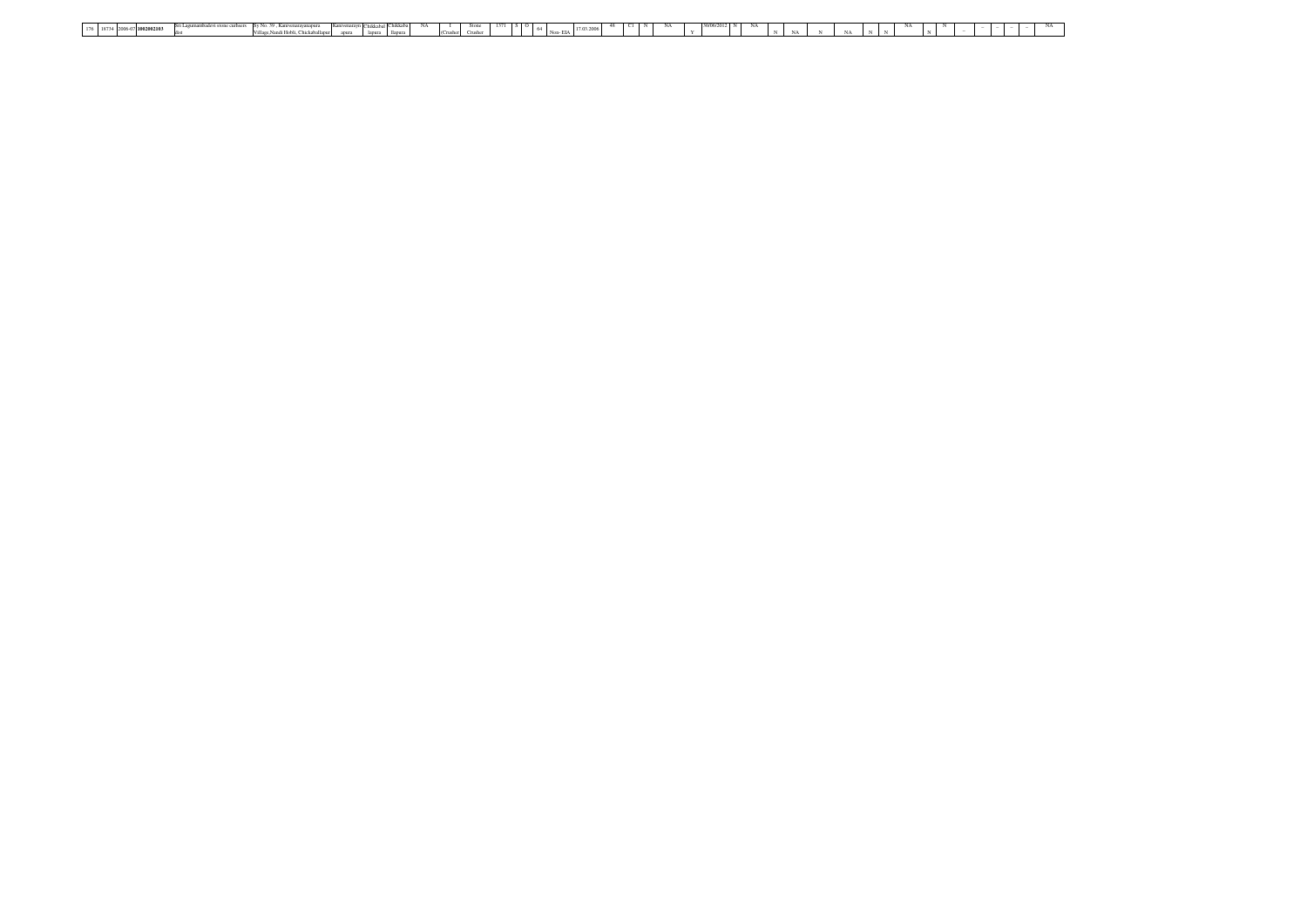| 176   18734   2006-07   1882 0021 00 2009   2008 2009   Sixt Lagramumbalci sizes contacts ideal Contact Note ( William Scale Contact Anniver District Marchan Contact Annivers)   Change   Sixter   Creater   Contact   Create |  |
|--------------------------------------------------------------------------------------------------------------------------------------------------------------------------------------------------------------------------------|--|
|                                                                                                                                                                                                                                |  |
|                                                                                                                                                                                                                                |  |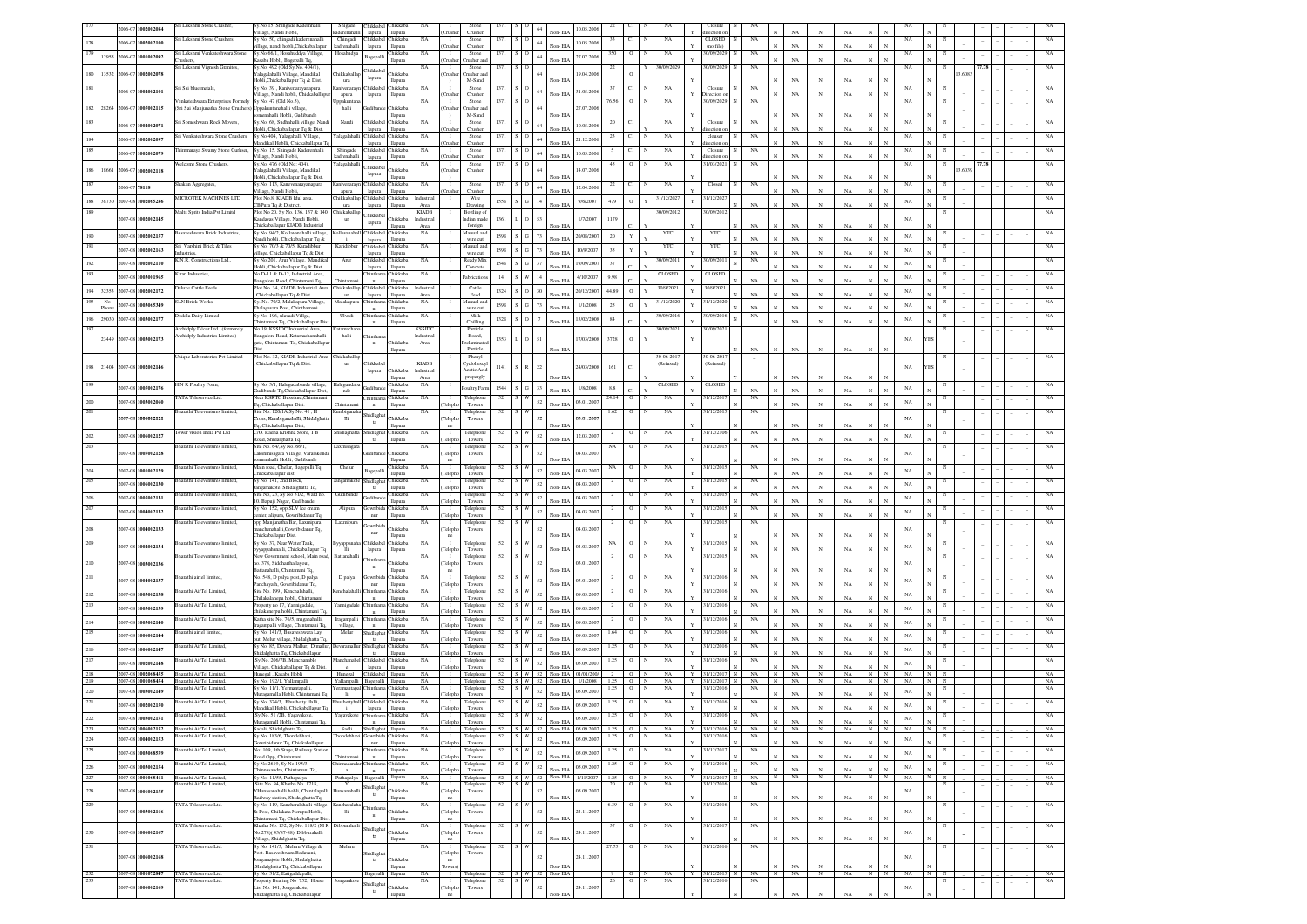|                |           |               | 2006-07 1002002084                       | iri Lakshmi Stone Crusher,                                                                   | Sy.No.15, Shingade Kadernhalli                                              | Shigade                                | Chikkabal Chikkab                              |                                 | NA                          |                                | Stone                           |            |                         | 10.05.2006                            |              |                                  |                   |             | Closure                     |                 |              |             |              |             |              |            |             |                   |        |  |             |
|----------------|-----------|---------------|------------------------------------------|----------------------------------------------------------------------------------------------|-----------------------------------------------------------------------------|----------------------------------------|------------------------------------------------|---------------------------------|-----------------------------|--------------------------------|---------------------------------|------------|-------------------------|---------------------------------------|--------------|----------------------------------|-------------------|-------------|-----------------------------|-----------------|--------------|-------------|--------------|-------------|--------------|------------|-------------|-------------------|--------|--|-------------|
| 178            |           |               |                                          | ri Lakshmi Stone Crushers,                                                                   | /illage, Nandi Hobli,<br>Sy No. 50, chingadi kaderenahalli                  | kaderenahalli<br>Chingadi              | lapura llapura<br>Chikkabal                    | hikkab                          | NA                          | $\mathbf{I}$                   | Crusher<br>Stone                |            | $64\,$                  | on-EL/<br>10.05.2006                  |              | CI                               | NA                |             | ection o<br>CLOSED          | NA              |              |             |              |             |              |            |             |                   |        |  |             |
| 179            |           |               | 2006-07 1002002100                       | ri Lakshmi Venkateshwara Stone                                                               | llage, nandi hobli,Chickaballapur<br>Sy.No.66/1, Hosahuddya Village,        | kadrenahalli<br>Hosahudya              | lapura                                         | llapura<br>hikkab               | NA                          | $\mathbf{I}$                   | Crusher<br>Stone                |            | $S$ O                   | Non-EL                                |              | $\circ$                          | NA                |             | (no file<br>1/09/202        | $_{\rm NA}$     |              | NA          |              | NA          |              |            | NA          |                   |        |  |             |
|                |           |               | 12955 2006-07 1001002092                 |                                                                                              | saba Hobli, Bagepalli To.                                                   |                                        | Bagepalli                                      | lapur                           |                             |                                | usher ar                        |            | $64\,$                  | 27.07.2006<br>lon- EIA                |              |                                  |                   |             |                             |                 |              | NA          |              |             |              |            |             |                   |        |  |             |
| $180\,$        | 13532     | $006 - 0$     | 1002002078                               | ri Lakshmi Vignesh Granites,                                                                 | Sy.No. 492 (Old Sy.No. 404/1).<br>alagalahalli Village, Mandikal            | hikkaballap                            | Chikkabal                                      | hikkab                          | NA                          | $\mathbf{I}$<br>`rush          | Stone<br>rusher ar              | 1371       | s o                     | 19.04.200                             |              | $\circ$                          | 30/09/2029        |             | 0/09/202                    | NA              |              |             |              |             |              |            | NA          |                   | 3.608  |  |             |
| 181            |           |               |                                          | iri Sai blue metals,                                                                         | Hobli, Chickaballapur Tq & Dist.<br>y No. 39, Kanivenarayanapura            | ura<br><b>Canivenara</b>               | lapura<br>Chikkaba                             | Chikkal                         | NA                          |                                | M-Sand<br>Stone                 |            | s o                     | Non-EIA                               |              | C1                               | NA                |             | Closure                     | NA              |              | $_{\rm NA}$ | $_{\rm N}$   | NA          |              |            | NA          |                   |        |  |             |
|                |           |               | 2006-07 1002002101                       |                                                                                              | illage, Nandi hobli, Chickaballapur                                         | apura                                  | lapura                                         | llapura                         |                             | 'rushe                         | Crushe                          |            | $64\,$                  | 31.05.200<br>Non-FIA                  |              |                                  |                   |             | rection                     |                 |              | NA          |              | NA          |              |            |             |                   |        |  |             |
| 182            | 28264     |               | 2006-07 1005002115                       | enkateshwara Enterprises Formely Sy No: 47 (Old No.5),<br>(Sri Sai Manjunatha Stone Crushers | nnakuntanahalli village                                                     | Jppakuntan<br>halli                    | udiba                                          | <b>Thikkab</b>                  | NA                          | $\mathbf{I}$<br>`rushe         | Stone<br>rusher an              | 1371       | slo                     | 27.07.2006                            |              | $\circ$                          | NA                |             | 0/09/2029                   | NA              |              |             |              |             |              |            | NA          |                   |        |  |             |
| 183            |           |               |                                          | iri Someshwara Rock Movers.                                                                  | menahalli Hobli, Gudibande<br>Sy.No. 68, Sudhahalli village, Nandi          |                                        | Chikkabal                                      | <b>Hapura</b><br>Chikkab        | NA                          | $\mathbf{I}$                   | M-Sand<br>Stone                 | 1371       | sю                      | Non-EIA                               |              | CI                               |                   |             | Closure                     |                 |              | NA          |              | NA          |              |            |             |                   |        |  |             |
|                |           |               | 006-07 1002002071                        |                                                                                              | Jobli, Chickaballapur To & Dist.                                            | Nandi                                  | lapura                                         | <b>Hapura</b>                   |                             | `nısh                          | Crusher                         |            |                         | 10.05.2006<br>Non-EIA                 |              |                                  | NA                |             | rection o                   | NA              |              | NA          | $\mathbf N$  | NA          |              |            | NA          |                   |        |  |             |
| $184\,$        |           |               | 1002002097                               | Sri Venkateshwara Stone Crushers                                                             | Sy No.404, Yalagahalli Village<br>andikal Hoblli, Chickaballapur T          |                                        | Yalagalahalli Chikkabal<br>lapura              | Chikkab<br>llapura              | NA                          | $\mathbf{I}$<br>`rush          | Stone<br>Crusher                | 1371       | $\sim$<br>64            | 21.12.200<br>Non-EIA                  |              | CI                               | NA                |             | clouser<br>rection          | NA              |              | NA          |              | NA          |              |            | NA          |                   |        |  |             |
| 185            |           |               | 006-07 1002002079                        | himmaraya Swamy Stone Curhser,                                                               | Sv.No. 15. Shingade Kaderenhalli                                            | Shingade<br>cadrenahalli               | Chikkabal Chikkab                              |                                 | NA                          | $\blacksquare$<br>`rushe       | Stone                           | 1371       | s o<br>64               | 10.05.200<br>Non-EIA                  |              | CI                               | NA                |             | Closure                     | NA              |              | $_{\rm NA}$ | $_{\rm N}$   | NA          |              |            | NA          |                   |        |  |             |
|                |           |               |                                          | Velcome Stone Crushers.                                                                      | illage, Nandi Hobli,<br>Sv.No. 476 (Old No: 404).                           | Yalagalahalli                          | lapura<br>Chikkabal                            | llapura                         | <b>NA</b>                   | $\mathbf{I}$                   | Crusher<br>Stone                | 1371       | ÷О                      |                                       | 45           | $\circ$                          | NA                |             | rection o<br>31/03/2021     | NA              |              |             |              |             |              |            | NA          |                   |        |  |             |
|                | 186 18661 |               | 2006-07 1002002118                       |                                                                                              | 'alagalahalli Village, Mandika'<br>Iobli, Chickaballapur Tq & Dist          |                                        | lapura                                         | Chikkab<br>lapura               |                             | `rushe                         | Crusher                         |            |                         | 14.07.200<br>Non-EIA                  |              |                                  |                   |             |                             |                 |              | <b>NA</b>   |              | NA          |              |            |             |                   | 13.603 |  |             |
| 187            |           | 2006-07 78118 |                                          | hakun Aggregates,                                                                            | Sy.No. 113, Kanevenarayanapura                                              |                                        | Kanivenarayn Chikkabal Chikkab                 |                                 | NA                          | $\mathbf{I}$                   | Stone                           | 1371       | SO<br>64                | 12.04.2006<br>Non-EIA                 |              |                                  | NA                |             | Closed                      | NA              |              |             |              |             |              |            | NA          |                   |        |  |             |
|                |           |               | 188 38730 2007-08 1002065286             | MICROTEK MACHINES LTD                                                                        | /illage, Nandi Hobli,<br>Plot No.8, KIADB Idul area,                        | apura                                  | lapura<br>Chikkaballap Chikkabal Chikkab       | llapura                         | Industrial                  | `rushe<br>$\mathbf{I}$         | Crusher<br>Wire                 | 1558       | ${\bf S}={\bf G}$<br>14 | 9/6/2007                              | 479          | $\circ$                          | 31/12/2027        |             | 31/12/202                   |                 |              |             |              | NA          |              |            |             |                   |        |  |             |
| 189            |           |               |                                          | Malts Sprits India Pvt Limitd                                                                | BPura Tq & District<br>ot No 20, Sy No. 136, 137 & 140,                     | ura<br>Chickaballap                    | lapura                                         | llapura                         | Area<br><b>KIADB</b>        |                                | Drawing<br><b>Bottling</b> o    |            |                         | Non-EIA                               |              |                                  | 1/09/201          |             | 0/09/20                     | $_{\rm NA}$     |              | NA          |              | NA          |              |            | $_{\rm NA}$ |                   |        |  |             |
|                |           |               | 007-08 1002002145                        |                                                                                              | adavas Village, Nandi Hobli,                                                | ur                                     | Chikkaba<br>lapura                             | hikkab                          | Industrial                  |                                | dian mad                        | 1361       |                         | 1/7/2007                              | 1179         |                                  |                   |             |                             |                 |              |             |              |             |              |            | NA          |                   |        |  |             |
| 190            |           |               | 2007-08 1002002157                       | saveshwara Brick Industries                                                                  | hickaballapur KIADB Industrial<br>y No. 94/2, Kollavanahalli village        | ollavanaha                             | <b>Chikkaba</b>                                | lapura<br><b>Thikkab</b>        | Area<br>NA                  |                                | foreign<br>Aanual and           | 1598       | $S$ $G$<br>73           | Von-EIA<br>20/08/2007                 | 20           | Y                                | YTC               |             | YTC                         | NA              |              | $_{\rm NA}$ |              | NA          |              |            | NA          |                   |        |  |             |
| 191            |           |               |                                          | i Varshini Brick & Tiles                                                                     | ındi hobli, Chickaballapur Tq &<br>No. 70/3 & 70/5, Karadibbu               | Karidibbu                              | lapura<br>Chikkabal                            | llapur<br>Chikkab               | $_{\rm NA}$                 |                                | wire cut<br>Manual and          |            |                         | Non-EIA                               |              |                                  | YTC               |             | YTC                         | NA              |              | $_{\rm NA}$ | $_{\rm N}$   | NA          |              |            |             |                   |        |  |             |
|                |           |               | 2007-08 1002002163                       |                                                                                              | lage, Chickaballapur Tq & Dist                                              |                                        | lapura                                         | llapur                          |                             |                                | wire cut                        | 1598       | i G<br>73               | 10/9/2007<br>Non-EIA                  | 35           | Y                                |                   |             |                             | NA              |              | NA          | $\mathbf N$  | NA          |              |            | NA          |                   |        |  |             |
| 192            |           |               | 2007-08 1002002110                       | CN.R. Constructions Ltd.,                                                                    | y No.201, Arur Village, Mandikal<br>Hobli, Chickaballapur Tq & Dist.        | Arus                                   | Chikkabal<br>lapura                            | Chikkal<br>llapur               | NA                          |                                | Ready Mix<br>Concrete           | 1548       | $S$ $G$<br>37           | 19/09/2007<br>Non-EIA                 | 37           | CT.                              | 10/09/201         |             | 1/09/201                    | NA              |              | $_{\rm NA}$ | $_{\rm N}$   | NA          |              |            | NA          |                   |        |  |             |
| 193            |           |               | 2007-08 1003001965                       | iran Industries                                                                              | No.D-11 & D-12, Industrial Area<br>ingalore Road, Chintamini Tq.            |                                        | ni.                                            | <b>Tukkab</b><br>llapur         | NA                          |                                | abricatio                       | 14         | w i<br>14               | 4/10/2007<br>Non-FIA                  | 9.98         |                                  | CLOSED            |             | CLOSED                      | NA              |              | NA          |              | NA          |              |            | NA          |                   |        |  |             |
|                |           |               | 194 32353 2007-08 1002002172             | eluxe Cattle Feeds                                                                           | Plot No. 34, KIADB Industrial Area                                          | Chickaballap Chikkabal Chikkab         |                                                |                                 | Industrial                  |                                | Cattle                          | 1324       | $\mathbf{s}$ o<br>30    | 20/12/2007                            | 44.89        | $\circ$                          | 30/9/2021         |             | 30/9/2021                   |                 |              |             |              |             |              |            | NA          |                   |        |  |             |
| 195            | No        |               |                                          | <b>SLN Brick Works</b>                                                                       | Chickaballapur Tq & Dist.<br>v. No. 70/2, Malakapura Village                | ur<br>Malakapura                       | lapura                                         | llapura<br>Chikkab              | Area<br><b>NA</b>           |                                | Feed<br>Manual an               |            |                         | Non-EIA                               |              |                                  | 31/12/2020        |             | 31/12/202                   | NA              |              | NA          | $_{\rm N}$   | NA          |              |            |             |                   |        |  | NA          |
|                | Phone     |               | 2007-08 1003065349                       | <b>Joddla Dairy Limted</b>                                                                   | alagayara Post, Chinthamani<br>Sv No. 196, ulavadi Villee                   | Ulvadi                                 | ni                                             | <b>Hapura</b><br><b>Thikkab</b> | NA                          |                                | wire cut<br>Milk                | 1598       | $S$ $G$<br>$73\,$       | 1/1/2008<br>Non-EIA                   | 25           | $\,$ O                           | 30/09/2016        |             | 30/09/2016                  | NA<br>NA        |              | NA          |              | NA          |              |            | NA          |                   |        |  |             |
| 196            |           |               | 29030 2007-08 1003002177                 |                                                                                              | tintamani Tq, Chickaballapur Dis                                            |                                        |                                                | llapura                         |                             |                                | Chillins                        | 1328       | $S$ O<br>$\tau$         | 5/02/2008<br>Non-EIA                  | 84           |                                  |                   |             |                             |                 |              | NA          |              | NA          |              |            | NA          |                   |        |  |             |
| 197            |           |               |                                          | Archidoly Décor Ltd., (formerely<br>rchidply Industries Limited)                             | No 19. KSSIDC Industrial Area.<br>angalore Road, Katamachanahalli           | Katamachar<br>halli                    | hinth:                                         |                                 | <b>KSSIDC</b><br>Industrial |                                | Particle<br>Board,              |            |                         |                                       |              |                                  | 30/09/2021        |             | 30/09/2021                  |                 |              |             |              |             |              |            |             |                   |        |  |             |
|                |           |               | 23449 2007-08 1003002173                 |                                                                                              | gate, Chintamani Tq, Chickaballapı                                          |                                        | ni                                             | Chikkab                         | Area                        |                                | elamina<br>Particle             | 1353       |                         | 7/03/200<br>Non-EIA                   | 3728         | $\mathbf{o}$                     |                   |             |                             | $_{\rm NA}$     |              | NA          | $_{\rm N}$   | $_{\rm NA}$ |              |            | NA          |                   |        |  |             |
|                |           |               |                                          | Inique Laboratories Pvt Limited                                                              | Plot No. 32, KIADB Industrial Area Chickaballap                             |                                        |                                                | llapura                         |                             |                                | Phenyl                          |            |                         |                                       |              |                                  | 30-06-201         |             | 30-06-201                   |                 |              |             |              |             |              |            |             |                   |        |  |             |
|                |           |               | 198 21404 2007-08 1002002146             |                                                                                              | Chickaballapur Tq & Dist.                                                   | ur                                     | <b>Thikkaba</b><br>lapura                      | Chikkab                         | <b>KIADB</b><br>Industrial  |                                | <b>Cyclohescy</b><br>Acetic Aci | 1141       | S R<br>22               | 24/03/2008                            | 161          | CI                               | (Refused)         |             | (Refused)                   |                 |              |             |              |             |              |            | NA          |                   |        |  |             |
|                |           |               |                                          |                                                                                              |                                                                             |                                        |                                                | lapura                          | Area                        |                                | propargly                       |            |                         |                                       |              |                                  |                   |             |                             |                 |              |             |              |             |              |            |             |                   |        |  |             |
|                |           |               | 2007-08 1005002176                       | N R Poultry Form,                                                                            | Sy No. 3/1, Halegudabande village,<br>adibande Tq,Chickaballapur Dist,      | Halegundal<br>nde                      | <b>Indiban</b>                                 | <b>hikkab</b><br>llapura        | NA                          |                                | oultry Farm                     | $1544$ S G | $33\,$                  | 1/8/2008<br>Non-EIA                   | 8.8          |                                  | CLOSEI            |             | CLOSEI                      | NA              |              | NA          |              | NA          |              |            | NA          |                   |        |  |             |
| $200\,$        |           |               | 2007-08 1003002060                       | ATA Teleservice Ltd.                                                                         | ear KSRTC Busstand.Chintam<br>q, Chickaballapur Dist.                       |                                        | hinth:<br>$_{\rm{ni}}$                         | <b>hikkal</b><br>llapura        | NA                          |                                | Telephone<br>Towers             | 52         | $52\,$                  | 03.01.2007<br>on-EL                   | 24.14        | $\mathbf{o}$                     | NA                |             | 1/12/20                     | NA              |              | NΑ          |              | NA          |              |            | NA          |                   |        |  |             |
| 201            |           |               |                                          | harathi Televentures limited                                                                 | Site No. 120/1A, Sy No. 41, H                                               | Kumbigan                               | hidlagha                                       |                                 | NA                          | $\mathbf{I}$                   | Telephone                       | 52         | W i                     |                                       | 1.62         | $\mathbf{o}$                     | NA                |             | 31/12/201                   | NA              |              |             |              |             |              |            |             |                   |        |  |             |
|                |           |               | 007-08 1006002121                        |                                                                                              | oss, Kumbiganahalli, Shidalghatt<br><sub>1</sub> , Chickaballapur Dist,     | $\,$ IIi                               | ta                                             | <b>Thikkab</b>                  |                             | Teleph                         | Towers                          |            | 52                      | 03.01.200<br>Non-EIA                  |              |                                  |                   |             |                             |                 |              | $_{\rm NA}$ | $\mathbf N$  | NA          |              |            | NA          |                   |        |  |             |
| $202\,$        |           |               | 2007-08 1006002127                       | wer vision India Pvt Ltd                                                                     | /O. Radha Krishna Store, T B<br>ad, Shidalghatta To                         | Shidlaghat                             | hidlagha<br>$_{\rm ta}$                        | Chikkal<br>llapur               | NA                          | Teleph                         | Telephor<br>Tower               |            | $52\,$                  | 12.03.2007<br>Non-EIA                 |              | $\mathbf O$                      | NA                |             | 1/12/210                    | NA              |              | $_{\rm NA}$ | $_{\rm N}$   | NA          |              |            | NA          |                   |        |  |             |
| 203            |           |               |                                          | harathi Televentures limited                                                                 | Site No. 64/, Sy No. 66/1.                                                  | Laxmisaga                              |                                                |                                 | NA                          |                                | Telephor                        |            |                         |                                       |              |                                  | NA                |             | 1/12/2015                   | NA              |              |             |              |             |              |            |             |                   |        |  |             |
|                |           |               | 1007-08 1005002128                       |                                                                                              | akshmisagara Vilalge, Varalakond<br>menahalli Hobli, Gudibande              |                                        |                                                | Chikkab<br><b>Hapura</b>        |                             | Teleph<br>ne                   | Towers                          |            |                         | 04.03.2007<br>Non-EIA                 |              |                                  |                   |             |                             |                 |              |             |              | NA          |              |            | NA          |                   |        |  |             |
| $204\,$        |           |               | 2007-08 1001002129                       | harathi Televentures limited,                                                                | Main road, Chelur, Bagepalli Tq,<br>hickaballapur dist                      | Chelur                                 | agepall                                        | Chikkab<br>llapura              | NA                          | $\blacksquare$<br>Teleph       | Telephor<br>Towers              | 52         | <b>W</b><br>52          | 04.03.2007<br>Non-EIA                 |              | $\circ$                          | NA                |             | 31/12/201                   | NA              |              |             |              | NA          |              |            | NA          |                   |        |  |             |
| 205            |           |               | 2007-08 1006002130                       | Sharathi Televentures limited.                                                               | Sv No. 141, 2nd Block.                                                      | langamakot                             | Shidlagha                                      | Chikkab                         | <b>NA</b>                   | $\blacksquare$                 | Telephon                        | 52         | 52                      | 04.03.20                              |              | $\circ$                          | NA                |             | 31/12/201                   | NA              |              |             |              |             |              |            | NA          |                   |        |  |             |
|                |           |               |                                          | harathi Televentures limited.                                                                | gamakote, Shidalghatta To<br>ite No. 23. Sv No 31/2. Ward no.               | Gudibande                              | ta                                             | <b>Hapura</b><br>Chikkab        | NA                          | Teleph<br>$\blacksquare$       | Towers<br>Telephone             | 52         |                         | Non-EIA                               |              | $\circ$                          | NA                |             | 31/12/201                   | NA              |              | NA          |              | NA          |              |            |             |                   |        |  |             |
| $206\,$        |           |               | 2007-08 1005002131                       |                                                                                              | ). Bapuji Nagar, Gudibande                                                  |                                        |                                                | llapura                         |                             | Teleph                         | Towers                          |            | 52                      | 04.03.200<br>Non-EIA                  |              |                                  |                   |             |                             |                 |              |             |              | NA          |              |            | NA          |                   |        |  |             |
| 207            |           |               | 2007-08 1004002132                       | Sharathi Televentures limited,                                                               | Sy No. 152, opp SLV Ice cream<br>nter, alipura, Gowribidanur Tq,            | Alipura                                | Jowribida Chikkab<br>nur                       | llapura                         | <b>NA</b>                   | $\blacksquare$<br>Teleph       | Telephone<br>Towers             | 52         | 52                      | 04.03.20<br>Non-EIA                   |              | $\circ$                          | NA                |             | 31/12/201                   | NA              |              | NA          |              | NA          |              |            | NA          |                   |        |  |             |
| $208\,$        |           |               | 2007-08 1004002133                       | harathi Televentures limited,                                                                | opp Manjunatha Bar, Laxmipura,<br>mchenahalli, Gowribidanur Tq,             | Laxmipura                              | owribio                                        | <b>hikkab</b>                   | NA                          | $\mathbf{I}$<br>Teleph         | Telephone<br>Towers             | 52         |                         | 14.03.2007                            |              | о                                | NA                |             | 31/12/201                   | NA              |              |             |              |             |              |            | NA          |                   |        |  |             |
|                |           |               |                                          |                                                                                              | hickaballapur Dist.                                                         |                                        | nur                                            | llapura                         |                             | ne                             |                                 |            |                         | Non-EIA                               |              |                                  |                   |             |                             |                 |              |             |              |             |              |            |             |                   |        |  |             |
| 209            |           |               | 2007-08 1002002134                       | harathi Televentures limited,                                                                | Sy No. 37, Near Water Tank,<br>yappahanalli, Chickaballapur Tq              |                                        | Byyappanaha Chikkabal Chikkab<br>lapura        | llapura                         | $_{\rm NA}$                 | $\mathbf{I}$<br>Teleph         | Telephone<br>Towers             | 52         | $52\,$                  | 04.03.2007<br>Non-EIA                 | NA           | $\circ$                          | NA                |             | 31/12/201                   | NA              |              | NA          |              | NA          |              |            | NA          |                   |        |  |             |
| $_{\rm 210}$   |           |               | 2007-08 1003002136                       | Sharathi Televentures limited,                                                               | New Government school, Main road, Battanahall<br>3. 378, Siddhartha layout, |                                        | hinth:                                         | hikkab                          | NA                          | $\mathbf{I}$<br>Teleph         | Telephone<br>Towers             | 52         |                         | 03.01.200                             |              | $\circ$                          | NA                |             | 31/12/2015                  | $_{\rm NA}$     |              |             |              |             |              |            | NA          |                   |        |  |             |
|                |           |               |                                          |                                                                                              | stanahalli, Chintamani Tq                                                   |                                        | ni                                             | lapura                          |                             | ne                             |                                 |            |                         | Non-EIA                               |              |                                  |                   |             |                             |                 |              | NA          |              | NA          |              |            |             |                   |        |  |             |
| 211            |           |               | 2007-08 1004002137                       | harathi airtel limited,                                                                      | o. 548, D palya post, D palya<br>schayath, Gowribidanur Tq                  | D palya                                | owribi<br>nur                                  | <b>Thikkab</b><br>llapura       | NA                          | $\mathbf{I}$                   | Felephone<br>Towers             | 52         | 52                      | 03.01.2007<br>on-EL                   |              |                                  | NA                |             | 1/12/201                    |                 |              |             |              | NA          |              |            | NA          |                   |        |  |             |
| $212\,$        |           |               | 2007-08 1003002138                       | harathi AirTel Limited,                                                                      | te No. 199, Kenchalahalli<br>hilakalanepu hobli, Chintama                   | .<br>enchalaha                         | hinth:<br>ni                                   | <b>Thikkab</b><br>Haren         | NA                          | Teleph                         | Telephone<br>Tower              | 52         | $52\,$                  | 09.03.200<br>Non-EIA                  |              | $\circ$                          | $_{\rm NA}$       |             | 1/12/201                    | NA              |              | $_{\rm NA}$ | $_{\rm N}$   | NA          |              |            | NA          |                   |        |  |             |
| 213            |           |               | 2007-08 1003002139                       | arathi AirTel Limited,                                                                       | operty no 17, Yannigadale                                                   | fannigadal                             | hinth:                                         | Chikkal                         | NA                          |                                | Telephor                        |            | $52\,$                  | 09.03.2007                            |              |                                  | NA                |             | 1/12/201                    | NA              |              |             |              |             |              |            | NA          |                   |        |  |             |
| $214\,$        |           |               | 2007-08 1003002140                       | harathi AirTel Limited,                                                                      | hilakanerpu hobli, Chintamani Tq<br>latha site No. 76/5, muganahalli,       | Iragampall                             | ni                                             | llapura<br>Chikkal              | NA                          | Teleph                         | Towers<br>Telephor              |            | 52                      | Non-EIA<br>09.03.200                  |              | $\mathbf O$                      | NA                |             | 1/12/201                    | NA              |              | $_{\rm NA}$ | $_{\rm N}$   | NA          |              |            | NA          |                   |        |  |             |
| 215            |           |               |                                          | harathi airtel limited,                                                                      | ıgampalli village, Chintamani To<br>y No. 141/3, Basaveshwara Lay           | village,<br>Melur                      | ni.<br>Shidlaghat Chikkab                      | llapur                          | $_{\rm NA}$                 | Teleph<br>$\blacksquare$       | Towers<br>Telephone             | 52         | S W                     | Non-FIA                               |              | $\mathbf{o}$                     | NA                |             | 1/12/201                    | NA              |              | NA          |              | NA          |              |            |             |                   |        |  |             |
|                |           |               | 2007-08 1006002144                       |                                                                                              | tt, Melur village, Shidalghatta To                                          |                                        | $t$ a                                          | <b>Hapura</b>                   |                             | Teleph                         | Towers                          |            | 52                      | 09.03.2007<br>Non-EIA                 |              |                                  |                   |             |                             |                 |              | NA          | $_{\rm N}$   | NA          |              |            | NA          |                   |        |  |             |
| 216            |           |               | 2007-08 1006002147                       | harathi AirTel Limited,                                                                      | v No. 85. Devara Mallur. D mallu<br>tidalghatta To, Chickaballapur          |                                        | hidlagha<br>ta                                 | Chikkal<br><b>Hapura</b>        | NA                          | $\blacksquare$<br>Teleph       | Telephon<br>Towers              | 52         | S W<br>52               | 05.09.200<br>Non-EIA                  | 1.25         | $\mathbf{o}$                     | NA                |             | 1/12/201                    | NA              |              | NA          | $\mathbf N$  | NA          |              |            | NA          |                   |        |  | NA          |
| 217            |           |               | 2007-08 1002002148                       | harathi AirTel Limited.                                                                      | Sv No. 206/7B. Manchanable<br>illage, Chickaballapur Tq & Dist              | Aanchanah                              | Chikkabal<br>lapura                            | Chikkab<br>llapura              | NA                          | $\blacksquare$<br>Teleph       | Telephon<br>Towers              | 52         | $52\,$                  | 05.09.200<br>Non-EIA                  |              | $\circ$                          | NA                |             | 1/12/201                    | NA              |              | NA          |              | NA          |              |            | NA          |                   |        |  | NA          |
| 218            |           |               | 2007-08 1002068455                       | Bharathi AirTel Limited.                                                                     | Hunegal Kasaba Hobli                                                        | Hunegal,                               | Chikkabal llapura                              |                                 | <b>NA</b>                   | $\blacksquare$                 | Telephone                       |            |                         | 52 S W 52 Non-EIA 01/01/200/          |              | $\circ$                          | NA                | Y           | 31/12/2017                  | NA              | $\mathbb{N}$ | NA.         | N            | NA.         | -N           | $_{\rm N}$ | NA          | N.                |        |  | NA          |
| 219<br>$220\,$ |           |               | 2007-08 1001068454<br>2007-08 1003002149 | <b>Rharathi AirTel Limited</b><br>harathi AirTel Limited.                                    | Sy No: 192/1, Yallampalli<br>Sv No. 11/1. Yermantapalli.                    | Yallampalli Bagepalli llapura          | Yeramantapal Chinthama Chikkab                 |                                 | <b>NA</b><br>NA             | $\mathbf{I}$<br>$\mathbf{I}$   | Telephone<br>Telephone          | 52<br>52   | S W 52<br>S   W         | Non-EIA<br>1/1/2008                   | 1.25<br>1.25 | $\circ$<br>$_{\rm N}$<br>$\circ$ | NA<br>NA          | Y           | 31/12/2017<br>31/12/201     | NA<br>NA        |              | NA          | N            | NA          |              |            | NA          |                   |        |  | NA<br>NA    |
| 221            |           |               |                                          | Bharathi AirTel Limited,                                                                     | uragamalla Hobli, Chintamani Tq<br>Sy No. 374/3, Bhushetty Halli,           | -li<br>Bhushettyhall Chikkabal Chikkab | ni                                             | llapura                         | NA                          | Teleph<br>$\mathbf{I}$         | Towers<br>Telephone             | 52         | $52\,$                  | 05.09.2007<br>Non-EIA                 | 1.25         | $\circ$                          | NA                |             | 1/12/201                    | NA              |              | NA          |              | NA          |              |            | NA          |                   |        |  |             |
|                |           |               | 2007-08 1002002150                       |                                                                                              | Mandikal Hobli, Chickaballapur Tq                                           | $\mathbf{H}$                           | lapura llapura                                 |                                 |                             | Teleph                         | Towers                          |            | $52\,$                  | 05.09.2007<br>Non-EIA                 |              |                                  |                   |             |                             |                 |              |             |              | NA          |              |            | $_{\rm NA}$ |                   |        |  |             |
| 222            |           |               | 2007-08 1003002151                       | 3harathi AirTel Lim                                                                          | Sv No. 51/2R Ya<br>Muragamall Hobli, Chintamani Tq,                         | Yagavakot                              | ni                                             | llapura                         |                             | - 1<br>(Telepho                | Towers                          |            | 52                      | 05.09.2007<br>Non-EIA                 |              |                                  | NA                | $\mathbf Y$ | 1/12/20                     |                 | N            | $_{\rm NA}$ | $_{\rm N}$   | $_{\rm NA}$ | $_{\rm N}$   | $_{\rm N}$ | NA          | $_{\rm N}$        |        |  |             |
| 223            |           |               | 2007-08 1006002152                       | Bharathi AirTel Limited,<br>harathi AirTel Limited,                                          | Sadali, Shidalghatta Tq.<br>Sv No. 183/6. Thondebhavi.                      | hondebhay                              | Sadli Shidlaghat llapura<br>Gowribida Chikkaba |                                 | NA<br>NA                    | и.                             | I Telephone<br>Telephone        | 52         | S W                     | 52 S W 52 Non-EIA 05.09.2007 1.25 O N | 1.25         | $\circ$                          | NA<br>$_{\rm NA}$ |             | Y 31/12/2016 N<br>1/12/2016 | NA N<br>NA      |              | NA          | $\mathbb{N}$ | NA .        | NN           |            | $_{\rm NA}$ | N N               |        |  | NA<br>NA    |
| $224\,$        |           |               | 2007-08 1004002153                       |                                                                                              | wribidanur Tq, Chickaballapur                                               |                                        | nur                                            | llapura                         |                             | Telepho                        | Towers                          |            | $52\,$                  | 05.09.2007<br>Non-EIA                 |              |                                  |                   |             |                             |                 |              | $_{\rm NA}$ | $_{\rm N}$   | $_{\rm NA}$ | $\mathbf{N}$ |            | $_{\rm NA}$ |                   |        |  |             |
| 225            |           |               | 2007-08 1003068559                       | harathi AirTel Limited,                                                                      | o: 109, 5th Stage, Railway Station<br>oad Opp, Chintamani                   |                                        | hintha<br>ni                                   | Chikkaba<br>llapura             | NA                          | $\mathbf{I}$<br>Teleph         | Telephone<br>Towers             | 52         | 52                      | 05.09.2007<br>Non-EIA                 | 1.25         | $\circ$                          | NA                |             | 1/12/201                    | $_{\rm NA}$     |              | $_{\rm NA}$ | $\mathbf{N}$ | $_{\rm NA}$ |              |            | $_{\rm NA}$ |                   |        |  | NA          |
| 226            |           |               | 2007-08 1003002154                       | harathi AirTel Limited,                                                                      | Sy No.2619, Sy No 195/3,<br>hinnasandra, Chintamani Tq,                     | innadand<br>$\mathbf a$                | Chinthama Chikkaba<br>ni                       | llapura                         | $_{\rm NA}$                 | $\mathbf{I}$<br>Teleph         | Telephone<br>Towers             | 52         | S W<br>52               | 05.09.2007<br>Non-EIA                 | 1.25         | $\,$ O                           | $_{\rm NA}$       |             | 31/12/2016                  | $_{\rm NA}$     | $_{\rm N}$   | $_{\rm NA}$ | $_{\rm N}$   | NA          | $\mathbf{N}$ | $_{\rm N}$ | $_{\rm NA}$ |                   |        |  | $_{\rm NA}$ |
| 227            |           |               | 2007-08 1001068461                       | Bharathi AirTel Limited,                                                                     | Sy No: 11/55, Pathapalya                                                    | Pathapalya                             | Bagepalli                                      | llapura                         | $_{\rm NA}$                 | $\blacksquare$                 | Telephone                       |            |                         | 52 S W 52 Non-EIA 1/11/2007           | 1.25         | $O$ N                            | $_{\rm NA}$       | Y           | 31/12/2017                  | $_{\rm NA}$     | N            | NA          | $\mathbb{N}$ | NA          | N<br>N       |            | $_{\rm NA}$ | N                 |        |  | $_{\rm NA}$ |
| $228\,$        |           |               | 2007-08 1006002155                       | harathi AirTel Limited,                                                                      | Site No. 94, Khatha No. 1718,<br>Hunasanahalli hobli, Chintalapalli         | ansanahall                             | hidlaghat                                      | Chikkab                         | NA                          | т<br>Telepho                   | Telephone<br>Towers             | 52         | 52                      | 05.09.2007                            |              | $\overline{0}$                   | NA                |             | 31/12/2016                  | NA              |              |             |              |             |              |            | $_{\rm NA}$ |                   |        |  | NA          |
|                |           |               |                                          |                                                                                              | Railway station, Shidalghatta Tq.                                           |                                        | ta                                             | llapura                         |                             | ne                             |                                 |            |                         | Non-EIA                               |              |                                  |                   |             |                             |                 |              | NA          | $_{\rm N}$   | NA          |              |            |             |                   |        |  |             |
| 229            |           |               | 2007-08 1003002166                       | FATA Teleservice Ltd.                                                                        | Sy No. 119, Kancharalahalli village<br>& Post. Chilakata Nerupu Hobli.      | ancharalah<br>lli                      | <b>hintha</b><br>$\mathbf{n}$                  | Chikkab                         | $_{\rm NA}$                 | $\mathbf{I}$<br>Telepho        | Telephone<br>Towers             | 52         | $S-W$<br>52             | 24.11.2007                            | 6.39 0       |                                  | $_{\rm NA}$       |             | 31/12/2016                  | $_{\rm NA}$     |              |             |              |             |              |            | NA          |                   |        |  | $_{\rm NA}$ |
|                |           |               |                                          | FATA Teleservice Ltd.                                                                        | hintamani To, Chickaballapur Dis<br>Khatha No. 152, Sy No. 118/2 (M R       |                                        |                                                | llapura                         | <b>NA</b>                   | ne<br>$\blacksquare$           | Telephone                       | 52         | : I W                   | Non-EIA                               |              | $\circ$                          | NA                |             | 31/12/201                   | NA              |              | NA          | $_{\rm N}$   | NA          |              |            |             |                   |        |  | NA          |
| 230            |           |               | 2007-08 1006002167                       |                                                                                              | No.278)(43/87-88), Dibburahalli                                             |                                        | hidlagha<br>$t\alpha$                          | Chikkab                         |                             | Telepho                        | Towers                          |            | 52                      | 24.11.2007                            |              |                                  |                   |             |                             |                 |              |             |              |             |              |            | NA          |                   |        |  |             |
| 231            |           |               |                                          | TATA Teleservice Ltd.                                                                        | /illage. Shidalghatta To.<br>Sy No. 141/3, Meluru Village &                 | Meluru                                 |                                                | llapura                         | NA                          | ne<br>$\blacksquare$           | Telephone                       | 52         | S W                     | Non-EIA                               | 27.75        | $\circ$                          | NA                |             | 31/12/2016                  | NA              |              | NA          |              | NA          |              |            |             | N                 |        |  | NA          |
|                |           |               | 2007-08 1006002168                       |                                                                                              | Post. Basaveshwara Badavani,<br>Jongamajote Hobli, Shidalghatta             |                                        | shidlagha                                      | Chikkab                         |                             | Telepho<br>ne                  | Towers                          |            | 52                      | 24.11.2007                            |              |                                  |                   |             |                             |                 |              |             |              |             |              |            | $_{\rm NA}$ |                   |        |  |             |
|                |           |               |                                          |                                                                                              | Shidalghatta Tq, Chickaballapur                                             |                                        | $12$                                           | llapura                         |                             | ower                           |                                 |            |                         | Non-EIA                               |              |                                  |                   |             |                             |                 |              | NA          |              | NA          |              |            |             |                   |        |  |             |
| 232<br>233     |           |               | 2007-08 1001072847                       | TATA Teleservice Ltd.<br>ATA Teleservice Ltd.                                                | Sy No: 31/2, Eatigaddapalli,<br>roperty Bearing No 752, House               | Jongamkote                             | Bagepalli                                      | llapura                         | NA.<br>NA                   | $\mathbf{I}$<br>$\blacksquare$ | Telephone<br>Telephone          | 52         | 52 S W 52 Non-EIA       |                                       | 26           | $9$ 0 N<br>$\circ$<br>N          | NA<br>$_{\rm NA}$ |             | Y 31/12/2015<br>31/12/2016  | - NA<br>N<br>NA | N            | NA .        | N            | NA .        | NN           |            | NA –        | $\mathbf{N}$<br>N |        |  | NA<br>NA    |
|                |           |               | 2007-08 1006002169                       |                                                                                              | List No. 141, Jongamkote,<br>idalghatta Tq, Chickaballapur                  |                                        | Shidlagha<br>ta                                | Chikkab                         |                             | Telepho                        | Towers                          |            | 52                      | 24.11.2007<br>lon-EIA                 |              |                                  |                   |             |                             |                 |              | NA          |              | NA          |              |            | $_{\rm NA}$ |                   |        |  |             |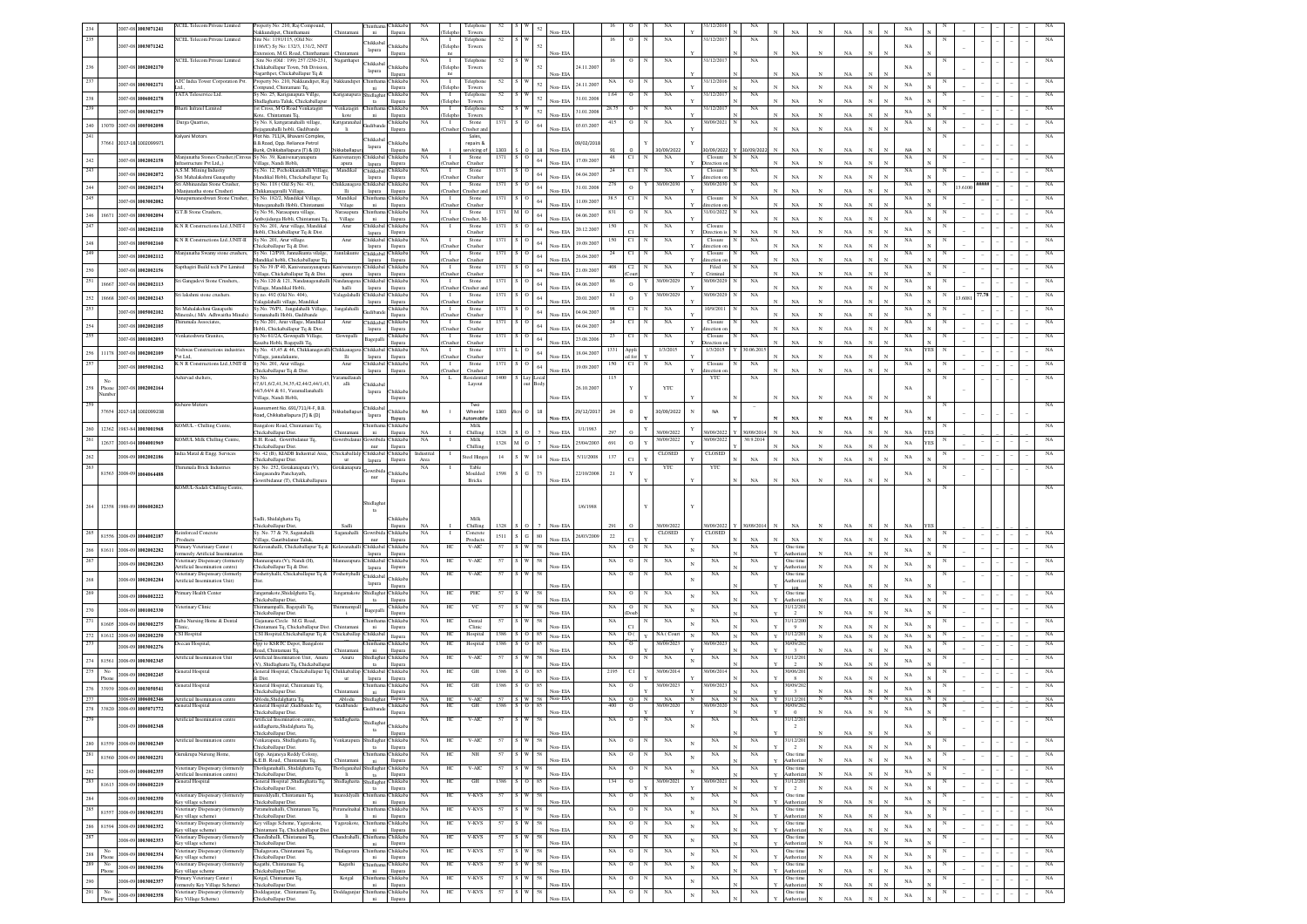|              |             |                                                                                                        | <b>XCEL Telecom Private Limited</b>                                                    | Property No: 210, Raj Compound,                                          |                                    | Chintha               | Chikkaba                      |                    |                        | Telephor              |      |                   |                |            |             |                |                         |              | 1/12/201               |                |             |                            |              |             |                              |             |   |        |  |             |
|--------------|-------------|--------------------------------------------------------------------------------------------------------|----------------------------------------------------------------------------------------|--------------------------------------------------------------------------|------------------------------------|-----------------------|-------------------------------|--------------------|------------------------|-----------------------|------|-------------------|----------------|------------|-------------|----------------|-------------------------|--------------|------------------------|----------------|-------------|----------------------------|--------------|-------------|------------------------------|-------------|---|--------|--|-------------|
|              |             | 2007-08 1003071241                                                                                     |                                                                                        | öskkundinet Chinthaman                                                   |                                    | ni.                   | llapura                       |                    |                        | Towers                |      |                   |                |            |             |                |                         |              |                        |                |             | NA                         |              |             |                              |             |   |        |  |             |
| 235          |             |                                                                                                        | <b>KCEL Telecom Private Limited</b>                                                    | Site No: 1191/115, (Old No:                                              |                                    | <b>Chikkaba</b>       |                               | NA                 | $\mathbf{I}$           | Telephon              |      |                   |                |            | 16          | $\circ$        | NA                      |              | 1/12/201               |                | NA          |                            |              |             |                              |             |   |        |  |             |
|              |             | 2007-08 1003071242                                                                                     |                                                                                        | 186/C) Sv No: 132/3, 131/2, NNT<br>tension, M.G. Road, Chinthama         |                                    | lapura                | <b>Thikkab</b><br>llapura     |                    | Telepho                | Towers                |      |                   | Non-EIA        |            |             |                |                         |              |                        |                |             | NA                         |              | NA          |                              | NA          |   |        |  |             |
|              |             |                                                                                                        | <b>XCEL Telecom Private Limited</b>                                                    | Site No (Old : 199) 257 /230-231                                         | Nagarthape                         | <b>Chikkaba</b>       |                               | <b>NA</b>          | л.                     | Telephone             | 52   |                   |                |            | 16          | $\circ$        | NA                      |              | 1/12/201               |                | NA          |                            |              |             |                              |             |   |        |  |             |
| $\sqrt{236}$ |             | 2007-08 1002002170                                                                                     |                                                                                        | hikkaballapur Town, 5th Division                                         |                                    | lapura                | <b>hikkab</b>                 |                    | Telepho                | Towers                |      |                   |                | 24.11.200  |             |                |                         |              |                        |                |             |                            |              |             |                              | NA          |   |        |  |             |
| 237          |             |                                                                                                        | <b>ATC</b> India Tower Corporation Pvt.                                                | lagarthpet, Chickaballapur Tq &<br>Property No. 210, Nakkundipet, Raj    | Vakkundipe                         | Chinthar              | lapura<br>hikkab:             | NA                 | $\mathbf{I}$           | Telephone             | 52   |                   | Non-EIA        |            |             |                | NA                      |              | 1/12/201               |                | NA          | NA                         |              | NA          |                              |             |   |        |  |             |
|              |             | 2007-08 1003002171                                                                                     |                                                                                        | ompund, Chintamani Tq,                                                   |                                    | ni                    | llapura                       |                    | Telepho                | Towers                |      | 52                | Non-EIA        | 24.11.200  |             |                |                         |              |                        |                |             | $_{\rm NA}$                |              | NA          |                              | NA          |   |        |  |             |
| 238          |             | 2007-08 1006002178                                                                                     | <b>TATA Teleservice Ltd</b>                                                            | Sy No. 25, Kariganapura Villge                                           | Cariganapur                        | Shidlagh              | hikkab:                       | NA                 | $\mathbf{I}$           | Telephon              | 52   | 52                |                | 31.01.200  | 1.64        | $\circ$        | NA                      |              | 1/12/201               |                | NA          |                            |              |             |                              | $_{\rm NA}$ |   |        |  |             |
| 239          |             |                                                                                                        | <b>Bharti Infratel Limited</b>                                                         | hidlaghatta Taluk, Chickaballapur<br>1st Cross, M G Road Venkatagiri     | Venkatagiri                        | ta<br>Chinthan        | llapura<br>hikkaba            | NA                 | Teleph<br>$\mathbf{I}$ | Towers<br>Telephone   | 52   |                   | Non-EIA        |            | 28.75       | $\circ$        | NA                      |              | 31/12/201              |                | NA          | $_{\rm NA}$                |              | NA          |                              |             |   |        |  | NA          |
|              |             | 2007-08 1003002179                                                                                     |                                                                                        | ote, Chintamani Tq.                                                      | $\rm kote$                         | ni                    | llapura                       |                    | Telepho                | Towers                |      | 52                | Non-EIA        | 31.01.200  |             |                |                         |              |                        |                |             | NA                         |              | NA          |                              | NA          |   |        |  |             |
|              |             | 240 13070 2007-08 1005002098                                                                           | Durga Quarries,                                                                        | Sy No. 8, kattgaranahalli village,<br>jaganahalli hobli, Gudibande       | Cattgaran<br>$\rm{H}$              | Gudibar               | hikkab                        | NA                 | $\mathbf{I}$           | Stone<br>Tusher ar    |      | 64                | Non-EIA        | 03.03.200  | 415         | $\overline{0}$ | NA                      |              | 0/09/202               |                | $_{\rm NA}$ | $_{\rm NA}$                |              | NA          |                              | $_{\rm NA}$ |   |        |  |             |
| 241          |             |                                                                                                        | Calyani Motors                                                                         | lot No. 711/A, Bhavani Complex,                                          |                                    |                       | llapura                       |                    | Crushe                 | Sales,                |      |                   |                |            |             |                |                         |              |                        |                |             |                            |              |             |                              |             |   |        |  |             |
|              | 37661       | 2017-18 1002099971                                                                                     |                                                                                        | I.B.Road, Opp. Reliance Petrol                                           |                                    | Chikkaba<br>lapura    | hikkab                        |                    |                        | repairs &             |      |                   |                | 09/02/201  |             |                |                         |              |                        |                |             |                            |              |             |                              |             |   |        |  |             |
|              |             |                                                                                                        |                                                                                        | ink, Chikkaballapura (T) & (D)                                           |                                    | Chikkaba              | lapura                        |                    |                        | ervicing o            | 1303 |                   |                |            |             | C1             | 0/09/2022               |              | 0/09/2022              |                | /09/20      | NA                         |              |             |                              |             |   |        |  |             |
| 242          |             | 2007-08 1002002158                                                                                     | Manjunatha Stones Crusher, (Citro<br>rastructure Pvt Ltd,,)                            | Sy No. 39, Kanivenaryanapura<br>illage, Nandi Hobli,                     | mivenarayr<br>apura                | lapura                | hikkaba<br>llapura            | $_{\rm NA}$        | Т.                     | Stone<br>Crusher      | 1371 | 64                | Non-FIA        | 17.09.200  | $_{\rm 48}$ |                | $_{\rm NA}$             |              | Closure<br>rection     |                | NA          | $_{\rm NA}$                |              | NA          |                              | $_{\rm NA}$ |   |        |  |             |
| 243          |             | 2007-08 1002002072                                                                                     | <b>A.S.M.</b> Mining Industry                                                          | y.No. 12, Pechokkanahalli Villagi                                        | Mandikal                           | Chikkaba              | hikkab.                       | NA                 |                        | Stone                 |      |                   |                | 04.04.200  |             | C1             | NA                      |              | Closur                 |                | NA          |                            |              |             |                              |             |   |        |  |             |
|              |             |                                                                                                        | <b>Sri Mahalakshmi Ganapath</b><br>Abhinandan Stone Crusher.                           | andikal Hobli, Chickaballapur To<br>Sv No. 118 (Old Sv No. 43).          | hikkanaga                          | lapura<br>Chikkaba    | llapura<br>hikkab:            | NA                 | `nishe                 | Crusher<br>Stone      |      |                   | Non-EIA        |            |             |                | 90/09/20                |              | extion<br>10/09/2030   |                | NA          | $_{\rm NA}$                |              | NA          |                              | NA          |   |        |  |             |
| $\bf 244$    |             | 2007-08 1002002174                                                                                     | Manjunatha stone Crusher)                                                              | hikkanagavalli Village                                                   | $\overline{\text{16}}$             | lapura                | llapura                       |                    | `nısh                  | rusher ar             |      |                   | Non-FIA        | 31.01.200  |             | $\circ$        |                         |              |                        |                |             | <b>NA</b>                  |              | NA          |                              |             |   | 3.6100 |  |             |
| 245          |             | 2007-08 1003002082                                                                                     | aneshwari Stone Crusher                                                                | Sy No. 182/2, Mandikal Village                                           | Mandikal                           | Chinthar              | <b>hikkab</b>                 | $_{\rm NA}$        |                        | Stone                 | 1371 |                   |                | 11.09.200  | 38.5        | C1             | NA                      |              | Closure                |                | NA          |                            |              |             |                              | $_{\rm NA}$ |   |        |  |             |
|              |             |                                                                                                        | 3.T.B Stone Crushers                                                                   | teganahalli Hobli, Chintan<br>Sv No 56, Narasapura village               | Vilage<br>Narasapura               | ni.<br>Chinthar       | llapura<br>hikkaba            | NA                 | 'mshe<br>$\mathbf{I}$  | Crusher<br>Stone      |      |                   | Non-EIA        |            |             |                | NA                      |              | rection<br>1/01/2022   |                | NA          | NA                         |              | NA          |                              | NA          |   |        |  |             |
|              | 246 18671   | 2007-08 1003002094                                                                                     |                                                                                        | mbojidurga Hobli, Chintamani To.                                         | Village                            | ni                    | llapura                       |                    | Crusher                | Tusher, M.            |      |                   | Non-EIA        | 04.06.200  |             |                |                         |              |                        |                |             | NA                         | N            | NA          |                              |             |   |        |  |             |
| 247          |             | 2007-08 1002002110                                                                                     | K N R Constructions Ltd., UNIT-I                                                       | Sv No. 201. Arur village. Mandikal                                       | Arur                               | Chikkabal             | <b>hikkaba</b>                | NA                 | л.                     | Stone                 | 1371 |                   | Non-FIA        | 20.12.200  |             |                | NA                      |              | Closure                |                | NA          | NA                         |              | NA          |                              | NA          |   |        |  |             |
|              |             |                                                                                                        | K N R Constructions Ltd., UNIT-II                                                      | obli, Chickaballapur Tq & Dist.<br>Sv No. 201. Arur village              | Arur                               | lapura<br>Chikkabal   | llapura<br>Chikkab2           | NA                 | $\mathbf{I}$           | Crusher<br>Stone      | 1371 |                   |                |            | 150         | C1             | NA                      |              | Direction<br>Closure   |                | NA          |                            |              |             |                              | $_{\rm NA}$ |   |        |  |             |
| $248\,$      |             | 2007-08 1005002160                                                                                     |                                                                                        | hickaballapur Tq & Dist.                                                 |                                    | lapura                | llapura                       |                    |                        | Crusher               |      |                   | Von-EIA        | 19.09.200  |             |                |                         |              | irection o             |                |             | $_{\rm NA}$                |              | NA          |                              |             |   |        |  |             |
| 249          |             | 2007-08 1002002112                                                                                     | Aanjunatha Swamy stone crushers,                                                       | Sy No. 12/P10, Jannalkunta vilalge,<br>ındikal hobli, Chickaballapur Tq  | Jannlakunte                        | Chikkabal             | <b>hikkab</b><br>llapura      | NA                 | $\mathbf{I}$           | Stone<br>Crusher      | 1371 |                   | Non-EIA        | 26.04.200  | 24          | CI             | NA                      |              | Closure<br>irection    |                | $_{\rm NA}$ | $_{\rm NA}$                |              | NA          |                              | NA          |   |        |  |             |
| 250          |             | 2007-08 1002002156                                                                                     | apthagiri Build tech Pvt Limited                                                       | Sy No 39 /P 40, Kanivenarayanapur                                        | anivenarayn                        | lapura<br>Chikkaba    | <b>hikkab</b>                 | NA                 | $\mathbf{I}$           | Stone                 |      |                   |                |            |             | C <sub>2</sub> | NA                      |              | Filed                  |                | NA          |                            |              |             |                              | $_{\rm NA}$ |   |        |  |             |
|              |             |                                                                                                        |                                                                                        | illage, Chickaballapur Tq & Dist.                                        | apura                              | lapura                | llapura                       |                    | `rushe                 | Crusher               |      |                   | Non-EIA        | 21.09.200  |             |                |                         |              | Criminal               |                |             | NA                         |              | NA          |                              |             |   |        |  |             |
| 251          |             | 18667 2007-08 1002002113                                                                               | Sri Gangadevi Stone Crushers,.                                                         | Sy.No.120 & 121, Nandanagenahall<br>illage, Mandikal Hobli,              | andanage<br>halli                  | Chikkabal<br>lapura   | hikkab:<br>llapura            | NA                 | $\mathbf{I}$           | Stone<br>rusher a     | 1371 |                   | Non-EIA        | 04.06.200  |             | $\Omega$       | 30/09/202               |              | 30/09/202              |                | $_{\rm NA}$ | $_{\rm NA}$                |              | NA          |                              | $_{\rm NA}$ |   |        |  |             |
|              |             | 252 18668 2007-08 1002002143                                                                           | iri lakshmi stone crushers                                                             | Sy no. 492 (Old No. 404)                                                 | alagalahall                        | Chikkabal             | <b>hikkab</b>                 | NA                 | $\mathbf{I}$           | Stone                 | 1371 |                   |                | 20.01.200  |             | $\Omega$       | 30/09/202               |              | 30/09/202              |                | $_{\rm NA}$ |                            |              |             |                              | $_{\rm NA}$ |   | 13,608 |  |             |
| 253          |             |                                                                                                        | ri Mahalakshmi Ganapathi                                                               | alagalahalli village, Mandikal                                           |                                    | lapura                | llapura                       | NA                 | $\mathbf{I}$           | Crusher               |      |                   | Non-EIA        |            |             | CI.            | NA                      |              |                        |                |             | $_{\rm NA}$                |              | NA          |                              | NA          |   |        |  |             |
|              |             | 2007-08 1005002102                                                                                     | nerals,( M/s. Adhwaitha Mi                                                             | Sy.No. 76/P1, Jangalahalli Village,<br>anahalli Hobli, Gudibande         | Jangalahal                         | Gudiband              | hikkab<br>llapura             |                    |                        | Stone<br>Crushe       |      |                   | on-EL          | 04.04.200  |             |                |                         |              | 10/9/201               |                | $_{\rm NA}$ | NA                         |              | NA          |                              |             |   |        |  |             |
| 254          |             | 2007-08 1002002105                                                                                     | hirumala Associates.                                                                   | y No 201, Arur village, Mandikal                                         | Arur                               | Chikkaba              | <b>hikkab</b>                 | NA                 | $\mathbf{I}$           | Stone                 | 1371 |                   |                | 04.04.200  |             |                | $_{\rm NA}$             |              | Closure                |                | $_{\rm NA}$ |                            |              |             |                              | $_{\rm NA}$ |   |        |  |             |
| 255          |             |                                                                                                        | /enkateshwra Granites.                                                                 | Iobli, Chickaballapur Tq & Dist.<br>Sy No 61/2A, Gownpalli Village,      | Gownpalli                          | lapura                | llapura<br>hikkab             | NA                 | $\mathbf{I}$           | Crusher<br>Stone      | 1371 |                   | Non-EIA        |            | 23          | C1             | $_{\rm NA}$             |              | ection<br>Closure      |                | $_{\rm NA}$ | $_{\rm NA}$                |              | NA          |                              | $_{\rm NA}$ |   |        |  |             |
|              |             | 2007-08 1001002093                                                                                     |                                                                                        | asaba Hobli, Bagepalli Tq,                                               |                                    | Bagepall              | llapura                       |                    |                        | Crusher               |      |                   | Non-EIA        | 23.08.200  |             |                |                         |              | metion                 |                |             | NA                         |              | NA          |                              |             |   |        |  |             |
|              |             | 256 11178 2007-08 1002002109                                                                           | Vishwas Constructions industries<br>Nt Ltd.                                            | Sy No. 43,45 & 46, Chikkanagaval                                         | hikkanaga<br><b>Hi</b>             | Chikkaba              | hikkab                        | NA                 | $\mathbf{I}$<br>`nısh  | Stone<br>Crusher      | 1371 |                   | Non-EIA        | 18.04.200  |             | Appli          | 1/3/2015                |              | 1/3/2015               |                | 10.06.201   | NA                         |              | NA          |                              | $_{\rm NA}$ |   |        |  |             |
| 257          |             |                                                                                                        | KNR Constructions Ltd., UNIT-II                                                        | 'illage, jannalakunte,<br>Sy No. 201, Arur village                       | Arur                               | lapura<br>Chikkaba    | llapura<br><b>Tukkab</b>      | NA                 | $\mathbf{I}$           | Stone                 | 1371 |                   |                |            | 150         | C1             | NA                      |              | Closure                |                | $_{\rm NA}$ |                            |              |             |                              | $_{\rm NA}$ |   |        |  |             |
|              |             | 2007-08 1005002162                                                                                     |                                                                                        | hickaballapur To & Dist                                                  |                                    | lapura                | llapura                       |                    | `nıshe                 | Crusher               |      | 64                | Non-EIA        | 19.09.2007 |             |                |                         |              | ection.                |                |             | <b>NA</b>                  | $_{\rm N}$   | NA          |                              |             |   |        |  |             |
|              | No          |                                                                                                        | shirvad shelters                                                                       | 67.6/1.6/2.41.34.35.42.44/2.44/1.43                                      | aramallan<br>alli                  | Chikkaba              |                               | NA                 | L                      | Residentia<br>Layout  | 1400 |                   |                |            | 115         |                |                         |              | YTC                    |                | NA          |                            |              |             |                              |             |   |        |  |             |
|              | 258 Phone   | 2007-08 1002002164                                                                                     |                                                                                        | 54/3.64/4 & 61. Varamallanahalli                                         |                                    | lapura                | <b>Thikkab</b>                |                    |                        |                       |      |                   |                | 26.10.200  |             |                | YTC                     |              |                        |                |             |                            |              |             |                              | NA          |   |        |  |             |
|              |             |                                                                                                        |                                                                                        | illage, Nandi Hobli,                                                     |                                    |                       | llapur                        |                    |                        |                       |      |                   | Non-EIA        |            |             |                |                         |              |                        |                |             | NA                         |              | NA          |                              |             |   |        |  |             |
| 259          |             | 37654 2017-18 1002099238                                                                               | ishore Motors                                                                          | lessment No. 691/711/4-F, B.B.                                           |                                    | Chikkaba              | <b>hikkab</b>                 | <b>NA</b>          |                        | Two<br>Wheeler        | 1303 |                   |                | 29/12/2017 | 24          | $\circ$        | 30/09/2022              |              | <b>NA</b>              |                |             |                            |              |             |                              | NA          |   |        |  |             |
|              |             |                                                                                                        |                                                                                        | oad, Chikkaballapura (T) & (D)                                           |                                    | lapura                | Tapura                        |                    |                        | utomobi               |      |                   | Non-EIA        |            |             |                |                         |              |                        |                |             | NA                         |              | NA          |                              |             |   |        |  |             |
|              |             | 260 12362 1983-84 1003001968                                                                           | KOMUL - Chilling Centre,                                                               | 3angalore Road, Chintamani Tq.                                           |                                    | Chinthan              | Chikkaba                      | NA                 |                        | Milk                  | 1328 |                   | Non-EIA        | 1/1/1983   | 297         |                |                         |              |                        |                | 0/09/201    |                            |              | NA          |                              | NA          |   |        |  |             |
| 261          |             | 12637 2003-04 1004001969                                                                               | KOMUL Milk Chilling Centre,                                                            | hickaballapur Dist.<br>B.H. Road, Gowribidanur Tq,                       | Chintama                           | ni<br>Gowribida       | llapura<br>hikkab:            | NA                 |                        | Chilling<br>Milk      |      |                   |                |            |             |                | 0/09/2022<br>30/09/2022 |              | 0/09/2022<br>10/09/202 |                | 30.9.2014   | $_{\rm NA}$                |              |             |                              |             |   |        |  |             |
|              |             |                                                                                                        |                                                                                        | hickaballapur Dist.                                                      |                                    | nur                   | llapura                       |                    |                        | Chilling              | 1328 |                   | Von-ELA        | 25/04/2003 | 691         | $\circ$        |                         |              |                        |                |             | NA                         |              | NA          |                              | $_{\rm NA}$ |   |        |  |             |
|              |             | 2008-09 1002002186                                                                                     | India Matal & Engg. Services                                                           | No. 42 (B), KIADB Industrial Area<br>ickaballapur Dist.                  | Chickaballalp Chikkaba<br>ur       | lapura                | hikkaba<br>llapura            | Industrial<br>Area |                        | Steel Hinge           | 14   |                   | Non-EIA        | 5/11/2008  | 137         |                | CLOSED                  |              | CLOSED                 |                | $_{\rm NA}$ | $_{\rm NA}$                |              | $_{\rm NA}$ |                              | $_{\rm NA}$ |   |        |  | NA          |
| $262\,$      |             |                                                                                                        |                                                                                        |                                                                          |                                    |                       |                               |                    |                        |                       |      |                   |                |            |             |                |                         |              |                        |                |             |                            |              |             |                              |             |   |        |  | NA          |
| 263          |             |                                                                                                        | Thirumala Brick Industries                                                             | Sy. No. 252, Gotakanapura (V),                                           | Gotakanapı                         |                       |                               | <b>NA</b>          |                        | Table                 |      |                   |                |            |             |                | YTC                     |              | YTC                    |                |             |                            |              |             |                              |             |   |        |  |             |
|              | 81563       | 2008-09 1004064488                                                                                     |                                                                                        | ngasandra Panchayath                                                     |                                    | <b>owribid</b><br>nur | <b>hikkab</b>                 |                    |                        | Moulded               | 1598 |                   |                | 22/10/200  | 21          |                |                         |              |                        |                |             |                            |              |             |                              | $_{\rm NA}$ |   |        |  |             |
|              |             |                                                                                                        | <b>COMUL-Sadali Chilling Centre</b>                                                    | wribidanur (T), Chikkaballapura                                          |                                    |                       | llapura                       |                    |                        | Bricks                |      |                   | Non-EIA        |            |             |                |                         |              |                        |                | NA          | $_{\rm NA}$                |              | $_{\rm NA}$ |                              |             |   |        |  |             |
|              |             |                                                                                                        |                                                                                        |                                                                          |                                    |                       |                               |                    |                        |                       |      |                   |                |            |             |                |                         |              |                        |                |             |                            |              |             |                              |             |   |        |  |             |
|              | 264 12358   | 1988-89 1006002023                                                                                     |                                                                                        |                                                                          |                                    | Shidlagl              |                               |                    |                        |                       |      |                   |                | 1/6/1988   |             |                |                         |              |                        |                |             |                            |              |             |                              |             |   |        |  |             |
|              |             |                                                                                                        |                                                                                        |                                                                          |                                    |                       |                               |                    |                        |                       |      |                   |                |            |             |                |                         |              |                        |                |             |                            |              |             |                              |             |   |        |  |             |
|              |             |                                                                                                        |                                                                                        | Sadli, Shidalghatta Tq.<br>hickaballapur Dist,                           | Sadli                              |                       | <b>Thikkab</b><br>llapura     | NA                 |                        | Milk<br>Chilling      | 1328 |                   | Non- EIA       |            | 291         |                | 30/09/2022              |              | 30/09/2022             |                | 30/09/201   | $_{\rm NA}$                |              | $_{\rm NA}$ |                              | NA          |   |        |  |             |
| 265          |             | 81556 2008-09 1004002187                                                                               | Reinforced Concrete                                                                    | Sy. No. 77 & 79, Saganahalli                                             | Saganahalli                        | Gowribida Chikkaba    |                               | NA                 | л.                     | Concrete              | 1511 | $80\,$            |                | 26/03/2009 | $22\,$      |                | CLOSED                  |              | CLOSED                 |                |             |                            |              |             |                              | $_{\rm NA}$ |   |        |  |             |
|              |             |                                                                                                        | roducts<br>imary Veterinary Center (                                                   | /illage, Gauribidanur Taluk,<br>Kolavanahalli, Chickaballapur Tq &       | Kolavanahalli Chikkabal            | nur                   | llapura<br>hikkaba            | NA                 | HС                     | Products<br>V-AIC     |      |                   | Non-EIA        |            | NA          |                | NA                      |              | NA                     |                | NA<br>NA    | $_{\rm NA}$<br>One time    |              | NA          |                              |             |   |        |  |             |
|              |             | 266 81611 2008-09 1002002282                                                                           | merely Artificial Insemination                                                         |                                                                          |                                    | lapura                | llapura                       |                    |                        |                       |      |                   | Non-EIA        |            |             |                |                         | $\mathbf{N}$ |                        |                |             | <b>Authoriza</b>           |              | NA          |                              | $_{\rm NA}$ |   |        |  |             |
| 267          |             | 2008-09 1002002283                                                                                     | eterinary Dispensary (formerely                                                        | Mannarapura (V), Nandi (H)                                               | fannarapur                         | Chikkabal             | hikkab:                       | NA                 | HC                     | V-AIC                 |      |                   |                |            | NA          | $\circ$        | NA                      | N            | NA                     |                | NA          | One time                   |              |             |                              | $_{\rm NA}$ |   |        |  |             |
|              |             |                                                                                                        | rtificial Insemination centre)<br>/eterinary Dispensary (formerly                      | hickaballapur Tq & Dist.<br>oshettyhalli, Chickaballapur Tq &            | Poshettyhalli                      | lapura                | llapura                       | NA                 | HС                     | V-AIC                 | 57   |                   | Non-EIA        |            | NA          | $\circ$        | NA                      |              | NA                     |                | $_{\rm NA}$ | kuthoriza<br>One time      |              | NA          |                              |             |   |        |  |             |
| 268          |             | 2008-09 1002002284                                                                                     | rtificial Insemination Unit)                                                           |                                                                          |                                    | Chikkabal<br>lapura   | <b>hikkab</b><br>llapura      |                    |                        |                       |      |                   | Non-EIA        |            |             |                |                         |              |                        |                |             | uthoriza                   |              | NA          |                              | $_{\rm NA}$ |   |        |  |             |
| 269          |             | 2008-09 1006002222                                                                                     | imary Health Cente                                                                     | angamakote,Shidalghatta Tq.                                              | Jangamakot                         | Shidlagha             | hikkab:                       | NA                 | HС                     | PHC                   | 57   |                   |                |            | NA          |                | NA                      |              | $_{\rm NA}$            |                | NA          | One time                   |              |             |                              |             |   |        |  |             |
|              |             |                                                                                                        |                                                                                        | ickaballapur Dist,                                                       |                                    | ta                    | llapura                       |                    |                        |                       |      |                   | Non-EIA        |            |             |                |                         |              |                        |                |             | uthoriz                    |              | NA          |                              | $_{\rm NA}$ |   |        |  |             |
| 270          |             | 2008-09 1001002330                                                                                     | eterinary Clinic                                                                       | immampalli, Bagepalli Tq,<br>hickaballapur Dist.                         | himmampai                          | Bagepall              | hikkab<br>llapura             | NA                 | HC                     | VC                    |      |                   | Non-EIA        |            | NA          |                | $_{\rm NA}$             |              | $_{\rm NA}$            |                | $_{\rm NA}$ | 1/12/20<br>$\overline{2}$  |              | NA          |                              | NA          |   |        |  |             |
|              |             |                                                                                                        | Baba Nursing Home & Dental                                                             | kajanana Circle M.G. Road,                                               |                                    |                       | hikkab                        | NA                 | HC                     | Dental                |      |                   |                |            | NA          |                | NA                      |              | NA                     |                | NA          | 1/12/20                    |              |             |                              | NA          |   |        |  |             |
|              |             | $\begin{array}{ c c c c c } \hline 271 & 81605 & 2008 & 09 & \textbf{1003002275} \\\hline \end{array}$ | <b>CSI</b> Hospital                                                                    | ntamani Tq, Chickaballapur Dis                                           | Chickaballap                       | $\rm{ni}$<br>Chikkab  | llapur                        | NA                 | HC                     | Clini                 | 1386 |                   | Non-EL         |            |             | O(             | NA (Court               |              |                        |                |             | $\alpha$                   |              |             |                              |             |   |        |  |             |
|              |             | 272 81612 2008-09 1002002250                                                                           |                                                                                        | CSI Hospital, Chickaballapur Tq &                                        |                                    |                       | llapura                       | NA                 | НC                     | Hospital              | 1386 |                   | Non-EIA        |            | NA          | $\circ$        | 0/09/202                |              | $_{\rm NA}$<br>1/09/20 |                | $_{\rm NA}$ | 1/12/20<br>0/09/20         | $_{\rm N}$   | $_{\rm NA}$ | N                            | NA          |   |        |  |             |
| 273          |             | 2008-09 1003002276                                                                                     | eccan Hospital                                                                         | Opp to KSRTC Depot, Bangalore<br>ad, Chintamani Tq,                      |                                    | $\rm{ni}$             | <b>Thikkab</b><br>llapura     |                    |                        | Hospital              |      |                   | Non-EIA        |            | NA          |                |                         |              |                        |                | $_{\rm NA}$ | $\overline{a}$             |              | NA          |                              | NA          |   |        |  |             |
|              |             | 274 81561 2008-09 1003002345                                                                           | <b>Artificial Insemination Unit</b>                                                    | rtificial Insemination Unit, Anuru                                       | Anuru                              | Shidlagha             | <b>Thikkab</b>                | NA                 | HC                     | $V-AIC$               | 57   |                   |                |            | $_{\rm NA}$ | $\mathbf O$    | $_{\rm NA}$             |              | $_{\rm NA}$            |                | $_{\rm NA}$ | 1/12/20<br>$\overline{2}$  |              | NA          |                              | NA          |   |        |  |             |
| 275          | No          |                                                                                                        | eneral Hospital                                                                        | (V), Shidlaghatta Tq, Chickaballap<br>eneral Hospital, Chickaballapur To | Chikkaballa                        | $th$<br>Chikkaba      | llapura<br>hikkab             | NA                 | HС                     | GH                    | 1386 |                   | Non-EIA        |            | 2195        | CI             | 30/06/201               |              | 10/06/201              |                | $_{\rm NA}$ | 0/06/20                    |              |             |                              |             |   |        |  |             |
|              | Phone       | 2008-09 1002002245                                                                                     |                                                                                        | b Dist.                                                                  | ur                                 | lapura                | llapura                       |                    |                        |                       |      |                   | Non-EIA        |            |             |                |                         |              |                        |                |             | $\mathbf{g}$               |              | NA          |                              | $_{\rm NA}$ |   |        |  |             |
|              | 276 33939   | 2008-09 1003050541                                                                                     | eneral Hospital                                                                        | eneral Hospital, Chintamani Tq                                           | <b>Thintan</b>                     | ni                    | <b>Tukkah</b>                 | NA                 | HС                     | GH                    | 1386 |                   | Non-FIA        |            | NA          | $\circ$        | 30/09/2023              |              | 0/09/202               |                | NA          | 0/09/20<br>$\mathcal{R}$   |              | NA          |                              | $_{\rm NA}$ |   |        |  | NA          |
| 277          |             | 2008-09 1006002346                                                                                     | Artificial Insemination centr                                                          | hickaballapur Dist.<br>Ablodu, Shidalghatta Tq.                          | Ablodu                             | Shidlaghat            | llapura<br>llapura            | NA                 | HC                     | V-AIC                 |      | 57 S W 58 Non-EIA |                |            | NA          | $\Omega$       | NA<br>$\mathbb{N}$      | $\mathbb{N}$ | NA                     | N <sub>1</sub> | NA          | 31/12/20<br>Y              | $_{\rm N}$   | NA          | N<br>N                       | NA          |   |        |  | NA          |
|              |             | 278 33820 2008-09 1005071772                                                                           | neral Hospital                                                                         | neral Hospital ,Gudibande Tq,                                            | Gudibande                          | Gudiband              | Chikkaba                      | NA                 | HC                     | $\operatorname*{GH}$  | 1386 | 85                |                |            | 400         | $\mathbf O$    | 30/09/202               |              | 0/09/20                |                | NA          | 0/09/20                    |              |             |                              | $_{\rm NA}$ |   |        |  |             |
| 279          |             |                                                                                                        | rtificial Insemination centre                                                          | Chickaballanur Dist<br>Artificial Insemination centre                    | Siddlagh                           |                       | llapura                       | NA                 | HС                     | V-AIC                 |      |                   | Non-EIA        |            | NA          | $\circ$        | NA                      |              | NA                     |                | NA          | $\,$ 0 $\,$<br>1/12/2      |              | NA          | $\mathbf{N}$                 |             |   |        |  |             |
|              |             | 2008-09 1006002348                                                                                     |                                                                                        | siddlaghatta, Shidalghatta Tq.                                           |                                    | Shidlaghat            | Chikkaba                      |                    |                        |                       |      |                   |                |            |             |                |                         |              |                        |                |             | $\overline{2}$             |              |             |                              | NA          |   |        |  |             |
|              |             |                                                                                                        | Artificial Insemination centre                                                         | Chickaballapur Dist,                                                     |                                    | $^{\rm ta}$           | llapura<br>Chikkaba           |                    |                        |                       | 57   |                   | Non-EIA        |            |             |                |                         |              |                        |                |             | 1/12/20                    |              | NA          | N                            |             | N |        |  |             |
|              |             | 280 81559 2008-09 1003002349                                                                           |                                                                                        | /enkatapura, Shidlaghatta Tq.<br>hickaballapur Dist.                     | Venkatapura                        | Shidlaghat<br>ta      | llapura                       | NA                 | HС                     | V-AIC                 |      |                   | Non-EIA        |            | NA          | $\circ$        | $_{\rm NA}$             | $\mathbf N$  | NA                     |                | NA          | $\overline{2}$             |              | $_{\rm NA}$ | $\mathbb{N}$<br>$_{\rm N}$   | $_{\rm NA}$ |   |        |  | $_{\rm NA}$ |
| 281          |             | 81560 2008-09 1003002251                                                                               | Jurukrupa Nursing Home.                                                                | Opp. Anjaneya Reddy Colony,                                              |                                    | Thinthan              | Chikkaba                      | NA                 | HС                     | $_{\rm NH}$           | 57   |                   |                |            | $_{\rm NA}$ | $\circ$        | NA                      | $_{\rm N}$   | NA                     |                | $_{\rm NA}$ | One tim                    |              |             |                              | $_{\rm NA}$ |   |        |  | $_{\rm NA}$ |
|              |             |                                                                                                        | /eterinary Dispensary (formerely                                                       | K.E.B. Road, Chintamani Tq.<br>hotliganahalli, Shidalghatta Tq.          | Chintama<br>hotliganahal Shidlagha | ni                    | llapura<br>Thikkaba           | NA                 | HС                     | V-AIC                 | 57   |                   | Non-EIA        |            | NA          | $\circ$        | NA                      |              | NA                     |                | NA          | Authoriza<br>One time      |              | $_{\rm NA}$ | $\mathbb{N}$                 |             |   |        |  |             |
| 282          |             | 2008-09 1006002355                                                                                     | <i>s</i><br>trificial Insemination centre)                                             | hickaballapur Dist,                                                      | li.                                | ta                    | llapura                       |                    |                        |                       |      |                   | Non-EIA        |            |             |                |                         | $\mathbf{N}$ |                        |                |             | Authoriza                  |              | $_{\rm NA}$ | $\mathbb{N}$                 | $_{\rm NA}$ |   |        |  | NA          |
|              |             |                                                                                                        | eneral Hospital                                                                        | eneral Hospital ,Shidlaghatta Tq,                                        | Shidlaghatta                       | Shidlaghat            | Chikkaba                      | NA                 | HС                     | GH                    | 1386 | S I O<br>85       |                |            | 134         | $\circ$        | 30/09/2021              |              | 30/09/2021             |                | $_{\rm NA}$ | 31/12/20                   |              |             | $_{\rm N}$                   | $_{\rm NA}$ |   |        |  | $_{\rm NA}$ |
|              |             | $\begin{array}{ c c c c c }\hline 283 & 81613 & 2008 & 09 & \textbf{1006002219} \\ \hline \end{array}$ | Veterinary Dispensary (formerely                                                       | hickaballapur Dist.<br>areddyalli, Chintamani Tq,                        | areddyall                          | ta<br>Chintham        | llapura<br>Thikkaba           | NA                 | HC                     | V-KVS                 | 57   |                   | Non-EIA        |            | NA          | $\circ$        | $_{\rm NA}$<br>N        |              | $_{\rm NA}$            |                | NA          | $\overline{2}$<br>One time | $_{\rm N}$   | $_{\rm NA}$ | $_{\rm N}$                   |             | N |        |  | $_{\rm NA}$ |
| $\bf 284$    |             | 2008-09 1003002350                                                                                     | (ey village scheme)                                                                    | hickaballapur Dist.                                                      |                                    | ni                    | llapura                       |                    |                        |                       |      |                   | Non-EIA        |            |             |                |                         | $\mathbf{N}$ |                        |                |             | Authoriz                   | $\mathbf{N}$ | $_{\rm NA}$ | $_{\rm N}$<br>$\mathbf N$    | $_{\rm NA}$ |   |        |  |             |
|              |             | $\begin{array}{ c c c c c }\hline 285 & 81557 & 2008 & 09 & \textbf{1003002351} \\ \hline \end{array}$ | eterinary Dispensary (formerely                                                        | ramelnahalli, Chintamani Tq,<br>hickaballapur Dist.                      | eramelna<br>$\,$ H                 | Chintham<br>ni        | hikkaba                       | NA                 | HC                     | V-KVS                 | 57   |                   | Non-EIA        |            | $_{\rm NA}$ | $\overline{0}$ | $_{\rm NA}$             | $\mathbf N$  | $_{\rm NA}$            |                | NA          | One time                   | $\mathbf{N}$ | $_{\rm NA}$ | N                            | $_{\rm NA}$ |   |        |  | NA          |
|              |             | 286 81594 2008-09 1003002352                                                                           | (ey village scheme)<br>Veterinary Dispensary (formerely                                | Key village Scheme, Yagavakote,                                          | ragavakote                         | <b>Thintha</b>        | llapura<br>hikkaba            | $_{\rm NA}$        | $\rm{HC}$              | V-KVS                 | 57   |                   |                |            | $_{\rm NA}$ | $\,$ O         | $_{\rm NA}$             | $\mathbf{N}$ | $_{\rm NA}$            |                | $_{\rm NA}$ | Authoriza<br>One time      |              |             |                              |             | N |        |  | $_{\rm NA}$ |
|              |             |                                                                                                        | (ey village scheme)                                                                    | hintamani Tq, Chickaballapur Dis                                         |                                    | ni                    | llapura                       |                    |                        |                       |      |                   | Non-EIA        |            |             |                |                         |              |                        |                |             | <b>Authoriz</b>            | $\mathbf{N}$ | $_{\rm NA}$ | $\mathbf{N}$<br>$\mathbf{N}$ | $_{\rm NA}$ |   |        |  |             |
| 287          |             | 2008-09 1003002353                                                                                     | /eterinary Dispensary (formerely<br>(ey village scheme)                                | .<br>Thandrahalli, Chintamani Tq,<br>Chickaballapur Dist.                | andrahal                           | <b>Thintha</b><br>ni  | <b>Thikkaba</b><br>llapura    | $_{\rm NA}$        | $_{\mathrm{HC}}$       | V-KVS                 | 57   |                   | Non- $\rm EIA$ |            | $_{\rm NA}$ | $\circ$        | $_{\rm NA}$             | $\mathbf{N}$ | $_{\rm NA}$            |                | $_{\rm NA}$ | One time<br>Authoriz       | $\mathbf{N}$ | $_{\rm NA}$ | $\mathbf{N}$<br>$\mathbf{N}$ | $_{\rm NA}$ |   |        |  | $_{\rm NA}$ |
| $288\,$      | No          | 2008-09 1003002354                                                                                     | /eterinary Dispensary (formerely                                                       | halagavara, Chintamani Tq,                                               | Thalagayar                         | <b>hinthar</b>        | hikkaba                       | NA                 | HC                     | V-KVS                 |      |                   |                |            | NA          | $\overline{0}$ | NA                      | $\mathbf N$  | $_{\rm NA}$            |                | $_{\rm NA}$ | One time                   |              |             |                              | $_{\rm NA}$ |   |        |  | NA          |
| 289          | Phone<br>No |                                                                                                        | (ey village scheme)<br>/eterinary Dispensary (formerely                                | hickaballapur Dist.<br>Kagathi, Chintamani Tq,                           |                                    | ni<br><b>Thintha</b>  | llapura<br>hikkaba            | NA                 | HC                     | V-KVS                 |      |                   | Non-EIA        |            | NA          | $\mathbf O$    | NA                      |              | $_{\rm NA}$            |                |             | Authoriz<br>One time       | $\mathbf{N}$ | $_{\rm NA}$ | $\mathbf{N}$<br>$\mathbf{N}$ |             |   |        |  | NA          |
|              | Phone       | 2008-09 1003002356                                                                                     | cey village scheme                                                                     | hickaballapur Dist.                                                      | Kagathi                            | ni                    | llapura                       |                    |                        |                       |      |                   | Non-EIA        |            |             |                |                         | $\mathbf N$  |                        |                | $_{\rm NA}$ | Authoriz                   | $_{\rm N}$   | NA          | $\mathbf{N}$                 | $_{\rm NA}$ |   |        |  |             |
| 290          |             | 2008-09 1003002357                                                                                     | imary Veterinary Center (                                                              | Cotgal, Chintamani Tq,<br>hickaballapur Dist.                            | Kotgal                             | Chinthan              | Chikkaba                      | $_{\rm NA}$        | $\rm{HC}$              | $_{\rm V\text{-}KVS}$ | 57   |                   | Non-EIA        |            | $_{\rm NA}$ | $\circ$        | $_{\rm NA}$<br>N        | $\mathbf N$  | $_{\rm NA}$            |                | $_{\rm NA}$ | One time<br>Authoriza      | $_{\rm N}$   | NA          | $\mathbb{N}$<br>$\mathbf{N}$ | $_{\rm NA}$ |   |        |  | $_{\rm NA}$ |
| 291          | No<br>Phone | 2008-09 1003002358                                                                                     | emerely Key Village Scheme)<br>Veterinary Dispensary (formerely<br>Key Village Scheme) | Doddaganjur, Chintamani Tq,<br>Chickaballapur Dist.                      | Doddaganju                         | ni<br>Chintha<br>ni   | llapura<br>hikkaba<br>llapura | NA                 | HC                     | V-KVS                 | 57   |                   | Non-EIA        |            | NA          | $\circ$        | NA<br>N                 | $_{\rm N}$   | NA                     |                | NA          | One time<br>Authoriza      |              | $_{\rm NA}$ | $\mathbf{N}$<br>$\mathbb{N}$ | $_{\rm NA}$ | N |        |  | NA          |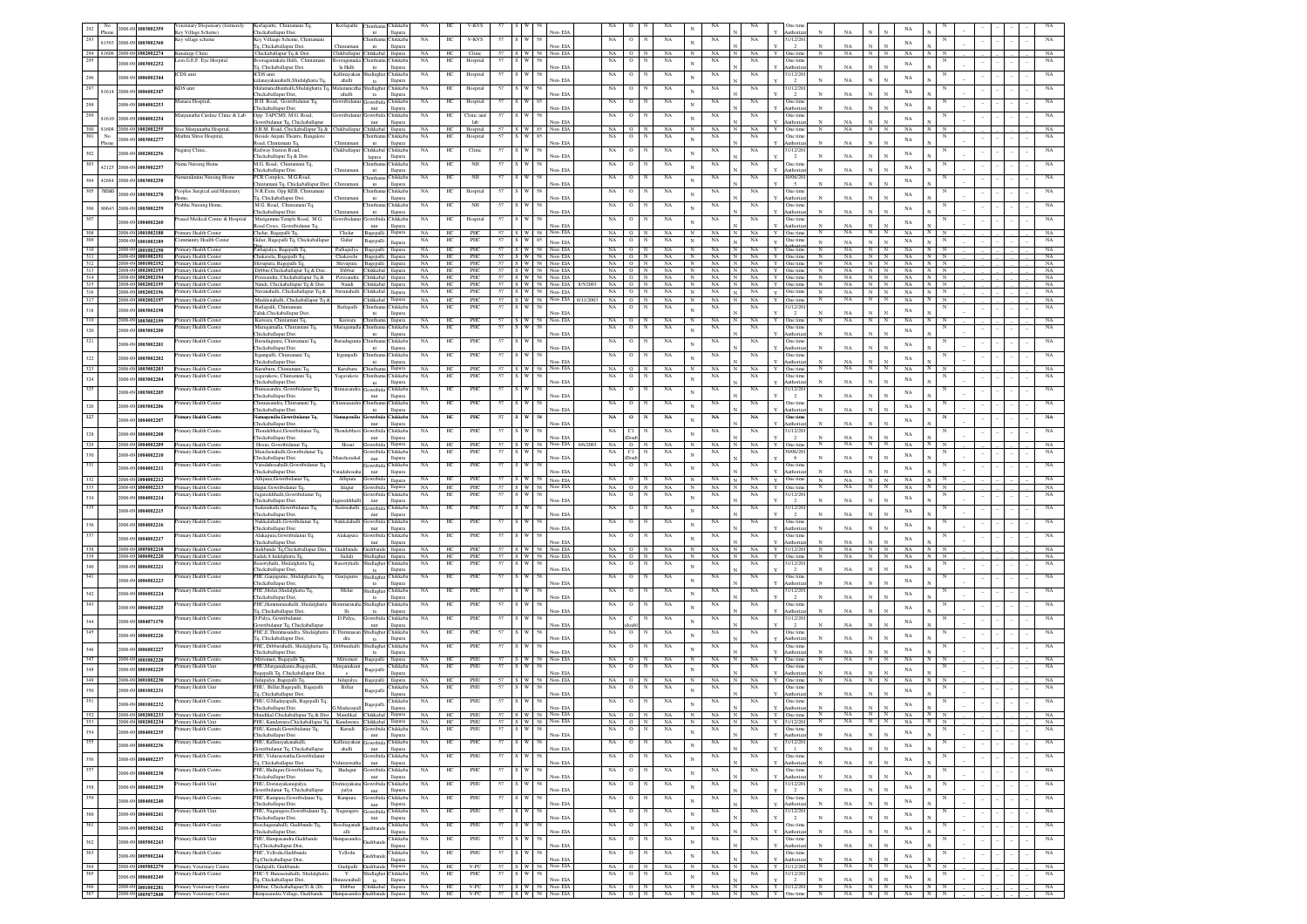| 292              | 2008-09 1003002359                                                                                     | eterinary Dispensary (formerely                        | Korlapathi, Chintamani Tq,                                                    | Korlapathi                                        | hinth:                    | hikkab                     | NA                |                | V-KVS                                    |    |                                                       |                |                                            |             |                               |                   | $\mathbf{N}$             |                   |                            | One tin                                                                   |                   |                                    | NA                                     |                  |            |  |                            |
|------------------|--------------------------------------------------------------------------------------------------------|--------------------------------------------------------|-------------------------------------------------------------------------------|---------------------------------------------------|---------------------------|----------------------------|-------------------|----------------|------------------------------------------|----|-------------------------------------------------------|----------------|--------------------------------------------|-------------|-------------------------------|-------------------|--------------------------|-------------------|----------------------------|---------------------------------------------------------------------------|-------------------|------------------------------------|----------------------------------------|------------------|------------|--|----------------------------|
| 293              |                                                                                                        | Key Village Scheme)<br>Gey village schem               | Chickaballapur Dist.<br>Key Villaage Scheme, Chintama                         |                                                   | ni                        | llapura<br>hikkab.         | NA                | HC             | V-KVS                                    | 57 |                                                       |                | Non-EL                                     | NA          |                               | $_{\rm NA}$       |                          | NA                | NA                         | uthoriz<br>31/12/20                                                       | NA                |                                    |                                        |                  |            |  | NA                         |
|                  | 81593<br>2008-09 1003002360                                                                            |                                                        | 1. Chickaballapur Dist.                                                       | Chintan                                           | ni                        | llapura                    |                   |                |                                          |    |                                                       |                | Non-EIA                                    |             |                               |                   | $_{\rm N}$               |                   |                            | $\mathbf{x}$<br>$\overline{2}$                                            | NA                | $\mathbf N$                        | NA                                     |                  |            |  |                            |
| 295              | 294 81608 2008-09 1002002274                                                                           | Kundargi Clinic<br>ion G.E.F. Eye Hospital             | Chickaballapur Tq & Dist.<br>oragamakala Halli. Chinta                        | Chikballapur Chikkabal                            | Thinthar                  | llapura<br>hikkaba         | NA<br>NA          | HC<br>HС       | Clinic<br>Hospital                       | 57 | W                                                     | 58             | 57   S   W   58   Non-EIA                  | NA.<br>NA   |                               | NA<br>$_{\rm NA}$ | $_{\rm N}$               | NA<br>NA          | NA.<br>NA                  | One time<br>N<br>One tim                                                  | NA                | $\overline{N}$                     | - NA<br>$\mathbb{N}$                   |                  |            |  | NA<br>NA                   |
|                  | 008-09 1003002252                                                                                      |                                                        | 1. Chickaballapur Dist                                                        | la Halli                                          | ni                        | llapura                    |                   |                |                                          |    |                                                       |                | Non-EIA                                    |             |                               |                   | $_{\rm N}$               |                   |                            | $_{\rm N}$<br>Authoriza                                                   | NA                | $\mathbf{N}$                       | NA                                     |                  |            |  |                            |
|                  | 2008-09 1006002344                                                                                     | CDS unit                                               | ICDS unit<br>lanayakanahalli,Shidalghatta Tq,                                 | Kallinavakar<br>ahalli                            | Shidlagha<br>ta           | <b>Thikkaba</b><br>llapura | NA                | HC             | Hospital                                 | 57 | S W                                                   |                | Non-EIA                                    | $_{\rm NA}$ |                               | $_{\rm NA}$       | $_{\rm N}$               | NA                | NA                         | 1/12/20<br>$\mathbf{N}$                                                   | $_{\rm NA}$       | $\mathbf{N}$                       | NA                                     |                  |            |  | $_{\rm NA}$                |
|                  | $\begin{array}{ c c c c c } \hline 297 & 81614 & 2008 & 09 & \textbf{1006002347} \\\hline \end{array}$ | KDS unit                                               | ilamancdhanhalli.Shidalghatta To                                              | damancdi                                          | hidlagh                   | hikkab                     | NA                | HС             | Hospital                                 | 57 | W                                                     |                |                                            | NA          |                               | NA                | $_{\rm N}$               | NA                | NA                         | 1/12/20                                                                   |                   |                                    | NA                                     |                  |            |  | NA                         |
|                  |                                                                                                        | anasa Hospital,                                        | hickaballapur Dist,<br>B.H. Road, Gowribidanur Tq                             | nhalli<br>iowribidan                              | ta<br><b>Jowribid</b>     | llapura<br>hikkaba         | NA                | HC             | Hospital                                 | 57 | $\mathbb{N}$                                          | 8 <sup>4</sup> | Non-EL                                     | NA          |                               | NA                |                          | NA                | NA                         | One tim                                                                   | NA                |                                    |                                        |                  |            |  | $_{\rm NA}$                |
| 298              | 2008-09 1004002253                                                                                     |                                                        | hickaballapur Dist.                                                           |                                                   | nur                       | llapura                    |                   |                |                                          |    |                                                       |                | Non-EIA                                    |             |                               |                   | $_{\rm N}$               |                   |                            | uthoriza                                                                  | NA                |                                    | $_{\rm NA}$                            |                  |            |  |                            |
| $\overline{299}$ | 81610<br>2008-09 1004002254                                                                            | Manjunatha Cardiac Clinic & Lab                        | Opp. TAPCMS, M.G. Road,<br>vribidanur Tq, Chickaballapu                       | iowribidar                                        | Gowribida<br>nur          | <b>hikkaba</b><br>llapura  | NA                | HС             | Clinic and<br>lab                        | 57 | W                                                     | 58             | Non-EIA                                    | NA          |                               | NA                | $_{\rm N}$               | NA                | NA                         | One tim<br>uthoriz                                                        | NA                |                                    | $_{\rm NA}$                            |                  |            |  | NA                         |
| 300              | 81604 2008-09 1002002255                                                                               | Sree Manjunatha Hospital,                              | D.B.M. Road, Chickaballapur Tq & Chikballapur                                 |                                                   | Chikkab                   | llapura                    | NA                | HC             | Hospital                                 |    | 57   S   W   85                                       |                | Non-EIA                                    | NA          |                               | $_{\rm NA}$       | $_{\rm N}$               | NA                | NA                         | $_{\rm N}$<br>Y<br><b>Dne</b> tim                                         | NA                | N                                  | NA                                     |                  |            |  | - NA                       |
| 301              | No<br>2008-09 1003002277<br>Phone                                                                      | lathru Shree Hospital,                                 | Beside Anjani Theatre, Bangalore<br>toad, Chintamani Tq.                      | Chintamar                                         | ıintha<br>ni              | hikkab.<br>llapura         | NA                | HС             | Hospital                                 | 57 | W 85                                                  |                | Non-EIA                                    | NA          |                               | NA                | $\overline{N}$           | NA                | NA                         | One tim<br>uthoriz                                                        | $_{\rm NA}$       | N                                  | $_{\rm NA}$                            |                  |            |  | NA                         |
| 302              | 2008-09 1002002256                                                                                     | agaraj Clinic,                                         | tailway Station Road                                                          | Chikballapur                                      | Chikkaba                  | hikkab:                    | NA                | HC             | Clinic                                   | 57 | W                                                     | 58             |                                            | NA          |                               | $_{\rm NA}$       | $\mathbf{N}$             | NA                | NA                         | 1/12/20                                                                   |                   |                                    | $_{\rm NA}$                            |                  |            |  | $_{\rm NA}$                |
| 303              |                                                                                                        | ama Nursing Home                                       | hickaballapur Tq & Dist<br>M.G. Road, Chintamani Tq,                          |                                                   | lapura<br>hintha          | llapura<br>hikkab.         | NA                | HС             | NH                                       | 57 |                                                       |                | Non-EIA                                    | NA          |                               | $_{\rm NA}$       |                          | NA                | NA                         | $_{\rm N}$<br>$\overline{2}$<br>Dne tim                                   | $_{\rm NA}$       | N                                  |                                        |                  |            |  | NA                         |
|                  | 42125<br>2008-09 1003002257                                                                            |                                                        | hickaballapur Dist.                                                           | Chintamar                                         | ni                        | llapura                    |                   |                |                                          |    |                                                       |                | Non-EIA                                    |             |                               |                   | $\mathbf{N}$             |                   |                            | $\mathbb{N}$<br>uthoriz                                                   | $_{\rm NA}$       | N                                  | $_{\rm NA}$                            |                  |            |  |                            |
| 304 42684        | 2008-09 1003002258                                                                                     | narukmini Nursing Hom                                  | CR Complex, M.G.Road<br>intamani Tq, Chickaballapur Dis                       |                                                   | hintha<br>ni              | hikkab                     | NA                |                | NH                                       |    |                                                       |                | ion-EIA                                    | NA          |                               | NA                | $\mathbf{N}$             | NA                | $_{\rm NA}$                | 1/06/20                                                                   | NA                |                                    | NA                                     |                  |            |  |                            |
| 305 78580        | 008-09 1003002278                                                                                      | coples Surgical and Maternity                          | .R.Extn, Opp KEB, Chintamani                                                  |                                                   | hinth:                    | llapur<br>hikkab           | NA                | HC             | Hospital                                 | 57 |                                                       |                |                                            | $_{\rm NA}$ |                               | $_{\rm NA}$       | $\mathbf{N}$             | $_{\rm NA}$       | $_{\rm NA}$                | One time                                                                  |                   |                                    |                                        |                  |            |  | $_{\rm NA}$                |
|                  |                                                                                                        |                                                        | , Chickaballapur Dist                                                         | Chintam                                           | ni                        | llapura                    |                   |                |                                          |    |                                                       |                | Non-EIA                                    |             |                               |                   |                          |                   |                            | $\mathbf{N}$<br>uthoriz                                                   | NA                | N                                  | NA                                     |                  |            |  |                            |
| 306              | 80643<br>2008-09 1003002259                                                                            | abhu Nursing Home                                      | M.G. Road, Chintamani Tq<br>hickaballapur Dist                                | Chintam                                           | hintha<br>ni              | hikkaba<br>llapura         | $_{\rm NA}$       | HC             | $_{\rm NH}$                              | 57 |                                                       |                | Non-EIA                                    | $_{\rm NA}$ |                               | $_{\rm NA}$       | $_{\rm N}$               | $_{\rm NA}$       | $_{\rm NA}$                | One time<br>$\mathbf{N}$<br>uthoriz                                       | NA                | N                                  | $_{\rm NA}$                            |                  |            |  | $_{\rm NA}$                |
| 307              | 008-09 1004002260                                                                                      | asad Medical Centre & Hospital                         | Marigamma Temple Road, M.G.                                                   | owribida                                          | iowrib                    | hikkab                     | NA                | HC             | Hospital                                 |    |                                                       |                |                                            | NA          |                               | NA                | $\mathbf{N}$             | NA                | $_{\rm NA}$                | One tim<br>$\mathbf{v}$                                                   | NA                | $\mathbf{N}$                       | NA                                     |                  |            |  | NA                         |
| 308              | 2008-09 1001002188                                                                                     | rimary Health Center                                   | oad Cross, Gowribidanur Tq,<br>helur, Bagepalli Tq,                           | Chelur                                            | nur<br>Bagepall           | llapura                    | NA                | HC             | PHC                                      |    | $57 \quad S \quad W$                                  | 58             | Non-EIA<br>Non-EIA                         | NA.         | $^{\circ}$<br>$_{\rm N}$      | NA                | $_{\rm N}$               | NA                | NA.                        | uthoriz<br>Y One time<br>$_{\rm N}$                                       | NA.               | $_{\rm N}$                         | NA<br>$_{\rm N}$                       |                  |            |  | NA                         |
| 309              | 2008-09 1001002189                                                                                     | mmunity Health Cente                                   | iulur, Bagepalli Tq, Chickaballapu                                            | Gulur                                             | Bagepalli                 | llapura                    | NA                | HC.            | PHC                                      |    | 57 S W 85                                             |                | Non-EIA                                    | NA          | $\circ$<br>N                  | $_{\rm NA}$       | $_{\rm N}$               | $_{\rm NA}$       | NA                         | One time<br>N                                                             | NA                | $_{\rm N}$                         | NA                                     |                  | N          |  | $_{\rm NA}$                |
| 310              | 2008-09 1001002190                                                                                     | Primary Health Center                                  | athapalya, Bagepalli Tq.                                                      | Pathapalya                                        | Bagepall                  | llapura                    | NA                | HC             | PHC                                      |    |                                                       |                | 57 S W 58 Non-EIA                          | NA          | $\circ$<br>$\overline{N}$     | NA                | N                        | NA                | NA                         | One time<br>N<br>Y                                                        | NA                | N                                  | $\mathbb{N}$<br>NA                     | TΝ               | N          |  | NA                         |
| 312              | 2008-09 1001002191<br>2008-09 1001002192                                                               | Primary Health Center<br>Primary Health Center         | hakavela, Bagepalli Tq.<br>iivapura, Bagepalli Tq                             | Chakavelu<br>Shivapura                            | Bagepalli<br>Bagepall     | llapura<br>llapura         | NA<br>NA          | HC<br>HC       | PHC<br>PHC                               |    |                                                       |                | S W 58 Non-EIA<br>57 S W 58 Non-EIA        | NA<br>NA    | N<br>$\circ$<br>$\circ$<br>N  | NA<br>NA          | $_{\rm N}$<br>N          | NA<br>NA          | NA<br>NA                   | One time<br>Y<br>One time                                                 | NA<br>NA          | N<br>N                             | NA<br>$_{\rm N}$<br>$\mathbb{N}$<br>NA | N<br>N           | $_{\rm N}$ |  | NA<br>NA                   |
|                  | 2008-09 1002002193                                                                                     | Primary Health Center                                  | ibbur, Chickaballapur Tq & Dist                                               | Dibbur                                            | Chikkaba                  | llapura                    | $_{\rm NA}$       | HC             | PHC                                      |    |                                                       |                | 57 S W 58 Non-EIA                          | NA          | $\circ$<br>$_{\rm N}$         | $_{\rm NA}$       | $_{\rm N}$               | $_{\rm NA}$       | $_{\rm NA}$                | One time                                                                  | NA                | $_{\mathrm{N}}$<br>N               | $_{\rm NA}$                            |                  | $_{\rm N}$ |  | $_{\rm NA}$                |
| 314              | 2008-09 1002002194<br>2008-09 1002002195                                                               | Primary Health Center<br>rimary Health Center          | eresandra, Chickaballapur Tq &<br>andi, Chickaballapur Tq & Dist.             | Peresandra<br>Nandi                               | Chikkaba<br>Chikkaba      | llapura<br>llapura         | NA<br>NA          | HC<br>HС       | PHC<br>PHC                               |    |                                                       |                | 57 S W 58 Non-EIA<br>57 S W 58 Non-EIA     | NA<br>NA    | $O$ N<br>$_{\rm N}$           | $_{\rm NA}$<br>NA | $_{\rm N}$<br>$_{\rm N}$ | $_{\rm NA}$<br>NA | $_{\rm NA}$<br>$_{\rm NA}$ | $\overline{N}$<br>$\mathbf Y$<br>One time<br>Y.<br>$_{\rm N}$<br>One time | NA<br>NA          | NN<br>$_{\rm N}$<br>$_{\rm N}$     | NA<br>NA                               |                  | $_{\rm N}$ |  | $_{\rm NA}$<br>$_{\rm NA}$ |
| 316              | 2008-09 1002002196                                                                                     | imary Health Center                                    | kavanahalli, Chickaballapur Tq &                                              | Navanahalli                                       | Chikkaba                  | llapura                    | NA                | HC.            | PHC                                      |    | 57 S W 58                                             |                | Non-EIA                                    | NA          | $\circ$<br>N                  | $_{\rm NA}$       | $_{\rm N}$               | NA                | NA                         | One tim<br>$\mathbf Y$<br>$_{\rm N}$                                      | NA                | $_{\mathrm{N}}$<br>$_{\rm N}$      | $_{\rm NA}$                            |                  | N          |  | NA                         |
| 317              | 2008-09 1002002197                                                                                     | Primary Health Center<br>mary Health Center            | Muddenahalli, Chickaballapur To &<br>atlapalli, Chintaman                     |                                                   | Chikkabal<br>Chintha      | llapura<br>hikkaba         | NA.<br>NA         | HC             | PHC<br>PHC                               |    |                                                       |                | 57   S   W   58   Non-EIA   6/11/2003   NA |             | O N                           | NA<br>NA          | $_{\rm N}$               | NA                | NA -                       | Y<br>One time<br>$\mathbb{N}$<br>1/12/20                                  | NA                | N                                  | <b>NA</b><br>N                         |                  | $_{\rm N}$ |  | NA                         |
| 318              | 2008-09 1003002198                                                                                     |                                                        | aluk, Chickaballapur Dis                                                      | Batlapalli                                        | ni                        | llapura                    |                   | HС             |                                          | 57 | W 58                                                  |                | Non-FL                                     | NA          |                               |                   | $_{\rm N}$               | NA                | NA                         |                                                                           |                   |                                    | NA                                     |                  |            |  | NA                         |
| 319              | 2008-09 1003002199                                                                                     | Primary Health Center                                  | Kaiwara, Chintamani Tq.                                                       | Kaiwara                                           | Chinthan                  | llapura                    | NA                | HC             | PHC                                      |    | 57 S W 58                                             |                | Non-EIA                                    | NA          | $\Omega$<br>N                 | NA                | $_{\rm N}$               | NA                | NA.                        | N<br>$\mathbf{Y}$<br>One time                                             | NA                | $\mathbf N$<br>N                   | NA                                     |                  |            |  | NA                         |
| 320              | 008-09 1003002200                                                                                      | <b>Yimary Health Center</b>                            | Murugamalla, Chintamani Tq.<br>hickaballapur Dist.                            | <i><b>Aurugamalli</b></i>                         | hinthar<br>ni             | hikkaba<br>llapura         | NA                | HС             | <b>PHC</b>                               | 57 | $\mathbb{W}$                                          | 58             | Non-EIA                                    | NA          | $\Omega$                      | NA                | $_{\rm N}$               | NA                | NA                         | One time<br>uthoriza                                                      | NA                | N                                  | $_{\rm NA}$                            |                  |            |  | NA                         |
| 321              | 105500 1003002201                                                                                      | timary Health Center                                   | urudugunta, Chintamani Tq,                                                    | Burudugunt                                        | <b>Thinthar</b>           | hikkab:                    | NA                | HC             | PHC                                      | 57 |                                                       |                |                                            | NA          |                               | NA                | $\overline{N}$           | NA                | NA                         | One tim                                                                   |                   |                                    | NA                                     |                  |            |  | NA                         |
|                  | 2008-09-1003002202                                                                                     | imary Health Center                                    | hickaballapur Dist.<br>Irgampalli, Chintamani Tq.                             | Irgampalli                                        | ni<br>hinthar             | llapura<br>hikkaba         | NA                | HС             | PHC                                      | 57 | I W                                                   | 58             | Non-EIA                                    | NA          |                               | $_{\rm NA}$       | $\mathbf{N}$             | NA                | NA                         | uthoriz<br>One time                                                       | NA                | N                                  |                                        |                  |            |  | NA                         |
| 322              |                                                                                                        |                                                        | hickaballapur Dist.                                                           |                                                   | ni                        | llapura                    |                   |                |                                          |    |                                                       |                | Non-EIA                                    |             |                               |                   |                          |                   |                            | uthoriza                                                                  | NA                | N                                  | NA                                     |                  |            |  |                            |
| 323              | 2008-09 1003002203                                                                                     | rimary Health Center<br>mary Health Cente              | Kuruburu, Chintamani Tq.<br>egavakote, Chintamani Tq,                         | Kuruburu<br>Yagavakot                             | Chintham<br>hintha        | llapura<br>hikkab          | NA<br>NA          | HC             | PHC<br>PHC                               |    |                                                       |                | 57 S W 58 Non-EIA                          | NA<br>NA    | $O$ N                         | NA<br>NA          | N                        | NA<br>NA          | NA<br>NA                   | N<br>Y<br>One time<br>One tim                                             | NA                | N                                  | NA                                     |                  |            |  | NA<br>$_{\rm NA}$          |
| 324              | 2008-09 1003002204                                                                                     |                                                        | ickaballapur Dist.                                                            |                                                   | $\rm{ni}$                 | llapura                    |                   |                |                                          |    |                                                       |                | Non-EIA                                    |             |                               |                   | $_{\rm N}$               |                   |                            | thoriz                                                                    | $_{\rm NA}$       |                                    | $_{\rm NA}$                            |                  |            |  |                            |
| 325              | 2008-09 1003002205                                                                                     | mary Health Centre                                     | nnasandra, Gowribidanur Tq<br>ickaballapur Dist.                              | dinnasan                                          | iowrib<br>nur             | hikkab<br>llapura          | NA                |                | PHC                                      |    |                                                       |                | ion- EL                                    | NA          |                               | NA                | $\mathbf{N}$             | NA                | $_{\rm NA}$                | 1/12/20<br>$\overline{2}$                                                 | NA                |                                    | NA                                     |                  |            |  | NA                         |
| 326              | 2008-09 1003002206                                                                                     | imary Health Center                                    | innasandra, Chintamani Tq,                                                    | <b>hinnasan</b>                                   |                           | hikkab                     | NA                | HC             | PHC                                      | 57 |                                                       |                |                                            | $_{\rm NA}$ |                               | $_{\rm NA}$       | $\mathbf{N}$             | $_{\rm NA}$       | NA                         | One tim                                                                   |                   |                                    | NA                                     |                  |            |  | $_{\rm NA}$                |
| 327              |                                                                                                        | imary Health Centre                                    | hickaballapur Dist.<br>amagondlu,Gowribidanur Tq,                             | iamagon                                           | ni<br>owrib               | llapura<br>hikkab          | NA                | HС             | PHC                                      | 57 |                                                       |                | Non-EL                                     | NA          |                               | NA                |                          | NA                | NA                         | uthoriz<br>N<br>he tim                                                    | NA                |                                    |                                        |                  |            |  | $_{\rm NA}$                |
|                  | 2008-09 1004002207                                                                                     |                                                        | hickaballapur Dist.                                                           |                                                   | $_{\rm nur}$              | llapura                    |                   |                |                                          |    |                                                       |                | Non-EL                                     |             |                               |                   | $\mathbf{N}$             |                   |                            | uthoriz<br>N                                                              | NA                |                                    | NA                                     |                  |            |  |                            |
| 328              | 008-09 1004002208                                                                                      | mary Health Centre                                     | hondebhavi, Gowribidanur Tq<br>hickaballapur Dist.                            | Thondebh:                                         | iowrib<br>nur             | hikkab<br>llapura          | NA                | HC             | PHC                                      | 57 |                                                       |                | Non-FIA                                    | NA          |                               | $_{\rm NA}$       | $\mathbf{N}$             | NA                | NA                         | 1/12/20<br>$\overline{2}$                                                 | NA                |                                    | $_{\rm NA}$                            |                  |            |  | NA                         |
| 329              | 2008-09 1004002209                                                                                     | Primary Health Centre                                  | Hosur, Gowribidanur To                                                        | Hosur                                             | Gowribid                  | llapura                    | <b>NA</b>         | HC             | PHC                                      |    | $57$ $\vert$ $\vert$ S $\vert$ W $\vert$ $\vert$ $58$ |                | Non-EIA<br>9/6/2003                        | NA          | $O$ N                         | NA                | $_{\rm N}$               | NA.               | NA                         | One time<br>$\mathbb{N}$<br>Y                                             | NA                | N                                  | <b>NA</b><br>$\mathbb{N}$              |                  |            |  | NA                         |
| 330              | 008-09 1004002210                                                                                      | mary Health Centre                                     | Manchenahalli, Gowribidanur Tq,<br>hickaballapur Dist.                        | lanchenal                                         | iowribid<br>nur           | hikkaba<br>llapura         | NA                | HС             | PHC                                      | 57 | W                                                     | 58             | Non-EIA                                    | NA          |                               | $_{\rm NA}$       | $\mathbf{N}$             | NA                | $_{\rm NA}$                | 0/06/20<br>$\mathbb{N}$<br>- 6                                            | NA                | N                                  | NA                                     |                  |            |  | NA                         |
|                  |                                                                                                        |                                                        |                                                                               |                                                   |                           |                            |                   |                |                                          |    |                                                       |                |                                            |             |                               |                   |                          |                   |                            |                                                                           |                   |                                    |                                        |                  |            |  |                            |
| 331              |                                                                                                        | imary Health Centre                                    | atadahosahalli.Gowr                                                           |                                                   | Jowribid                  | hikkab.                    | NA                | HС             | PHC                                      |    |                                                       |                |                                            | NA          |                               | NA                |                          | NA                | $_{\rm NA}$                | Dne tim                                                                   |                   |                                    |                                        |                  |            |  | NA                         |
|                  | 008-09 1004002211                                                                                      | imary Health Centre                                    | hickaballapur Dist.                                                           | atadahosal                                        | nur<br>Gowribid           | llapura                    | <b>NA</b>         | HС             | PHC                                      | 57 | W.                                                    | 58             | Non-EIA                                    | NA          |                               |                   | $_{\rm N}$               | NA                | NA                         | N<br>uthoriz<br>One time                                                  | NA                |                                    | NA                                     |                  |            |  | NA                         |
| 332<br>333       | 2008-09 1004002212<br>2008-09 1004002213                                                               | rimary Health Centre                                   | Allipura, Gowribidanur Tq<br>agur, Gowribidanur Tq,                           | Allipura<br>klagur                                |                           | llapura<br>llapura         | NA                | HC             | PHC                                      |    | 57 S W 58                                             |                | Non-EIA<br>Non-EIA                         | NA          | $\circ$<br>N                  | NA<br>NA          | N<br>N                   | NA                | NA                         | $\mathbf Y$<br>$_{\rm N}$<br>Y<br>One time<br>N                           | $_{\rm NA}$<br>NA | $_{\rm N}$<br>$_{\rm N}$<br>N<br>N | $_{\rm NA}$<br>NA                      | $_{\rm N}$       | N          |  | NA                         |
| 334              | 2008-09 1004002214                                                                                     | mary Health Centre                                     | agareddihalli, Gowribidanur Tq,                                               |                                                   |                           | hikkab                     | NA                | HC             | PHC                                      | 57 |                                                       | 58             |                                            | NA          |                               | NA                | $\mathbf{N}$             | NA                | NA                         | 1/12/20                                                                   |                   |                                    | NA                                     |                  |            |  | NA                         |
| 335              |                                                                                                        | imary Health Centre                                    | hickaballapur Dist.<br>denahalli, Gowribidanur Tq.                            | gareddihal<br>Sadenahall                          | nur<br>iowribio           | llapura<br>hikkaba         | NA                | $\rm{HC}$      | PHC                                      | 57 |                                                       |                | ∛on- EIA                                   | $_{\rm NA}$ |                               | $_{\rm NA}$       |                          | $_{\rm NA}$       | $_{\rm NA}$                | 1/12/20                                                                   | NA                |                                    |                                        |                  |            |  | $_{\rm NA}$                |
|                  | 2008-09 1004002215                                                                                     |                                                        | hickaballapur Dist.<br>akkalahalli.Gowrib                                     |                                                   | nur                       | llapura                    |                   |                |                                          |    |                                                       |                | Non-EIA                                    |             |                               |                   | $\mathbf{N}$             |                   |                            | $\mathbf{N}$<br>$\overline{2}$                                            | $_{\rm NA}$       | $\overline{N}$                     | NA                                     |                  |            |  |                            |
| 336              | 008-09 1004002216                                                                                      | mary Health Centre                                     | hickaballapur Dist.                                                           | vakkalaha                                         | iowribio                  | hikkab<br>llapura          | NA                | HC             | PHC                                      |    |                                                       |                | Non-EIA                                    | NA          |                               | NA                | $_{\rm N}$               | NA                | $_{\rm NA}$                | One tim<br>$_{\rm N}$<br>uthoriz                                          | NA                | $\mathbf{N}$                       | NA                                     |                  |            |  | NA                         |
| 337              | 008-09 1004002217                                                                                      | mary Health Centre                                     | Makapura, Gowribidanur Tq                                                     | Alakapur                                          | iowribio                  | hikkab                     | NA                | HC             | PHC                                      |    |                                                       |                | Non-FIA                                    | NA          |                               | NA                | $\mathbf{N}$             | $_{\rm NA}$       | $_{\rm NA}$                | Dne tim<br>uthoriz                                                        | NA                |                                    | NA                                     |                  |            |  | NA                         |
| 338              | 2008-09 1005002218                                                                                     | Primary Health Center                                  | hickaballapur Dist.<br>Gudibande Tq,Chickaballapur Dist,                      | Gudibande                                         | nur<br>Gudiband           | llapura<br>llapura         | NA                | HC             | <b>PHC</b>                               |    |                                                       |                | 57 S W 58 Non-EIA                          |             | NA ON                         | NA                | N                        | NA                | NA                         | Y 31/12/201<br>N                                                          |                   | NA NN                              | NA                                     | N N              |            |  | NA                         |
| 339              | 2008-09 1006002220                                                                                     | Primary Health Center<br>rary Health Center            | Sadali, Shidalghatta Tq.<br>settyhalli. Shidalehatta To                       | Sadali                                            | Shidlagha                 | llapura<br>hikkab.         | NA<br>$_{\rm NA}$ | HC<br>HС       | PHC<br><b>PHC</b>                        | 57 |                                                       |                | 57 S W 58 Non-EIA                          | NA I<br>NA  | O N                           | NA<br>NA          | N                        | NA<br><b>NA</b>   | NA.<br>NA                  | Y One time<br>$_{\rm N}$<br>1/12/20                                       | NA                | N                                  | N<br>NA                                | N N              |            |  | NA<br>NA                   |
| 340              | 008-09 1006002221                                                                                      |                                                        | hickaballapur Dist,                                                           | lasettyhal                                        | Shidlagha<br>ta           | llapura                    |                   |                |                                          |    |                                                       |                | Non-EIA                                    |             |                               |                   | $\mathbf{N}$             |                   |                            | $\mathbb{N}$                                                              | NA                | N                                  | NA                                     |                  |            |  |                            |
| 341              | 2008-09 1006002223                                                                                     | imary Health Center                                    | PHC, Ganjigunte, Shidalghatta Tq                                              | Ganjigun                                          | hidlagh<br>ta             | hikkab.                    | NA                | HС             | PHC                                      |    |                                                       |                | Non-EIA                                    | NA          |                               | NA                | $_{\rm N}$               | NA                | NA                         | Dne tim<br>$_{\rm N}$<br>uthoriz                                          | NA                |                                    | NA                                     |                  |            |  | NA                         |
|                  | 008-09 1006002224                                                                                      | imary Health Center                                    | hickaballapur Dist,<br>PHC.Melur,Shidalghatta Tq.                             | Melur                                             | Shidlaghat                | llapura<br>Thikkaba        | NA                | HС             | PHC                                      | 57 | $\mathbf{w}$                                          | 58             |                                            | NA          |                               | NA                | $_{\rm N}$               | NA                | NA                         | 31/12/20                                                                  |                   |                                    |                                        |                  |            |  | NA                         |
| 342<br>343       |                                                                                                        | imary Health Center                                    | hickaballapur Dist,<br>PHC,Hemmaranahalli ,Shidalghatt                        | emmarana                                          | ta                        | llapura<br>hikkab.         | NA                | HС             | PHC                                      | 57 |                                                       |                | Non-EIA                                    | NA          |                               | NA                |                          | NA                |                            | One tim                                                                   | NA                |                                    | $_{\rm NA}$                            |                  |            |  | NA                         |
|                  | 008-09 1006002225                                                                                      |                                                        | 1. Chickaballapur Dist.                                                       | <b>Hi</b>                                         | Shidlagha<br>ta           | llapura                    |                   |                |                                          |    |                                                       |                | Non-EIA                                    |             |                               |                   | $_{\rm N}$               |                   | $_{\rm NA}$                | uthoriz                                                                   | NA                |                                    | $_{\rm NA}$                            |                  |            |  |                            |
| 344              | 2008-09 1004071170                                                                                     | imary Health Centre                                    | D.Palya, Gowribidanus<br>wribidanur Tq, Chickaballapu                         | D.Palya,                                          | <b>Jowribida</b><br>nur   | hikkab.<br>llapura         | NA                | HC             | PHC                                      | 57 |                                                       |                | Non-EIA                                    | NA          |                               | NA                | $_{\rm N}$               | NA                | $_{\rm NA}$                | 1/12/20                                                                   | NA                |                                    | $_{\rm NA}$                            |                  |            |  | NA                         |
| 345              | 2008-09 1006002226                                                                                     | imary Health Center                                    | PHC,E.Thimmasandra, Shidalghatta                                              | : Thimmas                                         | Shidlagha                 | hikkab:                    | NA                | HC             | PHC                                      | 57 | S W                                                   | 58             |                                            | NA          | $\circ$                       | NA                | $\mathbf N$              | NA                | NA                         | One tim                                                                   |                   |                                    | NA                                     |                  |            |  | $_{\rm NA}$                |
|                  |                                                                                                        | imary Health Center                                    | q, Chickaballapur Dist,<br>PHC. Dibburahalli, Shidalghatta To                 | dra<br>Dibburahal                                 | ta<br>shidlagha           | llapura<br>hikkab.         | NA                | HC             | PHC                                      | 57 | S W                                                   | 58             | Non-EL                                     |             |                               | NA                |                          | NA                | $_{\rm NA}$                | uthoriza<br>One tim                                                       | NA                |                                    |                                        |                  |            |  |                            |
| 346              | 2008-09 1006002227                                                                                     |                                                        | ickaballapur Dist,                                                            |                                                   | ta                        | llapura                    |                   |                |                                          |    |                                                       |                | Non-EL                                     | $_{\rm NA}$ |                               |                   | N                        |                   |                            | uthoriz                                                                   | NA                |                                    | $_{\rm NA}$                            |                  |            |  | $_{\rm NA}$                |
| 347              | 2008-09 1001002228                                                                                     | rimary Health Centre<br>mary Health Unit               | Mittemari, Bagepalli Tq,                                                      | Mittemari<br>larganuku                            | Bagepall                  | llapura<br>hikkab          | NA<br>NA          | HC<br>HC       | PHU<br>PHU                               | 57 | 57 S W 58                                             | 58             | Non-EIA                                    | NA          |                               | NA                | N                        | NA                | NA<br>NA                   | One time<br>N<br>Y<br>Ine tim                                             | NA                | N                                  | NA                                     |                  |            |  | NA                         |
| 348              | 2008-09 1001002229                                                                                     |                                                        | HU,Marganukunte,Bagepalli<br>agepalli Tq, Chickaballapur Dist.                | $\circ$                                           | Bagepal                   | flapura                    |                   |                |                                          |    |                                                       |                | Non-EIA                                    | NA          |                               | $_{\rm NA}$       | $\mathbf{N}$             | $_{\rm NA}$       |                            | thoriz                                                                    | NA                |                                    | NA                                     |                  |            |  | NA                         |
| 349              | 2008-09 1001002230                                                                                     | Primary Health Centr                                   | upalya, Bagepalli Tq,                                                         | Julupalya                                         |                           | llapura                    | NA                | HC             | PHU                                      |    | 57 S W 58                                             |                | Non-EIA                                    | NA          | $\circ$<br>$_{\mathrm{N}}$    | $_{\rm NA}$       | $_{\rm N}$               | $_{\rm NA}$       | $_{\rm NA}$                | Y<br>One time<br>$_{\rm N}$                                               | NA                | $_{\rm N}$                         | $_{\rm NA}$                            |                  |            |  | NA                         |
| 350              | 2008-09 1001002231                                                                                     | imary Health Unit                                      | HU, Billur,Bagepalli, Bagepalli<br>q, Chickaballapur Dist.                    | Billur                                            | Bagepall                  | hikkab<br>llapura          | $_{\rm NA}$       | HC             | PHU                                      | 57 |                                                       |                | Non-EL                                     | $_{\rm NA}$ |                               | $_{\rm NA}$       | $_{\rm N}$               | NA                | NA                         | One tim<br>uthoriz<br>N                                                   | NA                |                                    | $_{\rm NA}$                            |                  |            |  | $_{\rm NA}$                |
| 351              | 2008-09 1001002232                                                                                     | timary Health Centre                                   | PHU, G.Madayapalli, Bagepalli Tq                                              |                                                   | Bagepalli                 | hikkab                     | NA                | HC             | PHU                                      | 57 | W                                                     |                |                                            | NA          |                               | $_{\rm NA}$       | $_{\rm N}$               | $_{\rm NA}$       | $_{\rm NA}$                | One tim<br>N                                                              |                   |                                    | $_{\rm NA}$                            |                  |            |  | NA                         |
| 352              | 2008-09 1002002233                                                                                     | Primary Health Centre                                  | hickaballapur Dist.<br>Mandikal, Chickaballapur Tq & Dist. Mandikal Chikkabal | i.Madayap                                         |                           | llapura<br>llapura         | NA                |                | PHU                                      | 57 |                                                       |                | Non-EL<br>Non-EIA                          | NA          |                               | NA                |                          | NA                | NA                         | uthoriza<br>One time<br>N                                                 | NA<br>NA          | $_{\rm N}$<br>$_{\rm N}$           | NA                                     |                  |            |  |                            |
| 353              | 2008-09 1002002234 Primary Health Unit                                                                 |                                                        | PHU, Kandawara, Chickaballapur Tq Kandawara Chikkabal Ilapura                 |                                                   |                           |                            | NA                |                | HC PHU 57 S W 58 Non-EIA                 |    |                                                       |                |                                            |             | $NA$ $0$ $N$ $NA$<br>$\Omega$ |                   | $\mathbb{N}$             | NA N              |                            | NA Y 31/12/201<br>N                                                       |                   |                                    | NA N N NA                              | N N              |            |  | NA                         |
| 354              | 008-09 1004002235                                                                                      | imary Health Centre                                    | PHU, Kurudi, Gowribidanur Tq,<br>hickaballapur Dist.                          | Kurudi                                            | Gowribida<br>$_{\rm nur}$ | Chikkaba<br>llapura        | $_{\rm NA}$       | HС             | PHU                                      | 57 | s W                                                   | 58             | Non-EIA                                    | NA          |                               | $_{\rm NA}$       | $_{\rm N}$               | $_{\rm NA}$       | NA                         | One tim<br>uthorizat<br>N                                                 | NA                | $\mathbf{N}$                       | $_{\rm NA}$                            |                  |            |  | $_{\rm NA}$                |
| 355              | 008-09 1004002236                                                                                      | rimary Health Centre                                   | PHU. Kallinavakanahalli.<br>owribidanur To, Chickaballapur                    | Callinavakan<br>ahalli                            | Gowribid<br>nur           | hikkaba<br>llapura         | <b>NA</b>         | HС             | <b>PHC</b>                               | 57 | W                                                     |                | Non-EIA                                    | NA          |                               | NA                | $_{\rm N}$               | NA                | NA                         | 31/12/20<br>$_{\rm N}$<br>$\mathbf{1}$                                    | $_{\rm NA}$       | $\mathbf{N}$                       | $_{\rm NA}$                            |                  |            |  | NA                         |
|                  |                                                                                                        | imary Health Centre                                    | PHU. Viduraswatha.Gowribidanu                                                 |                                                   | owribid                   | hikkaba                    | NA                | HС             | PHU                                      | 57 | W                                                     | 58             |                                            | NA          | $\circ$                       | NA                |                          | NA                | NA                         | One tim                                                                   |                   |                                    |                                        |                  |            |  | NA                         |
| 356              | 2008-09 1004002237                                                                                     |                                                        | Tq, Chickaballapur Dist.                                                      | <i>liduraswat</i>                                 | nur                       | llapura                    |                   |                |                                          |    |                                                       |                | Non-EIA                                    |             |                               |                   | $_{\rm N}$               |                   |                            | uthoriza                                                                  | NA                | $\mathbf N$                        | $_{\rm NA}$                            |                  |            |  |                            |
| 357              | 2008-09 1004002238                                                                                     | rimary Health Centre                                   | PHU, Hudugur, Gowribidanur Tq,<br>hickaballapur Dist.                         | Hudugur                                           | Gowribid<br>nur           | Thikkaba<br>llapura        | NA                | HС             | PHC                                      | 57 | W                                                     | 58             | Non-EIA                                    | NA          | $^{\circ}$                    | NA                | $_{\rm N}$               | NA                | NA                         | One time<br>uthoriza                                                      | NA                | N                                  | $_{\rm NA}$                            |                  |            |  | NA                         |
| 358              | 2008-09 1004002239                                                                                     | imary Health Unit                                      | PHU, Dorinayakanapalya,                                                       | Jorinayakan                                       | Gowribida                 | hikkab:                    | NA                | HС             | PHU                                      | 57 | W                                                     | -58            |                                            | NA          |                               | NA                | $_{\rm N}$               | NA                | NA                         | 1/12/20                                                                   |                   |                                    | $_{\rm NA}$                            |                  |            |  | NA                         |
| 359              |                                                                                                        | imary Health Centre                                    | wribidanur Tq, Chickaballapur<br>PHC, Rampura, Gowribidanur Tq,               | palya<br>Rampura                                  | nur<br>Gowribid           | llapura<br>Thikkaba        | NA                | HС             | PHU                                      | 57 | W I                                                   | 58             | Non-EIA                                    | NA          |                               | $_{\rm NA}$       |                          | NA                | NA                         | $\overline{2}$<br>One tim                                                 | NA                | $_{\rm N}$                         |                                        |                  |            |  | NA                         |
|                  | 2008-09 1004002240                                                                                     |                                                        | hickaballapur Dist.                                                           |                                                   | nur                       | llapura                    |                   |                |                                          |    |                                                       |                | Non-EIA                                    |             |                               |                   | $\mathbf{N}$             |                   |                            | N<br>Authoriza                                                            | $_{\rm NA}$       | $\mathbb{N}$                       | $_{\rm NA}$                            |                  |            |  |                            |
| 360              | 2008-09 1004002241                                                                                     | imary Health Unit                                      | PHU, Nagaragere, Gowribidanur Tq<br>hickaballapur Dist.                       | Nagaragen                                         | <b>Jowribid</b><br>nur    | hikkaba<br>$\rm{llapura}$  | NA                | HC             | PHU                                      | 57 | W 58                                                  |                | Non-EIA                                    | NA          | $\circ$                       | $_{\rm NA}$       | $\mathbf{N}$             | NA                | $_{\rm NA}$                | 31/12/20<br>$_{\mathrm{N}}$<br>$\overline{2}$                             | $_{\rm NA}$       | $_{\rm N}$                         | $_{\rm NA}$                            |                  | N          |  | NA                         |
| 361              | 2008-09 1005002242                                                                                     | imary Health Center                                    | eechaganahalli, Gudibande Tq,                                                 | echagan                                           | <b>Indiba</b>             | hikkaba                    | $_{\rm NA}$       | Ю              | PH <sub>L</sub>                          | 57 |                                                       |                |                                            | NA          |                               | $_{\rm NA}$       | $\mathbf{N}$             | $_{\rm NA}$       | $_{\rm NA}$                | One time                                                                  |                   |                                    | $_{\rm NA}$                            |                  |            |  | NA                         |
|                  |                                                                                                        | mary Health Unit                                       | hickaballapur Dist,<br>HU, Hampasandra, Gud                                   | alli<br>lampasano                                 |                           | llapura<br>hikkaba         | $_{\rm NA}$       | HC             | PHU                                      | 57 |                                                       |                | Non-EIA                                    | NA          |                               | $_{\rm NA}$       |                          | $_{\rm NA}$       | $_{\rm NA}$                | $_{\rm N}$<br>Authoriza<br><b>Dne</b> time                                | $_{\rm NA}$       | $_{\rm N}$                         |                                        |                  |            |  | NA                         |
| 362              | 2008-09 1005002243                                                                                     |                                                        | Tq,Chickaballapur Dist,                                                       |                                                   | <b>Judiban</b>            | llapura                    |                   |                |                                          |    |                                                       |                | Non-EIA                                    |             |                               |                   | $_{\rm N}$               |                   |                            | $\mathbf{N}$<br>uthoriz                                                   | NA                | N                                  | NA                                     |                  |            |  |                            |
| 363              | 2008-09 1005002244                                                                                     | imary Health Centre                                    | HC, Yellodu, Gudibande<br>q,Chickaballapur Dist,                              | Yellodu                                           | <b>Indiban</b>            | hikkaba<br>llapura         | $_{\rm NA}$       | $\rm{HC}$      | PHU                                      | 57 |                                                       | 58             | Non-EIA                                    | $_{\rm NA}$ | $\circ$                       | $_{\rm NA}$       | $\mathbf{N}$             | $_{\rm NA}$       | $_{\rm NA}$                | One time<br>$\mathbf{N}$<br>Authoriz                                      | NA                | N                                  | NA                                     |                  |            |  | $_{\rm NA}$                |
| 364              | 2008-09 1005002279                                                                                     | Primary Veterinary Centre                              | sudipalli, Gudibande                                                          | Gudipalli                                         |                           | llapura                    | $_{\rm NA}$       | HC             | $V-PC$                                   |    | $\sqrt{W}$                                            |                | 57 S W 58 Non-EIA                          | NA 1        | $O$ N                         | $_{\rm NA}$       | $\mathbb{N}$             | $_{\rm NA}$       | $_{\rm NA}$                | Y 31/12/20<br>N                                                           | NA                | $\overline{N}$                     | N<br>$_{\rm NA}$                       | N                | $_{\rm N}$ |  | $_{\rm NA}$                |
| 365              | 2008-09 1006002249                                                                                     | mary Health Center                                     | PHC-Y Hunasenahalli, Shidalghat<br>Tq, Chickaballapur Dist,                   | Y<br>masenaha                                     | hidlagh<br>ta             | hikkaba<br>llapura         | NA                | H <sub>C</sub> | PHC                                      | 57 |                                                       | 58             | Non-EIA                                    | NA          | $\circ$                       | $_{\rm NA}$       | $_{\rm N}$               | NA                | NA                         | 31/12/20<br>$\mathbf{v}$<br>2<br>$\mathbf{N}$                             | NA                | $\mathbf{N}$                       | $_{\rm NA}$                            |                  |            |  | NA                         |
| 366<br>367       | 2008-09 1001002281<br>2008-09 1005072848                                                               | Primary Veterinary Centre<br>Primary Veterinary Centre | Dibbur, Chickaballapur(T) & (D).<br>Hampasandra Village, Gudibande            | Dibbur Chikkabal llapura<br>Hampasandra Gudibande |                           | llapura                    | NA.<br>NA         |                | $HC$ $V-PC$<br>HC V-PC 57 S W 58 Non-EIA |    |                                                       |                | 57 S W 58 Non-EIA                          |             | NA ON NA<br>NA ON NA          |                   | TΝ<br>N NA               | - NA<br>N         |                            | NA Y 31/12/201<br>$\mathbb{N}$<br>NA Y One time<br>N                      |                   | NA NN<br>NA NN                     | NA<br><b>NA</b>                        | $N$ $N$<br>$N$ N |            |  | NA .<br>NA                 |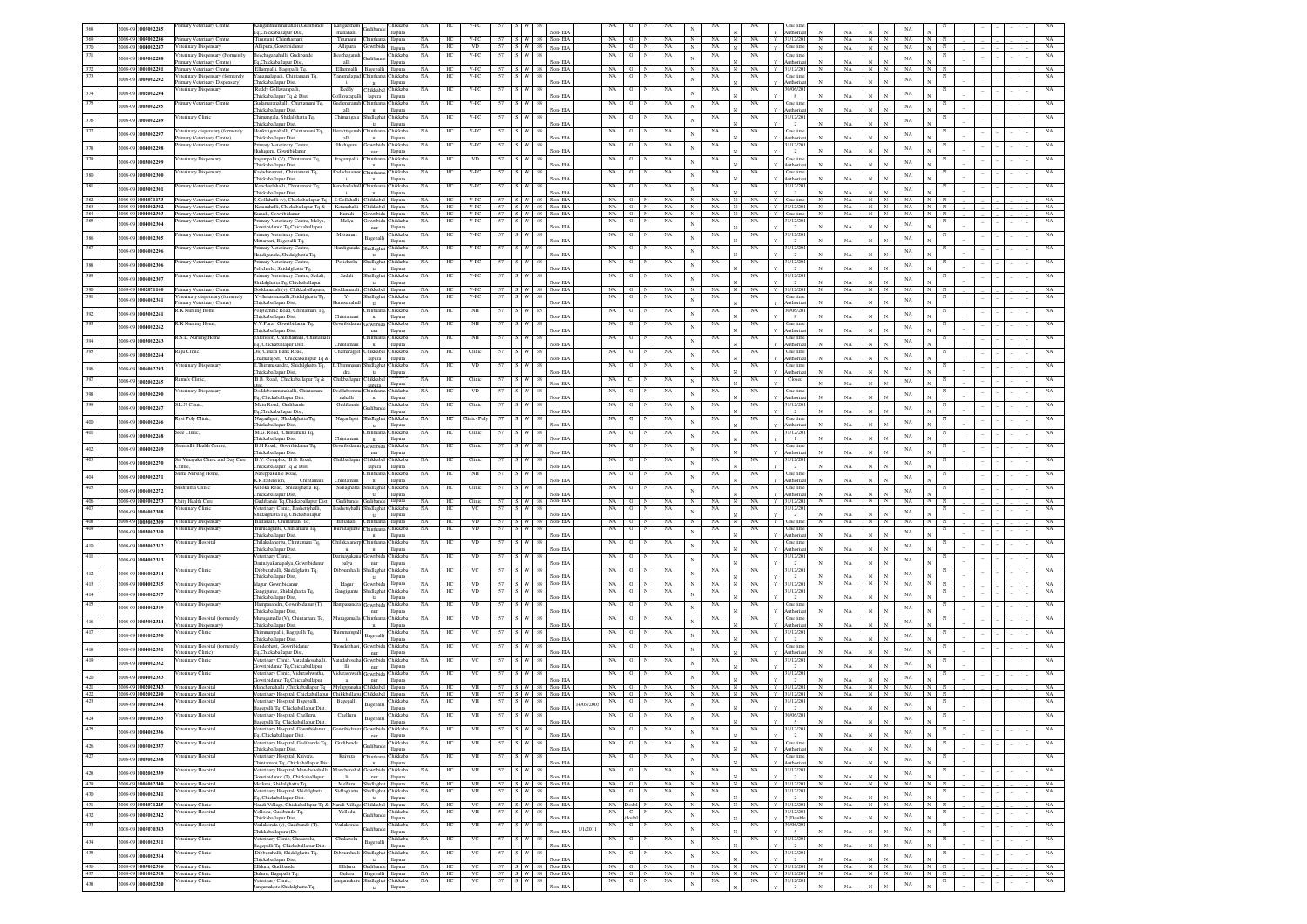|            | 005002285                                | imary Veterinary Centre                                     | ariganthammanahalli.Gudibandi                                                                  | Carigantha                                                          | Chikkab                         | NA                     | HС               | V-PC                 |    |                                        |                         | NA                      |                        |                                             |                          | NA             |                 |                            | Dne tim                    |                 |                 |                 |              | NA                 |                          |  |             |
|------------|------------------------------------------|-------------------------------------------------------------|------------------------------------------------------------------------------------------------|---------------------------------------------------------------------|---------------------------------|------------------------|------------------|----------------------|----|----------------------------------------|-------------------------|-------------------------|------------------------|---------------------------------------------|--------------------------|----------------|-----------------|----------------------------|----------------------------|-----------------|-----------------|-----------------|--------------|--------------------|--------------------------|--|-------------|
| 369        | 2008-09 1005002286                       | rimary Veterinary Centre                                    | Tq,Chickaballapur Dist,<br>Trumani, Chinthamani                                                | manahalli<br>Tirumani<br>Chinthama                                  | llapura<br>llapura              | NA                     | HС               | $V-PC$               |    |                                        | Non-EIA<br>W 58 Non-EIA | NA                      | $\circ$                | NA                                          |                          | NA             | NA              | Y                          | uthoriz<br>1/12/20         | N               | NA<br>NA        | N               | N            | NA                 |                          |  | NA          |
| 370        | 2008-09 1004002287                       | eterinary Dispensary                                        | Allipura, Gowribidanu                                                                          | Allipura<br>jowribi                                                 | llapura                         | NA                     | HС               | VD                   | 57 | $S$ W $58$ Non-EIA                     |                         | NA                      | $\circ$                | NA                                          | $_{\rm N}$               | NA             | $_{\rm NA}$     | $V$ One time               |                            | $_{\rm N}$      | $_{\rm NA}$     | $_{\rm N}$      | $\mathbf{N}$ | NA                 |                          |  | NA          |
| 371        | 2008-09<br>1005002288                    | eterinary Dispensary (Formerely<br>imary Veterinary Centre) | eechaganahalli, Gudibande<br>'q,Chickaballapur Dist                                            | eechaganah<br><b>indiban</b><br>alli                                | <b>hikkab</b><br>llapura        | $_{\rm NA}$            | HC               | $V-PC$               | 57 |                                        | Non-EIA                 | $_{\rm NA}$             | $\circ$                | $\mathbb{N}$<br>NA                          | N                        | $_{\rm NA}$    | $_{\rm NA}$     |                            | Dne tim<br>uthoriz         |                 | NA              | $\mathbf{x}$    |              | NA                 |                          |  | $_{\rm NA}$ |
| 372        | 1001002291<br>2008-09                    | imary Veterinary Centre                                     | Ellampalli, Bagepalli Tq.                                                                      | Ellampalli<br>Bagepalli                                             | llapura                         | $_{\rm NA}$            | HC               | $V-PC$               |    | 57 S W 58 Non-EIA                      |                         |                         | $NA$ 0                 | NA                                          | $_{\rm N}$               | $_{\rm NA}$    | $_{\rm NA}$     | Y 31/12/20                 |                            | $\,N$           | NA              | $N$ $N$         |              | $_{\rm NA}$        |                          |  | NA          |
| 373        | 1003002292<br>2008-09                    | inary Dispensary (formerel                                  |                                                                                                | mamalapa<br>hintha<br>÷.<br>ni.                                     | Chikkal<br>llapur               | NA                     | HC               | $V-PC$               |    |                                        | Non-EIA                 | NA                      |                        | NA                                          |                          | NA             | NA              |                            | Dne tim<br>uthoriz         | $_{\rm N}$      | NA              | N               |              | NA                 |                          |  | NA          |
| 374        | 1002002294<br>2008-0                     | imary Veterinary Dispensary)<br>terinary Dispensar          | Chickaballapur Dist<br>Reddy Gollavarapall                                                     | Reddy<br>Chikkabal Chikkab                                          |                                 | NA                     | HC               | $V-PC$               |    |                                        |                         | NA                      | $\circ$                | NA                                          | N                        | NA             | NA              |                            | 0/06/20                    |                 |                 |                 |              | NA                 |                          |  | NA          |
|            |                                          |                                                             | Thickaballapur Tq & Dis<br>udamaranahalli, Chintamani Tq,                                      | lapura<br>dlavarapall<br>udamarana                                  | llapura                         |                        |                  |                      |    |                                        | Non-EIA                 |                         | $\circ$                |                                             |                          |                |                 |                            | 8                          |                 | NA              | N               |              |                    |                          |  |             |
| 375        | 1003002295<br>2008-09                    | mary Veterinary Centre                                      | "hickaballanur Dist                                                                            | alli<br>ni.                                                         | Chikkab<br>llapura              | NA                     | HC               | $_{\rm V\text{-PC}}$ |    |                                        | Non-EIA                 | $_{\rm NA}$             |                        | NA                                          |                          | NA             | NA              |                            | Dne tim<br>luthoriz        | $_{\rm N}$      | NA              | $_{\rm N}$      |              | NA                 |                          |  | NA          |
| 376        | 2008-0<br>1006002289                     | terinary Clini                                              | himangala, Shidalghatta Tq.<br>Thickaballapur Dist                                             | hidlaghat<br>Chimangal<br>ta                                        | Chikkab<br>Hamura               | NA                     | HC               | $_{\rm V\text{-PC}}$ | 57 |                                        | Non-EIA                 | $_{\rm NA}$             | $\circ$                | NA                                          |                          | $_{\rm NA}$    | NA              |                            | 1/12/20<br>$\overline{2}$  | $_{\rm N}$      | NA              | N               |              | NA                 |                          |  | NA          |
| 377        | 2008-09<br>1003002297                    | eterinary dispensary (formerely                             | lerikttigenahalli, Chintamani Tq.                                                              | lerikttiger                                                         | Chikkab                         | NA                     | HC               | $V-PC$               |    |                                        |                         | NA                      | $\circ$                | NA                                          |                          | NA             | NA              |                            | Dne tim                    |                 |                 |                 |              | NA                 |                          |  | NA          |
|            |                                          | imary Veterinary Centre)<br>imary Veterinary Centre         | hickaballapur Dist<br>'rimary Veterinary Centre                                                | alli<br>ni<br>Hudugun<br>jowribida Chikkab                          | <b>Hapura</b>                   | NA                     | HС               | $V-PC$               | 57 |                                        | Non-EIA                 | NA                      | $\circ$                | NA                                          |                          | NA             | NA              |                            | uthoriz<br>1/12/20         |                 | NA              |                 |              |                    |                          |  | $_{\rm NA}$ |
| 378        | 1004002298<br>2008-0                     |                                                             | uduguru, Gowribidanu                                                                           | nur                                                                 | llapura                         |                        |                  |                      |    |                                        | Non-EIA                 |                         |                        |                                             |                          |                |                 |                            | $\overline{2}$             |                 | NA              |                 |              | NA                 |                          |  |             |
| 379        | 1003002299<br>2008-09                    | eterinary Dispensary                                        | ragampalli (V), Chintamani Tq,<br>hickaballapur Dist.                                          | Iragampalli<br>hinthar<br>ni                                        | Chikkab<br>llapura              | NA                     | HС               | $_{\rm VD}$          |    |                                        | Non-EIA                 | NA                      | $\circ$                | NA                                          |                          | NA             | NA              |                            | Dne tim<br>uthoriz         |                 | NA              |                 |              | NA                 |                          |  | $_{\rm NA}$ |
| 380        | 2008-09<br>1003002300                    | eterinary Dispensary                                        | adadanamari, Chintamani Tq,                                                                    | adadanan<br><b>Thinthan</b>                                         | Chikkał                         | NA                     | HС               | V-PC                 |    |                                        |                         | NA                      | $\circ$                | NA                                          | N                        | NA             | NA              |                            | Dne tim                    |                 |                 |                 |              | NA                 |                          |  | NA          |
| 381        |                                          | imary Veterinary Centre                                     | Thickaballapur Dist.<br>Kencharlahalli, Chintamani Tq,                                         | ni<br>Cencharlahal<br>Chinthar                                      | llapura<br>Chikkab              | NA                     | HС               | $V-PC$               |    |                                        | Non-EIA                 | $_{\rm NA}$             | $\circ$                | NA                                          |                          | NA             | NA              |                            | uthoriz<br>1/12/20         |                 | NA              |                 |              |                    |                          |  | NA          |
|            | 2008-09<br>1003002301                    |                                                             | hickaballapur Dist.                                                                            | ni                                                                  | llapura                         |                        |                  |                      |    |                                        | Non-EIA                 |                         |                        |                                             |                          |                |                 |                            | $\overline{2}$             |                 | NA              |                 |              | NA                 |                          |  |             |
| 382<br>383 | 2008-09 1002071173<br>2008-09 1002002302 | rimary Veterinary Centre<br>imary Veterinary Centre         | S.Gollahalli (v), Chickaballapur To<br>Ketanahalli, Chickaballapur Tq &                        | S.Gollahalli Chikkabal llapura<br>Ketanahalli Chikkabal llapura     |                                 | $_{\rm NA}$<br>NA      | HE<br>HС         | $V-PC$<br>$V-PC$     |    | 57 S W 58 Non-EIA<br>S W 58 Non-EIA    |                         | NA                      | $\circ$<br>$NA$ 0      | $_{\rm N}$<br>NA<br>NA<br>N                 | $_{\rm N}$               | NA<br>N<br>NA  | NA<br>NA        | Y<br>Y 31/12/20            | One tim                    | N               | NA<br>NA        | N<br>$N$   $N$  | $\mathbb{N}$ | $_{\rm NA}$<br>NA  | $_{\rm N}$<br>$_{\rm N}$ |  | NA<br>NA    |
| 384        | 2008-09 1004002303                       | rimary Veterinary Centre                                    | Kurudi, Gowribidanu                                                                            | Kurudi Gowribida                                                    | llapura                         | NA                     | HC               | $V-PC$               |    | 57 S W 58 Non-EIA                      |                         | NA O                    |                        | N<br>NA                                     | N                        | NA<br>IN I     | NA              | Y One time                 |                            | N               | $_{\rm NA}$     | N               | N            | NA                 | N                        |  | NA          |
| 385        | 2008-09<br>1004002304                    | mary Veterinary Centre                                      | imary Veterinary Centre, Melya,<br>wribidanur Tq,Chickaballapur                                | Melya                                                               | hikkab<br>llapura               | NA                     | HС               | V-PC                 |    |                                        | Non-EIA                 | NA                      | о                      | NA                                          | $\mathbf{N}$             | NA             | NA              |                            | 1/12/2                     |                 | NA              | $\mathbf N$     |              | NA                 |                          |  | NA          |
| 386        | 1001002305<br>2008-09                    | imary Veterinary Centre                                     | rimary Veterinary Centre                                                                       | nur<br>Mittamar<br>Bagepalli                                        | <b>Thikkab</b>                  | $_{\rm NA}$            | HC               | $_{\rm V\text{-PC}}$ | 57 |                                        |                         | $_{\rm NA}$             | o                      | $_{\rm NA}$                                 | N                        | $_{\rm NA}$    | $_{\rm NA}$     |                            | 1/12/20                    |                 |                 |                 |              | NA                 |                          |  | $_{\rm NA}$ |
| 387        |                                          | imary Veterinary Centre                                     | Mittamari, Bagepalli Tq,<br>timary Veterinary Centr                                            | andigana<br>hidlagha                                                | llapur<br>Chikkab               | NA                     | HC               | $V-PC$               | 57 |                                        | Non-EIA                 | $_{\rm NA}$             | $\mathbf{o}$           | $_{\rm NA}$                                 |                          | NA             | $_{\rm NA}$     |                            | $\overline{2}$<br>1/12/20  | $\mathbf{N}$    | $_{\rm NA}$     | $_{\rm N}$      |              |                    |                          |  | $_{\rm NA}$ |
|            | 2008-0<br>1006002296                     |                                                             | landiganala, Shidalghatta Tq.                                                                  | ta                                                                  | llapu                           |                        |                  |                      |    |                                        | Non-EIA                 |                         |                        |                                             | N                        |                |                 |                            | $\overline{2}$             | $\mathbf{N}$    | NA              | N               |              | NA                 |                          |  |             |
| 388        | 2008-09<br>1006002306                    | mary Veterinary Centre                                      | imary Veterinary Ce<br>elicherlu, Shidalghatta Tq.                                             | Pelicherin<br>hidlagha                                              | <b>Tukkab</b><br>llapur         | NA                     | HC               | $V-PC$               |    |                                        | Non-EIA                 | NA                      |                        | NA                                          | N                        | NA             | NA              |                            | 1/12/2<br>$\overline{2}$   |                 | NA              | N               |              | NA                 |                          |  | NA          |
| 389        | 2008-09<br>1006002307                    | imary Veterinary Centre                                     | imary Veterinary Centre, Sadali,                                                               | Shidlagha<br>Sadali                                                 | Chikkab                         | $_{\rm NA}$            | HC               | $_{\rm V\text{-PC}}$ | 57 |                                        |                         | $_{\rm NA}$             | $\circ$                | NA                                          |                          | NA             | NA              |                            | 1/12/20                    |                 |                 |                 |              | NA                 |                          |  | $_{\rm NA}$ |
| 390        | 2008-09 1002071160                       | rimary Veterinary Centre                                    | hidalghatta Tq, Chickaballapur<br>Doddamarali (v), Chikkaballapura,                            | $1$<br>Chikkabal llapura<br><b>Anddamarali</b>                      | <b>Hapura</b>                   | NA                     | HC               | V.PC                 |    | 57 S W 58 Non-EIA                      | Non-EIA                 |                         | $NA$ 0                 | NA<br>$\mathbf{N}$                          | N                        | NA             | NA              | Y                          | $\overline{2}$<br>31/12/20 | $_{\rm N}$      | NA<br>NA.       | N<br>N          | N            | NA                 |                          |  | NA          |
| 391        | 2008-09<br>1006002361                    | terinary dispensary (formerely                              | Y-Hunasenahalli.Shidalehatta To.                                                               | $Y -$<br>Shidlaghat Chikkab                                         |                                 | <b>NA</b>              | HС               | $V-PC$               |    |                                        |                         | NA                      | $\circ$                | NA                                          | N                        | NA             | NA              |                            | One tim                    |                 |                 |                 |              | NA                 |                          |  | NA          |
|            |                                          | imary Veterinary Centre)<br>K Nursing Home                  | Thickaballapur Dist.<br>'olytechnic Road, Chintamani To,                                       | asenahal<br>ta<br>inth:                                             | <b>Hapura</b><br><b>Thikkab</b> | NA                     | HС               | NH                   |    |                                        | Non-EIA                 | NA                      | $\circ$                | NA                                          |                          | NA             | NA              |                            | uthoriz<br>0/06/20         |                 | NA              | $\mathbb{N}$    |              |                    |                          |  | NA          |
| 392        | 1003002261<br>2008-0                     |                                                             | hickaballapur Dist                                                                             | ni<br>hintan                                                        | <b>Hapura</b>                   |                        |                  |                      |    |                                        | Non-EIA                 |                         |                        |                                             |                          |                |                 |                            | 8                          |                 | NA              |                 |              | NA                 |                          |  |             |
| 393        | 1004002262<br>$008 - C$                  | K Nursing Home,                                             | V.V.Pura, Gowribidanur Tq.<br>hickaballapur Dist.                                              | wribidant<br>Sowribida Chikkab<br>nur                               | llapura                         | <b>NA</b>              | HС               | NH                   | 57 |                                        | Non-EIA                 | NA                      | $\circ$                | NA                                          |                          | NA             | NA              |                            | One tim<br>uthoriz         |                 | NA              |                 |              | NA                 |                          |  | NA          |
| 394        | 1003002263<br>2008-09                    | .S.L. Nursing Home                                          | tension, Chinthamani, Chintam                                                                  | hintha                                                              | <b>hikkab</b>                   | NA                     | HС               | NH                   |    |                                        |                         | NA                      | $^{\circ}$             | NA                                          |                          | NA             | NA              |                            | Dne tim                    |                 |                 |                 |              | NA                 |                          |  |             |
| 395        |                                          | aju Clinic,                                                 | Tq, Chickaballapur Dist.<br><b>Old Canara Bank Road</b> ,                                      | ni<br>Thamarajpe<br>Chikkabal                                       | llapura<br><b>hikkab</b>        | NA                     | HС               | Clinic               |    |                                        | Non-EIA                 | NA                      | $\circ$                | NA                                          |                          | NA             | NA              |                            | luthoriz<br>One tim        |                 | $_{\rm NA}$     | $\mathbf N$     |              |                    |                          |  |             |
|            | 2008-09<br>1002002264                    |                                                             | hamarajpet, Chickaballapur Tq &                                                                | lapura                                                              | llapura                         |                        |                  |                      |    |                                        | Non-EIA                 |                         |                        |                                             |                          |                |                 |                            | Authoriz                   |                 | NA              |                 |              | $_{\rm NA}$        |                          |  |             |
| 396        | 2008-09<br>1006002293                    | eterinary Dispensary                                        | :Thimmasandra, Shidalghatta Tq,<br>Thickaballapur Dist,                                        | Thimmasar<br>Shidlaghat Chikkab<br>dra<br>ta                        |                                 | NA                     | HС               | VD                   |    |                                        | Non-EIA                 | NA                      | $\circ$                | NA                                          |                          | NA             | NA              |                            | One tim<br>uthoriz         |                 | $_{\rm NA}$     | $\mathbf{N}$    |              | $_{\rm NA}$        |                          |  |             |
| 397        | 1002002265<br>2008-09                    | amu's Clinic,                                               | B.B. Road, Chickaballapur Tq &                                                                 | hikballapur Chikkabal                                               | hikka                           | NA                     | HС               | Clinic               | 57 |                                        | Non-EIA                 | NA                      | СI                     | NA                                          |                          | NA             | NA              |                            | Closed                     |                 | NA              |                 |              | NA                 |                          |  |             |
| 398        | 2008-09<br>1003002290                    | eterinary Dispensary                                        | Doddabommanahalli, Chintaman                                                                   | <b>xidabor</b><br>Chintha                                           | llapura<br>Chikkab              | NA                     | HС               | <b>VD</b>            | 57 |                                        |                         | NA                      | $\circ$                | NA                                          |                          | NA             | NA              |                            | One tim                    |                 |                 |                 |              |                    |                          |  | NA          |
| 399        |                                          | L.N Clinic                                                  | Tq, Chickaballapur Dist.<br>fain Road, Gudiband                                                | nahalli<br>ni<br>Gudiband                                           | llapura                         | NA                     |                  | Clinic               |    |                                        | Non-EIA                 |                         |                        | NA                                          |                          |                | NA              |                            | thori                      |                 | $_{\rm NA}$     |                 |              | $_{\rm NA}$        |                          |  | NA          |
|            | 2008-09<br>1005002267                    |                                                             | To.Chickaballapur Dist                                                                         | adiband                                                             | hikkal<br>llapura               |                        | HC               |                      |    |                                        | Non-EIA                 | NA                      | $\mathbf O$            |                                             | N                        | NA             |                 |                            | 1/12/20<br>$\overline{2}$  |                 | $_{\rm NA}$     |                 |              | $_{\rm NA}$        |                          |  |             |
| 400        | 2008-09<br>1006002266                    | avi Poly Clinic                                             | Vagarthpet, Shidalghatta Tq,                                                                   | hidlagh<br>Nagarthpe                                                | Chikkal                         | NA                     | HC               | nic-Po               |    |                                        |                         | NA                      | o                      | NA                                          | N                        | NA             | NA              |                            | Dne tim<br>thor            |                 | NA              |                 |              | NA                 |                          |  | NA          |
| 401        | 2008-09 1003002268                       | ree Clinic,                                                 | hickaballapur Dist,<br>M.G. Road, Chintamani Tq,                                               | $t$ a                                                               | llapura<br>hikkal               | NA                     | HC               | Clinic               |    |                                        | Non-EL                  | $_{\rm NA}$             | $\mathbf O$            | NA                                          | N                        | $_{\rm NA}$    | $_{\rm NA}$     |                            | 1/12/20                    |                 |                 |                 |              |                    |                          |  | NA          |
|            |                                          | enidhi Health Centre                                        | Chickaballapur Dist.<br>B.H Road, Gowribidanur Tq.                                             | ni                                                                  | llapura<br><b>Tukkal</b>        | NA                     | HC               | Clinic               |    |                                        | Non-EIA                 | NA                      | $\circ$                | NA                                          |                          | NA             | NA              |                            | $\mathbf{1}$<br>One tin    | N               | NA              | $\mathbf{N}$    |              | $_{\rm NA}$        |                          |  | NA          |
| 402        | 2008-09 1004002269                       |                                                             | hickaballapur Dist.                                                                            | owrib<br>nur                                                        | llapura                         |                        |                  |                      |    |                                        | Non-EIA                 |                         |                        |                                             | N                        |                |                 |                            | uthoriz                    | $\mathbf{x}$    | NA              | $\mathbb{N}$    |              | NA                 |                          |  |             |
|            |                                          |                                                             |                                                                                                |                                                                     |                                 |                        |                  |                      |    |                                        |                         |                         |                        |                                             |                          |                |                 |                            |                            |                 |                 |                 |              |                    |                          |  |             |
| 403        | 2008-09 1002002270                       | ri Vinavaka Clinic and Day Care                             | B.V. Complex, B.B. Road,                                                                       | <b>Thikballapu</b><br>Thikkahal                                     | <b>Tukkab</b>                   | NA                     | HС               | Clinic               |    |                                        |                         | NA                      | $\circ$                | NA                                          | N                        | $_{\rm NA}$    | NA              |                            | 1/12/20                    |                 |                 |                 |              | $_{\rm NA}$        |                          |  | NA          |
|            |                                          | ama Nursing Home                                            | hickaballapur Tq & Dist.<br>Nareppakunte Road,                                                 | lapura                                                              | llapura<br><b>Thikkab</b>       | NA                     | HС               | $_{\rm NH}$          | 57 |                                        | Non-EIA                 | NA                      | $\circ$                | NA                                          |                          | NA             | NA              |                            | $\overline{2}$<br>Dne tim  |                 | NA              | $\mathbf{x}$    |              |                    |                          |  | $_{\rm NA}$ |
| 404        | 2008-09 1003002271                       |                                                             | K.R.Entension.<br>Chintamon                                                                    | ni<br>Thintama                                                      | <b>Hapura</b>                   |                        |                  |                      |    |                                        | Non-EIA                 |                         |                        |                                             |                          |                |                 |                            | uthoriz                    | N               | NA              | $\mathbb{N}$    |              | NA                 |                          |  |             |
| 405        | 2008-09<br>1006002272                    | shrutha Clinic                                              | Ashoka Road, Shidalghatta Tq,<br>Thickaballapur Dist.                                          | Sidlaghatta Shidlagha<br>ta                                         | Chikkab<br>llapura              | NA                     | HС               | Clinic               | 57 |                                        | Non-EIA                 | NA                      | $\circ$                | NA                                          | N                        | NA             | NA              |                            | One tim<br>uthoriz         | N               | NA              | $\mathbb{N}$    |              | NA                 |                          |  | NA          |
| 406        | 2008-09<br>1005002273                    | Jnity Health Care.                                          | Gudibande To.Chickaballapur Dist.                                                              | Gudibande Gudibande llapura                                         |                                 | <b>NA</b>              | HC               | Clinic               | 57 | S W 58 Non-EIA                         |                         | NA 1                    | $\circ$                | NA                                          | N                        | NA             | NA              | Y                          | 31/12/201                  | $_{\rm N}$      | NA.             | N               | N            | NA                 |                          |  | NA          |
| 407        | 2008-09<br>1006002308                    | terinary Clinis                                             | /eterinary Clinic, Bashettyhalli,<br>hidalghatta To, Chickaballapu                             | tidlaghat Chikkab<br>ashettyhal<br>ta                               | <b>Hapura</b>                   | NA                     | HC               | VC                   |    |                                        | Non-EIA                 | NA                      |                        | NA                                          |                          | NA             | NA              |                            | 1/12/2<br>$\overline{2}$   |                 |                 |                 |              | NA                 |                          |  | NA          |
| 408        | 2008-09 1003002309                       | /eterinary Dispensary                                       | Batlahalli, Chintanani Tq                                                                      | Batlahalli<br>Chinthama                                             | llapura                         | <b>NA</b>              | HC               | <b>VD</b>            |    | 57 S W 58                              | Non-EIA                 | NA.                     | $\circ$                | NA                                          |                          | <b>NA</b>      | NA              | Y.                         | Dne tim                    | $_{\rm N}$      | NA              | $_{\rm N}$      | N            | NA                 |                          |  | NA          |
| 409        | 1003002310<br>1008-0                     | eterinary Dispensary                                        | Burudagunte, Chintamani Tq,<br>Thickaballapur Dist.                                            | surudagunte<br>Thinthama Chikkab<br>ni                              | llapura                         | <b>NA</b>              | HС               | <b>VD</b>            | 57 | 58                                     | Non-EIA                 | NA                      | $\circ$                | NA<br>N                                     |                          | NA             | NA              |                            | One tim<br>uthoriz         |                 | $_{\rm NA}$     | $\mathbf N$     |              | NA                 |                          |  | NA          |
| 410        | 2008-09<br>1003002312                    | eterinary Hospital                                          | hilakalanerpu, Chintamani Tq,                                                                  | hilakalaner<br><b>Thinthar</b>                                      | <b>hikkab</b>                   | NA                     | HС               | VD                   |    |                                        |                         | NA                      | $^{\circ}$             | NA                                          |                          | NA             | NA              |                            | <b>Dne</b> tim             |                 |                 |                 |              | $_{\rm NA}$        |                          |  | NA          |
| 411        | 2008-09<br>1004002313                    | eterinary Dispensary                                        | Thickaballapur Dist.<br>/eterinary Clinic,                                                     | <b>u</b><br>ni<br>urinayakan<br>Gowribida Chikkab                   | llapura                         | NA                     | HС               | VD                   | 57 |                                        | Non-EIA                 | NA                      | $\circ$                | NA                                          |                          | NA             | NA              |                            | luthoriz<br>1/12/20        |                 | NA              | $_{\rm N}$      |              |                    |                          |  | NA          |
|            |                                          |                                                             | Jarinayakanapalya, Gowribidanur                                                                | palya<br>nur                                                        | llapura                         |                        |                  |                      |    |                                        | Non-EIA                 |                         |                        |                                             |                          |                |                 |                            |                            |                 | $_{\rm NA}$     | $_{\rm N}$      |              | $_{\rm NA}$        |                          |  |             |
| 412        | 2008-09<br>1006002314                    | eterinary Clinic                                            | Dibburahalli, Shidalghatta Tq,<br>hickaballapur Dist,                                          | hidlaghat Chikkab<br>)ibburahalli<br>ta                             | llapura                         | NA                     | HС               | VC                   | 57 |                                        | Non-EIA                 | NA                      | $\circ$                | NA                                          |                          | NA             | NA              |                            | 1/12/20                    |                 | NA              | $_{\rm N}$      |              | $_{\rm NA}$        |                          |  | NA          |
| 413        | 2008-09 1004002315                       | eterinary Dispensary                                        | Idagur, Gowribidanu                                                                            | Idagur<br>Jowribida<br>llagh                                        | llapura<br>hikka                | NA<br>NA               | HC<br>H          | VD<br>VD             |    | S W 58 Non-EIA                         |                         | NA                      | $\circ$                | NA<br>NA                                    |                          | NA             | NA<br>NA        |                            | 1/12/                      |                 | NA              | N               |              | NA                 |                          |  | NA          |
| $414\,$    | 2008-09 1006002317                       | terinary Dispensary                                         | ingigunte, Shidalghatta Tq.<br>hickaballapur Dist,                                             | Jangigun<br>$t$ a                                                   | llapura                         |                        |                  |                      |    |                                        | Non-EL                  | NA                      |                        |                                             |                          | NA             |                 |                            | 1/12/20<br>$\overline{2}$  |                 | NA              |                 |              | NA                 |                          |  | NA          |
| 415        | 1004002319<br>2008-09                    | eterinary Dispensary                                        | Hampasandra, Gowribidanur (T),<br>Thickaballapur Dist,                                         | owribi<br>lampasand<br>$_{\rm nur}$                                 | hikkal<br>llapura               | NA                     | $_{\mathrm{HC}}$ | $_{\rm VD}$          |    |                                        | Non-EIA                 | $_{\rm NA}$             | $\mathbf O$            | $_{\rm NA}$                                 |                          | $_{\rm NA}$    | $_{\rm NA}$     |                            | Dne tim<br>uthoriz         |                 | NA              |                 |              | NA                 |                          |  | NA          |
| 416        | 2008-09 1003002324                       | eterinary Hospital (formerely                               | lurugamalla (V), Chintamani Tq,                                                                | furugama                                                            | hikkal                          | NA                     | HC               | $_{\rm VD}$          | 57 |                                        |                         | $_{\rm NA}$             | $\mathbf{o}$           | $_{\rm NA}$                                 |                          | $_{\rm NA}$    | $_{\rm NA}$     |                            | Dne tim                    |                 |                 |                 |              | $_{\rm NA}$        |                          |  | NA          |
| 417        |                                          | eterinary Dispensary)<br>eterinary Clini                    | Thickaballapur Dist<br>himmampalli, Bagepalli Tq,                                              | ni                                                                  | llapura<br>hikkal               | NA                     | HC               | VC                   |    |                                        | Non-EIA                 | NA                      | $\circ$                | NA                                          |                          | NA             | NA              |                            | uthoriz<br>1/12/20         | N               | NA              | $\mathbf{x}$    |              |                    |                          |  | NA          |
|            | 2008-09 1001002330                       |                                                             | Thickaballapur Dist                                                                            | Bagepalli                                                           | llapura                         |                        |                  |                      |    |                                        | Non-FIA                 |                         |                        |                                             |                          |                |                 |                            | $\overline{2}$             |                 | NA              |                 |              | $_{\rm NA}$        |                          |  |             |
| 418        | 2008-09 1004002331                       | eterinary Hospital (formerely<br>eterinary Clinic)          | ondebhavi, Gowribidanu<br>l'a.Chickaballapur Dist.                                             | sondebhay<br><b>lowribida</b><br>$_{\rm nur}$                       | Chikkab<br><b>Hapura</b>        | NA                     | HC               | VC                   |    |                                        | Non-EIA                 | $_{\rm NA}$             | $\circ$                | NA                                          |                          | NA             | NA              |                            | One tim<br>uthoriz         |                 | NA              | $\mathbb{N}$    |              | NA                 |                          |  | NA          |
| 419        | 2008-09 1004002332                       | sterinary Clinic                                            | /eterinary Clinic, Vatadahosahalli,                                                            | stadahosah<br>owribi                                                | <b>Thikkab</b>                  | $_{\rm NA}$            | HC               | VC                   | 57 |                                        |                         | NA                      | $\circ$                | $_{\rm NA}$                                 |                          | NA             | NA              |                            | 1/12/20                    |                 |                 | N               |              | NA                 |                          |  | NA          |
|            |                                          | eterinary Clinic                                            | owribidanur Tq,Chickaballapur<br>/eterinary Clinic Vidurashwatha                               | $\mathbf{H}$<br>nur<br>durashwa<br>wribi                            | <b>Hapura</b><br><b>Thikkab</b> | NA                     | HC               | VC                   |    |                                        | Non-EIA                 | NA                      | $\circ$                | NA                                          |                          | NA             | NA              |                            | $\overline{2}$<br>1/12/20  |                 | NA              |                 |              |                    |                          |  | NA          |
| 420        | 2008-09 1004002333                       |                                                             | wribidanur Tq,Chickaballapur                                                                   | nur<br>$\mathbf{a}$                                                 | llapura                         |                        |                  |                      | 57 | S W 58 Non-FIA                         | Non-EIA                 |                         |                        |                                             |                          |                |                 |                            | $\overline{2}$             | N               | NA              |                 |              | $_{\rm NA}$        |                          |  |             |
| 421<br>422 | 2008-09 1002002343<br>2008-09 1002002280 | eterinary Hospital<br>eterinary Hospital                    | Manchenahalli ,Chickaballapur Tq<br>/eterinary Hospital, Chickaballapur Chikkballapu Chikkabal | Mylappanaha Chikkabal Ilapura                                       | llapura                         | <b>NA</b><br><b>NA</b> | HC<br>HE         | <b>VH</b><br>VH      |    | 57   S   W   58   Non-EIA              |                         | NA                      | $\circ$<br>$NA$ $0$    | NA<br>NA<br>N                               | N                        | NA<br>NA       | <b>NA</b><br>NA | Y                          | 1/12/20<br>1/12/20         | N               | <b>NA</b><br>NA | N<br>N          | N<br>N       | NA<br>NA           | $\mathbb{N}$             |  | NA<br>NA    |
| 423        | 2008-09<br>1001002334                    | eterinary Hospital                                          | /eterinary Hospital, Bagepalli,                                                                | Bagepalli<br><b>Sagepalli</b>                                       | Chikkab                         | NA                     | HС               | VH                   | 57 | 58<br>5 I W I                          |                         | NA<br>14/05/200         | $\circ$                | N<br>NA                                     |                          | NA             | NA              |                            | 1/12/20                    |                 |                 |                 |              | NA                 |                          |  | NA          |
|            |                                          | /eterinary Hospital                                         | 3agepalli Tq, Chickaballapur Dist.<br>Veterinary Hospital, Chelluru,                           | Chelluru                                                            | llapura<br>Chikkaba             | $_{\rm NA}$            | HС               | VH                   |    | W   58                                 | Non-EIA                 | NA                      | $\circ$                | NA<br>N                                     |                          | NA             | NA              |                            | $\overline{2}$<br>30/06/20 |                 | NA              | $\mathbf N$     |              |                    |                          |  |             |
|            |                                          |                                                             | Bagepalli Tq, Chickaballapur Dist.                                                             | agepa                                                               | llapura                         |                        |                  |                      |    |                                        | Non-EIA                 |                         |                        |                                             |                          |                |                 |                            |                            | N               | NA              | $_{\rm N}$      | N            |                    |                          |  |             |
| 425        | 2008-09<br>1004002336                    | eterinary Hospital                                          | /eterinary Hospital, Gowribidanur<br>Tq, Chickaballapur Dist.                                  | Gowribida Chikkab.<br>Jowribidanu<br>nur                            | llapura                         | NA                     | HС               | VH                   |    |                                        | Non-EIA                 | NA                      | $\circ$                | NA                                          | $\mathbf N$              | NA             | NA              |                            | 1/12/20<br>$\overline{2}$  |                 | NA              | $_{\mathrm{N}}$ |              | NA                 |                          |  | NA          |
| 426        | 2008-09<br>1005002337                    | eterinary Hospital                                          | Veterinary Hospital, Gudibande Tq,                                                             | Gudibande<br>èuliban                                                | Chikkab:                        | NA                     | HС               | VH                   | 57 |                                        |                         | NA                      | $\circ$                | NA<br>N                                     | $_{\rm N}$               | NA             | NA              |                            | One tim                    | $_{\rm N}$      |                 |                 | $\mathbf{N}$ | $_{\rm NA}$        | N                        |  | NA          |
| 427        |                                          | eterinary Hospital                                          | hickaballapur Dist,<br>eterinary Hospital, Kaivara,                                            | Kaivara<br><b>Thinthan</b>                                          | llapura<br>hikkab.              | NA                     | HC               | VH                   | 57 |                                        | Non-EIA                 | NA                      | $\overline{0}$         | NA                                          |                          | NA             | $_{\rm NA}$     |                            | Authoriz<br>One tim        |                 | $_{\rm NA}$     | $_{\mathrm{N}}$ |              |                    |                          |  | $_{\rm NA}$ |
|            | 2008-09 1003002338                       |                                                             | hintamani Tq, Chickaballapur Dist                                                              | ni                                                                  | llapura                         |                        |                  |                      |    |                                        | Non-EIA                 |                         |                        |                                             | $_{\rm N}$               |                |                 |                            | Authoriz                   | $_{\rm N}$      | $_{\rm NA}$     | $_{\rm N}$      | $\mathbf{N}$ | $_{\rm NA}$        |                          |  |             |
| 428        | 2008-09 1002002339                       | eterinary Hospital                                          | eterinary Hospital, Manchenahalli,<br>owribidanur (T), Chickaballapur                          | anchena<br>owribi<br>$\,$ H<br>nur                                  | <b>Thikkab</b><br>llapura       | NA                     | HC               | VH                   | 57 |                                        | Non-EIA                 | NA                      | $\circ$                | NA                                          | $_{\rm N}$               | NA             | $_{\rm NA}$     |                            | 1/12/20<br>$\overline{2}$  | $\mathbf{N}$    | NA              | $_{\rm N}$      |              | $_{\rm NA}$        |                          |  | $_{\rm NA}$ |
| 429        | 2008-09 1006002340                       | eterinary Hospital                                          | Melluru, Shidalghatta Tq,                                                                      | Melluru<br>Shidlaghat                                               | llapura                         | $_{\rm NA}$            | HC               | VH                   |    | 57 S W 58 Non-EIA                      |                         |                         | $NA$ 0                 | $_{\rm NA}$<br>$\mathbb{N}$<br>$\mathbb{N}$ | $_{\rm N}$               | $_{\rm NA}$    | $_{\rm NA}$     | Y 31/12/201                |                            | $\mathbb{N}$    | NA              | N               | N            | $_{\rm NA}$<br>N   | $_{\rm N}$               |  | $_{\rm NA}$ |
| 430        | 2008-09 1006002341                       | eterinary Hospital                                          | eterinary Hospital, Shidalghatta<br>q, Chickaballapur Dist.                                    | Sidlaghatta<br>Shidlaghat<br>ta                                     | Chikkab<br>llapura              | $_{\rm NA}$            | $\rm{HC}$        | $_{\rm VH}$          | 57 |                                        | Non-EIA                 | $_{\rm NA}$             | $\circ$                | NA                                          | $_{\rm N}$               | $_{\rm NA}$    | $_{\rm NA}$     |                            | 31/12/20<br>2 <sup>1</sup> | $_{\rm N}$      | NA              | $\mathbf{N}$    | $\mathbf{N}$ | NA                 |                          |  | $_{\rm NA}$ |
| 431        | 2008-09 1002071225                       | /eterinary Clinic                                           | Nandi Village, Chickaballapur Tq & Nandi Village Chikkabal Ilapura                             |                                                                     |                                 | NA                     | HE               | VC                   |    | 57 S W 58 Non-EIA<br>58                |                         |                         | NA Doubl               | NA<br>$_{\rm N}$                            | N                        | NA N           | NA              | Y 31/12/20                 |                            | $\,N$           | NA              | $N = N$         |              | $_{\rm NA}$<br>N   | N                        |  | NA          |
| 432        | 2008-09 1005002342                       | terinary Hospital                                           | fellodu, Gudibande Tq,<br>Thickaballapur Dist,                                                 | Yellodu<br>udibano                                                  | Chikkab<br>llapura              | $_{\rm NA}$            | HC               | VH                   | 57 |                                        | Non-EIA                 | NA                      |                        | NA                                          | $_{\rm N}$               | NA             | NA              |                            | 1/12/20<br>(Double         | $\mathbb{N}$    | NA              | $_{\rm N}$      |              | $_{\rm NA}$        |                          |  | NA          |
| 433        | 2008-09 1005070383                       | eterinary Hospital                                          | Varlakonda (v), Gudibande (T),                                                                 | Varlakonda<br><b>Judiban</b>                                        | Chikkab<br><b>Hapura</b>        | $_{\rm NA}$            | $\rm{HC}$        | $_{\rm VH}$          | 57 |                                        | Non-EIA                 | $_{\rm NA}$<br>1/1/2011 | $\circ$                | $_{\rm NA}$<br>N                            | $_{\rm N}$               | $_{\rm NA}$    | $_{\rm NA}$     |                            | 30/06/20<br>$\sim$         | $_{\rm N}$      | $_{\rm NA}$     | $_{\rm N}$      |              | $_{\rm NA}$        | $_{\rm N}$               |  | $_{\rm NA}$ |
|            | 2008-09 1001002311                       | terinary Clinic                                             | Thikkaballapura (D).<br>Veterinary Clinic, Chakayelu,                                          | Chakavelu                                                           | Chikkab                         | NA                     | HС               | VC                   |    |                                        |                         | NA                      | $\circ$                | NA<br>N                                     | $_{\rm N}$               | NA             | NA              |                            | 1/12/20                    |                 |                 |                 |              |                    |                          |  | NA          |
| 434        |                                          |                                                             | agepalli Tq, Chickaballapur Dist.                                                              | Bagepalli<br>ibburahal                                              | llapura                         | NA                     |                  |                      |    |                                        | Non-EIA                 |                         | $\circ$                | N                                           |                          |                |                 |                            | $\overline{2}$             | $\mathbb{N}$    | $_{\rm NA}$     | $_{\rm N}$      |              | $_{\rm NA}$        |                          |  |             |
| 435        | 2008-09 1006002314                       | eterinary Clinic                                            | Dibburahalli, Shidalghatta Tq,<br>Thickaballapur Dist,                                         | hidlaghat Chikkab<br>ta                                             | llapura                         |                        | HС               | VC                   |    |                                        | Non-EIA                 | NA                      |                        | NA                                          | $_{\rm N}$               | NA             | NA              |                            | 1/12/20<br>$\overline{2}$  |                 | NA              |                 |              | NA                 |                          |  | NA          |
| 436<br>437 | 2008-09 1005002316<br>2008-09 1001002318 | /eterinary Clinic                                           | Ellduru, Gudibande                                                                             | Ellduru<br>Gudibande llapura<br>Guluru                              |                                 | NA .<br><b>NA</b>      | HE<br>HE         | VC<br><b>VC</b>      |    | 57 S W 58 Non-EIA<br>57 S W 58 Non-EIA |                         |                         | $NA$ $0$ $N$<br>NA O N | NA<br>NA                                    | $_{\rm N}$<br>$_{\rm N}$ | NA<br>NA<br>N. | NA<br>NA.       | Y 31/12/201<br>Y 31/12/201 |                            | N<br>$_{\rm N}$ | NA<br>NA        | N N<br>$N$ $N$  |              | NA<br>N<br>N<br>NA | N<br>N                   |  | NA<br>NA    |
| 438        | 2008-09 1006002320                       | /eterinary Clinic<br>eterinary Clinic                       | Guluru, Bagepalli Tq.<br>/eterinary Clinic.<br>angamakote,Shidalghatta Tq,                     | Bagepalli llapura<br>ingamakote<br>Shidlaghat Chikkab<br>ta llapura |                                 | NA                     | HC               | VC                   | 57 | 58                                     | Non-EIA                 | NA                      | $\circ$                | N<br>NA                                     | $_{\rm N}$               | NA             | NA              |                            | 31/12/20<br>$\overline{2}$ |                 | $_{\rm NA}$     | $_{\rm N}$      |              | $_{\rm NA}$        | $_{\rm N}$               |  | NA          |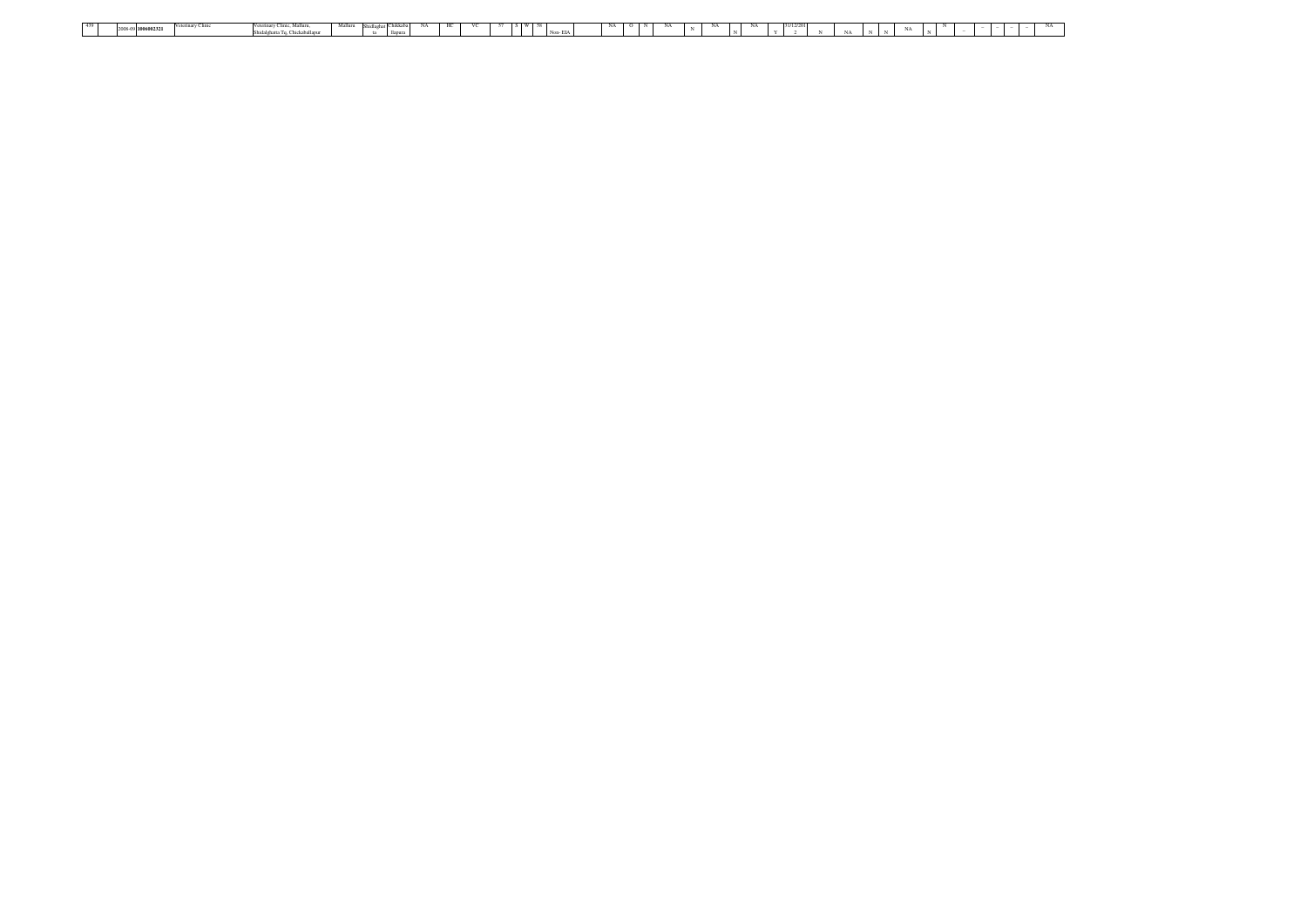| Malluru Shidlaghat Chikkaba NA HC<br>$S \tW 58$<br>NA 1<br>VC<br>NA<br>57<br>31/12/201<br>Veterinary Clinic Mallum<br>$\sqrt{a}$<br>2008-09 1006002321 |  |  |                                 |  |  |  |  |         |  |  |  |  |  |       |  |  |  |  |  |
|--------------------------------------------------------------------------------------------------------------------------------------------------------|--|--|---------------------------------|--|--|--|--|---------|--|--|--|--|--|-------|--|--|--|--|--|
|                                                                                                                                                        |  |  |                                 |  |  |  |  |         |  |  |  |  |  |       |  |  |  |  |  |
|                                                                                                                                                        |  |  | Shidalghatta To, Chickaballapur |  |  |  |  | Non-EIA |  |  |  |  |  | 1.1.1 |  |  |  |  |  |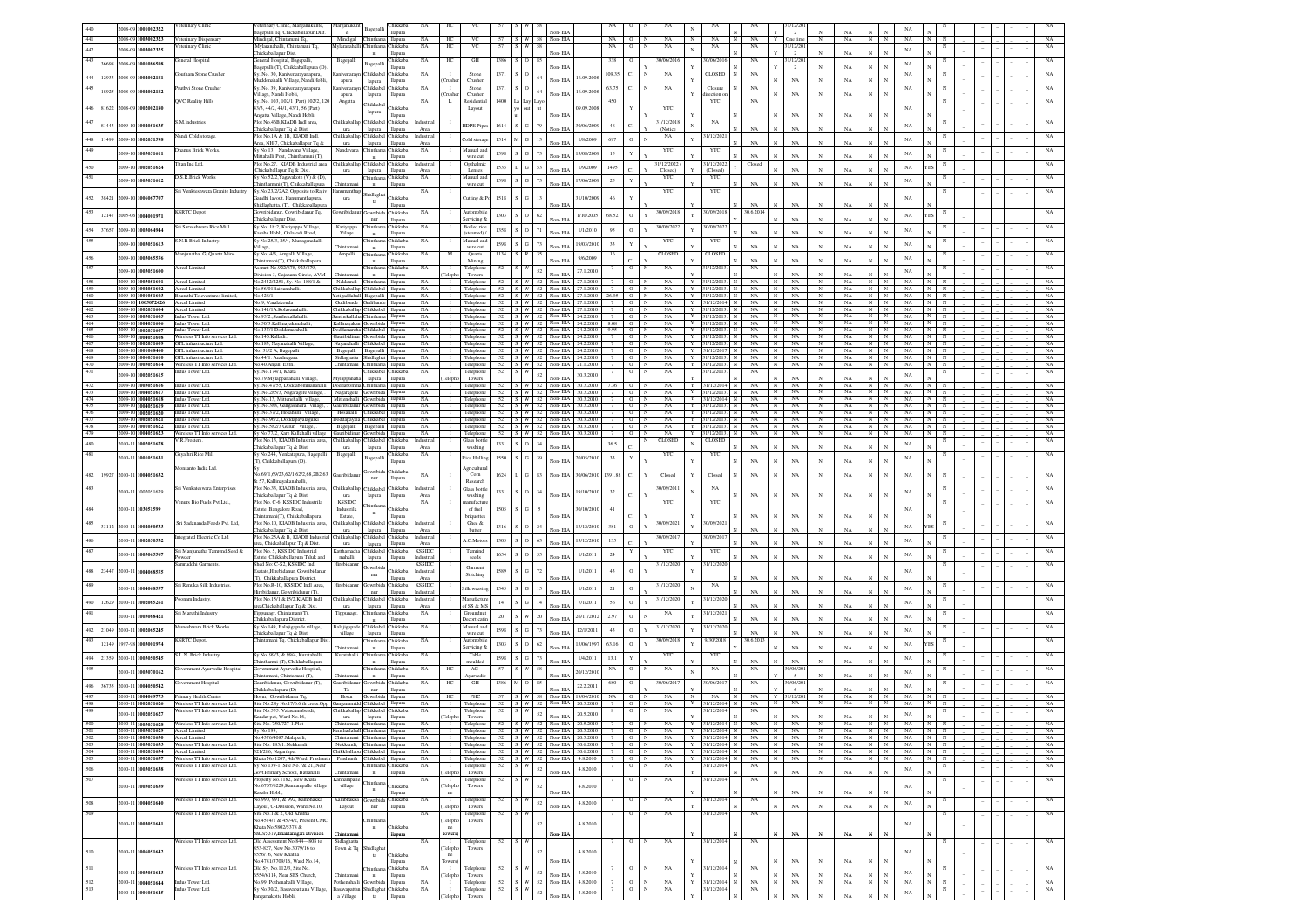|            | 2008-09 1001002322                                      | eterinary Clinic                                                 | eterinary Clinic, Marganukunte,                                         | Marganukunt                                      | Bagepalli                       | Chikkab.                  | $_{\rm NA}$                 |                                |                            |             |                                 |        |                                                                                                    |                |                               |                      | NA<br>N                                  |                         | 1/12/20                                                                        |                 |                                                        | NA                   |                                                   |  |  |                   |
|------------|---------------------------------------------------------|------------------------------------------------------------------|-------------------------------------------------------------------------|--------------------------------------------------|---------------------------------|---------------------------|-----------------------------|--------------------------------|----------------------------|-------------|---------------------------------|--------|----------------------------------------------------------------------------------------------------|----------------|-------------------------------|----------------------|------------------------------------------|-------------------------|--------------------------------------------------------------------------------|-----------------|--------------------------------------------------------|----------------------|---------------------------------------------------|--|--|-------------------|
| 441        | 2008-09 1003002323                                      | Veterinary Dispensary                                            | gepalli Tq, Chickaballapur Dist.<br>Mindigal, Chintamani Tq.            | $\rm ^{c}$<br>Mindigal                           | Chinthar                        | llapura<br>llapura        | NA                          | HC                             | vc                         | 57          |                                 |        | Non-EIA<br>S W 58 Non-EIA                                                                          | NA             | $\circ$<br>N                  | NA                   | NA<br>$_{\rm N}$                         | NA                      | $\overline{2}$<br>One tim<br>N<br>Y                                            | NA<br>NA        | N<br>$_{\rm N}$                                        | NA                   |                                                   |  |  | NA                |
| 442        | 2008-09 1003002325                                      | terinary Clini                                                   | Mvlaranahalli, Chintamani Tq.                                           | <b>Jylaranahalli</b>                             |                                 | hikkab                    | NA                          | HC                             | VC                         |             |                                 |        |                                                                                                    | NA             |                               | NA                   | NA<br>$\mathbf{N}$                       | NA                      | 1/12/20<br>$\mathbf{x}$                                                        | NA              |                                                        | NA                   |                                                   |  |  | NA                |
| 443        | 36698<br>2008-09 1001086508                             | eneral Hospital                                                  | hickaballapur Dist.<br>neral Hospital, Bagepalli,                       | Bagepalli                                        |                                 | llapura<br>hikkaba        | $_{\rm NA}$                 | HC                             | $\rm{GH}$                  | 1386 S      | $\circ$                         | 85     | Non-EIA                                                                                            | 338            |                               | 30/06/201            | 0/06/20                                  | NA                      | 1/12/20                                                                        |                 |                                                        | NA                   |                                                   |  |  | $_{\rm NA}$       |
|            |                                                         | outham Stone Crusher                                             | gepalli (T), Chikkaballapura (D)<br>y. No. 30, Kanivenarayanapura,      | nivenaray                                        | Bagepal<br>Chikkabal            | llapura<br><b>Thikkab</b> | NA                          |                                | Stone                      | 1371        | $\circ$                         |        | Non-EIA                                                                                            | 109.35         |                               | $_{\rm NA}$          | CLOSED                                   | $_{\rm NA}$             | N                                                                              | NA              |                                                        | $_{\rm NA}$          |                                                   |  |  | NA                |
|            | 444 12933 2008-09 1002002181                            |                                                                  | addenahalli Village, NandiHobli,                                        | apura                                            | lapura                          | llapura                   |                             | hushe                          | Crusher                    |             |                                 | 64     | 16.09.2008<br>Non-EIA                                                                              |                |                               |                      |                                          |                         | NA<br>$_{\rm N}$                                                               | NA              | N                                                      |                      |                                                   |  |  |                   |
| 445        | 18925<br>2008-09 1002002182                             | uthvi Stone Crusher                                              | y. No. 39, Kanivenarayanapura<br>llage, Nandi Hobli                     | anivenarava<br>apura                             | Chikkaba<br>lapura              | hikkab.<br>llapura        | NA                          | $\blacksquare$                 | Stone<br>Crushe            | 1371        |                                 | 64     | 16.09.2008<br>Non-EIA                                                                              | 63.75          |                               | NA                   | Closure<br>ection                        | NA                      | NA                                                                             | NA              |                                                        | NA                   |                                                   |  |  | NA                |
| 446        | 81622<br>2008-09 1002002180                             | <b>QVC Reality Hills</b>                                         | v. No. 103, 102/1 (Part) 102/2, 120<br>3/3, 44/2, 44/1, 43/1, 56 (Part) | Angatta                                          | <b>Thikkab</b>                  | hikkab                    | NA                          | L.                             | Residentia<br>Layout       | 1400        | la Lay                          |        | 09.09.200                                                                                          |                |                               | <b>YTC</b>           | YTC                                      | NA                      |                                                                                |                 |                                                        | NA                   |                                                   |  |  | NA                |
|            |                                                         |                                                                  | ngatta Village, Nandi Hobli,                                            |                                                  | lapura                          | llapura                   |                             |                                |                            |             |                                 |        | Non-EIA                                                                                            |                |                               |                      |                                          |                         | NA                                                                             | NA              |                                                        |                      |                                                   |  |  |                   |
| 447        | 81443<br>009-10 1002051635                              | M.Industries                                                     | lot No.46B, KIADB Indl area,<br>hickaballapur Tq & Dist.                | hikkaballa<br>ura                                | Chikkaba<br>lapura              | hikkaba<br>llapura        | Industrial<br>Area          |                                | <b>IDPE</b> Pipe           | 1614        | $S$ $G$                         | 79     | 30/06/200<br>Non-EIA                                                                               | $48\,$         |                               | 31/12/201<br>(Notice | NA<br>$_{\rm N}$                         | NA                      | <b>NA</b>                                                                      | NA              | N                                                      | NA                   |                                                   |  |  |                   |
| 448        | 11499<br>2009-10 1002051598                             | andi Cold storage.                                               | lot No.1A & 1B, KIADB Ind                                               | hikkaballap                                      | Chikkabal                       | hikkaba                   | Industrial                  |                                | Cold stora                 | 1514        | $\overline{G}$                  | 13     | 1/8/2009                                                                                           | 697            |                               | NA                   | 1/12/202                                 |                         | NA                                                                             | NA              |                                                        | $_{\rm NA}$          |                                                   |  |  |                   |
| 449        | 009-10 1003051611                                       | hanus Brick Works.                                               | rea, NH-7, Chickaballapur Tq &<br>y No.13, Nandavana Village,           | ura<br>Nandavana                                 | lapura<br>hinthar               | llapura<br>hikkab:        | Area<br>NA                  |                                | Manual and                 | 1598        | $S$ $G$                         | $73\,$ | Non-EIA<br>13/08/200                                                                               | 15             |                               | YTC                  | YTC                                      | NA                      |                                                                                |                 |                                                        |                      |                                                   |  |  |                   |
|            |                                                         | itan Ind Ltd,                                                    | tahalli Post, Chinthamani (T),<br>lot No.27, KIADB Industrial area      | hikkaballap                                      | ni<br>Chikkaba                  | llapura<br>hikkaba        | Industrial                  |                                | wire cut<br>Opthalmic      |             |                                 |        | Non-EIA                                                                                            |                |                               | 1/12/2022            | 1/12/202                                 | $_{\rm NA}$<br>Closed   | $_{\rm NA}$<br>$\mathbf{N}$                                                    | $_{\rm NA}$     | N                                                      | $_{\rm NA}$          |                                                   |  |  |                   |
| 450        | 2009-10 1002051624                                      |                                                                  | hickaballapur Tq & Dist.                                                | ura                                              | lapura                          | llapura                   | Area                        |                                | Lenses                     | 1535        | $\overline{G}$                  | 53     | 1/9/2009<br>Non-EIA                                                                                | 1495           |                               | Closed)              | (Closed                                  |                         | $_{\rm NA}$<br>$\mathbf{N}$                                                    | $_{\rm NA}$     | N                                                      | $_{\rm NA}$          |                                                   |  |  |                   |
|            | 2009-10 1003051612                                      | S.R.Brick Works                                                  | / No.52/2, Yagavakote (V) & (D),<br>nthamani (T), Chikkaballapura       |                                                  | hinthar<br>ni                   | hikkab<br>llapur          | $_{\rm NA}$                 |                                | Aanual and<br>wire cut     | 1598        | slg                             | 73     | 17/06/2009<br>Non-EL                                                                               | 25             |                               | YTC                  | YTC                                      | $_{\rm NA}$             | $_{\rm NA}$                                                                    | NA              |                                                        | NA                   |                                                   |  |  |                   |
| 452        | 38421<br>2009-10 1006067707                             | Venkteshwara Granite Industry                                    | Sy.No.23/2/2A2, Opposite to Rajiv<br>andhi layout, Har                  | urz                                              | Shidlagh                        | hikkab                    | $_{\rm NA}$                 |                                |                            | 1518        | $\overline{G}$                  | 13     | 1/10/200                                                                                           | 46             |                               | YTC                  | YTC                                      |                         |                                                                                |                 |                                                        | NA                   |                                                   |  |  |                   |
|            |                                                         |                                                                  | hidlaghatta, (T), Chikkaballapu                                         |                                                  | ta                              | llapura                   |                             |                                | Tutting &                  |             |                                 |        |                                                                                                    |                |                               |                      |                                          | NA                      | NA                                                                             | NA              |                                                        |                      |                                                   |  |  |                   |
| 453        | 12147<br>2005-06 1004001971                             | <b>SRTC</b> Depot                                                | wribidanur, Gowribidanur Tq,<br>hickaballapur Dist.                     | wribid                                           | iowribi<br>$_{\rm nur}$         | <b>Thikkab</b><br>llapura | NA                          |                                | Automobil<br>Servicing &   | 1303        | ${\bf S}$ 0 62                  |        | 1/10/2005                                                                                          | 68.52          |                               | 30/09/2018           | 0/09/20                                  | 30.6.2014               | <b>NA</b>                                                                      | NA              |                                                        | NA                   |                                                   |  |  |                   |
|            | 454 37657<br>2009-10 1003064944                         | Sri Sarveshwara Rice Mill                                        | Sy No: 18:2, Kariyappa Village,                                         | Kariyappa                                        | <b>hintha</b>                   | hikkab.                   | NA                          |                                | <b>Boiled</b> rice         | 1358        | $S$ O 71                        |        | 1/1/2010                                                                                           | 95             |                               | 30/09/2022           | 30/09/202                                |                         |                                                                                |                 |                                                        | NA                   |                                                   |  |  | NA                |
| 455        | 2009-10 1003051613                                      | N.R Brick Industr                                                | saba Hobli, Oolavadi Road,<br>/ No.25/3, 25/4, Munaganah                | Vilage                                           | ni<br>hintha                    | llapura<br>hikkal         | NA                          |                                | (steamed)<br>Manual an     | 1598        | $\,$ S $\,$ G $\,$ $\,$ 73 $\,$ |        | 19/03/2010                                                                                         | 33             |                               | YTC                  | YTC                                      | $_{\rm NA}$             | $_{\rm NA}$                                                                    | $_{\rm NA}$     |                                                        | NA                   |                                                   |  |  | $_{\rm NA}$       |
|            |                                                         | anjunatha. G, Quartz Mine                                        | illage,<br>Sy No: 4/3, Ampalli Village                                  | <b>Thintama</b><br>Ampalli                       | $\rm{ni}$                       | llapura<br>hikkab         | NA                          |                                | wire cut<br>Quarts         | 1134        | R                               |        |                                                                                                    |                |                               | CLOSEI               | CLOSEI                                   | NA                      | $_{\rm NA}$                                                                    | $_{\rm NA}$     |                                                        |                      |                                                   |  |  | NA                |
| 456        | 2009-10 1003065556                                      |                                                                  | intamani(T), Chikkaballapu                                              |                                                  | $\rm{ni}$                       | llapura                   |                             |                                | Mining                     |             |                                 |        | 9/6/2009                                                                                           |                |                               |                      |                                          | NA                      | NA                                                                             | NA              |                                                        | NA                   |                                                   |  |  |                   |
| 457        | 2009-10 1003051600                                      | ircel Limited                                                    | ssmnt No.922/878, 923/879<br>ivision 3, Gajanana Circle, AVM            | Chintan                                          | $\rm{ni}$                       | hikkab<br>llapura         | NA                          |                                | Telephone<br>Towers        | 52          |                                 | 52     | 27.1.2010<br>Non-EIA                                                                               |                |                               | $_{\rm NA}$          | 1/12/201                                 | $_{\rm NA}$             | NA<br>$\mathbf{v}$                                                             | NA              |                                                        | NA                   |                                                   |  |  | $_{\rm NA}$       |
| 458<br>459 | 2009-10 1003051601<br>2009-10 1002051602                | Aircel Limited<br>Aircel Limited                                 | No.2442/2251, Sy. No. 188/1 &<br>o.56/01Baipanahalli                    | Nekkundi<br>Chikkaballap                         | <b>Thintha</b><br>Chikkaba      | llapura<br>llapura        | NA<br>NA                    | $\mathbf{I}$<br>$\blacksquare$ | Telephone<br>Telephone     | 52          |                                 |        | 52 S W 52 Non-EIA<br>2712010<br>S W 52 Non-EIA<br>27.1.2010                                        |                | $\circ$<br>N<br>$_{\rm N}$    | NA<br>$_{\rm NA}$    | 31/12/201<br>31/12/2013                  | NA.<br>NA               | NA<br>$_{\rm N}$<br>$\mathbb{N}$<br>NA<br>N<br>N                               | NA<br>NA        | $_{\rm N}$<br>$_{\rm N}$<br>$_{\rm N}$<br>$\mathbf{N}$ | NA<br>NA             | $_{\rm N}$                                        |  |  | NA<br>NA          |
| 460<br>461 | 2009-10 1001051603<br>2009-10 1005072426                | <b>Bharathi Televentures limite</b><br>Aircel Limited            | No.428/1<br>io:9, Varalakond:                                           | Yetigaddahall Bagepalli<br>Gudibande             |                                 | llapura                   | NA<br>NA                    |                                | I Telephone<br>I Telephone |             |                                 |        | 52 S W 52 Non-EIA<br>27.1.2010<br>52 S W 52 Non-EIA<br>2712010                                     | 26.95          | N<br>$\circ$<br>$\Omega$<br>N | NA<br>NA             | 31/12/2013<br>Y<br>31/12/2014<br>Y       | NA<br>NA                | NA<br>N<br>$\mathbb{N}$<br>NA.<br>N<br>$\mathbb{N}$                            | NA<br>NA        | N<br>$\mathbb{N}$<br>$\mathbf{N}$<br>N                 | NA<br>NA             | $\overline{N}$<br>N N                             |  |  | NA<br>NA          |
| 462        | 2009-10 1002051604                                      | Aireel Limited                                                   | No.141/1A.Kolayanahalli                                                 | Chikkaballap Chikkabal                           |                                 | llapura<br>llapura        | NA                          |                                | I Telephone                |             |                                 |        | 52   S   W   52   Non- EIA   27   2010                                                             |                | $O$ N                         | NA                   | Y 31/12/2013                             | NA                      | I N I<br>NA<br>$\mathbf{N}$                                                    | NA              | $N$ $N$                                                | NA                   | N N                                               |  |  | NA                |
| 463<br>464 | 2009-10 1003051605<br>2009-10 1004051606                | Indus Tower Ltd.<br>Indus Tower Ltd.                             | o.95/2.,Santhekallahalli<br>No.50/3.Kallinavakanahalli.                 | Santhekallah<br>Kallinayakan Gowribida           | Chinthar                        | llapura<br>llapura        | NA<br><b>NA</b>             |                                | Telephone                  |             |                                 |        | 52 S W 52 Non-EIA<br>24.2.2010<br>I Telephone 52   S   W   52   Non-EIA   24.2.2010   8.08   O   N |                | $\Omega$<br>$\mathbb{N}$      | NA<br>NA             | Y<br>31/12/2013<br>$Y$ 31/12/2013        | $_{\rm NA}$<br>$NA$ $N$ | N<br><b>NA</b><br>NA<br>N                                                      | NA<br>NA        | N<br>N<br>N N                                          | NA<br>NA             | N I<br>$_{\rm N}$<br>N N                          |  |  | NA<br>NA          |
| 465<br>466 | 2009-10 1002051607<br>2009-10 1004051608                | Indus Tower Ltd.<br>Wireless TT Info services Ltd.               | (o.137/1.Dodda<br>šo, 140. Kalladi.                                     | Doddamaraha<br>Gauribidinur Gowribida            | Chikkabal                       | llapura                   | NA<br>NA                    | $\mathbf{I}$                   | Telephone<br>I Telephone   |             |                                 |        | 52   S   W   52   Non-EIA<br>24.2.2010<br>52   S   W   52   Non-EIA   24.2.2010                    | 9.95<br>7      | N<br>$\circ$<br>$O$ N         | NA<br>NA             | 31/12/2013<br>Y<br>Y 31/12/2013          | NA.<br>NA .             | N<br><b>NA</b><br>$\mathbf{N}$<br>NA<br>N                                      | <b>NA</b><br>NA | N<br>$N$ $N$                                           | N<br><b>NA</b><br>NA | N<br>N<br>N N                                     |  |  | NA<br>NA          |
| 467        | 2009-10 1002051609                                      | GTL infrastructure Ltd.                                          | io 183 Navanahalli Villas                                               | Nayanahalli Chikkabal                            |                                 | llapura<br>llapura        | <b>NA</b>                   | $\mathbf{I}$                   | Telephone                  |             |                                 |        | 52   S   W   52   Non-EIA<br>24.2.2010                                                             |                | $\circ$<br>N                  | NA                   | 31/12/2013<br><b>Y</b>                   | NA.                     | N<br><b>NA</b>                                                                 | <b>NA</b>       | N<br>N                                                 | NA                   | NI.<br>$\mathbb{N}$                               |  |  | NA                |
| 468<br>469 | 2009-10 1001068460<br>2009-10 1006051610                | GTL infrastructure Ltd.<br>GTL infrastructure Ltd.               | lo: 31/2 A, Bagepalli<br>0.44/1. Azadnagara                             | Bagepalli Bagepalli<br>Sidlaghatta Shidlaghat    |                                 | llapura<br>llapura        | NA<br><b>NA</b>             | $\blacksquare$                 | Telephone                  |             |                                 |        | I Telephone 52 S W 52 Non-EIA 24.2.2010<br>52   S   W   52   Non-EIA   24.2.2010                   |                | $O$ N<br>$O$ N                | NA<br>NA             | Y 31/12/2017<br>Y<br>31/12/2013          | NA N<br>NA .            | <b>NA</b><br>$\mathbb{N}$<br>NA                                                | NA<br>NA        | $N$ $N$<br>NN                                          | NA<br>NA             | $\mathbf{N}$<br>$_{\rm N}$<br>1 N L<br>$_{\rm N}$ |  |  | NA<br>NA          |
| 470<br>471 | 2009-10 1003051614                                      | Wireless TT Info services Ltd.<br>dus Tower Ltd.                 | No.40.Aniani Extn<br>y. No.174/1, Khata                                 | Chintamani Chinthama                             | Chikkabal                       | llapura<br>hikkab.        | <b>NA</b><br>NA             | $\blacksquare$                 | Telephone<br>Telephone     | 52          |                                 |        | 52   S   W   52   Non-EIA   21.1.2010                                                              |                | $O$ N                         | NA<br>NA             | Y<br>31/12/2013<br>1/12/201              | NA N<br>NA              | NA<br>N                                                                        | NA              | N                                                      | N I<br>NA            | $_{\rm N}$                                        |  |  | NA<br>NA          |
|            | 2009-10 1002051615                                      |                                                                  | o.79,Mylappanahalli Village                                             | Mylapp.                                          | lapura                          | llapura                   |                             | eleph                          | Towers                     |             |                                 | $52\,$ | 30.3.2010<br>Non-EIA                                                                               |                |                               |                      |                                          |                         | <b>NA</b>                                                                      | NA              |                                                        | NA                   |                                                   |  |  |                   |
| 472<br>473 | 2009-10 1003051616<br>2009-10 1004051617                | Indus Tower Ltd.<br>Indus Tower Ltd.                             | Sy. No.47/55, Doddabommanahalli<br>Sy. No.285/3, Nagaragere village, .  | Doddabomma Chinthama<br>Nagaragere Gowribida     |                                 | llapura<br>llapura        | NA<br>NA                    |                                | I Telephone<br>I Telephone |             |                                 |        | 52 S W 52 Non-EIA 30.3.2010 7.36<br>52 S W 52 Non-EIA 30.3.2010                                    |                | O N<br>$O$ N                  | NA<br>NA             | Y<br>31/12/2014<br>Y 31/12/2013.         | NA.<br>NA               | NA<br>$\mathbb{N}$<br>N<br>NA<br>$_{\rm N}$                                    | NA<br>NA        | N N<br>$N$ $N$                                         | NA<br>NA             | $\mathbb{N}$<br>N<br>$N$ $N$                      |  |  | - NA<br>NA        |
| 474<br>475 | 2009-10 1004051618<br>2009-10 1004051619                | Indus Tower Ltd.<br>Indus Tower Ltd.                             | Sy. No.13, Mittenehalli village,<br>Sy. No.388, Gangasandra village, .  | Mittenehalli Gowribida<br>Gauribidanur Gowribida |                                 | llapura<br>llapura        | NA<br>NA                    | $\mathbf{I}$                   | Telephone                  |             |                                 |        | 52 S W 52 Non-EIA 30.3.2010<br>1 Telephone 52 S W 52 Non-EIA 30.3.2010                             |                | O N<br>$O$ N                  | NA<br>NA             | Y 31/12/2014<br>31/12/2013.              | NA.<br>NA               | $\overline{N}$<br>NA<br>NA<br>N                                                | NA<br>NA        | $\mathbb{N}$<br>N                                      | N<br>NA<br>N<br>NA   | N N<br>N N                                        |  |  | NA<br>NA          |
| 476        | 2009-10 1002051620                                      | Indus Tower Ltd.                                                 | Sy. No.37/2, Hosahalli village,                                         | Hosahalli Chikkabal                              |                                 | llapura                   | NA                          |                                | Telephone                  |             |                                 |        | 52 S W 52 Non-EIA                                                                                  |                | $\overline{0}$<br>N           | NA                   |                                          | NA                      | $\mathbb{N}$<br>NA                                                             | NA              | N                                                      | $\mathbb{N}$<br>NA   | N                                                 |  |  | NA                |
| 478        | 2009-10 1002051621<br>2009-10 1001051622                | Indus Tower Ltd<br>Indus Tower Ltd.                              | y. No.96/2, Doddapayalagurki<br>Sv. No.582/3 Gulur village.             | Doddapayala Chikkabal<br>Bagepalli Bagepalli     |                                 | llapura<br>llapura        | NA<br>NA                    |                                | I Telephone<br>I Telephone |             |                                 |        | 52 S W 52 Non-EIA<br>30.3.2010<br>52 S W 52 Non-EIA 30.3.2010                                      | $\overline{7}$ | $O$ N<br>O N                  | NA<br>NA             | 31/12/2013<br>Y 31/12/2013               | NA<br>$NA$ $N$          | NA<br>N<br>NA<br>N                                                             | NA<br>NA        | N<br>NN                                                | N<br>NA<br>NA        | $_{\rm N}$<br>N<br>TN I<br>N                      |  |  | NA<br>NA          |
| 479        | 2009-10 1004051623                                      | Wireless TT Info services Ltd.<br>/.R.Frosters                   | Sv No.77/2, Kare Kallahalli village<br>lot No.13, KIADB Industrial area | Gauribidinur<br>hikkaballap                      | Chikkaba                        | llapura<br>hikkab         | NA<br><b>Industria</b>      | $\mathbf{I}$                   | Telephone<br>Glass bottl   |             |                                 |        | 52 S W 52 Non-EIA<br>30.3.2010                                                                     | $\overline{7}$ | $O$ N                         | NA<br>CLOSEI         | Y 31/12/2013<br>CLOSED                   | NA                      | $\overline{N}$<br>NA                                                           | NA              | $\mathbb{N}$<br>$\mathbb{N}$                           | NA                   | N                                                 |  |  | NA<br>$_{\rm NA}$ |
| 480        | 2010-11 1002051678                                      |                                                                  | hickaballapur Tq & Dist.                                                | ura                                              | lapura                          | llapura                   | Area                        |                                | washing                    | 1331        | $S$ 0                           | 34     | Non-EIA                                                                                            | 36.5           |                               |                      | $\mathbf N$                              | NA                      | NA                                                                             | NA              |                                                        | NA                   |                                                   |  |  |                   |
| 481        | 2010-11 1001051631                                      | ayathri Rice Mill                                                | y No.244, Venkatapura, Bagepalli<br>T), Chikkaballapura (D).            | Bagepalli                                        | Bagepall                        | hikkab<br>llapura         | $_{\rm NA}$                 |                                | <b>Rice Hullin</b>         | 1550 S G 39 |                                 |        | 20/05/2010<br>Non-FIA                                                                              | 33             |                               | YTC                  | YTC                                      | NA                      | <b>NA</b><br>N                                                                 | NA              |                                                        | NA                   |                                                   |  |  | $_{\rm NA}$       |
| 482        | 19927<br>2010-11 1004051632                             | onsanto India Ltd.                                               | o.69/1,69/23,62/1,62/2,68,2B2,63                                        | uribida                                          | jowribio                        | hikkaba                   | $_{\rm NA}$                 |                                | Agricultur<br>Corn         | 1624        | $G$ 83                          |        | Non-EIA<br>30/06/2010                                                                              | 1391.81        |                               | Closed               | Closed                                   | $_{\rm NA}$             | $_{\rm NA}$<br>$_{\rm N}$                                                      | $_{\rm NA}$     | N                                                      | $_{\rm NA}$          |                                                   |  |  | NA                |
|            |                                                         |                                                                  | 57. Kallinavakanahalli.<br>lot No.33, KIADB Industrial area             |                                                  | nur<br>Chikkaba                 | llapura                   | Industrial                  |                                | Research<br>Glass bottl    |             |                                 |        |                                                                                                    |                |                               |                      |                                          |                         |                                                                                |                 |                                                        |                      |                                                   |  |  |                   |
| 483        | 010-11 1002051679                                       | ri Venkateswara Enterprise                                       | hickaballapur To & Dist.                                                | "hikkaballap<br>ura                              | lapur:                          | hikkaba<br>llapura        | Area                        |                                | washing                    | 1331        | S O 34                          |        | 19/10/2010<br>Non-FIA                                                                              | 32             |                               | 30/09/2011           | NA<br>$\mathbf{N}$                       | NA                      | <b>NA</b><br>$_{\rm N}$                                                        | $_{\rm NA}$     |                                                        | NA                   |                                                   |  |  | NA                |
| 484        | 010-11 103051595                                        | enurs Bio Fuels Pvt Ltd                                          | lot No. C-6, KSSIDC Indus<br>state. Bangalore Road.                     | <b>KSSIDC</b><br>Industrila                      | <b>hinth</b>                    | hikkab                    | NA                          |                                | mufact<br>of fuel          | 1505        | $\mathbb{G}$                    |        | 30/10/2010                                                                                         | 41             |                               | YTC                  | YTC                                      |                         |                                                                                |                 |                                                        | NA                   |                                                   |  |  |                   |
| 485        |                                                         | Sri Sadananda Foods Pvt. Ltd.                                    | hintamani(T), Chikkaballapur.<br>Plot No.10, KIADB Industrial area      | Estate,<br>Thikkaballar                          | ni<br>Chikkaba                  | llapur<br>hikkaba         | Industrial                  |                                | riquette<br>Ghee &         |             |                                 |        | Non-FL                                                                                             |                |                               | 30/09/2021           | 30/09/202                                |                         | NA                                                                             | NA              |                                                        |                      |                                                   |  |  |                   |
|            | 33112<br>2010-11 1002050533                             |                                                                  | hickaballapur Tq & Dist.                                                | ura                                              | lapura                          | llapura                   | Area                        |                                | butter                     | 1316        | $\circ$                         | $24\,$ | 13/12/201<br>Non-EIA                                                                               | 381            |                               |                      |                                          | NA                      | $_{\rm NA}$                                                                    | NA              | N                                                      | NA                   |                                                   |  |  |                   |
|            | 1002050532                                              | tegrated Electric Co Ltd                                         | Plot No.25A & B. KIADB Industria<br>ea, Chickaballapur Tq & Dist.       | hikkaballar<br>ura                               | Chikkabal<br>lapura             | hikkaba<br>llapura        | Industrial<br>Area          |                                | A.C.Motor                  | 1303        | $\circ$                         | 63     | 13/12/201<br>Non-EIA                                                                               | 135            |                               | 30/09/201            | 0/09/201                                 | NA                      | NA                                                                             | NA              |                                                        | NA                   |                                                   |  |  | NA                |
| 487        | 010-11 1003065567                                       | ri Manjunatha Tamrend Seed &<br>əwder                            | lot No. 5, KSSIDC Industrial<br>state, Chikkaballapura Taluk and        | Catthamacha<br>mahalli                           | Chikkabal<br>lapura             | hikkaba<br>llapura        | <b>KSSIDC</b><br>Industrial |                                | Tamrind<br>seeds           | 1654        | $\overline{\phantom{a}}$        | 55     | 1/1/201<br>Non-EIA                                                                                 | $\sqrt{24}$    |                               | YTC                  | YTC                                      | NA                      | $_{\rm NA}$                                                                    | NA              | N                                                      | $_{\rm NA}$          |                                                   |  |  |                   |
|            |                                                         | mruddhi Garments                                                 | hed No: C-S2, KSSIDC Indl                                               | lirebidanu                                       | jowribi                         |                           | <b>KSSIDC</b>               |                                | Garmen                     |             | l G                             |        |                                                                                                    |                |                               | 31/12/202            | 1/12/202                                 |                         |                                                                                |                 |                                                        |                      |                                                   |  |  |                   |
| 488        | 23447<br>2010-11 1004068555                             |                                                                  | satate, Hirebidanur, Gowribidanu<br>I), Chikkaballapura District.       |                                                  | nur                             | hikkab<br>llapura         | Industrial<br>Area          |                                | Stitching                  | 1589        |                                 | 72     | 1/1/2011                                                                                           | 43             |                               |                      |                                          | NA                      | $_{\rm NA}$                                                                    | NA              |                                                        | NA                   |                                                   |  |  |                   |
| 489        | 2010-11 1004068557                                      | ri Renuka Silk Industries                                        | Plot No.R-10, KSSIDC Indl Area,<br>ebidanur, Gowribidanur (T),          | Hirebidan                                        | <b>Jowribid</b><br>$_{\rm nur}$ | hikkaba<br>llapura        | <b>KSSIDC</b><br>Industrial |                                | Silk weavi                 | 1545        | ${\bf S}={\bf G} = 15$          |        | 1/1/2011<br>Non-EL                                                                                 | 21             |                               | 31/12/202            | NA<br>N                                  | NA                      | $_{\rm NA}$                                                                    | $_{\rm NA}$     |                                                        | $_{\rm NA}$          |                                                   |  |  | NA                |
| 490        | 12629 2010-11 1002065261                                | onam Industry                                                    | lot No.15/1 & 15/2.KIADB Indi                                           | hikkaball.                                       | Chikkaba                        | hikkaba                   | Industria                   |                                | Manufactu                  | 14          | $S - G$                         | $14\,$ | 7/1/2011                                                                                           | 56             |                               | 31/12/202            | 1/12/202                                 |                         |                                                                                | NA              |                                                        | NA                   |                                                   |  |  | NA                |
| 491        | 2010-11 1003068421                                      | i Maruthi Industry                                               | aChickaballapur Tq & Dist.<br>'ippunagr, Chintamani(T),                 | ura<br>Tippunagr                                 | lapura<br>hinth                 | llapura<br>hikkab         | Area<br>$_{\rm NA}$         |                                | of SS & M:<br>Groundnu     | 20          | $\mathrm{S}$ W $-20$            |        | 26/11/2012                                                                                         | 2.97           |                               | $_{\rm NA}$          | 31/12/202                                |                         | $_{\rm NA}$                                                                    |                 |                                                        | NA                   |                                                   |  |  | $_{\rm NA}$       |
|            |                                                         | uneshwara Brick Works                                            | hikkaballapura District.<br>Sy.No.149, Balajigapade village,            | <b>Balajigapade</b>                              | $\rm{ni}$<br><b>Thikkaba</b>    | llapura<br>hikkab         | $_{\rm NA}$                 |                                | lecorticati<br>Manual an   |             |                                 |        | Non-FIA                                                                                            |                |                               | 31/12/202            | 1/12/202                                 | NA                      | NA<br>$\mathbf{N}$                                                             | NA              |                                                        |                      |                                                   |  |  | $_{\rm NA}$       |
| 493        | 492 21049<br>2010-11 1002065245                         | <b>KSRTC</b> Depot,                                              | hickaballapur Tq & Dist.<br>hintamani Tq, Chickaballapur Dis            | village                                          | lapura                          | llapura                   | NA                          |                                | wire cut<br>Automobi       | 1598        | $S$ $G$ 73                      |        | 12/1/2011<br>Non-FIA                                                                               | 43             |                               | 30/09/201            | 9/30/201                                 | NA<br>30.6.201          | NA<br>N                                                                        | NA              |                                                        | NA                   |                                                   |  |  | NA                |
|            | 12149<br>1997-98 1003001974                             |                                                                  |                                                                         | hintamar                                         | ni                              | hikkab.<br>llapura        |                             |                                | ervicing &                 | 1303        | ${\bf S}$ O $=62$               |        | 15/06/1997<br>Non-EL                                                                               | 63.16          |                               |                      |                                          |                         | $_{\rm NA}$                                                                    | $_{\rm NA}$     |                                                        | $_{\rm NA}$          |                                                   |  |  |                   |
|            | 494 21359 2010-11 1003050545                            | S.L.N. Brick Industry                                            | Sy No. 99/3, & 99/4, Kuratahalli,<br>inthamni (T), Chikkaballapura      | Kuratahalli                                      | <b>hinthar</b><br>ni            | hikkab:<br>llapura        | NA                          | - 1                            | Table<br>moulded           | 1598        | $\,$ S $\,$ G $\,$ $\,$ 73 $\,$ |        | 1/4/2011<br>Non-EL                                                                                 | 13.1           |                               | YTC                  | YTC                                      | NA                      | $_{\rm NA}$                                                                    | $_{\rm NA}$     |                                                        | NA                   |                                                   |  |  | NA                |
| 495        | 2010-11 1003070162                                      | overnment Ayurvedic Hospital                                     | vernment Ayurvedic Hospital,<br>hintamani, Chintamani (T),              | Chintama                                         | hinthar<br>ni                   | hikkal<br>llapura         | NA                          |                                | AG-<br>Ayurvedi            |             | S W                             |        | 20/12/2010<br>Non-EL                                                                               |                |                               | $_{\rm NA}$          | NA<br>N                                  | NA                      | 1/06/20<br>$\sim$                                                              | NA              |                                                        | NA                   |                                                   |  |  | NA                |
| 496        | 36735<br>2010-11 1004050542                             | vemment Hospita                                                  | ribidanur, Gowribidanur (T),                                            | <b>Jauribidan</b>                                | owrib                           | hikkab.                   | NA                          | HO                             | $\operatorname*{GH}$       | 1386        | $\overline{\phantom{a}}$        | 85     | 22.2.2011                                                                                          | 680            |                               | 30/06/201            | 0/06/20                                  | $_{\rm NA}$             | 0/06/20                                                                        |                 |                                                        | NA                   |                                                   |  |  | $_{\rm NA}$       |
| 497        | 010-11 1004069773                                       | Primary Health Centre                                            | hikkaballapura (D)<br>Hosur, Gowribidanur Tq.                           | Tq<br>Hosur                                      | nur<br>Gowribio                 | llapura<br>llapura        | NA                          | HC                             | PHC                        |             |                                 |        | Non-EIA<br>57 S W 58 Non-EIA 19/04/2010                                                            | $_{\rm NA}$    | $_{\rm N}$<br>$\circ$         | $_{\rm NA}$          | $_{\rm N}$<br>$_{\rm NA}$                | NA                      | 6<br>1/12/20<br>$_{\rm N}$<br>Y.                                               | NA<br>NA        | $_{\mathrm{N}}$<br>$_{\rm N}$                          | $_{\rm NA}$          |                                                   |  |  | NA                |
| 498<br>499 | 2010-11 1002051626                                      | Wireless TT Info services Ltd.<br>fireless TT Info services Ltd. | Site No.2Sy No.17/6.6 th cross.Opp<br>Site No.555. Valasannabeedi.      | Ganganamidd<br>Chikkaballap                      | Chikkaba<br>Chikkaba            | llapura<br>hikkab:        | NA<br>NA                    | $\mathbf{I}$<br>$\blacksquare$ | Telephone<br>Telephone     | 52          | S W                             |        | 52 S W 52 Non-EIA 20.5.2010                                                                        | 7              | $O$ N<br>$\circ$              | NA<br>NA             | $\mathbf{Y}$<br>31/12/2014<br>31/12/2014 | NA<br>NA                | I N I<br>NA<br>$_{\rm N}$                                                      | NA              | $\mathbb{N}$<br>$_{\rm N}$                             | NA                   | N.<br>$_{\rm N}$                                  |  |  | NA                |
|            | 2010-11 1002051627                                      |                                                                  | clar rust Ward No                                                       |                                                  |                                 |                           |                             |                                |                            |             |                                 | 52     | 20.5.2010                                                                                          |                |                               |                      |                                          |                         |                                                                                |                 |                                                        | $_{\rm NA}$          |                                                   |  |  |                   |
| 500<br>501 | 2010-11 1003051629 Aircel Limited                       | 2010-11 1003051628 Wireless TT Info services Ltd.                | Site No. 750/727-1 Plot<br>Sy No.199.                                   | Chintsmani Chinthama<br>Kencharlahall Chinthama  |                                 | llapura<br>llapura        | - NA<br>NA                  |                                |                            |             |                                 |        | 1 Telephone 52 S W 52 Non-EIA 20.5.2010<br>I Telephone 52 S W 52 Non-EIA 20.5.2010                 | 7              | O N<br>$O$ N                  | - NA<br>NA           | Y 31/12/2014<br>Y 31/12/2014             | NA                      | $NA$ N NA<br>$\mathbf{N}$<br>$\mathsf{I}$ $\mathsf{N}$ $\mathsf{I}$<br>NA<br>N | NA              | NA NN<br>N N                                           | - NA<br>NA           | N N<br>N N                                        |  |  | NA<br><b>NA</b>   |
| 502<br>503 | 2010-11 1003051630 Aircel Limited<br>2010-11 1003051633 | Windess TT Info services Ltd.                                    | No.4376/4087.Malapalli,<br>Cita No. 185/1 Nakkundi                      | Chintamani Chinthama llapura  <br>Nekkundi.      | Chintham                        | llapura                   | NA<br>NA                    |                                | I Telephone                |             |                                 |        | I Telephone 52 S W 52 Non-EIA 20.5.2010<br>52   S   W   52   Non-EIA   30.6.2010                   | 7<br>7         | O N<br>0 N                    | NA<br>NA             | Y 31/12/2014<br>$Y = 31/12/2014$         | NA                      | NA N NA<br>$_{\rm N}$<br>N NA<br>N                                             | NA              | IN N                                                   | NA NNNNN<br>NA       | IN N<br>N N                                       |  |  | NA<br>NA          |
| 504<br>505 | 2010-11 1002051634                                      | Aircel Limited                                                   | 21/286, Nagarthpet                                                      | Chikkhallanu Chikkahal                           |                                 | llapura                   | NA                          |                                | I Telephone                |             |                                 |        | 52   S   W   52   Non-EIA   30.6.2010                                                              |                | $O$ N                         | NA                   | Y 31/12/2014                             | NA .                    | N NA<br>$_{\rm N}$                                                             |                 | $NA$ $N$ $N$<br>NA NN                                  | <b>NA</b>            | N N                                               |  |  | NA                |
| 506        | 2010-11 1002051637<br>2010-11 1003051638                | Wireless TT Info services Ltd.<br>fireless TT Info services Ltd. | Khata No.1207, 4th Ward, Prash;<br>v No.139-1. Site No.7& 21. Nea       | Prashanth Chikkabal                              |                                 | llapura  <br>hikkaba      | NA<br>NA                    | $\mathbf{L}$                   | I Telephone<br>Telephone   | 52          | S W                             | $52\,$ | 52 S W 52 Non-EIA 4.8.2010<br>4.8.2010                                                             | 7              | O N<br>$\Omega$               | NA<br>NA             | Y 31/12/2014<br>31/12/2014               | NA 1<br>NA.             | N NA<br>N                                                                      |                 |                                                        | NA<br>NA             | N N                                               |  |  | NA<br>NA          |
| 507        |                                                         | Vireless TT Info services Ltd.                                   | ovt.Primary School, Batlahalli<br>roperty No.1182, New Khata            | Chintaman<br>Kannampalle                         | ni                              | llapura                   | NA                          | Teleph<br>$\blacksquare$       | Towers<br>Telephone        | 52          |                                 |        | Non-EIA                                                                                            |                | $\circ$                       | $_{\rm NA}$          | 31/12/2014                               | NA.                     | <b>NA</b><br>$\mathbb{N}$                                                      | NA              | $\mathbb{N}$                                           |                      |                                                   |  |  | NA                |
|            | 2010-11 1003051639                                      |                                                                  | o.6707/6229, Kannampalle village<br>asaba Hobli,                        | village                                          | $\rm{ni}$                       | <b>Thikkab</b>            |                             | Teleph                         | Towers                     |             |                                 | 52     | 4.8.2010<br>Non-EIA                                                                                |                |                               |                      |                                          |                         | $_{\rm NA}$                                                                    | $_{\rm NA}$     |                                                        | NA                   |                                                   |  |  |                   |
| 508        | 2010-11 1004051640                                      | ireless TT Info services Ltd.                                    | No.990, 991, & 992, Kambhakka                                           | Kambhakka                                        | Gowribida                       | llapura<br>hikkab:        | NA                          | $\mathbf{I}$                   | Telephone                  | 52          |                                 | $52\,$ | 4.8.2010                                                                                           |                |                               | $_{\rm NA}$          | 31/12/201                                | $_{\rm NA}$             |                                                                                |                 |                                                        | $_{\rm NA}$          |                                                   |  |  | $_{\rm NA}$       |
| 509        |                                                         | Vireless TT Info services Ltd.                                   | ayout, C-Division, Ward No.10,<br>Site No.1 & 2, Old Khatha             | Layout                                           | nur                             | llapura                   | $_{\rm NA}$                 | Teleph<br>$\blacksquare$       | Towers<br>Telephone        | 52          |                                 |        | Non-EIA                                                                                            |                | $\circ$                       | $_{\rm NA}$          | 31/12/2014                               | $_{\rm NA}$             | NA<br>$\overline{N}$                                                           | $_{\rm NA}$     | $\mathbf{N}$                                           |                      |                                                   |  |  | $_{\rm NA}$       |
|            | 2010-11 1003051641                                      |                                                                  | o.4574/1 & 4574/2, Present CMC<br>Khata No.5802/5378 &                  |                                                  | hintha                          | <b>Thikkab</b>            |                             | Teleph                         | Towers                     |             |                                 | 52     | 4.8.2010                                                                                           |                |                               |                      |                                          |                         |                                                                                |                 |                                                        | NA                   |                                                   |  |  |                   |
|            |                                                         |                                                                  | 5803/5379, Bhaktanagari Division                                        | Chinta                                           | ni                              | llapura                   |                             |                                |                            |             |                                 |        | Non-EIA                                                                                            |                |                               |                      |                                          |                         | $_{\rm NA}$<br>$_{\rm N}$                                                      | $_{\rm NA}$     | N                                                      |                      |                                                   |  |  |                   |
|            |                                                         | ireless TT Info services Ltd.                                    | Old Assessment No.844-808 to<br>853-827, New No.3079/16 to              | Sidlaghatta<br>Town & Tq                         | hidlagh                         |                           | NA                          | Τ<br>Teleph                    | Telephone<br>Towers        | 52          |                                 | 52     | 4.8.2010                                                                                           |                | $\mathbf O$                   | NA                   | 31/12/20                                 | NA                      |                                                                                |                 |                                                        |                      |                                                   |  |  | NA                |
| 510        | 2010-11 1006051642                                      |                                                                  | 3556/16, New Khatha<br>No.4781/3709/16, Ward No.14                      |                                                  | $_{\rm ta}$                     | hikkab<br>llapura         |                             |                                |                            |             |                                 |        |                                                                                                    |                |                               |                      |                                          |                         | NA                                                                             | NA              |                                                        | NA                   |                                                   |  |  |                   |
| 511        | 2010-11 1003051643                                      | Treless TT Info services Ltd                                     | Old Sy. No.112/3, Site No.                                              |                                                  |                                 | hikkab                    | $_{\rm NA}$                 | $\mathbf{I}$                   | Telephone                  | 52          |                                 | 52     | 4.8.2010                                                                                           |                |                               | $_{\rm NA}$          | 31/12/201                                | $_{\rm NA}$             | $\mathbf{N}$                                                                   | NA              | $\mathbf{N}$                                           | NA                   |                                                   |  |  | $_{\rm NA}$       |
| 512        | 2010-11 1004051644                                      | Indus Tower Ltd.                                                 | 5554/6114, Near SFS Church,<br>No.99, Pothenahalli Village              | Chintar<br>Pothenahalli                          | ni<br>Gowribid                  | llapura<br>llapura        | NA                          | Teleph                         | Towers<br>I Telephone      |             |                                 |        | Non-EIA<br>52 S W 52 Non-EIA<br>4.8.2010                                                           |                | $\circ$<br>$_{\rm N}$         | NA                   | 31/12/2014<br>Y                          | NA .                    | <b>NA</b><br>$\overline{N}$<br>NA<br>N                                         | NA              | $\;$ N<br>$_{\rm N}$                                   | NA                   | $_{\rm N}$<br>N                                   |  |  | NA .              |
| 513        | 2010-11 1006051645                                      | dus Tower Ltd.                                                   | Sy No.30/2, Basavapattana Village<br>sgamakotte Hobli.                  | Basavapattar<br>a Village                        | Shidlagha<br>$12$               | hikkaba<br>llapura        | NA                          |                                | Telephone<br>Towers        | 52          | S W                             | $52\,$ | 4.8.2010<br>Non-FIA                                                                                |                |                               | $_{\rm NA}$          | 31/12/2014                               | NA                      | NA<br>$\mathbf{N}$                                                             | NA              | $\mathbf{N}$                                           | $_{\rm NA}$          | $_{\rm N}$                                        |  |  | NA                |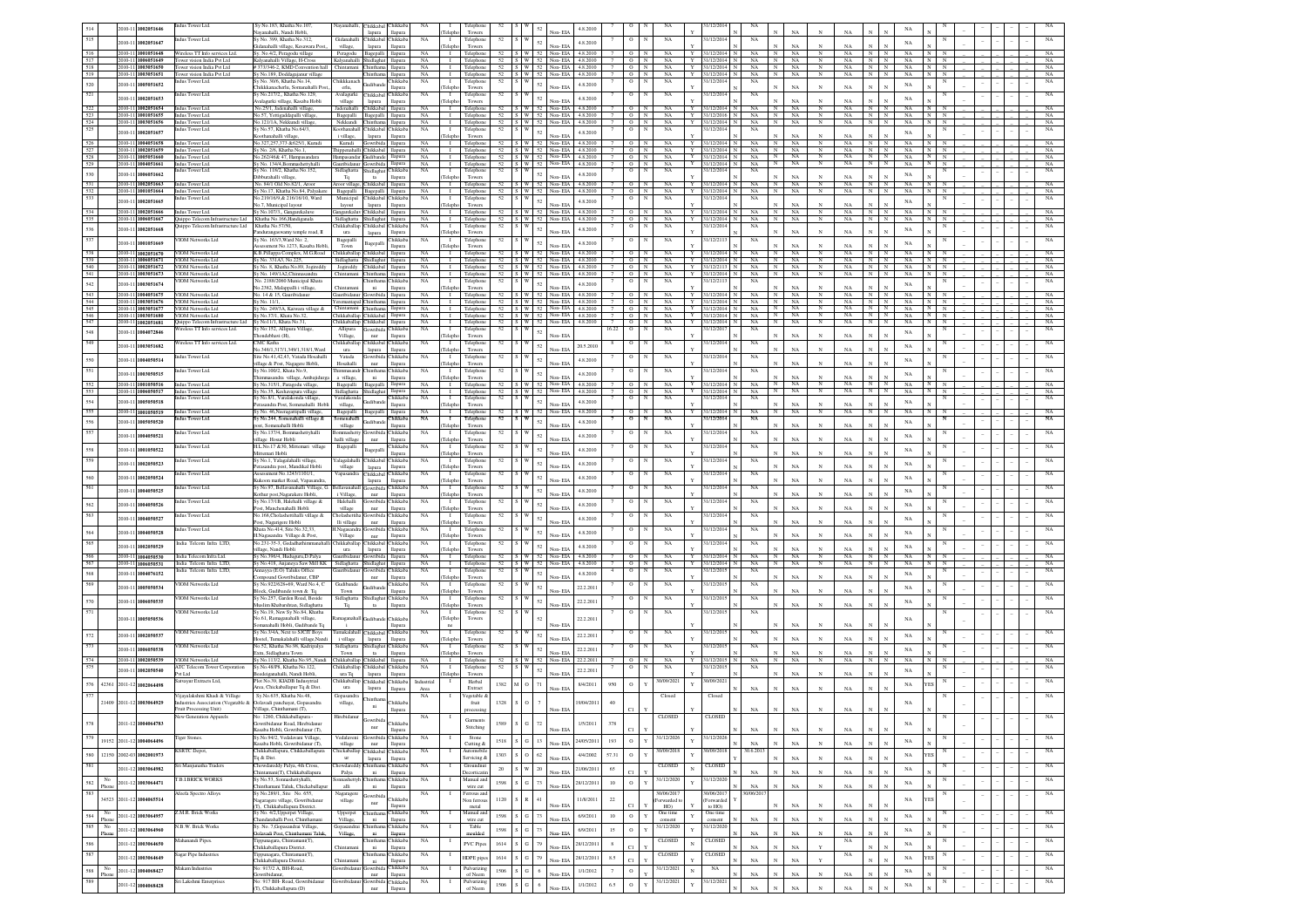|            | 2010-11 1002051646                        | dus Tower Ltd.                                                                              | v No.183. Khatha No.107                                                |                                             | <b>Thikkaba</b>          | hikkab                     | $_{\rm NA}$            |                                | Telephone                        |      |                                 | 52     | 4.8.2010                                                           |                     |                      |                       | 1/12/201                           |                        |                              | NA                                     |             |                   |                                      |                              |  |  |             |
|------------|-------------------------------------------|---------------------------------------------------------------------------------------------|------------------------------------------------------------------------|---------------------------------------------|--------------------------|----------------------------|------------------------|--------------------------------|----------------------------------|------|---------------------------------|--------|--------------------------------------------------------------------|---------------------|----------------------|-----------------------|------------------------------------|------------------------|------------------------------|----------------------------------------|-------------|-------------------|--------------------------------------|------------------------------|--|--|-------------|
| 515        | 010-11 1002051647                         | dus Tower Ltd.                                                                              | vanahalli, Nandi Hobli<br>Sy No. 399, Khatha No.312,                   | Gidanahalli                                 | lapura<br><b>Thikkab</b> | llapura<br>hikkab          | NA                     | Teleph<br>$\mathbf{I}$         | Towers<br>Telephon               | 52   |                                 | $52\,$ | Non-FL<br>4.8.2010                                                 |                     |                      | NA                    | 31/12/201                          | NA                     |                              |                                        |             |                   | NA                                   |                              |  |  | NA          |
| 516        | 2010-11 1001051648                        | Wireless TT Info services Ltd.                                                              | idanahalli village, Kesawara Po                                        | village,                                    | lapura                   | llapura                    | NA                     | eleph                          | Towers<br>I Telephone            |      |                                 |        | Non-FIA<br>52 S W 52 Non-EIA 4.8.2010                              |                     | $O$ N                | NA                    | 31/12/201-                         | NA                     | $\overline{N}$               | NA<br>NA<br>$\mathbb{N}$               | NA<br>NA.   | $\overline{N}$    | - NA<br>N                            | N.                           |  |  | NA          |
| 517        | 2010-11 1006051649                        | Tower vision India Pvt Ltd                                                                  | Sy. No.4/2, Peragodu village<br>Calvanahalli Village, H-Cross          | Peragodu<br>Kalvanahalli Shidlagha          | Bagepalli                | llapura                    | NA                     | $\blacksquare$                 | Telephone                        |      |                                 |        | 52   S   W   52   Non-EIA   4.8.2010                               | $\overline{7}$      | O N                  | NA                    | Y<br>31/12/2014<br><b>Y</b>        | NA                     | $\mathbf{N}$                 | NA<br>N                                | NA          | IN N              | NA                                   | $N$ $N$                      |  |  | NA          |
| 518<br>519 | 2010-11 1003051650<br>2010-11 1003051651  | Tower vision India Pvt Ltd<br>Tower vision India Pvt Ltd                                    | 373/346-2, KMD Convention hall<br>v No.189, Doddagajanur village       | Chintamani                                  | Chintham<br>Chinthan     | llapura<br>llapura         | NA<br>NA               | $\blacksquare$                 | Telephone<br>I Telephone         |      |                                 |        | 52 S W 52 Non-EIA 4.8.2010<br>52 S W 52 Non-EIA 482010             | 7<br>$\overline{7}$ | $O$ N<br>$\sqrt{N}$  | NA<br>NA              | Y<br>31/12/2014<br>Y<br>31/12/2014 | NA<br>NA               | N<br>N                       | NA.<br>$_{\rm N}$<br>NA.<br>$_{\rm N}$ | NA<br>NA.   | N<br>N            | N<br>NA<br>N<br>NA                   | $N$ $N$<br>N N               |  |  | NA<br>NA    |
| 520        | 010-11 1005051652                         | Indus Tower Ltd.                                                                            | v No. 30/6. Khatha No.14.                                              | Chikkkanac                                  | kudiban                  | hikkaba                    | NA                     | $\blacksquare$                 | Telephone                        | 52   | S I W                           | 52     | 4.8.2010                                                           |                     | $\circ$              | NA                    | 31/12/201                          | NA.                    |                              |                                        |             |                   | $_{\rm NA}$                          |                              |  |  | NA          |
| 521        |                                           | adus Tower Ltd.                                                                             | hikkkanacherlu. Somanahalli Po<br>v No.217/2 Khatha No.129.            | erlu.<br>Avalagurki                         | Chikkabal                | llapura<br>hikkaba         | NA                     | Telepho<br>$\blacksquare$      | Towers<br>Telephone              | 52   | 1 W                             |        | Non-EIA                                                            |                     |                      | NA                    | 31/12/201                          | NA                     |                              | NA                                     | NA          |                   |                                      |                              |  |  | NA          |
|            | 010-11 1002051653<br>2010-11 1002051654   |                                                                                             | alaeurki village. Kasaba Hobl                                          | village                                     | lapura                   | llapura                    |                        | eleph                          | Towers                           |      |                                 | $52\,$ | 4.8.2010<br>Non-FIA<br>$S$ W $52$ Non-EIA<br>4.8.2010              |                     |                      |                       | Y                                  |                        |                              | NA                                     | NA          |                   | NA                                   |                              |  |  |             |
| 523        | 2010-11 1001051655                        | Indus Tower Ltd.<br>Indus Tower Ltd.                                                        | No.25/1, Jadenahalli village<br>No.57. Yettigaddapalli village         | Jadenahalli<br>Bagepalli Bagepalli          | Chikkabal                | llapura<br>llapura         | <b>NA</b><br><b>NA</b> | $\mathbf{I}$<br>$\mathbf{L}$   | Telephone<br>Telephone           | 52   |                                 |        | 52 S W 52 Non-EIA 4.8.2010                                         |                     | $\Omega$<br>N<br>O N | NA<br>NA              | 31/12/2014<br>Y 31/12/2016         | NA.<br>$NA$ $N$        | N                            | NA<br>N<br>NA<br>N                     | NA<br>NA    | N<br>N I          | NA<br>N<br>NA                        | 1 N I<br>N                   |  |  | NA<br>NA    |
| 524<br>525 | 210-11 1003051656                         | Indus Tower Ltd.<br>dus Tower Ltd.                                                          | No.121/1A. Nekkundi village<br>y No.57, Khatha No.64/3,                | Nekkundi<br>Coothanahal                     | Chintham<br>Chikkaba     | llapura<br>hikkab.         | NA<br>NA               | $\blacksquare$<br>- 1          | Telephone<br>Telephone           | 52   |                                 |        | 52 S W 52 Non-EIA<br>4.8.2010                                      |                     | $O$ N                | NA<br>NA              | Y<br>31/12/2014<br>31/12/201       | NA N<br>NA             |                              | NA<br>N                                | NA          | N                 | NA<br>N                              | N<br>N                       |  |  | NA<br>NA    |
|            | 2010-11 1002051657                        |                                                                                             | oothanahalli villags                                                   | i village.                                  | lapura                   | llapura                    |                        | Teleph                         | Towers                           |      |                                 | $52\,$ | 4.8.2010<br>Non-EIA                                                |                     |                      |                       |                                    |                        |                              | NA                                     | NA          |                   | $_{\rm NA}$                          |                              |  |  |             |
| 526<br>527 | 2010-11 1004051658<br>2010-11 1002051659  | Indus Tower Ltd.<br>Indus Tower Ltd.                                                        | No.327.257.373 & 625/1. Kurudi<br>Sy No. 2/6, Khatha No.1,             | Kurudi Gowribida<br>Thippenahalli Chikkabal |                          | llapura<br>llapura         | NA<br>NA               |                                | I Telephone<br>I Telephone       |      |                                 |        | 52 S W 52 Non-EIA 4.8.2010<br>52 S W 52 Non-EIA 4.8.2010           | 7                   | O N<br>$O$ N         | NA<br>NA              | Y<br>31/12/2014<br>Y 31/12/2014    | NA N<br>NA             | N                            | NA<br>$_{\rm N}$<br>NA<br>$_{\rm N}$   | NA.<br>NA   | N I<br>$_{\rm N}$ | NA<br>N<br>N<br>NA                   | $\mathbb{N}$<br>$N$ $N$      |  |  | NA<br>NA    |
| 528        | 2010-11 1005051660                        | Indus Tower Ltd.                                                                            | No.262/46& 47, Hampasandara                                            | Hampasandar Gudibande                       |                          | llapura                    | NA                     |                                | I Telephone                      |      |                                 |        | 52 S W 52 Non-EIA 4.8.2010                                         |                     | $7$ 0 N              | NA                    | Y 31/12/2014 N<br>$Y = 31/12/2014$ |                        | $NA$ $N$<br>$\overline{N}$   | NA<br>N<br>NA<br>N                     | NA<br>NA    | N                 | $N$ $N$ $NA$ $N$ $N$<br>$\mathbb{N}$ | $\mathbb N$                  |  |  | NA          |
| 529<br>530 | 2010-11 1004051661<br>2010-11 1006051662  | Indus Tower Ltd.<br>lus Tower Ltd.                                                          | Sy No. 134/4, Bommashettyhalli<br>/ No. 118/2, Khatha No.152,          | Gauribidanur Gowribida<br>Sidlaghatta       | Shidlaghat               | llapura<br>hikkab          | NA<br>$_{\rm NA}$      | $\mathbf{I}$                   | Telephone<br>Telephone           | 52   |                                 | $52\,$ | 52 S W 52 Non-EIA 4.8.2010<br>4.8.2010                             | 7                   | $O$ N                | NA<br>$_{\rm NA}$     | 31/12/20                           | NA<br>NA               |                              |                                        |             |                   | NA<br>NA                             | $_{\rm N}$                   |  |  | NA<br>NA    |
| 531        | 010-11 1002051663                         | Indus Tower Ltd.                                                                            | bburahalli villag<br>No. 84/1 Old No.82/1. Aroor                       | Tq<br>Aroor village                         | $12$<br><b>Chikkaba</b>  | llapura<br>llapura         | NA                     | eleph                          | Towers<br>I Telephone            |      |                                 |        | Non-EIA<br>52 S W 52 Non-EIA 4.8.2010                              |                     | $\circ$<br>N         | NA                    | Y 31/12/201                        | NA                     | $\overline{N}$               | NA<br>NA                               | NA<br>NA    | N                 | N<br>NA                              | $\mathbb{N}$                 |  |  | NA          |
| 532        | 2010-11 1001051664                        | Indus Tower Ltd.                                                                            | No.17, Khatha No.84, Palyaker                                          | Bagepalli                                   | Bagepall                 | llapura                    | NA                     |                                | Telephone                        |      |                                 |        | 52 S W 52 Non-EIA<br>4.8.2010                                      | 7                   | $O$ N                | $_{\rm NA}$           | $\mathbf Y$<br>31/12/201           | $_{\rm NA}$            | N                            | NA                                     | NA          | $\;$ N            | $_{\rm N}$<br>NA                     | $_{\rm N}$                   |  |  | $_{\rm NA}$ |
| 533        | 2010-11 1002051665                        | dus Tower Ltd.                                                                              | 0.219/16/9, & 216/16/10, Ward<br>No.7, Municipal layout                | Municipal<br>layout                         | Thikkaba<br>lapura       | hikkaba<br>llapura         | $_{\rm NA}$            | eleph                          | Telephone<br>Towers              | 52   |                                 | 52     | 4.8.2010<br>Non-EIA                                                |                     |                      | $_{\rm NA}$           | 31/12/201                          | $_{\rm NA}$            |                              | <b>NA</b><br>$\mathbf{x}$              | NA          | N                 | NA                                   |                              |  |  | $_{\rm NA}$ |
| 534<br>535 | 2010-11 1002051666<br>2010-11 1006051667  | Indus Tower Ltd.<br>Quippo Telecom Infrastructure Ltd                                       | Sy No.107/3., Gangarekaluv<br>Khatha No.166, Handiganala               | Gangarekalu<br>Sidlaghatta                  | Chikkaba<br>Shidlagh     | llapura<br>llapura         | NA<br>NA               | $\mathbf{I}$                   | I Telephone<br>Telephone         |      |                                 |        | 52 S W 52 Non-EIA<br>4.8.2010<br>52 S W 52 Non-EIA<br>4.8.2010     |                     | $O$ N<br>$O$ N       | NA<br>NA              | 31/12/201<br>Y<br>31/12/2014<br>Y  | NA<br>NA               | $_{\rm N}$<br>$\overline{N}$ | NA<br>$_{\rm N}$<br>NA<br>$_{\rm N}$   | NA<br>NA    | N<br>N            | NA<br>N<br>NA<br>$_{\rm N}$          | N<br>$\mathbb{N}$            |  |  | NA<br>NA    |
| 536        | 010-11 1002051668                         | Juippo Telecom Infrastructure Ltd                                                           | Khatha No.57/50,                                                       | hikkaballa                                  | Chikkaba                 | hikkab                     | $_{\rm NA}$            |                                | Telephone                        |      | $52 \quad S \quad W$            | 52     | 4.8.2010                                                           |                     |                      | NA                    | 31/12/201                          | NA                     |                              |                                        |             |                   | $_{\rm NA}$                          |                              |  |  | NA          |
| 537        |                                           | <b>VIOM Networks Ltd</b>                                                                    | ndurangaswamy temple<br>y No. 163/3, Ward No: 2,                       | ura<br>Bagepalli                            | lapura                   | llapura<br>hikkab.         | NA                     | eleph                          | Towers<br>Telephon               | 52   | S W                             |        | Non-FIA                                                            |                     |                      | NA                    | 31/12/21                           | NA                     |                              | NA                                     | NA          |                   |                                      |                              |  |  | $_{\rm NA}$ |
|            | 010-11 1001051669                         |                                                                                             | sessment No.1273. Kasaba Hobl                                          | Town                                        | Bagepall<br>Chikkabal    | llapura                    |                        | Teleph                         | Towers                           |      |                                 | 52     | 4.8.2010<br>Non-EIA<br>52   S   W   52   Non-EIA<br>4.8.2010       |                     |                      |                       |                                    |                        |                              | <b>NA</b><br>$_{\rm N}$                | NA          | N                 | NA<br>NA                             |                              |  |  |             |
| 538<br>539 | 010-11 1002051670<br>2010-11 1006051671   | VIOM Networks Ltd<br>VIOM Networks Ltd                                                      | K.B.Pillappa Complex, M.G.Road<br>v No. 331A3, No.225.                 | Chikkaballar<br>Sidlaghatta                 | Shidlacha                | llapura<br>llapura         | <b>NA</b><br><b>NA</b> | $\blacksquare$<br>$\mathbf{I}$ | Telephone<br>Telephone           |      |                                 |        | 52   S   W   52   Non-EIA   4.8.2010                               |                     | $O$ N<br>$O$ N       | NA<br>NA              | 31/12/201-<br>Y<br>31/12/201-<br>Y | NA.<br>NA.             | N<br>IN I                    | <b>NA</b><br>N<br>NA.<br>$_{\rm N}$    | NA.<br>NA   | N<br>IN N         | N<br>NA                              | NN                           |  |  | NA<br>NA    |
| 540<br>541 | 2010-11 1002051672<br>2010-11 1003051673  | VIOM Networks Ltd<br>VIOM Networks Ltd                                                      | v No. 8. Khatha No.89. Jogireddy<br>Sv No. 149/1A2.Chinnasandra        | Jogireddy<br>Chintamani                     | Chikkabal<br>Chinthan    | llapura<br>llapura         | <b>NA</b><br><b>NA</b> | $\blacksquare$<br>$\mathbf{I}$ | Telephone<br>Telephone           |      |                                 |        | 52 S W 52 Non-EIA 4.8.2010<br>52   S   W   52   Non-EIA   4.8.2010 |                     | $O$ N<br>$O$ N       | NA<br>NA              | Y<br>31/12/2113<br>31/12/201<br>Y  | NA.<br>NA .            | N<br>$\mathbb{N}$            | NA.<br>$_{\rm N}$<br>NA.<br>N          | NA<br>NA    | $N$ $N$<br>N      | NA<br>N<br><b>NA</b>                 | $N$ N<br>N N                 |  |  | NA<br>NA    |
| 542        | 010-11 1003051674                         | <b>JOM Networks Ltd</b>                                                                     | No. 2188/2060 Municipal Khata                                          |                                             | hinthar                  | hikkaba                    | NA                     | $\mathbf{L}$                   | Telephone                        | 52   | s I w                           | $52\,$ | 4.8.2010                                                           |                     | N<br>$\circ$         | NA                    | 31/12/211                          | NA                     |                              |                                        |             |                   | NA                                   |                              |  |  | $_{\rm NA}$ |
| 543        | 010-11 1004051675                         | VIOM Networks Ltd                                                                           | lo.2382, Malappalli i village,<br>No. 14 & 15, Gauribidanus            | Chintamar<br>Gauribidanur Gowribida         | ni                       | llapura<br>llapura         | <b>NA</b>              | Telepho<br>$\mathbf{I}$        | Towers<br>Telephone              |      |                                 |        | Non-EIA<br>52 S W 52 Non-EIA<br>4.8.2010                           |                     | N<br>$\Omega$        | NA                    | Y<br>31/12/201-                    | NA.                    | $_{\rm N}$                   | NA<br>NA<br>N                          | NA<br>NA    | N                 | NA<br>N                              |                              |  |  | NA          |
| 544<br>545 | 2010-11 1003051676                        | <b>VIOM Networks Ltd</b><br><b>VIOM Networks Ltd</b>                                        | Sy No. 11/1,                                                           | Ceremantapal Chinthama                      | Chintham                 | llapura                    | NA<br>NA               | $\mathbf{I}$<br>$\blacksquare$ | Telephone                        |      |                                 |        | 52 S W 52 Non-EIA 4.8.2010<br>52 S W 52 Non-EIA 4.8.2010           |                     | O N<br>$O$ N         | NA<br>NA              | Y<br>31/12/2014<br>Y               | NA<br>NA               | N<br>N                       | NA<br>N<br>NA<br>N                     | NA<br>NA    | N I<br>$N$ $N$    | NA<br>NA                             | IN.<br>N<br>$_{\rm N}$<br>N. |  |  | NA<br>NA    |
| 546        | 10-11 1003051677<br>2010-11 1003051680    | VIOM Networks Ltd                                                                           | Sy No. 249/3A, Kaiwara village &<br>Sy No.37/1, Khata No.32            | Chintamani<br>Chikkaballap Chikkabal        |                          | llapura<br>llapura         | NA                     |                                | Telephone<br>I Telephone         |      |                                 |        | 52 S W 52 Non-EIA 4.8.2010                                         |                     | O N                  | NA                    | 31/12/2014<br>Y 31/12/2014         | $NA$ $N$               |                              | NA<br>N                                | NA          | N N N             | NA                                   | IN N                         |  |  | NA          |
| 547        | 2010-11 1002051681                        | Quippo Telecom Infrastructure Ltd Sy No11/1, Khata No.31,<br>fireless TT Info services Ltd. | y No:152, Allipura Village                                             | Chikkaballap Chikkabal<br>Allipura          | Gowribida Chikkaba       | llapura                    | NA<br>NA               | $\mathbf{I}$<br>$\blacksquare$ | Telephone<br>Telephone           | 52   | S W                             |        | 52 S W 52 Non-EIA 4.8.2010                                         | 16.22               | $O$ N<br>$\circ$     | NA<br>NA              | Y 31/12/2014<br>31/12/2017         | NA<br>NA               | N                            | NA<br>$_{\rm N}$                       | NA          | N                 | N<br>NA                              | $_{\rm N}$<br>N              |  |  | NA<br>NA    |
| 548<br>549 | 2010-11 1004072846                        | ireless TT Info services Ltd                                                                | ndebhavi (H),<br>MC Katha                                              | Village,<br>hikkaballap                     | nur<br>Chikkabal         | llapura<br>hikkab          | NA                     | Felephe<br>$\mathbf{I}$        | Towers<br>Telephone              | 52   |                                 | $52\,$ | Non-EIA                                                            |                     |                      | NA                    | 31/12/201                          | NA                     |                              | $_{\rm NA}$                            | $_{\rm NA}$ |                   | NA                                   |                              |  |  | NA          |
|            | 2010-11 1003051682                        |                                                                                             | o.348/1,317/1,349/1,318/1, Ward                                        | ura                                         | lapura                   | llapura                    |                        | Teleph                         | Towers                           |      |                                 | $52\,$ | 20.5.2010<br>Non-EIA                                               |                     |                      |                       |                                    |                        |                              | $_{\rm NA}$                            | $_{\rm NA}$ |                   | NA                                   |                              |  |  |             |
| 550        | 010-11 1004050514                         | dus Tower Ltd.                                                                              | ite No.41,42,43, Vatada Hosahal<br>llage & Post, Nagagere Hobli,       | Vatada<br>Hosahalli                         | iowribi<br>nur           | hikkab<br>llapura          | NA                     | $\mathbf{I}$<br>eleph          | Telephone<br>Towers              | 52   |                                 | $52\,$ | 4.8.2010                                                           |                     |                      | NA                    | 31/12/20                           | NA                     |                              | NA                                     | NA          |                   | NA                                   |                              |  |  | NA          |
| 551        | 2010-11 1003050515                        | dus Tower Ltd.                                                                              | No.100/2, Khata No.9.<br>mmasandra village, Amba                       | himmasan<br>village                         | intha<br>ni              | hikkab.<br>llapura         | NA                     | $\mathbf{I}$<br>eleph          | Telephone<br>Towers              | 52   |                                 | $52\,$ | 4.8.2010<br>Non-EIA                                                |                     |                      | $_{\rm NA}$           | 31/12/20                           | $_{\rm NA}$            |                              | NA<br>N                                | NA          | $\ddot{N}$        | NA                                   |                              |  |  | $_{\rm NA}$ |
| 552        | 010-11 1001050516                         | Indus Tower Ltd.                                                                            | y No.315/1, Paragodu village                                           | Bagepalli                                   | Bagepall                 | llapura                    | NA                     | $\mathbf{I}$                   | Telephone                        |      |                                 |        | 4.8.2010<br>52 S W 52 Non-EIA                                      |                     | $\circ$<br>N         | $_{\rm NA}$           | 31/12/201                          | NA.                    | N                            | NA<br>$_{\rm N}$                       | NA          | $_{\mathrm{N}}$   | NA<br>$_{\rm N}$                     |                              |  |  | NA          |
| 553        | 010-11 1006050517                         | Indus Tower Ltd.<br>dus Tower Ltd.                                                          | No.35, Keshavapura village<br>No.8/1, Varalakonda villag               | Sidlaghatta<br>Varalakond                   |                          | llapura<br>hikkab.         | NA<br>NA               | $\mathbf{I}$<br>$\mathbf{L}$   | Telephone<br>Telephon            | 52   | $ s $ W                         |        | 52 S W 52 Non-EIA<br>4.8.2010                                      |                     | $O$ N                | NA<br>NA              | 31/12/2014<br>Y<br>31/12/201       | NA<br>NA               | N                            | NA<br>$_{\rm N}$                       | NA          | $\overline{N}$    | $_{\rm NA}$<br>$\mathbb{N}$          | N                            |  |  | NA<br>NA    |
| 554<br>555 | 010-11 1005050518                         | 2010-11 1001050519 Indus Tower Ltd                                                          | asandra Post, Somenahalli Hob<br>Sy No. 46, Neeragattipalli village,   | village,<br>Bagepalli                       | Bagepalli                | llapura<br>llapura         | NA                     | eleph                          | Towers<br>I Telephone            |      |                                 | 52     | 4.8.2010<br>Non-EIA<br>$52$ S W $52$ Non-EIA<br>4.8.2010           |                     | O N                  | NA                    | 31/12/2014<br><b>Y</b>             | NA                     | $\mathbb{N}$                 | NA<br><b>NA</b><br>$_{\rm N}$          | NA<br>NA    | N                 | $_{\rm NA}$<br>NA<br>$\mathbb{N}$    | $\mathbf{N}$                 |  |  | NA          |
| 556        | 010-11 1005050520                         | dus Tower Ltd.                                                                              | No.244, Somenahalli village &                                          | Somenahalli                                 |                          | hikkaba                    | NA                     |                                | Telephon                         | 52   | $\vert w \vert$                 | 52     | 4.8.2010                                                           |                     |                      | $_{\rm NA}$           | 31/12/201                          | NA                     |                              |                                        |             |                   | NA                                   |                              |  |  | NA          |
| 557        |                                           | dus Tower Ltd.                                                                              | st. Somenahalli Hobli<br>Sv No.137/4. Bommashettyhall                  | village<br>mmashet                          | nwribid                  | llapura<br>hikkaba         | NA                     | Telepho<br>- 1                 | Towers<br>Telephon               | 52   |                                 |        | Non-EIA                                                            |                     |                      | NA                    | 1/12/20                            | NA                     |                              | <b>NA</b><br>$_{\rm N}$                | NA          |                   |                                      |                              |  |  | NA          |
|            | 2010-11 1004050521                        | dus Tower Ltd.                                                                              | llage Hosur Hobli<br>H.I. No. 17 & 30 Mitte                            | halli village                               | nur                      | llapura<br>hikkab.         | NA                     | Telepho<br>$\blacksquare$      | Towers                           |      |                                 | 52     | 4.8.2010<br>Non-EIA                                                |                     |                      |                       | 1/12/201                           |                        |                              | NA<br>$_{\rm N}$                       | NA          | $\mathbf{N}$      | NA                                   |                              |  |  | NA          |
| 558        | 2010-11 1001050522                        |                                                                                             | mari villagı<br>ttemari Hobli                                          | Bagepalli                                   | 3agepal                  | llapur                     |                        | eleph                          | Telephor<br>Towers               |      |                                 | 52     | 4.8.2010<br>Non-EL                                                 |                     |                      | $_{\rm NA}$           |                                    | NA                     |                              | NA                                     | NA          |                   | NA                                   |                              |  |  |             |
| 559        | 010-11 1002050523                         | ndus Tower Ltd.                                                                             | Sy No.1, Yalagalahalli village.<br>rasandra post, Mandikal Hobli       | alagalahall<br>village                      | Chikkabal<br>lapura      | <b>hikkaba</b><br>llapura  | NA                     | $\mathbf{I}$<br>eleph          | Telephone<br>Towers              | 52   |                                 | 52     | 4.8.2010<br>Non-EL                                                 |                     |                      | NA                    | 31/12/201                          | NA                     |                              | $_{\rm NA}$                            | NA          |                   | NA                                   |                              |  |  | NA          |
| 560        | 010-11 1002050524                         | dus Tower Ltd.                                                                              | ssessment No.1243/1101/1,<br>akoon market Road, Vapasandra             | Vapasandra                                  | Chikkabal<br>lapura      | hikkab.<br>llapura         | NA                     | -1<br>Teleph                   | Telephon<br>Towers               | 52   |                                 | 52     | 4.8.2010<br>Non-EIA                                                |                     |                      | NA                    | 1/12/201                           | NA                     |                              | $_{\rm NA}$                            | NA          |                   | NA                                   |                              |  |  | NA          |
| 561        | 010-11 1004050525                         | dus Tower Ltd.                                                                              | Sy No.97, Bellavanahalli Village, G                                    | sellavanaha                                 | <b>Jownbid</b>           | hikkab                     | NA                     | - 1                            | Telephon                         | 52   |                                 | 52     | 4.8.2010                                                           |                     |                      | NA                    | 1/12/201                           | NA                     |                              |                                        |             |                   | $_{\rm NA}$                          |                              |  |  |             |
|            |                                           | dus Tower Ltd.                                                                              | othur post, Nagarakere Hobli,<br>y No.17/1B, Halehalli village &       | i Village,<br>Halchalli                     | nur<br>Gowribid          | llapura<br>hikkab.         | NA                     | 'eleph<br>$\blacksquare$       | Towers<br>Telephone              | 52   |                                 |        |                                                                    |                     |                      | $_{\rm NA}$           | 31/12/201                          | NA                     |                              | NA                                     | NA          |                   |                                      |                              |  |  | NA          |
| 562<br>563 | 2010-11 1004050526                        | dus Tower Ltd.                                                                              | st, Manchenahalli Hobli<br>No.168, Cholashettihalli village &          | village<br>Cholashettih                     | nur<br>Gowribida         | llapura<br><b>Chikkab</b>  | NA                     | eleph<br>$\blacksquare$        | Towers<br>Telephone              | 52   |                                 | 52     | 4.8.2010                                                           |                     |                      | $_{\rm NA}$           | 31/12/201                          | NA                     |                              | $_{\rm NA}$                            | $_{\rm NA}$ |                   | NA                                   |                              |  |  | NA          |
|            | 010-11 1004050527                         |                                                                                             | st, Nagarigere Hobli                                                   | lli village                                 | nur                      | llapura                    |                        |                                | Towers                           |      |                                 | $52\,$ | 4.8.2010                                                           |                     |                      |                       |                                    |                        |                              | $_{\rm NA}$                            | $_{\rm NA}$ |                   | $_{\rm NA}$                          |                              |  |  |             |
| 564        | 2010-11 1004050528                        | dus Tower Ltd.                                                                              | hata No.414, Site No.32,33<br>Nagasandra Village & Post,               | Nagasandı<br>Village                        | Gowribid<br>nur          | hikkab<br>llapura          | NA                     | $\mathbf{I}$<br>elep           | Telephon<br>Towers               |      |                                 | $52\,$ | 4.8.2010                                                           |                     |                      | NA                    | 1/12/20                            | $_{\rm NA}$            |                              | NA                                     | N a         |                   | NA                                   |                              |  |  | NA          |
| 565        | 010-11 1002050529                         | sdia Telcom Infra LTD.                                                                      | o.231-35-3, Gedadhat<br>llage, Nandi Hobli                             | hikkaballa<br>ura                           | <b>Thikkab</b><br>lapura | hikkab<br>llapura          | NA                     |                                | Telephon<br>Towers               | 52   |                                 | 52     | 4.8.2010<br>Non-EIA                                                |                     |                      | $_{\rm NA}$           | 1/12/20                            | $_{\rm NA}$            |                              | NA<br>$\mathbf{x}$                     | NA          | N                 | NA                                   |                              |  |  | $_{\rm NA}$ |
|            | 010-11 1004050530                         | India Telecom Infra Ltd.                                                                    | Sy No.396/4, Huduguru, D.Palya                                         | ribidanu                                    |                          | llapura                    | $_{\rm NA}$            |                                | I Telephone                      |      |                                 |        | 52 S W 52 Non-EIA 4.8.2010                                         |                     | $O$ N                | $_{\rm NA}$           | Y<br>31/12/201                     | $_{\rm NA}$            | N                            | NA<br>$_{\rm N}$                       | NA          | N                 | $_{\rm NA}$<br>N                     |                              |  |  | $_{\rm NA}$ |
| 567<br>568 | 010-11<br>1006050531<br>010-11 1004076152 | India Telcom Infra LTD.<br>India Telcom Infra LTD.                                          | / No.418, Anjaneya Saw Mill KK<br>nnayya (E.O) Taluks Office           | Sidlaghatta                                 | wribi                    | llapura<br>hikkab          | NA<br>NA               |                                | Telephone<br>Telephon            | 52   |                                 | 52     | 52 S W 52 Non-EIA<br>4.8.2010<br>4.8.2010                          | 7                   | O N                  | NA<br>NA              | 31/12/2014<br>Y<br>31/12/201       | NA<br>NA               | $\overline{N}$               | NA<br>$_{\rm N}$                       | NA          | $\mathbb{N}$      | NA<br>$_{\rm N}$<br>$_{\rm NA}$      | $_{\rm N}$                   |  |  | NA<br>NA    |
| 569        |                                           | <b>VIOM Networks Ltd</b>                                                                    | mpound Gowribidanur, CBP<br>y No.922/628+69, Ward No.4, C              | Gudiband                                    | $_{\rm nur}$             | llapura<br>hikkaba         | NA                     | eleph<br>$\blacksquare$        | Towers<br>Telephot               | 52   | S W                             |        | Non-FD                                                             |                     |                      | $_{\rm NA}$           | 31/12/201                          | NA                     |                              | NA                                     | NA          |                   |                                      |                              |  |  | $_{\rm NA}$ |
|            | 010-11 1005050534                         |                                                                                             | lock, Gudibande town & Tq                                              | Town                                        | <b>Judiba</b>            | llapura                    |                        | Teleph                         | Towers                           |      |                                 | 52     | 22.2.2011<br>Non-EIA                                               |                     |                      |                       |                                    |                        |                              | NA<br>N                                | NA          | N                 | NA                                   |                              |  |  |             |
| 570        | 010-11 1006050535                         | <b>VIOM Networks Ltd</b>                                                                    | v No.257, Garden Road, Beside<br>aslim Khabarshtan, Sidlaghatta        | Sidlaghatta<br>Tq                           | Shidlagha<br>$12$        | Chikkaba<br>llapura        | NA                     | $\blacksquare$<br>Teleph       | Telephon<br>Towers               | 52   | W                               | 52     | 22.2.2011<br>Non-EIA                                               |                     |                      | $_{\rm NA}$           | 31/12/201                          | $_{\rm NA}$            |                              | NA<br>N                                | NA          | N                 | NA                                   |                              |  |  | NA          |
| 571        | 010-11 1005050536                         | VIOM Networks Ltd                                                                           | v No.19. New Sv No.84. Khatha<br>No.61, Ramaganahalli village          | maganah                                     | èndiban                  | <b>Thikkab</b>             | <b>NA</b>              | $\blacksquare$<br>Teleph       | Telephone<br>Towers              | 52   |                                 | 52     | 22.2.2011                                                          |                     |                      | NA                    | 31/12/201                          | NA.                    |                              |                                        |             |                   | NA                                   |                              |  |  | NA          |
|            |                                           | <b>VIOM Networks Ltd.</b>                                                                   | ranahalli Hobli, Gudibande Tq<br>Sv No.3/4A. Next to SJCIT Boys        | umakalahal                                  | Chikkabal                | llapura<br><b>hikkaba</b>  |                        | $\blacksquare$                 | Telephon                         |      |                                 |        |                                                                    |                     |                      |                       |                                    |                        |                              | NA                                     | NA          |                   |                                      |                              |  |  |             |
| 572        | 010-11 1002050537                         |                                                                                             | ostel, Tumakalahalli village,Nand                                      | i village                                   | lapura                   | llapura                    | NA                     | Teleph                         | Towers                           | 52   |                                 | 52     | 22.2.2011<br>Non-EIA                                               |                     |                      | NA                    | 31/12/201                          | NA                     |                              | NA                                     | NA          |                   | NA                                   |                              |  |  | NA          |
| 573        | 010-11 1006050538                         | <b>JOM Networks Ltd</b>                                                                     | No.52, Khatha No.98, Kadripalya<br>ctn, Sidlaghatta Town               | Sidlaghatta<br>Town                         | Shidlagha<br>ta          | Chikkab.<br>llapura        | NA                     | $\mathbf{I}$<br>'eleph         | Telephone<br>Towers              | 52   |                                 | 52     | 22.2.2011<br>Non-EIA                                               |                     |                      | NA                    | 31/12/201                          | NA                     |                              | <b>NA</b>                              |             |                   | NA                                   |                              |  |  | NA          |
| 574<br>575 | 2010-11 1002050539                        | <b>VIOM Networks Ltd</b>                                                                    | Sy No.113/2, Khatha No.95, Nandi                                       | Thikkaballap                                | Chikkaba<br>Chikkabal    | llapura<br>hikkaba         | NA<br>NA               | $\mathbf{I}$<br>-1             | Telephone                        | 52   | l W                             |        | 52 S W 52 Non-EIA<br>22.2.2011                                     |                     | $\circ$<br>N         | NA<br>NA              | 31/12/201<br>Y                     | NA                     | N                            | NA<br>$_{\rm N}$                       | NA          | $_{\rm N}$        | NA<br>N                              |                              |  |  | NA<br>NA    |
|            | 010-11 1002050540                         | TC Telecom Tower Corporation<br>∿t Ltd                                                      | iy.No.48/P8, Khatha No.122,<br>eedeiganahalli, Nandi Hobli             | hikkaballap<br>ura Tq                       | lapura                   | llapura                    |                        | Telepho                        | Telephone<br>Towers              |      |                                 | $52\,$ | 22.2.2011<br>Non-EIA                                               |                     |                      |                       | 31/12/201                          | NA                     |                              | <b>NA</b>                              | NA          | N                 | $_{\rm NA}$                          |                              |  |  |             |
| 576        | 42361<br>2011-12 1002064498               | stvayur Extracts Ltd,                                                                       | Plot No.39, KIADB Indusytrial<br>rea, Chickaballapur Tq & Dis          | hikkaballap<br>ura                          | Chikkabal<br>lapura      | <b>Thikkaba</b><br>llapura | Industrial<br>Area     | $\mathbf{I}$                   | Herbal<br>Extract                | 1382 | $\circ$                         | 71     | 8/4/2011<br>Non-FIA                                                | 950                 |                      | 30/09/2021            | 30/09/202                          | NA                     |                              | NA                                     | NA          | $\mathbf{N}$      | $_{\rm NA}$                          |                              |  |  | NA          |
| 577        |                                           | Vijayalakshmi Khadi & Village                                                               | Sv No 635 Khatha No 48                                                 | Gopasandra                                  | hinthar                  |                            | NA                     |                                | egetable à                       |      |                                 |        |                                                                    |                     |                      | Closed                | Closed                             |                        |                              |                                        |             |                   |                                      |                              |  |  | NA          |
|            | 2011-12 1003064929<br>21409               | dustries Association (Vegatable &<br>ruit Processing Unit)                                  | Dolavadi panchayat, Gopasandr<br>Village, Chinthamani (T),             | village,                                    | ni                       | hikkab<br>llapura          |                        |                                | fruit                            | 1328 | slo                             |        | 19/04/201                                                          | 40                  |                      |                       |                                    | NA                     |                              | NA                                     | NA          |                   | NA                                   |                              |  |  |             |
| 578        | 2011-12 1004064783                        |                                                                                             | 1260 Chikl<br>owribidanur Road, Hirebidanur                            |                                             |                          | hikkaba                    |                        |                                | Garmen                           | 1589 | G                               | $72\,$ | 1/5/2011                                                           | 378                 |                      |                       |                                    |                        |                              |                                        |             |                   | NA                                   |                              |  |  |             |
|            |                                           |                                                                                             | Kasaba Hobli, Gowribidanur (T),                                        |                                             | nur                      | llapura                    |                        |                                | Stitching                        |      |                                 |        | Non-FL                                                             |                     |                      |                       |                                    | NA                     |                              | NA                                     | NA          | $\mathbf{N}$      |                                      |                              |  |  |             |
| 579        | 19152 2011-12 1004064496                  | iger Stones.                                                                                | Sv.No.94/2. Vedalavani Village.<br>.<br>asaba Hobli, Gowribidanur (T), | Vedalayeni<br>village                       | Gowribida<br>nur         | Thikkaba<br>llapura        | NA                     |                                | Stone<br>Cutting &               | 1518 | $S$ $G$                         | $13\,$ | 24/05/201<br>Non-EIA                                               | 193                 |                      | 31/12/2026            | 31/12/202<br>Y                     | NA                     |                              | $_{\rm NA}$<br>$\mathbf{N}$            | $_{\rm NA}$ | $_{\rm N}$        | $_{\rm NA}$                          |                              |  |  | NA          |
| 580        | 12150<br>2002-03 1002001973               | SRTC Depot,                                                                                 | hikkaballapura, Chikkaballapura<br>Iq & Dist.                          | hickaballap<br>ur                           | Chikkabal<br>lapura      | Chikkaba<br>llapura        | NA                     |                                | Automobil<br>Servicing &         | 1303 | $S$ O                           | $62\,$ | 4/4/2002<br>Non-FIA                                                | 57.31               |                      | 30/09/201             | 0/09/201                           | 30.6.201               |                              | NA<br>$\mathbf{v}$                     | NA          | $\mathbf{x}$      | $_{\rm NA}$                          |                              |  |  | NA          |
| 581        | 2011-12 1003064982                        | ri Manjunatha Traders                                                                       | howdareddy Palya, 4th Cross                                            | howdaredd                                   | <b>hintha</b>            | <b>Thikkaba</b>            | $_{\rm NA}$            |                                | Groundnu                         | 20   | $\mathbf{W}=20$                 |        | 21/06/201<br>Non-FIA                                               | 65                  |                      | CLOSED                | CLOSED<br>$\mathbf{N}$             |                        | $\mathbf{N}$                 |                                        |             |                   | $_{\rm NA}$                          |                              |  |  | $_{\rm NA}$ |
| 582        | No.<br>2011-12 1003064471                 | <b>T.B.LBRICK WORKS</b>                                                                     | hintamani(T) Chikkaballanur<br>Sv No.53. Sonnashettyhalli.             | Palya<br>nnashetty                          | $\,$ ni<br><b>hintha</b> | llapura<br>Thikkaba        | NA                     |                                | <b>Decorticati</b><br>Manual and | 1598 | $S$ G 73                        |        | 28/12/201                                                          | $10\,$              |                      | 31/12/202             | 31/12/202                          | NA                     |                              | $_{\rm NA}$<br>$_{\rm N}$              | $_{\rm NA}$ | $_{\rm N}$        | $_{\rm NA}$                          |                              |  |  | NA          |
| 583        | Phone                                     | <b>Afeefa Spectro Alloys</b>                                                                | hinthamani Taluk, Chickaballar<br>Sv No.289/1, Site No. 655.           | alli<br>Nagaragere                          | ni                       | llapura                    | NA                     |                                | wire cut<br>Ferrous and          |      |                                 |        | Non-EIA                                                            |                     |                      | 30/06/201             | 30/06/201                          | $_{\rm NA}$<br>V06/201 | N                            | $_{\rm NA}$<br>$_{\rm N}$              | $_{\rm NA}$ | $\mathbf{N}$      |                                      |                              |  |  | NA          |
|            | 34523<br>2011-12 1004065514               |                                                                                             | agaragere village, Gowribidanu<br>T), Chikkaballapura District.        | village                                     | iowribio<br>nur          | hikkab<br>llapura          |                        |                                | Non ferrou                       | 1120 | $S$ R                           | $41\,$ | 11/8/2011<br>Non-EIA                                               | $22\,$              |                      | orwarded to<br>HO     | Forwarded<br>to HO)                |                        |                              | $_{\rm NA}$<br>$_{\rm N}$              | NA          | $_{\rm N}$        | $_{\rm NA}$                          | <b>ES</b>                    |  |  |             |
| 584        | $_{\rm No}$<br>2011-12 1003064957         | Z.M.R. Brick Works                                                                          | Sy No. 4/2, Upperpet Village,                                          | Upperpet                                    | hintha                   | <b>Thikkaba</b>            | $_{\rm NA}$            |                                | metal<br>Manual an               | 1598 | $\,$ S $\,$ G $\,$ $\,$ 73 $\,$ |        | 6/9/2011                                                           | $10\,$              | $\circ$              | One time              | One time<br>Y                      |                        |                              | $\mathbf{N}$                           |             |                   | $_{\rm NA}$                          |                              |  |  | $_{\rm NA}$ |
| 585        | Phone<br>No                               | N.B.W. Brick Works                                                                          | handarahalli Post, Chintham<br>Sy. No. 7, Gopasandrai Village,         | Village,<br>lopasandı                       | $\mathbf{ni}$<br>inth:   | llapura<br>hikkab          | $_{\rm NA}$            |                                | wire cut<br>Table                |      |                                 |        | Non-FIA                                                            |                     |                      | consent<br>31/12/2020 | consent<br>31/12/202<br>Y          | $_{\rm NA}$            |                              | $_{\rm NA}$                            | $_{\rm NA}$ | $_{\rm N}$        |                                      |                              |  |  | NA          |
|            | 2011-12 1003064960<br>Phone               |                                                                                             | bolavadi Post, Chinthamani Taluk,                                      | Village,                                    | ni<br>inth:              | llapura<br>hikkab          |                        |                                | moulded                          | 1598 | $S$ $G$ 73                      |        | 6/9/2011<br>Non-EIA                                                | 15                  | $\circ$              | CLOSED                | CLOSED                             | $_{\rm NA}$            |                              | $_{\rm NA}$<br>$_{\rm N}$              | <b>NA</b>   | $_{\rm N}$        | $_{\rm NA}$                          |                              |  |  |             |
| 586        | 011-12 1003064650                         | ahanandi Pipes.                                                                             | ippunagara, Chintamani(T),<br>hikkaballapura District.                 | Chintz                                      | ni                       | llapura                    | NA                     |                                | PVC Pipes                        | 1614 | $S$ $G$                         | 79     | 28/12/201<br>Non-FD                                                | $\mathbf{s}$        |                      |                       | $\mathbf{N}$                       | NA                     |                              | NA<br>$\mathbf{v}$                     | $_{\rm NA}$ |                   | $_{\rm NA}$                          |                              |  |  | NA          |
| 587        | 2011-12 1003064649                        | agar Pipe Industries                                                                        | ppunagara, Chintamani(T),<br>hikkahallanura District                   | Chintama                                    | hinth:<br>ni             | hikkaba<br>llapura         | NA                     |                                | HDPE pipe                        | 1614 | $\overline{G}$                  | 79     | 28/12/201<br>Non-EIA                                               | 8.5                 |                      | CLOSED                | CLOSED                             | NA                     | N                            | $_{\rm NA}$<br>$\mathbf{v}$            | $_{\rm NA}$ | $\mathbf{N}$      | $_{\rm NA}$                          | 'ES                          |  |  | $_{\rm NA}$ |
| 588        | No<br>2011-12 1004068427<br>Phon          | fakam Industries                                                                            | lo: 917/2 A. BH-Road.<br>wribidanur.                                   | iowribidar                                  | <b>Jowribid</b><br>nur   | Thikkaba<br>llapura        | NA                     | л                              | Pulvarizine<br>of Neem           | 1506 | ${\bf G}$                       | 6      | 1/1/2012<br>Non-EIA                                                |                     | $\rm ^o$             | 31/12/2021            | NA<br>$_{\rm N}$                   | $_{\rm NA}$            |                              | $_{\rm NA}$<br>$_{\rm N}$              | $_{\rm NA}$ | $_{\rm N}$        | $_{\rm NA}$                          |                              |  |  | NA          |
| 589        | 2011-12 1004068428                        | ri Lakshmi Enterprises                                                                      | c: 917 BH- Road, Gowribidanu                                           | owribida                                    | <b>Jowribid</b>          | Thikkaba                   | NA                     |                                | Pulvarizins                      | 1506 | ${\bf G}$                       | 6      | 1/1/2012                                                           | $6.5\,$             |                      | 31/12/202             | 31/12/202<br>Y                     |                        |                              |                                        |             |                   | $_{\rm NA}$                          |                              |  |  | NA          |
|            |                                           |                                                                                             | T), Chikkaballapura (D)                                                |                                             | nur                      | llapura                    |                        |                                | of Neem                          |      |                                 |        | Non-FIA                                                            |                     |                      |                       |                                    | $_{\rm NA}$            |                              | $_{\rm NA}$                            | $_{\rm NA}$ |                   |                                      |                              |  |  |             |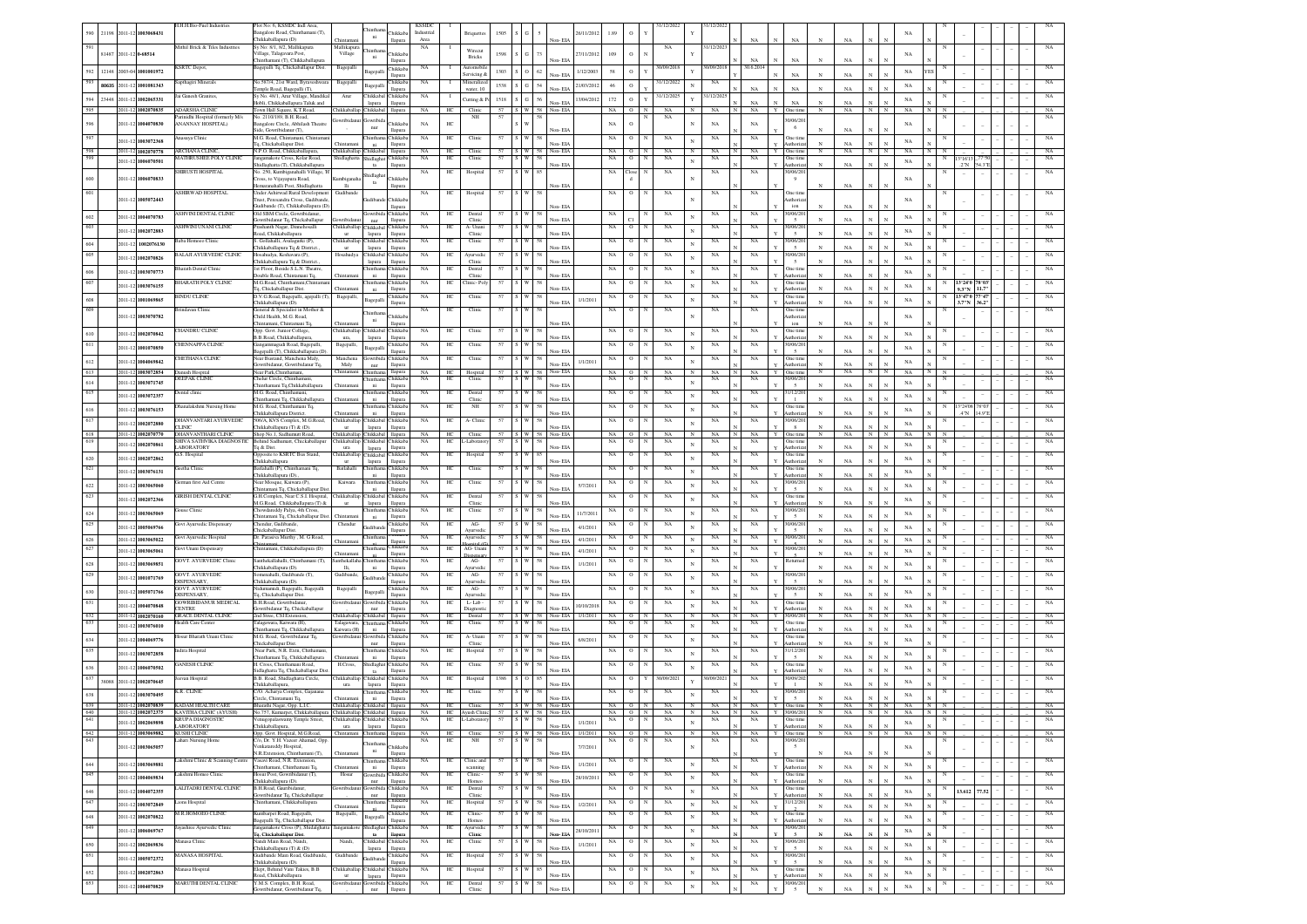|                | 21198 |         | 2011-12 1003068431                       | H.H.H.Bio-Fuel Industries                                            | lot No: 6, KSSIDC Indl Area<br>angalore Road, Chinthamani (T),<br>Thikkaballapura (D)                |                                                          | ni                                    | hikkab<br>llapura                          | <b>KSSID</b><br>Industrial<br>Area |                        |                               |          |                                        | Non-EIA                               | 16/11/2012 | 1.89           | $\,$ O              | 31/12/2022                                             | 1/12/202                                  |            | $_{\rm NA}$                |    | NA                                           | $_{\rm NA}$                 |                            |              |                            |        |                                  |                       |  |                            |
|----------------|-------|---------|------------------------------------------|----------------------------------------------------------------------|------------------------------------------------------------------------------------------------------|----------------------------------------------------------|---------------------------------------|--------------------------------------------|------------------------------------|------------------------|-------------------------------|----------|----------------------------------------|---------------------------------------|------------|----------------|---------------------|--------------------------------------------------------|-------------------------------------------|------------|----------------------------|----|----------------------------------------------|-----------------------------|----------------------------|--------------|----------------------------|--------|----------------------------------|-----------------------|--|----------------------------|
|                | 81487 |         | 2011-12 0-68514                          | Aithil Brick & Tiles Industries                                      | y No: 8/1, 8/2, Mallikapura<br>illage, Talagayara Post,                                              | Village                                                  | ni                                    | <b>hikkab</b>                              | NA                                 |                        | Wirecut<br><b>Bricks</b>      | 1598     | 73                                     |                                       | 27/11/2012 | 109            | $\,$ O              | NA                                                     | 1/12/202                                  |            |                            |    |                                              |                             |                            |              | NA                         |        |                                  |                       |  |                            |
|                |       |         | 592 12148 2003-04 1001001972             | KSRTC Depot,                                                         | hinthamani (T), Chikkaballapura<br>3 agepalli Tq, Chickaballapur Dist.                               | Bagepalli                                                | Bagepalli                             | lapun<br>Thikkab                           | NA                                 |                        | utomobi                       | 1303     | 62<br>$\circ$                          |                                       | 1/12/2003  | 58             | $\circ$             | 30/09/2018<br>$\mathbf{v}$                             | 0/09/201                                  |            | NA<br>0.6.201              |    |                                              |                             |                            |              | <b>YES</b><br>NA           |        |                                  |                       |  |                            |
| 593            |       |         | 80635 2011-12 1001081343                 | apthagiri Minerals                                                   | No.587/4, 21st Ward, Byraveshwara                                                                    | Bagepalli                                                |                                       | llapura<br><b>hikkab</b>                   | NA                                 |                        | rvicing &<br>Mineralize       | 1538     | $S - G$<br>54                          | Non-EIA<br>Non-EIA                    | 21/03/2012 | 46             | $\circ$             | 31/12/2022                                             | NA                                        |            | NA                         |    | NA<br>NA                                     | NA<br>NA                    |                            |              | $_{\rm NA}$                |        |                                  |                       |  |                            |
|                |       |         | 594 23448 2011-12 1002065331             | Jai Ganesh Granites.                                                 | emple Road, Bagepalli (T),<br>Sy No. 48/1, Arur Village, Mandikal<br>obli, Chikkaballapura Taluk and | Arur                                                     | Chikkabal Chikkab<br>lapura           | llapura<br>llapura                         | NA                                 | - 1                    | water, 10<br>utting & P       | 1518     | $56\,$<br>${\bf G}$                    | Non-EIA                               | 13/04/2012 | $172$          | $\circ$             | 31/12/2025<br>$\mathbf{v}$                             | 31/12/202                                 |            | NA                         |    | NA                                           |                             |                            |              | $_{\rm NA}$                |        |                                  |                       |  | NA                         |
| 595            |       |         | 2011-12 1002070835                       | <b>ADARSHA CLINIC</b><br>arinidhi Hospital (formerly M/s             | Town Hall Square, K.T.Road,<br>io. 2110/189, B.H. Road                                               | Chikkaballap Chikkabal                                   |                                       | llapura                                    | NA                                 | HC                     | Clinic<br>$_{\rm NH}$         | 57       | S W 58 Non-EIA                         |                                       |            | NA             | $O$ N               | NA<br>NA                                               | $_{\rm NA}$                               | N          | NA                         |    | Y One time                                   | NA                          | NN                         |              | NA                         |        |                                  |                       |  | NA<br>NA                   |
| 596            |       | 2011-12 | 004070830                                | <b>WANNAY HOSPITAL)</b>                                              | angalore Circle, Abhilash Theatr<br>Side, Gowribidanur (T),                                          | wribida                                                  | Gowribio<br>nur                       | hikkal<br>lapura                           | NA                                 | $\rm{HC}$              |                               |          |                                        |                                       |            | $_{\rm NA}$    | $\rm ^o$            |                                                        | $_{\rm NA}$                               |            | NA                         |    | 30/06/20<br>6                                |                             |                            |              | $_{\rm NA}$                |        |                                  |                       |  |                            |
| 597            |       |         | 2011-12 1003072368                       | nasuya Clinic                                                        | M.G. Road, Chintamani, Chintan<br>q, Chickaballapur Dist.                                            |                                                          | $\rm{ni}$                             | hikkal<br>llapura                          | NA                                 | $\rm{HC}$              | Clinic                        |          |                                        | Non-EIA                               |            | $_{\rm NA}$    | $\mathbf{o}$        | NA                                                     | NA                                        |            | NA                         |    | Dne tim<br>uthori                            | NA                          |                            |              | NA                         |        |                                  |                       |  | NA                         |
| 598<br>599     |       |         | 2011-12 1002070778<br>2011-12 1006070501 | <b>ARCHANA CLINIC</b><br>MATHRUSHEE POLY CLINIC                      | N.P.O. Road, Chikkaballapur<br>agamakote Cross, Kolar Road,                                          | Chikkaballap Chikkaba<br>Shidlaghatta                    | Shidlagha                             | llapura<br>hikkab                          | NA<br>NA                           | HC<br>HC               | Clinic<br>Clinic              | 57<br>57 | S W 58 Non-EIA<br>$\sqrt{W}$<br>58     |                                       |            | NA ON<br>NA    | $\circ$             | NA<br>NA                                               | NA<br>$_{\rm N}$<br>NA                    |            | NA<br>NA                   |    | Y One time<br>One tim                        | $\mathbb{N}$<br>NA          | $N$ N                      |              | NA<br>N<br>NA              |        | 3°16'1                           |                       |  | NA<br>NA                   |
|                |       |         |                                          | <b>HIRUSTI HOSPITAL</b>                                              | idlaghatta (T), Chikkaballapura<br>No. 250, Kumbiganahalli Village, T                                |                                                          | Shidlagha                             | llapura                                    | $_{\rm NA}$                        | HC                     | Hospital                      | 57       | ∘ w<br>S <sup>0</sup>                  | Non-EIA                               |            | NA             | Clos                | NA                                                     | $_{\rm NA}$                               |            | NA                         |    | Authoria<br>0/06/20                          | NA                          |                            |              |                            |        | $2^{\circ}$ N                    | 54 3"F                |  | NA                         |
| $600\,$<br>601 |       |         | 2011-12 1006070833                       | <b>SHIRWAD HOSPITAL</b>                                              | ross, to Vijayapura Road,<br>maranahalli Post Shidlaghatta<br>nder Ashirwad Rural Development        | umbigana<br><b>Hi</b><br>Gudiband                        | ta                                    | <b>Thikkab</b><br>llapura                  | NA.                                |                        |                               |          |                                        | Non-EIA                               |            |                |                     |                                                        | NA                                        |            |                            |    | -9<br>Dne tin                                | NA                          |                            |              | NA                         |        |                                  |                       |  |                            |
|                |       |         | 2011-12 1005072443                       |                                                                      | rust. Peresandra Cross. Gudiband<br>adibande (T), Chikkaballapura (D)                                |                                                          |                                       | <b>Thikkab</b><br>llapura                  |                                    | HС                     | Hospital                      |          |                                        | Non-EIA                               |            | NA             | $\circ$             | NA                                                     |                                           |            | NA                         |    | ıthori<br>ion                                | NA                          |                            |              | NA                         |        |                                  |                       |  |                            |
| 602            |       |         | 2011-12 1004070783                       | <b>ASHVINI DENTAL CLINIC</b>                                         | Old SBM Circle Gowribids<br>wribidanur Tq, Chickaballapur                                            | wribida                                                  | nur                                   | Chikkab<br>llapura                         | NA                                 | HC                     | Dental<br>Clinic              |          |                                        | Non-EIA                               |            | NA             |                     | NA                                                     | NA                                        |            | NA                         |    | 0/06/20                                      | NA                          |                            |              | $_{\rm NA}$                |        |                                  |                       |  |                            |
| 603            |       |         | 2011-12 1002072883                       | ASHWINI UNANI CLINIC                                                 | rashanth Nagar, Dinnehosalli<br>oad, Chikkaballapura                                                 | Chikkaballan Chikkabal Chikkab                           | lapura                                | llapura                                    | NA                                 | HС                     | A- Unani<br>Clinic            |          |                                        | Non-EIA                               |            | NA             | $\circ$             | NA                                                     | NA                                        |            | NA                         |    | 0/06/20                                      | NA                          |                            |              | $_{\rm NA}$                |        |                                  |                       |  | NA                         |
| 604            |       |         | 2011-12 1002076130                       | 3aba Homoeo Clinic                                                   | S. Gollahalli, Avalagurki (P)<br>hikkaballapura Tq & District.                                       | Thikkaballap Chikkabal<br><b>ur</b>                      | lapura                                | <b>hikkab</b><br>llapura                   | NA                                 | HС                     | Clinic                        |          |                                        | Non-EIA                               |            | NA             | $^{\circ}$          | NA                                                     | NA                                        |            | NA                         |    | 0/06/20<br>$\overline{\phantom{a}}$          | NA                          |                            |              | $_{\rm NA}$                |        |                                  |                       |  |                            |
| 605            |       |         | 2011-12 1002070826                       | <b>BALAJI AYURVEDIC CLINIC</b>                                       | Hosahudya, Keshavara (P),<br>hikkaballapura Tq & District                                            | Hosahudya                                                | Chikkabal<br>lapura                   | <b>Thikkab</b><br>llapura                  | NA                                 | HС                     | Ayurvediı<br>Clinic           |          |                                        | Non-EIA                               |            | NA             | $\circ$             | NA                                                     | NA<br>$\mathbf{N}$                        |            | NA                         |    | 0/06/2<br>$\overline{5}$                     | NA                          |                            |              | $_{\rm NA}$                |        |                                  |                       |  |                            |
| 606            |       |         | 2011-12 1003070773                       | <b>Sharath Dental Clinic</b>                                         | 1st Floor, Beside S.L.N. Theatre,<br>ouble Road, Chintamani Tq.                                      |                                                          | Chintham<br>ni                        | <b>hikkab</b><br>llapura                   | $_{\rm NA}$                        | HС                     | Dental<br>Clinic              |          |                                        | Non-EIA                               |            | NA             | $\circ$             | NA<br>N                                                | NA                                        |            | NA                         |    | One tim<br>uthori                            | NA                          |                            |              | $_{\rm NA}$                |        |                                  |                       |  |                            |
| 607            |       |         | 2011-12 1003076155                       | HARATH POLY CLINIC                                                   | M.G.Road, Chinthar<br>q, Chickaballapur Dist.                                                        |                                                          | Chinthan<br>ni                        | <b>hikkal</b><br>llapura                   | NA                                 | НC                     | linic- Pol                    |          |                                        | Non-EIA                               |            | NA             | $\circ$             | NA                                                     | NA                                        |            | NA                         |    | <b>Dne</b> tim<br>uthori                     |                             |                            |              | $_{\rm NA}$                |        | 13°24'0<br>3"N                   | 11.7"                 |  |                            |
| $608\,$<br>609 |       |         | 2011-12 1001069865                       | <b>INDU CLINE</b><br>indavan Clinic                                  | .<br>O.V.G.Road, Bagepalli, agepalli (T).<br>hikkaballapura (D).<br>neral & Specialist in Mother &   | Bagepalli,                                               | Bagepalli                             | hikkab<br>llapura                          | NA<br>NA                           | HC<br>HC               | Clinic<br>Clinic              |          |                                        | Non-EIA                               | 1/1/2011   | NA<br>NA       | $\circ$<br>$\rm ^o$ | NA<br>NA                                               | NA<br>NA                                  |            | NA<br>NA                   |    | Dne tim<br>uthori<br>Dne tim                 | NA                          |                            |              | $_{\rm NA}$                |        | 13°47'0<br>3.7"N                 | 7°4<br>$36.2^{\circ}$ |  |                            |
|                |       |         | 011-12 1003070782                        |                                                                      | hild Health, M.G. Road,<br>hintamani. Chintamani To                                                  | Thintam                                                  | hintha<br>ni                          | hikkab                                     |                                    |                        |                               |          |                                        | Non-EIA                               |            |                |                     |                                                        |                                           |            |                            |    | athoria<br>ion                               | NA                          |                            |              | $_{\rm NA}$                |        |                                  |                       |  |                            |
| 610            |       |         | 2011-12 1002070842                       | <b>HANDRU CLINIC</b>                                                 | pp. Govt. Junior College<br>B.B.Road, Chikkaballapura                                                | Chikkaballap Chikkaba                                    | lapura                                | hikkab.<br>Hamur                           | NA                                 | HС                     | Clinic                        |          |                                        | Non-EIA                               |            | NA             |                     | NA                                                     | NA                                        |            | NA                         |    | One tim<br>Authori                           | NA                          |                            |              | NA                         |        |                                  |                       |  |                            |
| 611            |       |         | 2011-12 1001070850                       | <b>IENNAPPA CLINIC</b>                                               | ngammagudi Road, Bagepalli,<br>gepalli (T), Chikkaballapura (D)                                      | Bagepalli                                                | Bagepal                               | hikkab.<br>llapur                          | NA                                 | HC                     | Clinic                        |          |                                        | Non-FIA                               |            |                |                     | NA                                                     | NA                                        |            | NA                         |    | 0/06/2<br>$\sim$                             | NA                          |                            |              | NA                         |        |                                  |                       |  |                            |
| 612            |       |         | 2011-12 1004069842                       | <b>HETHANA CLINK</b>                                                 | lear Bustand, Manchena Maly<br>wribidanur. Gowribidanur To                                           | Manchen<br>Maly                                          | nur                                   | <b>Thikkab</b><br>llapura                  | $_{\rm NA}$                        | HC                     | Clinic                        |          |                                        | Non-EIA                               | 1/1/201    | NA             | $\circ$             | NA                                                     | $_{\rm NA}$                               |            | NA                         |    | One tim<br>Authoriz                          | NA                          |                            |              | NA                         |        |                                  |                       |  |                            |
| 613<br>$614\,$ |       | 2011-12 | 2011-12 1003072854<br>1003071745         | anush Hospital<br><b>DEEPAK CLINIC</b>                               | ear Park.Chinth<br>helur Circle, Chinth.                                                             | Chintama                                                 | <b>Thintha</b>                        | llapura<br><b>Thikkab</b>                  | <b>NA</b><br><b>NA</b>             | HC.<br>HС              | Hospital<br>Clinic            | 57<br>57 | S W 58                                 | Non-EIA                               |            | $NA$ $0$<br>NA | $\circ$             | <b>NA</b><br>N<br>NA<br>N                              | NA<br>N<br>NA                             |            | <b>NA</b><br><b>NA</b>     | Y. | One tim<br>30/06/20                          | <b>NA</b>                   | $_{\rm N}$                 | N            | NA<br>$_{\rm NA}$          |        |                                  |                       |  | NA<br>NA                   |
| 615            |       | 2011-12 | 1003072357                               | <b>Dental</b> clinic                                                 | iinthamani Tq,Chikkaballapur<br>M.G. Road, Chinthaman                                                |                                                          | ni<br><b>Thinthar</b>                 | <b>Hapura</b><br>Chikkab                   | NA                                 | HС                     | Dental                        | 57       |                                        | Non-EIA                               |            | NA             | $\circ$             | NA                                                     | NA                                        |            | NA                         |    | $\sim$<br>31/12/20                           | NA                          |                            |              | $_{\rm NA}$                |        |                                  |                       |  |                            |
| 616            |       | 2011-12 | 1003076153                               | Manalakshmi Nursing Home                                             | hinthamani Tq, Chikkaballap<br>M.G. Road, Chinthamani Tq,                                            |                                                          | ni<br><b>Thintha</b>                  | llapura<br><b>Thikkab</b>                  | <b>NA</b>                          | HС                     | Clinic<br>NH                  | 57       |                                        | Non-EIA<br>Non-EIA                    |            | NA             | $\circ$             | NA                                                     | NA                                        |            | NA                         |    | $\mathbf{1}$<br>One tim                      | NA<br>NA                    |                            |              | $_{\rm NA}$                |        | 3°24'08<br>$4^{\circ}\mathrm{N}$ | 78°0.<br>4.9"         |  | NA                         |
| 617            |       |         | 2011-12 1002072880                       | <b>HANVANTARI AYURVEDK</b><br><b>LINIC</b>                           | hikkaballapura District.<br>606/A. KVS Complex. M.G.Road.<br>hikkaballapura (T) & (D).               | Chikkaballap Chikkabal<br>ur                             | ni<br>lapura                          | llapura<br>Thikkab<br>llapura              | NA                                 | HС                     | A- Clinic                     |          |                                        | Non-EIA                               |            | NA             | 0                   | NA                                                     | NA                                        |            | NA                         |    | uthoriz<br>0/06/20<br>8                      | NA                          |                            |              | $_{\rm NA}$                |        |                                  |                       |  |                            |
| 618<br>619     |       |         | 2011-12 1002070770                       | DHANVANTHARI CLINIC<br>SHIVA SATHVIKA DIAGNOSTIC                     | Shop No.1, Sadhumutt Road,<br>Behind Sadhumatt, Chickaballapur                                       | Chikkaballap Chikkabal<br>Chikkaballap Chikkabal Chikkab |                                       | llapura                                    | NA.<br>NA                          | HС<br>HС               | Clinic<br>-Laborato           | 57<br>57 |                                        | $S$ W 58 Non-EIA                      |            | NA<br>NA       | $\circ$<br>$\circ$  | NA<br>$_{\rm N}$<br>NA<br>N                            | $_{\rm N}$<br>NA<br>NA                    |            | NA<br>NA                   |    | One time<br>One time                         | $_{\rm N}$<br>NA            | $_{\rm N}$                 | N            | $_{\rm NA}$                |        |                                  |                       |  | NA<br>NA                   |
|                |       |         | 2011-12 1002070861                       | <b>ABORATORY</b><br>3.S. Hospital                                    | q & Dist.<br>Opposite to KSRTC Bus Stand,                                                            | ura                                                      | lapura<br>hikkaballap Chikkabal       | llapura<br><b>hikkab</b>                   | NA                                 | HC                     | Hospital                      |          |                                        | Non-EIA                               |            | NA             | o                   | NA                                                     | N<br>NA                                   |            | NA                         |    | uthoria<br>Dne tim                           |                             |                            |              | $_{\rm NA}$                |        |                                  |                       |  |                            |
| $620\,$<br>621 |       |         | 2011-12 1002072862<br>2011-12 1003076131 | etha Clinic                                                          | hikkaballapur<br>atlahalli (P), Chinthamani Tq,                                                      | $_{\rm{ur}}$<br>Batlahalli                               | lapura                                | llapura<br>hikkal                          | NA                                 | HC                     | Clinic                        |          |                                        | Non-EIA                               |            | NA             | o                   | NA                                                     | NA                                        |            | NA                         |    | uthori<br>Dne tim                            | NA                          |                            |              | $_{\rm NA}$<br>$_{\rm NA}$ |        |                                  |                       |  |                            |
| 622            |       |         | 2011-12 1003065060                       | erman first Aid Centre                                               | hikkaballapura (D).<br>vear Mosque, Kaiwara (P),                                                     | Kaiwara                                                  | $\rm{ni}$                             | llapura<br>hikkal                          | NA                                 | $\rm{HC}$              | Clinic                        |          |                                        | Non-EL                                | 5/7/2011   | $_{\rm NA}$    |                     | $_{\rm NA}$                                            | $_{\rm NA}$                               |            | NA                         |    | 0/06/20                                      |                             |                            |              | NA                         |        |                                  |                       |  |                            |
| 623            |       |         | 2011-12 1002072366                       | GIRISH DENTAL CLINIC                                                 | hintamani Tq, Chickaballapur Dis<br>3.H.Complex, Near C.S.I. Hospital,                               | hikkaballap                                              | Chikkaba                              | llapura<br><b>hikkab</b>                   | NA                                 | $\rm{HC}$              | Dental                        |          |                                        | Non-EIA                               |            | NA             | o                   | $_{\rm NA}$                                            | $_{\rm NA}$                               |            | $_{\rm NA}$                |    | $\sim$<br>One time                           | $\mathbf{v}$<br>NA          |                            |              | NA                         |        |                                  |                       |  |                            |
| 624            |       |         | 2011-12 1003065069                       | ouse Clinic                                                          | M.G.Road, Chikkaballapura (T) &<br>howdareddy Palya, 4th Cross,                                      | $_{\rm ur}$                                              | lapura                                | llapura<br><b>Tukkah</b>                   | NA                                 | HC                     | Clinic<br>Clinic              |          |                                        | Non-EIA<br>Non-EIA                    | 11/7/2011  |                |                     | NA                                                     | NA                                        |            | NA                         |    | uthoria<br>0/06/2<br>$\sim$                  | NA<br>NA                    |                            |              | $_{\rm NA}$                |        |                                  |                       |  |                            |
| 625            |       |         | 2011-12 1005069766                       | Govt Ayurvedic Dispensary                                            | hintamani Tq, Chickaballapur Di<br>'hendur, Gudiband<br>hickaballapur Dist                           | Chendur                                                  | udiba                                 | llapura<br><b>Thikkab</b><br>llapura       | $_{\rm NA}$                        | HС                     | AG-<br><b>Ayurvedi</b>        |          |                                        | Non-EIA                               | 4/1/2011   | NA             | $\circ$             | NA                                                     | NA                                        |            | $_{\rm NA}$                |    | 0/06/2<br>$\overline{5}$                     | NA                          |                            |              | NA                         |        |                                  |                       |  |                            |
| 626            |       |         | 2011-12 1003065022                       | Govt Ayurvedic Hospital                                              | Dr. Parasiva Murthy , M. G Road,                                                                     | Chintar                                                  |                                       | mikka<br>hikkab                            | NA                                 | HC                     | Ayurvedic                     | 57       | s I w I<br>58                          | Non-EIA                               | 4/1/2011   | NA             | $\circ$             | $_{\rm NA}$<br>$_{\rm N}$                              | NA                                        |            | NA                         |    | 30/06/20                                     | NA                          |                            |              | NA                         |        |                                  |                       |  | NA                         |
| 627            |       |         | 2011-12 1003065061                       | <b>Jovt Unani Dispensary</b><br><b>GOVT. AYURVEDIC Clini-</b>        | 'hintamani, Chikkaballapura (D)<br>ınthekallahalli, Chinthamani (T),                                 | anthekallaha                                             |                                       | llapura<br><b>Thikkab</b>                  | NA<br>$_{\rm NA}$                  | HС<br>HC               | AG-Unan<br>ispensa<br>AG-     |          |                                        | Non-EIA                               | 4/1/2011   | NA<br>NA       | $\circ$<br>$\circ$  | NA<br>NA                                               | NA                                        |            | NA<br>NA                   |    | 0/06/20<br>$\overline{\phantom{a}}$<br>letum | NA                          |                            |              | NA                         |        |                                  |                       |  |                            |
| 628<br>629     |       |         | 2011-12 1003069851                       | <b>GOVT. AYURVEDIC</b>                                               | hikkaballapura (D).<br>nenahalli. Gudibande (T).                                                     | Ili.<br>Gudibande                                        | ni                                    | llapura<br><b>hikkab</b>                   | <b>NA</b>                          | HС                     | wurvedi<br>AG-                |          |                                        | Non-EIA                               | 1/1/2011   | NA             |                     | NA                                                     | $_{\rm NA}$<br>NA                         |            | NA                         |    | 0/06/2                                       | NA                          |                            |              | $_{\rm NA}$                |        |                                  |                       |  |                            |
|                |       | 2011-12 | 1001071769                               | DISPENSARY.<br><b>GOVT. AYURVEDIO</b>                                | hikkaballapura (D).<br>umamidi, Bagepalli, Bagepalli                                                 | Bagepalli                                                |                                       | llapura<br><b>hikkab</b>                   | NA                                 | HС                     | <b>Avurvedi</b><br>AG-        |          |                                        | Non-EIA                               |            | NA             | $\circ$             | NA                                                     | NA                                        |            | NA                         |    | $\sim$<br>0/06/2                             | NA                          |                            |              | $_{\rm NA}$                |        |                                  |                       |  |                            |
| $630\,$<br>631 |       | 2011-12 | 1005071766                               | DISPENSARY,<br><b>GOWRIBIDANUR MEDICAL</b>                           | q, Chickaballapur Dist.<br>B.H.Road, Gowribidanu                                                     | iowribida                                                | sagepal<br><b>Jowribid</b>            | llapura<br>Chikkab                         | <b>NA</b>                          | HС                     | <b>Ayurvedi</b><br>L-Lab-     |          |                                        | Non-EIA                               |            | NA             | $\circ$             | NA                                                     | NA                                        |            | NA                         |    | $\overline{5}$<br>One time                   | NA                          |                            |              | $_{\rm NA}$                |        |                                  |                       |  | NA                         |
| 632            |       | 2011-13 | 1004070848<br>2011-12 1002070160         | <b>ENTRE</b><br><b>GRACE DENTAL CLINIC</b>                           | wribidanur Tq, Chickaballapu<br>2nd Stree, CSI Extension                                             | Chikkaballap Chikkaba                                    | nur                                   | llapura<br>llapura                         | NA                                 | HС                     | iagnost<br>Dental             |          |                                        | Non-EIA<br>S W 58 Non-EIA 1/1/2011 NA | 10/10/201  |                | $O$ N               | NA                                                     | N<br>NA                                   |            | NA                         | Y. | uthoriz<br>30/06/20                          | N<br>NA                     | $_{\rm N}$                 | N            | $_{\rm NA}$<br>NA          |        |                                  |                       |  | NA                         |
| 633            |       |         | 2011-12 1003076010                       | fealth Care Center                                                   | alagawara, Kaiwara (H)<br>hinthamani Tq, Chikkaballapura                                             | Talagawara,<br>Kaiwara (H)                               | Chinthan<br>ni                        | <b>hikkab</b><br>llapura                   | NA                                 | HС                     | Clinic                        |          |                                        | Non-EIA                               |            | NA             | о                   | NA                                                     | NA                                        |            | NA                         |    | One tim<br>Authoriz                          |                             |                            |              | $_{\rm NA}$                |        |                                  |                       |  |                            |
| 634            |       |         | 2011-12 1004069776                       | Iosur Bharath Unani Clinic                                           | M.G. Road, Gowribidanur Tq,<br>hickaballapur Dist.                                                   | Gowribidanur Gowribida                                   | nur                                   | Chikkab<br>llapura                         | NA                                 | HС                     | A- Unani<br>Clinic            |          |                                        | Non-EIA                               | 6/8/2011   | NA             | $\circ$             | NA<br>N                                                | NA                                        |            | $_{\rm NA}$                |    | One time                                     | NA                          |                            |              | $_{\rm NA}$                |        |                                  |                       |  | NA                         |
| 635            |       |         | 2011-12 1003072858                       | ndira Hospital<br><b>ANESH CLIND</b>                                 | Near Park, N.R. Extn, Chithamani<br>inthamani Tq, Chikkaballapura<br>H. Cross, Chinthamani Road,     | H.Cross,                                                 | Chinthan<br>ni<br>Shidlagha           | <b>hikkab</b><br>llapura<br><b>Thikkab</b> | $_{\rm NA}$<br>NA                  | HС<br>$_{\mathrm{HC}}$ | Hospital<br>Clinic            |          |                                        | Non-EIA                               |            | NA<br>NA       | $\circ$<br>$\circ$  | NA<br>NA                                               | NA<br>NA                                  |            | NA<br>NA                   |    | 31/12/20<br>Dne tim                          | NA                          |                            |              | $_{\rm NA}$                |        |                                  |                       |  |                            |
| 636<br>637     |       |         | 2011-12 1006070502                       | evan Hospital                                                        | llaghatta Tq, Chickaballapur Di<br>B.B. Road, Shidlaghatta Circle,                                   | Chikkaballap                                             | $th$<br>Chikkab                       | llapura<br>hikkab                          | NA                                 | $\rm{HC}$              | Hospital                      | 1386     |                                        | lon-EL                                |            | $_{\rm NA}$    | $\mathbf{o}$        | 30/09/2021                                             | 0/09/202                                  |            | NA                         |    | 0/09/20                                      |                             |                            |              | NA                         |        |                                  |                       |  |                            |
| 638            |       |         | 38088 2011-12 1002070645                 | K.R. CLINIC                                                          | hikkaballapur<br>2/O. Acharya Complex, Gajanana                                                      | $_{\rm{ura}}$                                            | lapura                                | llapura<br>hikkab                          | $_{\rm NA}$                        | $\rm{HC}$              | Clinic                        | 57       |                                        | Non-EIA                               |            | $_{\rm NA}$    | $\rm _O$            | $_{\rm NA}$                                            | $_{\rm NA}$                               |            | $_{\rm NA}$                |    | $\mathbf{1}$<br>0/06/20                      | NA                          |                            |              | $_{\rm NA}$                |        |                                  |                       |  |                            |
| 639            |       |         | 2011-12 1003070495                       | 2011-12 1002070839 KADAM HEALTH CARE                                 | Circle, Chintamani Tq.<br>Bharathi Nagar, Opp. L.I.C.                                                | Chintam<br>Chikkaballap Chikkabal                        | ni                                    | llapura<br>llapura                         | NA HC                              |                        | Clinic                        |          | 57 S W 58 Non-EIA<br>57 S W 58 Non-EIA | Non-EIA                               |            | NA ON          |                     | NA                                                     | N<br>N<br>NA                              | $_{\rm N}$ |                            |    | 5<br>NA Y One time                           | NA<br>$\mathbb N$<br>NA     | $N$ $N$                    |              | $_{\rm NA}$<br>NA<br>N     |        |                                  |                       |  |                            |
| 640<br>641     |       |         | 2011-12 1002069898                       | 2011-12 1002072375 KAVITHA CLINIC (AYUSH)<br><b>KRUPA DIAGNOSTIC</b> | No.757, Kumarpet, Chikkaballapura Chikkaballap Chikkabal<br>wamy Temple Street,                      | Chikkaballap Chikkabal Chikkab                           |                                       | llapura                                    | NA<br>NA                           | HС                     | HC Ayush Clinic<br>-Labora    |          |                                        |                                       | 1/1/2011   | NA             | $\circ$             | NA ON NA<br>NA                                         | $\mathbf{z}$<br>NA<br>NA<br>$_{\rm N}$    | IN I       | NA<br>NA                   |    | Y 30/06/201<br>One tim                       | N<br>NA                     | N                          | N            | NA<br>$_{\rm NA}$          |        |                                  |                       |  | NA                         |
| 642            |       |         | 2011-12 1003069882                       | <b>LABORATORY</b><br>KUSHI CLINIC                                    | Chikkaballapura,<br>Opp. Govt. Hospital, M.G.Road,                                                   | ura<br>Chintamani Chintham                               | lapura                                | llapura<br>llapura                         | NA                                 | HC                     | Clinic                        | 57       | $S$ W 58 Non-EIA 1/1/2011 NA 0 N       | Non-FIA                               |            |                |                     | NA                                                     | N<br>NA                                   | $_{\rm N}$ | NA                         |    | Authoriza<br>Y One time                      | NA<br>N<br>NA               | $_{\rm N}$<br>N N          | $\mathbf{N}$ | NA                         | N N    |                                  |                       |  | NA                         |
| 643            |       |         | 2011-12 1003065057                       | ahari Nursing Home                                                   | /o, Dr. Y.H. Vazeer Ahamad, Op<br>enkatareddy Hospital.                                              |                                                          | <b>Thinthar</b><br>$\,$ ni            | <b>Thikkab</b>                             | $_{\rm NA}$                        | $\rm{HC}$              | $_{\rm NH}$                   | 57       | $\cdot$ w<br>58                        |                                       | 7/7/2011   | NA             | $\circ$             | NA<br>$_{\rm N}$                                       | NA                                        |            | NA                         |    | 30/06/20<br>$\sim$                           | NA<br>$_{\rm N}$            |                            |              | NA                         |        |                                  |                       |  | $_{\rm NA}$                |
| 644            |       |         | 2011-12 1003069881                       | akshmi Clinic & Scanning Centre                                      | N.R.Extension. Chinthamani (T).<br>/asavi Road, N.R. Extension.<br>hinthamani, Chinthamani To        |                                                          | <b>Thintha</b><br>ni                  | llapura<br><b>Thikkab</b><br>llapura       | NA                                 | HС                     | Clinic and<br>canning         | 57       |                                        | Non-EIA<br>Non-EIA                    | 1/1/2011   | NA             | $\circ$             | NA<br>N                                                | NA<br>$_{\rm N}$                          |            | NA                         |    | One tim<br>Authoriz                          | NA                          | $_{\rm N}$<br>$\mathbf{N}$ |              | $_{\rm NA}$                |        |                                  |                       |  | NA                         |
| 645            |       |         | 2011-12 1004069834                       | akshmi Homeo Clinic                                                  | Hosur Post, Gowribidanur (T),<br>'hikkaballapura (D).                                                | Hosur                                                    | Gowribida Chikkab<br>nur              | llapura                                    | NA                                 | HС                     | Clinic-<br>Homeo              | 57       | 58                                     | Non-EIA                               | 28/10/201  | NA             | $\circ$             | NA<br>$_{\rm N}$                                       | NA<br>$\mathbf{N}$                        |            | NA                         |    | One time<br>Authoriza                        | $_{\rm N}$<br>$_{\rm NA}$   | $\mathbf N$                |              | $_{\rm NA}$                |        |                                  |                       |  | $_{\rm NA}$                |
| 646            |       |         | 2011-12 1004072355                       | ALITADRI DENTAL CLINIC                                               | B.H.Road, Gauribidanur.<br>owribidanur Tq, Chickaballapur                                            |                                                          | Gowribida<br>nur                      | Chikkab<br>llapura                         | NA                                 | HС                     | Dental<br>Clinic              |          |                                        | Non-EIA                               |            | NA             | $\circ$             | NA                                                     | $_{\mathrm{NA}}$<br>$\mathbf{N}$          |            | NA                         |    | One time<br>Authoriza                        | $_{\rm N}$<br>$_{\rm NA}$   | $\mathbf N$                |              | $_{\rm NA}$                |        | 13.612 77.52                     |                       |  | NA                         |
| 647            |       |         | 2011-12 1003072849                       | ions Hospital                                                        | hinthamani, Chikkaballapura                                                                          | Chintar                                                  | Chintham                              | .<br>Tukkab<br>llapura                     | NA.                                | HС                     | Hospital                      | 57       | $W = 58$                               | Non- $\rm EIA$                        | 1/2/2011   | NA             | $O$   N             | NA                                                     | $_{\rm NA}$<br>$\mathbf{N}$               |            | NA                         |    | 31/12/201                                    | $_{\rm N}$<br>$_{\rm NA}$   | $\mathbf{N}$               |              | $_{\rm NA}$                |        |                                  |                       |  | $_{\rm NA}$                |
| $648\,$        |       |         | 2011-12 1002070822                       | <b>M.R.HOMOEO CLINIC</b>                                             | Kumbarpet Road, Bagepalli,<br>Bagepalli To, Chickaballapur Dist                                      | Bagepalli,                                               | Bagepalli                             | Chikkab<br>llapura                         | NA                                 | HC                     | Clinic<br>Homeo               |          |                                        | Non-EIA                               |            | NA             | $\circ$             | NA<br>N                                                | $_{\rm NA}$<br>$_{\rm N}$                 |            | $_{\rm NA}$                |    | One time<br>Authoriza                        | $_{\rm N}$<br>NA            | $\mathbf{N}$               |              | $_{\rm NA}$                |        |                                  |                       |  | $_{\rm NA}$                |
| 649            |       |         | 2011-12 1006069767                       | syashree Ayurvedic Clinic<br>Aanasa Clinic                           | Jangamakote Cross (P), Shidalghatta<br>Tq, Chickaballapur Dist.<br>Nandi Main Road, Nandi,           | Jangamakot<br>Nandi,                                     | Shidlaghat<br>ta<br>Chikkabal Chikkab | Chikkab<br>llapura                         | $_{\rm NA}$<br>NA                  | HC<br>HС               | Ayurvedia<br>Clinic<br>Clinic | 57<br>57 | S W<br>58<br>58                        | Non-EIA                               | 28/10/2011 | NA<br>NA       | $\,$ O<br>$\circ$   | $_{\rm NA}$<br>$_{\rm N}$<br>$_{\rm NA}$<br>$_{\rm N}$ | $_{\rm NA}$<br>N<br>$_{\rm NA}$           |            | $_{\rm NA}$<br>$_{\rm NA}$ |    | 30/06/20<br>$\sim$<br>30/06/20               | $_{\rm N}$<br>$_{\rm NA}$   | $\mathbf{N}$               |              | $_{\rm NA}$                | N<br>N |                                  |                       |  | $_{\rm NA}$<br>$_{\rm NA}$ |
| 650<br>651     |       |         | 2011-12 1002069836                       | IANASA HOSPITAL                                                      | hikkaballapura (T) & (D)<br>iudibande Main Road, Gudiband                                            | <b>Gudiband</b>                                          | lapura                                | llapura<br><b>Thikkab</b>                  | NA                                 | ΗС                     | Hospital                      |          |                                        | Non-EIA                               | 1/1/2011   | NA             | $\overline{0}$      | NA                                                     | $_{\rm N}$<br>NA                          |            | NA                         |    | $\sim$<br>0/06/20                            | $_{\rm N}$<br>$_{\rm NA}$   | $\mathbf{N}$               |              | $_{\rm NA}$                |        |                                  |                       |  | NA                         |
| 652            |       |         | 2011-12 1005072372<br>2011-12 1002072863 | lanasa Hospital                                                      | hikkabalalpura (D).<br>Elept, Behind Vani Takies, B.B                                                | hikkaballap                                              | Gudibano<br><b>Chikkaba</b>           | llapura<br><b>Thikkab</b>                  | NA                                 | ΗС                     | Hospital                      |          |                                        | Non-EIA                               |            | NA             | $\circ$             | $_{\rm NA}$                                            | $\mathbf{N}$<br>$_{\rm NA}$               |            | NA                         |    | 5<br>One tim                                 | $_{\rm N}$<br>$_{\rm NA}$   | $\mathbf{N}$               |              | $_{\rm NA}$                |        |                                  |                       |  | $_{\rm NA}$                |
|                |       |         | 2011-12 1004070829                       | MARUTHI DENTAL CLINIC                                                | ad, Chikkaballapura<br>Y.M.S. Complex, B.H. Road,                                                    | $_{\rm ur}$<br>owribidar                                 | lapura<br><b>Jowribio</b>             | llapura<br>hikkab.                         | $_{\rm NA}$                        | $\rm{HC}$              | Dental                        | 57       | 58                                     | Non-EIA                               |            | $_{\rm NA}$    | $\,$ O              | $_{\rm N}$<br>$_{\rm NA}$                              | $_{\rm N}$<br>$_{\rm NA}$<br>$\mathbf{N}$ |            | $_{\rm NA}$                |    | uthoria<br>30/06/20                          | $_{\rm NA}$                 |                            |              | $_{\rm NA}$                | N      |                                  |                       |  | $_{\rm NA}$                |
| 653            |       |         |                                          |                                                                      | owribidanur, Gowribidanur Tq                                                                         |                                                          | $_{\rm nur}$                          | llapura                                    |                                    |                        | Clinic                        |          |                                        | Non-EIA                               |            |                |                     |                                                        |                                           |            |                            |    | 5                                            | $\mathbf{N}$<br>$_{\rm NA}$ |                            |              | $_{\rm NA}$                |        |                                  |                       |  |                            |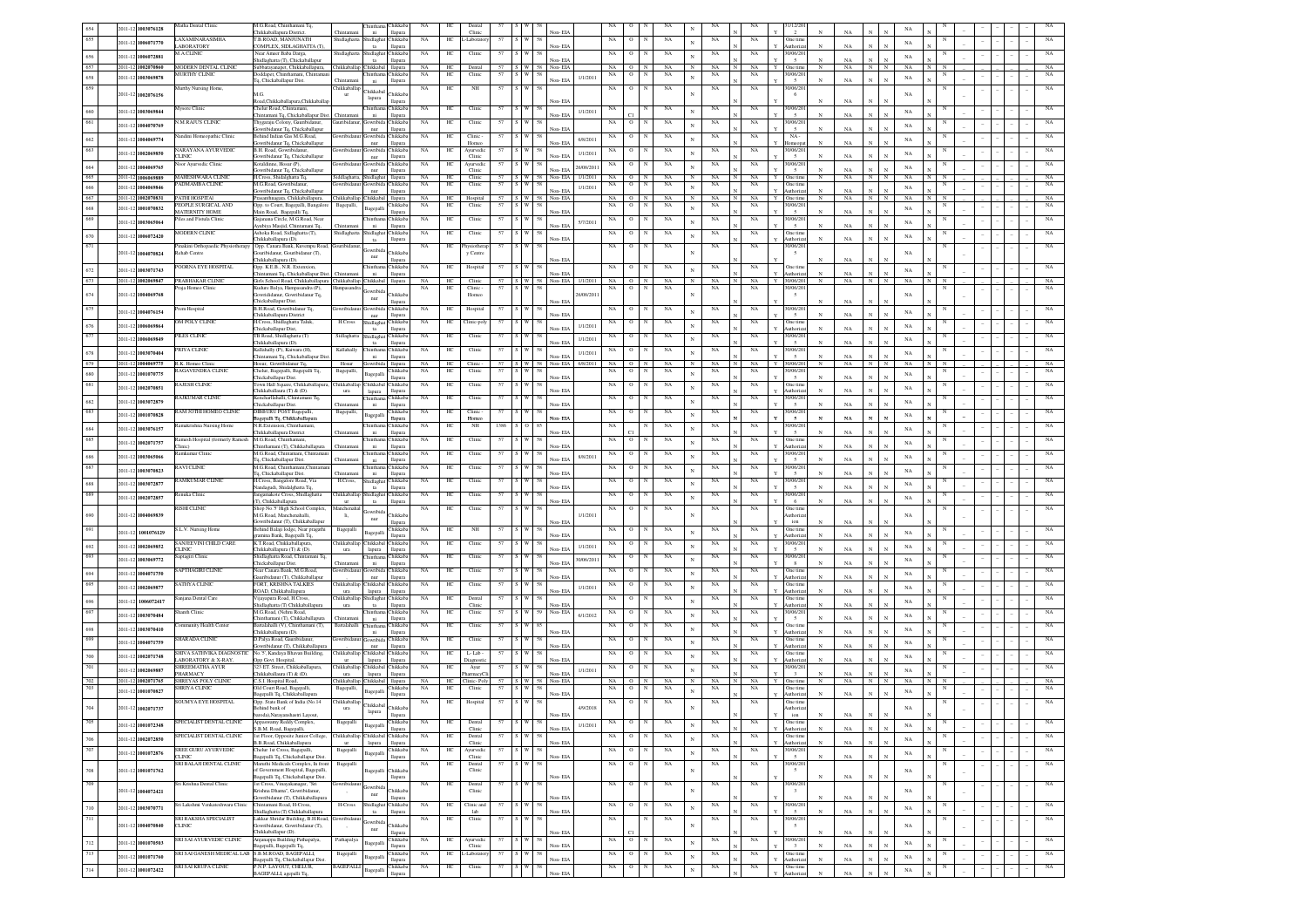|            | 2011-12 1003076128                             | latha Dental Clini                                                  | M.G.Road, Chinthamani Tq,<br>"hikkahallanura District                                                     |                     | Chikkab<br>hinth:<br>llapura                       | NA                       | HC                      | Dental<br>Clinic     |      |                                   | Von-EIA            |                       | NA          | $\circ$          | NA                         |                            | NA                       |                    |   | 1/12/20<br>$\overline{2}$             |              | NA          |                              |   | NA                |   |  |  |                            |
|------------|------------------------------------------------|---------------------------------------------------------------------|-----------------------------------------------------------------------------------------------------------|---------------------|----------------------------------------------------|--------------------------|-------------------------|----------------------|------|-----------------------------------|--------------------|-----------------------|-------------|------------------|----------------------------|----------------------------|--------------------------|--------------------|---|---------------------------------------|--------------|-------------|------------------------------|---|-------------------|---|--|--|----------------------------|
| 655        | 2011-12<br>1006071770                          | LAXAMINARASIMHA                                                     | T.B.ROAD, MANJUNATH                                                                                       | hidlaghatta         | ni<br><b>Thikkab</b><br>Shidlagh                   | NA.                      | HС                      | -Laborato            |      |                                   |                    |                       | NA          | $\circ$          | NA                         | $_{\rm N}$                 | NA                       | NA                 |   | One tim                               |              |             |                              |   | $_{\rm NA}$       |   |  |  | NA                         |
|            | 2011-12<br>1006072881                          | <b>ABORATORY</b><br><b>M.A.CLINIC</b>                               | COMPLEX, SIDLAGHATTA (T)<br>Near Ameer Baba Darga,                                                        | hidlaghatt          | ta<br>llapura<br>hidlag<br><b>Thikkab</b>          | NA.                      | HС                      | Clinic               | 57   |                                   | Non-EIA            |                       | NA          | $\circ$          | NA                         | N                          | NA                       | NA                 |   | uthoriza<br>0/06/20                   | $_{\rm N}$   | NA          | N<br>N                       |   | $_{\rm NA}$       |   |  |  | NA                         |
| 657        | 2011-12 1002070860                             | MODERN DENTAL CLINIC                                                | hidlaghatta (T), Chickaballapı<br>Subbarayanapet, Chikkaballapura,                                        |                     | ta<br>llapura<br>Chikkaballap Chikkabal llapura    | <b>NA</b>                | HС                      | Dental               | 57   | S W<br>58                         | Von-EIA<br>Non-EIA |                       | NA          | $\circ$          | NA                         | $_{\rm N}$                 | NA                       | NA.                |   | $\overline{5}$<br>One time            | $_{\rm N}$   | NA<br>NA    | N<br>N                       |   | NA                |   |  |  | NA                         |
| 658        | 2011-12 1003069878                             | <b>MURTHY CLINK</b>                                                 | Ooddapet, Chinthamani, Chintama<br>Iq, Chickaballapur Dist.                                               |                     | Chikkab<br>hinthar<br>llapura<br>ni                | NA                       | HC                      | Clinic               | 57   | : I W                             | Non-EIA            | 1/1/2011              | NA          | $\circ$          | NA                         | $\mathbf{N}$               | NA                       | NA                 |   | 0/06/20                               |              | NA          |                              |   | $_{\rm NA}$       |   |  |  | NA                         |
| 659        |                                                | lurthy Nursing Home,                                                |                                                                                                           | Chikkaballap        | Chikkabal                                          | NA                       | HC                      | NH                   | 57   |                                   |                    |                       | NA          | $\circ$          | NA                         |                            | NA                       | NA                 |   | 0/06/20                               |              |             |                              |   |                   |   |  |  | NA                         |
|            | 011-12 1002076156                              |                                                                     | M.G.<br>Road, Chikkaballapura, Chikkaballap                                                               | ur                  | <b>Thikkab</b><br>lapura<br>llapura                |                          |                         |                      |      |                                   | Non-EIA            |                       |             |                  |                            |                            |                          |                    |   | 6                                     |              | NA          |                              |   | $_{\rm NA}$       |   |  |  |                            |
| 660        | 2011-12 1003069844                             | <b>Iysore Clinic</b>                                                | Chelur Road, Chintamani,<br>hintamani Tq, Chickaballapur Dist. Chintaman                                  |                     | hintha<br>hikkab:<br>llapura<br>ni                 | NA                       | HС                      | Clinic               | 57   | : I W                             | Non-EIA            | 1/1/2011              | NA          |                  | NA                         | $\mathbf{N}$               | NA                       | NA                 |   | 0/06/20<br>$\mathfrak{s}$             |              | $_{\rm NA}$ |                              |   | $_{\rm NA}$       |   |  |  | NA                         |
|            | 2011-12 1004070769                             | <b>M.RAJUS CLINE</b>                                                | Thygaraju Colony, Gauribida<br>wribidanur Tq, Chickaballapur                                              |                     | hikkab<br>Gowribid<br>llapura<br>nur               | $_{\rm NA}$              | HС                      | Clinic               | 57   |                                   | Non-EIA            |                       | NA          | $\circ$          | NA                         |                            | NA                       | NA                 |   | 0/06/20<br>$\overline{5}$             |              | $_{\rm NA}$ |                              |   | $_{\rm NA}$       |   |  |  |                            |
| 662        | 2011-12 1004069774                             | ndini Homeopathic Clinic                                            | ind Indian Gas M.G.Road,                                                                                  |                     | hikkab                                             | NA                       | HС                      | Clinic               | 57   |                                   |                    | 6/8/2011              | NA          | $\circ$          | NA                         | $\mathbf{N}$               | NA                       | NA                 |   | $NA -$                                |              |             |                              |   | NA                |   |  |  | NA                         |
|            | 2011-12 1002069850                             | <b>ARAYANA AYURVEDIC</b>                                            | wribidanur Tq, Chickaballapur<br>B.H. Road, Gowribida                                                     |                     | nur<br>llapura<br><b>Thikkab</b><br>owrib.         | $_{\rm NA}$              | $\rm{HC}$               | Homeo<br>Ayurvedi    | 57   |                                   | Von-EIA            | 1/1/2011              | NA          | $\,$ O           | $_{\rm NA}$                | N                          | $_{\rm NA}$              | $_{\rm NA}$        |   | Homeop<br>0/06/201                    |              | NA          |                              |   | NA                |   |  |  | NA                         |
|            |                                                | <b>CLINIC</b><br>or Ayurvedic Clinic                                | owribidanur Tq, Chickaballapu<br>Kotaldinne, Hosur (P)                                                    |                     | llapur<br>nur<br><b>Thikkab</b><br>owrib.          | NA                       | ΗС                      | Clinic<br>Ayurvedi   | 57   |                                   | Non-EIA            |                       | NA          | $\circ$          | $_{\rm NA}$                |                            | $_{\rm NA}$              | $_{\rm NA}$        |   | $\overline{\phantom{a}}$<br>0/06/20   |              | NA          |                              |   |                   |   |  |  | $_{\rm NA}$                |
| 664<br>665 | 2011-12 1004069765<br>2011-12 1006069889       | <b>MAHESHWARA CLINIC</b>                                            | owribidanur Tq, Chickaballapur<br>H.Cross, Shidalghatta Tq,                                               | iddlagh             | nur<br>llapur<br>hidlagh<br>llapur                 | NA                       | HC                      | Clini<br>Clinic      |      | $S \mid W$                        | Non-EIA<br>Non-EIA | 26/08/201<br>1/1/2011 | NA          | $\overline{0}$   | NA                         | $\mathbf{N}$<br>$_{\rm N}$ | NA                       | NA                 |   | $\sim$<br>One time                    | $_{\rm N}$   | NA<br>NA    | $_{\rm N}$<br>$_{\rm N}$     |   | NA<br>NA          |   |  |  | NA                         |
|            | 2011-12 1004069846                             | ADMAMBA CLINIC                                                      | M.G.Road, Gowribidan                                                                                      |                     | <b>Tukkab</b>                                      | $_{\rm NA}$              | HC                      | Clinic               | 57   |                                   |                    | 1/1/2011              | NA          | $\overline{0}$   | NA                         | $\mathbf{N}$               | NA                       | NA                 |   | One time                              |              |             |                              |   | $_{\rm NA}$       |   |  |  | NA                         |
| 667        | 2011-12<br>1002070831                          | <b>PATHI HOSPITAL</b>                                               | wribidanur Tq, Chickaballapu<br>Prasanthnagara, Chikkaballapura,                                          |                     | nur<br>llapura<br>Chikkaballap Chikkabal llapura   | NA                       | HC                      | Hospital             | 57   | s w<br>58                         | Non-FIA<br>Non-EIA |                       | NA          | $O$ N            | <b>NA</b>                  | $_{\rm N}$                 | NA                       | NA                 | Y | uthoria<br>One time                   | $_{\rm N}$   | NA<br>NA.   | $_{\rm N}$<br>$_{\rm N}$     |   | NA                |   |  |  | NA                         |
| 568        | 2011-12 1001070832                             | <b>FOPLE SURGICAL AND</b><br>MATERNITY HOME                         | Opp. to Court, Bagepalli, Bangalore<br>Main Road, Bagepalli Tq.                                           | Bagepalli           | Chikkab<br>agepall<br>llapura                      | $_{\rm NA}$              | $\rm{HC}$               | Clini                | 57   | <b>W</b><br>58                    | Non-EIA            |                       | NA          | $\circ$          | $_{\rm NA}$                |                            | $_{\rm NA}$              | NA                 |   | 0/06/20<br>$\sim$                     | $_{\rm N}$   | NA          |                              |   | NA                |   |  |  | $_{\rm NA}$                |
| 669        | 2011-12 1003065064                             | les and Fistula Clini                                               | aianana Circle M G Road Nea<br>.<br>Avubiya Masjid, Chintamani Tq.                                        | hintama             | Chikkab<br>ni<br><b>Hapura</b>                     | NA                       | HC                      | Clinic               | 57   |                                   | Non-EIA            | 5/7/201               | NA          | $\circ$          | NA                         | $_{\rm N}$                 | $_{\rm NA}$              | NA                 |   | 0/06/20<br>$\sim$                     |              | NA          |                              |   | $_{\rm NA}$       |   |  |  | NA                         |
| 670        | 2011-12 1006072420                             | <b>MODERN CLINIC</b>                                                | Ashoka Road, Sidlaghatta (T),<br>Chikkaballapura (D).                                                     | hidlaghatt          | <b>Thikkab</b><br>iidlag                           | NA                       | HС                      | Clinic               |      |                                   | Von-EIA            |                       | NA          | $\circ$          | NA                         | $_{\rm N}$                 | $_{\rm NA}$              | NA                 |   | One tim<br>uthoriza                   |              | $_{\rm NA}$ |                              |   | NA                |   |  |  | NA                         |
| 671        |                                                | Pinakini Orthopaedic Physiotherapy   Opp. Canara Bank, Kuvempu Road |                                                                                                           | ouribidanu          | llapura<br>ta                                      | <b>NA</b>                | HC.                     | hysiother            | 57   |                                   |                    |                       | NA          | $\circ$          | NA                         |                            | NA                       | NA                 |   | 0/06/20                               |              |             |                              |   |                   |   |  |  | $_{\rm NA}$                |
|            | 011-12 1004070824                              | Rehab Centre                                                        | suribidanur, Gouribidanur (T),<br>Chikkaballapura (D).                                                    |                     | <b>Thikkab</b><br>$_{\rm nur}$<br>llapura          |                          |                         | y Centre             |      |                                   | √on- EIA           |                       |             |                  |                            |                            |                          |                    |   | $\sim$                                |              | NA          |                              |   | NA                |   |  |  |                            |
| 672        | 2011-12 1003071743                             | OORNA EYE HOSPITAL                                                  | Opp. K.E.B., N.R. Extenxion,<br>hintamani Tq, Chickaballapur Dist.                                        |                     | hikkab<br>ıintha<br>llapura<br>ni                  | NA                       | HС                      | Hospital             |      |                                   | Non-EIA            |                       | NA          | $\circ$          | NA                         |                            | NA                       | NA                 |   | <b>Dne</b> tim<br>Authoriza           |              | NA          |                              |   | $_{\rm NA}$       |   |  |  |                            |
| 673        | 2011-12 1002069847                             | PRABHAKAR CLINIC                                                    | Girls School Road, Chikkaballapura   Chikkaballap   Chikkabal   Ilapura<br>Kudure Balya, Hampasandra (P), |                     |                                                    | NA                       | HC<br>HС                | Clinic<br>Clinic     | 57   | 57 S W 58                         |                    | Non-EIA 1/1/2011      | NA          | $O$ N<br>$\circ$ | NA<br>NA                   | $_{\rm N}$                 | NA<br>NA                 | NA<br>NA           | Y | 30/06/201<br>0/06/20                  | $_{\rm N}$   | NA.         | $_{\rm N}$<br>N              |   | $_{\rm NA}$       |   |  |  | NA<br>$_{\rm NA}$          |
| 674        | 2011-12 1004069768                             | aja Homeo Clinic                                                    | wrididanur, Gowribidanur Tq,                                                                              | Hampasandra         | wribid<br><b>Thikkab</b><br>nur                    | NA                       |                         | Homec                |      |                                   |                    | 26/08/201             | NA          |                  |                            |                            |                          |                    |   | $\overline{\phantom{a}}$              |              |             |                              |   | NA                |   |  |  |                            |
|            | 2011-12 1004076154                             | em Hospital                                                         | Chickaballapur Dist.<br>B.H.Road, Gowribida<br>iur Tq                                                     |                     | llapura<br>Thikkab<br>Jowribid                     | NA                       | HС                      | Hospital             |      |                                   | Non-EIA            |                       | NA          | $\circ$          | NA                         | $\mathbf N$                | NA                       | NA                 |   | 0/06/20                               |              | NA          |                              |   | NA                |   |  |  |                            |
|            |                                                | M POLY CLINIC                                                       | Chikkaballapura District<br>H.Cross, Shidlaghatta Taluk                                                   | <b>H.Cross</b>      | llapur<br>nur<br>hidlagh<br>Thikkab                | $_{\rm NA}$              | $\rm{HC}$               | Clinic-poly          | 57   |                                   | lon-EL             |                       | NA          | $\,$ O           | $_{\rm NA}$                |                            | $_{\rm NA}$              | $_{\rm NA}$        |   | One time                              |              | NA          |                              |   |                   |   |  |  | $_{\rm NA}$                |
| 676        | 2011-12 1006069864                             | <b>ILES CLINIC</b>                                                  | Chickaballapur Dist,<br>FB Road, Shidlaghatta (T)                                                         | Sidlaghatt          | llapur<br>ta<br><b>Thikkab</b><br>hidlagh          | $_{\rm NA}$              | HC                      | Clinic               |      |                                   | Non-EIA            | 1/1/2011              |             | $\,$ O           | $_{\rm NA}$                | $\mathbf{N}$               | $_{\rm NA}$              | $_{\rm NA}$        |   | uthoria<br>0/06/20                    |              | NA          |                              |   | NA                |   |  |  | $_{\rm NA}$                |
|            | 2011-12 1006069849                             |                                                                     | Chikkaballapura (D).                                                                                      |                     | $t$ a<br>llapu                                     |                          |                         |                      | 57   |                                   | Non-EIA            | 1/1/2011              | NA          |                  |                            | N                          |                          |                    |   | $\sim$                                | $_{\rm N}$   | NA          |                              |   | NA                |   |  |  |                            |
| 678        | 2011-12 1003070404                             | <b>RIYA CLINK</b>                                                   | <b>Kallahally (P), Kaiwara (H)</b><br>Chintamani Tq, Chickaballapur Dis                                   | Kallahall           | hikka<br>ıinth:<br>llapur<br>ni                    | NA                       | HC                      | Clinic               |      |                                   | Non-EIA            | 1/1/201               | NA          | $\circ$          | NA                         |                            | NA                       | NA                 |   | 0/06/2<br>$\overline{\phantom{a}}$    |              | NA          |                              |   | NA                |   |  |  | NA                         |
| 679        | 2011-12<br>004069775                           | R K Homeo Clin<br><b>AGAVENDRA CLINIC</b>                           | Hosur. Gowribidanur To<br>Chelur, Bagepalli, Bagepalli Tq.                                                | Hosur<br>Bagepalli, | llapur<br>Chikkab                                  | <b>NA</b><br>$_{\rm NA}$ | HC.<br>$_{\mathrm{HC}}$ | Clini<br>Clinic      | 57   | $57 \times W$ $58$<br>: I W<br>58 |                    | Non-EIA 6/8/201       | NA<br>NA    | O N<br>$\,$ O    | NA<br>$_{\rm NA}$          | $\mathbb{N}$               | <b>NA</b><br>$_{\rm NA}$ | NA.<br>$_{\rm NA}$ |   | 30/06/20<br>0/06/20                   | $\mathbb{N}$ | NA.         | $\overline{N}$               | N | NA                |   |  |  | NA<br>$_{\rm NA}$          |
| 580<br>681 | 2011-12 1001070775                             | <b>AJESH CLINIC</b>                                                 | Thickaballapur Dist.<br>own Hall Square, Chikkaballapur                                                   | hikkaballar         | <b>Sagepall</b><br>llapura<br>Chikkabal<br>Chikkab | NA                       | HC                      | Clinic               | 57   |                                   | Von-EIA            |                       | NA          | $\circ$          | NA                         | N                          | NA                       | NA                 |   | $\overline{5}$<br>One time            |              | NA          |                              |   | $_{\rm NA}$       |   |  |  | NA                         |
|            | 2011-12 1002070851                             |                                                                     | Thikkaballaura (T) & (D).                                                                                 | ura                 | lapura<br><b>Hapura</b><br><b>Thikkab</b>          | NA                       |                         |                      |      |                                   | Non-EIA            |                       |             |                  |                            |                            |                          |                    |   | uthoriza<br>0/06/20                   |              | NA          |                              |   | $_{\rm NA}$       |   |  |  |                            |
|            | 1003072879<br>$2011 - 12$                      | RAJKUMAR CLINIC                                                     | encharllahalli, Chintamani Tq,<br>Thickaballapur Dist.                                                    | hinta               | llapur<br>ni                                       |                          | HC                      | Clinic               | 57   |                                   | Von-EIA            |                       | NA          | $\circ$          | NA                         |                            | NA                       | NA                 |   | $\sim$                                |              | NA          |                              |   | $_{\rm NA}$       |   |  |  |                            |
| 683        | 2011-12<br>1001070828                          | RAM JOTHI HOMEO CLINIC                                              | DIBBURU POST Bagepalli.<br>agepalli Tq, Chikkaballapura                                                   | Bagepalli           | <b>Thikkab</b><br>lagepall<br><b>Hapura</b>        | NA                       | HC                      | Clinic-<br>Homec     | 57   |                                   | Von-EIA            |                       | NA          | $\circ$          | NA                         |                            | $_{\rm NA}$              | $_{\rm NA}$        |   | 0/06/20<br>$\overline{5}$             |              | NA          |                              |   | NA                |   |  |  | NA                         |
|            | $011-1$<br>1003076157                          | amakrishna Nursing Home                                             | N R Extension Chinthamani<br>Chikkaballapura District                                                     | <b>Thintama</b>     | <b>Thikkab</b><br>hinth:<br>ni<br>llapura          | NA                       | HC                      | NH                   | 1386 |                                   | Von-EIA            |                       | NA          |                  | NA                         |                            | NA                       | NA                 |   | 0/06/20<br>$\sim$                     |              | NA          |                              |   | $_{\rm NA}$       |   |  |  | NA                         |
| 685        | 2011-12<br>1002071757                          | amesh Hospital (formerly Ramesh<br>linic)                           | M.G.Road, Chintham<br>hinthamani (T), Chikkaballapura                                                     | Chintama            | hinthar<br>hikkab<br>llapura<br>ni                 | NA                       | HС                      | Clinic               |      |                                   | Von-EIA            |                       | NA          | $\circ$          | NA                         |                            | NA                       | NA                 |   | One time<br>uthoriza                  |              | NA          |                              |   | $_{\rm NA}$       |   |  |  |                            |
|            | 2011-12<br>1003065066                          | amkumar Clinic                                                      | M.G.Road, Chintamani, Chintaman                                                                           |                     | hikkab<br>ıintha                                   | NA                       | HС                      | Clinic               | 57   |                                   |                    | 8/8/2011              | NA          | $\circ$          | NA                         |                            | NA                       | NA                 |   | 0/06/20                               |              |             |                              |   | $_{\rm NA}$       |   |  |  |                            |
|            | 2011-12 1003070823                             | <b>AVICLINIC</b>                                                    | Tq, Chickaballapur Dist.<br>M.G.Road, Chinthamani, Chintam                                                | <b>Thintamar</b>    | llapura<br>ni<br>Chikkab<br>hintha                 | NA                       | HС                      | Clinic               | 57   |                                   | Non-EIA            |                       | NA          | $\circ$          | NA                         |                            | NA                       | NA                 |   | 0/06/20                               |              | $_{\rm NA}$ |                              |   |                   |   |  |  |                            |
|            |                                                | AMKUMAR CLINK                                                       | Tq, Chickaballapur Dist.<br>I.Cross, Bangalore Road, Via                                                  | H.Cross,            | ni<br>llapura<br>hikkab<br>hidlagh                 | NA                       | ΗС                      | Clini                |      |                                   | Non-EIA            |                       | NA          | о                | NA                         |                            | NA                       | NA                 |   | 5<br>/06/20                           |              | $_{\rm NA}$ |                              |   | $_{\rm NA}$       |   |  |  |                            |
| 688        | 2011-12 1003072877                             | tuka Clinis                                                         | dagudi, Shidalghatta Tq<br>ingamakote Cross, Shidlaghatta                                                 | hikkaball           | llapura<br>$12$<br>dlag<br>hikkab                  | NA                       | HС                      | Clini                |      |                                   | Von-EIA            |                       |             |                  | NA                         |                            | NA                       | NA                 |   | $\leq$<br>0/06/20                     |              | $_{\rm NA}$ |                              |   | NA                |   |  |  |                            |
|            | 2011-12 1002072857                             |                                                                     | T), Chikkaballapura                                                                                       | ur                  | llapura<br>ta                                      |                          |                         |                      |      |                                   | lon-EIA            |                       | NA          |                  |                            |                            |                          |                    |   | 6                                     |              | NA          |                              |   | NA                |   |  |  |                            |
|            | $011 - 12$<br>004069839                        | ISHI CLINIC                                                         | Shop No.'5' High School Complex,<br>M.G.Road, Manchenahalli                                               | anchenal<br>li.     | jowribid<br>hikka<br>nur                           | NA                       | $\rm{HC}$               | Clinic               | 57   |                                   |                    | 1/1/2011              | NA          | $\circ$          | $_{\rm NA}$                |                            | NA                       | NA                 |   | One time<br>thoria                    |              |             |                              |   | $_{\rm NA}$       |   |  |  |                            |
| 691        | 2011-12 1001076129                             | S.L.V. Nursing Home                                                 | wribidanur (T), Chikkaballapur<br>3ehind Balaji lodge, Near pragathi                                      | Bagepall            | llapur<br><b>Thikkab</b>                           | $_{\rm NA}$              | HC                      | NH                   | 57   |                                   | Von-EIA            |                       | NA          | $\circ$          | NA                         |                            | NA                       | $_{\rm NA}$        |   | ion<br><b>Dne</b> tin                 |              | NA          |                              |   | $_{\rm NA}$       |   |  |  |                            |
|            |                                                | <b>SANJEEVINI CHILD CARE</b>                                        | mina Bank, Bagepalli Tq,<br>K.T.Road, Chikkaballapura,                                                    | Thikkaballar        | <b>Sagepall</b><br>llapura<br>Chikkabal Chikkab    | $_{\rm NA}$              | HC                      | Clinic               | 57   | W                                 | Non-EL             |                       | NA          | $\mathbf{o}$     | $_{\rm NA}$                |                            | $_{\rm NA}$              | $_{\rm NA}$        |   | uthoria<br>0/06/20                    |              | NA          |                              |   |                   |   |  |  | NA                         |
| 692<br>693 | 2011-12 1002069852                             | <b>CLINIC</b>                                                       | "hikkaballapura (T) & (D).<br>Shidlaghatta Road, Chintamani Tq                                            | ura                 | llapura<br>lapura<br><b>Thikkab</b>                |                          |                         |                      | 57   | W                                 | Non-EIA            | 1/1/2011              |             |                  |                            |                            |                          |                    |   | $\overline{5}$<br>0/06/20             |              | NA          |                              |   | $_{\rm NA}$       |   |  |  |                            |
|            | 2011-12 1003069772                             | aptagiri Clinic                                                     | Thickaballapur Dist.                                                                                      | hintama             | ni<br>llapura                                      | $_{\rm NA}$              | $\rm{HC}$               | Clinic               |      |                                   | Non-EIA            | 30/06/201             | NA          | $\mathbf{o}$     | $_{\rm NA}$                |                            | $_{\rm NA}$              | $_{\rm NA}$        |   | 8                                     |              | NA          |                              |   | $_{\rm NA}$       |   |  |  | NA                         |
| 694        | 1004071750<br>2011-12                          | SAPTHAGIRI CLINIC                                                   | Vear Canara Bank, M.G.Road,<br>uribidanur (T), Chikkaballapu                                              |                     | <b>Thikkab</b><br>nur<br>llapura                   | NA.                      | HС                      | Clinic               | -57  |                                   | Von-EIA            |                       | NA          | $\circ$          | NA                         |                            | NA                       | NA                 |   | One tim<br>uthoriz                    |              | NA          |                              |   | $_{\rm NA}$       |   |  |  | NA                         |
| 695        | $011 - 12$<br>1002069877                       | SATHY A CLINIC                                                      | <b>FORT, KRISHNA TALKIES</b><br>ROAD, Chikkaballapura                                                     | hikkaballar<br>ura  | Chikkabal Chikkab<br>lapura<br>llapura             | NA                       | HС                      | Clinic               | 57   |                                   | Non-EIA            | 1/1/201               | NA          | $\circ$          | NA                         |                            | NA                       | NA                 |   | One time<br>uthoriza                  |              | NA          |                              |   | $_{\rm NA}$       |   |  |  | NA                         |
|            | 1006072417<br>011-12                           | injana Dental Care                                                  | Vijayapura Road, H.Cross,<br>hidlaghatta (T) Chikkaballapura                                              | hikkaballar<br>ura  | Shidlaghat Chikkab.<br>ta<br>llapura               | NA                       | HC                      | Dental<br>Clinic     | 57   |                                   | Non-EIA            |                       | NA          | $\circ$          | NA                         |                            | $_{\rm NA}$              | NA                 |   | One time<br>uthoriza                  |              | NA          |                              |   | $_{\rm NA}$       |   |  |  | NA                         |
|            | 2011-12<br>1003070484                          | hanth Clinic                                                        | M.G.Road, (Nehru Road,<br>"hinthamani (T), Chikkaballapura                                                | Thintama            | hinthar<br>hikkab<br>ni<br>llapura                 | NA                       | HС                      | Clinic               | 57   |                                   | Non-EIA            | 6/1/2012              | NA          | $\circ$          | NA                         |                            | NA                       | NA                 |   | 0/06/20<br>$\sim$                     |              | NA          |                              |   | $_{\rm NA}$       |   |  |  | NA                         |
|            | 2011-12 1003070410                             | ommunity Health Center                                              | attalahalli (V), Chinthamani (T),                                                                         | Battalahalli        | hintha<br>hikkab.                                  | NA                       | HС                      | Clinic               | 57   |                                   |                    |                       | NA          | $\circ$          | NA                         |                            | NA                       | NA                 |   | One time                              |              |             |                              |   | $_{\rm NA}$       |   |  |  | NA                         |
| 699        | 2011-12 1004071759                             | <b>SHARADA CLINIC</b>                                               | Chikkaballapura (D).<br>D.Palya Road, Gauribidanur                                                        | wribidar            | llapura<br>ni<br>Jowribid<br>hikkab:               | NA                       | HС                      | Clinic               | 57   |                                   | Von-EIA            |                       | NA          | $\circ$          | NA                         |                            | NA                       | NA                 |   | Authoriza<br>One time                 |              | NA          |                              |   | $_{\rm NA}$       |   |  |  | NA                         |
| 700        |                                                | IIVA SATHVIKA DIAGNOSTIC                                            | wribidanur (T), Chikkaballapur<br>lo.'5', Kandaya Bhavan Building,                                        | iikkaballa          | llapura<br>nur<br>Chikkabal<br>hikkab              | NA                       | HС                      | L-Lab                | 57   |                                   | Non-EIA            |                       | $_{\rm NA}$ | $\circ$          | NA                         |                            | $_{\rm NA}$              | $_{\rm NA}$        |   | uthoriz<br>Dne time                   |              | NA          |                              |   |                   |   |  |  | NA                         |
|            | 2011-12 1002071748                             | ABORATORY & X-RAY,<br><b>IREEMATHA AYUR</b>                         | Opp Govt. Hospital,<br>\$23 ET. Street, Chikkaballapura,                                                  | ur<br>iikkaball:    | lapura<br>llapura<br>Thikkaba<br>hikkab            | $_{\rm NA}$              | HС                      | iagnost<br>Ayur      | 57   |                                   | Non-EIA            |                       | NA          | $\circ$          | NA                         |                            | NA                       | NA                 |   | uthoriz<br>0/06/20                    |              | $_{\rm NA}$ |                              |   | NA                |   |  |  | NA                         |
|            | 2011-12<br>1002069887<br>1002071765<br>2011-12 | <b>HARMACY</b><br>SHREYAS POLY CLINIC                               | hikkaballaura (T) & (D).                                                                                  | ura<br>hikkaballap  | lapura<br>llapura<br>llapur                        | NA                       | HC                      | armacy0              | 57   | $S \quad W$<br>58                 | lon-EIA<br>Non-EIA | 1/1/201               | NA          | $\circ$          |                            | $\mathbf{N}$<br>$_{\rm N}$ | NA                       | $_{\rm NA}$        |   | $\overline{\mathbf{3}}$               | $_{\rm N}$   | N<br>NA     | $_{\rm N}$<br>$_{\rm N}$     |   | NA<br>$_{\rm NA}$ |   |  |  |                            |
|            | 2011-12 1001070827                             | HRIYA CLINIC                                                        | C.S.I. Hospital Road,<br>Old Court Road, Bagepall                                                         | Bagepalli           | Chikkaba<br>hikkab<br>Bagepalli                    | NA                       | $\rm{HC}$               | linic-Poly<br>Clinic | 57   |                                   |                    |                       | NA          | $\circ$          | $_{\rm NA}$<br>$_{\rm NA}$ | $\mathbf{N}$               | NA                       | NA                 |   | One time<br>One time                  |              |             |                              |   | $_{\rm NA}$       |   |  |  | $_{\rm NA}$<br>$_{\rm NA}$ |
|            |                                                | SOUMYA EYE HOSPITAL                                                 | agepalli Tq, Chikkaballapun<br>Opp. State Bank of India (No.14                                            | :"hikkaballap       | llapur<br><b>Thikkabal</b>                         | $_{\rm NA}$              | HC                      | Hospital             | 57   | W                                 | Non-EIA            |                       | NA          | $\,$ O           | NA                         |                            | NA                       | NA                 |   | uthoriz<br>One time                   |              | NA          |                              |   |                   |   |  |  | NA                         |
|            | 2011-12 1002071737                             |                                                                     | ehind bank of<br>baroda).Narayanshastri Layout                                                            | ura                 | <b>Thikkab</b><br>lapura                           |                          |                         |                      |      |                                   | ion-EIA            | 4/9/2018              |             |                  |                            |                            |                          |                    |   | thoriz<br>ion                         |              | NA          |                              |   | $_{\rm NA}$       |   |  |  |                            |
| 705        | 2011-12 1001072348                             | SPECIALIST DENTAL CLINIC                                            | ppaswamy Reddy Complex,                                                                                   | Bagepalli           | Chikkab<br>Bagepalli<br><b>Hapura</b>              | NA                       | HС                      | Dental<br>Clinic     | 57   | 58                                | Non-EIA            | 1/1/2011              | $_{\rm NA}$ | $\circ$          | $_{\rm NA}$                | N                          | NA                       | NA                 |   | One time<br>Authoriza                 |              | NA          | $\mathbf{N}$                 |   | $_{\rm NA}$       |   |  |  | $_{\rm NA}$                |
| 706        | 2011-12 1002072850                             | SPECIALIST DENTAL CLINIC                                            | S.B.M. Road, Bagepalli,<br>1st Floor, Opposite Junior College,                                            |                     | Chikkaballap Chikkabal Chikkab                     | NA                       | HС                      | Dental               |      |                                   |                    |                       | NA          | $\circ$          | NA                         | $\mathbf{N}$               | $_{\rm NA}$              | NA                 |   | One time                              |              |             | $\mathbf{N}$                 |   | $_{\rm NA}$       |   |  |  | NA                         |
| 707        | 2011-12 1001072876                             | SREE GURU AYURVEDIO                                                 | B.B.Road, Chikkaballapura<br>Chelur 1st Cross, Bagepalli,                                                 | ur<br>Bagepalli     | llapura<br>lapura<br>Chikkab                       | NA                       | HС                      | Clinic<br>Ayurvedic  |      |                                   | Non-EIA            |                       | NA          | $\circ$          | NA                         | $_{\rm N}$                 | NA                       | NA                 |   | Authorizat<br>30/06/201               | $_{\rm N}$   | $_{\rm NA}$ | $\mathbb{N}$                 |   | $_{\rm NA}$       | N |  |  | NA                         |
|            |                                                | <b>CLINIC</b><br>SRI BALAJI DENTAL CLINIC                           | sagepalli Tq, Chickaballapur Dist.<br>Maruthi Medicals Complex. In front                                  | Bagepalli           | Bagepall<br>llapura                                | NA                       | HС                      | Clinic<br>Dental     | 57   | : W                               | Non-EIA            |                       | NA          | $\circ$          | NA                         |                            | NA                       | NA                 |   | $\sim$<br>30/06/201                   |              | $_{\rm NA}$ |                              |   |                   |   |  |  | NA                         |
| 708        | 2011-12 1001071762                             |                                                                     | of Government Hospital, Bagepalli,<br>Bagepalli Tq, Chickaballapur Dist.                                  |                     | <b>Thikkab</b><br>agepall<br>llapura               |                          |                         | Clinic               |      |                                   | Non-EIA            |                       |             |                  |                            | N                          |                          |                    |   | $\sim$                                |              | $_{\rm NA}$ |                              |   | $_{\rm NA}$       |   |  |  |                            |
| 709        |                                                | Sri Krishna Dental Clinic                                           | 1st Cross, Vinayakanagar, "Sri                                                                            | wribidai            | owribi                                             | NA                       | HС                      | Dental               |      |                                   |                    |                       | NA          | $\circ$          | NA                         |                            | NA                       | NA                 |   | 0/06/20                               |              |             |                              |   |                   |   |  |  | NA                         |
|            | 2011-12 1004072421                             |                                                                     | Krishna Dhama", Gowribidanur,<br>Gowribidanur (T), Chikkaballapura                                        |                     | <b>Thikkab</b><br>$_{\rm nur}$<br>llapura          |                          |                         | Clinic               |      |                                   | Non-EIA            |                       |             |                  |                            | $_{\rm N}$                 |                          |                    |   | $\overline{\mathbf{3}}$               |              | NA          |                              |   | $_{\rm NA}$       |   |  |  |                            |
| 710        | 2011-12 1003070771                             | Sri Lakshmi Venkateshwara Clinic                                    | Chintamani Road, H-Cross,<br>Shidlaghatta (T) Chikkaballapura                                             | H-Cross             | Shidlaghat Chikkaba<br>llapura<br>ta               | $_{\rm NA}$              | HС                      | Clinic and<br>lab    | 57   | S W<br>58                         | Non-EIA            |                       | $_{\rm NA}$ | $\circ$          | NA                         | $_{\rm N}$                 | $_{\rm NA}$              | $_{\rm NA}$        |   | 30/06/201<br>$\sim$                   | $\mathbf{N}$ | $_{\rm NA}$ | $\overline{N}$               |   | NA                | N |  |  | NA                         |
| 711        | 2011-12 1004070840                             | SRI RAKSHA SPECIALIST<br><b>CLINIC</b>                              | Lakkur Shridar Building, B.H.Road,<br>wribidanur, Gowribidanur (T),                                       | mribida             | wribid<br>hikkab                                   | $_{\rm NA}$              | HC                      | Clinic               | 57   | s W<br>58                         |                    |                       | $_{\rm NA}$ |                  | $_{\rm NA}$                |                            | $_{\rm NA}$              | $_{\rm NA}$        |   | 30/06/201<br>$\overline{\phantom{a}}$ |              |             |                              |   | $_{\rm NA}$       | N |  |  | NA                         |
|            |                                                |                                                                     | Chikkaballapur (D).                                                                                       |                     | $_{\rm nur}$<br>llapura                            |                          |                         |                      |      |                                   | Non-EIA            |                       |             | СI               |                            |                            |                          |                    |   |                                       |              | $_{\rm NA}$ |                              |   |                   |   |  |  |                            |
| 712        | 2011-12 1001070503                             | <b>SRI SAI AYURVEDIC CLINIC</b>                                     | Anjanappa Building Pathapalya,<br>agepalli, Bagepalli Tq,                                                 | Pathapalya          | . hikkab<br>Bagepall<br>llapura                    | $_{\rm NA}$              | $_{\mathrm{HC}}$        | Ayurvedic<br>Clinic  | 57   |                                   | Non-EIA            |                       | NA          | $\overline{0}$   | NA                         | $_{\rm N}$                 | $_{\rm NA}$              | NA                 |   | 0/06/20<br>$\overline{\mathbf{3}}$    | $\mathbf{N}$ | $_{\rm NA}$ |                              |   | $_{\rm NA}$       |   |  |  | NA                         |
| 713        | 2011-12 1001071760                             | SRI SAI GANESH MEDICAL LAB S.B.M.ROAD, BAGEPALLI,                   | agepalli Tq, Chickaballapur Dist.                                                                         | Bagepalli           | <b>Thikkaba</b><br>Bagepall<br>llapur              | $_{\rm NA}$              | $\rm{HC}$               | Laborator            | 57   | <b>W</b>                          | Non-EIA            |                       | $_{\rm NA}$ | $\,$ O           | $_{\rm NA}$                | $\overline{N}$             | $_{\rm NA}$              | $_{\rm NA}$        |   | One time<br>Authoriza                 | $_{\rm N}$   | NA          | $\mathbf{N}$                 |   | $_{\rm NA}$       |   |  |  | $_{\rm NA}$                |
| $714\,$    | 2011-12 1001072422                             | <b>SRI SAI KRUPA CLINIC</b>                                         | P.N.P. LAYOUT, CHELUR,<br>BAGEPALLI, agepalli Tq,                                                         | BAGEPALL            | Chikkab<br>Bagepall<br>llapura                     | NA                       | HC                      | Clinic               |      |                                   | Non-EIA            |                       | $_{\rm NA}$ | $\overline{0}$   | NA                         | $_{\rm N}$                 | NA                       | NA                 | Y | One time<br>Authoriza                 |              | $_{\rm NA}$ | $\mathbf{N}$<br>$\mathbf{N}$ |   | $_{\rm NA}$       |   |  |  | $_{\rm NA}$                |
|            |                                                |                                                                     |                                                                                                           |                     |                                                    |                          |                         |                      |      |                                   |                    |                       |             |                  |                            |                            |                          |                    |   |                                       |              |             |                              |   |                   |   |  |  |                            |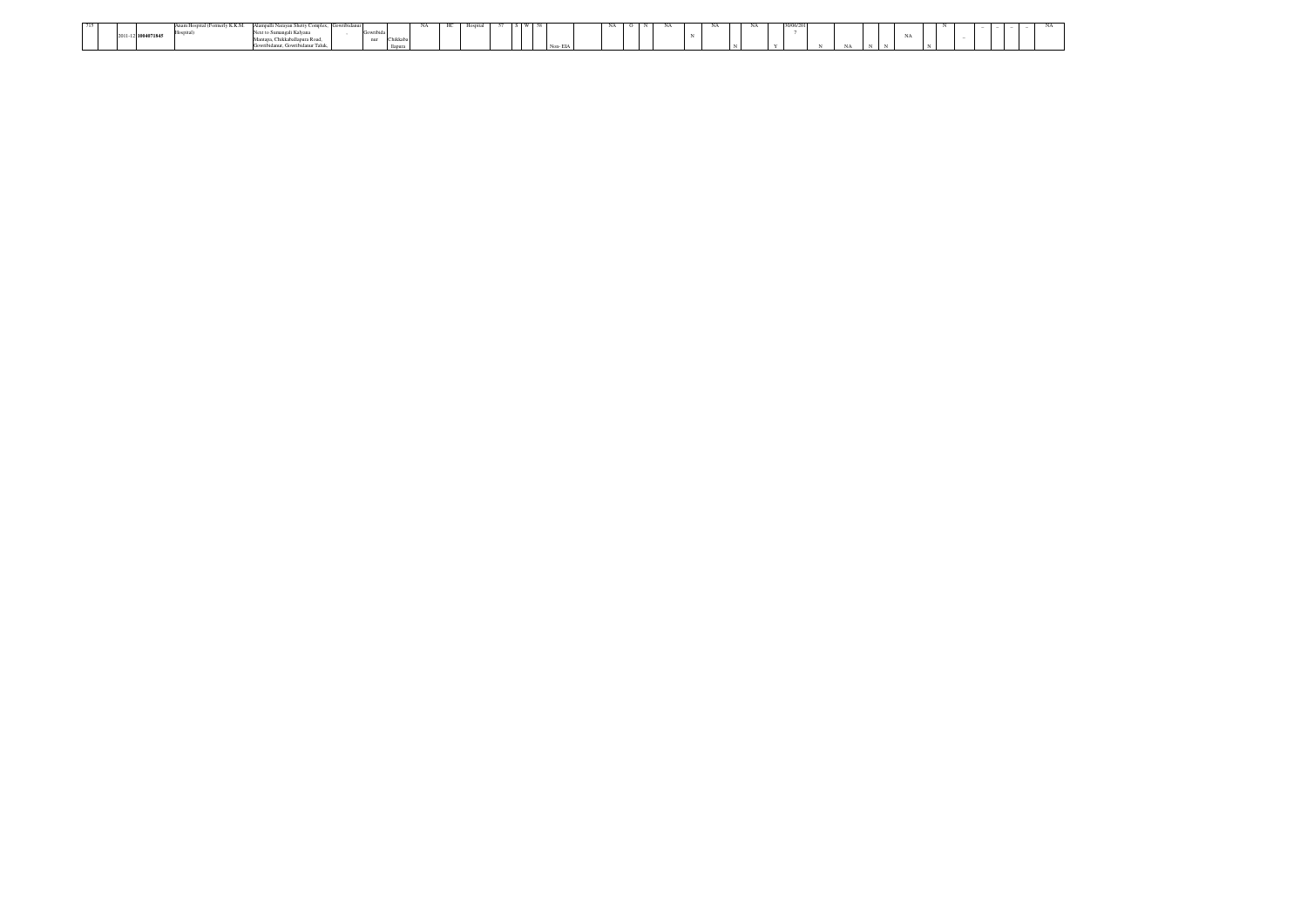|  |                    | v K.K.M.<br>stal (Economia)<br>reliation of the Special | dli Narayan Shetty Complex | $\sim$ |   |          | HС | - Hos |  |         |  | NA | NA |  | NUUD/2G |    |          |  |  |  |  |
|--|--------------------|---------------------------------------------------------|----------------------------|--------|---|----------|----|-------|--|---------|--|----|----|--|---------|----|----------|--|--|--|--|
|  |                    |                                                         | Next to Sumangali Kalvana  |        | . |          |    |       |  |         |  |    |    |  |         |    |          |  |  |  |  |
|  | 2011-12 1004071845 |                                                         |                            |        |   | Chikkaba |    |       |  |         |  |    |    |  |         |    |          |  |  |  |  |
|  |                    |                                                         | $-$                        |        |   |          |    |       |  | Non-EIA |  |    |    |  |         | NA | $\cdots$ |  |  |  |  |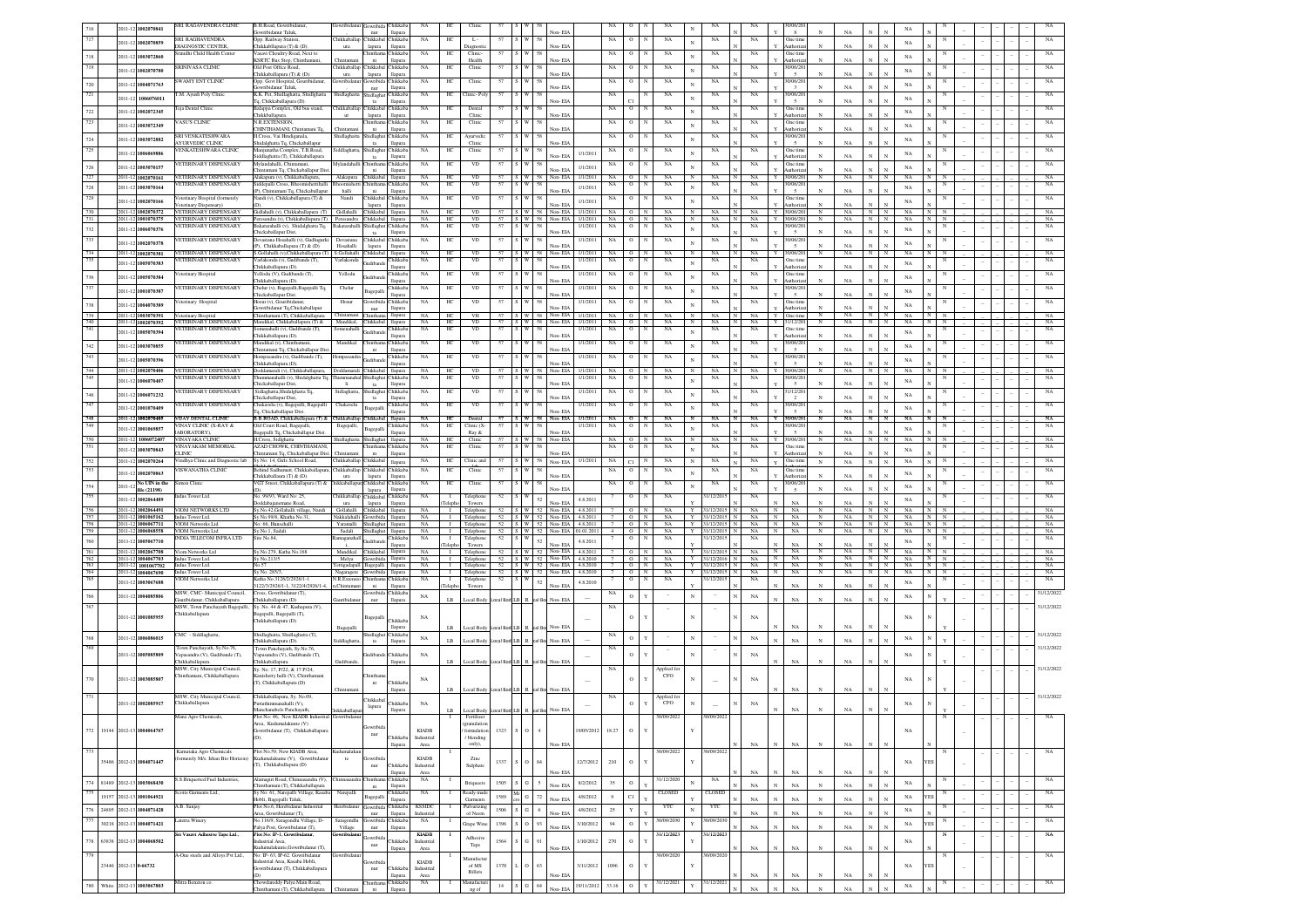|                   |                       | 2011-12 1002070841                       | SRI. RAGAVENDRA CLINIC                                      | B.H.Road, Gowribidanus<br>owribidanur Taluk                                                      | <b>Gowribidan</b>                        | owribida Chikkaba<br>$_{\rm nur}$     | llapura                       | $_{\rm NA}$                | HС                             | Clini                            |                 |                     | Non-EL                                             |                       | NA               |                                                    | NA                       |                 | NA                             |   | NA                              | 0/06/20<br>8              |                            |                   |                                            |                   |                   |  |  |                   |
|-------------------|-----------------------|------------------------------------------|-------------------------------------------------------------|--------------------------------------------------------------------------------------------------|------------------------------------------|---------------------------------------|-------------------------------|----------------------------|--------------------------------|----------------------------------|-----------------|---------------------|----------------------------------------------------|-----------------------|------------------|----------------------------------------------------|--------------------------|-----------------|--------------------------------|---|---------------------------------|---------------------------|----------------------------|-------------------|--------------------------------------------|-------------------|-------------------|--|--|-------------------|
| 717               | 2011-12               | 00207085                                 | <b>SRI. RAGHAVENDRA</b><br>MAGNOSTIC CENTER                 | Opp. Railway Station,                                                                            | Chikkaballa                              | Chikkabal Chikkaba                    |                               | NA                         | HС                             | $L -$                            | 57              |                     | Non-EIA                                            |                       | NA               | $\circ$                                            | NA                       |                 | NA                             |   | NA                              | One tim                   | $_{\rm N}$                 | NA                | $\mathbf{N}$<br>$\mathbb{N}$               | NA                |                   |  |  |                   |
| 718               | 2011-13               | 00307286                                 | nidhi Child Health Center                                   | Chikkabllapura (T) & (D)<br>Vasavi Choultry Road, Next to                                        | ura                                      | lapura                                | llapura<br>hikkaba            | NA                         | HC                             | Diagnost<br>Clinic               | 57              |                     |                                                    |                       | NA               | $\circ$                                            | NA                       |                 | NA                             |   | NA                              | uthoriz<br>One time       |                            |                   |                                            | NA                |                   |  |  |                   |
| 719               |                       |                                          | SRINIVASA CLINIC                                            | <b>KSRTC Bus Stop, Chinthaman</b><br>Old Post Office Road.                                       | Thintam<br>Chikkaballar                  | ni<br>Chikkabal Chikkaba              | llapura                       | NA                         | HС                             | Health<br>Clinic                 | 57              |                     | Non-EL                                             |                       | NA               | $\circ$                                            | NA                       |                 | NA                             |   | NA                              | uthoriz<br>0/06/201       |                            | NA                |                                            |                   |                   |  |  |                   |
|                   | 2011-1                | 002070780                                | WAMY ENT CLINK                                              | Chikkaballapura (T) & (D)<br>Opp. Govt Hospital, Gouribidanur,                                   | ura<br>mribida                           | lapura<br>jowribida Chikkaba          | llapura                       | NA                         | HС                             | Clinic                           | 57              |                     | Non-EIA                                            |                       | NA               | $^{\circ}$                                         | NA                       |                 | NA                             |   | NA                              | $\sim$<br>0/06/20         |                            | NA                |                                            | $_{\rm NA}$       |                   |  |  |                   |
| $720\,$           | 2011-1                | 004071763                                |                                                             | iowribidanur Taluk,                                                                              |                                          | nur                                   | llapura                       |                            |                                |                                  |                 |                     | Non-EL                                             |                       |                  |                                                    |                          |                 |                                |   |                                 |                           |                            | NA                |                                            | NA                |                   |  |  |                   |
| 721               | $2011 - 1$            | 1006076011                               | M. Ayush Poly Clinic                                        | K.K. Pet, Shidlaghatta, Shidlghatta<br>To, Chikkaballapura (D).                                  | Shidlaghatta                             | hidlaghat<br>ta                       | Chikkab;<br>llapura           | NA                         | HС                             | Clinic-Pol                       | 57              |                     | Non-EIA                                            |                       | NA               |                                                    | NA                       |                 | NA                             |   | NA                              | 0/06/20                   |                            | NA                |                                            | $_{\rm NA}$       |                   |  |  |                   |
| $722\,$           | $2011 - 12$           | 1002072345                               | eja Dental Clinic                                           | Balappa Complex, Old bus stand,<br><br>"hikkballapura.                                           | hikkaballa<br>ur                         | Thikkabal Chikkaba<br>lapura          | llapura                       | NA                         | HС                             | Dental<br>Clinic                 | 57              |                     | Non-EIA                                            |                       | NA               | $\circ$                                            | NA                       |                 | NA                             |   | NA                              | One time<br>uthoriz       |                            | NA                |                                            | $_{\rm NA}$       |                   |  |  |                   |
| 723               | $2011 - 12$           | 1003072349                               | ASUS CLINIC                                                 | <b>R.EXTENSION</b>                                                                               |                                          | iinthar                               | hikkab                        | NA                         | H                              | Clinic                           |                 |                     |                                                    |                       | NA               |                                                    | NA                       |                 | NA                             |   | NA                              | One tim                   |                            |                   |                                            | $_{\rm NA}$       |                   |  |  |                   |
|                   |                       |                                          | RI VENKATESHWARA                                            | CHINTHAMANI, Chintamani Tq.<br>I.Cross, Vai Hindiganala,                                         | hidlaghatt                               | $\rm{ni}$<br>dlagha                   | llapura<br>hikkab             | NA                         | н                              | Ayurvedi                         |                 |                     | Non-EIA                                            |                       | $_{\rm NA}$      |                                                    | NA                       |                 | NA                             |   | $_{\rm NA}$                     | uthoriz<br>0/06/20        |                            | $_{\rm NA}$       |                                            |                   |                   |  |  |                   |
| $724\,$<br>725    | $2011 - 1$            | 1003072882                               | YURVEDIC CLINIC<br>ENKATESHWARA CLINIC                      | hidalghatta Tq, Chickaballapur<br>Manjunatha Complex, T.B.Road,                                  |                                          | $t$ a                                 | llapura                       |                            | HC                             | Clinic                           |                 |                     | Non-EL                                             |                       |                  |                                                    |                          |                 |                                |   |                                 |                           |                            | NA                |                                            | $_{\rm NA}$       |                   |  |  |                   |
|                   | $2011 - 12$           | 1006069886                               |                                                             | Siddlaghatta (T), Chikkaballapura                                                                | iddlaghatt                               | idlagha<br>$t$ a                      | hikkab.<br>llapura            | $_{\rm NA}$                |                                | Clinic                           | 57              |                     | Non-EIA                                            | 1/1/2011              | NA               |                                                    | $_{\rm NA}$              |                 | $_{\rm NA}$                    |   | $_{\rm NA}$                     | One time<br>uthoriz       |                            | NA                |                                            | $_{\rm NA}$       |                   |  |  |                   |
| 726               | $2011 - 12$           | 1003070157                               | ETERINARY DISPENSARY                                        | Mylandahalli, Chintamar<br>hintamani Tq, Chickaballapur Dis                                      |                                          | intha<br>ni                           | Chikkab.<br>llapura           | $_{\rm NA}$                | ΗС                             | $_{\rm VD}$                      | 57              |                     | Non-EIA                                            | 1/1/2011              | $_{\rm NA}$      | $\circ$                                            | $_{\rm NA}$              |                 | $_{\rm NA}$                    |   | $_{\rm NA}$                     | One tim<br>uthoriz        |                            | NA                |                                            | NA                |                   |  |  |                   |
| 727               | 2011-12               | 1002070161                               | VETERINARY DISPENSARY<br>ETERINARY DISPENSARY               | Alakapura (v), Chikkaballapura,                                                                  | Alakapura                                | hikkabal                              | Chikkab                       | NA                         | HC<br>HC                       | VD.                              | 57              | 57 S W 58           | Non-EIA                                            | 1/1/2011              | NA O             | N<br>$\circ$                                       | NA<br>NA                 | N               | NA<br>NA                       |   | NA<br>$\mathbf{Y}$<br>NA        | 0/06/20<br>0/06/20        | $_{\rm N}$                 | NA                | N<br>N                                     | NA                |                   |  |  | NA                |
| $728\,$           | 2011-12               | 1003070164                               |                                                             | Siddepalli Cross, Bhoomishettihalli<br>(P), Chintamani Tq, Chickaballapur                        | halli                                    | ni                                    | llapura                       | $_{\rm NA}$                |                                | $_{\rm VD}$                      |                 |                     | Non-EL                                             | 1/1/2011              | NA               |                                                    |                          | $_{\rm N}$      |                                |   |                                 | 5                         |                            | NA                |                                            | $_{\rm NA}$       |                   |  |  |                   |
| 729               | 2011-12               | 1002070166                               | terinary Hospital (formerely<br>terinary Dispensary)        | Nandi (v), Chikkaballapura (T) &<br>(D).                                                         | Nandi                                    | Thikkabal Chikkaba<br>lapura          | llapura                       | $_{\rm NA}$                | HС                             | VD                               | 57              | s I w               | Non-EIA                                            | 1/1/2011              | NA               | $\circ$                                            | NA                       | N               | NA                             |   | NA                              | One tim<br>uthoriza       | $_{\rm N}$                 | NA                | $\mathbb{N}$<br>$\mathbf{N}$               | $_{\rm NA}$       |                   |  |  | NA                |
| 730<br>731        |                       | 2011-12 1002070372<br>2011-12 1001070375 | <b>ETERINARY DISPENSARY</b><br>ETERINARY DISPENSARY         | Gidlahalli (v), Chikkaballapura (T) Gidlahalli<br>Peresandra (v). Chikkaballapura (T) Peresandra |                                          | Chikkabal llapura<br>hikkabal llapura |                               | <b>NA</b><br><b>NA</b>     | HС<br>HC                       | <b>VD</b><br><b>VD</b>           |                 |                     | 57 S W 58 Non-EIA<br>57 S W 58 Non-EIA             | 1/1/2011<br>1/1/2011  | $NA$ 0<br>$NA$ 0 | N<br>N                                             | NA<br>NA                 | N<br>N          | NA<br>NA                       | N | NA.<br>Y<br>NA<br><b>Y</b>      | 0/06/201<br>0/06/201      | $_{\rm N}$<br>$_{\rm N}$   | NA.<br>NA.        | N<br>N<br>N<br>N                           | NA<br>NA          | N<br>N            |  |  | NA<br>NA          |
| $732\,$           | 2011-12               | 006070376                                | ETERINARY DISPENSARY                                        | Bakatarahalli (v), Shidalghatta Tq,                                                              | Bakatarahal                              | idlagha                               | Chikkaba                      | NA                         | HС                             | <b>VD</b>                        | 57              | W                   | 58                                                 | 1/1/2011              | NA               | $\circ$<br>N                                       | NA                       |                 | NA                             |   | NA                              | 0/06/20                   |                            |                   |                                            | $_{\rm NA}$       |                   |  |  | NA                |
| 733               |                       |                                          | <b>ETERINARY DISPENSARY</b>                                 | Chickaballapur Dist,<br>Devastana Hosaballi (v) Gudlnourki                                       | Devastana                                | ta<br>Chikkabal Chikkaba              | llapura                       | NA                         | HС                             | VD                               | 57              | 5 W I               | Non-EL<br>58                                       | 1/1/2011              | NA               | $\circ$<br>N                                       | NA                       |                 | NA                             |   | NA                              | $\sim$<br>0/06/20         |                            | NA                |                                            |                   |                   |  |  | NA                |
| 734               | 2011-13               | 002070378<br>2011-12 1002070381          | <b>ETERINARY DISPENSARY</b>                                 | (P), Chikkaballapura (T) & (D)<br>S.Gollahalli (v),Chikkaballapura (T) S.Gollahalli              | Hosahalli                                | lapura<br>Chikkabal llapura           | llapura                       | NA                         | HС                             | VD                               |                 | 57 S W 58           | Non-EIA<br>Non-EIA                                 | 1/1/2011              | NA O             |                                                    | NA                       | N               | NA                             |   | NA                              | $\sim$<br>10/06/20        | N                          | NA<br>NA          | N<br>$_{\rm N}$<br>N                       | $_{\rm NA}$<br>NA |                   |  |  | NA                |
| 735               | 2011-12               | 1005070383                               | ETERINARY DISPENSARY                                        | Varlakonda (v), Gudibande (T),                                                                   | Varlakonda                               | <b>Indibar</b>                        | Chikkab                       | NA                         | HС                             | VD                               | 57              |                     |                                                    | 1/1/2011              | NA               | $\circ$                                            | NA                       | N               | NA                             |   | NA                              | One tim                   |                            |                   |                                            | $_{\rm NA}$       |                   |  |  | NA                |
| 736               | 2011-12               | 1005070384                               | eterinary Hospital                                          | 'hikkaballapura (D).<br>Yellodu (V), Gudibande (T),                                              | Yellodu                                  | èuliban                               | llapura<br><b>Chikkab</b>     | NA                         | HС                             | VH                               | 57              |                     | Non-EL                                             | 1/1/2011              | NA               | $\circ$                                            | NA                       | N               | NA                             |   | NA                              | uthoriza<br>One tim       |                            | NA                |                                            |                   |                   |  |  | NA                |
| 737               |                       |                                          | <b>/ETERINARY DISPENSARY</b>                                | 'hikkaballapura (D).<br>Chelur (v), Bagepalli, Bagepalli Tq,                                     | Chelur                                   |                                       | llapura<br>Chikkab.           | $_{\rm NA}$                | HС                             | $_{\rm VD}$                      | 57              | S W                 | Non-EL                                             | 1/1/2011              | NA               | $\mathbf{o}$                                       | NA                       |                 | $_{\rm NA}$                    |   | $_{\rm NA}$                     | luthoriza<br>10/06/20     | $_{\rm N}$                 | NA                |                                            | $_{\rm NA}$       |                   |  |  |                   |
|                   |                       | 2011-12 1001070387                       |                                                             | hickaballapur Dist.                                                                              | Hosur                                    | Bagepalli                             | llapura                       | NA                         |                                |                                  |                 |                     | Non-EL                                             | 1/1/2011              |                  | $\overline{0}$                                     | NA                       |                 |                                |   |                                 |                           |                            | NA                |                                            | $_{\rm NA}$       |                   |  |  |                   |
| $738\,$           |                       | 2011-12 1004070389                       | eterinary Hospital                                          | Hosur (v), Gouribidanur<br>Gowribidanur Tq,Chickaballapur                                        |                                          | owribida<br>$_{\rm nur}$              | Chikkab<br>llapura            |                            |                                | VD                               |                 |                     | Non-EL                                             |                       | NA               |                                                    |                          | N               | NA                             |   | NA                              | One tin<br>uthoriza       |                            |                   |                                            | NA                |                   |  |  |                   |
| $\frac{739}{740}$ | 2011-12               | 2011-12 1003070391<br>1002070392         | eterinary Hospital<br>ETERINARY DISPENSARY                  | Chinthamani (T), Chikkaballapura Chintaman<br>Mandikal, Chikkaballapura (T) &                    | Mandikal,                                | <b>Thikkabal</b>                      | llapura<br>llapura            | NA<br>NA                   | HC<br>HC                       | VH<br><b>VD</b>                  |                 |                     | 57 S W 58 Non-EIA<br>57 S W 58 Non-EIA             | 1/1/2011<br>1/1/2011  | $NA$ 0<br>$NA$ 0 | $_{\rm N}$                                         | NA<br>$_{\rm NA}$        | $_{\rm N}$      | NA<br>NA                       | N | NA<br>NA                        | One time<br>1/12/201      | $_{\rm N}$<br>$_{\rm N}$   | NA<br>$_{\rm NA}$ | N<br>$\overline{N}$<br>$\;$ N<br>N         | NA<br>NA          | $\,$ N $\,$       |  |  | NA<br>$_{\rm NA}$ |
| 741               | 2011-12               | 1005070394                               | ETERINARY DISPENSARY                                        | menahalli (v), Gudibande (T),                                                                    | Somenaha                                 | <b>Judibano</b>                       | hikkab                        | $_{\rm NA}$                | HO                             | $_{\rm VD}$                      | 57              |                     |                                                    | 1/1/2011              | $_{\rm NA}$      | $\circ$                                            | NA                       |                 | NA                             |   | $_{\rm NA}$                     | One tim<br>uthoriz        | $\mathbf{N}$               | NA                |                                            | $_{\rm NA}$       |                   |  |  | NA                |
| $742\,$           | 2011-12               | 1003070855                               | ETERINARY DISPENSARY                                        | Chikkaballapura (D).<br>Mandikal (v), Chintha                                                    | Mandikal                                 | hintha                                | llapura<br>Chikkab            | NA                         | HC                             | $_{\rm VD}$                      | 57              | w                   | Non-EL                                             | 1/1/201               | NA               | $\circ$                                            | NA                       | N               | NA                             |   | NA                              | 0/06/20                   |                            |                   |                                            | $_{\rm NA}$       |                   |  |  |                   |
| 743               |                       |                                          | ETERINARY DISPENSARY                                        | Chintamani Tq, Chickaballapur Dis<br>Hompasandra (v), Gudibande (T),                             | Hompasand                                | ni                                    | llapura<br>Chikkab.           | NA                         | HС                             | VD                               | 57              | W                   | Non-EL                                             | 1/1/2011              | NA               | $\circ$                                            | NA                       |                 | NA                             |   | NA                              | $\sim$<br>0/06/20         | $\mathbf{N}$               | NA                |                                            |                   |                   |  |  |                   |
|                   | 2011-12               | 005070396                                |                                                             | Chikkaballapura (D).                                                                             |                                          | udibar<br>Chikkabal llapura           | llapura                       | NA                         | HC.                            | <b>VD</b>                        |                 |                     | Non-FIA<br>57 S W 58 Non-EIA                       | 1/1/2011              | $NA$ 0           |                                                    |                          | N               | NA                             |   | NA.                             | $\sim$<br>10/06/201       | $_{\rm N}$                 | NA<br>NA.         | $\mathbf{v}$<br>$_{\rm N}$<br>N            | $_{\rm NA}$       |                   |  |  |                   |
| 744<br>745        | $2011 - 12$           | 2011-12 1002070406<br>00607040           | ETERINARY DISPENSARY<br>ETERINARY DISPENSARY                | Doddamarali (v), Chikkaballapura, Doddamarali<br>Thummanahalli (v), Shidalghatta Tq, Tl          |                                          | hidlaghat                             | Chikkaba                      | NA                         | HС                             | $_{\rm VD}$                      | 57              | : I w               | 58                                                 | 1/1/2011              | NA               | $_{\rm N}$<br>$\circ$                              | <b>NA</b><br>$_{\rm NA}$ | N<br>$_{\rm N}$ | NA                             |   | NA                              | 0/06/20                   |                            |                   |                                            | NA<br>NA          |                   |  |  | NA<br>NA          |
|                   |                       |                                          | <b>ETERINARY DISPENSARY</b>                                 | hickaballapur Dist.<br>Sidlaghatta, Shidalghatta Tq.                                             | <b>Ii</b><br>Sidlaghatta                 | ta<br>hidlaghat                       | llapura<br>hikkaba            | NA                         | HC                             | VD                               |                 |                     | Non-EIA                                            | 1/1/201               | NA               |                                                    | NA                       |                 | NA                             |   | NA                              | $\sim$<br>1/12/20         | N                          | NA                | $\mathbf{N}$                               |                   |                   |  |  |                   |
| 746               | $2011 - 12$           | 1006071232                               |                                                             | hickaballapur Dist.                                                                              |                                          | ta                                    | llapura<br>hikkab.            |                            |                                |                                  |                 |                     | Non-EIA                                            |                       |                  |                                                    |                          |                 |                                |   |                                 | $\overline{2}$<br>0/06/20 | $_{\rm N}$                 | NA                |                                            | NA                |                   |  |  |                   |
| 747               | $2011 - 12$           | 1001070409                               | ETERINARY DISPENSARY                                        | Chakavelu (v), Bagepalli, Bagepalli<br>q, Chickaballapur Dist.                                   | Chakavely                                | Bagepall                              |                               | NA                         | HC                             | VD                               |                 |                     | Non-FL                                             | 1/1/2011              | NA               | $\circ$                                            | NA                       |                 | NA                             |   | NA                              |                           |                            |                   |                                            | NA                |                   |  |  |                   |
| 748<br>749        |                       | 2011-12 1002070405                       | VIJAY DENTAL CLINIC<br><b>INAY CLINIC (X-RAY &amp;</b>      | B.B.ROAD, Chikkaballapura (T) & Chikkaballap<br>Old Court Road, Bagepalli,                       | Bagepalli,                               | Chikkabal                             | Hapura<br>Chikkaba            | <b>NA</b><br>NA            | HС<br>HС                       | Dental<br>Clinic (X-             | 57              | 57 S W 58<br>S W 58 | Non-EIA                                            | 1/1/2011<br>1/1/2011  | $NA$ 0<br>NA     | N<br>$\circ$<br>N                                  | NA<br>NA                 | N               | NA<br>NA                       |   | NA<br>NA                        | 10/06/201<br>0/06/201     | N                          | NA                | $\mathbf N$<br>$\mathbf N$                 | NA                |                   |  |  | NA<br>NA          |
| 750               | $2011 - 1$<br>$011-1$ | 001069857<br>1006072407                  | ABORATORY),                                                 | Bagepalli Tq, Chickaballapur Dist.                                                               |                                          | Bagepalli<br>Shidlaghat               | llapura                       | NA                         | HС                             | Ray &                            |                 | 57 S W 58           | Non-EL<br>Non-EIA                                  |                       |                  | N                                                  | NA                       | N               | NA                             |   | NA                              | $\sim$                    |                            | NA                | N<br>N                                     | $_{\rm NA}$<br>NA |                   |  |  | NA                |
| 751               | $2011 - 12$           | 1003070843                               | /INAYAKA CLINIC<br><b>INAYAKAM MEMORIAL</b>                 | H.Cross, Sidlghatta<br>AZAD CHOWK, CHINTHAMANI,                                                  | Shidlaghatta                             | inthar                                | llapura<br>Chikkab            | NA                         | HС                             | Clinic<br>Clinic                 | 57              |                     |                                                    |                       | NA O<br>NA       | $\circ$                                            | NA                       | N               | NA                             |   | NA                              | 10/06/201<br>One tim      | N                          | NA                | N                                          | NA                |                   |  |  | NA                |
| $752\,$           | 2011-12               | 1002070264                               | <b>LINIC</b><br>/indhya Clinic and Diagnostic lab           | Chintamani Tq, Chickaballapur Dist. Chintaman<br>Sy No: 14, Girls School Road,                   | Chikkaballap                             | ni<br>Chikkabal                       | llapura<br>llapura            | NA                         | HC                             | Clinic and                       | 57              | S W 58              | Non-ELA<br>Non-EIA                                 | 1/1/2011              | NA               | C1                                                 | NA                       |                 | $_{\rm NA}$                    |   | NA                              | uthoriza<br>One time      | $_{\rm N}$                 | NA<br>$_{\rm NA}$ | $_{\rm N}$<br>$_{\rm N}$                   | $_{\rm NA}$       |                   |  |  | NA                |
| 753               |                       | 2011-12 1002070863                       | ISWANATHA CLINIC                                            | Behind Sadhumatt, Chikkaballapura                                                                | hikkaballa                               | Thikkabal Chikkab.                    |                               | NA                         | HC                             | Clinic                           | 57              |                     |                                                    |                       | NA               | $\circ$                                            | NA                       |                 | NA                             |   | NA                              | One tim                   |                            |                   |                                            | $_{\rm NA}$       |                   |  |  |                   |
| $754\,$           | 2011-12               | No UIN in the                            | mon Clinic                                                  | Chikkaballaura (T) & (D).<br>VGT Street, Chikkaballapura (T) &                                   | ura<br><b>hikkaballa</b>                 | lapura<br>Chikkabal                   | <b>Hapura</b><br>hikkab       | $_{\rm NA}$                | HС                             | Clinic                           | 57              | S W                 | Non-EIA                                            |                       | NA               | $\circ$                                            | NA                       | N               | NA                             |   | NA                              | uthoriza<br>10/06/20      |                            | NA                |                                            |                   |                   |  |  |                   |
| 755               |                       | file (21198)                             | dus Tower Ltd.                                              | No. 99/93, Ward No: 25,                                                                          | hikkaball:                               | lapura<br>hikkaba                     | llapura<br><b>Tukkab</b>      | NA                         |                                | Telephon                         | 52              |                     | Non-EL                                             |                       |                  | $\mathbf O$                                        | NA                       |                 | 1/12/201                       |   | $_{\rm NA}$                     |                           | $\mathbf{N}$               | NA                |                                            | NA                |                   |  |  | NA                |
|                   | $011 - 12$            | 1002064489<br>2011-12 1002064491         |                                                             | Doddabaianemane Road                                                                             | ura<br>Gollaballi                        | lapura                                | llapura                       | NA                         | eleph                          | Towers<br>I Telephone            |                 |                     | 52<br>Non-FIA                                      | 4.8.2011<br>4.8.2011  |                  | $\Omega$                                           | NA                       |                 | 31/12/2015 N                   |   | NA                              | NA                        | $\mathbf{N}$<br>$_{\rm N}$ | NA<br>NA          | N                                          | $_{\rm NA}$<br>NA |                   |  |  |                   |
| $\frac{756}{757}$ |                       | 2011-12 1001065162                       | VIOM NETWORKS LTD<br>Indus Tower Ltd.                       | Sy.No.42, Gollahalli village, Nandi<br>Sy No.99/8, Khatha No.31                                  | Nakkalahall                              | Chikkabal Ilapura<br>sbidirwo         | llapura                       | NA                         | $\mathbf{L}$                   | Telephone                        |                 |                     | 52 S W 52 Non-EIA<br>52 S W 52 Non-EIA             | 4.8.2011              |                  | $\mathbb{N}$<br>$\circ$<br>$_{\rm N}$              | NA                       | Y<br>Y          | 31/12/2015 N                   |   | $_{\rm N}$<br>NA<br>$\mathbf N$ | NA<br>NA.                 | $_{\rm N}$                 | NA.               | N<br>N<br>N                                | NA                | N<br>N<br>N       |  |  | NA<br>NA          |
| 758<br>759        | 2011-12               | 2011-12 1006067711<br>1006068558         | VIOM Networks Ltd<br>VIOM Networks Ltd                      | No: 66 Hunsehalli<br>Sv.No.1, Sadali                                                             | Yaramalli<br>Sadali                      | Shidlaghat llapura<br>shidlaghat      | llapura                       | NA<br><b>NA</b>            | $\blacksquare$                 | Telephone                        |                 |                     | I Telephone 52 S W 52 Non-EIA<br>52 S W 52 Non-EIA | 4.8.2011<br>01.01.201 | $\mathbf{4}$     | $7 \cup 0 \cup N$<br>$\overline{\phantom{0}}$<br>N | NA<br>NA                 | Y               | Y 31/12/2015 N<br>31/12/2015 N |   | NA<br>$\mathbf N$<br><b>NA</b>  | NA.<br><b>NA</b>          | $_{\rm N}$<br>$_{\rm N}$   | NA.<br>NA.        | N<br>N<br>$_{\rm N}$<br>N                  | NA<br>NA          | N N<br>N          |  |  | NA<br>NA          |
| $760\,$           | $2011 - 12$           | 005067710                                | <b>NDIA TELECOM INFRA LTD</b>                               | Site No.84.                                                                                      | Ramaganah:<br><b>SILLER</b>              | udibar                                | Chikkaba<br>llapura           | NA                         | $\mathbf{I}$<br>Teleph         | Telephone<br>Towers              |                 | 52 S W              | $52\,$<br>Non-FIA                                  | 4.8.2011              |                  | $\circ$<br>N                                       | NA                       |                 | 31/12/201                      |   | NA                              | NA                        |                            | NA                |                                            | $_{\rm NA}$       | N                 |  |  | NA                |
| $\frac{761}{762}$ |                       | 2011-12 1002067708                       | iom Networks Ltd                                            | Sv.No.279, Katha No.168                                                                          | Mandikal                                 | Chikkabal llapura                     |                               | <b>NA</b>                  |                                | I Telephone                      |                 |                     | $52$ $S$ $W$ $52$ $N$ on-EIA                       | 4.8.2011              |                  | $\circ$<br>N                                       | NA                       | Y               | 31/12/2015                     |   | NA                              | NA.                       | $_{\rm N}$                 | NA.               | N<br>N                                     | NA                | N                 |  |  | NA                |
| $\frac{763}{764}$ |                       | 2011-12 1004067703<br>2011-12 1001067702 | ndus Tower Ltd.<br>Indus Tower Ltd.                         | Sv No.213/5<br>No.57                                                                             | Melva<br>Yettigadapall Bagepalli llapura | Gowribida llapura                     |                               | <b>NA</b><br>NA            | $\blacksquare$<br>$\mathbf{I}$ | Telephone<br>Telephone           |                 |                     | 52 S W 52 Non-EIA<br>52 S W 52 Non-EIA             | 4.8.2010<br>4.8.2010  |                  | ION<br>ION                                         | NA<br>NA                 | Y.              | 31/12/2016<br>31/12/2015       |   | NA<br>NA                        | NA<br>NA                  | $_{\rm N}$<br>$_{\rm N}$   | NA<br>NA.         | I N<br>IN.<br>$\mathbb{N}$<br>$\mathbb{N}$ | NA<br>NA          | N<br>$\mathbb{N}$ |  |  | NA<br>NA          |
| 765               | 2011-1                | 1004067690                               | dus Tower Ltd.<br><b>JOM Networks Ltd</b>                   | Sy No. 285/3<br>Katha No.3126/2/2926/1-1                                                         | Nagaragere<br>N.R.Extensi                | owribida llapura<br>hintham           | <b>Chikkab</b>                | $_{\rm NA}$<br>NA          | $\mathbf{I}$<br>- 1            | Telephone<br>Telephone           | 52 S W 52<br>52 | i W                 | Non-EIA                                            | 4.8.2010              |                  | $\circ$<br>$\circ$                                 | NA<br>NA                 |                 | 31/12/2015<br>1/12/201         |   | NA<br>NA                        | NA                        | $_{\rm N}$                 | NA                | $_{\rm N}$<br>N                            | NA                | $_{\rm N}$        |  |  | NA<br>NA          |
|                   | $2011-1$              | 1003067688                               |                                                             | 3122/3/2926/1-1, 3122/4/2926/1-4,                                                                | n,Chintama                               | ni                                    | llapura                       |                            | Teleph                         | Towers                           |                 |                     | 52<br>Non-EL                                       | 4.8.2010              |                  |                                                    |                          |                 |                                |   |                                 | NA                        |                            | NA                |                                            | $_{\rm NA}$       |                   |  |  |                   |
| 766               | $2011 - 1$            | 1004085806                               | MSW, CMC- Municipal Council,<br>uribidanur, Chikkaballapura | Cross, Gowribidanur (T),<br>Chikkaballapura (D)                                                  | auribidan                                | nur                                   | owribida Chikkaba<br>llapura  | $_{\rm NA}$                |                                | LB Local Body Local Bod LB R     |                 |                     | Non-EIA                                            |                       |                  | $\circ$                                            |                          |                 |                                |   | $_{\rm NA}$                     | $_{\rm NA}$               |                            | $_{\rm NA}$       |                                            | $_{\rm NA}$       |                   |  |  | 31/12/2022        |
| 767               |                       |                                          | MSW, Town Panchayath Bagepalli<br>hikkaballapura            | Sy. No. 44 & 47, Kashapura (V),<br>agepalli, Bagepalli (T),                                      |                                          |                                       |                               |                            |                                |                                  |                 |                     |                                                    |                       | NA               |                                                    |                          |                 |                                |   |                                 |                           |                            |                   |                                            |                   |                   |  |  | 31/12/2022        |
|                   |                       | 2011-12 1001085955                       |                                                             | hikkaballapura (D)                                                                               | Bagepalli                                | Bagepalli                             | <b>hikkab</b><br>llapura      | NA                         |                                |                                  |                 |                     | LB Local Body Local Bod LB R cal Bo Non-EL         |                       |                  | $\circ$                                            |                          |                 |                                |   | NA                              | NA                        |                            | NA                |                                            | NA                |                   |  |  |                   |
| 768               |                       | 2011-12 1006086015                       | MC - Siddlaghatta,                                          | iidlaghatta, Shidlaghatta (T),                                                                   |                                          | dlagh                                 | hikkab                        | NA                         |                                |                                  |                 |                     |                                                    |                       | NA               | $\circ$<br>$\mathbf{Y}$                            |                          |                 |                                |   | NA                              |                           |                            |                   |                                            | NA                |                   |  |  | 31/12/2022        |
| 769               |                       |                                          | own Panchayath, Sy.No.76,                                   | hikkaballapura (D).<br>fown Panchayath, Sy.No.76,                                                | ddlagh                                   | ta                                    | llapura                       |                            | LB                             | Local Body                       |                 | od I.B R            | Non-EIA                                            |                       | NA               |                                                    |                          |                 |                                |   |                                 | NA                        |                            | NA                |                                            |                   |                   |  |  | 31/12/2022        |
|                   | 2011-12               | 00508580                                 | pasandra (V), Gudibande (T).<br>hikkaballapura              | 'apasandra (V), Gudibande (T),<br>hikkaballapura.                                                | Gudiband                                 |                                       | hikkab<br>llapura             | NA                         | $_{\rm LB}$                    | Local Body Local Bod LB          |                 |                     | Non- EL                                            |                       |                  |                                                    |                          |                 |                                |   | $_{\rm NA}$                     | NA                        |                            | NA                |                                            | NA                |                   |  |  |                   |
|                   |                       |                                          | MSW, City Municipal Council,                                | Sy. No. 17, P/22, & 17 P/24,                                                                     |                                          |                                       |                               |                            |                                |                                  |                 |                     |                                                    |                       | NA               |                                                    | pplied fo                |                 |                                |   |                                 |                           |                            |                   |                                            |                   |                   |  |  | 31/12/202         |
| 770               |                       | 2011-12 1003085807                       | hinthamani, Chikkaballapura                                 | mishetty halli (V), Chintham<br>(T), Chikkaballapura (D)                                         |                                          |                                       | Chikkab                       | NA                         |                                |                                  |                 |                     |                                                    |                       |                  | $\circ$                                            | $_{\rm CFO}$             |                 |                                |   | NA                              |                           |                            |                   |                                            | NA                |                   |  |  |                   |
| 771               |                       |                                          | MSW, City Municipal Council,                                | Chikkaballapura, Sy. No.09,                                                                      |                                          |                                       | llapura                       |                            |                                | Local Body Local Bod LB          |                 |                     | Non-EIA                                            |                       | NA               |                                                    | Applied fo               |                 |                                |   |                                 | NA                        |                            | NA                |                                            |                   |                   |  |  | 31/12/202         |
|                   |                       | 2011-12 1002085917                       | Chikkaballapura                                             | attathimmanahalli (V),                                                                           |                                          | <b>Thikkabal</b><br>lapura            | Chikkab.                      | NA                         |                                |                                  |                 |                     |                                                    |                       |                  | $\circ$                                            | CFO                      |                 |                                |   | NA                              |                           |                            |                   |                                            | NA                |                   |  |  |                   |
|                   |                       |                                          |                                                             | Manchanabele Panchavath<br>Plot No: 46                                                           | hikkaballan                              |                                       | llapura                       |                            | LB                             | Local Body Local Bod LB R cal Bo |                 |                     | Non-EIA                                            |                       |                  |                                                    |                          |                 |                                |   |                                 |                           |                            |                   |                                            |                   |                   |  |  |                   |
| 772               |                       | 19144 2012-13 1004064767                 |                                                             | Area. Kudumalakunte (V)<br>Gowribidanur (T), Chikkaballapura                                     |                                          | iowribid                              |                               | <b>KIADB</b>               |                                | granulatio<br>formulatio         | 1323            | $S$ O               |                                                    | 19/05/2012            | 18.27            | $\circ$<br>$\mathbf{Y}$                            |                          | $\mathbf{v}$    |                                |   |                                 |                           |                            |                   |                                            | NA                |                   |  |  |                   |
|                   |                       |                                          |                                                             |                                                                                                  |                                          | nur                                   | hikkab.                       | Industrial                 |                                | / blending                       |                 |                     |                                                    |                       |                  |                                                    |                          |                 |                                |   |                                 |                           |                            |                   |                                            |                   |                   |  |  |                   |
| 773               |                       |                                          | Camataka Agro Chemicals                                     | Plot No.59, New KIADB Area,                                                                      | dumalaki                                 |                                       | llapura                       | Area                       |                                | only),                           |                 |                     | Non-EIA                                            |                       |                  |                                                    | 30/09/2022               |                 | 0/09/202                       |   | $_{\rm NA}$                     | $_{\rm NA}$               | $_{\rm N}$                 | $_{\rm NA}$       |                                            |                   |                   |  |  | NA                |
|                   |                       | 35486 2012-13 1004071447                 | emerely M/s. Ishan Bio Horizon)                             | Kudumalakunte (V), Gowribidant<br>(T), Chikkaballapura (D)                                       | te                                       | owribid                               | Chikkab                       | <b>KIADB</b>               |                                | Zinc                             | 1337            | $S$ O               | 84                                                 | 12/7/2012             | 210              | $\circ$<br>Y                                       |                          | Y               |                                |   |                                 |                           |                            |                   |                                            | NA                | <b>ES</b>         |  |  |                   |
|                   |                       |                                          |                                                             |                                                                                                  |                                          | nur                                   | llapura                       | Industrial<br>Area         |                                | Sulphate                         |                 |                     | Non-EIA                                            |                       |                  |                                                    |                          |                 |                                |   | NA                              | $_{\rm NA}$               | $_{\rm N}$                 | $_{\rm NA}$       |                                            |                   |                   |  |  |                   |
| 774               |                       | 81489 2012-13 1003068430                 | .S.Briquetted Fuel Industries,                              | Alamagiri Road, Chinnasandra (V),<br>iinthamani (T), Chikkaballapura                             | hinnasand                                | hintha<br>ni                          | Chikkaba<br>llapura           | NA                         |                                | <b>Briqueets</b>                 | 1505            | ${\bf S}={\bf G}$   | $\overline{\phantom{a}}$<br>Non-EIA                | 8/2/2012              | 35               | $\,$ O                                             | 31/12/2020               | $\mathbf{N}$    | NA                             |   | $_{\rm NA}$                     | $_{\rm NA}$               | $_{\rm N}$                 | $_{\rm NA}$       | $_{\rm N}$<br>$_{\rm N}$                   | $_{\rm NA}$       |                   |  |  | $_{\rm NA}$       |
| 775               |                       | 19157 2012-13 1001064921                 | otts Garments Ltd.                                          | Sy No: 61, Narepalli Village, Kasab<br>Hobli, Bagepalli Taluk,                                   | Narepalli                                | Bagepalli                             | hikkaba<br>llapura            | $_{\rm NA}$                |                                | Ready mad<br>Garments            | 1589            | $\frac{Mi}{G}$ d    | 72<br>Non-EIA                                      | 4/8/2012              | $\overline{9}$   | C1                                                 | CLOSED                   |                 | <b>LOSE</b>                    |   | $_{\rm NA}$                     | $_{\rm NA}$               | $_{\rm N}$                 | $_{\rm NA}$       | $\mathbf{N}$                               | $_{\rm NA}$       |                   |  |  | NA                |
| 776               |                       | 24895 2012-13 1004071428                 | B. Sanjay                                                   | Plot No.6, Herebidanur Industrial                                                                |                                          | wribi                                 | hikkaba                       | <b>KSSID</b>               |                                | Pulvarizing                      | 1506            | s G                 |                                                    | 4/8/2012              | 25               | $\mathbf Y$                                        | YTC                      | $\mathbf{N}$    | YTC                            |   |                                 |                           |                            |                   |                                            | $_{\rm NA}$       |                   |  |  | NA                |
| $777\,$           |                       | 30218 2012-13 1004071421                 | terra Winery                                                | Area, Gowribidanur (T),<br>No.116/9, Saragondlu Village, D-                                      | Saragondlu                               | nur                                   | llapura<br>Jowribida Chikkaba | Industrial<br>$_{\rm NA}$  |                                | of Neem                          | 1396            | $S = 0$             | Non-EL<br>93                                       | 3/10/2012             | 94               | $\circ$<br>$\mathbf{v}$                            | 30/09/2030               |                 | 0/09/203                       |   | $_{\rm NA}$                     | $_{\rm NA}$               | $\mathbf{N}$               | $_{\rm NA}$       |                                            |                   |                   |  |  | $_{\rm NA}$       |
|                   |                       |                                          | iri Vasavi Adhesive Tape Ltd.,                              | Palya Post, Gowribidanur (T),<br>Plot No: IP-1, Gowribidanur                                     | Village                                  | nur                                   | llapura                       | <b>KIADB</b>               |                                | Grape Win                        |                 |                     | Non-EIA                                            |                       |                  |                                                    | 31/12/2023               |                 | 31/12/2023                     |   | $_{\rm NA}$                     | $_{\rm NA}$               | $_{\rm N}$                 | $_{\rm NA}$       | $\mathbf{N}$<br>$\mathbf{x}$               | $_{\rm NA}$       |                   |  |  | NA                |
| 778               |                       | 63838 2012-13 1004068502                 |                                                             | dustrial Area,                                                                                   |                                          | jowribid<br>nur                       | Chikkab.                      | Industrial                 |                                | Adhesiy<br>Tape                  | 1564            | $S$ $G$             | 91                                                 | 1/10/2012             | 270              | $\mathbf{o}$                                       |                          |                 |                                |   |                                 |                           |                            |                   |                                            | $_{\rm NA}$       |                   |  |  |                   |
| 779               |                       |                                          | A-One steels and Alloys Pvt Ltd.,                           | Kudumulakunte, Gowribidanur (T),<br>No: IP- 63, IP-62. Gowribidanus                              | ewribid                                  |                                       | llapura                       | Area                       |                                | Manufactu                        |                 |                     | Non- EIA                                           |                       |                  |                                                    | 30/09/2020               |                 | 30/09/202                      |   | $_{\rm NA}$                     | $_{\rm NA}$               | $_{\rm N}$                 | $_{\rm NA}$       |                                            |                   |                   |  |  | NA                |
|                   |                       | 23446 2012-13 0-66732                    |                                                             | dustrial Area, Kasaba Hobli,<br>Gowribidanur (T), Chikkaballapura                                |                                          | $_{\rm nur}$                          | Chikkab                       | <b>KIADB</b><br>Industrial |                                | of MS                            | 1370            | $\circ$             | 63                                                 | 3/11/2012             | 1096             | $\circ$<br>Y                                       |                          | Y               |                                |   |                                 |                           |                            |                   |                                            | NA                | <b>TES</b>        |  |  |                   |
|                   |                       |                                          | litra Benzion co.                                           | (D)<br>Chowdareddy Palya Main Road.                                                              |                                          |                                       | llapura<br>Chikkaba           | Area                       |                                | <b>Billets</b><br>fanufactu      |                 |                     | Non-EIA                                            |                       |                  |                                                    |                          |                 |                                |   | NA                              | NA                        | N                          | NA                |                                            |                   |                   |  |  | NA                |
| 780               |                       | White 2012-13 1003067803                 |                                                             | hinthamani (T), Chikkaballapura                                                                  |                                          | inth:<br>ni                           |                               | NA                         |                                | ng of                            | $14\,$          | ${\bf S}={\bf G}$   | 64<br>Non-FIA                                      | 19/11/2012            | 33.16            | $\,$ O<br>$\mathbf{v}$                             | 31/12/2021               | Y               | 31/12/202                      |   | $_{\rm NA}$                     | $_{\rm NA}$               | $\mathbf{N}$               | $_{\rm NA}$       |                                            | $_{\rm NA}$       |                   |  |  |                   |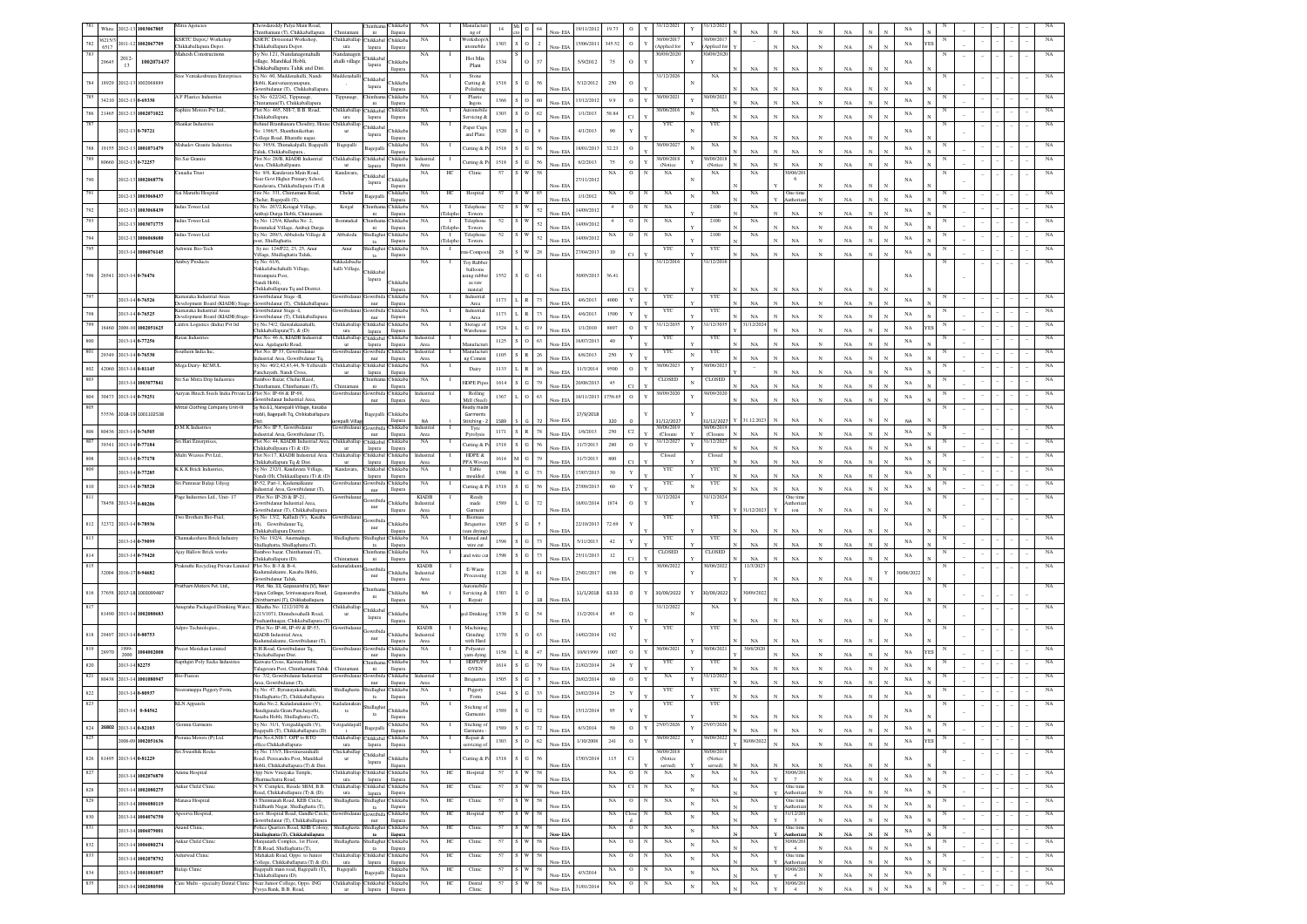|            | White   |                       | 2012-13 1003067805       | Mitra Agencies                                                | howdareddy Palya Main Road.<br>hinthamani (T), Chikkaballapura                          | Chintan                                | <b>hintha</b><br>ni       | <b>Thikkaba</b><br>llapura | NA                         | Manufactu                                     | 14         |                     | Non-FIA | 19/11/2012 | 19.73       | $\circ$       | 31/12/2021                    |              | 31/12/202                     | NA              |   | NA                                  |              |             |                              |             |   |  |             |
|------------|---------|-----------------------|--------------------------|---------------------------------------------------------------|-----------------------------------------------------------------------------------------|----------------------------------------|---------------------------|----------------------------|----------------------------|-----------------------------------------------|------------|---------------------|---------|------------|-------------|---------------|-------------------------------|--------------|-------------------------------|-----------------|---|-------------------------------------|--------------|-------------|------------------------------|-------------|---|--|-------------|
| 782        | 36215/3 |                       | 011-12 1002067709        | <b>KSRTC Depot</b> / Workshop                                 | <b>KSRTC Divisional Workshop,</b>                                                       | hikkaballar                            | Chikkaba                  | hikkaba                    | <b>NA</b>                  | ng of<br>Norkshop/                            | 1303       | $\overline{2}$      |         | 15/06/2011 | 345.52      | $\circ$       | 30/09/2017<br>$\mathbf{Y}$    |              | 1/09/201                      |                 |   |                                     |              |             |                              | $_{\rm NA}$ |   |  |             |
|            | 6517    |                       |                          | Chikkaballapura Depot<br><b>Mahesh Constructions</b>          | Chikkaballapura Depot.<br>Sy No.121, Nandanagenahalli                                   | ura<br>Vandanag                        | lapura                    | llapura                    | NA                         | utomobile                                     |            |                     | Non-EIA |            |             |               | Applied fo<br>30/09/2020      |              | <b>Applied</b> fo<br>0/09/202 |                 |   | <b>NA</b>                           |              | NA          |                              |             |   |  |             |
|            | 2964    | 2012-<br>13           | 1002071437               |                                                               | Ilage, Mandikal Hobli,                                                                  | halli village                          | Chikkaba<br>lapura        | <b>hikkab</b>              |                            | Hot Mix<br>Plant                              | 1334       | 37                  | Non-EIA | 5/9/2012   | $75\,$      | $\circ$       |                               |              |                               |                 |   | NA                                  |              | NA          |                              | NA          |   |  |             |
|            |         |                       |                          | iree Ventakeshwara Enterprises                                | Chikkaballapura Taluk and Dist.<br>Sy No: 60, Muddenahalli, Nandi                       | fuddenahall                            | Chikkaba                  | llapura                    | NA                         | Stone                                         |            |                     |         |            |             |               | 31/12/2026                    |              | NA                            | $_{\rm NA}$     |   |                                     |              |             |                              |             |   |  |             |
| 784        |         |                       | 18929 2012-13 1002068889 |                                                               | .<br>lobli, Kanivenarayanapura,<br>Gowribidanur (T), Chikkaballapur                     |                                        | lapura                    | <b>Thikkab</b><br>lapura   |                            | Cutting &<br>Polishing                        | 1518       |                     | Non-EL  | 5/12/2012  | 250         | $\rm ^o$      |                               |              |                               | NA              |   | NA                                  |              | NA          |                              | NA          |   |  |             |
| 785        |         |                       | 34210 2012-13 0-69330    | LF Plastics Industries                                        | Sy No: 622/242, Tippunagr,<br>ntamani(T), Chikkaballapura                               | Tippunagr.                             | Chintha                   | hikkab<br>llapura          | NA                         | Plastic                                       | 1366       | O $60$              | Non-EIA | 13/12/2012 | 9.9         | $\circ$       | 0/09/202<br>$\mathbf{v}$      |              | 1/09/20                       | NA              |   | NA                                  |              | NA          |                              | NA          |   |  |             |
| 786        |         |                       | 21465 2012-13 1002071022 | aphire Motors Pvt Ltd.,                                       | Plot No: 465, NH-7, B.B. Road,                                                          | hikkaballa                             | ni<br>Chikkab             | <b>Thikkab</b>             | NA                         | Ingots<br>utomobil                            | 1303       | $SO = 62$           |         | 1/1/2013   | 58.84       |               | 0/06/201                      |              | NA                            |                 |   |                                     |              |             |                              | NA          |   |  |             |
| 787        |         |                       |                          | hankar Industries                                             | hikkaballapura<br>Behind Bramhanara Choultry, Hous                                      | ura<br>Chikkabal                       | lapura                    | llapur                     | NA                         | dcing                                         |            |                     | Non-EIA |            |             |               | YTC                           |              | YTC                           | NA              |   |                                     |              |             |                              |             |   |  |             |
|            |         |                       | 012-13 0-70721           |                                                               | No: 1366/5. Shanthiniketha                                                              | $_{\rm{ur}}$                           | Chikkaba<br>lapura        | hikkab                     |                            | Paper Cups<br>and Plate                       | 1520       |                     | Non-EIA | 4/1/2013   | 90          |               |                               |              |                               | $_{\rm NA}$     |   | $_{\rm NA}$                         |              | NA          |                              | NA          |   |  |             |
| 788        |         |                       | 19155 2012-13 1001071479 | fahadev Granite Industrie                                     | 'ollege Road, Bharathi nagar<br>o: 395/8, Thimakalpalli, Bagepalli                      | Bagepalli                              | Bagepal                   | hikkab                     | NA                         | Jutting & I                                   | 1518       | 56                  |         | 18/01/2013 | 32.23       | $\circ$       | 30/09/2027                    |              | NA                            |                 |   |                                     |              |             |                              | NA          |   |  |             |
| 789        |         |                       |                          | Sri Sai Granite                                               | laluk, Chikkaballapura.<br>Plot No: 28/B. KIADB Industrial                              | Chikkaballa                            | Chikkaba                  | <b>Thikkaba</b>            | Industrial                 |                                               |            |                     | Non-FIA |            |             |               | 30/09/2018                    |              | 0/09/201                      | NA              |   | NA                                  |              | NA          |                              |             |   |  |             |
|            |         |                       | 80660 2012-13 0-72257    | anadia Trust                                                  | Area, Chikkaballpaura<br>No: 9/8. Kandavara Main Road.                                  |                                        | lapura                    | llapura                    | Area                       | Cutting & I                                   | 1518<br>57 | 56<br>G             | Non-EIA | 6/2/2013   | 75          | $\circ$       | $\mathbf Y$<br>(Notice)<br>NA |              | (Notice<br>NA                 | NA              |   | NA<br>0/06/20                       | $\mathbf N$  | NA          |                              | NA          |   |  |             |
|            |         |                       | 2012-13 1002068776       |                                                               | Vear Govt Higher Primary School                                                         | Kandavara,                             | Chikkabal<br>lapura       | <b>Thikkab</b>             | NA                         | Clinic<br>HС                                  |            |                     |         | 27/11/2012 | NA          | $\circ$       |                               |              |                               | NA              |   | 6                                   |              |             |                              | NA          |   |  | NA          |
|            |         |                       |                          | ai Maruthi Hospital                                           | Candavara, Chikkaballapura (T) &<br>Site No. 331. Chintamani Road.                      | Chelur                                 |                           | llapura<br>hikkaba         | <b>NA</b>                  | HС<br>Hospital                                |            |                     | Non-EIA |            | NA          | $\circ$       | NA                            |              | NA                            | NA              |   | One tim                             |              | NA          |                              |             |   |  |             |
|            |         | 2012-13               | 1003068437               | adus Tower Ltd.                                               | "helur, Bagepalli (T),<br>Sv No: 267/2. Kotagal Village.                                |                                        | Задера<br>hintha          | llapura<br>Thikkaba        |                            | л.                                            |            |                     | Non-EIA | 1/1/2012   |             |               |                               |              |                               |                 |   | uthori                              |              | NA          |                              | NA          |   |  |             |
| 792        |         | 2012-13               | 1003068439               |                                                               | Ambaji Durga Hobli, Chintam                                                             | Kotgal                                 | ni                        | llapura                    | NA                         | Telephone<br>Teleph<br>Towers                 | 52         |                     | Non-EIA | 14/09/2012 |             | $\circ$       | NA                            |              | 2100                          | $_{\rm NA}$     |   | $_{\rm NA}$                         |              | NA          |                              | NA          |   |  |             |
|            |         | 2012-13               | 1003071775               | dus Tower Ltd.                                                | Sy No: 125/4, Khatha No: 2,<br>mmekal Village, Ambaji Durga                             | Bommekal                               | <b>Thintha</b><br>ni      | hikkab:<br>llapura         | <b>NA</b>                  | Telephon<br>л.<br>Teleph<br>Towers            |            |                     | Non-EIA | 14/09/201  |             | $^{\circ}$    | NA                            |              | 2100                          | NA              |   | $_{\rm NA}$                         |              | NA          |                              | NA          |   |  |             |
| 794        |         |                       | 2012-13 1006068680       | dus Tower Ltd.                                                | Sy No: 209/3, Abbalodu Village &<br>ost, Shidlaghatta.                                  | Abbalodu                               | Shidlagh<br>ta            | hikkaba<br>llapura         | <b>NA</b>                  | $\mathbf{I}$<br>Telephone<br>Teleph<br>Towers |            | 52                  | Non-EIA | 14/09/2013 |             | $\circ$       | NA                            |              | 2100                          | NA              |   | <b>NA</b>                           |              | NA          |                              | $_{\rm NA}$ |   |  |             |
| 795        |         |                       | 2013-14 1006076145       | <b>Ishwini Bio-Tech</b>                                       | Sy no: 124/P22, 23, 25, Anur                                                            | Anur                                   | Shidlagha                 | hikkaba                    | NA                         | $\mathbf{I}$<br>ni-Comp                       | 28         | $28\,$              |         | 27/04/2013 | $10$        |               | YTC                           |              | YTC                           |                 |   |                                     |              |             |                              | $_{\rm NA}$ |   |  |             |
|            |         |                       |                          | Ambey Products                                                | Village, Shidlaghatta Taluk,<br>Sy No: 61/6,                                            | Vakkalabach:                           | ta                        | llapura                    | NA                         | <b>Toy Rubbe</b><br>л.                        |            |                     | Non-EIA |            |             | C1            | 31/12/2016                    |              | 31/12/2016                    | $_{\rm NA}$     |   | $_{\rm NA}$                         |              | $_{\rm NA}$ |                              |             |   |  |             |
| 796        |         |                       | 26541 2013-14 0-76476    |                                                               | .<br>Nakkalabachahalli Village,<br>Srirampura Post,                                     | halli Village,                         | Chikkaba                  |                            |                            | balloons<br>sing rubbe                        | 1552       | ${\bf G}$<br>41     |         | 30/05/2013 | 36.41       |               |                               |              |                               |                 |   |                                     |              |             |                              | NA          |   |  |             |
|            |         |                       |                          |                                                               | .<br>Nandi Hobli,                                                                       |                                        | lapur:                    | <b>hikkab</b>              |                            | as raw                                        |            |                     |         |            |             |               |                               |              |                               |                 |   |                                     |              |             |                              |             |   |  |             |
|            |         |                       | 2013-14 0-76526          | Karnataka Industrial Areas                                    | Chikkaballapura Tq and District<br>lowribidanur Stage -II,                              | iowribida                              | Gowribi                   | <b>hikkab</b>              | NA                         | mateial<br>Industrial                         | 1173       | 73                  |         | 4/6/2013   | 4000        |               | YTC                           |              | $_{\rm YTC}$                  |                 |   |                                     |              |             |                              | NA          |   |  |             |
|            |         |                       |                          | Development Board (KIADB) Stag<br>imataka Industrial Areas    | Gowribidanur (T), Chikkaballapu<br>owribidanur Stage -I,                                |                                        | $_{\rm nur}$              | llapura<br><b>Tukkab</b>   | NA                         | Area<br>Industrial                            |            |                     | Non-FIA |            |             | $\mathbf Y$   | YTC                           |              | YTC                           | NA              |   | $_{\rm NA}$                         | $\mathbf{N}$ | NA          |                              |             |   |  |             |
|            |         |                       | 2013-14 0-76525          | evelopment Board (KIADB)Stage-                                | Gowribidanur (T), Chikkaballa                                                           |                                        | iowrib<br>nur             | llapura                    |                            | Area                                          | 1173       | 73                  | Non-EIA | 4/6/2013   | 1500        | Y             |                               |              |                               | NA              |   | NA                                  |              | NA          |                              | NA          |   |  |             |
| 799        | 18460   |                       | 2009-10 1002051625       | infox Logistics (India) Pvt ltd                               | Sy No.74/2, Guwalakanahalli<br>Chikkaballapura(T), & (D)                                | hikkaball<br>ura                       | Chikkaba<br>lapura        | hikkab<br>llapura          | NA                         | Storage o<br>Warehou                          | 1524       | 19                  | Non-FIA | 1/1/2010   | 8897        | $\,$ O        | 31/12/203<br>$\mathbf{Y}$     |              | 1/12/303                      | 1/12/202        |   | NA                                  |              | NA          |                              | $_{\rm NA}$ |   |  |             |
| $800\,$    |         |                       | 2013-14 0-77256          | Ratan Industries                                              | Plot No: 46 A, KIADB Industrial<br>Area Agalagurki Road                                 | Chikkaballa<br>ur                      | Chikkaba<br>lapura        | hikkaba<br>llapura         | Industria<br>Area          | Aanufact                                      | 1125       | 63                  | Non-EIA | 16/07/2013 | 40          |               | YTC                           |              | YTC                           | NA              |   | NA                                  | $_{\rm N}$   | NA          |                              | NA          |   |  |             |
| 801        |         |                       | 29349 2013-14 0-76530    | outhern India Inc.                                            | Plot No: IP 33, Gowribida                                                               |                                        |                           | hikkaba                    | Industrial                 | Manufactu                                     | 1105       | $26\,$              | Non-EIA | 6/8/2013   | 250         | Y             | YTC                           |              | <b>YTC</b>                    | NA              |   | <b>NA</b>                           | $_{\rm N}$   | NA          |                              | NA          |   |  |             |
| 802        |         |                       | 42060 2013-14 0-81145    | Aega Dairy- KCMUL                                             | dustrial Area, Gowribidanur To<br>Sv No: 40/2.42.43.44, N-Yelluvalli                    | Thikkaballa                            | nur<br>Chikkaba           | llapura<br>hikkaba         | Area<br><b>NA</b>          | 12 Cemen                                      | 1133       | 16                  |         | 11/3/2014  | 9500        | $\,$ O        | 30/06/2023<br>Y               |              | 0/06/202                      |                 |   |                                     |              |             |                              | NA          |   |  |             |
| 803        |         |                       |                          | Sri Sai Mitra Drip Industries                                 | anchayath, Nandi Cross<br>Bamboo Bazar, Chelur Raod,                                    |                                        | lapura<br>hintha          | llapura<br><b>hikkaba</b>  | <b>NA</b>                  | Dairy                                         |            |                     | Non-EIA |            |             |               | CLOSED                        |              | <b>CLOSED</b>                 |                 |   | NA                                  |              | NA          |                              |             |   |  |             |
|            |         |                       | 2013-14 1003077841       |                                                               | "hinthamani, Chinthamani (T).                                                           | Chintaman                              | ni                        | llapura                    |                            | HDPE Pipe                                     | 1614       |                     | Non-EIA | 20/08/2013 | $45\,$      |               |                               |              |                               | NA              |   | NA                                  |              | NA          |                              | NA          |   |  |             |
| $804\,$    | 30473   |                       | 2013-14 0-79251          | Aaryan Hitech Steels India Private LtdPlot No: IP-68 & IP-69. | <b>Gowribidanur Industrial Area</b>                                                     | iowribidan                             | Gowribida<br>nur          | Thikkaba<br>llapura        | Industrial<br>Area         | Rolling<br>Mill (Steel                        | 1367       | 63                  | Non-EIA | 16/11/2013 | 1758.65     | $\,$ O        | 30/09/2020<br>Y               |              | 30/09/2020                    | $_{\rm NA}$     |   | <b>NA</b>                           |              | NA          |                              | NA          |   |  |             |
| 805        |         |                       | 53536 2018-19 1001102538 | Mittal Clothing Company Unit-III                              | Sy No.61. Narepalli Village, Kasaba<br>tobli, Bagepalli Tq, Chikkaballapura             |                                        | Bagepal                   | <b>Thikkab</b>             |                            | Ready made<br>Garments                        |            |                     |         | 17/9/2018  |             |               |                               |              |                               |                 |   |                                     |              |             |                              |             |   |  |             |
|            |         |                       |                          |                                                               |                                                                                         | repalli Villa                          |                           | llapura                    | NA                         | Stitching -                                   |            |                     | Non-EIA |            |             |               | 31/12/2027                    |              | 1/12/2027                     | 1.12.202        |   | NA                                  |              | NA          |                              |             |   |  |             |
| 806        |         |                       | 80436 2013-14 0-76505    | D.M.K Industries                                              | Plot No: IP 5, Gowribidanur<br>dustrial Area, Gowribidanur (T),                         | iowribida                              | <b>JOWEDIG</b><br>nur     | hikkaba<br>llapura         | Industria<br>Area          | Tyre<br>Pyrolysi                              | 1171       | 78<br>S R           | Non-EIA | 1/6/2013   | 250         | $\mathbb{C}2$ | 30/06/201<br>(Closure         |              | 30/06/201<br>(Closure         | NA              |   |                                     |              | NA          |                              | $_{\rm NA}$ |   |  |             |
| 807        |         | 39341 2013-14 0-77184 |                          | Sri Hari Enterprises,                                         | Plot No: 44, KIADB Industrial Area, Chikkaballap Chikkabal<br>Chikkaballpaura (T) & (D) |                                        | lapura                    | Chikkaba<br>llapura        | NA                         | Cutting & P                                   | 1518       | $\mathbb{G}$<br>56  | Non-EIA | 11/7/2013  | 280         | $\circ$       | 31/12/2027<br>$_{\rm Y}$      |              | 31/12/202                     | $_{\rm NA}$     |   | NA                                  |              | NA          |                              | $_{\rm NA}$ |   |  |             |
| 808        |         |                       | 2013-14 0-77178          | fulti Weaves Pvt Ltd.,                                        | Plot No:17, KIADB Industrial Area                                                       | hikkaballa                             | Chikkabal                 | hikkab.                    | Industria                  | HDPE &                                        | 1614       | 79<br>$\mathbf M$ G |         | 11/7/2013  | 800         |               | Closed                        |              | Closed                        |                 |   |                                     |              |             |                              | $_{\rm NA}$ |   |  |             |
|            |         |                       | 2013-14 0-77285          | <b>CK.K Brick Industries</b>                                  | Chikkaballapura Tq & Dist.<br>Sy No: 232/1, Kandavara Village,                          | Kandavara,                             | lapura<br>Chikkaba        | llapura<br>hikkab          | Area<br>NA                 | PPA Wove<br>Table                             | 1598       | $73\,$<br>G         | Non-EIA | 17/07/2013 | 30          | Y             | YTC                           |              | YTC                           | NA              |   | NA                                  |              | NA          |                              | NA          |   |  |             |
|            |         |                       |                          | Sri Punrasar Balaji Udyog                                     | andi (H), Chikkaallapura (T) & (D<br>IP-52, Part-1, Kudumalkunte                        | owribida                               | lapura<br>Gowrit          | llapura<br>hikkab          | NA                         | noulded                                       |            |                     | Non-EIA |            |             |               | YTC                           |              | YTC                           | NA              |   | $N_A$                               |              |             |                              |             |   |  |             |
| 810        |         |                       | 2013-14 0-78528          | age Industries Ltd., Unit-17                                  | idustrial Area, Gowribidanur (T),<br>Plot No: IP-20 & IP-21,                            |                                        | nur                       | llapura                    |                            | Jutting & F<br>Ready                          | 1518       | 56<br>${\bf G}$     | Non-EIA | 27/09/2013 | 60          | Y             |                               |              | 31/12/202                     | NA              |   | $_{\rm NA}$                         | $_{\rm N}$   | NA          |                              | NA          |   |  |             |
| 811        |         | 78458 2013-14 0-80206 |                          |                                                               | wribidanur Industrial Area.                                                             |                                        | jowribid<br>nur           | <b>hikkab</b>              | <b>KIADB</b><br>Industrial | made                                          | 1589       | $72\,$              |         | 16/01/2014 | 1874        | $\,$ O        | 31/12/2024                    |              |                               |                 |   | One time<br>thoriza                 |              |             |                              | $_{\rm NA}$ |   |  |             |
|            |         |                       |                          | wo Brothers Bio-Fuel                                          | owribidanur (T), Chikkaballap<br>Sy No: 13/2, Kalludi (V), Kasaba Gowribida             |                                        |                           | llapura                    | Area<br>NA                 | Garmen<br>Biomas:                             |            |                     | Non-EIA |            |             |               | YTC                           |              | YTC                           | 1/12/2023       |   | ion                                 |              | NA          |                              |             |   |  |             |
| 812        |         |                       | 32372 2013-14 0-78936    |                                                               | (H). Gowribidanur Tq.<br>Chikkaballapura District.                                      |                                        | Gowribi<br>nur            | <b>Trikkab</b><br>llapura  |                            | Briquette<br>sun drying                       | 1505       |                     | Non-EIA | 22/10/2013 | 72.69       |               |                               |              |                               | NA              |   | <b>NA</b>                           |              | NA          |                              | NA          |   |  |             |
| 813        |         |                       | 2013-14 0-79099          | hannakeshava Brick Industry                                   | Sy No: 192/4, Anemadugu                                                                 | Shidlaghatt                            | Shidlagh                  | <b>Thikkaba</b>            | NA                         | Manual and                                    | 1598       | 73                  |         | 5/11/2013  | 42          | Y             | YTC                           |              | YTC                           |                 |   |                                     |              |             |                              | NA          |   |  |             |
|            |         |                       |                          | <b>Aiav Hallow Brick works</b>                                | hidlaghatta, Shidlaghatta (T).<br>amboo bazar. Chinthamani (T),                         |                                        | ta<br>hinth:              | llapura<br><b>hikkab</b>   | <b>NA</b>                  | wire cut                                      |            |                     | Non-EIA |            |             |               | <b>CLOSED</b>                 |              | <b>CLOSED</b>                 | NA              |   | NA                                  |              | NA          |                              |             |   |  |             |
| 814<br>815 |         |                       | 2013-14 0-79420          | Prakruthi Recycling Private Limited Plot No. B-3 & B-4,       | Chikkaballapura (D)                                                                     | Chintama<br>udumalakun                 | ni                        | llapura                    | <b>KIADB</b>               | ind wire cu                                   | 1598       | 73                  | Non-EIA | 25/11/2013 | $12\,$      | C1.           | 30/06/2022                    |              | 30/06/2022                    | NA<br>11/3/2023 |   | NA                                  |              | NA          |                              | NA          |   |  |             |
|            |         |                       | 32004 2016-17 0-94682    |                                                               | adumalakunte, Kasaba Hobli,                                                             |                                        | nur                       | <b>Thikkab</b>             | Industrial                 | E-Waste<br>Processin                          | 1120       | R<br>61             |         | 25/01/2017 | 196         | $\circ$       |                               |              |                               |                 |   |                                     |              |             |                              | 0/06/2022   |   |  |             |
|            |         |                       |                          | Pratham Motors Pvt. Ltd.,                                     | iowribidanur Taluk,<br>Plot. No. 33, Gopasandra (V), Near                               |                                        |                           | llapura                    | Area                       | lutomobil                                     |            |                     | Non-EIA |            |             |               |                               |              |                               |                 |   | NA                                  |              | NA          |                              |             |   |  |             |
| 816        |         |                       | 37658 2017-18 1003099487 |                                                               | Vijaya College, Srinivasapura Road<br>hinthamani (T), Chikkaballapura                   | Sopasandı                              |                           | <b>hikkab</b><br>llapura   | NA                         | Servicing &<br>Repair                         | 130        | 18                  | Non-EIA | 11/1/2018  | 63.33       | $\circ$       | 30/09/2022                    |              | 0/09/2022                     |                 |   | $_{\rm NA}$                         |              | NA          |                              | NA          |   |  |             |
| 817        |         |                       |                          | Anugraha Packaged Drinking Water,                             | Khatha No: 1212/1070 &                                                                  | hikkaballar                            | Chikkaba                  |                            | NA                         |                                               |            |                     |         |            |             |               | 31/12/2022                    |              | NA                            |                 |   |                                     |              |             |                              |             |   |  |             |
|            |         |                       | 81490 2013-14 1002080683 |                                                               | 1213/1071, Dinnehosahalli Road,<br>rashanthnagar, Chikkaballapura (T                    |                                        | lapura                    | <b>Thikkab</b><br>llapura  |                            | d Drinkin                                     | 1538       | $54\,$              | Non-EIA | 11/2/2014  | 45          | $\rm ^o$      |                               |              |                               | NA              |   | NA                                  |              | NA          |                              | NA          |   |  |             |
| 818        | 29497   |                       | 2013-14 0-80753          | Adpro Technologies.                                           | Plot No: IP-48, IP-49 & IP-53,<br>KIADB Industrial Area,                                | <b>Jowribidan</b>                      | owribi                    | hikkab                     | <b>KIADB</b><br>Industrial | Machinin<br>Grinding                          | 1370       |                     |         | 14/02/2014 | 192         |               | YTC                           |              | YTC                           |                 |   |                                     |              |             |                              | NA          |   |  |             |
|            |         |                       |                          |                                                               | dumalakunte, Gowribidanur (T)                                                           |                                        | nur                       | llapura                    | Area                       | with Hard                                     |            |                     | Non-EIA |            |             |               |                               |              |                               | NA              |   | $_{\rm NA}$                         |              | $_{\rm NA}$ |                              |             |   |  |             |
| 819        | 28970   | 1999                  | 1004002008               | ecot Meridian Limited                                         | B.H.Road, Gowribidanur Tq,<br>hickaballapur Dist.                                       |                                        | nur                       | hikkab<br>lapur            | NA                         | Polyester<br>yarn dyin                        | 1158       | 47                  | Non-EIA | 10/9/1999  | 1007        | $\circ$       | 90/06/202<br>$\mathbf{v}$     |              | 1/06/20                       |                 |   | NA                                  |              | NA          |                              | NA          |   |  |             |
| 820        |         | 2013-14 82275         |                          | apthgiri Poly Sacks Industries                                | Kaiwara Cross, Kaiwara Hobli<br>alagavara Post, Chinthamani Taluk                       | Chintama                               | hinth:<br>ni              | hikkaba<br>llapura         | $_{\rm NA}$                | HDPE/PF<br><b>OVEN</b>                        | 1614       | 79                  | Non-EIA | 21/02/2014 | 24          | Y             | YTC                           |              | $_{\rm YTC}$                  | NA              |   | NA                                  |              | NA          |                              | NA          |   |  |             |
| 821        |         |                       | 80438 2013-14 1001080947 | io-Fusior                                                     | : 7/2, Gowribidanur Industrial                                                          |                                        | iowrib                    | hikkaba                    | Industri                   | <b>Briquettes</b>                             | 1505       |                     |         | 26/02/2014 | 60          | $\,$ O        | NA                            |              | 1/12/20                       |                 |   |                                     |              | NA          |                              | NA          |   |  |             |
| 822        |         |                       | 2013-14 0-80937          | eramappa Piggery Form,                                        | Area, Gowribidanur (T),<br>Sy No: 47, Byranayakanahalli                                 | hidlaghat                              | nur<br>hidlagh            | llapura<br>hikkab:         | Are<br>NA                  | Piggery                                       | 1544       | $33\,$<br>G         | Non-EIA | 26/02/2014 | 25          | Y             | YTC                           |              | YTC                           | $_{\rm NA}$     |   | NA                                  |              |             |                              | $_{\rm NA}$ |   |  |             |
| 823        |         |                       |                          | <b>KLN</b> Apparels                                           | Shidlaghatta (T), Chikkaballapura<br>Katha No.2, Kadadanakunte (V),                     | Kadadanak                              | $\mathbf{t}$              | llapura                    | NA                         | Form                                          |            |                     | Non-FIA |            |             |               | YTC                           |              | YTC                           | NA              |   | NA                                  |              | NA          |                              |             |   |  |             |
|            |         |                       | 2013-14 0-84562          |                                                               | landiganala Gram Panchavathi.<br>soba Hobli Shidlaghatta (T)                            | te                                     | Shidlagha                 | <b>hikkab</b>              |                            | Stiching o<br>Garments                        | 1589       | $72\,$              |         | 15/12/2014 | 95          |               |                               |              |                               |                 |   |                                     |              |             |                              |             |   |  |             |
| 824        | 26802   |                       | 2013-14 0-82103          | <b>Semini Garments</b>                                        | Sy No: 31/1, Yetigaddapalli (V),                                                        | etigaddapal                            | Bagepal                   | hikkaba                    | <b>NA</b>                  | Stiching c                                    | 1589       | $72\,$              |         | 6/3/2014   | $50\,$      | $\,$ O        | 25/07/2026<br>$\mathbf{v}$    |              | 5/07/202                      |                 |   |                                     |              |             |                              | $_{\rm NA}$ |   |  | NA          |
| 825        |         |                       |                          | berana Motors (P) Ltd.                                        | 3agepalli (T), Chikkaballapura (D)<br>Plot No.4, NH-7, OPP to RTO                       | . i.<br>Thikkaballar                   | Chikkaba                  | llapura<br><b>hikkaba</b>  | <b>NA</b>                  | Garments<br>Repair &<br>л.                    |            |                     | Non-EIA |            |             |               | 30/09/2022                    |              | 0/09/202                      | $_{\rm NA}$     | N | $_{\rm NA}$                         | $_{\rm N}$   | $_{\rm NA}$ | $\mathbf{N}$<br>$\mathbf{N}$ |             |   |  | NA          |
|            |         |                       | 008-09 1002051636        |                                                               | office.Chikkaballapura-                                                                 | ura                                    | lapura                    | llapura                    |                            | rvicing o                                     | 1303       | $62\,$              | Non-EIA | 1/10/2008  | 241         | $\circ$       | $\mathbf{Y}$                  |              |                               | V09/2022        |   | $_{\rm NA}$                         | $\mathbf{N}$ | $_{\rm NA}$ |                              | $_{\rm NA}$ |   |  |             |
| 826        |         |                       | 81495 2013-14 0-81229    | <b>Sri Swasthik Rocks</b>                                     | Sy No. 133/3, Hoovinavarahalli<br>Road. Peresandra Post, Mandikal                       | <b>Thickaballap</b><br>$_{\rm{ur}}$    | Chikkabal<br>lapura       | Chikkab                    | <b>NA</b>                  | Jutting & I                                   | 1518       | $\mathbf G$<br>56   |         | 17/03/2014 | 115         | C1            | 30/09/2018<br>(Notice         |              | 0/09/201<br>(Notice           |                 |   |                                     |              |             |                              | NA          |   |  | NA          |
| 827        |         |                       |                          | mma Hospital                                                  | Hobli, Chikkaballapura (T) & Dist.<br>Opp New Vinayaka Temple,                          | hikkaballap Chikkabal                  |                           | llapura<br>hikkab:         | NA                         | HC<br>Hospital                                |            |                     | Non-EIA |            | NA          | $\circ$       | served)<br>NA                 |              | served)<br>$_{\rm NA}$        | NA<br>NA        |   | $_{\rm NA}$<br>0/06/20              | $_{\rm N}$   | $_{\rm NA}$ |                              |             |   |  | $_{\rm NA}$ |
|            |         |                       | 2013-14 1002076870       |                                                               | harmachatra Road,                                                                       | ura<br>Chikkaballap Chikkabal Chikkaba | lapura                    | llapura                    |                            |                                               |            |                     | Non-EIA |            |             |               |                               | $\mathbf{N}$ |                               |                 |   | $\tau$                              | $\mathbf{N}$ | NA          |                              | $_{\rm NA}$ |   |  |             |
| $828\,$    |         |                       | 2013-14 1002080275       | Ankur Child Clinic                                            | N.V. Complex, Beside SBM, B.B.<br>Road, Chikkaballapura (T) & (D).                      | ura                                    | lapura                    | llapura                    | NA                         | Clinic<br>HС                                  | 57         | 58                  | Non-EIA |            | NA          | C1            | NA<br>N                       | $_{\rm N}$   | $_{\rm NA}$                   | NA              |   | One time<br>Authorizat              | $_{\rm N}$   | $_{\rm NA}$ |                              | $_{\rm NA}$ | N |  | NA          |
| 829        |         |                       | 2013-14 1006080119       | anasa Hospital                                                | O.Thimmaiah Road, KEB Circle,<br>Siddharth Nagar, Shidlaghatta (T),                     | Shidlaghatta                           | Shidlaghat<br>$_{\rm ta}$ | Chikkaba<br>llapura        | NA                         | Clinic<br>HС                                  | 57         | 58                  | Non-EIA |            | NA          | $\circ$       | $_{\rm NA}$<br>N              | $\mathbf{N}$ | $_{\rm NA}$                   | $_{\rm NA}$     |   | One time<br><b>Authoriza</b>        | $_{\rm N}$   | $_{\rm NA}$ |                              | NA          | N |  | NA          |
| 830        |         |                       | 2013-14 1004076750       | poorva Hospital,                                              | Govt. Hospital Road, Gandhi Circle,<br>Gowribidanur (T), Chikkaballapura                | owribio                                | Gowribida<br>$_{\rm nur}$ | <b>Thikkab</b><br>llapura  | NA                         | HC<br>Hospital                                |            |                     | Non-EIA |            | NA          | Close         | $_{\rm NA}$                   | $_{\rm N}$   | NA                            | NA              |   | 31/12/20<br>$\overline{\mathbf{3}}$ |              | NA          |                              | $_{\rm NA}$ |   |  | NA          |
| 831        |         |                       | 2013-14 1006079001       | aand Clinic,                                                  | Police Quarters Road, KHB Colony,                                                       | Shidlaghatt                            | hidlagha                  | hikkab:                    | $_{\rm NA}$                | $\rm{HC}$<br>Clinic                           | 57         |                     |         |            | $_{\rm NA}$ | $\,$ O        | $_{\rm NA}$                   | $_{\rm N}$   | $_{\rm NA}$                   | $_{\rm NA}$     |   | One time                            |              |             |                              | $_{\rm NA}$ |   |  | $_{\rm NA}$ |
| 832        |         |                       | 2013-14 1006080274       | nkur Child Clinic                                             | Shidiaghatta (T), Chikkaballapura<br>Manjunath Complex, 1st Floor,                      | Shidlaghatt                            | $_{\rm ta}$<br>hidlagha   | llapura<br><b>hikkab</b>   | NA                         | $\rm{HC}$<br>Clinic                           | 57         |                     | Non-EIA |            | NA          | $\,$ O        | $_{\rm NA}$                   | $_{\rm N}$   | $_{\rm NA}$                   | $_{\rm NA}$     |   | uthoriza<br>10/06/201               | $\mathbf{N}$ | $_{\rm NA}$ | $\mathbf{N}$                 |             |   |  | $_{\rm NA}$ |
| 833        |         |                       |                          | shirwad Clinic                                                | T.B.Road, Shidlaghatta (T),<br>Mahakali Road, Oppo. to Junior                           | Chikkaballa                            | $^{\rm ta}$<br>Chikkaba   | llapura<br>hikkab          | NA                         | HC<br>Clinic                                  |            |                     | Non-EIA |            | NA          | $\circ$       | NA                            |              | NA                            | NA              |   | 4<br>One time                       | $\mathbf{N}$ | $_{\rm NA}$ |                              | $_{\rm NA}$ |   |  | NA          |
|            |         |                       | 2013-14 1002078792       |                                                               | College, Chikkaballapura (T) & (D),                                                     | ura                                    | lapura                    | llapura                    |                            |                                               |            |                     | Non-EIA |            |             |               |                               | $\mathbf{N}$ |                               |                 |   | luthoriz                            | $\mathbf{N}$ | $_{\rm NA}$ |                              | $_{\rm NA}$ |   |  |             |
| 834        |         |                       | 2013-14 1001081057       | salaji Clinic                                                 | 3 agepalli main road, Bagepalli (T),<br>Chikkaballapura (D).                            | Bagepalli                              | Bagepal                   | hikkab;<br>llapura         | NA                         | НC<br>Clinic                                  | 57         |                     | Non-FIA | 4/3/2014   | $_{\rm NA}$ | $\circ$       | NA                            | $\mathbf{N}$ | $_{\rm NA}$                   | NA              |   | 0/06/20<br>$\sim$                   | $\mathbf{N}$ | NA          |                              | $_{\rm NA}$ |   |  | NA          |
| 835        |         |                       | 2013-14 1002080500       | Care Multi - specialty Dental Clinic                          | Near Junior College, Oppo. ING<br>Vysya Rank, R.B. Road                                 | Chikkaballap<br><b>ur</b>              | Chikkaba<br>lapura        | <b>Thikkaba</b><br>llapura | NA                         | HC<br>Dental<br>Clinic                        | 57         | 58                  | Non-EIA | 31/01/2014 | NA          | $\,$ O        | $_{\rm NA}$<br>N              | $\mathbf{N}$ | NA                            | $_{\rm NA}$     |   | 10/06/201<br>$\overline{4}$         | $\mathbf{N}$ | $_{\rm NA}$ |                              | $_{\rm NA}$ | N |  | NA          |
|            |         |                       |                          |                                                               |                                                                                         |                                        |                           |                            |                            |                                               |            |                     |         |            |             |               |                               |              |                               |                 |   |                                     |              |             |                              |             |   |  |             |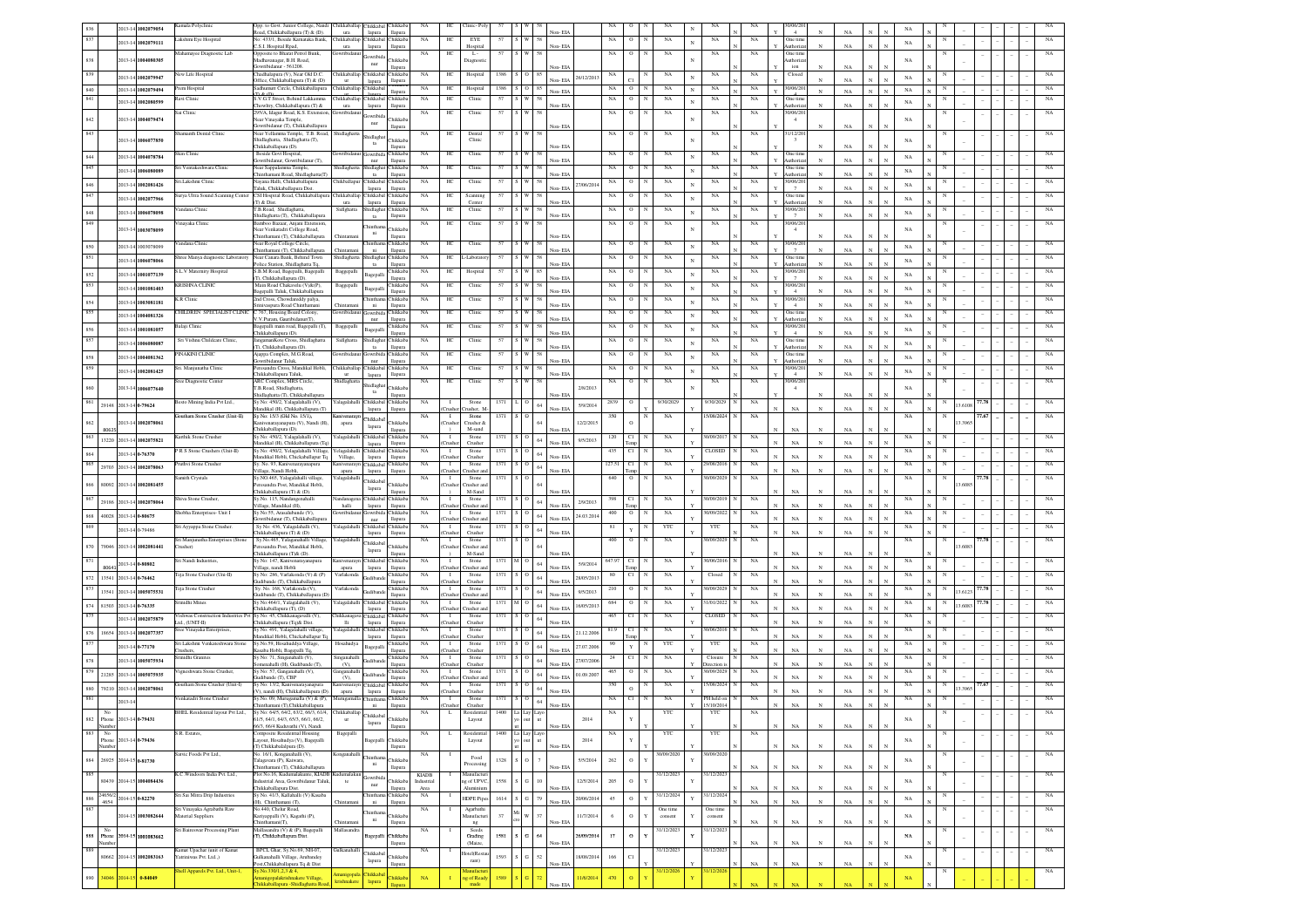|            |                      | 2013-14 1002079054                                                                                     | mala Polyclini                                         | Opp. to Govt. Junior College, Nandi<br>toad, Chikkaballapura (T) & (D).                          | ura                        | Chikkaballap Chikkabal Chikkab<br>lapura<br>llapura     | NA                 | HС                       | linic-Pol                        |      |                                   | Non-EIA  |            | NA          |                        |                     | NA                                   |             | 0/06/2<br>$\overline{4}$       | NA          |                   |             |   |         |       |             |
|------------|----------------------|--------------------------------------------------------------------------------------------------------|--------------------------------------------------------|--------------------------------------------------------------------------------------------------|----------------------------|---------------------------------------------------------|--------------------|--------------------------|----------------------------------|------|-----------------------------------|----------|------------|-------------|------------------------|---------------------|--------------------------------------|-------------|--------------------------------|-------------|-------------------|-------------|---|---------|-------|-------------|
|            |                      | 2013-14 1002079111                                                                                     | akshmi Eye Hospital                                    | Vo: 433/1. Beside Kamataka Bank.<br>C.S.I. Hospital Rpad,                                        | ura                        | Chikkaballap Chikkabal<br>Chikkab                       | <b>NA</b>          | HС                       | EYE                              |      |                                   | Non-EIA  |            | NA          | $\circ$                | NA                  | NA<br>$_{\rm N}$                     | NA          | One tim<br>Authoriz            | NA          | N                 | $_{\rm NA}$ |   |         |       |             |
|            |                      |                                                                                                        | Iahamayee Diagnostic Lab                               | Opposite to Bharat Petrol Bunk,                                                                  | wribidar                   | lapura<br>llapura<br>wribi                              | NA                 | HС                       | Hospital<br>L.                   |      |                                   |          |            | NA          | $\circ$                | NA                  | NA                                   | NA          | One tim                        |             |                   |             |   |         |       |             |
| 838        |                      | 2013-14 1004080305                                                                                     |                                                        | Madhavanagar, B.H. Road,<br>Gowribidanur - 561208                                                |                            | Chikkab<br>nur<br>llapura                               |                    |                          | Diagnost                         |      |                                   | Non-EIA  |            |             |                        |                     |                                      |             | uthoriz<br>ion                 | NA          |                   | NA          |   |         |       |             |
| 839        |                      | 2013-14 1002079947                                                                                     | lew Life Hospital                                      | Chadhalapura (V), Near Old D.C.<br>Office, Chikkaballapura (T) & (D)                             |                            | Chikkaballan Chikkabal Chikkab<br>lapura<br>llapura     | NA                 | HC                       | Hospital                         | 1386 |                                   | éon- EIA | 26/12/2013 | NA          |                        | NA                  | NA                                   | NA          | Closed                         | NA          |                   | NA          |   |         |       |             |
| 840        |                      | 2013-14 1002079494                                                                                     | rem Hospital                                           | Sadhumutt Circle, Chikkaballapura                                                                | hikkaballap                | Chikkabal<br>llapura                                    | NA                 | HС                       | Hospital                         | 1386 |                                   | Non-EIA  |            | NA          | $\circ$                | NA                  | $_{\rm NA}$                          | NA          | 0/06/20                        | $_{\rm NA}$ |                   | $_{\rm NA}$ |   |         |       |             |
| 841        |                      | 2013-14 1002080599                                                                                     | ivi Clinic                                             | U.S. (1)<br>V.G.T Street, Behind Lakkamma<br>howltry, Chikkaballapura (T) &                      | iikkaballa<br>ura          | hikkab<br>hikkab<br>lapura<br>llapura                   | NA                 | HC                       | Clinic                           |      |                                   | Non-EIA  |            | $_{\rm NA}$ |                        | NA                  | NA                                   | $_{\rm NA}$ | One tim<br>kuthoriz            | NA          |                   | NA          |   |         |       |             |
| 842        |                      | 2013-14 1004079474                                                                                     | i Clinic                                               | 95/A, Idagur Road, K.S. Extensi-<br>lear Vinayaka Temple,                                        |                            | owribid<br>hikkab                                       | NA                 | HC                       | Clinic                           |      |                                   |          |            | NA          |                        | $_{\rm NA}$         | $_{\rm NA}$                          | $_{\rm NA}$ | 0/06/20<br>$\overline{4}$      |             |                   | NA          |   |         |       |             |
| 843        |                      |                                                                                                        | amanth Dental Clinic                                   | owribidanur (T), Chikkaballaj<br>Near Yellamma Temple, T.B. Road,                                | Shidlaghatt                | nur<br>llapur                                           | NA                 | HC                       | Dental                           |      | $\mathbf{w}$                      | Non-EIA  |            | NA          | $\circ$                | NA                  | NA                                   | NA          | 1/12/20                        | NA          |                   |             |   |         |       |             |
|            |                      | 2013-14 1006077850                                                                                     |                                                        | Shidlaghatta, Shidlaghatta (T),<br>Thikkaballapura (D).                                          |                            | iidlagha<br><b>Thikkab</b><br>ta                        |                    |                          | Clinic                           |      |                                   | lon- EIA |            |             |                        |                     |                                      |             | $\overline{\mathbf{3}}$        | NA          |                   | NA          |   |         |       |             |
| 844        |                      | 2013-14 1004078784                                                                                     | Skin Clinic                                            | Beside Govt Hospital,                                                                            | owribida                   | llapura<br>Chikkab<br><b>Jowribis</b>                   | $_{\rm NA}$        | HC                       | Clinic                           | 57   |                                   |          |            | $_{\rm NA}$ | $\circ$                | NA                  | $_{\rm NA}$                          | $_{\rm NA}$ | One tim                        |             |                   | NA          |   |         |       |             |
| 845        |                      | 2013-14 1006080089                                                                                     | ri Ventakeshwara Clinic                                | wribidanur. Gowribidanur (T).<br>Near Sappalamma Temple,                                         | Shidlaghatta               | <b>Hapura</b><br>nur<br>Shidlaghat Chikkab              | NA                 | HC                       | Clinic                           |      |                                   | Non-EIA  |            | NA          | $\circ$                | NA                  | $_{\rm NA}$                          | $_{\rm NA}$ | luthoriz<br>One time           | NA          |                   | NA          |   |         |       |             |
|            |                      | 2013-14 1002081426                                                                                     | šri.Lakshmi Clinic                                     | hinthamani Road, Shidlaghatta(T)<br>Vayana Halli Chikkaballanura                                 | hikballap                  | ta<br><b>Hapura</b><br>Chikkabal Chikkab                | <b>NA</b>          | HС                       | Clinic                           |      |                                   | Non-EIA  |            | NA          | $\circ$                | NA                  | NA                                   | NA          | Authoriz<br>0/06/20            | NA          |                   |             |   |         |       |             |
| 846<br>847 |                      |                                                                                                        | urya Ultra Sound Scanning Center                       | aluk, Chikkaballapura Dist.<br>CSI Hospital Road, Chikkaballapura Chikkaballap Chikkabal Chikkab |                            | lapura<br><b>Hapura</b>                                 | NA                 | HC                       | Scanning                         |      |                                   | Non-EIA  | 27/06/2014 | NA          | $\circ$                | NA                  | NA                                   | NA          | One time                       | NA          |                   | NA          |   |         |       |             |
|            |                      | 2013-14 1002077966                                                                                     |                                                        | (T) & Dist.<br>TR Road Shidlaghatta                                                              | ura                        | llapura<br>lapura                                       |                    |                          | Center                           |      |                                   | Non-EIA  |            |             |                        |                     |                                      |             | <b>Authoriz</b>                | $_{\rm NA}$ |                   | NA          |   |         |       |             |
| 848        |                      | 2013-14 1006078098                                                                                     | andana Clinic                                          | Shidlaghatta (T), Chikkaballapura                                                                | Sidlghatta                 | Shidlaghat Chikkab<br>llapura<br>ta                     | <b>NA</b>          | HС                       | Clinic                           | 57   |                                   | Non-EIA  |            | NA          | $\circ$                | NA                  | NA                                   | NA          | 30/06/20                       | NA          |                   | $_{\rm NA}$ |   |         |       |             |
| 849        |                      | 013-14 1003078099                                                                                      | inayaka Clinic                                         | Bamboo Bazaar, Anjani Extension<br>Near Venkatadri College Road,                                 |                            | inth:<br><b>hikkab</b><br>ni                            | NA                 | HС                       | Clinic                           |      |                                   |          |            | NA          | $^{\circ}$             | NA                  | NA                                   | NA          | 0/06/20<br>$\overline{4}$      |             |                   | NA          |   |         |       |             |
|            |                      |                                                                                                        | andana Clinic                                          | nthamani (T), Chikkaballapura<br>Near Royal College Circle,                                      | Chintama                   | llapura<br><b>hinthar</b><br>Chikkab                    | NA                 | HС                       | Clinic                           |      |                                   | Non-EIA  |            | NA          | о                      | NA                  | $_{\rm NA}$                          | NA          | 0/06/20                        | NA          |                   |             |   |         |       |             |
| 850<br>851 |                      | 2013-14 1003078099                                                                                     | tree Manya diagnostic Laboratory                       | inthamani (T), Chikkaballapura<br>Near Canara Bank, Behind Town                                  | Shidlaghatta               | llapura<br>ni<br>hidlagha<br>Chikkab                    | NA                 | HС                       | Laborato                         | 57   |                                   | Non-EIA  |            | NA          | о                      | NA                  | $_{\rm NA}$                          | NA          | One tim                        | $_{\rm NA}$ |                   | $_{\rm NA}$ |   |         |       |             |
|            |                      | 2013-14 1006078066                                                                                     | .L.V Maternity Hospital                                | olice Station, Shidlaghatta Tq,<br>S.B.M Road, Bagepalli, Bagepalli                              |                            | llapura<br>ta<br>hikkab                                 | NA                 |                          | Hospital                         |      |                                   | Non-EIA  |            |             |                        | NA                  | NA                                   | NA          | uthori<br>10/06/20             | $_{\rm NA}$ |                   | $_{\rm NA}$ |   |         |       |             |
| 852        |                      | 2013-14 1001077139                                                                                     |                                                        | I), Chikkaballapura (D).                                                                         | Baggepall                  | Bagepalli<br>llapur                                     |                    | нс                       |                                  |      |                                   | Non-EIA  |            | NA          |                        |                     |                                      |             | 7                              | NA          |                   | NA          |   |         |       |             |
| 853        |                      | 2013-14 1001081403                                                                                     | <b>CRISHNA CLINIC</b>                                  | Main Road Chakavelu (V)&(P),<br>gepalli Taluk, Chikkaballapura                                   | Baggepall                  | hikkab.<br>agepall<br>llapur                            | NA                 | HC                       | Clinic                           | 57   |                                   | Non-EIA  |            | $_{\rm NA}$ |                        | $_{\rm NA}$         | $_{\rm NA}$                          | $_{\rm NA}$ | 10/06/20<br>$\overline{4}$     | NA          |                   | NA          |   |         |       |             |
| 854        |                      | 2013-14 1003081181                                                                                     | R Clinic                                               | 2nd Cross, Chowdareddy palya,<br>inivaspura Road Chintha                                         | Thintam                    | hikkab.<br>hinth:<br>ni<br>llapur                       | $_{\rm NA}$        | HC                       | Clinic                           | 57   |                                   | Non-EIA  |            | $_{\rm NA}$ |                        | $_{\rm NA}$         | $_{\rm NA}$                          | $_{\rm NA}$ | 10/06/20<br>$\overline{4}$     | NA          |                   | NA          |   |         |       |             |
| 855        |                      | 2013-14 1004081326                                                                                     | HILDREN SPECIALIST CLINIC C 767, Housing Board Colony. | V.V.Puram, Gauribidanur(T)                                                                       |                            | .<br>hikkab<br>owribi<br>nur<br>llapur                  | NA                 | HC                       | Clinic                           |      |                                   | Non-FIA  |            | NA          |                        | NA                  | NA                                   | NA          | One tim<br>Authori             | NA          |                   | NA          |   |         |       |             |
| 856        |                      | 2013-14 1001081057                                                                                     | alaji Clinic                                           | agepalli main road, Bagepalli (T),<br>hikkahallanura (D)                                         | Baggepall                  | Chikkab<br>Bagepalli<br>llapura                         | NA                 | HC                       | Clinic                           |      |                                   | Non-EIA  |            | NA          | $\circ$                | NA                  | $_{\rm NA}$                          | NA          | 10/06/20<br>$\overline{4}$     | NA          |                   | NA          |   |         |       |             |
| 857        |                      | 2013-14 1006080087                                                                                     | Sri Vishnu Childcare Clinic.                           | ngamanKote Cross, Shidlaghatta                                                                   | Sidlghatta                 | Shidlaghat Chikkab                                      | $_{\rm NA}$        | HC                       | Clinic                           | 57   |                                   | Non-EIA  |            | $_{\rm NA}$ | $\circ$                | NA                  | $_{\rm NA}$                          | $_{\rm NA}$ | One tim                        | NA          |                   | NA          |   |         |       |             |
| 858        |                      | 2013-14 1004081362                                                                                     | <b>INAKINI CLINIC</b>                                  | T), Chikkaballapura (D).<br><b>Ajappa Complex</b> , M.G.Road                                     |                            | ta<br><b>Hapura</b><br>Chikkab<br>wribid                | NA                 | HС                       | Clinic                           |      |                                   |          |            | $_{\rm NA}$ |                        | NA                  | NA                                   | NA          | Authoriz<br>One tim            |             |                   | NA          |   |         |       |             |
| 859        |                      |                                                                                                        | ri. Manjunatha Clini                                   | wribidanur Taluk<br>resandra Cross, Mandikal Hobli,                                              | Chikkaballap               | nur<br><b>Hapura</b><br>Chikkabal Chikkab               | NA                 | HС                       | Clinic                           |      |                                   | Non-EIA  |            | NA          | $\circ$                | NA                  | NA                                   | NA          | Authoriz<br>0/06/20            | NA          |                   |             |   |         |       |             |
|            |                      | 2013-14 1002081425                                                                                     | ree Diagnostic Center                                  | hikkaballapura Taluk<br>ARC Complex, MRS Circle.                                                 | Shidlaghatta               | lapura<br>llapura                                       | NA                 | HС                       | Clinic                           |      |                                   | Non-EIA  |            | NA          | $\circ$                | NA                  | NA                                   | NA          | $\frac{4}{3}$<br>0/06/20       | NA          |                   | NA          |   |         |       |             |
|            |                      | 013-14 1006077640                                                                                      |                                                        | F.B.Road, Shidlaghatta,<br>Shidlaghatta (T), Chikkaballapura                                     |                            | hidlagh<br><b>hikkab</b><br>$_{\rm ta}$<br>llapura      |                    |                          |                                  |      |                                   | Non-EIA  | 2/8/2013   |             |                        |                     |                                      |             | $\overline{4}$                 | NA          |                   | NA          |   |         |       |             |
| 861        |                      | 29148 2013-14 0-79624                                                                                  | lesto Mining India Pvt Ltd.                            | Sy No: 450/2, Yalagalahalli (V),                                                                 | f alagalahalli             | Chikkabal<br>Chikkab                                    | NA                 | - 1                      | Stone                            | 1371 | 64                                |          | 5/9/2014   | 2839        | о                      | 9/30/2029           | 9/30/2029                            | NA          |                                |             |                   | NA          |   | 3.610   |       |             |
|            |                      |                                                                                                        | outham Stone Crusher (Unit-II)                         | Mandikal (H), Chikkaballapura (T)<br>Sy No: 15/3 (Old No. 15/1),                                 | mivenarayı                 | lapura<br>llapura<br>Chikkabal                          | NA.                | `rushe<br>$\mathbf{I}$   | rusher, M<br>Stone               | 1371 |                                   | Non-EIA  |            | 350         | N                      | NA                  | 5/08/2024                            | NA          | $_{\rm NA}$                    | NA          |                   | NA          |   |         | 7.67  | NA          |
| 862        | 8062                 | 2013-14 1002078061                                                                                     |                                                        | ivenarayanapura (V), Nandi (H)<br>hikkaballapura (D).                                            | apura                      | Chikkab<br>lapura<br>llapura                            |                    |                          | nisher &<br>M-sand               |      |                                   | Non-EL   | 12/2/2015  |             |                        |                     |                                      |             | NA                             | NA          |                   |             |   | 3.396   |       |             |
| 863        |                      | 13220 2013-14 1002075821                                                                               | arthik Stone Crushe                                    | Sy No: 450/2, Yalagalahalli (V),<br>.<br>Mandikal (H), Chikkaballapura (Tq)                      | r alagalah                 | hikkab<br>Chikkabal<br>lapura<br>llapura                | NA                 |                          | Stone<br>Crusher                 |      | $64\,$                            | Non-EIA  | 9/5/2013   | 120         | Cl<br>ľemp             | NA                  | /09/20                               | NA          | $_{\rm NA}$                    | NA          |                   | NA          |   |         |       |             |
| 64         |                      | 2013-14 0-76370                                                                                        | PR S Stone Crushers (Unit-II)                          | Sy No: 450/2, Yelagalahalli Village,<br>andikal Hobli, Chickaballapur Tq                         | 'elagalah:<br>Village,     | hikkaba<br><b>Thikkab</b><br>lapura<br>llapura          | NA                 | $\mathbf{I}$             | Stone<br>Crusher                 |      | $64\,$                            | Non-EIA  |            | 435         | CI.                    | NA                  | CLOSED                               | NA          | $_{\rm NA}$                    | NA          |                   | NA          |   |         |       |             |
| 865        |                      | 29703 2013-14 1002078063                                                                               | ruthvi Stone Crushe                                    | Sy. No. 93, Kanivenarayanapura                                                                   | lanivenarayı               | Chikkabal<br><b>hikkab</b>                              | NA                 | $\mathbf{I}$<br>`nısh    | Stone                            | 1371 | $64\,$                            |          |            | 127.51      | C1                     | $_{\rm NA}$         | 008/2016                             | $_{\rm NA}$ | $_{\rm N}$                     | NA          |                   | $_{\rm NA}$ |   |         |       |             |
|            |                      |                                                                                                        | mith Crystals                                          | illage, Nandi Hobli,<br>Sy.NO.465, Yalagalahalli village                                         | apura<br>alagalahalli      | llapura<br>lapura<br>Chikkabal                          | NA                 | $\mathbf{I}$             | usher a<br>Stone                 | 1371 |                                   | Non-EIA  |            | 640         | $\circ$                | NA                  | 0/09/2029                            | NA          | $_{\rm NA}$                    |             |                   | NA          |   |         | 7.78  |             |
| 866        | 80092                | 2013-14 1002081455                                                                                     |                                                        | esandra Post, Mandikal Hobli,<br>Chikkaballapura (T) & (D).                                      |                            | hikkab.<br>lapura<br>llapur                             |                    | `rush                    | rusher a<br>M-Sand               |      | 64                                | Non-EIA  |            |             |                        |                     |                                      |             | NA                             | NA          |                   |             |   | 3,608   |       |             |
| 867        |                      | 29186 2013-14 1002078064                                                                               | tiva Stone Crusher                                     | y.No. 115, Nandangenahall<br>fillage, Mandikal (Ff)                                              | andanage<br>halli          | Chikkabal<br>Chikkab<br>lapura<br>llapura               | NA                 | msh                      | Stone<br>rusher a                |      | $64\,$                            | Non-EIA  | 2/9/2013   |             | C1                     | NA                  | 1/09/201                             | NA          | NA                             | NA          |                   | NA          |   |         |       |             |
| 868        |                      | 40028 2013-14 0-80675                                                                                  | hobha Enterprises- Unit I                              | Sy No:55, Arasalubande (V).<br>owribidanur (T), Chikkaballan                                     |                            | Gowribida Chikkab<br>nur<br><b>Hapura</b>               | NA                 | $\mathbf{I}$<br>`rush    | Stone<br>rusher an               |      | $64\,$                            | Non-EIA  | 24.03.2014 | 400         | $\mathbf{o}$           | NA                  | W09/2022                             | $_{\rm NA}$ | NA<br>$_{\rm N}$               | NA          |                   | NA          |   |         |       |             |
|            |                      | 2013-14 0-79486                                                                                        | ri Ayyappa Stone Crusher.                              | Sv No: 436. Yalaralahalli (V).<br>"hikkaballapura (T) & (D)                                      | alagalahall                | Chikkabal Chikkab<br><b>Hapura</b>                      | NA                 | -1<br>Tushe              | Stone<br>Crusher                 |      | $64\,$                            | Non-EIA  |            | 81          | Y                      | YTC                 | YTC                                  | NA          | NA                             | NA          |                   | NA          |   |         |       |             |
|            |                      |                                                                                                        | Sri Maniunatha Enterprises (Stone                      | Sv.No.465. Yalaganahalli Village                                                                 | alagalah                   | lapura                                                  |                    |                          |                                  |      |                                   |          |            |             |                        |                     |                                      | NA          |                                |             |                   |             |   |         |       |             |
| 870        | 79046                | 2013-14 1002081441                                                                                     | rusher)                                                | resandra Post. Mandikal Hobli.                                                                   |                            |                                                         |                    | -1                       | Stone                            |      |                                   |          |            |             |                        | NA                  | 1/09/202                             |             |                                |             |                   | NA          |   | 3,6083  |       |             |
| 871        | 80641                | 2013-14 0-80802                                                                                        | Sri Nandi Industries                                   | Chikkaballapura (T)& (D).                                                                        |                            | Chikkaba<br><b>Thikkab</b><br>lapura<br>llapura         |                    | Crushe                   | rusher an<br>M-Sand              |      |                                   | Non-EIA  |            |             |                        |                     |                                      |             | $_{\rm NA}$                    | NA          |                   |             |   |         |       |             |
| 872        | 13541                |                                                                                                        |                                                        | Sv No: 147, Kanivenarayanapura<br>Village, nandi Hobli                                           | Kanivenaravn<br>apura      | Chikkabal Chikkab<br>llapura                            | <b>NA</b>          | $\blacksquare$<br>`rushe | Stone<br>rusher ar               | 1371 | 64                                |          | 5/9/2014   | 647.97      | C1                     | NA                  | 0/06/2016                            | NA          |                                |             |                   | NA          |   |         |       |             |
| 873        | 13541                | 2013-14 0-76462                                                                                        | Teja Stone Crusher (Uni-II)                            | Sy No: 286, Varlakonda (V) & (P)<br>iudibande (T), Chikkaballapura                               | Varlakonda                 | lapura<br><b>Thikkab</b><br><b>Indiba</b><br>llapura    | NA                 | $\mathbf{I}$<br>Crushe   | Stone<br>Crusher                 | 1371 | 64                                | Non-EIA  | 28/05/2013 |             | CI.                    | NA                  | Closed                               | NA          | $_{\rm NA}$                    | $_{\rm NA}$ |                   | NA          |   |         |       |             |
| 874        |                      | 2013-14 1005075531                                                                                     | Teja Stone Crusher                                     | Sy. No. 168, Varlakonda (V),                                                                     | Varlakonda                 | Chikkab<br>ndiba                                        | NA                 | -1                       | Stone                            | 1371 | 64                                | Non-EIA  | 9/5/2013   |             | 0                      | NA                  | 1/09/2029                            | NA          | $_{\rm NA}$                    | $_{\rm NA}$ |                   | NA          |   | 3.612   |       |             |
| 875        | 81503                | 2013-14 0-76335                                                                                        | rinidhi Mines                                          | adibande (T), Chikkaballapura (D<br>Sy No:464/1, Yalagalahalli (V),                              | alagalahalli               | llapura<br>Chikkabal Chikkaba                           | NA                 | Tushe<br>$\mathbf{I}$    | rusher at<br>Stone               | 1371 | 64                                | Non-EIA  | 16/05/201  | 684         | $\circ$                | NA                  | 1/01/2022                            | NA          | $_{\rm NA}$                    | $_{\rm NA}$ |                   | NA          | N | 3.608   |       | NA          |
|            |                      | 2013-14 1002075879                                                                                     | ishwas Construction Industries Pvt                     | hikkaballapura (T), (D)<br>Sy No: 45, Chikkanagavalli (V),                                       | hikkanaga                  | llapura<br>lapura<br><b>Thikkab</b><br>Chikkabal        | NA                 | Tushe<br>$\mathbf{I}$    | rusher ar<br>Stone               | 1371 | $\circ$                           | Non-EIA  |            |             | Сl                     | NA                  | <b>CLOSED</b>                        | NA          | $_{\rm NA}$                    | NA          |                   | NA          |   |         |       |             |
|            |                      |                                                                                                        | td., (UNIT-II)<br>ee Vinayaka Enterprises              | hikkaballapura (Tq)& Dist.<br>Sy No. 491, Yalagalahalli village                                  | $_{\rm 1li}$<br>alagalah   | lapura<br>llapura<br>Thikkaba<br><b>Thikkab</b>         | NA                 | hushe<br>$\mathbf{I}$    | Crusher<br>Stone                 |      | $64\,$                            | Non-EIA  |            | 81.5        | Сl                     | NA                  | /06/20                               | NA          | $_{\rm NA}$                    | $_{\rm NA}$ |                   | NA          |   |         |       |             |
| 876<br>877 |                      | 18654 2013-14 1002077357                                                                               |                                                        | fandikal Hobli, Chickaballapur To<br>Sv.No.59, Hosahuddya Village.                               |                            | lapura<br>llapura<br><b>Thikkab</b>                     | NA                 | `rush<br>$\mathbf{I}$    | Crusher                          |      | 64                                | Non-EIA  | 21.12.2006 |             |                        | YTC                 |                                      |             | $_{\rm NA}$                    | NA          |                   | NA          |   |         |       |             |
|            |                      | 2013-14 0-77170                                                                                        | i Lakshmi Venkateshwara Stone                          | .<br>asaba Hobli, Bagepalli Tq.<br>v No: 71. Singanahalli (V)                                    | Hosahudya                  | Bagepalli<br>llapur                                     |                    | .<br>Tush                | Stone<br>Crusher                 |      | $64\,$                            | Non-EIA  | 27.07.2006 |             | Y                      |                     | $_{\rm YTC}$                         | $_{\rm NA}$ | $_{\rm NA}$                    | NA          |                   |             |   |         |       |             |
| 878        |                      | 2013-14 1005075934                                                                                     | nidhi Granite                                          | nenahalli (H), Gudibande (T),                                                                    | (V)                        | hikkab<br>llapur                                        | NA                 | Tushe                    | Stone<br>Crusher                 |      | $64\,$                            | Non-EIA  | 27/07/200  |             | CI                     | NA                  | Closure<br>rection                   | NA          | $_{\rm NA}$                    | NA          |                   | NA          |   |         |       |             |
|            |                      | $\begin{array}{ c c c c c } \hline 879 & 21285 & 2013 & 14 & \textbf{1005075935} \\\hline \end{array}$ | igneshwara Stone Crusher.                              | sy No: 57, Ganganahalli (V).<br>adibande (T), CBP                                                | inganahall<br>(V),         | hikkab<br>llapura                                       | NA                 | nsh                      | Stone<br>rusher an               |      | $64\,$                            | Non-EIA  | 01.09.2007 |             |                        | NA                  | 1/09/2029                            | NA          | NA                             | NA          |                   | NA          |   |         |       |             |
| 880        | 79210                | 2013-14 1002078061                                                                                     | outham Stone Crusher (Unit-I)                          | Sy No: 13/2, Kanivenarayanapura<br>'), nandi (H), Chikkaballapura (D).                           | apura                      | mivenarayn Chikkabal Chikkab<br>lapura<br><b>Hapura</b> | NA                 | $\mathbf{I}$<br>`rush    | Stone<br>Crusher                 |      | $64\,$                            | Non-EIA  |            | 350         | $\circ$                | NA                  | 5/08/2024                            | $_{\rm NA}$ | NA                             | NA          |                   | NA          |   | 13.3965 | 77.67 | NA          |
|            |                      | $2013 - 14$                                                                                            | enkatadri Stone Crusher                                | Sy.No. 09, Murugamalla (V) & (P),<br>hinthamani (T).Chikkaballapura                              | rugamalla ("h              | Chikkab<br>llapura<br>ni                                | NA                 | $\mathbf{I}$<br>Tushe    | Stone<br>Crusher                 |      | $64\,$                            | Non-EIA  |            | NA          | C1                     | NA                  | H held or<br>5/10/2014               | $_{\rm NA}$ | $_{\rm NA}$                    | NA          |                   | NA          |   |         |       |             |
|            | No                   |                                                                                                        | BHEL Residential layout Pvt Ltd.,                      | Sy No: 64/5 64/2 63/2 66/3 61/4 Chikkaballan                                                     |                            | Chikkabal                                               | <b>NA</b>          | L.                       | Residential                      | 1400 |                                   |          |            | NA          |                        | YTC                 | YTC                                  | NA          |                                |             |                   |             |   |         |       |             |
| 882        | Phone<br>Number      | 2013-14 0-79431                                                                                        |                                                        | 61/5, 64/1, 64/3, 65/3, 66/1, 66/2,<br>66/3, 66/4 Kuduvathi (V), Nandi                           | <b>ur</b>                  | hikkab<br>lapura<br>llapura                             |                    |                          | Layou                            |      |                                   | Non-EIA  | 2014       |             |                        |                     |                                      |             | NA                             | NA          | $\mathbf{N}$<br>N | NA          |   |         |       |             |
| 883        | No.<br>Phone         | 2013-14 0-79436                                                                                        | S.R. Estates                                           | <b>Composite Residential Housing</b><br>Layout, Hosahudya (V), Bagepalli                         | Bagepalli                  | Bagepalli Chikkab                                       | NA                 | L.                       | Residential<br>Layout            |      | 1400 La Lay Layo                  |          | 2014       | NA          |                        | YTC                 | <b>YTC</b>                           | NA          |                                |             |                   | $_{\rm NA}$ |   |         |       | NA          |
|            | Vumber               |                                                                                                        | Satvic Foods Pvt Ltd.,                                 | (T) Chikkabalalpura (D).<br>No. 16/1, Konganahalli (V),                                          | Konganahalli               | llapura                                                 | NA                 |                          |                                  |      |                                   | Non-EIA  |            |             |                        | 30/09/2020          | 30/09/2020                           |             | $_{\rm NA}$                    | $_{\rm NA}$ |                   |             |   |         |       | NA          |
| 884        |                      | 26925 2014-15 0-81730                                                                                  |                                                        | Talagavara (P), Kaiwara,                                                                         |                            | intha<br>hikkab.<br>$\mathbf{n}$<br>llapura             |                    |                          | Food<br>rocessin                 | 1328 | $\tau$<br>$\circ$                 |          | 5/5/2014   | 262         | $\,$ O                 |                     |                                      | NA          |                                |             |                   | $_{\rm NA}$ |   |         |       |             |
| 885        |                      |                                                                                                        | K.C. Windoors India Pvt. Ltd.,                         | nthamani (T), Chikkaballapura<br>Plot No.16, Kudumalakunte, KIADB Kudumalakun                    |                            | wribi                                                   | KIADB              |                          | Manufactur                       |      |                                   | Non-EIA  |            |             |                        | 31/12/2023          | 31/12/2023                           |             | $_{\rm NA}$                    | $_{\rm NA}$ |                   |             |   |         |       | NA          |
|            |                      | 80439 2014-15 1004084436                                                                               |                                                        | ustrial Area, Gowribidanur Taluk,<br>Chikkaballapura Dist.                                       | te                         | Chikkab.<br>nur<br>llapura                              | Industrial<br>Area |                          | ng of UPVC<br><b>Muminiur</b>    | 1558 | $S \mid G$<br>$10\,$              | Non-EIA  | 12/5/2014  | 205         | $\,$ O                 |                     |                                      | $_{\rm NA}$ | $_{\rm NA}$                    | $_{\rm NA}$ |                   | $_{\rm NA}$ |   |         |       |             |
|            | 4654                 | 886 24656/2 2014-15 0-82270                                                                            | sri Sai Mitra Drip Industries                          | Sy No. 41/3, Kallahalli (V) Kasaba<br>(H), Chinthamani (T),                                      |                            | Chintham<br>Chikkal<br>$\rm{ni}$<br>llapura             | NA                 |                          | <b>HDPE</b> Pipes                | 1614 | S G 79                            | Non-EIA  | 20/06/2014 | 45          | $\circ$<br>$_{\rm Y}$  | 31/12/2024          | 1/12/202                             | $_{\rm NA}$ | $_{\rm NA}$<br>$_{\rm N}$      | $_{\rm NA}$ |                   | $_{\rm NA}$ | N |         |       | NA          |
| 887        |                      | 014-15 1003082644                                                                                      | Sri Vinayaka Agrabathi Raw<br>Material Suppliers       | No.440, Chelur Road,<br>Kariyappalli (V), Kagathi (P),                                           |                            | hinthar<br>Chikkab                                      | $_{\rm NA}$        |                          | Agarbathi<br>fanufactur          | 37   | W<br>$37\,$                       |          | 11/7/2014  | 6           | $\,$ O<br>$\mathbf{v}$ | One time<br>consent | One time<br>consent                  |             |                                |             |                   | $_{\rm NA}$ |   |         |       | $_{\rm NA}$ |
|            |                      |                                                                                                        |                                                        | Chinthamani(T),                                                                                  | Chintamar<br>Mallasandr    | ni<br>llapura                                           | NA                 |                          | ng                               |      |                                   | Non-EIA  |            |             |                        |                     |                                      | NA          | $_{\rm NA}$<br>$_{\rm N}$      | $_{\rm NA}$ | $\mathbf{N}$      |             |   |         |       |             |
| $888\,$    | $_{\rm No}$<br>Phone | 2014-15 1001083662                                                                                     | ri Baireswar Processing Plant                          | Mallasandra (V) & (P), Bagepalli<br>(T), Chikkaballapura Dist.                                   |                            | Chikkab<br>Bagepalli                                    |                    |                          | Seeds<br>Grading                 | 1581 | $64\,$<br>s G                     |          | 26/09/2014 | 17          | $\circ$                | 31/12/2023          | 31/12/2023                           |             | $_{\rm N}$                     |             |                   | $_{\rm NA}$ |   |         |       | NA          |
| 889        | Numbe                |                                                                                                        | lamat Upachar (unit of Kamat                           | BPCL Ghar, Sy.No.69, NH-07,                                                                      | Gulkanahalli               | llapura<br>Chikkabal                                    | NA                 |                          | (Maize,<br>otel(Resta            |      |                                   | Non-EIA  |            |             |                        | 31/12/2023          | 31/12/2023                           | $_{\rm NA}$ | $_{\rm NA}$                    | $_{\rm NA}$ |                   |             |   |         |       | NA          |
|            | 80662                | 2014-15 1002083163                                                                                     | atriniwas Pvt. Ltd.,)                                  | Gulkanahalli Village, Arubandey<br>'ost,Chikkaballapura Tq & Dist                                |                            | Chikkab<br>lapura<br>llapura                            |                    |                          | rant)                            | 1593 | $52\,$<br>${\bf G}$               | Non-EIA  | 18/08/2014 | 166         | $_{\rm C1}$            |                     |                                      | NA          | $_{\rm NA}$<br>N<br>$_{\rm N}$ | NA          |                   | $_{\rm NA}$ |   |         |       |             |
| 890        | 34046                | 2014-15 0-84049                                                                                        | ell Apparels Pvt. Ltd., Unit-1,                        | Sy.No.330/1,2,3 & 4,<br>nanigopalakrishnakere Village,<br>hikkaballapura -Shidlaghatta Road      | Amanigopala<br>krishnakere | Chikkaba<br>hikkab<br>lapura                            | $\mathbf{NA}$      | $\mathbf{I}$             | Manufacti<br>ng of Ready<br>mode | 1589 | $\overline{72}$<br>$\overline{a}$ | Non-EIA  | 11/6/2014  | 470         | $\bullet$              | 1/12/202            | <mark>1/12/20</mark><br>$\mathbf{Y}$ |             |                                |             |                   | $_{\rm NA}$ | N |         |       | $_{\rm NA}$ |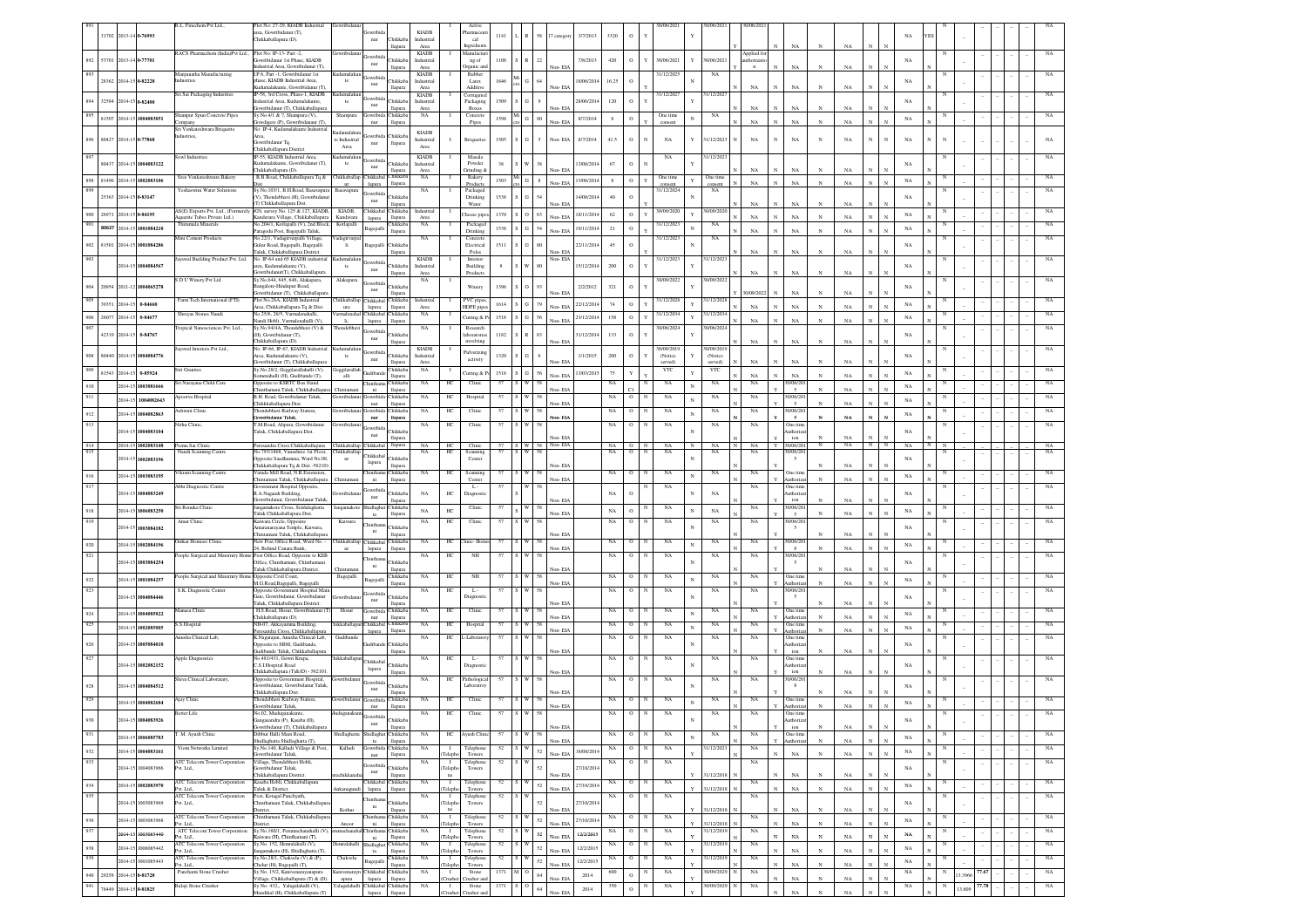|                    |                                                |                          | R.L. Finechem Pvt Ltd.,                                   | Plot No: 27-29, KIADB Industrial                                                                          | Gowribida                    |                                                               |                            |                              |                               |               |                                  |                                  |              |             |                   | 30/06/2021                 |              | 30/06/2021              |                          |                                      |              |             |                |            |                            |            |                            |  |                            |
|--------------------|------------------------------------------------|--------------------------|-----------------------------------------------------------|-----------------------------------------------------------------------------------------------------------|------------------------------|---------------------------------------------------------------|----------------------------|------------------------------|-------------------------------|---------------|----------------------------------|----------------------------------|--------------|-------------|-------------------|----------------------------|--------------|-------------------------|--------------------------|--------------------------------------|--------------|-------------|----------------|------------|----------------------------|------------|----------------------------|--|----------------------------|
|                    | 31702 2013-14 0-76993                          |                          |                                                           | irea. Gowribidanur (T).<br>Chikkaballanura (D)                                                            |                              |                                                               | <b>KIADE</b>               |                              | harmace                       | 1141          |                                  | 58<br>17 categor                 | 3/7/2013     | 3320        | $\mathbf O$       |                            |              |                         |                          |                                      |              |             |                |            | NA                         |            |                            |  |                            |
|                    |                                                |                          |                                                           |                                                                                                           |                              | $_{\rm nur}$<br>Chikkaba<br>llapura                           | Industrial<br>Area         |                              | cal<br>neredient              |               |                                  |                                  |              |             |                   |                            |              |                         |                          | NA                                   |              | NA          |                |            |                            |            |                            |  |                            |
|                    | 53701 2013-14 0-77701                          |                          | RACS Pharmachem (India)Pvt Ltd., Plot No: IP-13- Part -2. |                                                                                                           |                              |                                                               | <b>KIADB</b>               |                              | Aanufactu                     |               |                                  |                                  |              |             |                   |                            |              |                         | pplied fo                |                                      |              |             |                |            |                            |            |                            |  |                            |
| 892                |                                                |                          |                                                           | Gowribidanur 1st Phase, KIADB<br>dustrial Area, Gowribidanur (T)                                          |                              | Thikkaba<br>nur<br>llapura                                    | Industrial<br>Area         |                              | ng of<br>Irganic an           | 1108          | R                                | 22<br>Non-EIA                    | 7/8/2013     | 420         | $\circ$           | 30/06/2021                 | Y            | 30/06/202               | thorizat<br>$\mathbf{n}$ | NA                                   |              | NA          |                |            | NA                         |            |                            |  |                            |
| 893                |                                                |                          | Maniunatha Manufacturing                                  | I.P.6. Part -1. Gowribidanur 1st                                                                          | adumalakun                   |                                                               | <b>KIADB</b>               |                              | Rubber                        |               |                                  |                                  |              |             | $\circ$           | 31/12/2025                 |              | NA                      |                          |                                      |              |             |                |            |                            |            |                            |  |                            |
|                    | 28362 2014-15 0-82228                          |                          | dustries                                                  | hase, KIADB Industrial Area,<br>adumalakunte, Gowribidanur (T)                                            | te                           | <b>Thikkaba</b><br>nur<br>llapura                             | Industriai<br>Area         |                              | Latex<br>Additive             | 1646          | G                                | 64<br>Non-EIA                    | 18/06/2014   | 16.25       |                   |                            |              |                         | NA                       | NA                                   |              | $_{\rm NA}$ |                |            | NA                         |            |                            |  |                            |
|                    | 32584 2014-15 0-82400                          |                          | Sri Sai Packaging Industries                              | IP-58, 3rd Cross, Phase-1, KIADB                                                                          | adumalaku                    | ywribi                                                        | <b>KIADB</b>               |                              | Corrugato                     |               |                                  |                                  |              |             | $\circ$           | 31/12/2027                 |              | 1/12/202                |                          |                                      |              |             |                |            |                            |            |                            |  |                            |
|                    |                                                |                          |                                                           | dustrial Area, Kudumalakunte.<br>owribidanur (T), Chikkaballapura                                         | te                           | Chikkaba<br>$_{\rm nur}$<br>llapura                           | Industrial<br>Area         |                              | Packaging<br>Boxes            | 1509          | ${\bf G}$                        | Non-EIA                          | 28/06/2014   | 120         |                   |                            |              |                         | $_{\rm NA}$              | NA                                   | $_{\rm N}$   | NA          |                |            | NA                         |            |                            |  |                            |
| 895                |                                                | 81507 2014-15 1004083051 | hampur Spun Concrete Pipes                                | Sy.No.4/1 & 7, Shampura (V),                                                                              | Shampura                     | Chikkaba<br>Gowribida                                         | NA                         |                              | Concrete                      | 1598          | $\mathbf{G}$                     | $80\,$                           | 8/7/2014     | 8           | $\circ$           | One time                   |              | NA                      |                          |                                      | $_{\rm N}$   |             |                |            | $_{\rm NA}$                |            |                            |  |                            |
|                    |                                                |                          | ompany<br>Sri Venkateshwara Briquette                     | digere (P), Gowribidanaur (T),<br>No: IP-4, Kudamalakunte Industrial                                      |                              | llapura<br>nur                                                |                            |                              | Pipes                         |               |                                  | Non-EIA                          |              |             |                   | consen                     |              |                         | $_{\rm NA}$              | $_{\rm NA}$                          |              | $_{\rm NA}$ |                |            |                            |            |                            |  |                            |
| 896                | 80427 2014-15 0-77868                          |                          | ndustries,                                                |                                                                                                           | adamalak:<br>te Industrial   | Chikkaba                                                      | <b>KIADB</b><br>Industrial | л.                           | <b>Briquettes</b>             | 1505          | i G                              | $\mathfrak{s}$<br>Non-EIA        | 8/7/2014     | 41.5        | $\mathbf{o}$      | NA                         | Y            | 31/12/2023              | NA                       | $_{\rm NA}$<br>N                     | N            | NA          | N              | N          | NA                         | N          |                            |  |                            |
|                    |                                                |                          |                                                           | Gowribidanur Tq,<br>Chikkaballapura District                                                              | Area                         | llapura<br>nur                                                | Area                       |                              |                               |               |                                  |                                  |              |             |                   |                            |              |                         |                          |                                      |              |             |                |            |                            |            |                            |  |                            |
|                    |                                                |                          | owl Industries                                            | P-55, KIADB Industrial Area                                                                               | ımalakı                      | Gowribid                                                      | <b>KIADB</b>               |                              | Masala                        |               |                                  |                                  |              |             |                   | NA                         |              | 1/12/202                |                          |                                      |              |             |                |            |                            |            |                            |  |                            |
|                    |                                                | 80437 2014-15 1004083122 |                                                           | adumalakunte, Gowribidanur (T).<br>Chikkaballapura (D).                                                   | te                           | hikkab:<br>nur<br>Harouta                                     | ndustria<br>Area           |                              | Powder<br>3rinding δ          | 38            |                                  | Non-EL                           | 3/08/201     | $67\,$      | $\,$ O            |                            |              |                         | NA                       | NA                                   |              | NA          |                |            | NA                         |            |                            |  |                            |
| 898                |                                                | 81496 2014-15 1002083106 | Sree Venkateshwara Bakery                                 | B.B.Road, Chikkaballapura Tq &                                                                            | 'hikkaballap                 | Chikkaba<br>Chikkabal<br>llapura                              | NA                         |                              | Bakery                        | 1503          | $\mathbf{G}$                     | $\bf8$<br>Non-EIA                | 3/08/2014    | $\bf8$      | $\,$ O            | One tim                    | $\mathbf Y$  | One tim                 | $_{\rm NA}$              | $_{\rm NA}$                          |              | $_{\rm NA}$ | $\mathbf{N}$   |            | $_{\rm NA}$                |            |                            |  |                            |
|                    |                                                |                          | Yeshaswini Water Solutions                                | Sy.No.103/1, B.H.Road, Basavapura                                                                         | $_{\rm{ur}}$<br>Basavapura   | lapura<br>iowribio                                            | NA                         |                              | Product<br>Packaged           |               |                                  |                                  |              |             |                   | 31/12/2024                 |              | NA                      |                          |                                      |              |             |                |            |                            |            |                            |  |                            |
|                    | 25363 2014-15 0-83147                          |                          |                                                           | V), Thondebhavi (H), Gowribidan                                                                           |                              | Chikkaba<br>nur<br>llapura                                    |                            |                              | Drinking<br>Water             | 1538          | $S$ $G$                          | 54<br>Non-EL                     | 4/08/2014    | $40\,$      | $\circ$           |                            |              |                         | NA                       | NA                                   |              | NA          |                |            | NA                         |            |                            |  |                            |
|                    |                                                |                          |                                                           | T) Chikkaballapura Dist.<br>AS(E) Exports Pvt. Ltd., (Formerely #29, survey No. 125 & 127, KIADB,         | KIADB,                       | Chikkabal Chikkaba                                            | Industrial                 |                              |                               |               |                                  |                                  |              |             |                   | 30/09/2020                 |              | 30/09/202               |                          |                                      |              |             |                |            |                            |            |                            |  |                            |
| 900                | 26971 2014-15 0-84195                          |                          | Aquatite Tubes Private Ltd.)                              | Kandavara Village, Chikkaballapura                                                                        | Kandavara                    | llapura<br>lapura                                             | Area                       |                              | heese pip                     | $1370$ S O 63 |                                  | Non-EIA                          | 18/11/2014   | 62          | $\circ$           |                            |              |                         | NA                       | NA                                   | $_{\rm N}$   | $_{\rm NA}$ |                |            | NA                         |            |                            |  |                            |
|                    |                                                | 80637 2014-15 1001084210 | Thirumala Mineral                                         | No.204/1, Kotlapalli (V), 2nd Block<br>Paragodu Post, Bagepalli Taluk,                                    | Kotlapalli                   | hikkab<br>Bagepalli<br>llapura                                | NA                         |                              | Packaged<br>Drinking          | 1538          | $S$ $G$ $54$                     |                                  | 19/11/2014   | 21          | $\circ$           | 31/12/202                  |              | NA                      | NA                       | N/                                   |              | NA          |                |            | $_{\rm NA}$                |            |                            |  |                            |
|                    |                                                |                          | Mini Cement Products                                      | No.22/1, Vadagirvarpalli Village,                                                                         | adagirvarp                   |                                                               | $_{\rm NA}$                |                              | Concrete                      |               |                                  |                                  |              |             |                   | 31/12/2023                 |              | $_{\rm NA}$             |                          |                                      |              |             |                |            |                            |            |                            |  |                            |
| 902                |                                                | 81501 2014-15 1001084286 |                                                           | Gulur Road, Bagepalli, Bagepalli<br>Taluk, Chikkaballapura District                                       |                              | <b>hikkab</b><br>Bagepal<br>llapura                           |                            |                              | Electrical<br>Poles           | 1511          | ${\bf G}$                        | 80<br>Non-EIA                    | 22/11/2014   | 45          |                   |                            |              |                         | NA                       | NA                                   |              | NA          |                |            | NA                         |            |                            |  |                            |
|                    |                                                |                          | ayswal Building Product Pvt. Ltd.                         | No. IP-64 and 65 KIADB industria                                                                          |                              | jowribi                                                       | <b>KIADB</b>               |                              | Interior                      |               | W                                | Non- EIA                         |              |             |                   | 31/12/2023                 |              | 1/12/202                |                          |                                      |              |             |                |            |                            |            |                            |  |                            |
|                    |                                                | 2014-15 1004084567       |                                                           | rea. Kudamalakunte (V).<br>owribidanur(T), Chikkaballapur,                                                |                              | <b>Thikkaba</b><br>nur<br>llapura                             | Industria<br>Area          |                              | Building<br>Product           |               |                                  | 80                               | 15/12/2014   | 200         | $\circ$           |                            |              |                         | NA                       | NA                                   |              | NA          |                |            | NA                         |            |                            |  |                            |
|                    |                                                |                          | S D U Winery Pvt Ltd                                      | Sy.No.644, 645, 646, Alakapura,                                                                           | Alakapur                     | iowribid:                                                     | NA                         |                              |                               |               |                                  |                                  |              |             |                   | 30/09/2022                 |              | 0/09/2022               |                          |                                      |              |             |                |            |                            |            |                            |  |                            |
|                    |                                                | 20954 2011-12 1004065278 |                                                           | angalore-Hindupur Road,<br>owribidanur (T). Chikkaballapur                                                |                              | Chikkab<br>nur<br>llapura                                     |                            |                              | Winery                        | 1396          | $\overline{\phantom{a}}$         | 93<br>Non-FIA                    | 2/2/2012     | 321         | $\circ$           |                            |              |                         | V09/202                  | NA<br>N                              | N            | NA          |                |            | $_{\rm NA}$                |            |                            |  |                            |
|                    | 39351 2014-15                                  | 0-84660                  | Farm Tech International (FTI)                             | Plot No.28A. KIADB Industrial                                                                             | hikkaballan                  | Chikkabal Chikkaba                                            | Industrial                 |                              | PVC piper                     | 1614          | $S$ $G$                          | 79                               | 22/12/2014   | 74          | $\circ$           | 31/12/2028                 |              | 1/12/202                |                          |                                      |              |             |                |            | NA                         |            |                            |  |                            |
|                    |                                                |                          | Shreyas Stones Nandi                                      | Area, Chikkaballapura Tq & Dist.<br>No.25/6, 26/5. Varmalenahalli                                         | ura<br>armalena              | lapura<br>llapura<br>Chikkabal Chikkaba                       | Area<br>NA                 |                              | HDPE pip                      |               |                                  | Non-FIA                          |              |             |                   | 31/12/2034                 |              | 1/12/203                | NA                       | NA                                   | $_{\rm N}$   | NA          |                |            |                            |            |                            |  |                            |
| 906                | 26077 2014-15                                  | 0-84677                  |                                                           | andi Hobli, Varmalenahalli (V)                                                                            |                              | lapura<br>llapura                                             |                            |                              | utting &                      | 1518          | ${\bf S}={\bf G}$                | $56\,$<br>Non-EIA                | 23/12/2014   | 158         | $\circ$           |                            |              |                         | NA                       | NA                                   |              | NA          |                |            | NA                         |            |                            |  |                            |
|                    | 42319 2014-15                                  | 0-84767                  | Tropical Nanosciences Pvt. Ltd.,                          | Sy.No.94/4A, Thondebhavi (V) &<br>H), Gowribidanur (T),                                                   | Thondebhay                   | iowribi<br>Chikkaba                                           | <b>NA</b>                  |                              | Research<br>aboratorie        | 1182          | R                                | 83                               | 31/12/2014   | 133         | $\circ$           | 30/06/2024                 |              | 30/06/2024              |                          |                                      |              |             |                |            | NA                         |            |                            |  | NA                         |
|                    |                                                |                          |                                                           | Chikkaballapura (D).                                                                                      |                              | $_{\rm nur}$<br>llapura                                       |                            |                              | involving                     |               |                                  | Non-EL                           |              |             |                   |                            |              |                         | $_{\rm NA}$              | $_{\rm NA}$                          | $_{\rm N}$   | NA          |                |            |                            |            |                            |  |                            |
| 908                |                                                | 80440 2014-15 1004084776 | ayswal Interiors Pvt Ltd.,                                | No. IP-66, IP-67, KIADB Industrial<br>Area, Kudumalakunte (V),                                            | dumalaku<br>te               | <b>Thikkaba</b>                                               | <b>KIADB</b><br>Industriai |                              | Pulverizi                     | 1320          | $\overline{G}$                   |                                  | 1/1/2015     | $200\,$     | $\,$ O            | 10/09/2019<br>(Notice      |              | 0/09/201<br>(Notice     |                          |                                      |              |             |                |            | NA                         |            |                            |  |                            |
|                    |                                                |                          |                                                           | Gowribidanur (T), Chikkaballapura                                                                         |                              | nur<br>llapura                                                | Area                       |                              | activity                      |               |                                  |                                  |              |             |                   | served)                    |              | served                  | NA                       | NA                                   |              | NA          |                |            |                            |            |                            |  |                            |
| 909                |                                                | 81543 2014-15 0-85924    | Siri Granites                                             | Sy.No.28/2, Geggilarallahalli (V),<br>omenahalli (H), Gudibande (T),                                      | <i>ieggilarallah</i><br>alli | Chikkaba<br><b>Teachibon</b><br>llapura                       | NA                         |                              | <b>Cutting &amp; P</b>        | 1518          | $\,$ S $\,$ G $\,$ S $\,$ S $\,$ | Non-EL                           | 13/03/2015   | 75          | Y                 | YTC                        | $\mathbf{Y}$ | YTC                     | NA                       | $_{\rm NA}$                          | $_{\rm N}$   | $_{\rm NA}$ |                |            | $_{\rm NA}$                |            |                            |  |                            |
|                    |                                                | 2014-15 1003081666       | Sri Narayana Child Care                                   | Opposite to KSRTC Bus Stand                                                                               |                              | Chikkab2<br><b>Thintha</b>                                    | NA                         | HC                           | Clinic                        | 57            | S W                              |                                  |              | $_{\rm NA}$ |                   | NA                         | N            | $_{\rm NA}$             | NA                       | 0/06/20                              |              |             |                |            | $_{\rm NA}$                |            |                            |  |                            |
|                    |                                                |                          | Apoorva Hospital                                          | thamani Taluk, Chikkaballapu<br>B.H. Road, Gowribidanur Taluk,                                            |                              | $_{\rm{ni}}$<br>llapura<br>Chikkab<br>Gowribid                | NA                         | HC                           | Hospital                      | 57            |                                  | Non-EL                           |              | NA          | $\circ$           | $_{\rm NA}$                |              | NA                      | NA                       | $\sim$<br>0/06/2                     |              | $_{\rm NA}$ |                |            |                            |            |                            |  |                            |
|                    |                                                | 2014-15 1004082643       |                                                           | Chikkkaballapura Dist.                                                                                    |                              | $_{\rm nur}$<br>llapura                                       |                            |                              |                               |               |                                  | Von-EL                           |              |             |                   |                            |              |                         |                          | $\overline{5}$                       |              |             |                |            | $_{\rm NA}$                |            |                            |  |                            |
| 912                |                                                | 2014-15 1004082863       | shwini Clinic                                             | Thondebhavi Railway Station,<br>wribidanur Taluk,                                                         |                              | Chikkab:<br>iowribi<br>$_{\rm nur}$<br>Hapura                 | NA                         | HC                           | Clinic                        | 57            | $\mathbf{w}$                     | Non-El/                          |              | $_{\rm NA}$ | $\mathbf{o}$      | $_{\rm NA}$                |              | $_{\rm NA}$             | $_{\rm NA}$              | 0/06/20<br>$\sim$                    |              | NA          |                |            | $_{\rm NA}$                |            |                            |  |                            |
| 913                |                                                |                          | Nithu Clinic                                              | T.M.Road, Alipura, Gowribidanur                                                                           |                              | iowribid:                                                     | $_{\rm NA}$                | HC                           | Clinic                        | 57            | s W                              |                                  |              | NA          | $\mathbf O$       | NA                         |              | NA                      | NA                       | One tim                              |              |             |                |            |                            |            |                            |  |                            |
|                    |                                                | 2014-15 1004083104       |                                                           | Taluk, Chikkaballapura Dist.                                                                              |                              | Chikkab<br>nur<br>llapura                                     |                            |                              |                               |               |                                  | Non- EIA                         |              |             |                   |                            |              |                         |                          | uthoria<br>$_{\rm ion}$              |              | NA          |                |            | $_{\rm NA}$                |            |                            |  |                            |
| 914                |                                                | 2014-15 1002083148       | Prema Sai Clinic                                          | Peresandra Cross Chikkaballapura                                                                          | Chikkaballap Chikkabal       | llapura                                                       |                            | NA HC                        | Clinic                        |               | $S \mid W$                       | 57 S W 58 Non-EIA                |              | $NA$ O      |                   | NA                         |              | NA                      | NA                       | 30/06/20<br>Y                        | $\mathbb N$  | NA .        | N              | $_{\rm N}$ | NA                         |            |                            |  | NA                         |
| 915                |                                                | 2014-15 1002083196       | Nandi Scanning Centre                                     | No.793/1868, Vanashree 1st Floor,<br>pposite Saadhumata, Ward No.08                                       | 'hikkaballap                 | Chikkabal<br>Chikkab                                          | NA                         | HC                           | Scanning<br>Center            | 57            |                                  | 58                               |              | NA          | $\overline{0}$    | NA<br>N                    |              | $_{\rm NA}$             | NA                       | 0/06/2<br>$\sim$                     |              |             |                |            | $_{\rm NA}$                |            |                            |  |                            |
|                    |                                                |                          |                                                           | hikkaballapura To & Dist -562101                                                                          |                              | lapura<br>llapura                                             |                            |                              |                               |               |                                  | Non-EIA                          |              |             |                   |                            |              |                         |                          |                                      |              | NA          |                |            |                            |            |                            |  |                            |
| 916                |                                                | 2014-15 1003083195       | Vikram Scanning Centre                                    | Varada Mill Road, N.R.Extension<br>hintamani Taluk, Chikkaballapura                                       | hintamar                     | Chinthama Chikkaba<br>ni<br>llapura                           | NA                         | HC                           | Scanning<br>Center            |               | s W                              | Non-EIA                          |              | $_{\rm NA}$ | $\circ$           | NA                         | $\mathbf N$  | $_{\rm NA}$             | $_{\rm NA}$              | One tin<br>Authoriz                  | $_{\rm N}$   | NA          |                |            | NA                         |            |                            |  |                            |
| 917                |                                                |                          | Abhi Diagnostic Centre                                    | vernment Hospital Opposite,                                                                               |                              | iowribio                                                      |                            |                              | L.                            |               |                                  |                                  |              |             |                   | NA                         |              | NA                      | NA                       | One tim                              |              |             |                |            |                            |            |                            |  | NA                         |
|                    |                                                | 2014-15 1004083249       |                                                           | R.A.Nagaiah Building.<br>Gowribidanur, Gowribidanur Taluk                                                 |                              | Chikkaba<br>$_{\rm nur}$<br>llapura                           | <b>NA</b>                  | ΗС                           | Diagnosti                     |               |                                  | Non-ELA                          |              | NA          | $\circ$           |                            |              |                         |                          | uthori.<br>ion                       |              | NA          |                |            | NA                         |            |                            |  |                            |
| 918                |                                                | 2014-15 1006083250       | Sri Renuka Clinic                                         | angamakote Cross, Siddalaghatta                                                                           | angamakot                    | Shidlaghat Chikkaba                                           | $_{\rm NA}$                | $\rm{HC}$                    | Clinic                        | 57            | W                                | 55                               |              | $_{\rm NA}$ | $\Omega$          | NA                         |              | $_{\rm NA}$             | NA                       | 0/06/20                              |              |             |                |            | NA                         |            |                            |  | NA                         |
| 919                |                                                |                          | Amar Clinic                                               | Taluk Chikkaballapura Dist.<br>Kaiwara Circle, Opposite                                                   | Kaiwara                      | ta<br>llapura                                                 | NA                         | HC                           | Clinic                        | 57            | I W                              | Non-EIA<br>-58                   |              | NA          | $\circ$           | NA                         |              | NA                      | NA                       | $\sim$<br>0/06/20                    |              | $_{\rm NA}$ |                |            |                            |            |                            |  |                            |
|                    |                                                | 2014-15 1003084182       |                                                           | Amaranarayana Temple, Kaiwara,<br>intamani Taluk, Chikkaballapura                                         |                              | Chikkab<br>ni                                                 |                            |                              |                               |               |                                  | Von-EL                           |              |             |                   |                            |              |                         |                          | $\sim$                               |              |             |                |            | NA                         |            |                            |  |                            |
| 920                |                                                | 2014-15 1002084196       | Imkar Homoeo Clinic                                       | New Post Office Road, Ward No. -                                                                          |                              | llapura<br>hikkaballap Chikkabal Chikkaba                     | NA                         | HС                           | linic- Hon                    | 57            | S W                              | 58                               |              | $_{\rm NA}$ | $\circ$           | NA                         | $_{\rm N}$   | $_{\rm NA}$             | NA                       | 30/06/20                             |              |             |                |            |                            |            |                            |  |                            |
| 921                |                                                |                          |                                                           | 24, Behind Canara Bank,<br>People Surgical and Maternity Home Post Office Road, Opposite to KEE           | ur                           | llapura<br>lapura                                             |                            | HC                           | NH                            | 57            | S W                              | Non-EIA                          |              | NA          | $\circ$           | NA                         |              | $_{\rm NA}$             | $_{\rm NA}$              | 0/06/20                              |              | $_{\rm NA}$ |                |            | $_{\rm NA}$                |            |                            |  |                            |
|                    | 2014-15                                        | 1003084254               |                                                           | Office, Chinthamani, Chinthaman                                                                           |                              | <b>hintha</b><br><b>Thikkab</b><br>ni                         | NA                         |                              |                               |               |                                  | 58                               |              |             |                   |                            |              |                         |                          | $\mathbf{5}$                         |              |             |                |            | NA                         |            |                            |  |                            |
|                    |                                                |                          |                                                           | Taluk Chikkaballapura District.                                                                           |                              | llapura                                                       |                            |                              |                               |               |                                  | Non-EIA                          |              |             |                   |                            |              |                         |                          |                                      |              | NA          |                |            |                            |            |                            |  |                            |
| $\boldsymbol{922}$ |                                                | 2014-15 1001084257       | eople Surgical and Maternity Home                         | Opposite Civil Court,<br>M.G.Road,Bagepalli, Bagepall                                                     | Bagepalli                    | hikkaba<br>Bagepall<br>llapura                                | $_{\rm NA}$                | H                            | NH                            |               |                                  | Non-EIA                          |              | NA          |                   | NA                         |              | NA                      | NA                       | One tim                              |              | NA          |                |            | NA                         |            |                            |  |                            |
| 923                |                                                |                          | S.K. Diagnostic Center                                    | Ppposite Government Hospital Mai                                                                          |                              | Gowribio                                                      | NA                         | $\rm{HC}$                    | $\mathbf{L}$ .                | 57            |                                  |                                  |              | NA          | $\mathbf O$       | NA                         |              | NA                      | NA                       | 0/06/2                               |              |             |                |            |                            |            |                            |  |                            |
|                    |                                                | 2014-15 1004084446       |                                                           | Gate, Gowribidanur, Gowribidanur<br>Taluk, Chikkaballapura District.                                      |                              | <b>Thikkab</b><br>nur<br>llapura                              |                            |                              |                               |               |                                  | Non- EIA                         |              |             |                   |                            |              |                         |                          |                                      |              | NA          |                |            | NA                         |            |                            |  |                            |
| 924                |                                                | 2014-15 1004085022       | Ianasa Clinic                                             | H.S.Road, Hosur, Gowribidanur ("                                                                          | Hosur                        | Chikkaba<br>Gowribid                                          | NA                         | HC                           | Clinic                        | 57            |                                  |                                  |              | NA          |                   | NA                         | $\mathbf N$  | NA                      | NA                       | One tim                              |              | NA          |                |            | $_{\rm NA}$                |            |                            |  |                            |
| 925                |                                                |                          | S.S.Hospital                                              | Chikkaballapura (D).<br>NH-07, Akkayamma Building,                                                        | hikkaballan                  | $_{\rm nur}$<br>llapura<br>Chikkabal Chikkaba                 | NA                         | HC                           | Hospital                      | 57            | S W                              | Non-EL                           |              | NA          | $\circ$           | NA                         |              | $_{\rm NA}$             | NA                       | uthori<br>One tin                    |              |             |                |            |                            |            |                            |  |                            |
|                    |                                                | 2014-15 1002085005       | nusha Clinical Lab.                                       | sandra Cross, Chikkaballag                                                                                |                              | llapura<br>lapura                                             |                            |                              |                               |               |                                  | Non-EIA                          |              |             |                   |                            | $\mathbf N$  |                         |                          | uthori                               |              | NA          |                |            | $_{\rm NA}$                |            |                            |  |                            |
| 926                |                                                | 2014-15 1005084010       |                                                           | K.Nagarajan, Anusha Clinical Lab,<br>pposite to SBM, Gudibande,                                           | Gudiband                     | Chikkab                                                       | NA                         | HС                           | -Laborato                     | 57            |                                  |                                  |              | NA          | о                 | NA                         |              | NA                      | NA                       | One time<br>uthoriz                  |              |             |                |            | NA                         |            |                            |  |                            |
|                    |                                                |                          |                                                           | udibande Taluk, Chikkaballapura                                                                           |                              | llapura                                                       |                            |                              |                               |               |                                  | Non-EIA                          |              |             |                   |                            |              |                         |                          | ion                                  |              | $_{\rm NA}$ |                |            |                            |            |                            |  |                            |
| 927                |                                                | 2014-15 1002082152       | Apple Diagnostics                                         | No. 481/431. Gowri Krupa.<br>C.S.I.Hospital Road                                                          | iikkaballan                  | Chikkabal<br>Chikkaba                                         | NA                         | HС                           | - L -<br>Diagnost             | 57            |                                  |                                  |              | NA          | $^{\circ}$        | NA                         |              | NA                      | NA                       | One tim<br>uthoriz                   |              |             |                |            | NA                         |            |                            |  |                            |
|                    |                                                |                          |                                                           | Chikkaballapura (T)&(D) - 562101                                                                          |                              | lapura<br>llapura                                             |                            |                              |                               |               |                                  | Non-EIA                          |              |             |                   |                            |              |                         |                          | ion                                  |              | NA          |                |            |                            |            |                            |  |                            |
|                    |                                                | 2014-15 1004084512       | hiva Clinical Laboratary                                  | Opposite to Government Hospital,<br>wribidanur, Gowribidanur Taluk                                        |                              | <b>lowribi</b><br><b>Thikkab</b>                              | <b>NA</b>                  | HC                           | Pathologica<br>Laboratro      | 57            |                                  |                                  |              | NA          | $\circ$           | NA                         |              | NA                      | NA                       | 0/06/20<br>- 8                       |              |             |                |            | NA                         |            |                            |  |                            |
|                    |                                                |                          |                                                           | Thikkaballapura Dist.                                                                                     |                              | nur<br>llapura                                                |                            |                              |                               |               |                                  | Non-EL                           |              |             |                   |                            |              |                         |                          |                                      |              | NA          |                |            |                            |            |                            |  |                            |
|                    |                                                | 2014-15 1004082684       | Ajay Clinic                                               | Thondebhavi Railway Station,<br>wribidanur Taluk,                                                         |                              | Chikkab:<br>Gowribi<br>nur<br>llapur                          | NA                         | HC                           | Clinic                        |               |                                  |                                  |              | NA          |                   |                            |              | NA                      | NA                       | One tim                              |              |             |                |            | NA                         |            |                            |  |                            |
|                    |                                                |                          |                                                           | No.02. Muduganak                                                                                          |                              | wribida                                                       |                            |                              | Clini                         |               |                                  |                                  |              |             |                   |                            |              |                         |                          | One time                             |              |             |                |            |                            |            |                            |  |                            |
| 930                |                                                | 2014-15 1004083926       |                                                           | Gangasandra (P), Kasaba (H),<br>Gowribidanur (T), Chikkaballapura                                         |                              | Chikkaba<br>nur<br>llapura                                    |                            |                              |                               |               |                                  | Non-EIA                          |              |             |                   |                            | $_{\rm N}$   |                         |                          | Authoriza<br>$\mathop{\mathrm{ion}}$ |              | NA          | $\mathbf{N}$   |            | $_{\rm NA}$                |            |                            |  |                            |
| 931                |                                                | 2014-15 1006085783       | M. Ayush Clinic                                           | Dibbur Halli Main Road,                                                                                   | Shidlaghatta                 | Shidlagha<br>Chikkaba                                         | NA                         | HC                           | Ayush Clini                   |               | W                                | 58                               |              | NA          | $\mathbf O$       | NA                         | $\mathbf{N}$ | NA                      | NA                       | One time                             |              | NA          | $\mathbf{x}$   |            | $_{\rm NA}$                |            |                            |  | NA                         |
|                    |                                                |                          |                                                           | Shidlaghatta Shidlaghatta (T),                                                                            |                              | llapura<br>ta                                                 |                            |                              | Telephon                      | 52            | S W                              | Non-EIA                          |              | NA          | $\circ$           | NA<br>N                    |              | 31/12/2023              | $_{\rm NA}$              | Authoriz                             | $_{\rm N}$   |             |                |            |                            | $_{\rm N}$ |                            |  | $_{\rm NA}$                |
| 932                |                                                |                          |                                                           |                                                                                                           | Kalludi                      | Gowribida Chikkaba                                            |                            |                              |                               |               |                                  | 52<br>Non-EIA                    | 18/08/2014   |             |                   |                            |              |                         |                          | NA                                   | $_{\rm N}$   | NA          | $\mathbf{N}$   | $_{\rm N}$ | $_{\rm NA}$                |            |                            |  |                            |
|                    |                                                | 2014-15 1004083161       | Viom Networks Limited                                     | Sy.No.140, Kalludi Village & Post,<br>owribidanur Taluk                                                   |                              | llapura<br>$_{\rm nur}$                                       | $_{\rm NA}$                | Telepho                      | Towers                        |               |                                  |                                  |              |             | $\circ$           | NA<br>$\mathbf{N}$         |              |                         |                          |                                      |              |             |                |            |                            |            |                            |  | $_{\rm NA}$                |
| 933                |                                                |                          | ATC Telecom Tower Corporation                             | Village, Thondebhavi Hobli,                                                                               |                              | Gowribio                                                      | NA                         | $\blacksquare$               | Telephone                     | 52            | s I w                            |                                  |              | NA          |                   |                            |              |                         | NA                       |                                      |              |             |                |            |                            |            |                            |  |                            |
|                    |                                                | 2014-15 1004083966       | Pvt. Ltd.,                                                | owribidanur Taluk.<br>"hikkaballanura District                                                            | achikkana                    | Chikkaba<br>$_{\rm nur}$<br>llapura                           |                            | Telepho<br>ne                | Towers                        |               |                                  | 52<br>Non-ELA                    | 27/10/201-   |             |                   |                            | $\mathbf{Y}$ | 31/12/2018              |                          | NA                                   | $_{\rm N}$   | NA          |                |            | NA                         |            |                            |  |                            |
| 934                |                                                | 2014-15 1002083970       | ATC Telecom Tower Corporation                             | Kasaba Hobli, Chikkaballapura                                                                             |                              | Chikkabal Chikkaba                                            | NA                         | $\blacksquare$               | Telephone                     | 52            | W                                | 52                               | 27/10/2014   | NA          | $\circ$           | NA                         | $\mathbf{v}$ |                         | NA                       |                                      | $\mathbb{N}$ |             | $\mathbf{N}$   | $_{\rm N}$ | $_{\rm NA}$                |            |                            |  | NA                         |
| 935                |                                                |                          | Pvt. Ltd.,<br>ATC Telecom Tower Corporation               | Taluk & District.<br>Post, Kotagal Panchyath.                                                             |                              | lapura<br>llapura                                             | NA                         | Telepho<br>$\mathbf{I}$      | Towers<br>Telephone           | 52            | : I W                            | Non-EIA                          |              | NA          | $\circ$           | NA<br>N                    |              | 31/12/2018              | NA.                      | $_{\rm NA}$                          |              | NA          |                |            |                            | N          |                            |  | NA                         |
|                    |                                                | 2014-15 1003083969       | Pvt. Ltd.,                                                | hinthamani Taluk, Chikkaballapu                                                                           |                              | Chikkab<br>$\mathbf{ni}$                                      |                            | Teleph                       | Towers                        |               |                                  | 52                               | 27/10/201    |             |                   |                            |              |                         |                          |                                      |              |             |                |            | $_{\rm NA}$                |            |                            |  |                            |
|                    |                                                | 2014-15 1003083968       | ATC Telecom Tower Corporation                             | District.<br>Thinthamani Taluk, Chikkaballapu                                                             | Kothur                       | llapura<br>hinthama Chikkaba                                  | NA                         | $\mathbf{I}$                 | Telephone                     | 52            | s   W                            | Non-EL                           |              | NA          | $\circ$           | NA                         |              | 1/12/2018               | NA                       | $_{\rm NA}$                          |              | $_{\rm NA}$ |                |            |                            |            |                            |  | $_{\rm NA}$                |
| 936                |                                                |                          | Nt. Ltd.                                                  | District.<br>Sy.No.160/1, Perumachanahalli (V)                                                            | Anoor<br>machan:             | ni<br>llapura<br>a Chikkaba<br>hintha                         |                            | Telepho<br>$\blacksquare$    | Towers                        |               |                                  | $52\,$<br>Non-EIA                | 27/10/2014   |             | $\overline{0}$    | NA                         |              | 1/12/2018               |                          | $_{\rm NA}$                          | $_{\rm N}$   | $_{\rm NA}$ | $\overline{N}$ |            | $_{\rm NA}$                |            |                            |  |                            |
| 937                |                                                | 2014-15 1003085440       | ATC Telecom Tower Corporation<br>Nt. Ltd.,                | Kaiwara (H), Chinthamani (T),                                                                             |                              | $\,$ ni<br>llapura                                            | NA                         | Teleph                       | Telephone<br>Towers           | 52            |                                  | $52\,$<br>Non-EL                 | 12/2/2015    | NA          |                   |                            |              | 31/12/2019              | NA                       | $_{\rm NA}$                          | $_{\rm N}$   | NA          | $\mathbf{N}$   |            | $_{\rm NA}$                |            |                            |  | NA                         |
| 938                |                                                | 2014-15 1006085442       | ATC Telecom Tower Corporation<br>Pvt. Ltd.                | Sy.No. 152, Hemralahalli (V),                                                                             | lemralahall                  | Shidlaghat<br>t Chikkaba<br>ta                                | $_{\rm NA}$                | $\mathbf{I}$<br>Teleph       | Telephone                     | 52            | S W                              | $52\,$<br>Non-EL                 | 12/2/2015    | NA          | $\circ$           | $_{\rm NA}$                |              | 31/12/2019              | $_{\rm NA}$              | $_{\rm NA}$                          | $_{\rm N}$   | $_{\rm NA}$ | $_{\rm N}$     |            | $_{\rm NA}$                | N          |                            |  | $_{\rm NA}$                |
| 939                |                                                | 2014-15 1001085443       | <b>ATC Telecom Tower Corporation</b>                      | Jangamakote (H), Shidlaghatta (T),<br>Sy.No.28/1, Chakvelu (V) & (P),                                     | Chakvelu                     | llapura<br>Chikkaba                                           | NA                         | Τ                            | Towers<br>Telephone           | 52            |                                  |                                  | 12/2/2015    | NA          | $\circ$           | NA                         |              | 1/12/201                | NA                       |                                      |              |             |                |            |                            |            |                            |  | $_{\rm NA}$                |
|                    |                                                |                          | Pvt. Ltd.                                                 | .<br>helur (H), Bagepalli (T),                                                                            | anivenaray                   | Bagepalli<br>llapura                                          |                            | Teleph                       | Towers                        | 1371          | $\circ$                          | $52\,$<br>Non-EL                 |              | 600         |                   |                            |              |                         |                          | $_{\rm NA}$                          | $_{\rm N}$   | $_{\rm NA}$ | $\overline{N}$ |            | $_{\rm NA}$                |            | 77.67                      |  |                            |
| 940<br>941         | 29258 2014-15 0-81728<br>78449 2014-15 0-81825 |                          | Panchami Stone Crusher<br>Balaji Stone Crusher            | Sy No. 15/2, Kanivenarayanapura<br>Village, Chikkaballapura (T) & (D).<br>Sy No: 432,, Yalagalahalli (V), | apura<br>alagalahal          | Chikkabal Chikkaba<br>lapura<br>llapura<br>Chikkabal Chikkaba | NA<br>$_{\rm NA}$          | Τ<br>Crusher<br>$\mathbf{I}$ | Stone<br>Crusher and<br>Stone | 1371          | $S$ 0                            | $\,$ 64 $\,$<br>Non-EL<br>$64\,$ | 2014<br>2014 | 350         | $\circ$<br>$\,$ o | $_{\rm NA}$<br>$_{\rm NA}$ |              | 0/09/2029<br>60/09/2029 | NA<br>$_{\rm NA}$        | NA                                   | $_{\rm N}$   | $_{\rm NA}$ |                |            | $_{\rm NA}$<br>$_{\rm NA}$ | N          | 13,3966<br>77.78<br>13.609 |  | $_{\rm NA}$<br>$_{\rm NA}$ |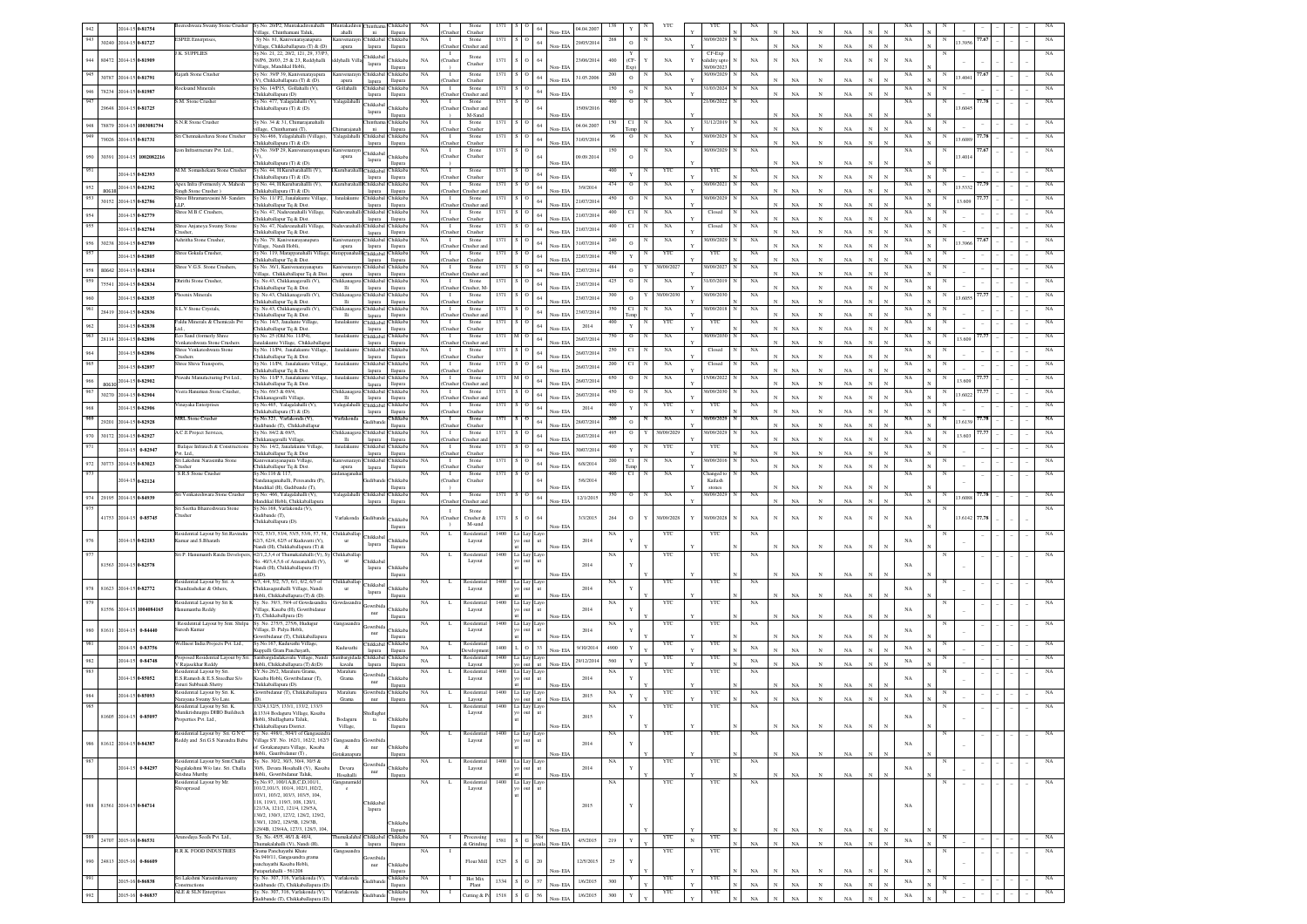|     |                       | 2014-15 0-81754           | ereshwara Swamy Stone Crusher                             | Sy.No. 20/P2, Muntakadirenahalli                                                                           | funtakadire                       | hinthar                      | Chikkab                            |             |                           |                                |           |                          |                   | 04.04.200  |             |     |             |            |                         |                            |                            |                            |                            |              |            |             |   |        |       |             |
|-----|-----------------------|---------------------------|-----------------------------------------------------------|------------------------------------------------------------------------------------------------------------|-----------------------------------|------------------------------|------------------------------------|-------------|---------------------------|--------------------------------|-----------|--------------------------|-------------------|------------|-------------|-----|-------------|------------|-------------------------|----------------------------|----------------------------|----------------------------|----------------------------|--------------|------------|-------------|---|--------|-------|-------------|
| 943 |                       | 30240 2014-15 0-81727     | <b>ESPEE</b> Enterprises,                                 | .<br>Village, Chinthamani Taluk,<br>Sy No. 81, Kanivenarayanapur                                           | ahalli                            | $\,$ ni<br><b>Thikkaba</b>   | llapura<br><b>Chikkab</b>          | NA          | Τ                         | Crusher<br>Stone               | 1371      | 64                       | Non-EIA           | 29/05/2014 | 268         |     | $_{\rm NA}$ |            | 0/09/2029               | $_{\rm NA}$                | NA                         |                            |                            |              |            | $_{\rm NA}$ |   | 3.395  | 7.67  |             |
|     |                       |                           | J.K. SUPPLIES                                             | Village, Chikkaballapura (T) & (D)<br>Sy.No. 21, 22, 20/2, 121, 29, 37/P3                                  | apura                             | lapura                       | llapura                            |             | `nıshe                    | rusher an                      |           |                          | Non-EIA           |            |             |     |             |            |                         |                            | $_{\rm NA}$                | $\mathbf{v}$               | NA                         | $\mathbf{N}$ |            |             |   |        |       |             |
| 944 | 80472 2014-15 0-81909 |                           |                                                           | 38/P6, 20/03, 25 & 23, Reddyhalli                                                                          | dyhalli Vil                       | Chikkabal<br>lapura          | Chikkab                            | $_{\rm NA}$ | Tushe                     | Stone<br>Crusher               | 1371      |                          |                   | 23/06/2014 | 400         | (CF | $_{\rm NA}$ |            | CF-Exp<br>alidity upt   | NA                         | $_{\rm NA}$                | $_{\rm N}$                 | $_{\rm NA}$                | $_{\rm N}$   | $_{\rm N}$ | $_{\rm NA}$ |   |        |       |             |
|     |                       |                           | Rajath Stone Crusher                                      | /illage, Mandikal Hobli.<br>y No: 39/P 39, Kanivenarayapura                                                |                                   | Chikkabal Chikkab.           | llapura                            | NA          | $\blacksquare$            | Stone                          | 1371      |                          | Non-EIA           |            | 200         |     | $_{\rm NA}$ |            | 30/09/2023<br>0/09/2029 | NA                         |                            |                            |                            |              |            | $_{\rm NA}$ |   |        |       |             |
|     |                       | 30787 2014-15 0-81791     |                                                           | /). Chikkaballapura (T) & (D).                                                                             | apura                             | lapura                       | llapura                            |             | husher                    | Crusher                        |           |                          | Non-EIA           | 31.05.2006 |             |     |             |            |                         |                            | NA                         | $_{\rm N}$                 | NA                         |              |            |             |   | 3,404  |       |             |
| 946 |                       | 78234 2014-15 0-81987     | Rocksand Minerals                                         | v No. 14/P15. Gollahalli (V).<br>hikkaballapura (D)                                                        | Gollahalli                        | Chikkabal Chikkab<br>lapura  | llapura                            | NA          | $\mathbf{I}$<br>nish      | Stone<br>rusher ar             | 1371      |                          | Non-EIA           |            |             |     | NA          |            | 1/03/2024               | NA                         | NA                         |                            | NA                         |              |            | $_{\rm NA}$ |   |        |       |             |
| 947 |                       |                           | S.M. Stone Crusher                                        | v No. 477. Yalagalahalli (V).                                                                              | r alagalahalli                    | <b>Thikkaba</b>              |                                    | NA          | $\blacksquare$            | Stone                          | 1371      |                          |                   |            | 400         |     | NA          |            | 21/06/2022              | NA                         |                            |                            |                            |              |            | NA          |   |        | 77.78 |             |
|     |                       | 29648 2014-15 0-81725     |                                                           | hikkaballapura (T) & (D).                                                                                  |                                   | lapura                       | <b>hikkab</b><br>llapura           |             | `rusher                   | Tusher an<br>M-Sand            |           |                          | Non-EIA           | 15/09/201  |             |     |             |            |                         |                            | $_{\rm NA}$                |                            | NA                         |              |            |             |   | 3.604  |       |             |
| 948 |                       | 78879 2014-15 1003081794  | S.N.R Stone Crusher                                       | iy No. 34 & 31, Chimarajanahalli<br>llage, Chinthamani (T),                                                |                                   | <b>Thintham</b><br>ni        | Chikkab.<br>llapura                | NA          | - 1<br>`rusher            | Stone<br>Crusher               | 1371      |                          | Non-EIA           | 04.04.200  |             |     | NA          |            | 1/12/2019               | NA                         | $_{\rm NA}$                |                            | $_{\rm NA}$                | $_{\rm N}$   |            | NA          |   |        |       |             |
| 949 |                       | 79026 2014-15 0-81731     | Sri Chennakeshava Stone Crusher                           | y No.466, Yelagalahalli (Village),                                                                         | Yalagalahalli                     | <b>Thikkabal</b>             | Chikkab.                           | NA          | $\mathbf{I}$              | Stone                          | 1371      |                          |                   | 31/05/201  |             |     | NA          |            | 0/09/2029               | NA                         |                            |                            |                            |              |            | NA          |   | 3.608  |       |             |
|     |                       |                           | con Infrastructure Pvt. Ltd.,                             | hikkaballapura (T) & (D)<br>y No. 39/P 29, Kanivenarayanapura Kanivenaray.                                 |                                   | lapura                       | llapura                            | NA          | `rusher<br>$\mathbf{I}$   | Crusher<br>Stone               | 1371      |                          | Non-EIA           |            |             |     | NA          |            | 0/09/2029               | NA                         | $_{\rm NA}$                |                            | $_{\rm NA}$                |              |            | NA          |   |        | 77.67 |             |
|     |                       | 30391 2014-15 1002082216  |                                                           |                                                                                                            | apura                             | Chikkabal<br>lapura          | Chikkab                            |             | hush                      | Crusher                        |           |                          |                   | 09.09.2014 |             |     |             |            |                         |                            |                            |                            |                            |              |            |             |   | 3.401  |       |             |
|     |                       | 2014-15 0-82393           | M.M. Somashekara Stone Crusher                            | hikkaballapura (T) & (D).<br>Sy No. 44, H.Kurubarahallli (V),                                              |                                   | hikkabal                     | llapura<br>Chikkal                 | NA          |                           | Stong                          | 1371 S    |                          | Non-EIA           |            | 400         |     | YTC         |            | YTC                     | NA                         | NA                         |                            | NA                         |              |            | NA          |   |        |       |             |
|     |                       |                           |                                                           | hikkaballapura (T) & (D).                                                                                  |                                   | lapura                       | llapura                            |             |                           | Crusher                        |           | 64                       | Non-EIA           |            |             |     |             |            |                         |                            | NA                         | N                          | $_{\rm NA}$                |              |            |             |   |        |       |             |
| 952 |                       | 80638 2014-15 0-82392     | Apex Infra (Formerely A. Mahesh<br>Singh Stone Crusher)   | iy No. 44, H.Kurubarahallli (V),<br>hikkaballapura (T) & (D).                                              |                                   | hikkaba<br>lapura            | Chikkal<br>llapura                 | NA          | Τ                         | Stone<br>rusher an             | 1371      | 64                       | Non-EIA           | 3/9/2014   | 474         |     | NA          |            | 1/09/2021               | NA                         | NA                         | $\mathbf{N}$               | NA                         |              |            | NA          |   | 3.5332 |       |             |
| 953 |                       | 30152 2014-15 0-82786     | Shree Bhramaravasini M- Sanders<br>LLP.                   | ly No. 11/ P2, Janalakunte Village,<br>.<br>hikkaballapur Tq & Dist.                                       | Janalakunt                        | hikkabal<br>lapura           | Chikkab<br>llapura                 | NA          | $\mathbf{I}$              | Stone<br>rusher ar             | 1371      | 64                       | Non-EIA           | 21/07/2014 | 450         |     | $_{\rm NA}$ |            | 0/09/2029               | $_{\rm NA}$                | NA                         | $_{\rm N}$                 | NA                         |              |            | $_{\rm NA}$ |   | 3.609  | 7.7   |             |
|     |                       | 2014-15 0-82779           | Shree M.B.C Crushers                                      | y No. 47, Naduvanahalli Village                                                                            |                                   | <b>Thikkabal</b>             | Chikkab                            | NA          | $\mathbf{I}$              | Stone                          | 1371      |                          |                   | 21/07/201  | 400         |     | NA          |            | Closed                  | NA                         |                            |                            |                            |              |            | $_{\rm NA}$ |   |        |       |             |
|     |                       |                           | Shree Anjaneya Swamy Stone                                | hikkaballapur Tq & Dist.<br>iv No. 47. Nadu<br>ahalli Village                                              |                                   | lapura<br>Chikkabal          | llapura<br>Chikkah                 | NA          | `rushe<br>$\mathbf{I}$    | Crusher<br>Stone               | 1371      |                          | Non-EIA           |            | 400         |     | $_{\rm NA}$ |            | Closed                  | NA                         | NA                         | $_{\rm N}$                 | NA                         |              |            | NA          |   |        |       |             |
|     |                       | 2014-15 0-82784           | rusher                                                    | hikkaballapur Tq & Dist.                                                                                   |                                   | lapura                       | llapura                            |             | msh                       | Crusher                        |           |                          | Non-EIA           | 21/07/2014 |             |     |             |            |                         |                            | NA                         | $_{\rm N}$                 | NA                         |              |            |             |   |        |       |             |
| 956 |                       | 30238 2014-15 0-82789     | Ashritha Stone Crusher,                                   | Sy No. 79, Kanivenarayanapura<br>illage. Nandi Hobli.                                                      | Kanivenaray<br>apura              | Chikkabal Chikkab<br>lapura  | llapura                            | $_{\rm NA}$ | $\mathbf{I}$<br>`rushe    | Stone<br>rusher ar             | 1371      |                          | Non-EIA           | 31/07/2014 | 240         |     | $_{\rm NA}$ |            | 0/09/2029               | $_{\rm NA}$                | NA                         | $_{\rm N}$                 | NA                         | $\mathbf N$  |            | $_{\rm NA}$ | N | 3396   | 7.67  |             |
|     |                       | 2014-15 0-82805           | Shree Gokula Crusher.                                     | iy No. 119, Marappanahalli Village                                                                         | Marappana                         | Thikkahal Chikkab            | llapura                            | <b>NA</b>   | $\blacksquare$<br>`rushe  | Stone<br>Crusher               | 1371      |                          | Non-EIA           | 22/07/2014 | 450         |     | YTC         |            | YTC                     | NA                         | NA                         | $_{\rm N}$                 | NA                         | $\mathbf{N}$ | N          | NA          |   |        |       |             |
|     |                       | 80642 2014-15 0-82814     | Shree V.G.S. Stone Crushers.                              | hikkaballapur Tq & Dist.<br>v No. 36/1, Kanivenarayanapura                                                 | Kanivenaray                       | lapura<br>Chikkabal          | Chikkab.                           | <b>NA</b>   | $\blacksquare$            | Stone                          | 1371      |                          |                   | 22/07/201  | 484         |     | 30/09/202   |            | 1/09/2021               | NA                         |                            |                            |                            |              |            | NA          |   |        |       |             |
| 959 |                       |                           | Dhrithi Stone Crusher.                                    | illage, Chikkaballapur Tq & Dist.<br>v. No.43, Chikkanagavalli (V),                                        | apura<br>Chikkanag                | lapura<br>Chikkabal Chikkaba | llapura                            | <b>NA</b>   | rushe<br>$\blacksquare$   | rusher an<br>Stone             | 1371      |                          | Non-EIA           |            | 425         |     | NA          |            | 31/03/2019              | NA                         | NA                         | N                          | NA                         |              |            | NA          |   |        |       |             |
|     |                       | 75541 2014-15 0-82834     |                                                           | hikkaballapur Tq & Dist.                                                                                   | lli                               | lapura                       | llapura                            |             | `rusher                   | Tusher, M.                     |           |                          | Non-EIA           | 23/07/20   |             |     |             |            |                         |                            | $_{\rm NA}$                | $\overline{N}$             | $_{\rm NA}$                | $_{\rm N}$   |            |             |   |        |       |             |
|     |                       | 2014-15 0-82835           | Phoenix Minerals                                          | v. No.43. Chikkanagayalli (V).<br>hikkaballapur Tq & Dist.                                                 | hikkanae<br>lli                   | lapura                       | Chikkabal Chikkaba<br>llapura      | <b>NA</b>   | $\blacksquare$<br>`rusher | Stone<br>Crusher               | 1371      |                          | Non-EIA           | 23/07/20   | 300         |     | 30/09/2030  |            | 0/09/203                | NA                         | $_{\rm NA}$                |                            | $_{\rm NA}$                |              |            | $_{\rm NA}$ |   |        |       |             |
|     |                       | 28419 2014-15 0-82836     | S.L.V Stone Crystals,                                     | iy. No.43, Chikkanagavalli (V),                                                                            | hikkanaga                         | Chikkabal Chikkab            |                                    | NA          | $\mathbf{I}$              | Stone                          | 1371      |                          |                   | 23/07/201  |             |     | NA          |            | 0/09/2018               | NA                         |                            |                            | NA                         |              |            | NA          |   |        |       |             |
|     |                       | 2014-15 0-82838           | Faldu Minerals & Chemicals Pvt                            | hikkaballapur Tq & Dist.<br>y No. 14/3, Janalunte Village                                                  | <b>Hi</b><br>analakun             | lapura                       | llapura<br>Thikkabal Chikkab       | NA          | `rusher<br>$\mathbf{I}$   | Tusher an<br>Stone             | 1371      |                          | Non-EIA           |            | 400         |     | YTC         |            | YTC                     |                            | $_{\rm NA}$                |                            |                            |              |            | NA          |   |        |       |             |
|     |                       |                           | Eco Sand (formerly Shree                                  | iikkaballapur Tq & Dist.<br>v No. 25 (Old No. 11/P4).                                                      | Janalakunt                        | lapura<br>Chikkabal Chikkab. | llapura                            | NA          | husher<br>$\blacksquare$  | Crusher<br>Stone               | 1371      |                          | Non-EIA           | 2014       | 750         |     | NA          |            | 0/09/2030               | NA                         | $_{\rm NA}$                | $_{\rm N}$                 | $_{\rm NA}$                | $_{\rm N}$   |            | NA          |   |        | 7.7.  |             |
|     | 28114 2014-15 0-82896 |                           | Venkateshwara Stone Crusher                               | alakunte Village, Chikkaballapu                                                                            |                                   | lapura                       | llapura                            |             | husher.                   | Tusher ar                      |           |                          | Non-EIA           | 26/07/201  |             |     |             |            |                         |                            | $_{\rm NA}$                | $_{\rm N}$                 | $_{\rm NA}$                |              |            |             |   | 13.60  |       |             |
|     | 2014-15 0-82896       |                           | Shree Venkateshwara Stone<br>hushers?                     | No. 11/P4, Janalakunte Village,<br>hikkaballapur Tq & Dist.                                                | analaku                           | <b>Thikkabal</b><br>lapura   | Chikkab<br>llapura                 | NA          | husher                    | Stone<br>Crusher               |           |                          | Non-EIA           | 26/07/201  |             |     | NA          |            | Closed                  |                            | $_{\rm NA}$                | $_{\rm N}$                 | $_{\rm NA}$                | $_{\rm N}$   |            | NA          |   |        |       |             |
|     | 2014-15 0-82897       |                           | hree Shiva Transports,                                    | ly No. 11/P4, Janalakunte Village                                                                          |                                   | <b>Thikkabal</b>             | Chikkaba                           | NA          | $\mathbf{I}$              | Stone<br>Crusher               | 1371      |                          | Non-EIA           | 26/07/201  |             |     | NA          |            | Closed                  |                            | $_{\rm NA}$                | $_{\rm N}$                 | NA                         |              |            | NA          |   |        |       |             |
|     |                       |                           | ravahi Manufacturing Pvt Ltd.,                            | hikkaballapur Tq & Dist<br>No. 11/P 5, Janalakunte Village,                                                | lanalaku                          | lapura                       | llapura<br>Thikkabal Chikkab       | NA          | `rushe<br>1               | Stone                          | 1371      |                          |                   |            | 650         |     | $_{\rm NA}$ |            | 5/06/2022               | NA                         |                            |                            |                            |              |            | $_{\rm NA}$ |   | 3.609  |       |             |
|     |                       | 80630 2014-15 0-82902     | /eera Hanuman Stone Crusher,                              | hikkaballapur Tq & Dist                                                                                    |                                   | lapura                       | llapura                            |             | husher<br>$\mathbf{I}$    | rusher a<br>Stone              |           |                          | Non-EIA           | 26/07/201  |             |     |             |            |                         |                            | NA                         | $_{\rm N}$                 | NA                         |              |            |             |   |        |       |             |
|     |                       | 30270 2014-15 0-82904     |                                                           | y No. 69/3 & 69/4<br>hikkanagavalli Villag                                                                 | hikkanag<br>$\overline{\text{H}}$ | lapura                       | Chikkabal Chikkab<br><b>Hapura</b> | NA          | husher                    | rusher an                      | 1371      |                          | Non-EIA           | 26/07/201  |             |     | NA          |            | /09/2030                | NA                         | $_{\rm NA}$                | $_{\rm N}$                 | NA                         |              |            | $_{\rm NA}$ |   | 3.602  |       |             |
|     |                       | 2014-15 0-82906           | /inayaka Enterprises                                      | y No.465, Yalagalahalli (V),<br>hikkaballapura (T) & (D).                                                  | alagalaha                         | Chikkabal Chikkab            | <b>Hapura</b>                      | NA          | mishe                     | Stone<br>Crushe                | 1371      |                          | Non-EIA           | 2014       |             |     | YTC         |            | YTC                     |                            | NA                         | $\mathbf{v}$               | NA                         |              |            | NA          |   |        |       |             |
|     |                       | 29201 2014-15 0-82928     | MRL Stone Crusher                                         | y.No.321, Varlakonda (V),                                                                                  | Varlakonda                        | lapura<br>kudiband           | Chikkab.                           | NA          | $\mathbf{I}$              | Stone                          | 1371      |                          |                   | 28/07/201  | 200         |     | $_{\rm NA}$ |            | 0/09/2029               | NA                         |                            |                            |                            |              |            | NA          |   | 3.6139 |       |             |
|     |                       |                           | <b>A.C.E Project Services</b>                             | udibande (T). Chikkaballapu<br>v No. 84/2 & 69/5.                                                          | hikkanag                          | Chikkabal Chikkab            | <b>Hapura</b>                      | NA          | husher<br>$\mathbf{I}$    | Crusher<br>Stone               | 1371      |                          | Non-EIA           |            | 495         |     | 30/09/202   |            | 0/09/2029               | NA                         | NA                         | $_{\rm N}$                 | NA                         | $\mathbf{N}$ |            | $_{\rm NA}$ |   |        | 7.7   |             |
| 970 |                       | 30172 2014-15 0-82927     |                                                           | hikkanaeayalli Villaee                                                                                     | <b>Hi</b>                         | lapura                       | llapura                            |             | husher                    | Tusher an                      |           |                          | Non-EIA           | 28/07/201  |             |     |             |            |                         |                            | NA                         | $_{\rm N}$                 | NA                         | $_{\rm N}$   |            |             |   | 3.60   |       |             |
|     |                       | 2014-15 0-82947           | Balaice Infratech & Construction<br>Nt. Ltd.,             | Sv No. 14/2, Janalakunte Village<br>hikkaballapur Tq & Dist                                                | Janalakun                         | Chikkabal Chikkab<br>lapura  | llapura                            | NA          | $\mathbf{I}$<br>`rushe    | Stone<br>Crusher               | 1371      |                          | Non-EIA           | 30/07/201  | 400         |     | YTC         |            | YTC                     | NA                         | NA                         | N                          | NA                         |              |            | $_{\rm NA}$ |   |        |       |             |
| 972 |                       | 30773 2014-15 0-83023     | Sri Lakshmi Narasimha Stone<br>rusher                     | anivenarayanapura Village<br>hikkaballapur To & Dist.                                                      | anivenaray<br>apura               | Chikkabal Chikkaba           | llapura                            | NA          | $\blacksquare$<br>`rushe  | Stone<br>Crusher               | 1371 S    |                          | Non-EIA           | 6/8/2014   | 200         | C1  | NA          |            | 30/09/2016              | NA                         | $_{\rm NA}$                |                            | NA                         |              |            | NA          |   |        |       |             |
|     |                       |                           |                                                           |                                                                                                            |                                   | lapura                       |                                    |             |                           |                                |           |                          |                   |            |             |     | NA          |            |                         | NA                         |                            |                            |                            |              |            |             |   |        |       |             |
| 973 |                       |                           |                                                           | v.No.116 & 117,                                                                                            | anagana                           |                              |                                    | NA          | $\mathbf{I}$              | Stone                          | 1371      |                          |                   |            | 400         |     |             |            | hanged to               |                            |                            |                            |                            |              |            | NA          |   |        |       |             |
|     |                       | 2014-15 0-82124           | S.R.S Stone Crusher                                       | andanaganahalli, Peresandra (P)                                                                            |                                   |                              | Chikkab                            |             | `rushe                    | Crusher                        |           |                          |                   | 5/6/2014   |             |     |             |            | Kailash                 |                            |                            |                            |                            |              |            |             |   |        |       |             |
|     |                       |                           | Sri Venkateshwara Stone Crusher                           | andikal (H), Gudibande (T),<br>Sy No: 466, Yalagalahalli (V),                                              | r alagalahall                     | Chikkabal Chikkab.           | llapura                            | NA          | $\mathbf{I}$              | Stone                          | 1371      | 64                       | Non-EIA           |            | 350         |     | NA          |            | stones<br>0/09/2029     | NA                         | $_{\rm NA}$                |                            | NA                         |              |            | NA          |   | 3,608  |       |             |
|     |                       | 974 29195 2014-15 0-84939 |                                                           | landikal Hobli, Chikkaballapura<br>iy.No.168, Varlakonda (V),                                              |                                   | lapura                       | llapura                            |             | `rusher                   | Tusher an                      |           |                          | Non-EIA           | 12/1/2015  |             |     |             |            |                         |                            | $_{\rm NA}$                |                            | $_{\rm NA}$                |              |            |             |   |        |       |             |
|     | 41753 2014-15         | 0-85745                   | Sri Seetha Bhaireshwara Stone<br>rusher                   | dibande (T),                                                                                               | Varlakonda                        |                              | Chikkab                            | NA          | $\blacksquare$<br>`rushe  | Stone<br>Crusher $\delta$      | 1371      |                          |                   | 3/3/2015   | $264\,$     |     | 30/09/2028  | Y          | 0/09/2028               | NA                         | $_{\rm NA}$                | $_{\rm N}$                 | $_{\rm NA}$                | $_{\rm N}$   | N          | $_{\rm NA}$ |   | 3.6142 | 7.78  |             |
|     |                       |                           |                                                           | hikkaballapura (D).                                                                                        |                                   |                              | llapura                            |             |                           | M-sand                         |           |                          | Von-EL            |            |             |     |             |            |                         |                            |                            |                            |                            |              |            |             |   |        |       |             |
|     |                       | 2014-15 0-82183           | Residential Layout by Sri.Ravindra<br>mar and S.Bharath   | 3/2, 53/3, 53/4, 53/5, 53/6, 57, 58, Chikkaballap<br>2/3, 62/4, 62/5 of Kuduvatti (V),                     | $_{\rm{ur}}$                      | hikkabal                     | <b>hikkab</b>                      | NA          | $\mathbf{L}$              | Residentia<br>Layout           | 1400      | La                       |                   | 2014       | $_{\rm NA}$ |     | YTC         |            | YTC                     | NA                         |                            |                            |                            |              |            |             |   |        |       |             |
|     |                       |                           |                                                           | landi (H), Chikkaballapura (T) &                                                                           |                                   | lapura                       |                                    |             |                           |                                |           |                          | Non-EIA           |            |             |     |             |            |                         |                            | $_{\rm NA}$                | $_{\rm N}$                 | $_{\rm NA}$                |              |            | $_{\rm NA}$ |   |        |       |             |
|     |                       |                           | Sri P. Hanumanth Raidu Developers                         | 42/1,2,3,4 of Thumakalahalli (V), Sy<br>o. 40/3,4,5,6 of Arasanahalli (V).                                 | hikkaball:                        | <b>Thikkaba</b>              |                                    | NA          | L                         | <b>Residenti:</b><br>Layout    | 1400   1  | Laye                     |                   |            |             |     | YTC         |            | YTC                     | NA                         |                            |                            |                            |              |            |             |   |        |       |             |
|     |                       | 81563 2014-15 0-82578     |                                                           | landi (H), Chikkaballapura (T)<br>(1)                                                                      |                                   | lapura                       | Chikkal                            |             |                           |                                |           |                          |                   | 2014       |             |     |             |            |                         |                            | NA                         |                            | NA                         |              |            | NA          |   |        |       |             |
|     |                       |                           | Residential Layout by Sri. A                              | 4/3, 4/4, 5/2, 5/3, 6/1, 6/2, 6/3 of                                                                       | Chikkaballag                      |                              |                                    | NA          | L                         | Residential                    | 1400 La   |                          | Non-EIA           |            | NA          |     | YTC         |            | YTC                     | NA                         |                            |                            |                            |              |            |             |   |        |       |             |
| 978 |                       | 81623 2014-15 0-82772     | Thandrashekar & Others.                                   | hikkasagarahalli Village, Nandi<br>Iobli, Chikkaballapura (T) & (D).                                       |                                   | Chikkabal<br>lapura          | <b>Thikkab</b><br>llapura          |             |                           | Layout                         |           |                          | Non-EIA           | 2014       |             |     |             |            |                         |                            | NA                         |                            | $_{\rm NA}$                |              |            | $_{\rm NA}$ |   |        |       |             |
|     |                       | 81556 2014-15 1004084165  | Residential Layout by Sri K                               | Sv. No. 39/3, 39/4 of Gowdasandra                                                                          | iowdasandra                       | wribi                        | Chikkab                            | NA.         | L.                        | Residentia                     | $1400$ L  |                          |                   | 2014       | NA          |     | YTC         |            | <b>YTC</b>              | NA                         |                            |                            |                            |              |            |             |   |        |       |             |
|     |                       |                           | numantha Reddy                                            | 'illage, Kasaba (H), Gowribidanur<br>T), Chikkaballpura (D)                                                |                                   | nur                          | llapura                            |             |                           | Layout                         |           |                          | Non-EIA           |            |             |     |             |            |                         |                            |                            |                            | NA                         |              |            | NA          |   |        |       |             |
| 980 | 81611 2014-15         | 0-84440                   | Residential Layout by Smt. Shilpa<br>uresh Kumar          | Sy. No. 275/5, 275/6, Hudugur<br>/illage, D. Palya Hobli,                                                  | Gangasandra                       | owribi                       | <b>hikkab</b>                      | NA          | L.                        | Residentia<br>Layout           | 1400      |                          |                   | 2014       | NA          |     | YTC         |            | YTC                     | NA                         |                            |                            |                            |              |            | NA          |   |        |       |             |
|     |                       |                           |                                                           | wribidanur (T), Chikkaballapu                                                                              |                                   | $_{\rm nur}$                 | llapura                            |             |                           |                                |           |                          | Non-EIA           |            |             |     |             |            |                         |                            | NA                         |                            | NA                         |              |            |             |   |        |       |             |
|     | 2014-15               | 0-83756                   | Vellnest India Projects Pvt. Ltd.,                        | Sy.No.167, Kuduvathi Village,<br>uppalli Gram Panchayath,                                                  | Kuduvathi                         | Chikkabal<br>lapura          | Chikkab.<br>llapura                | NA          | -1.                       | Residentia<br><b>Jevelopme</b> | 1400      | 33                       | Non-EIA           | 9/10/2014  | 4900        |     | YTC         |            | YTC                     | $_{\rm NA}$                | $_{\rm NA}$                |                            | NA                         |              |            | $_{\rm NA}$ |   |        |       |             |
|     | 2014-15               | 0-84748                   | Proposed Residential Layout by Sri                        | ambargidadakavalu Village, Nandi                                                                           | mbargida                          |                              | Thikkabal Chikkab                  | NA          | L.                        | Residentia                     | 1400      | Lay<br>ut<br>out         |                   | 29/12/2014 | 560         |     | YTC         |            | YTC                     | $_{\rm NA}$                |                            |                            | NA                         |              |            | $_{\rm NA}$ |   |        |       |             |
|     |                       |                           | V Rajasekhar Reddy<br>Residential Layout by Sri           | Hobli, Chikkaballapura (T) &(D)<br>SY.No.26/2, Maraluru Grama,                                             | kavalu<br>Maraluru                | lapura<br>owribid            | llapura                            | NA          | L.                        | Layout<br>Residential          | 1400      | Lay<br>Laye              | Non-EIA           |            | NA          |     | YTC         |            | YTC                     | NA                         | $_{\rm NA}$                |                            |                            |              |            |             |   |        |       |             |
|     |                       | 2014-15 0-85052           | E.S.Ramesh & E.S.Sreedhar S/o<br>Esturi Subbaiah Shetty   | asaba Hobli, Gowribidanur (T),<br>hikkaballapura (D).                                                      | Grama                             | nur                          | Chikkab<br>llapura                 |             |                           | Layout                         |           |                          | Non-EIA           | 2014       |             |     |             |            |                         |                            | NA                         |                            | NA                         |              |            | $_{\rm NA}$ |   |        |       |             |
|     |                       | 2014-15 0-85093           | esidential Layout by Sri. K                               | swribidanur (T), Chikkaballapura                                                                           | Maraluru                          | <b>Jowribida</b>             | Chikkal                            | NA          | L                         | Residenti:                     | 1400      | Laye                     |                   | 2015       | NA          |     | YTC         |            | YTC                     | $_{\rm NA}$                |                            |                            |                            |              |            | $_{\rm NA}$ |   |        |       |             |
|     |                       |                           | Narayana Swamy S/o Late.<br>Residential Layout by Sri. K. | 132/4, 132/5, 133/1, 133/2, 133/3                                                                          | Grama                             | $_{\rm nur}$                 | llapura                            | NA          | $\mathbf L$               | Layout<br>Residentia           | 1400      | ayc                      | Non-EIA           |            | NA          |     | YTC         |            | $_{\rm YTC}$            | $_{\rm NA}$                |                            |                            |                            |              |            |             |   |        |       |             |
|     |                       |                           | Munikrishnappa DHIO Buildtech                             | &133/4 Bodaguru Village, Kasaba                                                                            |                                   |                              |                                    |             |                           | Layout                         |           |                          |                   | 2015       |             |     |             |            |                         |                            |                            |                            |                            |              |            |             |   |        |       |             |
|     |                       |                           | perties Pvt. Ltd.,                                        | Iobli, Shidlaghatta Taluk<br>Chikkaballapura District.                                                     | Bodaguru<br>Village,              | $t$ a                        | <b>hikkab</b><br>llapura           |             |                           |                                |           |                          | Non-EIA           |            |             |     |             |            |                         |                            | $_{\rm NA}$                |                            | $_{\rm NA}$                | $\mathbf N$  |            |             |   |        |       |             |
|     |                       |                           | Residential Layout by Sri. G N C                          | Sy. No. 498/1, 504/1 of Gangasand:<br>/illage SY, No. 162/1, 162/2, 162/3                                  |                                   |                              |                                    | NA          | L                         | Residentia<br>Layout           | $1400$ La |                          |                   |            | NA          |     | YTC         |            | YTC                     | NA                         |                            |                            |                            |              |            |             |   |        |       | NA          |
| 986 |                       | 81612 2014-15 0-84387     | Reddy and Sri.G S Narendra Babu                           | f Gotakanapura Village, Kasaba                                                                             | &                                 | $_{\rm nur}$                 | Chikkab                            |             |                           |                                |           |                          |                   | 2014       |             |     |             |            |                         |                            |                            |                            |                            |              |            | $_{\rm NA}$ |   |        |       |             |
| 987 |                       |                           | Residential Layout by Smt.Challa                          | lobli. Gauribidanur (T).<br>Sy. No. 30/2, 30/3, 30/4, 30/5 &                                               | iotakana                          |                              | llapura                            | $_{\rm NA}$ | L.                        | Residential                    | $1400$ La |                          | Non-EIA           |            | NA          |     | YTC         |            | YTC                     | NA                         | NA                         | $_{\rm N}$                 | NA                         |              |            |             | N |        |       | NA          |
|     |                       | 2014-15 0-84297           | Vagalakshmi W/o late. Sri. Challa                         | 30/6, Devara Hosahalli (V), Kasab.                                                                         | Devara                            | owribid:<br>$_{\rm nur}$     | Chikkab                            |             |                           | Layout                         |           |                          |                   | 2014       |             |     |             |            |                         |                            |                            | $_{\rm N}$                 |                            | N            |            | $_{\rm NA}$ |   |        |       |             |
|     |                       |                           | Krishna Murthy<br>Residential Layout by Mr                | Hobli, Gowribidanur Taluk.<br>Sv.No.97, 100/1A.B.C.D.101/1.                                                | Hosahalli                         |                              | llapura                            | NA          | -L                        | Residentia                     | 1400      |                          | Non-EIA           |            | NA          |     | YTC         |            | YTC                     | NA                         | NA                         |                            | NA                         |              |            |             |   |        |       | NA          |
|     |                       |                           | Shivaprasad                                               | 101/2.101/3.101/4.102/1.102/2.                                                                             | $^{\circ}$                        |                              |                                    |             |                           | Layout                         |           | ut                       |                   |            |             |     |             |            |                         |                            |                            |                            |                            |              |            |             |   |        |       |             |
|     |                       |                           |                                                           | 103/1, 103/2, 103/3, 103/5, 104,<br>118, 119/1, 119/3, 108, 120/1,                                         |                                   | hikkabal                     |                                    |             |                           |                                |           |                          |                   |            |             |     |             |            |                         |                            |                            |                            |                            |              |            |             |   |        |       |             |
|     |                       | 988 81561 2014-15 0-84714 |                                                           | 121/3A, 121/2, 121/4, 129/5A,<br>130/2, 130/3, 127/2, 128/2, 129/2,                                        |                                   | lapura                       |                                    |             |                           |                                |           |                          |                   | 2015       |             |     |             |            |                         |                            |                            |                            |                            |              |            | $_{\rm NA}$ |   |        |       |             |
|     |                       |                           |                                                           | 130/1, 120/2, 129/5B, 129/3B,                                                                              |                                   |                              | Chikkab                            |             |                           |                                |           |                          |                   |            |             |     |             |            |                         |                            |                            |                            |                            |              |            |             |   |        |       |             |
| 989 |                       |                           | Arunodaya Seeds Pvt. Ltd.,                                | 129/4B, 129/4A, 127/3, 128/3, 104.<br>Sy. No. 45/5, 46/1 & 46/4,                                           | ımakalan                          | Chikkabal Chikkaba           | llapura                            | $_{\rm NA}$ | л.                        | Processing                     |           |                          | Non-EIA           |            |             |     | YTC         |            | YTC                     |                            | NA                         |                            | NA                         |              |            |             | N |        |       | NA          |
|     |                       | 24707 2015-16 0-86531     |                                                           | umakalahalli (V), Nandi (H),                                                                               | $\mathbf{h}$                      | lapura                       | llapura                            |             | - 1                       | & Grinding                     |           | 1581   $S$   $G$   $Not$ | Non-EIA           | 4/5/2015   | 219         | Y   |             | $_{\rm N}$ |                         | $_{\rm NA}$                | $_{\rm NA}$                | $_{\rm N}$                 | $_{\rm NA}$                | $_{\rm N}$   | $_{\rm N}$ | $_{\rm NA}$ | N |        |       |             |
|     |                       |                           | <b>R.R.K. FOOD INDUSTRIES</b>                             | Grama Panchayathi Khate<br>In.949/11, Gangasandra grama                                                    | Gangasandra                       | iowribid                     |                                    | $_{\rm NA}$ |                           |                                |           | G.                       |                   |            |             |     | YTC         |            | YTC                     |                            |                            |                            |                            |              |            |             |   |        |       | NA          |
| 990 |                       | 24813 2015-16 0-86609     |                                                           | nchayathi Kasaba Hobli,<br>stapurlahalli - 561208                                                          |                                   | $_{\rm nur}$                 | Chikkal                            |             |                           | Flour Mill                     | 1525      | 20                       | Von-EIA           | 12/5/2015  | 25          |     |             |            |                         | NA                         |                            | $_{\rm N}$                 |                            |              |            | NA          |   |        |       |             |
|     |                       | 2015-16 0-86838           | Sri Lakshmi Narasimhaswamy                                | Sy. No. 307, 316, Varlakonda (V),                                                                          | Varlakond                         | <b>Judiban</b>               | llapura<br>Chikkab                 | NA          | -1                        | Hot Mix                        | 1334 S    | $\circ$<br>37            |                   | 1/6/2015   | $300\,$     |     | YTC         |            | YTC                     |                            | $_{\rm NA}$                |                            | $_{\rm NA}$                |              |            | $_{\rm NA}$ | N |        |       | NA          |
| 992 |                       | 2015-16 0-86837           | ALE & SLN Enterprises                                     | adibande (T), Chikkaballapura (D)<br>y. No. 307, 316, Varlakonda (V),<br>adibande (T), Chikkaballapura (D) | Varlakono                         | èuliban                      | llapura<br>Chikkab<br>llapura      | $_{\rm NA}$ |                           | Plant<br>Cutting & Po          | 1518 S    | G<br>56                  | ion-EL<br>Von-EIA | 1/6/2015   | $300\,$     |     | YTC         |            | $_{\rm YTC}$            | $_{\rm NA}$<br>$_{\rm NA}$ | $_{\rm NA}$<br>$_{\rm NA}$ | $_{\rm N}$<br>$\mathbf{N}$ | $_{\rm NA}$<br>$_{\rm NA}$ |              |            | $_{\rm NA}$ | N |        |       | $_{\rm NA}$ |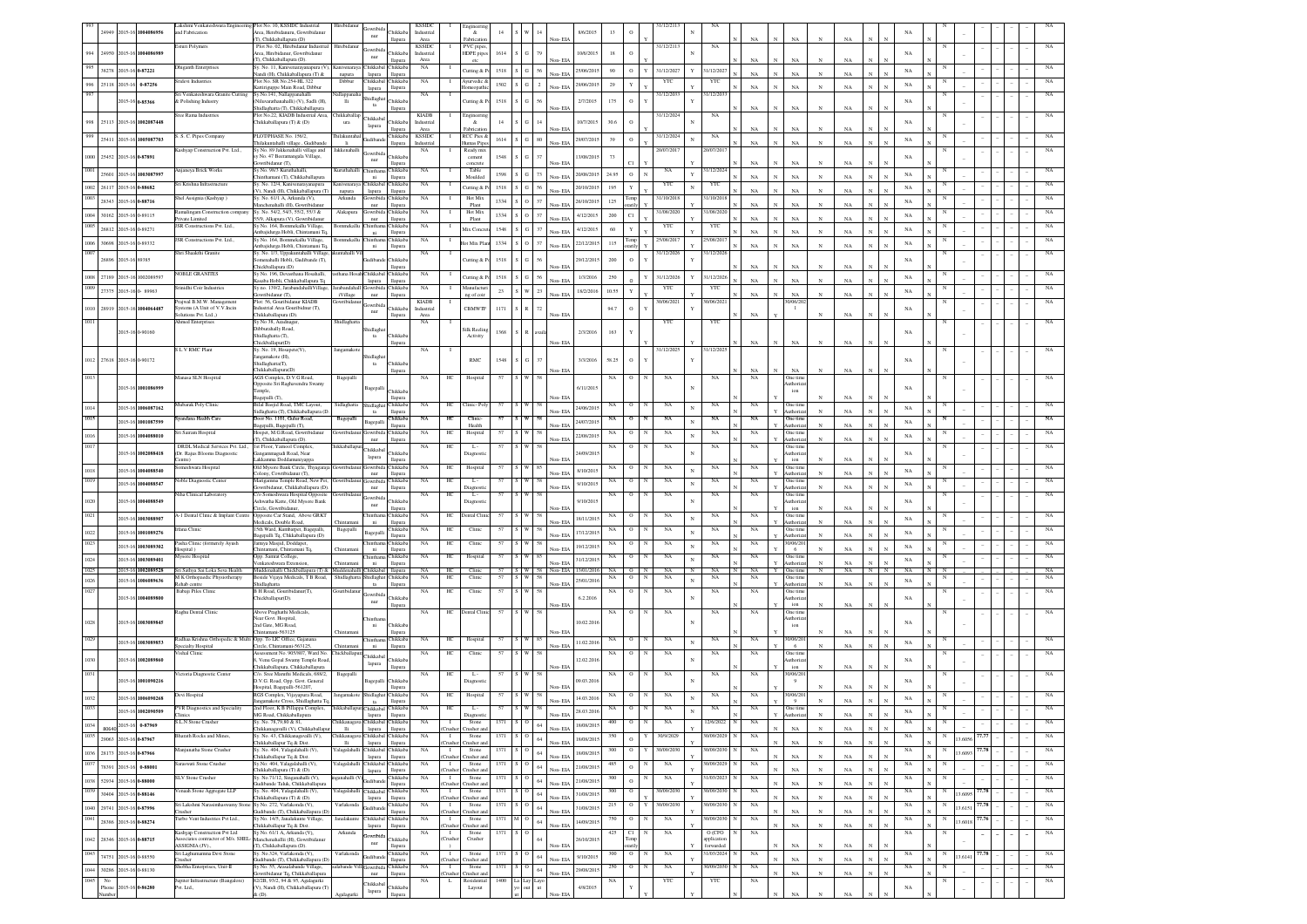|      |    | 2015-16                    | 1004086956                               | akshmi Venkateshwara Engineering Plot No. 10, KSSIDC Industrial<br>and Fabrication | Area, Herebidanuru, Gowribidanu                                                                    | Hirebidanu                           | iowribida                                  | hikkab                         | <b>KSSIDC</b><br>Industria      | Engineerin<br>$\&$          |          |          |                | 8/6/2015                                         | 13          |                         | 31/12/211              |                                 |                   |                                |              |             |                              |             |              |        |       |  |             |
|------|----|----------------------------|------------------------------------------|------------------------------------------------------------------------------------|----------------------------------------------------------------------------------------------------|--------------------------------------|--------------------------------------------|--------------------------------|---------------------------------|-----------------------------|----------|----------|----------------|--------------------------------------------------|-------------|-------------------------|------------------------|---------------------------------|-------------------|--------------------------------|--------------|-------------|------------------------------|-------------|--------------|--------|-------|--|-------------|
|      |    |                            |                                          | sturi Polymers                                                                     | (T), Chikkaballapura (D)<br>Plot No. 02, Hirebidanur Industria                                     |                                      | nur                                        | llapura                        | Area<br><b>KSSIDC</b>           | Fabricatio<br>PVC pipe      |          |          |                | Non-EIA                                          |             |                         | 31/12/2113             | NA                              | NA                | $_{\rm NA}$                    |              | NA          |                              |             |              |        |       |  |             |
| 1.00 |    |                            | 24950 2015-16 1004086989                 |                                                                                    | Anna Hirebidanur, Gowribidanur<br>T), Chikkaballapura (D).                                         |                                      | iowribi<br>nur                             | <b>bikkaba</b><br>llapura      | Industria<br>Area               | HDPE pipe                   | 1614     |          |                | 10/6/2015<br>Von-FD                              | 18          | $\mathbf{o}$            |                        |                                 | NA                | NA                             |              | NA          |                              | NA          |              |        |       |  |             |
|      |    | 38278 2015-16 0-87221      |                                          | Dhiganth Enterprise                                                                | Sy. No. 11, Kanivenarayanapura (V)<br>andi (H), Chikkaballapura (T) &                              | napura                               | Chikkabal Chikkaba<br>lapura               | llapura                        | $_{\rm NA}$                     | Cutting & P                 | 1518     |          | 56             | 25/06/2015<br>Non-EIA                            | 90          | $\circ$<br>$\mathbf Y$  | 31/12/2027             | 31/12/2027                      | NA                | NA                             |              | NA          |                              | $_{\rm NA}$ |              |        |       |  |             |
|      |    |                            | 25118 2015-16 0-87256                    | sridevi Industries                                                                 | Plot No. SR No.254-HL 322<br>attiriguppe Main Road, Dibbu                                          | Dibbur                               | Chikkabal Chikkaba<br>lapura               | llapura                        | <b>NA</b>                       | Avurvedic &<br>neonath      | 1502     |          | $\overline{2}$ | 29/06/201<br>Non-EIA                             | 29          | Y                       | YTC                    | YTC                             | NA                | NA                             |              | NA          |                              | $_{\rm NA}$ |              |        |       |  |             |
|      |    | 2015-16 0-85366            |                                          | Sri Venkateshwara Granite Cutting<br>& Polishing Industry                          | Sv.No.141, Nallappanahalli<br>Viluvarathanahalli) (V), Sadli (H),                                  | allappanał<br>Ш                      | tidlagha                                   | Chikkab.                       | <b>NA</b>                       | Cutting & I                 | 1518     | G        | 56             | 2/7/2015                                         | 175         | $\circ$                 | 31/12/2033             | 31/12/203                       |                   |                                |              |             |                              | NA          |              |        |       |  |             |
|      |    |                            |                                          | Sree Rama Industries                                                               | hidlaghatta (T), Chikkaballapura<br>Plot No.22, KIADB Industrial Area,                             | hikkaballa                           | $12$                                       | llapura                        | <b>KIADB</b>                    | Engineerin                  |          |          |                | Non-EIA                                          |             |                         | 31/12/2024             | NA                              | NA                | NA                             |              | $_{\rm NA}$ |                              |             |              |        |       |  |             |
|      |    |                            | 25113 2015-16 1002087448                 |                                                                                    | hikkaballapura (T) & (D)                                                                           | ura                                  | <b>Thikkabal</b><br>lapura                 | hikkaba<br>llapura             | Industria<br>Area               | &<br>Fabricatio             | 14       |          | 14             | 10/7/2015<br>Non-EIA                             | 30.6        | $\circ$                 |                        |                                 | NA                | NA                             |              | NA          |                              | NA          |              |        |       |  |             |
|      |    |                            | 25411 2015-16 1005087703                 | . S. C. Pipes Company                                                              | PLOT/PHASE No. 156/2,<br>hilakuntahalli village, Gudibande                                         | hilakuntal<br>li.                    | ndiba                                      | hikkaba<br>llapura             | <b>KSSIDC</b><br>Industrial     | RCC Pies &<br>Humas Pipe    | 1614     |          | 80             | 29/07/2015<br>Non-EIA                            | 39          | $\circ$                 | 31/12/2024             | NA                              | NA                | $_{\rm NA}$                    |              | NA          |                              | $_{\rm NA}$ |              |        |       |  |             |
|      |    | 25452 2015-16 0-87891      |                                          | Kashyap Construction Pvt. Ltd.,                                                    | Sy No. 89 Jakkenahalli village and<br>No. 47 Beeramangala Village,                                 | Jakkenahall                          | owribi                                     | Chikkab                        | NA                              | Ready min<br>cement         | 1548     |          | 37             | 13/08/2019                                       | 73          |                         | 20/07/2017             | 0/07/201                        |                   |                                |              |             |                              | NA          |              |        |       |  |             |
|      |    |                            |                                          | <b>Injaneya Brick Works</b>                                                        | wribidanur (T),<br>Sy No. 98/3 Kuruthah                                                            |                                      | nur<br>hinthar                             | llapura<br>Chikkal             | NA                              | concrete<br>Table           |          |          |                | Non-EL                                           |             |                         | NA                     | 1/12/20                         | NA                | NA                             |              | NA          |                              |             |              |        |       |  |             |
|      |    |                            | 25601 2015-16 1003087997                 | sri Krishna Infrastructur                                                          | rani (T), Chikkaballapura<br>sy. No. 12/4, Kanivenarayanapura                                      |                                      | $_{\rm{ni}}$<br><b>hikkaba</b>             | llapura<br>Chikkab             | NA                              | Moulded                     | 1598 S   | G        | 73             | 20/08/2015<br>Non-EL                             | 24.95       | $\circ$<br>$_{\rm N}$   | ΥT                     | YTC                             | NA                | NA                             |              | NA          |                              | NA          |              |        |       |  |             |
| 002  |    | 26117 2015-16 0-88682      |                                          | Shel Assignia (Kashyap)                                                            | ), Nandi (H), Chikkaballapura (T)                                                                  | nivenara <sup>,</sup><br>napura      | lapura                                     | llapura                        | NA                              | Cutting & Po<br>Hot Mi:     | 1518 S G |          | 56             | 20/10/2015<br>Non-EIA                            | 195         | Y                       |                        | 31/10/201                       | NA                | NA                             |              | NA          |                              | NA          |              |        |       |  |             |
|      |    | 28343 2015-16 0-88716      |                                          |                                                                                    | Sy. No. 61/1 A, Arkunda (V),<br>anchenahalli (H). Gowribida<br>y. No. 54/2, 54/3, 55/2, 55/3 &     | Arkunda                              | owribi<br>nur                              | hikkab.<br>llapura<br>Chikkab  | NA                              | Plant                       | 1334     | $\Omega$ | 37             | 26/10/2015<br>Non-EIA                            | 125         | Temp                    | 31/10/2018<br>1/08/202 |                                 | NA                | NA                             |              | NA          |                              | NA          |              |        |       |  |             |
| 004  |    | 30162 2015-16 0-89115      |                                          | amalingam Construction company<br>Private Limited<br>JSR Constructions Pvt. Ltd.,  | 55/9, Alkapura (V), Gowribidanus<br>.<br>Sy No. 164, Bommekallu Village,                           | Alakapur<br>sommekall                | ìowribi<br>$_{\rm nur}$                    | llapura<br><b>Thikkah</b>      | NA                              | Hot Mix<br>Plant            | 1334     | $\circ$  | 37             | 4/12/2015<br>Non-EIA                             | 200         | C1                      | YTC                    | 1/08/202                        | NA                | NA                             |              | NA          |                              | NA          |              |        |       |  |             |
|      |    | 26812 2015-16 0-89271      |                                          |                                                                                    | mbajidurga Hobli, Chintamani Tq.<br>Sy No. 164, Bommekallu Village,                                |                                      | $\,$ ni<br><b>hinthar</b>                  | llapura<br>Chikkaha            | $_{\rm NA}$                     | Mix Conere                  | 1548     | G        | 37             | 4/12/2015<br>Non-FIA                             | 60          | Y                       | 25/08/2017             | YTC<br>25/08/20                 | NA                | NA                             |              | NA          |                              | $_{\rm NA}$ |              |        |       |  |             |
| 006  |    | 30698 2015-16 0-89332      |                                          | JSR Constructions Pvt. Ltd.,<br>Shri Shaakthi Granite                              | mbaiidurga Hobli, Chintamani To<br>Sy. No. 1/3, Uppakuntahalli Village                             | Bommekallu<br>untahalli <sup>1</sup> | ni                                         | llapura                        | <b>NA</b>                       | lot Mix Plan                | 1334     | $\circ$  | 37             | 22/12/2015<br>Non-EIA                            | 115         |                         | 31/12/2026             | 31/12/202                       | NA                | NA                             | N            | NA          |                              | NA          |              |        |       |  |             |
|      |    | 26896 2015-16 89385        |                                          |                                                                                    | menahalli Hobli, Gudibande (T),                                                                    |                                      |                                            | Chikkab                        |                                 | Cutting & I                 | 1518     |          | 56             | 29/12/2015<br>Von-FIA                            | 200         | $\circ$                 |                        |                                 |                   |                                |              |             |                              | NA          |              |        |       |  |             |
| 1008 |    |                            | 27189 2015-16 1002089597                 | <b>NOBLE GRANITES</b>                                                              | hickballapura (D)<br>Sv No. 196. Devasthana Hosahalli.                                             |                                      | sthana Hosah Chikkabal Chikkaba            | llapura                        | NA                              | Cutting & P                 | 1518     | G        | 56             | 1/3/2016<br>Non-FL                               | 250         | Y                       | 31/12/2026             | 31/12/202                       | NA<br>NA          | <b>NA</b>                      |              | NA<br>NA    |                              | NA          |              |        |       |  |             |
| 1009 |    |                            | 27375 2015-16 0-89963                    | Srinidhi Coir Industries                                                           | asaba Hobli, Chikkaballapura Tq<br>Sy no. 139/2, Jarabandahalli Village                            | arabandahall                         | lapura<br>Jowribida Chikkaba               | <b>Hapura</b>                  | NA                              | Manufactu                   | $23\,$   | w        | 23             | 18/2/2016<br>Non-EIA                             | 10.55       | $\mathbf Y$             | YTC                    | YTC                             | NA                | N <sub>A</sub><br>$_{\rm NA}$  |              | $_{\rm NA}$ |                              | NA          |              |        |       |  |             |
|      |    |                            |                                          | Prajwal B.M.W. Management                                                          | owribidanur (T),<br>Plot: 56, Gouribidanur KIADB                                                   | iVillage                             | nur<br>nwribid                             | llapura                        | <b>KIADB</b>                    | ng of coir                  |          |          |                |                                                  |             |                         | 30/06/2021             | 0/06/202                        |                   | 0/06/20                        |              |             |                              |             |              |        |       |  |             |
| 1010 |    |                            | 28919 2015-16 1004064487                 | lystems (A Unit of V.V.Incin<br>olutions Pvt. Ltd.,)                               | ustrial Area Gouribidnur (T),<br>hikkaballapura (D).<br>Sy No 38, Azadnaga                         | Shidlagha                            | $_{\rm nur}$                               | Chikkaba<br>llapura            | Industrial<br>Area              | CBMWTF                      | 1171     |          | 72             | Non-EIA                                          | 94.7        | $\,$ O                  |                        |                                 | NA                | $\mathbf{1}$                   |              | NA          |                              | NA          |              |        |       |  |             |
|      |    | 2015-16 0-90160            |                                          | <b>Ahmed Enterprises</b>                                                           | burahally Road,                                                                                    |                                      | hidlag                                     |                                | NA                              | Silk Reelin                 | 1368     |          |                | 2/3/2016                                         | 163         |                         | YTC                    | YTC                             |                   |                                |              |             |                              | NA          |              |        |       |  |             |
|      |    |                            |                                          | L V RMC Plan                                                                       | hidlaghatta (T),<br>hickballapur(D)<br>y. No. 19, Hosapete(V),                                     |                                      | ta                                         | Chikkab<br>llapura             |                                 | Activity                    |          |          |                | Non-EIA                                          |             |                         | 31/12/202              | /12/202                         | $_{\rm NA}$       | $_{\rm NA}$                    |              | $_{\rm NA}$ |                              |             |              |        |       |  |             |
|      |    | 1012 27618 2015-16 0-90172 |                                          |                                                                                    | gamakote (H),<br>hidlaghatta(T),                                                                   | Jangamak                             |                                            | <b>Thikkab</b>                 |                                 | <b>RMC</b>                  | 1548     |          | 37             | 3/3/2016                                         | 58.25       | $\circ$                 |                        |                                 |                   |                                |              |             |                              | NA          |              |        |       |  |             |
|      |    |                            |                                          |                                                                                    | hikkaballapura(D)                                                                                  |                                      | ta                                         | llapur                         |                                 |                             |          |          |                | Non-EIA                                          |             |                         |                        |                                 | NA                | NA                             |              | $_{\rm NA}$ |                              |             |              |        |       |  |             |
|      |    |                            | 2015-16 1001086999                       | Manasa SLN Hospital                                                                | AGS Complex, D.V.G Road,<br>posite Sri Raghavendra Swamy                                           | Bagepall                             | Bagepall                                   | Chikka                         | NA<br>$_{\mathrm{HC}}$          | Hospital                    | 57       |          | W 58           | 6/11/2015                                        | NA          | $\circ$<br>N            | $_{\rm NA}$            | $_{\rm NA}$                     | NA                | One time<br>uthori:            |              |             |                              | NA          |              |        |       |  |             |
|      |    |                            |                                          |                                                                                    | emple,<br>agepalli (T)                                                                             |                                      |                                            | llapur                         |                                 |                             |          |          |                | Non-EIA                                          |             |                         |                        |                                 |                   | ion                            |              | NA          |                              |             |              |        |       |  |             |
| 1014 |    |                            | 2015-16 1006087162                       | Iubarak Poly Clinic                                                                | Bilal Basjid Road, TMC Layout,<br>idlaghatta (T), Chikkaballapura (D<br>Door No. 1101, Gulur Road. | Sidlaghatt:                          | Shidlagh<br>ta                             | Chikkab<br>Harout              | NA<br>HС                        | Clinic-Pol                  |          |          |                | 24/06/201<br>Non-FIA                             | NA          | o                       | NA<br>$_{\rm N}$       | NA                              |                   | One tin<br>uthori:             |              | NA          |                              | NA          |              |        |       |  |             |
| 1015 |    |                            | 2015-16 1001087599                       | andana Health Care                                                                 | agepalli, Bagepalli (T),<br>Iospet, M.G.Road, Gowribidanus                                         | Bagepalli                            | Bagepalli                                  | Chikkab.<br>llapura<br>Chikkab | NA<br>нс                        | Clini<br>Health             |          |          | 58             | 24/07/201<br>Non-EIA                             |             | $\circ$                 | $_{\rm NA}$            | NA                              | NA                | One tim<br>luthoriz<br>One tim |              | NA          |                              | NA          |              |        |       |  |             |
| 1016 |    |                            | 2015-16 1004088010                       | iri Sairam Hospital<br>DRDL Medical Services Pyt Ltd.                              | T). Chikkaballapura (D).<br>1st Floor, Yamool Complex                                              |                                      | owribida<br>nur                            | llapura                        | HC<br><b>NA</b>                 | Hospital                    |          |          | 58             | 22/08/201<br>Non-EIA                             | NA          | $\circ$<br>$\Omega$     | NA                     | NA                              | NA                | luthoriz<br>One tim            |              | NA          |                              | NA          |              |        |       |  |             |
|      |    |                            | 2015-16 1002088418                       | (Dr. Rajus Blooms Diagnostic<br>entre)                                             | angammagudi Road, Near<br>akkamma Doddamuniyappa                                                   | iikkaballa                           | <b>Thikkaba</b><br>lapura                  | <b>hikkab</b><br>llapura       | HC<br><b>NA</b>                 | п.<br>Diagnosti             |          |          |                | 24/09/201<br>Non-EIA                             |             |                         | NA                     | NA                              | NA                | luthoriz<br>ion                |              | NA          |                              | NA          |              |        |       |  |             |
|      |    |                            | 2015-16 1004088540                       | omeshwara Hospital                                                                 | Old Mysore Bank Circle, Thyagaraj:<br>olony, Cowribidanur (T),                                     | <b>Jowribidan</b>                    | Jowribida Chikkaba<br>nur                  | llapura                        | <b>NA</b><br>HC                 | Hospital                    | 57       |          |                | 8/10/2015<br>Non-EIA                             | NA          | $\circ$                 | NA                     | NA                              | NA                | One time<br>uthoriza           |              | NA          |                              | NA          |              |        |       |  |             |
|      |    |                            | 2015-16 1004088547                       | oble Diagnostic Center                                                             | Aarigamma Temple Road, New Pet<br>owribidanur, Chikkaballapura (D)                                 |                                      | <b>Jowribida</b>                           | Chikkab:                       | HC<br>NA                        | L.                          |          |          |                | 9/10/2015<br>Non-EIA                             |             |                         | NA                     | NA                              | NA                | One time<br>uthoriz            |              | NA          |                              | $_{\rm NA}$ |              |        |       |  |             |
|      |    |                            | 2015-16 1004088549                       | iha Clinical Laboratory                                                            | :/o Someshwara Hospital Opposite<br>shwatha Katte, Old Mysore Bank                                 |                                      | nur<br>owribi                              | llapura<br>Chikkab             | <b>NA</b><br>HC                 | $L -$                       |          |          |                | 9/10/201                                         |             | $^{\circ}$              | NA                     | NA                              | NA                | One time                       |              |             |                              | NA          |              |        |       |  |             |
|      |    |                            |                                          |                                                                                    | ircle, Gowribidanur<br>Opposite Car Stand, Above GRKT                                              |                                      | $_{\rm nur}$                               | llapura                        |                                 | Diagnosti                   |          |          |                | Non-EIA                                          |             |                         |                        |                                 |                   | uthoriz<br>ion                 |              | NA          |                              |             |              |        |       |  |             |
|      |    |                            | 2015-16 1003088907                       | A-1 Dental Clinic & Implant Centre<br>rfana Clinic                                 | dicals, Double Road,<br>5th Ward, Kumbarpet, Bagepalli,                                            | Bagepall                             | <b>hinthan</b><br>ni                       | Chikkaba<br>llapura<br>hikkab  | HС<br>NA<br>NA<br>HC            | Dental Clini<br>Clinic      | 57<br>57 | ΙS       | 58             | 18/11/2015<br>Non-EL                             | NA          | $\circ$<br>N<br>$\circ$ | NA<br>N<br>NA          | NA<br>NA                        | NA<br>$_{\rm NA}$ | One time<br>uthoriza           |              | NA          |                              | $_{\rm NA}$ |              |        |       |  |             |
|      |    |                            | 2015-16 1001089276                       | Pasha Clinic (formerely Ayush                                                      | agepalli Tq, Chkkaballapura (D)<br>lamiya Masjid, Doddapet                                         |                                      | Bagepalli                                  | llapura<br>Chikkab             | NA<br>HC                        | Clinic                      | $57\,$   |          |                | 17/12/2013<br>Non-EL                             | $_{\rm NA}$ | $\rm ^o$                | $_{\rm NA}$            | $_{\rm NA}$                     | $_{\rm NA}$       | One tim<br>thoria<br>0/06/20   |              | NA          |                              | NA          |              |        |       |  |             |
|      |    |                            | 2015-16 1003089302                       | fospital)<br>Mysore Hospital                                                       | hintamani, Chintamani Te<br>Opp. Samrat College.                                                   |                                      | ni                                         | llapura<br>Chikkab             | NA<br>$\rm{HC}$                 | Hospital                    | 57       |          |                | 19/12/2015<br>Non-EL                             | NA          | $\rm ^o$                | NA                     | $_{\rm NA}$                     | $_{\rm NA}$       | 6<br>One tim                   |              | NA          |                              | NA          |              |        |       |  |             |
|      |    |                            | 2015-16 1003089401<br>2015-16 1002089528 | Sri Sathya Sai Loka Seva Health                                                    | enkateshwara Extension<br>Muddenahalli Chickballapura (T) & Muddenahalli Chikkabal Ilapura         | Chinta                               | ni                                         | llapura                        | NA<br>HC                        | Clinic                      | $57$ $S$ | w        |                | 31/12/2013<br>Non-EIA<br>58 Non-EIA<br>13/01/201 |             | NA ON                   | NA<br>N                | NA                              | NA                | uthoriz<br>One time<br>Y       | $_{\rm N}$   | NA<br>NA    | $_{\rm N}$<br>N              | NA<br>NA    | $\mathbf{N}$ |        |       |  | NA          |
|      |    |                            | 2015-16 1006089636                       | M K Orthopaedic Physiotherapy<br><b>Rehab</b> centre                               | Seside Vijaya Medicals, T B Road, Shidlaghatta<br>Shidlaghatta                                     |                                      | Shidlaghat Chikkaba<br>$ta$                | llapura                        | NA<br>HC                        | Clinic                      | 57       |          |                | 25/01/201<br>Non-EIA                             | $_{\rm NA}$ |                         | NA                     | NA                              | $_{\rm NA}$       | One tin<br>uthoria             |              | NA          |                              | NA          |              |        |       |  |             |
|      |    |                            | 2015-16 1004089800                       | <b>Babaji Piles Clinic</b>                                                         | B H Road, Gouribidanur(T),<br>hickballapur(D).                                                     | wribidas                             | <b>Jowribida</b>                           | <b>Thikkah</b>                 | NA<br>HС                        | Clinic                      | 57       |          | W 58           | 6.2.2016                                         |             | $\circ$                 | NA                     | $_{\rm NA}$                     | NA                | One tim<br>uthoriz             |              |             |                              | NA          |              |        |       |  | NA          |
|      |    |                            |                                          | Raghu Dental Clinic                                                                | Above Praghathi Medicals,                                                                          |                                      | nur                                        | llapura                        | <b>NA</b><br>HC                 | Dental Clini                | 57       | S W 58   |                | Non-EIA                                          | NA.         | $\circ$<br>N            | NA                     | NA                              | NA                | ion<br>One tim                 |              | NA          |                              |             |              |        |       |  |             |
|      |    |                            | 2015-16 1003089845                       |                                                                                    | lear Govt. Hospital.<br>2nd Gate, MG Road,                                                         |                                      | ni                                         | Chikkab.                       |                                 |                             |          |          |                | 10.02.201                                        |             |                         |                        |                                 |                   | uthoriz<br>ion                 |              |             |                              |             |              |        |       |  |             |
|      |    |                            |                                          | Radhaa Krishna Orthopedic & Multi Opp. To LIC Office, Gajanana                     | hintamani-563125                                                                                   |                                      | hintha                                     | llapura<br>Chikkab2            | <b>NA</b><br>HC                 | Hospital                    | 57       |          | 85             | Non-EIA                                          | NA          | $\circ$<br>N            | NA                     | NA                              | $_{\rm NA}$       | 0/06/20                        |              | NA          |                              |             |              |        |       |  |             |
|      |    |                            | 2015-16 1003089853                       | pecialty Hospital<br>ishal Clinic                                                  | 'ircle, Chintamani-563125,<br>ssessment No. 905/807, Ward No.                                      | hintama<br>Chickballapt              | ni                                         | llapura                        | NA<br>HС                        | Clinic                      | 57       |          | 58             | 11.02.201<br>Non-EIA                             | NA.         | $\circ$                 | NA                     | NA                              | NA                | - 6<br>One time                |              | NA          |                              | NA          |              |        |       |  |             |
|      |    |                            | 2015-16 1002089860                       |                                                                                    | Venu Gopal Swamy Temple Road<br>hikkaballapura, Chikkaballapura                                    |                                      | <b>Thikkaba</b><br>lapura                  | Chikkab<br>llapura             |                                 |                             |          |          |                | 12.02.201<br>Non-EIA                             |             |                         |                        |                                 |                   | uthoriz<br>ion                 |              | NA          |                              | NA          |              |        |       |  |             |
|      |    |                            | 2015-16 1001090216                       | Victoria Diagnostic Center                                                         | %. Sree Maruthi Medicals, 688/2,<br>O.V.G. Road, Opp. Govt. General                                | Bagepall                             | Bagepalli                                  | Chikkab.                       | HC<br>NA                        | - L -<br>liagnost           | 57       | l s<br>W | 58             | 09.03.2016                                       | NA          | $\circ$<br>N            | NA                     | NA                              | NA                | 0/06/20                        |              |             |                              | NA          |              |        |       |  |             |
|      |    |                            |                                          | Jevi Hospital                                                                      | lospital, Bagepalli-561207.<br>RGS Complex, Vijayapura Road,                                       | angamake                             | shidlagha                                  | llapura<br>hikkab              | $_{\mathrm{HC}}$<br>NA          | Hospital                    | 57       |          |                | Non-EIA                                          | NA          | 0                       | NA                     | NA                              | NA                | 0/06/20                        |              | NA          |                              |             |              |        |       |  |             |
|      |    |                            | 2015-16 1006090268<br>2015-16 1002090509 | PVR Diagnostics and Speciality                                                     | ngamakote Cross, Shidlaghatta To<br>2nd Floor, K B Pillappa Complex,                               | hikkaballapur Chikkabal              | ta                                         | llapura<br>Thikkaba            | NA<br>HC                        | L.                          |          |          | 58             | 14.03.2016<br>Non-EIA<br>28.03.2016              | NA          | $\mathbf{o}$            | NA                     | NA                              | NA                | One time                       |              | NA          |                              | NA<br>NA    |              |        |       |  |             |
| 1034 |    |                            |                                          | L.N Stone Crusher                                                                  | G Road, Chikkaballapura<br>. No. 78,79,80 & 81,                                                    | <b>hikkanaga</b>                     | lapura<br>Chikkabal Chikkaba               | llapura                        | NA                              | Stone                       | 1371     |          | 64             | Non-EIA<br>18/08/2013                            | 400         | $\circ$<br>N            | $_{\rm NA}$            | 2/6/2022                        | $_{\rm NA}$       |                                |              |             |                              | $_{\rm NA}$ |              |        |       |  | $_{\rm NA}$ |
| 1035 |    | 29063 2015-16 0-87967      | 80640 2015-16 0-87969                    | harath Rocks and Mines                                                             | hikkanagavalli (V), Chikkaballapu<br>v. No. 43. Chikkanagayalli (V)                                | $\mathbf{H}$<br>hikkana              | lapura<br>Chikkabal Chikkaba               | llapura                        | 'rusher<br>NA<br>$\mathbf{I}$   | Crusher ar<br>Stone         | 1371     |          | 64             | Non-EIA<br>18/08/2019                            |             | $\,$ O                  | 30/9/2029              | 0/09/2029                       | NA                | $_{\rm NA}$                    | $\mathbf{N}$ | NA          | $\mathbf{N}$                 | NA          |              | 3,6056 |       |  | NA          |
| 1036 |    | 28173 2015-16 0-87966      |                                          | Manjunatha Stone Crusher                                                           | hikkaballapur Tq & Dist.<br>/. No. 404, Yalagalahalli (V),                                         | <b>Hi</b><br>alagalahall             | lapura<br>Chikkabal Chikkaba               | llapura                        | husher.<br>NA                   | Crusher and<br>Stone        | 1371     |          | $64\,$         | Non-EIA<br>18/08/201                             |             | $\circ$                 | 30/09/203              | 0/09/2030                       | NA                | $_{\rm NA}$                    | $\mathbf{N}$ | $_{\rm NA}$ | $\mathbf{N}$<br>$\mathbf{N}$ | NA          |              | 3,6093 | 77.78 |  | NA          |
| 1037 |    | 78391 2015-16 0-88001      |                                          | laraswati Stone Crusher                                                            | hikkaballapur Tq & Dist.<br>y.No: 404, Yalagalahalli (V),                                          |                                      | lapura<br>'alagalahalli Chikkabal Chikkaba | llapura                        | 'rusher<br>NA<br>$\mathbf{I}$   | Crusher an<br>Stone         | 1371     |          | $64\,$         | Non-FIA<br>21/08/2015                            |             | N<br>$\circ$            | $_{\rm NA}$            | 0/09/2029                       | $_{\rm NA}$       | $_{\rm NA}$                    | $_{\rm N}$   | NA          | $\mathbf{N}$                 | $_{\rm NA}$ |              |        |       |  | $_{\rm NA}$ |
| 1038 |    | 52934 2015-16 0-88000      |                                          | <b>SLV Stone Crusher</b>                                                           | hikkaballapura (T) & (D).<br>Sy. No.71/12, Singanahalli (V),                                       | mahalli (                            | lapura<br><b>Judibano</b>                  | llapura<br>Chikkaba            | husher.<br>NA<br>$\blacksquare$ | Crusher and<br>Stone        | 1371     |          | 64             | Non-EIA<br>21/08/2015                            | 300         | N<br>$\,$ O             | $_{\rm NA}$            | 31/03/2023                      | $_{\rm NA}$       | $_{\rm NA}$                    | $\mathbf{N}$ | $_{\rm NA}$ | $\mathbf N$<br>N             | $_{\rm NA}$ | N            |        |       |  | $_{\rm NA}$ |
| 1039 |    | 30404 2015-16 0-88146      |                                          | /enaah Stone Aggregate LLP                                                         | adibande Taluk, Chikkaballapur<br>iy. No. 404, Yalagalahalli (V),                                  | alagalaha                            | Chikkabal Chikkaba                         | llapura                        | husher.<br>NA<br>$\blacksquare$ | Tusher an<br>Stone          | 1371     |          | $64\,$         | Non-EIA<br>31/08/2015                            | 300         | $\circ$                 | 30/09/2030             | 10/09/2030                      | NA                | NA                             | $_{\rm N}$   | NA          | $\mathbf N$                  | $_{\rm NA}$ |              | 3.6095 |       |  | $_{\rm NA}$ |
| 1040 |    | 29741 2015-16 0-87996      |                                          | Sri Lakshmi Narasimhaswamy Ston                                                    | hikkaballapura (T) & (D).<br>Sv No. 272. Varlakonda (V).                                           | Varlakonda                           | lapura<br>udiban                           | llapura<br>Chikkaba            | husher<br>NA<br>$\mathbf{I}$    | Trusher an<br>Stone         | 1371     |          | $64\,$         | Non-EIA<br>31/08/2015                            | 215         | $\circ$<br>Y            | 30/09/2030             | 30/09/2030                      | $_{\rm NA}$       | $_{\rm NA}$                    | $\mathbf{N}$ | $_{\rm NA}$ |                              | $_{\rm NA}$ | N            | 3.6151 | 77.78 |  | NA          |
| 1041 |    | 28386 2015-16 0-88274      |                                          | rusher<br>Turbo Vent Industries Pvt Ltd.,                                          | adibande (T), Chikkaballapura (D<br>sy No. 14/5, Janalakunte Village,                              | Janalakunt                           | Chikkabal Chikkaba                         | llapura                        | `rusher<br>NA<br>$\blacksquare$ | Trusher an<br>Stone         | 1371     |          | $64\,$         | Non-EIA<br>14/09/201                             | 750         | $\circ$<br>N            | NA                     | 30/09/2030                      | $_{\rm NA}$       | $_{\rm NA}$                    | $_{\rm N}$   | $_{\rm NA}$ |                              | $_{\rm NA}$ |              | 3.6018 | 77.7  |  | $_{\rm NA}$ |
|      |    |                            |                                          | Kashyap Construction Pvt Ltd                                                       | hikkaballapur To & Dist.<br>Sy No. 61/1 A, Arkunda (V),                                            | Arkunda                              | lapura<br>lowribida                        | llapura                        | husher.<br>NA<br>$\blacksquare$ | Crusher and<br>Stone        | 1371     |          |                | Non-EIA                                          | 425         | C1                      | NA                     | O (CFO                          | $_{\rm NA}$       | $_{\rm NA}$                    | $\mathbf{N}$ | $_{\rm NA}$ | $\mathbf{N}$                 | $_{\rm NA}$ |              |        |       |  | $_{\rm NA}$ |
| 1042 |    | 28346 2015-16 0-88715      |                                          | ssociates contractor of M/s. SHEL<br>ASSIGNIA (JV).,                               | Ianchenahallii (H), Gowribidanu<br>(T), Chikkaballapura (D).                                       |                                      | $_{\rm nur}$                               | Chikkaba<br>llapura            | Crusher                         | Crusher                     |          |          | 64             | 26/10/201<br>Non-EIA                             |             | Temp                    |                        | <i>spplication</i><br>forwarded |                   | $_{\rm NA}$                    |              | $_{\rm NA}$ | N                            |             |              |        |       |  |             |
| 1043 |    | 74751 2015-16 0-88550      |                                          | Sri Laghumamma Devi Stone<br>rusher                                                | Sy. No.324, Varlakonda (V),<br>dibande (T), Chikkaballapura (D                                     | Varlakonda                           | <b>Indiba</b>                              | Chikkaba<br>llapura            | NA<br>$\mathbf{I}$              | Stone<br>husher Crusher and | 1371     | $\circ$  | 64             | 9/10/2015<br>Non-EIA                             | 300         | $\circ$<br>N            | NA                     | 1/03/2024                       | NA                | $_{\rm NA}$                    | $_{\rm N}$   | $_{\rm NA}$ | $_{\rm N}$                   | NA          | N            | 3.6141 | 77.78 |  | NA          |
| 1044 |    | 30286 2015-16 0-88130      |                                          | hobha Enterprises, Unit-II                                                         | Sy No. 55, Arasalabande Village,<br>ribidanur Tq, Chikkaballapura                                  |                                      | <b>Jowribida</b><br>nur                    | hikkaba<br>llapura             | NA<br>$\mathbf{I}$              | Stone<br>Crusher Crusher an | 1371     |          | $64\,$         | 29/08/201<br>Non-EIA                             | 250         | $\overline{0}$<br>N     | NA                     | D/09/203                        | $_{\rm NA}$       | $_{\rm NA}$                    | $_{\rm N}$   | $_{\rm NA}$ | $_{\rm N}$<br>$\mathbf{N}$   | $_{\rm NA}$ |              |        |       |  | $_{\rm NA}$ |
|      | No | Phone 2015-16 0-86280      |                                          | upiter Infrastructure (Bangalore)<br>Pvt. Ltd.,                                    | 82/2B, 93/2, 94 & 95, Agalagurki<br>V), Nandi (H), Chikkaballapura (T)                             |                                      | Chikkabal<br>lapura                        | Chikkab.                       | NA<br>L                         | Residentia<br>Layout        | 1400     |          |                | 4/8/2015                                         |             | Y                       | YTC                    | YTC                             | NA                |                                |              |             |                              | $_{\rm NA}$ |              |        |       |  | NA          |
|      |    |                            |                                          |                                                                                    |                                                                                                    |                                      |                                            |                                |                                 |                             |          |          |                |                                                  |             |                         |                        |                                 |                   | NA                             |              |             |                              |             |              |        |       |  |             |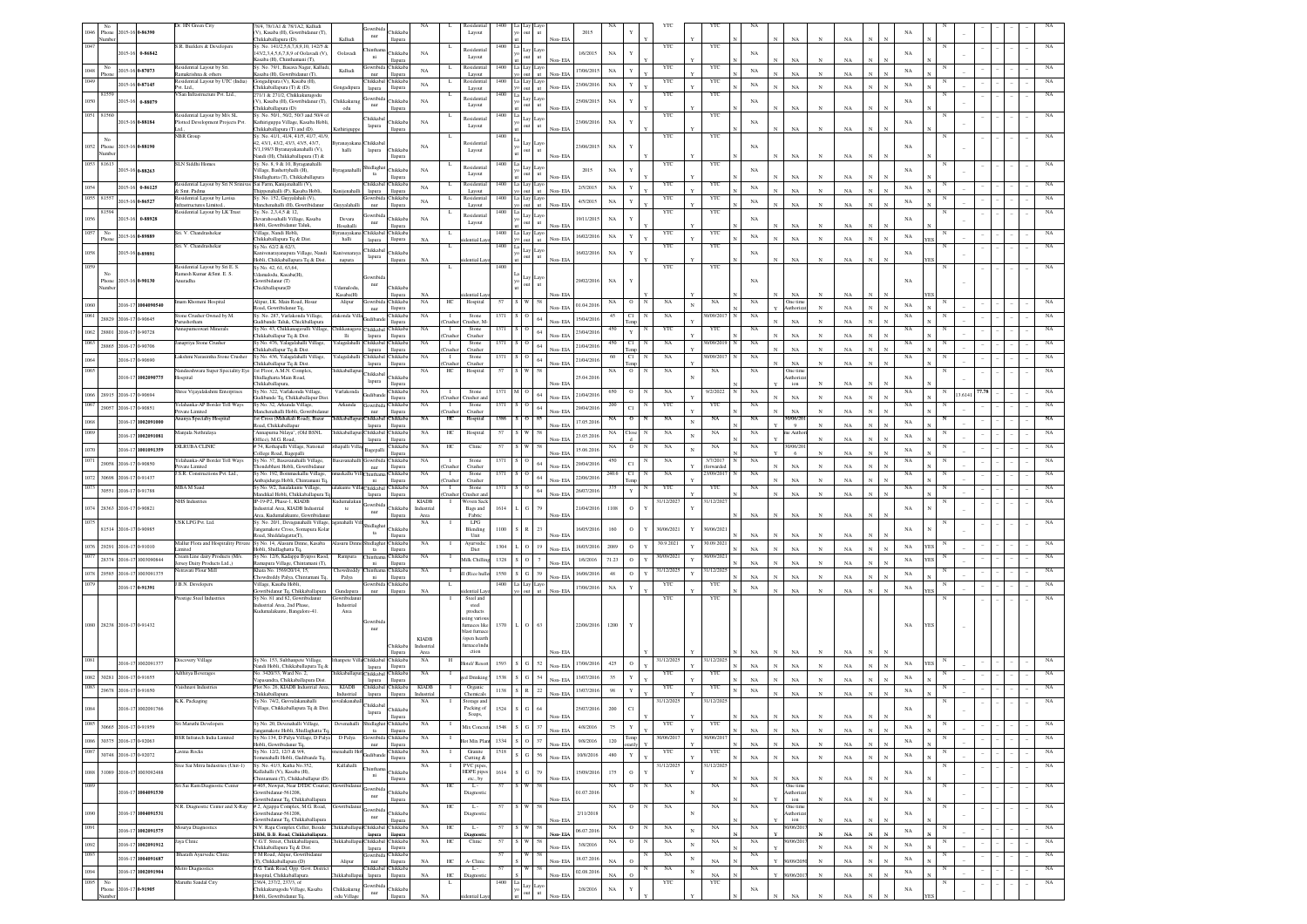|              | No<br>Phone   |                            | 015-16 0-86390           | Dr. HN Green City                                                                  | 78/4, 78/1A1 & 78/1A2, Kalludi<br>V), Kasaba (H), Gowribidanur (T),                                      |                               | iowribid:<br>Chikkaba<br>$_{\rm nur}$                               | NA                        | L                            | Residentia<br>Layout                  | 1400         |                                       |                          | 2015                            |              |               |              |            | YTC                               |                           |                                                    |                |                   |              | NA                          |   |       |  |             |
|--------------|---------------|----------------------------|--------------------------|------------------------------------------------------------------------------------|----------------------------------------------------------------------------------------------------------|-------------------------------|---------------------------------------------------------------------|---------------------------|------------------------------|---------------------------------------|--------------|---------------------------------------|--------------------------|---------------------------------|--------------|---------------|--------------|------------|-----------------------------------|---------------------------|----------------------------------------------------|----------------|-------------------|--------------|-----------------------------|---|-------|--|-------------|
|              | lumbe         | 015-16                     | 0-86842                  | S.R. Builders & Developers                                                         | Chikkaballapura (D).<br>Sy. No. 141/2,5,6,7,8,9,10, 142/5 &<br>43/2,3,4,5,6,7,8,9 of Oolavadi (V),       | Kalludi<br>Oolavadi           | llapura<br>hintha<br>hikkab:                                        | NA                        |                              | <b>Residentia</b>                     | 1400         |                                       |                          | Non-EIA<br>1/6/2015             | $_{\rm NA}$  |               | YTC          |            | YTC                               | NA                        | $_{\rm NA}$                                        |                | NA                |              | NA                          |   |       |  |             |
|              |               |                            |                          | Residential Layout by Sri                                                          | .<br>Casaba (H), Chinthamani (T),<br>Sy. No. 79/1, Basava Nagar, Kallud                                  |                               | ni<br>llapur<br>lowribid:<br>Chikkaba                               |                           | L                            | Layout<br>Residentia                  | 1400         |                                       | ut                       |                                 |              |               | YTC          |            | $_{\rm YTC}$                      |                           | NA                                                 |                |                   |              |                             |   |       |  |             |
| 1048<br>049  | Phone         | 2015-16 0-87073            |                          | Ramakrishna & other:<br>Residential Layout by UTC (India)                          | Kasaba (H), Gowribidanur (T),<br>Gongadipura (V), Kasaba (H),                                            | Kalludi                       | llapura<br>nur<br>Chikkabal Chikkaba                                | NA                        |                              | Layout<br>Residentia                  | 1400         |                                       |                          | 17/06/2015<br>Non-EL            | NA           |               | YTC          |            | YTC                               | $_{\rm NA}$               | $_{\rm NA}$                                        | $\mathbf{N}$   | NA                |              | NA                          |   |       |  |             |
|              | 81559         | 2015-16 0-87145            |                          | Pvt. Ltd.,<br>VSan Infrastructure Pvt. Ltd.,                                       | Chikkaballapura (T) & (D).<br>271/1 & 271/2, Chikkakurugodu                                              |                               | lapura<br>llapura<br>Gowribid:                                      | NA                        |                              | Layout<br>Residentia                  | 1400         |                                       | $\mathbf{m}$<br>Lay Layo | 23/06/2016<br>Non-EIA           | NA           |               | YTC          |            | YTC                               | $_{\rm NA}$               | NA                                                 | $\mathbf{N}$   | NA                |              | NA                          |   |       |  |             |
| 1050         |               |                            | 015-16 0-88079           |                                                                                    | V), Kasaba (H), Gowribidanur (T),<br>Thikkaballapura (D)                                                 | <b>Thikkakur</b><br>odu       | Chikkab<br>nur<br>llapura                                           | NA                        |                              | Layout                                |              |                                       | ut                       | 25/08/201<br>Non-EIA            | $_{\rm NA}$  |               |              |            |                                   | $_{\rm NA}$               | NA                                                 | $_{\rm N}$     | NA                |              | $_{\rm NA}$                 |   |       |  |             |
| 1051 81560   |               | 2015-16 0-88184            |                          | Residential Layout by M/s SL<br>Plotted Development Projects Pvt.                  | Sv. No. 50/1, 50/2, 50/3 and 50/4 o<br>Kathiriguppa Village, Kasaba Hobl<br>Chikkaballapura (T) and (D). |                               | Chikkabal<br>Chikkaba<br>lapura<br>llapura                          | NA                        |                              | Residentia<br>Layout                  | 1400         |                                       | ayo                      | 23/06/2016<br>Non-EIA           | NA           |               | $_{\rm YTC}$ |            | $_{\rm YTC}$                      | NA                        | NA                                                 | $_{\rm N}$     | NA                |              | $_{\rm NA}$                 |   |       |  |             |
|              | No            |                            |                          | <b>NBR</b> Group                                                                   | Sv. No. 41/1, 41/4, 41/5, 41/7, 41/5<br>42, 43/1, 43/2, 43/3, 43/5, 43/7,                                | vranavakar                    | Chikkaba                                                            |                           |                              | Residenti                             | 1400         |                                       |                          |                                 |              |               | YTC          |            | YTC                               |                           |                                                    |                |                   |              |                             |   |       |  |             |
|              | 1052 Phone    |                            | 015-16 0-88190           |                                                                                    | 5/1,198/3 Byranayakanahalli (V),<br>Nandi (H), Chikkaballapura (T) &                                     | halli                         | lapura<br>Chikkaba<br>llapura                                       | NA                        |                              | Layout                                |              |                                       |                          | 23/06/2015<br>Non-EIA           | $_{\rm NA}$  |               |              |            |                                   |                           | $_{\rm NA}$                                        | $_{\rm N}$     | $_{\rm NA}$       |              | NA                          |   |       |  |             |
| 1053 81613   |               |                            | 2015-16 0-88263          | <b>SLN Siddhi Homes</b>                                                            | Sv. No. 8, 9 & 10. Byraganahalli<br>Village, Bashettyhalli (H),                                          | yraganahai                    | hidlagh<br>Chikkaba<br>$ta$                                         | NA                        |                              | Residentia<br>Layout                  | 1400         | Lay                                   | Layo                     | 2015                            | $_{\rm NA}$  |               | YTC          |            | YTC                               | NA                        |                                                    |                |                   |              | $_{\rm NA}$                 |   |       |  |             |
| 1054         |               |                            | 2015-16 0-86125          | Residential Layout by Sri N Srinivas Sai Farm, Kanijenahalli (V),<br>& Smt. Padma  | Shidlaghatta (T), Chikkaballapura<br>Thippenahalli (P), Kasaba Hobli                                     |                               | llapura<br>Chikkabal Chikkaba<br>llapura                            | NA                        | L                            | Residentia                            | 1400         |                                       |                          | Non-EIA<br>2/5/2015<br>Non-EL   | $_{\rm NA}$  |               | YTC          |            | YTC                               | $_{\rm NA}$               | NA<br>NA                                           |                | NA<br>NA          |              | $_{\rm NA}$                 |   |       |  |             |
|              | 1055 81557    | 2015-16 0-86527            |                          | Residential Layout by Lavisa<br>Infrastructures Limited.,                          | Sy. No. 152, Guyyalahali (V),<br>Manchenahalli (H), Gowribi                                              |                               | lapura<br>Gowribida Chikkaba<br>llapura<br>nur                      | NA                        | L                            | Layout<br>Residentia<br>Layout        | 1400         |                                       |                          | 4/5/2015<br>Non-EL              | NA           | Y             | YTC          |            | YTC                               | $_{\rm NA}$               | $_{\rm NA}$                                        | $\overline{N}$ | NA                |              | $_{\rm NA}$                 |   |       |  |             |
|              |               | 015-16                     | 0-88928                  | Residential Layout by LK Trust                                                     | Sv. No. 2.3.4.5 & 12.<br>evarahosahalli Village, Kasaba                                                  | Devara                        | <b>jowribid</b><br>Chikkab                                          | NA                        |                              | Residentia                            | 140          |                                       |                          | 19/11/201                       | $_{\rm NA}$  |               | ΥT           |            | YTC                               | NA                        |                                                    |                |                   |              | $_{\rm NA}$                 |   |       |  |             |
|              | No            | 2015-16 0-89889            |                          | Sri. V. Chandrashekar                                                              | Hobli, Gowribidanur Taluk,<br>Village, Nandi Hobli                                                       | Hosahalli<br>ranayakar        | $_{\rm nur}$<br>llapura<br>Chikkab<br><b>hikkab</b>                 |                           |                              | Layout                                | 1400         |                                       | ut<br>Lay Laye           | Non-EIA<br>16/02/2016           | NA           | Y             | YTC          |            | YTC                               |                           | $_{\rm NA}$                                        |                | NA                |              | NA                          |   |       |  |             |
|              | Phone         |                            |                          | Sri. V. Chandrashekar                                                              | Chikkaballapura Tq & Dist<br>Sy No. 62/2 & 62/3                                                          | halli                         | llapura<br>lapura<br>Chikkabal                                      | NA                        |                              | ntial Lay                             | 1400         |                                       | ut<br>ave                | Non-EIA                         |              |               | YTC          |            | YTC                               | NA                        | $_{\rm NA}$                                        | $\mathbf{N}$   | $_{\rm NA}$       | $\mathbf N$  | $\mathbf{x}$                |   |       |  |             |
| 058          |               | 2015-16 0-89891            |                          |                                                                                    | ivenarayanapura Village, Nandi<br>Hobli, Chikkaballapura Tq & Dist.                                      | mivenara<br>napura            | Chikkab<br>lapura<br>llapura                                        | NA                        |                              | ential Lay                            |              |                                       | ut                       | 16/02/2016<br>Non-EIA           | $_{\rm NA}$  |               |              |            |                                   | NA                        | $_{\rm NA}$                                        |                | NA                |              | $_{\rm NA}$                 |   |       |  |             |
|              | Phone         | 2015-16 0-90130            |                          | Residential Layout by Sri E. S.<br>Ramesh Kumar &Smt. E. S.<br>Anuradha            | Sy No. 42, 61, 63, 64<br>lamalodu, Kasaba(H).<br>Gowribidanur (T)                                        |                               |                                                                     |                           |                              |                                       | 1400         |                                       |                          | 29/02/2016                      |              |               | YTC          |            | YTC                               | NA                        |                                                    |                |                   |              | NA                          |   |       |  |             |
|              |               |                            |                          |                                                                                    | Thickballapura(D                                                                                         | <b>Idamalodu</b><br>Kasaba(H) | nur<br>Chikkab<br>llapura                                           | NA                        |                              | ential La                             |              |                                       |                          | Non-EIA                         | $_{\rm NA}$  |               |              |            |                                   |                           | NA                                                 | $_{\rm N}$     | NA                |              |                             |   |       |  |             |
|              |               |                            | 2016-17 1004090540       | ram Khomeni Hospital                                                               | Alipur, I.K. Main Road, Hosur<br>oad, Gowribidanur Tq,                                                   | Alipur                        | Gowribida Chikkaba<br>nur<br>llapura                                | NA                        | HС                           | Hospital                              | 57           | W                                     | 58                       | 01.04.2016<br>Non-EIA           | NA           | $\circ$<br>N  | NA           | $_{\rm N}$ | NA                                | NA                        | Dne tim<br>uthoriz                                 | $\mathbf{N}$   | NA                | $_{\rm N}$   | NA                          |   |       |  |             |
|              |               | 28829 2016-17 0-90645      |                          | Stone Crusher Owned by M.<br>urushotham                                            | Sv. No. 287. Varlakonda Village.<br>Judibande Taluk, Chickballapura                                      | akonda Vill                   | Chikkaba<br>udiba<br>llapura                                        | NA                        | -1<br>husher                 | Stone<br>Tusher, N                    | 1371         |                                       | 64                       | 15/04/201<br>Non-EIA            | 45           | C1            | NA           |            | 0/09/201                          | NA                        | NA                                                 | $\mathbf{N}$   | NA                |              | $_{\rm NA}$                 |   |       |  |             |
| 1062         | 28801         | 2016-17 0-90728            |                          | Annapumeswari Minerals                                                             | Sv No. 43, Chikkanagavalli Village<br>Thikkaballapur Tq & Dist.                                          | <b>Hi</b>                     | hikkanagaya Chikkabal Chikkaba<br>llapura<br>lapura                 | NA                        | $\blacksquare$<br>Crusher    | Stone<br>Crusher                      | 1371         |                                       | 64                       | 23/04/201<br>Non-EIA            | 450          | Y             | YTC          |            | YTC                               | NA                        | $_{\rm NA}$                                        |                | NA                |              | NA                          |   |       |  | NA          |
| 1063         | 28865         | 2016-17 0-90706            |                          | Janapriya Stone Crusher                                                            | Sy No. 476, Yalagalahalli Village,<br>Thikkaballapur Tq & Dist.                                          |                               | alagalahalli Chikkabal Chikkaba<br>llapura<br>lapura                | NA                        | $\mathbf{I}$<br>Crusher      | Stone<br>Crusher                      | 1371         |                                       | 64                       | 21/04/201<br>Non-EIA            | 450          | C1<br>Temp    | NA           |            | 10/09/201                         | $_{\rm NA}$               | $_{\rm NA}$                                        | N              | NA                |              | NA                          |   |       |  |             |
| 1064<br>1065 |               | 2016-17 0-90690            |                          | Lakshmi Narasimha Stone Crusher<br>Nandeeshwara Super Speciality Eye               | Sy No. 436, Yalagalahalli Village,<br>Chikkaballapur To & Dist.<br>1st Floor, A.M.N. Complex,            | alagalahalli                  | Chikkabal Chikkaba<br>llapura<br>lapura                             | NA                        | $\mathbf{I}$<br>husher<br>HC | Stone<br>Crusher                      | 1371<br>57   |                                       | 64<br>58                 | 21/04/2016<br>Non-EIA           | 60           | C1<br>$\circ$ | NA<br>NA     |            | 10/09/201<br>NA                   | NA<br>NA                  | $_{\rm NA}$                                        |                | NA                |              | NA                          |   |       |  |             |
|              |               |                            | 016-17 1002090775        | Hospital                                                                           | hidlaghatta Main Road,<br>Chikkaballapura                                                                | hikkaballag                   | Chikkabal<br>Chikkaba<br>lapura<br>llapura                          | NA                        |                              | Hospital                              |              |                                       |                          | 25.04.201<br>Non-EIA            | NA           |               |              |            |                                   |                           | <b>Dne</b> tim<br>athoriz<br>$\mathop{\text{ion}}$ |                | $_{\rm NA}$       |              | $_{\rm NA}$                 |   |       |  |             |
|              |               | 1066 28915 2016-17 0-90694 |                          | hree Vijayalakshmi Enterprises                                                     | Sy No. 322, Varlakonda Village<br>udibande Tq, Chikkaballapur Dist                                       | Varlakonda                    | hikkaba<br>Gudibar<br>llapura                                       | NA                        |                              | Stone<br>Crusher Crusher an           | 1371         |                                       | 64                       | 21/04/2010<br>Non-EIA           |              | о             | NA           |            | 9/2/2022                          | $_{\rm NA}$               | $_{\rm NA}$                                        | $_{\rm N}$     | $_{\rm NA}$       | $\mathbf{N}$ | $_{\rm NA}$                 |   | 3.614 |  |             |
|              | 29057         | 2016-17 0-90851            |                          | 'elahanka-AP Border Toll Ways<br>Private Limited                                   | Sy No. 32, Arkunda Village,<br>Manchenahalli Hobli, Gowribid                                             | Arkunda                       | Chikkab:<br>iowrib<br>nur<br>llapura                                | NA                        | -1<br>husher.                | Stone<br>Crusher                      | 1371         |                                       | 64                       | 29/04/201<br>Non-EIA            | 200          | C1            | YTC          |            | YTC                               | NA                        | $_{\rm NA}$                                        | $\mathbf{N}$   | $_{\rm NA}$       |              | NA                          |   |       |  |             |
|              |               |                            | 2016-17 1002091000       | manya Specialty Hospital                                                           | st Cross (Mahakali Road), Bazar<br>Road, Chikkaballapur                                                  | ikkaballa                     | Chikkabal<br>Chikkaba<br>llapura<br>lapura                          | NA                        | $_{\mathrm{HC}}$             | Hospital                              | 1386         |                                       | 85                       | 17.05.2016<br>Non-EIA           | NA           | $\circ$       | $_{\rm NA}$  | N          | $_{\rm NA}$                       | $_{\rm NA}$               | 0/06/20<br>Q                                       | $\mathbf{N}$   | NA                | $\mathbf{N}$ | $_{\rm NA}$<br>$\mathbf{x}$ |   |       |  |             |
|              |               |                            | 2016-17 1002091081       | Manjula Nethralaya                                                                 | Annapurna Nilaya", (Old BSNL<br>Office), M.G. Road                                                       | ikkaballar                    | Chikkabal Chikkaba<br>llapura<br>lapura                             | NA                        | HC                           | Hospita                               | 57           |                                       |                          | 23.05.201<br>Non-EIA            |              | 'lose         | NA           | $_{\rm N}$ | NA                                | NA                        | : Auth                                             | $\mathbf{N}$   | NA                | $_{\rm N}$   | $_{\rm NA}$                 |   |       |  |             |
|              |               |                            | 2016-17 1001091359       | DILRUBA CLINIC                                                                     | # 74, Kothapalli Village,<br>National<br>ollege Road, Bagepalli                                          |                               | Chikkaba<br>Bagepall<br>llapura<br>avanahalli Gowribida Chikkaba    | NA                        | HC                           | Clinic                                |              |                                       |                          | 15.06.201<br>Non-EIA            |              | $\circ$       | NA           | N          | $_{\rm NA}$                       | $_{\rm NA}$               | 0/06/20                                            | $\mathbf{N}$   | NA                |              | $_{\rm NA}$                 |   |       |  |             |
| 1071         | 29058         | 2016-17 0-90850            |                          | Yelahanka-AP Border Toll Ways<br>rivate Limited<br>J.S.R. Constructions Pvt. Ltd., | Sy No. 37, Basavanahalli Village<br>hondebhavi Hobli, Gowribidanu<br>Sv No. 192. Bommarkallu Village     | iekallu Vill Chintham         | llapura<br>nur<br>Chikkaba                                          | NA<br>NA                  | `rushe<br>$\blacksquare$     | Stone<br>Crusher<br>Stone             | 1371<br>1371 |                                       | 64                       | 29/04/201<br>Non-EIA            | 450<br>240.6 | C1<br>C1      | NA<br>NA     |            | 3/7/2017<br>forwarded<br>3/09/201 | NA<br>NA                  | NA                                                 | N              | NA                | $\mathbf N$  | $_{\rm NA}$<br>NA           |   |       |  | NA          |
| 072          | 30698         | 2016-17 0-91437            |                          | MBA M Sand                                                                         | Ambaiidurea Hobli, Chintamani To<br>Sv No. 9/2, Janalakunte Village,                                     |                               | ni<br>llapura<br>akunte Villa Chikkabal Chikkaba                    | NA                        | Crusher<br>$\blacksquare$    | Crusher<br>Stone                      | 1371         |                                       | $64\,$                   | 22/06/201<br>Non-EIA            | 375          |               | YTC          |            | YTC                               | NA                        | <b>NA</b>                                          | $_{\rm N}$     | NA                | $\mathbf N$  | $_{\rm NA}$                 |   |       |  |             |
|              | 30551         | 2016-17 0-91788            |                          | <b>NHS</b> Industries                                                              | Mandikal Hobli, Chikkaballapura T<br>IP-19-P2, Phase-1, KIADB                                            | ıdımalakı                     | lapura<br>llapura                                                   | <b>KIADB</b>              | -1                           | 'rusher Crusher an<br>Woven Sack      |              |                                       | 64                       | 26/07/201<br>Non-EIA            |              | Y             | 31/12/2027   |            | 31/12/2021                        |                           | NA                                                 |                | NA                |              |                             |   |       |  |             |
| 074          |               | 28363 2016-17 0-90821      |                          |                                                                                    | dustrial Area, KIADB Industrial<br>Area, Kudumalakunte, Gowribidan                                       | te                            | Thikkaba<br>nur<br>llapura                                          | Industrial<br>Area        |                              | Bags and<br>Fabric                    | 1614         |                                       | 79                       | 21/04/2016<br>Non-EIA           | 1108         | $\circ$       |              |            |                                   | $_{\rm NA}$<br>$_{\rm N}$ | $_{\rm NA}$                                        | N              | $_{\rm NA}$       |              | NA                          |   |       |  |             |
|              |               | 81514 2016-17 0-90985      |                          | USK LPG Pvt. Ltd.                                                                  | Sy. No. 20/1, Devaganahalli Village<br>angamakote Cross, Somapura Kola                                   | tanahalli V                   | hidlag<br><b>Thikkab</b><br>$_{\rm ta}$                             | NA                        |                              | LPG<br>Blending                       | 1100         |                                       | 23                       | 16/05/2016                      | 160          | $\circ$<br>Y  | 30/06/2021   |            | 30/06/2021                        |                           |                                                    |                |                   |              | NA                          |   |       |  |             |
| 076          |               | 29291 2016-17 0-91010      |                          | Mallur Flora and Hospitality Private Sy No. 14, Alasuru Dinne, Kasaba<br>mited     | Road, Shiddalagatta(T),<br>Hobli, Shidlaghatta Tq.                                                       |                               | llapura<br><b>Jasuru Dinne Shidlaghat Chikkaba</b><br>llapura<br>ta | NA                        | -1                           | Unit<br>Ayurvedic<br>Dict             | 1304         | $\circ$                               | 19                       | √on- EL<br>18/05/2016<br>Non-EL | 2089         | $\circ$       | 30.9.2021    |            | 30.09.202                         | NA<br>$_{\rm NA}$         | NA<br>$_{\rm NA}$                                  | $\overline{N}$ | NA<br>$_{\rm NA}$ |              | $_{\rm NA}$                 |   |       |  |             |
|              |               |                            | 28374 2016-17 1003090844 | Cream Line dairy Products (M/s.<br>Jersey Dairy Products Ltd.,)                    | Sy No. 12/6, Kadappa Byapss Raod<br>Ramapura Village, Chintamani (T),                                    | Rampura                       | hintham<br>Chikkaba<br>$\rm{ni}$<br>llapura                         | NA                        | -1                           | Milk Chilli                           | 1328         | $S$ 0                                 | $\tau$                   | 1/6/2016<br>Non-EIA             | 71.23        | $\circ$       | 30/09/202    |            | 30/09/202                         | $_{\rm NA}$               | $_{\rm NA}$                                        | N              | NA                |              | $_{\rm NA}$                 |   |       |  |             |
| 078          |               |                            | 29585 2016-17 1003091375 | etravati Flour Mill                                                                | Khata No. 1569/20/14, 15.<br>wdreddy Palya, Chinta                                                       | howdredo<br>Palya             | Chikkab<br>hinthan<br>ni<br>llapura                                 | NA                        | -1                           | I (Rice hulle                         | 1550         | $_{\rm G}$<br>$\overline{\mathbf{s}}$ | 39                       | 16/06/2016<br>Non-EL            | 48           | $\circ$       | 31/12/202    |            | 81/12/202                         | NA                        | $_{\rm NA}$                                        |                | NA                |              | NA                          |   |       |  |             |
|              |               | 2016-17 0-91391            |                          | J.B.N. Developers                                                                  | Village, Kasaba Hobli<br>owribidanur Tq, Chikkaballapura                                                 | Gundapur                      | owribi<br>Chikkab<br>nur<br>llapura                                 | NA                        | L                            |                                       | 1400         | La Lay                                |                          | 17/06/2016<br>Non-EIA           | $_{\rm NA}$  | Y             | YTC          |            | $_{\rm YTC}$                      | $_{\rm NA}$               | $_{\rm NA}$                                        | $\mathbf{x}$   | $_{\rm NA}$       |              | NA                          |   |       |  |             |
|              |               |                            |                          | Prestige Steel Industries                                                          | Sy No. 81 and 82, Gowribidanus<br>dustrial Area, 2nd Phase,                                              | wribida<br>Industrial         |                                                                     |                           |                              | Steel and<br>steel                    |              |                                       |                          |                                 |              |               | YTC          |            | $_{\rm YTC}$                      |                           |                                                    |                |                   |              |                             |   |       |  |             |
|              |               | 1080 28238 2016-17 0-91432 |                          |                                                                                    | Kudumalakunte, Bangalore-41.                                                                             |                               |                                                                     |                           |                              | products<br>ng varios<br>arnaces like | 1370         |                                       |                          |                                 |              |               |              |            |                                   |                           |                                                    |                |                   |              | NA                          |   |       |  |             |
|              |               |                            |                          |                                                                                    |                                                                                                          |                               | nur                                                                 | <b>KIADB</b>              |                              | blast furnacı<br>(open hearth         |              |                                       | O 63                     | 22/06/2016                      | 1200         |               |              |            |                                   |                           |                                                    |                |                   |              |                             |   |       |  |             |
|              |               |                            |                          |                                                                                    |                                                                                                          |                               | Chikkaba<br>llapura                                                 | Industrial<br>Area        |                              | mace/ind<br>ction                     |              |                                       |                          |                                 |              |               |              |            |                                   | $_{\rm NA}$               | $_{\rm NA}$                                        |                | NA                |              |                             |   |       |  |             |
|              |               |                            | 2016-17 1002091377       | Discovery Village                                                                  | Sv No. 153. Sulthanpete Village.<br>Vandi Hobli, Chikkaballapura Tq &                                    |                               | annete Villa Chikkabal Chikkaba<br>llapura<br>lapura                | NA                        | н                            | otel/Resor                            | 1593         | $\,$ S $\,$ G $\,$ S2 $\,$            |                          | 17/06/2016<br>Non-EIA           | 425          | $\circ$       | 31/12/2025   |            | 31/12/2025                        | $_{\rm NA}$               | $_{\rm NA}$                                        |                | $_{\rm NA}$       |              | NA                          |   |       |  |             |
|              |               | 1082 30281 2016-17 0-91655 |                          | Adthitva Beverages                                                                 | No. 3420/33, Ward No. 2,<br>Vapasandra, Chikkaballapura Dist                                             |                               | ikkaballapur Chikkabal Chikkaba<br>llapura<br>lapura                | NA                        |                              | ed Drinkins                           | 1538         | G                                     | $54\,$                   | 13/07/2016<br>Non-EL            | 35           | $\mathbf Y$   | YTC          |            | YTC                               | NA                        | $_{\rm NA}$                                        |                | NA                |              | $_{\rm NA}$                 |   |       |  | NA          |
| 1083         |               | 29678 2016-17 0-91650      |                          | Vaishnavi Industries                                                               | Plot No. 26, KIADB Industrial Area<br>Chikkaballapura.<br>Sy No. 74/2, Guvvalakanahalli                  | <b>KIADB</b><br>Industrial    | Chikkabal Chikkaba<br>llapura<br>lapura                             | <b>KIADB</b><br>Industria |                              | Organic<br>Chemical                   | 1138         | ${\bf S} - {\bf R}$                   | $22\,$                   | 13/07/2016<br>Non-EIA           | 98           | Y             | YTC          |            | YTC                               | $_{\rm NA}$               | $_{\rm NA}$                                        | N              | $_{\rm NA}$       |              | $_{\rm NA}$                 |   |       |  | NA          |
|              |               |                            | 2016-17 1002091766       | K.K. Packaging                                                                     | illage, Chikkaballapura Tq & Dist                                                                        | valakan                       | Chikkabal<br>hikkab:<br>lapura                                      | NA                        |                              | Storage and<br>Packing of<br>Soaps,   | 1524         | G                                     | 64                       | 25/07/2016                      | 200          | $_{\rm C1}$   | 31/12/2025   |            | 31/12/2025                        |                           |                                                    |                |                   |              | $_{\rm NA}$                 |   |       |  |             |
|              |               | 30665 2016-17 0-91959      |                          | Sri Maruthi Developers                                                             | Sy No. 20, Devenahalli Village,<br>ingamakote Hobli, Shidlaghatta T                                      |                               | Shidlaghat Chikkaba<br>llapura<br>$t$ a                             | $_{\rm NA}$               |                              | Mix Coner                             | 1548         | G                                     | 37                       | 4/8/2016<br>Non-FIA             | 75           | Y             | YTC          |            | YTC                               | $_{\rm NA}$               | $_{\rm NA}$                                        | $\mathbf{N}$   | NA                | $\mathbf{N}$ | $_{\rm NA}$<br>$\mathbf{N}$ |   |       |  | $_{\rm NA}$ |
| 1086         |               | 30375 2016-17 0-92063      |                          | BSR Infratech India Limited                                                        | Sy No.134, D Palya Village, D Paly<br>Hobli, Gowribidanur Tq,                                            | D Palya                       | Chikkaba<br>iowribi<br>$_{\rm nur}$<br>llapura                      | NA                        |                              | lot Mix Plan                          | 1334         | $\circ$                               | 37                       | 9/8/2016<br>Non-FIA             | 120          |               | 30/06/201    |            | 0/06/201                          | $_{\rm NA}$               | $_{\rm NA}$                                        | $_{\rm N}$     | NA                | $\mathbf{N}$ | $_{\rm NA}$<br>$\mathbf{N}$ |   |       |  | NA          |
| 1087         |               | 30748 2016-17 0-92072      |                          | Lavina Rocks                                                                       | Sv No. 12/2 12/3 & 9/4<br>menahalli Hobli, Gudibande To                                                  | enahalli Ho                   | Chikkaba<br><b>kudiban</b><br>llapura                               | NA                        |                              | Granite<br>Cutting &                  | 1518         | $\mathbf{G}$                          | 56                       | 10/8/2016<br>Non-FIA            | 480          | $\mathbf Y$   | YTC          |            | YTC                               | NA                        | $_{\rm NA}$                                        | $\mathbb{N}$   | NA                | $\mathbf N$  | $_{\rm NA}$<br>$\mathbf{x}$ |   |       |  | NA          |
| 1088         | 31089         |                            | 2016-17 1003092488       | Sree Sai Mitra Industries (Unit-1)                                                 | Sy. No. 41/3, Katha No.352,<br>allahalli (V). Kasaba (H).                                                | Kallahalli                    | Chikkab<br>$_{\rm{ni}}$                                             | $_{\rm NA}$               |                              | PVC pipes.<br>HDPE pipe               | 1614         | G.                                    | 79                       | 15/09/201                       | 175          | $\circ$       | 31/12/2025   |            | 31/12/2025                        |                           |                                                    |                |                   |              | $_{\rm NA}$                 | N |       |  | $_{\rm NA}$ |
| 1089         |               |                            |                          | Sri Sai Ram Diagnostic Center                                                      | Chintamani (T), Chikkaballapur (D)<br># 405, Newpet, Near DTDC Courier.                                  | wribida                       | llapura<br><b>Jowrib</b>                                            | NA                        | H                            | etc., by<br>$L -$                     |              |                                       | 58                       | Non-EIA                         | NA           | $\circ$       | NA           |            | NA                                | NA<br>NA                  | NA<br>Dne time                                     | $_{\rm N}$     | NA                | N            |                             |   |       |  | NA          |
|              |               |                            | 2016-17 1004091530       |                                                                                    | owribidanur-561208<br>Gowribidanur Tq, Chikkaballapura                                                   |                               | Chikkaba<br>$_{\rm nur}$<br>llapura                                 |                           |                              | Diagnosti                             |              | W                                     |                          | 01.07.201<br>Non-EIA            |              |               |              | $_{\rm N}$ |                                   |                           | uthoriz<br>ion                                     |                | NA                |              | $_{\rm NA}$                 |   |       |  |             |
| 1090         |               |                            | 2016-17 1004091531       | N.R. Diagnostic Center and X-Ray                                                   | # 2, Ajjappa Complex, M.G. Road,<br>wribidanur-561208,<br>lowribidanur Tq, Chikkaballapura               | iowribidan                    | Chikkab<br>nur<br>llapura                                           | NA                        | HC                           | $L -$<br>Diagnost                     | 57           |                                       | 58                       | 2/11/2018<br>Non-EL             | NA.          | $\circ$<br>N  | NA           |            | NA                                | NA                        | One time<br>uthoriza<br>ion                        |                | $_{\rm NA}$       |              | $_{\rm NA}$                 | N |       |  | NA          |
|              |               |                            | 2016-17 1002091575       | Mourya Diagnostics                                                                 | N.V. Raju Complex Celler, Beside<br>SBM, B.B. Road, Chikkaballapura                                      |                               | iikkaballapui Chikkabal Chikkaba<br>llapura<br>iapura               | NA                        | HC                           | L.<br>Diagnos                         | 57           |                                       |                          | 06.07.2016<br>Non-EIA           | NA           | $\circ$       | NA           | $_{\rm N}$ | NA                                | $_{\rm NA}$               | 1/06/20                                            | $\mathbf{N}$   | $_{\rm NA}$       | $\mathbf{N}$ | $_{\rm NA}$                 |   |       |  | $_{\rm NA}$ |
| 1092         |               |                            | 2016-17 1002091912       | aya Clinic                                                                         | V.G.T. Street, Chikkaballapura,<br>.<br>Chikkaballapura Tq & Dist.                                       |                               | iikkaballapui Chikkabal Chikkaba<br>llapura<br>lapura               | $_{\rm NA}$               | HC                           | Clinic                                | 57           |                                       |                          | 3/8/2016<br>Non-El              | NA           | $\circ$       | NA           | $_{\rm N}$ | NA                                | NA                        | 1/06/20                                            | $\mathbf{N}$   | NA                |              | $_{\rm NA}$                 |   |       |  | NA          |
|              |               |                            | 2016-17 1004091687       | <b>Bharath Avurvedic Clinic</b>                                                    | T M Road, Alipur, Gowribidanur<br>(T), Chikkaballapura (D)                                               | Alipur                        | Gowribida Chikkaba<br>llapura<br>nur                                | NA                        | HC                           | A- Clinic                             | 57           |                                       | 58                       | 18.07.2016<br>Non-EL            |              |               | $_{\rm NA}$  | $_{\rm N}$ | NA                                | $_{\rm NA}$               |                                                    | $\mathbf{N}$   | $_{\rm NA}$       | $\mathbf{N}$ | $_{\rm NA}$<br>$\mathbf{N}$ |   |       |  | $_{\rm NA}$ |
| 1094         |               |                            | 2016-17 1002091904       | etro Diagnostics                                                                   | T.G. Tank Road, Opp. Govt. Distric<br>Hospital, Chikkaballapura                                          |                               | Chikkabal Chikkaba<br>llapura<br>lapura                             | $_{\rm NA}$               | $_{\mathrm{HC}}$             | $\mathbf{L}$ -<br>Diagno              |              |                                       |                          | 02.08.2016<br>Non-EL            | $_{\rm NA}$  |               | NA           | $_{\rm N}$ | $_{\rm NA}$                       | $_{\rm NA}$               | 0/06/20                                            | $\mathbf{N}$   | $_{\rm NA}$       |              | $_{\rm NA}$                 |   |       |  | NA          |
|              | Phone<br>lumb |                            | 016-17 0-91905           | Maruthi Sandal City                                                                | 236/4, 237/2, 237/3, of<br>Chikkakurugodu Village, Kasaba<br>Hobli, Gowribidanur Tq,                     | hikkakuru<br>du Village       | Gowribida<br>hikkab:<br>$_{\rm nur}$<br>llapura                     | NA                        | L                            | tial Lay                              | 1400         | out                                   | Layo<br>ut               | 2/8/2016<br>Non-EIA             | $_{\rm NA}$  | Y             | YTC          |            | YTC                               | $_{\rm NA}$               | $_{\rm NA}$                                        |                | $_{\rm NA}$       |              | $_{\rm NA}$                 |   |       |  | NA          |
|              |               |                            |                          |                                                                                    |                                                                                                          |                               |                                                                     |                           |                              |                                       |              |                                       |                          |                                 |              |               |              |            |                                   |                           |                                                    |                |                   |              |                             |   |       |  |             |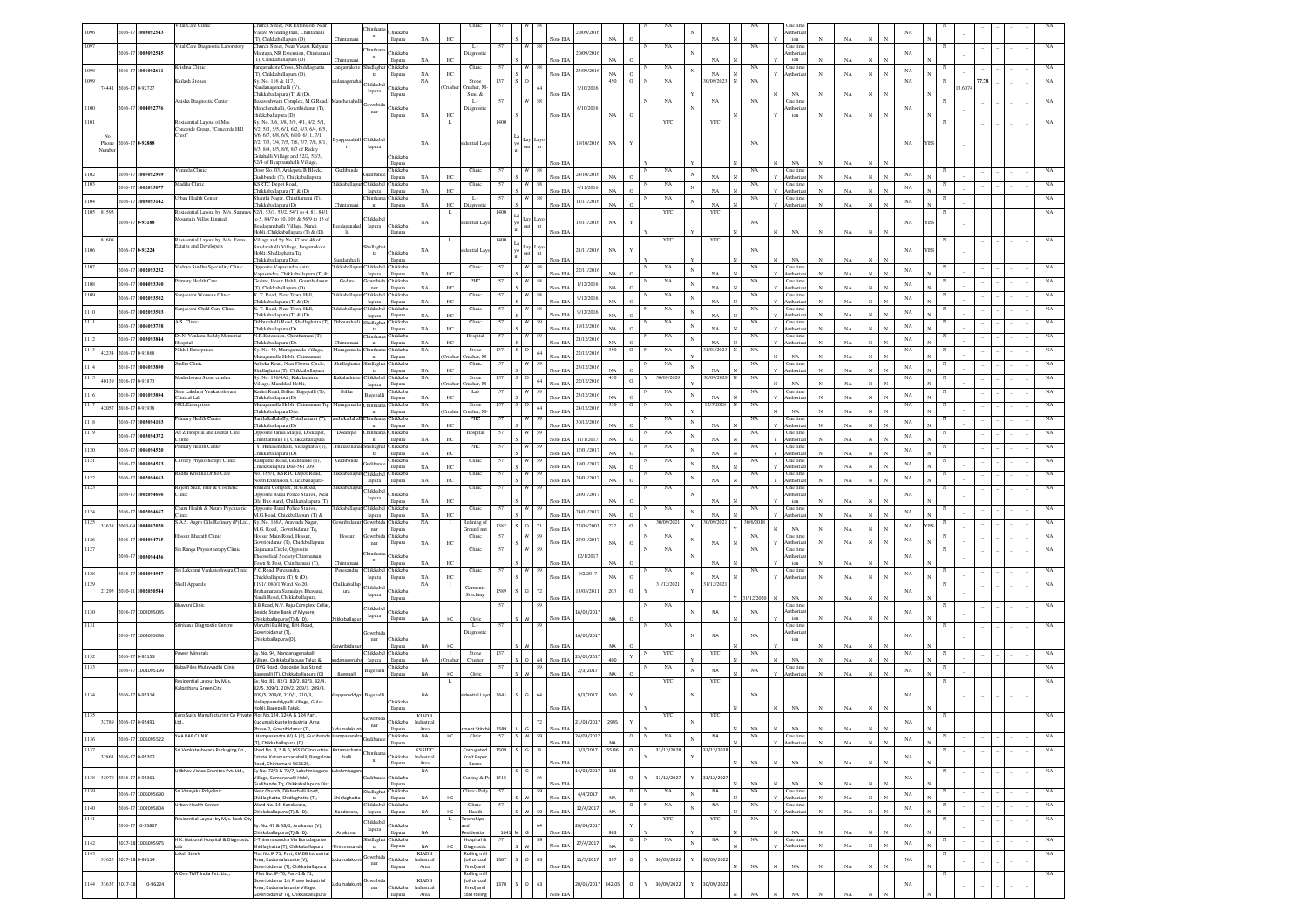|               | 2016-17               | 1003092543            | Vital Care Clinic                                          | Church Street, NR Extension, Near<br>asavi Wedding Hall, Chintamani                                 |              |                           | hikkab                     |                            |                        | Clini                      |      |                    |         | 0/09/201          |              |                    |                           |              |                          |                  | One tir<br>uthoriz        |              |             |                              | NA          |  |  |  |             |
|---------------|-----------------------|-----------------------|------------------------------------------------------------|-----------------------------------------------------------------------------------------------------|--------------|---------------------------|----------------------------|----------------------------|------------------------|----------------------------|------|--------------------|---------|-------------------|--------------|--------------------|---------------------------|--------------|--------------------------|------------------|---------------------------|--------------|-------------|------------------------------|-------------|--|--|--|-------------|
|               |                       |                       |                                                            | (T), Chikkaballapura (D)                                                                            | Chintaman    | $\rm{ni}$                 | llapura                    | NA                         | HC                     |                            |      |                    | Non-EIA |                   | NA           |                    |                           |              | NA                       |                  | ion                       |              | NA          |                              |             |  |  |  |             |
|               |                       | 2016-17 1003092545    | Vital Care Diagnostic Laboratory                           | Church Street, Near Vasavi Kalyana<br>Aantapa, NR Extension, Chintama                               |              | inth                      | <b>Thikkab</b>             |                            |                        | L.                         |      |                    |         | 0/09/201          |              |                    | NA                        |              |                          | NA               | One time<br>uthoriz       |              |             |                              | NA          |  |  |  |             |
|               |                       |                       |                                                            | (T), Chikkaballapura (D)                                                                            |              | ni                        | llapura                    | NA                         | HO                     | Diagnost                   |      |                    | Non-EL  |                   |              |                    |                           |              |                          |                  | ion                       |              |             |                              |             |  |  |  |             |
|               |                       | 2016-17 1006092611    | Krishna Clinic                                             | langamakote Cross, Shiddlaghatta                                                                    | Jangamakoto  | Shidlagha                 | <b>Chikkab</b>             |                            |                        | Clinic                     |      |                    |         | 23/09/2016        |              |                    | NA                        | $_{\rm N}$   |                          | NA               | One time                  |              |             |                              | $_{\rm NA}$ |  |  |  |             |
|               |                       |                       | Cailash Stones                                             | (T), Chikkaballapura (D).<br>Sy. No. 116 & 117,                                                     |              | ta                        | llapura                    | NA<br>NA                   | HC<br>$\mathbf{I}$     | Stone                      |      |                    | Non-EIA |                   | NA<br>450    | $\circ$            | NA                        |              | NA<br>1/09/20            | NA               | Authoriz                  |              | $_{\rm NA}$ |                              | NA          |  |  |  |             |
| 74441         | 2016-17               | -92727                |                                                            | danagenahalli (V).                                                                                  |              | <b>Thikkaba</b>           | hikka                      |                            | `rushe                 | Tusher, I                  |      |                    |         | 3/10/201          |              |                    |                           |              |                          |                  |                           |              |             |                              |             |  |  |  |             |
|               |                       |                       |                                                            | Chikkaballapura (T) & (D).                                                                          |              | lapura                    | llapura                    |                            |                        | Sand &                     |      |                    | Non-EIA |                   |              |                    |                           |              |                          |                  | NA                        |              | NA          |                              |             |  |  |  |             |
|               |                       | 2016-17 1004092776    | nisha Diagnostic Center                                    | asaveshwara Complex, M.G.Road,<br>Manchenahalli, Gowribidanur (T),                                  |              | jowribid                  | hikkab                     |                            |                        | L.<br>Diagnost             |      |                    |         | 6/10/201          |              |                    | $_{\rm NA}$               |              | $_{\rm NA}$              | NA               | One time<br>uthori        |              |             |                              | NA          |  |  |  |             |
|               |                       |                       |                                                            | hikkaballapura (D)                                                                                  |              | nur                       | llapura                    |                            | HC                     |                            |      |                    | Non-EIA |                   |              |                    |                           |              |                          |                  | ion                       |              | NA          |                              |             |  |  |  |             |
|               |                       |                       | Residential Layout of M/s.<br>ncorde Group, "Concorde Hill | Sy. No. 3/6, 3/8, 3/9, 4/1, 4/2, 5/1<br>5/2, 5/3, 5/5, 6/1, 6/2, 6/3, 6/4, 6/5.                     |              |                           |                            |                            |                        |                            | 1400 |                    |         |                   |              |                    | YTC                       |              | YTC                      |                  |                           |              |             |                              |             |  |  |  |             |
|               |                       |                       | Crest"                                                     | 6/6, 6/7, 6/8, 6/9, 6/10, 6/11, 7/1,                                                                |              |                           |                            |                            |                        |                            |      |                    |         |                   |              |                    |                           |              |                          |                  |                           |              |             |                              |             |  |  |  |             |
|               | Phone 2016-17 0-92888 |                       |                                                            | 7/2.7/3.7/4.7/5.7/6.7/7.7/8.8/1.                                                                    | Byappanahall | Chikkabal<br>lapura       |                            | $_{\rm NA}$                |                        | dential Layo               |      | lay Layo<br>>ut ut |         | 19/10/2016        | $_{\rm NA}$  |                    |                           |              |                          | NA               |                           |              |             |                              | $_{\rm NA}$ |  |  |  |             |
| Vumbe         |                       |                       |                                                            | 8/3, 8/4, 8/5, 8/6, 8/7 of Reddy<br>Golahalli Village and 52/2, 52/3,                               |              |                           |                            |                            |                        |                            |      |                    |         |                   |              |                    |                           |              |                          |                  |                           |              |             |                              |             |  |  |  |             |
|               |                       |                       |                                                            | 2/4 of Byappanahalli Village,                                                                       |              |                           | hikka<br>llapura           |                            |                        |                            |      |                    | Non-EIA |                   |              |                    |                           |              |                          |                  | NA                        | $\mathbf N$  | NA.         |                              |             |  |  |  |             |
|               | 2016-17               | 100509296             | nnela Clinic                                               | Door No. 03. Aralepeta B Block.                                                                     | Gudiband     | kudibar                   | <b>hikkab</b>              |                            |                        | Clinic                     |      |                    |         | 24/10/201         |              |                    | NA                        | $_{\rm N}$   |                          | NA               | One time                  |              |             |                              | NA          |  |  |  |             |
|               |                       |                       | Aadilu Clinic                                              | Judibande (T), Chikkaballapura<br><b>KSRTC Depot Road</b> ,                                         |              | Chikkabal                 | llapura<br><b>hikkab</b>   | NA                         | HC.                    | Clinic                     |      |                    | Non-EIA |                   | NA           | $\Omega$           |                           |              | NA                       | NA               | Authoriza<br>One time     | $\mathbf N$  | NA          |                              |             |  |  |  |             |
|               | 2016-17               | 1002093077            |                                                            | Chikkaballapura (T) & (D)                                                                           |              | lapura                    | llapura                    | NA                         | HC.                    |                            |      |                    | Non-EIA | 4/11/2016         |              |                    | NA                        | $_{\rm N}$   | NA                       |                  | Authoriza                 |              | NA          |                              | NA          |  |  |  |             |
|               |                       | 2016-17 1003093142    | Irban Health Center                                        | Shanthi Nagar, Chinthamani (T),                                                                     |              | hinthar                   | Chikkaba                   |                            |                        | L.                         | 57   |                    |         | 11/11/2016        |              |                    | NA                        | $_{\rm N}$   |                          | NA               | One time                  |              |             |                              | NA          |  |  |  |             |
| 1105 81593    |                       |                       | Residential Layout by M/s. Sammy                           | hikkaballapura (D)<br>52/1, 53/1, 53/2, 54/1 to 4, 83, 84/1                                         |              | ni                        | llapura                    | NA                         | HC.<br>-1              |                            | 1400 |                    | Non-EIA |                   | NA           | $\Omega$           | YTC                       |              | NA<br>YTC                |                  | Authoriza                 |              | NA          |                              |             |  |  |  |             |
|               |                       | 2016-17 0-93188       | lountain Villas Limited                                    | 0.5.84/7 to 10.109 & 56/9 to 15 of                                                                  |              | <b>Thikkaba</b>           |                            | NA                         |                        | lential La                 |      |                    |         | 18/11/2016        | $_{\rm NA}$  |                    |                           |              |                          | NA               |                           |              |             |                              | $_{\rm NA}$ |  |  |  |             |
|               |                       |                       |                                                            | eedaganahalli Village, Nandi<br>Hobli, Chikkaballapura (T) & (D)                                    |              | lapura                    | Chikkab                    |                            |                        |                            |      |                    | Non- EL |                   |              |                    |                           |              |                          |                  | $_{\rm NA}$               |              | NA          |                              |             |  |  |  |             |
| 81608         |                       |                       | Residential Layout by M/s. Ferns                           | Village and Sy No. 47 and 48 of                                                                     |              |                           | llapura                    |                            |                        |                            | 1400 |                    |         |                   |              |                    | YTC                       |              | YTC                      |                  |                           |              |             |                              |             |  |  |  |             |
|               |                       | 2016-17 0-93224       | istates and Developers                                     | undarahalli Village, Jangamakote                                                                    |              | hidlagh                   |                            | NA                         |                        | lential Lay                |      | ayc                |         | 21/11/2016        | NA           |                    |                           |              |                          | NA               |                           |              |             |                              | NA          |  |  |  |             |
|               |                       |                       |                                                            | Hobli, Shidlaghatta Tq,<br>Chikkaballapura Dist.                                                    |              | $_{\rm ta}$               | hikkab                     |                            |                        |                            |      |                    | Non-EL  |                   |              |                    |                           |              |                          |                  | $_{\rm NA}$               |              | NA          |                              |             |  |  |  |             |
|               |                       | 2016-17 1002093232    | ishwa Sindhu Speciality Clinic                             | Opposite Vapasandra dairy                                                                           | hikkabal     | hikkab                    | hikka                      |                            |                        | Clinic                     |      |                    |         |                   |              |                    | NA                        | $_{\rm N}$   |                          | NA               | One tin                   |              |             |                              |             |  |  |  |             |
|               |                       |                       |                                                            | Vapasandra, Chikkaballapura (T) &                                                                   |              | lapura                    | llapura                    | NA                         | HC                     |                            |      |                    | Non-EIA | 22/11/2016        |              |                    |                           |              | NA                       |                  | <b>Authoriz</b>           |              | NA          |                              | NA          |  |  |  |             |
|               | 2016-17               | 1004093360            | rimary Health Care                                         | ledare, Hosur Hobli, Gowribidanus<br>(T), Chikkaballapura (D)                                       | Gedan        | owribid<br>$_{\rm nur}$   | hikkab<br>llapura          | NA                         | HC                     | PHC                        |      |                    | Non-EIA | 1/12/2016         |              | $\circ$            | $_{\rm NA}$               | $_{\rm N}$   | NA                       | $_{\rm NA}$      | One time<br>luthori       | $\mathbf{N}$ | NA          |                              | $_{\rm NA}$ |  |  |  |             |
|               | 2016-17               | 1002093502            | anjeevini Womens Clinic                                    | K. T. Road, Near Town Hall,                                                                         | hikkaballa   | <b>Thikkaba</b>           | hikkab                     |                            |                        | Clinic                     |      |                    |         | 9/12/2016         |              |                    | $_{\rm NA}$               | $_{\rm N}$   |                          | $_{\rm NA}$      | One time                  |              |             |                              | NA          |  |  |  |             |
|               |                       |                       | injeevini Child Care Clinic                                | Chikkaballapura (T) & (D)<br>K. T. Road, Near Town Hall,                                            | hikkaballa   | lapura<br>hikkaba         | llapura<br>hikkab          | NA                         | HC                     | Clinic                     |      |                    | Non-EIA |                   | NA           | $\Omega$           | NA                        |              | NA                       | $_{\rm NA}$      | luthori<br>One tim        | $_{\rm N}$   | NA          |                              |             |  |  |  |             |
|               | 2016-1                | 1002093503            |                                                            | hikkaballapura (T) & (D)                                                                            |              | lapura                    | llapura                    | NA                         | HC.                    |                            |      |                    | Non-EIA | 9/12/2016         |              | $\Omega$           |                           | $\mathbf{N}$ | NA                       |                  | luthori                   |              | NA          |                              | $_{\rm NA}$ |  |  |  |             |
|               | $2016 - 1$            | 006093758             | A.S. Clinic                                                | Dibburahalli Road, Shidlaghatta (T), Dibburahalli                                                   |              | hidlagh                   | <b>Thikkab</b>             |                            |                        | Clinic                     | 57   |                    |         | 19/12/2016        |              |                    | $_{\rm NA}$               | N            |                          | $_{\rm NA}$      | One tim                   |              |             |                              | NA          |  |  |  |             |
|               |                       |                       | Dr.N. Venkata Reddy Memorial                               | Chikkaballapura (D)<br>N.R.Extension, Chinthamani (T),                                              |              | ta<br>hintha              | llapura<br><b>Thikkab</b>  | NA                         | HC.                    | Hospital                   | 57   |                    | Non-EIA |                   |              | $\Omega$           | $_{\rm NA}$               |              | NA                       | $_{\rm NA}$      | luthoriz<br>One time      | $_{\rm N}$   | NA          |                              |             |  |  |  | NA          |
|               | 2016-1                | 1003093844            | <b>lospital</b>                                            | Thikkahallanura (D)                                                                                 | Thintan      | ni                        | llapura                    | NA                         | HC.                    |                            |      |                    | Non-EIA | 21/12/2016        | NA           | $\circ$            |                           | N            | NA                       |                  | luthoriza                 | $_{\rm N}$   | NA          |                              | $_{\rm NA}$ |  |  |  |             |
|               | 42234 2016-17         | -93868                | Nikhil Enterprises                                         | Sy. No. 40, Murugamalla Village,<br>rugamalla Hobli, Chintaman                                      | Murugamal    | hintha<br>ni              | hikkaba<br>llapura         | NA                         | $\mathbf{I}$<br>`nıshe | Stone<br>rusher. N         | 1371 |                    | Non-EIA | 22/12/201         | 350          | $\circ$            | NA                        |              | /03/202                  | NA               | NA                        | $_{\rm N}$   | NA          |                              | NA          |  |  |  |             |
|               | 2016-17               | 00609389              | Sudha Clinic                                               | Ashoka Road, Near Flower Circle,                                                                    | Shidlaghat   | idlag                     | hikkab.                    |                            |                        | Clinic                     |      |                    |         | 23/12/201         |              |                    | NA                        |              |                          | NA               | One time                  |              |             |                              | $_{\rm NA}$ |  |  |  |             |
|               |                       |                       | Madeshwara Stone crusher                                   | Shidlaghatta (T), Chikkaballapura<br>Sy. No. 136/4A2, Kakalachinte                                  | Kakalachint  | ta<br>Chikkabal           | llapura<br>Chikkaba        | NA<br>NA                   | HC.<br>$\mathbf{I}$    | Stone                      | 137  |                    | Non-EIA |                   | NA<br>450    | $\Omega$           | 30/09/2029                |              | NA<br>0/09/202           | NA               | uthoriz                   |              | NA          |                              |             |  |  |  |             |
|               | 40139 2016-1          | 93873                 |                                                            | Village, Mandikal Hobli,                                                                            |              | lapura                    | llapura                    |                            | `rushe                 | rusher, M                  |      |                    | Non-EIA | 22/12/201         |              | $\,$ O             |                           |              |                          |                  | $_{\rm NA}$               |              | NA          |                              | NA          |  |  |  |             |
|               | 2016-17               | 1001093894            | Sree Lakshmi Venkateshwara                                 | Kadiri Road, Billur, Bagepalli (T),                                                                 | Billur       | agepall                   | hikkab.                    |                            |                        | Lab                        |      |                    |         | 23/12/201         |              |                    | NA                        |              |                          | NA               | One time                  |              |             |                              | $_{\rm NA}$ |  |  |  |             |
|               |                       |                       | linical Lab<br><b>VRL</b> Enterprises                      | Chikkaballapura (D)<br>Murugamalla Hobli, Chintamani Tq.                                            | Murugamal    | iintha                    | llapura<br>hikkab:         | NA<br>NA                   | HC.<br>л.              | Stone                      | 137. |                    | Non-EIA |                   | NA<br>350    | $\circ$<br>$\circ$ | NA                        |              | $_{\rm NA}$<br>12/3/2028 | NA               | luthoriz                  |              | $_{\rm NA}$ |                              | NA          |  |  |  |             |
|               | 42057 2016-17         | 1-93938               |                                                            | Chikkaballapura Dist                                                                                |              | ni                        | llapura                    |                            | `rusher                | rusher, M                  |      |                    | Non-EIA | 24/12/201         |              |                    |                           |              |                          |                  | $_{\rm NA}$               | $_{\rm N}$   | $_{\rm NA}$ |                              |             |  |  |  |             |
|               | $2016 - 1$            | 1003094103            | imary Health Centre                                        | Santhekallahally, Chinthamani (T),<br>Chikkaballapura (D)                                           | nthekallah:  | hintha<br>ni              | hikkab<br>llapura          | NA                         | HC                     | PHC                        |      |                    | Non-EIA | 30/12/201         | NA           |                    | NA                        | $\mathbf{N}$ | NA                       | NA               | One time<br>Authoriza     | $_{\rm N}$   | $_{\rm NA}$ |                              | $_{\rm NA}$ |  |  |  | NA          |
|               | 2016-1                | 1003094372            | 1 t Z Hospital and Dental Care                             | Doposite Jamia Masjid, Doddapet.                                                                    | Doddape      | hintha                    | hikkab                     |                            |                        | Hospital                   |      |                    |         |                   |              |                    | NA                        | N            |                          | NA               | One time                  |              |             |                              | NA          |  |  |  |             |
|               |                       |                       | atre<br>mary Health Center                                 | Chinthamani (T), Chikkaballapura<br>Y. Hunasenahalli, Sidlaghatta (T),                              |              | ni<br>idlag               | llapura<br>hikkab          | $_{\rm NA}$                | HC                     | PHC                        |      |                    |         | Non-EIA 11/1/2017 | $_{\rm NA}$  | $\,$ O             | NA                        |              | $_{\rm NA}$              | NA               | Authoriz<br>One time      | $_{\rm N}$   | $_{\rm NA}$ |                              |             |  |  |  |             |
|               | 2016-17               | 006094520             |                                                            | Chikkaballapura (D).                                                                                |              | ta                        | llapura                    | NA                         | HC                     |                            |      |                    | Non-EIA | 17/01/2017        |              | $\circ$            |                           | $_{\rm N}$   | NA                       |                  | Authoriza                 |              | $_{\rm NA}$ |                              | NA          |  |  |  |             |
|               | 2016-1                | 005094553             | alvary Physiotherapy Clinic                                | Rampatna Road, Gudibande (T),<br>Chickballapura Dist-561 209.                                       | Gudibanc     | <b>Judiban</b>            | hikkab<br>llapura          | NA                         | HC                     | Clinic                     |      |                    | Non-EIA | 19/01/201         | NA           | $\Omega$           | NA                        | $\mathbf{N}$ | NA                       | $_{\rm NA}$      | One time<br>Authori       | $\mathbf{N}$ | NA          |                              | NA          |  |  |  | $_{\rm NA}$ |
|               | 2016-17               | 1002094663            | adha Krishna Ortho Care                                    | lo. 185/1, KSRTC Depot Road,                                                                        | iikkaballa   | <b>Thikkabal</b>          | hikkab                     |                            |                        | Clinic                     |      |                    |         |                   |              |                    | NA                        | $_{\rm N}$   |                          | NA               | One tim                   |              |             |                              | NA          |  |  |  |             |
|               |                       |                       | ajesh Skin, Hair & Cosmetia                                | North Extension, Chickballapura-<br>inidhi Complex, M.G.Road,                                       | hikkaballa   | lapura                    | llapura                    | NA                         | HC                     | Clini                      |      |                    | Non-EIA | 24/01/201         | NA           | $\circ$            |                           |              | NA                       | NA               | <b>Authori</b><br>One tim | $_{\rm N}$   | NA          |                              |             |  |  |  |             |
|               | 2016-17               | 1002094666            | <b>Tinic</b>                                               | posite Rural Police Station, Nea                                                                    |              | <b>Thikkabal</b>          | hikkab                     |                            |                        |                            |      |                    |         | 24/01/201         |              |                    | NA                        |              |                          |                  | uthori                    |              |             |                              | NA          |  |  |  |             |
|               |                       |                       |                                                            | Dld Bus stand, Chikkaballapura (T)                                                                  |              | lapura                    | llapura                    | NA                         | HC.                    |                            |      |                    | Non-FIA |                   |              |                    |                           |              | NA                       |                  | ion                       |              | NA          |                              |             |  |  |  |             |
|               | $2016 - 1$            | 1002094667            | Tharu Health & Neuro Psychiatric                           | pposite Rural Police Station,<br>M.G.Road, Chickballapura (T) &                                     | hikkaballa   | <b>Thikkaba</b><br>lapura | <b>Thikkab</b><br>llapura  | NA                         | HC.                    | Clini                      | 57   |                    | Non-EIA | 24/01/201         | $N_A$        | $\Omega$           | $_{\rm NA}$               |              | NA                       | NA               | One tin<br>luthoriz       | $_{\rm N}$   | NA          |                              | NA          |  |  |  |             |
| 1125<br>33638 | 2003-04               | 004002020             | S.A.S. Aagro Oils Refinery (P) Ltd.,                       | Sv. No. 166A, Aravinda Nagar                                                                        | mribida      | owribid                   | hikkaba                    | NA                         | -1                     | Refining of                | 1382 | 71                 |         | 27/05/200         | $_{\rm 272}$ | $\,$ O             | 30/09/2021                |              | 1/09/202                 | 30/6/2018        | NA                        | $_{\rm N}$   |             |                              | NA          |  |  |  |             |
|               |                       |                       | <b>Jossur Bharath Clinic</b>                               | M.G. Road, Gowribidanur Tq,<br>Hossur Main Road, Hossur,                                            | Hossur       | nur<br>owribid            | llapura<br>hikkab.         |                            |                        | Ground nt<br>Clinic        | 57   |                    | Non-EIA |                   |              |                    | NA                        |              |                          | NA               | One time                  |              | NA          |                              |             |  |  |  |             |
|               | $016-1$               | 004094715             |                                                            | lowribidanur (T), Chickballapura                                                                    |              | nur                       | llapura                    | NA                         | HC.                    |                            |      |                    | Non-EIA | 27/01/201         | NA           | $\Omega$           |                           |              | NA                       |                  | Authoriz                  |              | NA          |                              | $_{\rm NA}$ |  |  |  |             |
|               |                       | 2016-17 1003094436    | Sri Ranga Physiotherapy Clinic                             | Gajanana Circle, Opposite<br>heosofical Society Chinthamani                                         |              |                           | hikkab                     |                            |                        | Clinic                     | 57   |                    |         | 12/1/201          |              |                    | NA                        |              |                          | NA               | One time<br>uthoriza      |              |             |                              | NA          |  |  |  |             |
|               |                       |                       |                                                            | own & Post, Chinthamani (T),                                                                        | Chintar      | $\rm{ni}$                 | llapura                    | NA                         | HC                     |                            |      |                    | Non-EIA |                   |              |                    |                           |              | NA                       |                  | ion                       |              | NA          |                              |             |  |  |  |             |
| 1128          |                       | 2016-17 1002094947    | Sri Lakshmi Venkateshwara Clinic                           | P.G.Road, Peresandra<br>Chickballapura (T) & (D).                                                   | Peresandra   | Chikkabal Chikkab         | llapura                    | NA                         | HC                     | Clinic                     |      |                    | Non-EIA | 9/2/2017          | NA           |                    | NA                        | $_{\rm N}$   | NA                       | NA               | One time<br>Authori       |              | NA          |                              | $_{\rm NA}$ |  |  |  |             |
| 1129          |                       |                       | Shell Apparels                                             | 1191/1080/1, Ward No.20,                                                                            | Chikkaballa  | lapura<br><b>Thikkaba</b> |                            | NA                         |                        | Garment                    |      |                    |         |                   |              |                    | 31/12/2021                |              | 31/12/202                |                  |                           |              |             |                              |             |  |  |  |             |
| 21295         | 2010-11               | 1002050544            |                                                            | amanara Samudaya Bhavana,                                                                           | ura          | lapura                    | hikkab                     |                            |                        | Stitching                  | 1589 | 72                 |         | 3/03/201          | 203          | $\circ$            |                           |              |                          |                  |                           |              |             |                              | NA          |  |  |  |             |
|               |                       |                       | havani Clinic                                              | Nandi Road, Chikkaballapura.<br>B.B.Road, N.V. Raju Complex, Cella                                  |              |                           | llapura                    |                            |                        |                            |      |                    | Non-EIA |                   |              |                    | NA                        |              |                          | 31/12/2020       | NA<br>One time            |              | $_{\rm NA}$ |                              |             |  |  |  |             |
|               |                       | 2016-17 1002095045    |                                                            | leside State Bank of Mysore,                                                                        |              | <b>Thikkaba</b><br>lapura | hikkab                     |                            |                        |                            |      |                    |         | 6/02/201          |              |                    |                           |              | NA                       | $_{\rm NA}$      | uthori                    |              |             |                              | NA          |  |  |  |             |
|               |                       |                       | Srinivasa Diagnostic Centre                                | Chikkaballapura (T) & (D).<br>Maruthi Building, B.H. Road,                                          |              |                           | llapura                    | NA                         | HC                     | Clinic<br>L.               |      |                    | Non-EIA |                   |              |                    | NA                        |              |                          |                  | ion<br>One tim            |              | NA          |                              |             |  |  |  |             |
|               |                       | 2016-17 1004095046    |                                                            | wribidanur (T),                                                                                     |              | wrib                      |                            |                            |                        | Diagno:                    |      |                    |         |                   |              |                    |                           | N            |                          |                  | thoriz                    |              |             |                              |             |  |  |  |             |
|               |                       |                       |                                                            | Chikkaballapura (D).                                                                                |              | nur                       | hikkab                     |                            |                        |                            |      |                    |         | 16/02/201         |              |                    |                           |              | <b>NA</b>                | NA               | ion                       |              |             |                              | NA          |  |  |  |             |
|               |                       |                       | ower Minerals                                              | Sy. No. 94, Nandanagenahalli                                                                        |              | <b>Thikkaba</b>           | hikkab                     |                            |                        | Stone                      | 1371 |                    | Non-EIA |                   |              |                    | YTO                       |              | YTC                      | NA               |                           |              | NA          |                              | NA          |  |  |  |             |
|               |                       | 2016-17 0-95153       |                                                            | fillage, Chikkaballapura Taluk &                                                                    |              | lapura                    | llapura                    | <b>NA</b>                  | `rush;                 | Crushe                     |      | 64                 | Non-EIA | 23/02/201         | 400          | $\mathbf Y$        |                           |              |                          |                  | $_{\rm NA}$               | $_{\rm N}$   | NA          |                              |             |  |  |  |             |
|               |                       | 2016-17 1001095199    | Baba Piles Mulavyadhi Clinic                               | DVG Road, Opposite Bus Stand,                                                                       |              | Bagepalli                 | hikkab                     | <b>NA</b>                  |                        |                            |      |                    |         | 2/3/2017          | NA           | $\Omega$           | NA                        | N            | NA                       | $_{\rm NA}$      | One tim<br>uthori         |              | NA          |                              | $_{\rm NA}$ |  |  |  |             |
|               |                       |                       | Residential Layout by M/s.                                 | lagepalli (T), Chikkaballapura (D)<br>Sy. No. 81, 82/1, 82/2, 82/3, 82/4,                           | Bagepall     |                           | llapura                    |                            |                        | Clinic                     |      |                    | Non-EIA |                   |              |                    | $_{\rm YTC}$              |              | YTC                      |                  |                           |              |             |                              |             |  |  |  | NA          |
|               |                       |                       | alpatharu Green City                                       | 82/5, 209/1, 209/2, 209/3, 209/4,                                                                   |              |                           |                            |                            |                        |                            |      |                    |         |                   |              |                    |                           |              |                          |                  |                           |              |             |                              |             |  |  |  |             |
|               |                       | 2016-17 0-95314       |                                                            | 209/5.209/6.210/1.210/3.<br>Nallappareddypalli Village, Gulur                                       | ppareddyp    | Bagepall                  | <b>Thikkab</b>             | <b>NA</b>                  |                        | dential Layo               | 1641 | 64<br>G            |         | 9/3/2017          | 500          | Y                  |                           |              |                          | NA               |                           |              |             |                              | NA          |  |  |  |             |
|               |                       |                       |                                                            | Hobli, Bagepalli Taluk,                                                                             |              |                           | llapura                    |                            |                        |                            |      |                    | Non-EIA |                   |              |                    |                           |              |                          |                  |                           |              |             |                              |             |  |  |  |             |
|               |                       | 32789 2016-17 0-95491 | Ltd                                                        | r No 124 1244 & 124<br>udumalakunte Industrial Area                                                 |              |                           | hikkaba                    | <b>KIADR</b><br>Industrial |                        |                            |      |                    |         | 21/03/2017        | 2945         | Y                  |                           | $_{\rm N}$   |                          |                  |                           |              |             |                              | NA          |  |  |  |             |
|               |                       |                       |                                                            | Phase-2. Gowribidanur (T).                                                                          |              | nur                       | llapura                    | Area                       |                        | ent Stitch                 | 1589 |                    | Non-EIA |                   |              |                    |                           |              |                          | $_{\rm NA}$      | $_{\rm NA}$               |              | NA          |                              |             |  |  |  |             |
|               |                       | 2016-17 1005095522    | AA RAB CLINIC                                              | Hampasandra (V) & (P), Gudiband<br>(T), Chikkaballapura (D)                                         | lampasand    |                           | hikkaba                    | NA                         | HC                     | Clinic                     | 57   |                    | Non-EIA | 24/03/201         | <b>NA</b>    | $\circ$            | NA                        | $\mathbf{N}$ | NA                       | NA               | One time<br>Authoriza     | $_{\rm N}$   | $_{\rm NA}$ | $_{\rm N}$<br>$\mathbf{N}$   | $_{\rm NA}$ |  |  |  | NA          |
|               |                       |                       | Sri Venkateshwara Packaging Co.,                           | Shed No. 3, 5 & 6, KSSIDC Industrial Katamachan                                                     |              |                           | llapura                    | <b>KSSIDC</b>              |                        | Corrugated                 | 1509 |                    |         | 3/3/2017          | 55.86        | $\circ$            | 31/12/2028                |              | 31/12/2028               |                  |                           |              |             |                              |             |  |  |  | NA          |
|               |                       |                       |                                                            | state, Katamachanahalli, Bangalor                                                                   | halli        | ni                        | Chikkaba                   | Industrial                 |                        | Kraft Pape                 |      |                    |         |                   |              |                    |                           |              |                          |                  |                           |              |             |                              | $_{\rm NA}$ |  |  |  |             |
|               |                       | 32861 2016-17 0-95202 |                                                            |                                                                                                     |              |                           | llapura                    | Area                       |                        | Boxes                      |      |                    | Non-EIA | 14/03/2017        | 186          |                    |                           |              |                          | $_{\rm NA}$      | $_{\rm NA}$               | $_{\rm N}$   | $_{\rm NA}$ |                              |             |  |  |  | NA          |
|               |                       |                       |                                                            | load, Chintamani-563125,                                                                            |              |                           |                            |                            |                        |                            |      |                    |         |                   |              | $\,$ O             | 31/12/2027                | $_{\rm Y}$   |                          |                  |                           |              |             |                              |             |  |  |  |             |
| 1138          | 32979 2016-17 0-95361 |                       | Udbhav Vistaa Granites Pvt. Ltd.,                          | Sy No. 72/3 & 72/7, Lakshmisagara Lakshmisagar<br>Village, Somenahalli Hobli,                       |              |                           | <b>Thikkab</b>             | NA                         |                        | Cutting & P                | 1518 |                    |         |                   |              |                    |                           |              | 31/12/2027               |                  |                           |              |             |                              | $_{\rm NA}$ |  |  |  |             |
|               |                       |                       |                                                            | Sudibande Tq, Chikkaballapura Dis                                                                   |              |                           | llapura                    |                            |                        |                            |      |                    | Non-EIA |                   |              |                    |                           |              |                          | $_{\rm NA}$<br>N | $_{\rm NA}$               | $_{\rm N}$   | $_{\rm NA}$ | $_{\rm N}$                   |             |  |  |  |             |
|               |                       | 2016-17 1006095690    | i Vinayaka Polyclinic                                      | Near Church, Dibburhalli Road,<br>Shidlaghatta, Shidlaghatta (T),                                   |              | shidlagha<br>ta           | hikkaba<br>llapura         | NA                         |                        | Clinic-Poly                |      |                    | Non-EIA | 4/4/2017          |              | $\circ$            | NA                        | $_{\rm N}$   | NA                       | NA               | One time<br>Authoriza     | $\mathbf{N}$ | $_{\rm NA}$ | $\mathbf{N}$                 | NA          |  |  |  | NA          |
| 1140          |                       | 2016-17 1002095804    | <b>Jrban Health Center</b>                                 | Ward No. 14, Kandavara,                                                                             |              | <b>Thikkabal</b>          | hikkaba                    |                            |                        | Clinic                     |      |                    |         |                   |              | $\circ$            | $_{\rm NA}$               | $_{\rm N}$   | NA                       | $_{\rm NA}$      | One time                  |              |             |                              |             |  |  |  | $_{\rm NA}$ |
|               |                       |                       |                                                            | hikkaballapura (T) & (D).                                                                           | Kandavar     | lapura                    | llapura                    | NA                         | нc<br>L                | Health                     |      | 59                 | Non-EIA | 12/4/2017         |              |                    |                           |              |                          |                  | Authoriza                 | $_{\rm N}$   | $_{\rm NA}$ | $\mathbf{N}$<br>$\mathbf{N}$ | $_{\rm NA}$ |  |  |  |             |
| 1141          | 2016-17               | 0-95867               | sidential Layout by M/s. Rock Cit                          | y. No. 47 & 48/1, Anakanur (V),                                                                     |              | <b>Thikkaba</b>           | hikkab                     |                            |                        | Townships<br>nd            |      | 64                 |         | 20/04/201         |              | Y                  | $_{\rm YTC}$              |              | YTC                      | $_{\rm NA}$      |                           |              |             |                              | $_{\rm NA}$ |  |  |  | $_{\rm NA}$ |
|               |                       |                       |                                                            | Chikkaballapura (T) & (D).                                                                          | Anakanu      | lapura                    | llapura                    | <b>NA</b>                  |                        | esidential                 | 1641 |                    | Non-EIA |                   | 963          |                    |                           |              |                          |                  | $_{\rm NA}$               | $_{\rm N}$   | $_{\rm NA}$ |                              |             |  |  |  |             |
| 1142          |                       | 2017-18 1006095975    | H.K. National Hospital & Diagnostic                        | E-Thimmasandra Via Burudagunte<br>Shidlaghatta (T), Chikkaballapura                                 |              | hidlagha<br>$_{\rm ta}$   | hikkab:<br>llapura         | <b>NA</b>                  | HC.                    | Hospital &<br>Diagnostic   | 57   |                    | Non-EIA | 27/4/2017         | NA           | $\circ$            | NA                        | $_{\rm N}$   | NA                       | $_{\rm NA}$      | One time<br>luthori       | $\mathbf{N}$ | $_{\rm NA}$ | $\mathbf{x}$                 | $_{\rm NA}$ |  |  |  | NA          |
| 1143          |                       |                       | Laksh Steels                                               | Plot No.IP 71, Part, KIADB Industrial                                                               |              | iowribid                  |                            | <b>KIADB</b>               |                        | Rolling mill               |      |                    |         |                   |              |                    |                           |              |                          |                  |                           |              |             |                              |             |  |  |  | NA          |
|               |                       | 33625 2017-18 0-96114 |                                                            | irea, Kudumalakunte (V),<br>Gowribidanur (T), Chikkaballapura                                       |              | nur                       | <b>Thikkaba</b><br>llapura | Industrial<br>Area         |                        | (oil or coal<br>fired) and | 1367 | 63                 | Non-EIA | 11/5/2017         | 397          | $\circ$            | $\mathbf Y$<br>30/09/2022 | $_{\rm Y}$   | 30/09/2022               | NA<br>N          | $_{\rm NA}$               | $_{\rm N}$   | NA          |                              | $_{\rm NA}$ |  |  |  |             |
|               |                       |                       | A One TMT India Pvt. Ltd.,                                 | Plot No. IP-70, Part-1 & 71.                                                                        |              |                           |                            |                            |                        | Rolling mill               |      |                    |         |                   |              |                    |                           |              |                          |                  |                           |              |             |                              |             |  |  |  | NA          |
| 144           | 33637 2017-18         | 0-96224               |                                                            | Sowribidanur 1st Phase Industrial<br>Area, Kudumalakunte Village,<br>wribidanur Tq, Chikkaballapura |              | owribid<br>$_{\rm nur}$   | <b>Thikkab</b>             | <b>KIADB</b><br>Industrial |                        | (oil or coal<br>fired) and | 1370 | 63                 |         | 20/05/201         | 342.05       | $\circ$            | 30/09/2022                | $_{\rm Y}$   | 30/09/2022               | NA               |                           |              |             |                              | $_{\rm NA}$ |  |  |  |             |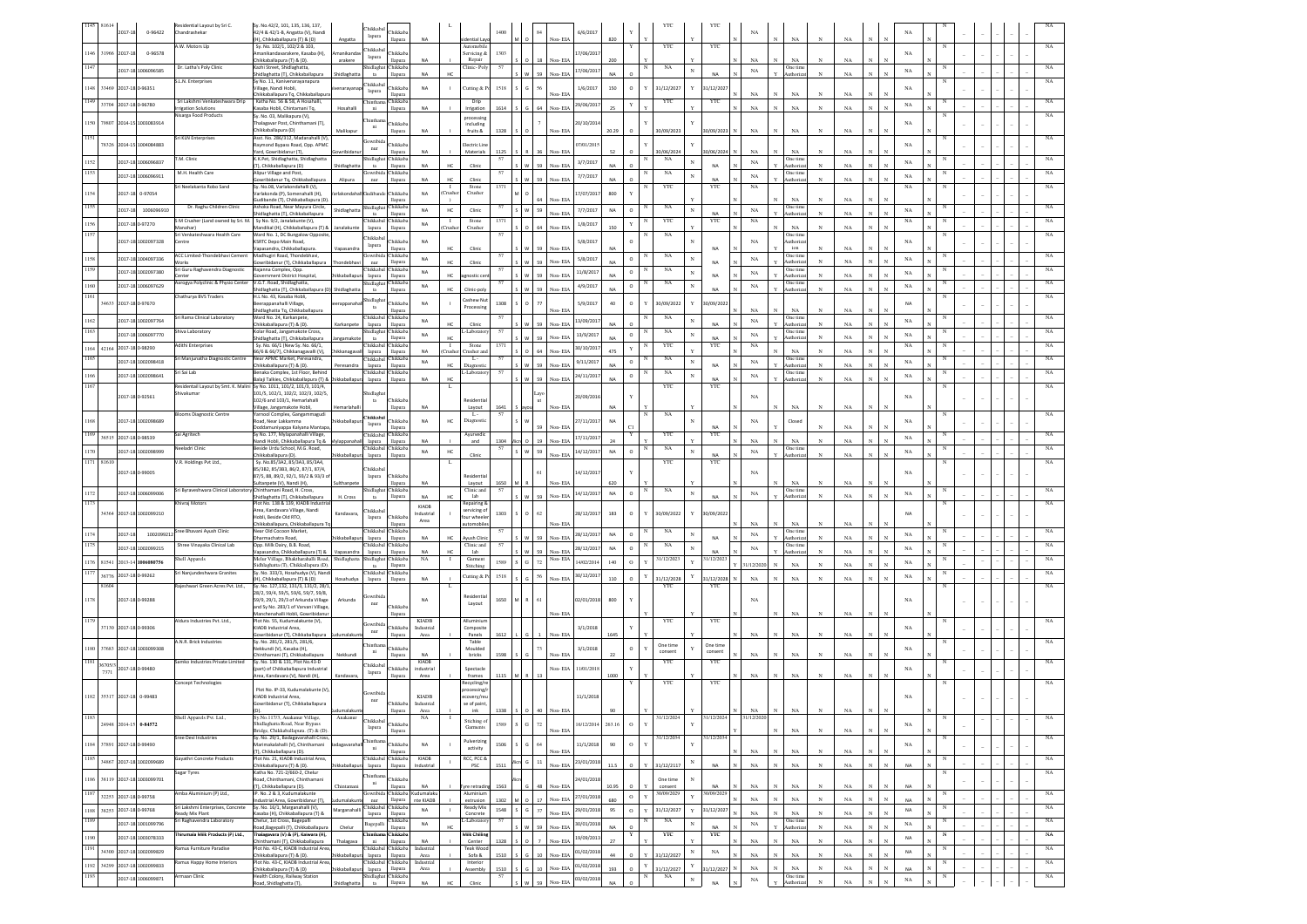|              |         | 2017-18         | 0-96422                                          | esidential Layout by Sri C.<br>Chandrashekar                    | Sv. No.42/2, 101, 135, 136, 137.<br>42/4 & 42/1-B, Angatta (V), Nandi                                                        |                            | Chikkaba<br>lapura                         | <b>Thikkal</b>                            |                                     |                          |                                     | 1400       |                        |                    | 6/6/2017                 |                 |                              | YTC                       |                 | YTC                 |                            |                                  |              |                   |              |                          |   |  |  |                   |
|--------------|---------|-----------------|--------------------------------------------------|-----------------------------------------------------------------|------------------------------------------------------------------------------------------------------------------------------|----------------------------|--------------------------------------------|-------------------------------------------|-------------------------------------|--------------------------|-------------------------------------|------------|------------------------|--------------------|--------------------------|-----------------|------------------------------|---------------------------|-----------------|---------------------|----------------------------|----------------------------------|--------------|-------------------|--------------|--------------------------|---|--|--|-------------------|
|              |         |                 |                                                  | A.W. Motors Llo                                                 | H), Chikkaballapura (T) & (D)<br>Sv. No. 102/1, 102/2 & 103.                                                                 | Angatta                    | hikkal                                     | llapura                                   |                                     |                          | Jential La<br>Automobil             |            |                        | Von-EIA            |                          | 820             |                              | YTC                       |                 | YTC                 |                            | NA                               |              |                   |              |                          |   |  |  |                   |
| 1146<br>1147 | 31966   | 2017-1          | 0-96578                                          | Dr. Latha's Poly Clinic                                         | manikandavarakere, Kasaba (H),<br>hikkaballapura (T) & (D).<br>Kazhi Street, Shidlaghatta.                                   | nanikanda<br>arakere       | lapura<br>hidlagh                          | hikkab<br>lapura<br>Chikkaba              |                                     |                          | ervicing &<br>Repair<br>Clinic-Pol- | 1303<br>57 |                        | Von-ELA            | 7/06/201                 | 200             | N                            | NA                        |                 |                     | NA                         | NA<br>One time                   |              | NA                |              | NA                       |   |  |  |                   |
|              |         |                 | 2017-18 1006096585                               | .L.N. Enterprises                                               | hidlaghatta (T), Chikkaballapura<br>y No. 11, Kanivenarayanapura                                                             | hidlaghatt                 | ta                                         | llapura                                   | <b>NA</b>                           | HO                       |                                     |            |                        | Non-EIA            | 17/06/201                | NA              |                              |                           |                 | <b>NA</b>           | $_{\rm NA}$                | uthoriza                         |              | $_{\rm NA}$       | $\mathbf N$  | $_{\rm NA}$              |   |  |  |                   |
|              |         |                 | 1148 33469 2017-18 0-96351                       |                                                                 | fillage, Nandi Hobli,<br>Chikkaballapura Tq, Chikkaballapura                                                                 | naraya                     | hikkaba<br>lapura                          | <b>Thikkab</b><br>llapura                 | NA                                  |                          | Cutting & I                         | 1518       |                        | Non-EIA            | 1/6/2017                 | 150             | $\circ$                      | 31/12/2027                | Y               | 31/12/2021          | NA                         | NA                               |              | NA                |              | NA                       |   |  |  |                   |
| 1149         |         |                 | 33704 2017-18 0-96780                            | Sri Lakshmi Venkateshwara Drip<br>rrigation Solutions           | Katha No. 56 & 58, A Hosahalli,<br>Kasaba Hobli, Chintamani Tq,                                                              | Hosahalli                  | Chinthar<br>ni                             | Chikkab:<br>llapura                       | NA                                  |                          | Drip<br>Irrigation                  | 1614       |                        | Non-EIA            | 29/06/2017               |                 |                              | YTC                       |                 | YTC                 | NA                         | $_{\rm NA}$                      |              | $_{\rm NA}$       |              | $_{\rm NA}$              |   |  |  | NA                |
| 1150         |         |                 | 79807 2014-15 1003083914                         | <b>Nisarga Food Products</b>                                    | Sy. No. 03, Malikapura (V),<br>halagavar Post, Chinthamani (T),                                                              |                            | hintha                                     | <b>hikkab</b>                             |                                     |                          | processing<br>including             |            |                        |                    | 20/10/201                |                 |                              |                           |                 |                     |                            |                                  |              |                   |              | NA                       |   |  |  | $_{\rm NA}$       |
| 1151         |         |                 |                                                  | Sri KLN Enterprises                                             | Chikkaballapura (D)<br>Asst. No. 286/312, Madanahalli (V)                                                                    | Malikapu                   | ni<br>iowribi                              | lapura                                    | NA                                  |                          | fruits &                            | 1328       |                        | Von-EIA            |                          |                 |                              | 0/09/202                  |                 | 0/09/202            |                            | NA                               |              | NA                |              |                          |   |  |  | NA                |
|              | 78326   |                 | 2014-15 1004084883                               |                                                                 | aymond Bypass Road, Opp. APMC<br>ard, Gowribidanur (T)                                                                       | wribidar                   | nur                                        | hikkab<br>lapura                          | NA                                  |                          | lectric Lin<br>Materials            | 1125       |                        | Non-EIA            | 17/01/20                 | 52              |                              | 30/06/2024                |                 | 0/06/2024           | NA                         | NA                               |              | NA                |              | NA                       |   |  |  |                   |
| 1152         |         |                 | 2017-18 1006096837                               | M. Clinic                                                       | .K.Pet, Shidlaghatta, Shidlaghatta<br>T), Chikkaballapura (D)                                                                | hidlaghatta                | Shidlagha<br>ta                            | hikkaba<br>llapura                        | NA                                  | HC.                      | Clinic                              | 57         |                        | Non-EIA            | 3/7/2017                 | <b>NA</b>       |                              | NA                        |                 | NA                  | NA                         | <b>Dne</b> time<br>luthoriz      |              | NA                |              | NA                       |   |  |  |                   |
|              |         |                 | 2017-18 1006096911                               | M.H. Health Care                                                | lipur Village and Post,<br>wribidanur Tq, Chikkaballapura                                                                    | Alipura                    | owribi<br>nur                              | <b>Thikkaba</b><br>llapura                | NA                                  | <b>MC</b>                | Clinic                              | 57         | 92                     | Non-EIA            | 7/7/2017                 | NA              |                              | NA                        |                 | NΔ                  | NA                         | Dne tim<br>Authoriz              |              | NA                |              | NA                       |   |  |  | NA                |
| 1154         |         |                 | 2017-18 0-97054                                  | ri Neelakanta Robo Sand                                         | Sy. No.08, Varlakondahalli (V),<br>arlakonda (P), Somenahalli (H),<br>udibande (T), Chikkaballapura (D)                      | rlakondaha                 | kudibar                                    | <b>hikkaba</b><br>llapura                 | <b>NA</b>                           | Crushe                   | Stone<br>Crusher                    | 1371       |                        | Non-EIA            | 7/07/201                 | 800             |                              | YTC                       |                 | YTC                 | NA                         | NA                               |              | NA                |              | $_{\rm NA}$              |   |  |  | NA                |
|              |         | 2017-18         | 1006096910                                       | Dr. Raghu Children Clinic                                       | Ashoka Road, Near Mayura Circle,<br>iidlaghatta (T), Chikkaballapura                                                         | Shidlaghatta               | hidlag<br>ta                               | <b>hikkaba</b><br>lapura                  | NA                                  | HC                       | Clinic                              | 57         | 59                     | Non-EIA            | 7/7/2017                 | $_{\sf NA}$     | $\circ$                      | NA                        |                 | NΔ                  | NA                         | One tim<br>uthoria               |              | NA                |              | NA                       |   |  |  | NA                |
|              |         | 2017-18 0-97270 |                                                  | M Crusher (Land owned by Sri. M.<br>(nohar                      | Sy No. 9/2, Janalakunte (V),<br>landikal (H), Chikkaballapura (T) 8                                                          | nalakunt                   | <b>hikkaba</b><br>lapura                   | Chikkaba<br>llapura                       | NA                                  | $\blacksquare$<br>`rushe | Stone<br>Crusher                    | 1371       | ĥ4                     | Non-EIA            | 1/8/2017                 | 150             |                              | YTC                       |                 | YTC                 | NA                         | $_{\rm NA}$                      |              | $_{\rm NA}$       |              | NA                       |   |  |  | NA                |
|              |         |                 | 2017-18 1002097328                               | ri Venkateshwara Health Care<br>entre                           | Ward No. 1, DC Bungalow Opposite<br><b>KSRTC Depo Main Road,</b>                                                             |                            | hikkaba                                    | <b>Thikkaba</b>                           | NA                                  |                          |                                     |            |                        |                    | 5/8/2017                 |                 |                              | NA                        |                 |                     | NA                         | One time<br>uthoriz              |              |                   |              | NA                       |   |  |  |                   |
|              |         |                 | 2017-18 1004097336                               | <b>ACC Limited-Thondebhavi Cement</b>                           | Vapasandra, Chikkaballapura<br>Madhugiri Road, Thondebhavi,                                                                  | /apasandr                  | lapura<br>iowribio                         | lapura<br>Chikkaba                        | NA                                  |                          | Clinic                              | 57         |                        | Non-EIA            | 5/8/2017                 |                 | $\circ$                      | NA                        | N               | <b>NA</b>           | $_{\rm NA}$                | ion<br>One time                  |              | NA                |              | $_{\rm NA}$              |   |  |  |                   |
|              |         |                 | 2017-18 1002097380                               | /orks<br>iri Guru Raghavendra Diagnostic                        | Sowribidanur (T), Chikkaballapura<br>Rajanna Complex, Opp                                                                    |                            | nur<br>Chikkaba                            | llapura<br>Chikkaba                       | <b>NA</b>                           | HC                       | Clinic                              | 57         |                        | Non-EIA            | 11/8/2017                |                 | N<br>$\circ$                 | NA                        |                 | NA                  | $_{\rm NA}$                | Authoriza<br>One time            |              | NA                |              | $_{\rm NA}$              |   |  |  | NA                |
| 160          |         |                 | 2017-18 1006097629                               | enter<br>Aarogya Polyclinic & Physio Center                     | Sovernment District Hospital<br>V.G.T. Road, Shidlaghatta,                                                                   | iikkaballan                | lapura<br>Shidlagha                        | llapura<br>hikkab                         | <b>NA</b>                           | HC                       | mostic ce                           |            |                        | Von-EIA            | 4/9/2017                 | NA<br><b>NA</b> | $\circ$                      | NA                        | $_{\rm N}$      | NA                  | $_{\rm NA}$                | <b>Authoriza</b><br>One tim      |              | NA                |              | $_{\rm NA}$              |   |  |  |                   |
|              | 4633    |                 | 2017-18 0-97670                                  | Chathurya BVS Traders                                           | idlaghatta (T), Chikkaballapura (D)<br>H.L No. 43, Kasaba Hobl<br>erappanahalli Village,                                     |                            | ta<br>Shidlagh                             | llapura<br>hikkab                         | NA                                  | HC                       | Clinic-poly<br>Cashew Nu            | 1308       |                        | Non-EIA            |                          | $40\,$          | o                            | 30/09/2022                |                 | NA                  |                            | luthoriz                         |              | NA                |              | NA                       |   |  |  |                   |
|              |         |                 |                                                  |                                                                 | hidlaghatta Tq, Chikkaballapura                                                                                              |                            | ta<br>hikkaba                              | lapura                                    |                                     |                          | Processing                          |            |                        | Non-EIA            | 5/9/2017                 |                 |                              |                           |                 | 0/09/202            | NA                         | NA                               |              | NA                |              |                          |   |  |  |                   |
| 1162         |         |                 | 2017-18 1002097764                               | i Rama Clinical Laboratory<br>hiva Laboratory                   | Vard No. 24, Karkanpete,<br>Chikkaballapura (T) & (D).<br>olar Road, Jangamakote Cross                                       | Karkanpete                 | lapura<br>hidlagh                          | hikkaba<br>llapura<br>hikkab:             | NA                                  | HC                       | Clini<br>Laborat                    |            | 59                     | Non-EIA            | 13/09/201                | NA              |                              | $_{\rm NA}$<br>NA         | $\mathbf{N}$    | <b>NA</b>           | NA                         | One time<br>uthoriz<br>Dne tim   | $_{\rm N}$   | NA                |              | NA                       |   |  |  | NA                |
|              |         |                 | 2017-18 1006097770                               | dithi Enterprises                                               | hidlaghatta (T), Chikkaballapura<br>Sy. No. 66/1 (New Sy. No. 66/1,                                                          | angamakot                  | ta<br>Chikkab                              | llapura<br>hikkab:                        | NA                                  | HC                       | Stone                               | 1371       | 59                     | Non-EIA            | 13/9/2011                | NA              | $\circ$                      | YTC                       | $_{\rm N}$      | NA<br>YTC           | NA<br>$_{\rm NA}$          | <b>Authoriz</b>                  |              | NA                |              | NA<br>$_{\rm NA}$        |   |  |  | NA                |
| 1165         |         |                 | 1164 42164 2017-18 0-98290<br>2017-18 1002098418 | iri Manjunatha Diagnostic Centre                                | 6/6 & 66/7), Chikkanagavalli (V),<br>Near APMC Market, Peresandra,                                                           | ikkanagay                  | lapura<br>Chikkaba                         | llapura<br>Chikkaba                       | <b>NA</b><br>NA                     | Crusher                  | rusher an<br>L.                     |            |                        | Non-EIA            | 30/10/201                | 475             | $\circ$                      | NA                        |                 |                     |                            | NA<br>One tim                    | $_{\rm N}$   | NA                |              |                          |   |  |  | $_{\rm NA}$       |
|              |         |                 | 2017-18 1002098641                               | iri Sai Lab                                                     | Chikkaballapura (T) & (D).<br>enaka Complex, 1st Floor, Behind                                                               | Peresandra                 | lapura<br>Chikkaba                         | llapura<br>Chikkaba                       |                                     | HC                       | Diagnost<br>Laborato                |            | 59                     | Non-EIA            | 9/11/2017<br>24/11/2017  | NA              | $\circ$                      | NA                        | N               | <b>NA</b>           | NA<br>$_{\rm NA}$          | Authoriz<br>One tim              |              | NA                |              | NA<br>NA                 |   |  |  | NA                |
|              |         |                 |                                                  |                                                                 | alaii Talkies. Chikkaballapura (T) & Lhikkaballapu<br>Residentail Layout by Smt. K. Malini Sy No. 1011, 101/2, 101/3, 101/4, |                            | lapura                                     | llapura                                   | <b>NA</b>                           | HC                       |                                     |            | 59                     | Non-EIA            |                          | NΔ              |                              | YTC                       |                 | <b>NA</b><br>YTC    |                            | Authoriz                         | $_{\rm N}$   | NA                |              |                          |   |  |  | NA                |
|              |         |                 | 2017-18 0-92561                                  | Shivakumar                                                      | 101/5 102/1 102/2 102/3 102/5<br>102/6 and 103/1. Hemarlahalli                                                               |                            | hidlach<br>$_{\rm ta}$                     | Chikkab                                   |                                     |                          | lesidentia                          |            |                        |                    | 10/09/201                |                 |                              |                           |                 |                     | NA                         |                                  |              |                   |              | $_{\rm NA}$              |   |  |  |                   |
|              |         |                 |                                                  | <b>Blooms Diagnostic Centre</b>                                 | illage, Jangamakote Hobli,<br>arnool Complex, Gangammagudi                                                                   |                            | hikkab                                     | lapura                                    | <b>NA</b>                           |                          | Lavout<br>$L -$                     | 1641<br>57 |                        | Non-EIA            |                          | <b>NA</b>       |                              | NA                        |                 |                     |                            | $_{\rm NA}$                      |              | NA                |              |                          |   |  |  |                   |
|              |         |                 | 2017-18 1002098689                               | Sai Agritech                                                    | oad, Near Lakkamma<br>oddamuniyappa Kalyana Mantapa<br>Sy No. 177, Mylapanahalli Village,                                    |                            | lapura<br><b>hikkaba</b>                   | hikkaba<br>llapura<br>hikkab:             | NA                                  | HC                       | Diagnostic<br>Ayurvedic             |            |                        | Non-EIA            | 27/11/201                |                 |                              | YTC                       |                 | NA<br>YTC           | $_{\rm NA}$                | Closed                           |              | NA                |              | NA                       |   |  |  | NA                |
|              |         |                 | 36515 2017-18 0-98539                            | eeladri Clinic                                                  | landi Hobli, Chikkaballapura Tq &<br>leside Urdu School, M.G. Road,                                                          |                            | lapura<br>Chikkaba                         | llapura<br>Chikkaba                       | NA                                  |                          | and                                 | 1304<br>57 | 19                     | Non-EIA            | 17/11/201                |                 | N                            | NA                        |                 |                     | $_{\rm NA}$                | $_{\rm NA}$<br>One time          |              | NA                |              | $_{\rm NA}$              |   |  |  | NA                |
|              |         |                 | 2017-18 1002098999                               | .R. Holdings Pvt Ltd.,                                          | hikkaballapura (D)<br>Sy. No.85/3A2, 85/3A3, 85/3A4,                                                                         |                            | lapura                                     | llapura                                   | NA                                  | HC                       | Clinic                              |            | s w<br>59              | Non-EIA            | 14/12/2017               | NA              | $\circ$                      | YTC                       |                 | <b>NA</b><br>YTC    | $_{\rm NA}$                | <b>Authoriz</b>                  |              | NA                |              | $_{\rm NA}$              |   |  |  | NA                |
|              |         |                 |                                                  |                                                                 |                                                                                                                              |                            |                                            |                                           |                                     |                          |                                     |            |                        |                    |                          |                 |                              |                           |                 |                     |                            |                                  |              |                   |              |                          |   |  |  |                   |
|              |         |                 | 2017-18 0-99005                                  |                                                                 | 5/382, 85/383, 86/2, 87/1, 87/4,<br>7/5, 88, 89/2, 92/1, 93/2 & 93/3 c                                                       |                            | hikkal<br>lapura                           | <b>Thikkaba</b>                           |                                     |                          | lesidentia                          |            |                        |                    | 4/12/201                 |                 |                              |                           |                 |                     | <b>NA</b>                  |                                  |              |                   |              | NA                       |   |  |  |                   |
|              |         |                 |                                                  | ri Byraveshwara Clinical Laboratory Chinthamani Road, H. Cross, | Itanpete (V), Nandi (H),                                                                                                     |                            | hidlagh                                    | lapura<br>hikkaba                         | NA                                  |                          | Layout<br>Clinic and                | 1650<br>57 |                        | Non-EIA            | 14/12/201                |                 | N                            | NA                        | $\mathbf N$     |                     |                            | NA<br>One time                   |              | NA                |              |                          |   |  |  | NA                |
| 1173         |         |                 | 2017-18 1006099006                               | hivraj Motors                                                   | Shidlaghatta (T), Chikkaballapura<br>lot No. 138 & 139, KIADB Industria                                                      | H. Cross                   | ta                                         |                                           | NA<br>KIADB                         | HO                       | lab<br>lepairing                    |            | 59                     | Non-EIA            |                          | $_{\sf NA}$     | $\circ$                      |                           |                 | <b>NA</b>           | $_{\rm NA}$                | uthori.                          |              | NA                |              | $_{\rm NA}$              |   |  |  |                   |
|              |         |                 | 34364 2017-18 1002099210                         |                                                                 | irea, Kandavara Village, Nandi<br>obli, Beside Old RTO,                                                                      | Kandavara,                 | hikkal<br>lapura                           | Chikkaba                                  | ndustria<br>Area                    |                          | ervicing o<br>ur wheele             | 1303       |                        |                    | 28/12/2017               | 183             | $\circ$                      | 30/09/2022                |                 | 30/09/202           |                            |                                  |              |                   |              | <b>NA</b>                |   |  |  |                   |
| 1174         |         | 2017-18         | 1002099212                                       | Sree Bhavani Ayush Clinic                                       | hikkaballapura, Chikkaballapura T.<br>lear Old Cocoon Market,                                                                |                            | Chikkab                                    | apura<br>Chikkab:                         |                                     |                          | utomobil                            |            |                        | Non-EIA            | 28/12/2017               | NA              | $\circ$                      | NA                        |                 |                     | NA<br>NA                   | NA<br>One time                   | $_{\rm N}$   | NA                | $\mathbf{N}$ | NA                       |   |  |  | NA                |
|              |         |                 | 2017-18 1002099215                               | Shree Vinayaka Clinical Lab                                     | harmachatra Road,<br>Opp. Milk Dairy, B.B. Road.<br>apasandra, Chikkaballapura (T) &                                         | Vapasandra                 | lapura<br>Chikkabal<br>lapura              | llapura<br>Chikkaba<br>llapura            | <b>NA</b><br>NA                     | HO<br>HC                 | yush Clini<br>Clinic and<br>lab     | 57         | 92<br>59               | Non-EIA<br>Non-EIA | 28/12/2017               | NA              | $\circ$                      | NA                        |                 | <b>NA</b><br>NΔ     | NA                         | luthoriza<br>One tim<br>luthoriz |              | NA<br>NA          |              | NA                       |   |  |  | NA                |
|              |         |                 | 1176 81541 2013-14 1006080756                    | hell Apparels                                                   | Aelur Village, Bhaktharahalli Road,<br>idhlaghatta (T), Chikkallapura (D)                                                    | Shidlaghatta               | hidlagh<br>ta                              | <b>hikkaba</b><br>llapura                 | NA                                  | $\mathbf{I}$             | Garment<br><b>Stitching</b>         | 1589       | S G 72                 | Non-EIA            | 14/02/201                | 140             | $\circ$<br>Y                 | 31/12/2023                |                 | 31/12/202           | 1/12/20                    | <b>NA</b>                        |              | NA                |              | NA                       |   |  |  | NA                |
| 1177         |         |                 | 36776 2017-18 0-99262                            | iri Nanjundeshwara Granites                                     | Sy. No. 333/3, Hosahudya (V), Nand<br>I), Chikkaballapura (T) & (D)                                                          | losahudya                  | Chikkaba<br>lapura                         | Chikkaba<br>llapura                       | NA                                  |                          | utting & F                          | 1518       |                        | Non-EIA            | 30/12/2017               | 110             |                              | 31/12/2028                |                 | 1/12/2028           | $_{\rm NA}$                | $_{\rm NA}$                      |              | NA                |              | NA                       |   |  |  | NA                |
|              | 81604   |                 |                                                  | lajeshwari Green Acres Pvt. Ltd.,                               | Sy. No. 127,132, 131/3, 131/2, 28/1<br>28/2, 59/4, 59/5, 59/6, 59/7, 59/8,                                                   |                            |                                            |                                           |                                     |                          | esidenti                            |            |                        |                    |                          |                 |                              | YTC                       |                 | YTC                 |                            |                                  |              |                   |              |                          |   |  |  |                   |
| 1178         |         |                 | 2017-18 0-99288                                  |                                                                 | 59/9, 29/1, 29/3 of Arkunda Village<br>nd Sy No. 283/1 of Varvani Village                                                    | Arkunda                    | swrib<br>nur                               | hikkab:                                   | NA                                  |                          | Layout                              | 1650       | M R<br>61              |                    | 02/01/2018               | 800             |                              |                           |                 |                     | NA                         |                                  |              |                   |              | NA                       |   |  |  |                   |
| 1179         |         |                 |                                                  | Aldura Industries Pvt. Ltd.,                                    | Aanchenahalli Hobli, Gowribidanu<br>Plot No. 55, Kudumalakunte (V),                                                          |                            | iowribi                                    | llapura                                   | <b>KIADB</b>                        |                          | Alluminiun                          |            |                        | Non-EIA            |                          |                 |                              | YTC                       |                 | YTC                 |                            | $_{\rm NA}$                      |              | $_{\rm NA}$       |              |                          |   |  |  | NA                |
|              |         |                 | 37130 2017-18 0-99306                            | A.N.R. Brick Industries                                         | KIADB Industrial Area,<br>iowribidanur (T), Chikkaballapura                                                                  |                            | nur                                        | hikkab:<br>llapura                        | Industrial<br>$\operatorname{Area}$ |                          | Composite<br>Panels<br>Table        | 1612       |                        | Non-EIA            | 3/1/2018                 | 1645            |                              |                           |                 |                     | NA                         | NA                               |              | NA                |              | NA                       |   |  |  |                   |
| 1180         |         |                 | 37683 2017-18 1003099308                         |                                                                 | Sy. No. 281/2, 281/5, 281/6,<br>kkundi (V), Kasaba (H),<br>inthamani (T), Chikkaballapura                                    | Nekkund                    | hintha<br>ni                               | hikkab<br>lapura                          |                                     |                          | Moulded<br>bricks                   | 1598       |                        | Non-EIA            | 3/1/2018                 |                 |                              | One time<br>consent       |                 | One time<br>consent | NA                         | $_{\rm NA}$                      |              | NA                |              | NA                       |   |  |  |                   |
| 1181         | 36705/3 |                 | 2017-18 0-99480                                  | mko Industries Private Limited                                  | Sy. No. 130 & 131, Plot No.43-D<br>part) of Chikkaballapura Industria                                                        |                            | Chikkab                                    | hikkaba                                   | KIADB<br>industrial                 |                          | Spectacle                           |            |                        | Non-EIA            | 11/01/201                |                 |                              | YTC                       |                 | YTC                 |                            |                                  |              |                   |              | $_{\rm NA}$              |   |  |  |                   |
|              | 7371    |                 |                                                  | Concept Technologies                                            | .<br>Irea, Kandavara (V), Nandi (H),                                                                                         | Kandavara                  | lapura                                     | llapura                                   | Area                                |                          | frames<br>tecycling/                | 1115       |                        |                    |                          | 1000            |                              | YTC                       |                 | YTC                 | NA                         | $_{\rm NA}$                      |              | NA                |              |                          |   |  |  |                   |
|              |         |                 | 1182 35317 2017-18 0-99483                       |                                                                 | Plot No. IP-33, Kudumalakunte (V),<br><b>KIADB</b> Industrial Area,                                                          |                            | iowribi<br>nur                             |                                           | <b>KIADB</b>                        |                          | ocessing<br>covery/re               |            |                        |                    | 11/1/2018                |                 |                              |                           |                 |                     |                            |                                  |              |                   |              | NA                       |   |  |  |                   |
|              |         |                 |                                                  |                                                                 | wribidanur (T), Chikkaballapura                                                                                              |                            |                                            | Chikkab<br>lapura                         | Industrial<br>Area                  |                          | e of paint<br>ink                   | 1338       | 40                     | Non-EIA            |                          |                 |                              |                           |                 |                     | NA                         | N <sub>A</sub>                   |              |                   |              |                          |   |  |  |                   |
|              |         |                 | 24948 2014-15 0-84572                            |                                                                 | Shidlaghatta Road, Near Bypass                                                                                               |                            | Chikkaba<br>lapura                         | <b>Thikkaba</b>                           |                                     |                          | Stiching of<br>Garments             | 1589       | G<br>72                |                    | 16/12/2014               | 263.16          | $\circ$                      |                           |                 |                     |                            |                                  |              |                   |              | NA                       |   |  |  |                   |
|              |         |                 |                                                  | Sree Devi Industries                                            | Bridge, Chikkaballapura. (T) & (D).<br>Sy. No. 29/1, Badagavarahalli Cross                                                   |                            | hintha                                     | llapura                                   |                                     |                          | ulverizing                          |            |                        | Non-EIA            |                          |                 |                              | 31/12/2034                |                 | 31/12/203           |                            | $_{\rm NA}$                      |              | NA                | $\mathbf N$  |                          |   |  |  | NA                |
| 1185         |         |                 | 1184 37891 2017-18 0-99490                       | Sayathri Concrete Products                                      | farimakalahalli (V), Chinthamani<br>T), Chikkaballapura (D).<br>Plot No. 21, KIADB Industrial Area,                          |                            | ni<br>Chikkabal                            | <b>Thikkaba</b><br>lapura<br>Chikkaba     | NA<br>KIADB                         |                          | activity<br>RCC, PCC &              | 1506       | G<br>64                | Non-EIA            | 11/1/2018                | 90              | $\circ$                      |                           |                 |                     | $_{\rm NA}$                | $_{\rm NA}$                      |              | $_{\rm NA}$       |              | $_{\rm NA}$              | N |  |  |                   |
|              |         |                 | 34867 2017-18 1002099689                         | Sagar Tyres                                                     | Chikkaballapura (T) & (D).<br>Katha No. 721-2/660-2, Chelur                                                                  | ikkaballap                 | lapura                                     | llapura                                   | Industrial                          | $\perp$                  | PSC                                 | 1511       | Aicri G<br>$11\,$      | Non-EIA            | 23/01/2018               | 11.5            | $\circ$<br>Y                 | 31/12/2117                |                 | NA                  | $_{\rm NA}$                | $_{\rm NA}$                      | $_{\rm N}$   | $_{\rm NA}$       | $\mathbf{N}$ | <b>NA</b>                |   |  |  | $_{\rm NA}$<br>NA |
|              |         |                 | 1186 38119 2017-18 1003099701                    |                                                                 | oad, Chinthamani, Chinthamani<br>T), Chikkaballapura (D),                                                                    | Chintamar                  | hintha<br>$\mathbf{ni}$                    | hikkaba<br>llapura                        | NA                                  |                          | Tyre retradir                       | 1563       | 48                     | Non-EIA            | 24/01/201                | 10.95           | $\circ$                      | One time<br>consent       |                 | <b>NA</b>           | $_{\rm NA}$                | $_{\rm NA}$                      | $_{\rm N}$   | $_{\rm NA}$       | $_{\rm N}$   | <b>NA</b>                |   |  |  |                   |
| 1187         |         |                 | 32253 2017-18 0-99758                            | umba Aluminium (P) Ltd.,                                        | . No. 2 & 3, Kudumalakunte<br>dustrial Area, Gowribidanur (T),                                                               |                            | iowribid:<br>nur                           | Chikkaba<br>llapura                       | Kudumalaku<br>nte KIADB             |                          | Aluminiun<br>extrusion              | 1302       | 17                     | Non-EIA            | 27/01/2018               | 680             | $\mathbf{v}$<br>$\circ$      | 30/09/2029                |                 | 0/09/2029           | $_{\rm NA}$                | $_{\rm NA}$<br>$\mathbf N$       | $_{\rm N}$   | $_{\rm NA}$       | $\mathbf{N}$ | NA                       | N |  |  | NA                |
| 1188         |         |                 | 38253 2017-18 0-99768                            | ri Lakshmi Enterprises, Concrete<br>leady Mix Plant             | y. No. 16/1, Marganahalli (V),<br>.<br>(asaba (H), Chikkaballapura (T) &                                                     | Marganahall                | Chikkaba<br>lapura                         | hikkaba<br>llapura                        | NA                                  |                          | Ready Mix<br>Concrete               | 1548       | $S$ $G$<br>37          | Non-EIA            | 29/01/2018               | 95              | $_{\rm Y}$<br>$\circ$        | 31/12/2027                | $\mathbf{v}$    | 31/12/2027          | $_{\rm NA}$                | $_{\rm NA}$                      | $_{\rm N}$   | $_{\rm NA}$       | $_{\rm N}$   | NA                       |   |  |  | $_{\rm NA}$       |
| 1189         |         |                 | 2017-18 1001099796                               | i Raghavendra Laboratory                                        | helur, 1st Cross, Bagepalli<br>toad, Bagepalli (T), Chikkaballapura                                                          | Chelur                     | Bagepall                                   | hikkaba<br>llapura                        | <b>NA</b>                           |                          | Laborator                           | 57         | 59                     | Non-EIA            | 30/01/2018               | $N\Delta$       |                              | $_{\rm NA}$               |                 | <b>NA</b>           | $_{\rm NA}$                | One time<br>luthoriz             |              | $_{\rm NA}$       | $\mathbf N$  | $_{\rm NA}$              |   |  |  | NA                |
| 1190         |         |                 | 2017-18 1003078333                               | irumaia Milk Products (P) Ltd.,<br>mus Furniture Paradise       | halagavara (V) & (P), Kaiwara (H),<br>nthamani (T), Chikkaballapura<br>lot No. 43-C, KIADB Industrial Area                   | Thalagava                  | hinth:<br>ni                               | .<br>hikkaba<br>llapura<br>hikkaba        | NA<br>Industrial                    |                          | Milk Chillin<br>Center              | 1328       | $\overline{7}$         | Non-EIA            | 19/09/201                | 27              |                              | YTC                       |                 | YTC                 | $_{\rm NA}$                | $_{\rm NA}$                      | $_{\rm N}$   | $_{\rm NA}$       | $\mathbf{N}$ | NA                       |   |  |  | $_{\mathrm{NA}}$  |
| 1191         |         |                 | 34300 2017-18 1002099829                         | mus Happy Home Interiors                                        | Chikkaballapura (T) & (D).<br>lot No. 43-C, KIADB Industrial Area                                                            | ikkaballar                 | hikkaba <sup>r</sup><br>lapura<br>Chikkaba | llapura<br>hikkaba                        | Area<br>Industrial                  |                          | Teak Woo<br>Sofa &<br>Interior      | 1510       | Ġ.<br>10               | Non-EIA            | 01/02/2018               | 44              | Y<br>$\circ$                 | 31/12/2027                | $_{\rm N}$      | $_{\rm NA}$         | $_{\rm NA}$                | $_{\rm NA}$                      | $_{\rm N}$   | $_{\rm NA}$       | $\mathbf{N}$ | NA                       |   |  |  | NA<br>NA          |
| 1192<br>1193 | 34299   |                 | 2017-18 1002099833<br>2017-18 1006099871         | maan Clinic                                                     | Chikkaballapura (T) & (D)<br>ealth Colony, Railway Station<br>ad, Shidlaghatta (T),                                          | ikkaballap<br>Shidlaghatta | lapura<br>ta                               | llapura<br>Shidlaghat Chikkaba<br>llapura | Area<br>$_{\sf NA}$                 |                          | Assembly<br>Clinic                  | 1510<br>57 | 10 <sup>10</sup><br>59 | Non-EIA<br>Non-EIA | 01/02/2018<br>03/02/2018 | 193<br>NΔ       | $\mathbf Y$<br>$\Omega$<br>N | 31/12/2027<br>$_{\rm NA}$ | Y<br>$_{\rm N}$ | 1/12/2027<br>NA     | $_{\rm NA}$<br>$_{\rm NA}$ | NA<br>One time<br>Authoriza      | $\mathbf{v}$ | NA<br>$_{\rm NA}$ | $\mathbf{N}$ | <b>NA</b><br>$_{\rm NA}$ | N |  |  | $_{\rm NA}$       |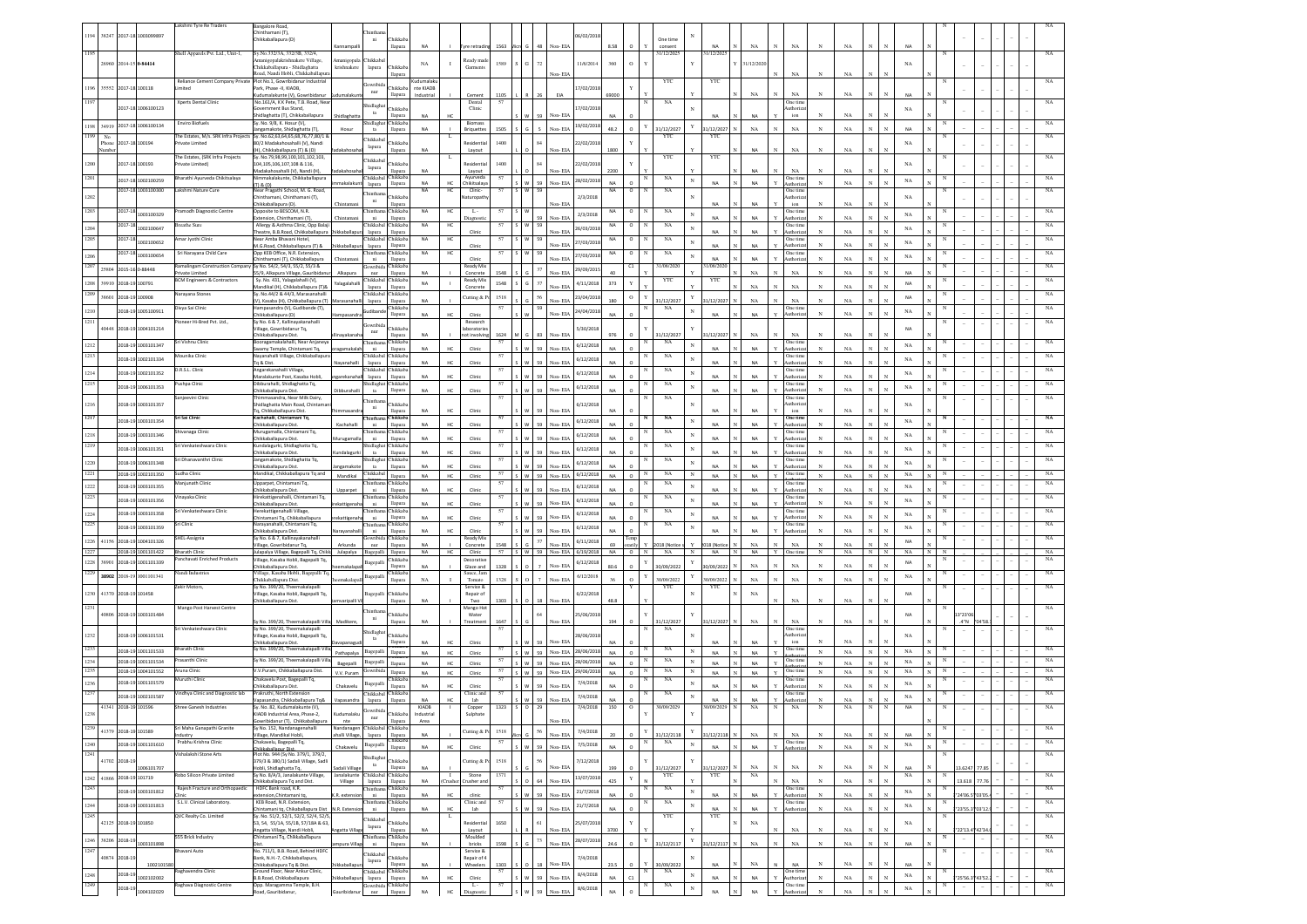|      |               |                           |                               | Lakshmi Tyre Re Traders                      | Bangalore Road,                                                                               |                                    |                                                           |                        |                          |                             |          |              |                                                 |            |                 |                    |                        |              |                        |              |                 |              |                                   |              |                   |                |              |             |   |               |       |  |                            |
|------|---------------|---------------------------|-------------------------------|----------------------------------------------|-----------------------------------------------------------------------------------------------|------------------------------------|-----------------------------------------------------------|------------------------|--------------------------|-----------------------------|----------|--------------|-------------------------------------------------|------------|-----------------|--------------------|------------------------|--------------|------------------------|--------------|-----------------|--------------|-----------------------------------|--------------|-------------------|----------------|--------------|-------------|---|---------------|-------|--|----------------------------|
|      |               |                           | 194 38247 2017-18 1003099897  |                                              | Chinthamani (T).                                                                              |                                    |                                                           |                        |                          |                             |          |              |                                                 | 16/02/201  |                 |                    |                        |              |                        |              |                 |              |                                   |              |                   |                |              |             |   |               |       |  |                            |
|      |               |                           |                               |                                              | Chikkaballapura (D)                                                                           |                                    | ni<br>Chikkab<br>llapura                                  | <b>NA</b>              |                          | rre retradi                 | 1563     |              | Non-ELA                                         |            | 8.58            |                    | One time<br>consent    |              |                        |              | NA              |              | NA                                |              | NA                |                |              |             |   |               |       |  |                            |
| 1195 |               |                           |                               | Shell Apparels Pvt. Ltd., Unit-1,            | Sy.No.332/3A, 332/3B, 332/4,                                                                  |                                    |                                                           |                        |                          |                             |          |              |                                                 |            |                 |                    | 31/12/2025             |              | 1/12/202               |              |                 |              |                                   |              |                   |                |              |             |   |               |       |  |                            |
|      |               | 26960 2014-15 0-84414     |                               |                                              | Amanigopalakrishnakere Village,<br>Chikkaballapura - Shidlaghatta                             | manigopala Chikkaba<br>krishnakere | Chikkaba<br>lapura                                        | $_{\rm NA}$            | $\blacksquare$           | Ready mad<br>Garments       | 1589     | $\mathbb{G}$ |                                                 | 11/6/2014  | 360             | $\circ$            |                        |              |                        |              | 31/12/202       |              |                                   |              |                   |                |              | NA          |   |               |       |  |                            |
|      |               |                           |                               |                                              | oad, Nandi Hobli, Chikkaballapur                                                              |                                    | llapura                                                   |                        |                          |                             |          |              | Von-EL                                          |            |                 |                    |                        |              |                        |              |                 |              | NA                                |              | NA                |                |              |             |   |               |       |  |                            |
| 1196 |               | 35552 2017-18 100118      |                               | imited                                       | Reliance Cement Company Private Plot No.1, Gowribidanur Industrial<br>Park, Phase -II, KIADB, |                                    | hidiwa<br>Chikkaba                                        | Kudumalak<br>nte KIADB |                          |                             |          |              |                                                 | 17/02/201  |                 |                    | YTC                    |              | YTC                    |              |                 |              |                                   |              |                   |                |              |             |   |               |       |  |                            |
|      |               |                           |                               |                                              | dumalakunte (V), Gowribida                                                                    | dumalakur                          | $_{\rm nur}$<br>llapura                                   | Industrial             |                          | Cement                      | 1105     |              | 26<br>EIA                                       |            | 69000           |                    |                        |              |                        |              | $_{\rm NA}$     |              | NA                                |              | NA                |                |              | <b>NA</b>   |   |               |       |  |                            |
|      |               |                           | 2017-18 1006100123            | Xperts Dental Clinic                         | No.161/A, K K Pete, T.B. Road, Ne.<br>vernment Bus Stand,                                     |                                    | hidlagh<br><b>Thikkab</b>                                 |                        |                          | Dental<br>Clinic            |          |              |                                                 | 7/02/201   |                 |                    | NA                     |              |                        |              |                 |              | One time<br>athori:               |              |                   |                |              | NA          |   |               |       |  |                            |
|      |               |                           |                               |                                              | idlaghatta (T), Chikkaballapura                                                               | hidlaghat                          | ta<br>llapura                                             | NA                     |                          |                             |          |              | Non-EL                                          |            |                 |                    |                        |              | <b>NA</b>              |              | NA              |              | ion                               |              | NA                |                |              |             |   |               |       |  |                            |
|      |               |                           | 1198 34919 2017-18 1006100134 | Enviro Biofuels                              | Sv. No. 9/8. K. Hosur (V).<br>angamakote, Shidlaghatta (T)                                    |                                    | Chikkab<br>hidlagha<br>$12$<br>llapura                    | NA                     |                          | Biomass<br>Briquette        | 1505     |              |                                                 | 19/02/2018 | 48.2            | Y                  | 1/12/2027              | Y            | 31/12/202              |              | $_{\rm NA}$     |              | NA                                |              | $_{\rm NA}$       |                |              | <b>NA</b>   |   |               |       |  |                            |
| 1199 | No            |                           |                               | The Estates, M/s. SRK Infra Projects         | Sy. No.62,63,64,65,68,76,77,80/1 8                                                            |                                    | Chikkabal                                                 |                        |                          |                             |          |              |                                                 |            |                 |                    | YTC                    |              | YTC                    |              |                 |              |                                   |              |                   |                |              |             |   |               |       |  | $_{\rm NA}$                |
|      | Phone<br>lumb |                           | 017-18 100194                 | vate Limited                                 | 30/2 Madakahosahalli (V), Nandi<br>(H), Chikkaballapura (T) & (D)                             |                                    | <b>Thikkab</b><br>lapura<br>llapura                       | NA                     |                          | <b>lesidenti</b><br>Layout  | 1400     |              | Non- EIA                                        | 22/02/201  | 1800            |                    |                        |              |                        |              | NA              |              | $_{\rm NA}$                       | N            | $_{\rm NA}$       |                |              | NA          |   |               |       |  |                            |
|      |               |                           |                               | he Estates, (SRK Infra Projects              | Sy. No.79,98,99,100,101,102,103                                                               |                                    | Chikkaba                                                  |                        |                          |                             | 1400     |              |                                                 |            |                 |                    | YTO                    |              | YTC                    |              |                 |              |                                   |              |                   |                |              |             |   |               |       |  |                            |
| 1200 |               |                           | 2017-18 100193                | rivate Limited)                              | 104, 105, 106, 107, 108 & 116,<br>Vladakahosahalli (V), Nandi (H)                             |                                    | <b>Thikkab</b><br>lapura<br>Harauta                       | NA                     |                          | <b>Residentia</b><br>Layout |          |              | Non-FL                                          | 22/02/201  | 2200            |                    |                        |              |                        |              |                 |              | NA                                |              | NA                |                |              | NA          |   |               |       |  |                            |
| 1201 |               |                           | 2017-18 1002100259            | Bharathi Ayurveda Chikitsalaya               | Nimmakalakunte, Chikkaballapura                                                               | nakalaku                           | Thikkaba<br>Chikkaba<br>llapura                           | <b>NA</b>              | HC                       | Ayurveda<br>Chikitsalaya    | 57       |              | W 59 Non-EIA                                    | 28/02/2018 | <b>NA</b>       | $\circ$            | NA                     | $_{\rm N}$   | <b>NA</b>              |              | NA              |              | One time<br>luthoriz              | $_{\rm N}$   | $_{\rm NA}$       | $\mathbf{N}$   |              | $_{\rm NA}$ |   |               |       |  | NA                         |
|      |               | 2017-18                   | 1003100300                    | Lakshmi Nature Cure                          | (D) & (T)<br>Near Pragathi School, M. G. Road.                                                |                                    | lapura<br>hintha                                          | <b>NA</b>              | HC                       | Clinic-                     | 57       | SIW          | 59                                              |            | NA              | $\circ$            | NA                     |              |                        |              |                 |              | One time                          |              |                   |                |              |             |   |               |       |  | NA                         |
| 1202 |               |                           |                               |                                              | nthamani, Chinthamani (T),<br>Chikkaballapura (D).                                            |                                    | <b>Thikkab</b><br>ni<br>llapura                           |                        |                          | aturopa                     |          |              | Non-EL                                          | 2/3/2018   |                 |                    |                        |              | <b>NA</b>              |              | NA              |              | ıthori<br>$\mathop{\text{ion}}$   |              | $_{\rm NA}$       |                |              | NA          |   |               |       |  |                            |
|      |               | 2017-18                   | 1003100329                    | ramodh Diagnostic Centre                     | Opposite to BESCOM, N.R.                                                                      |                                    | Thikkab                                                   | NA                     | HC                       | τ                           |          |              |                                                 | 2/3/2018   | NA              | $\circ$            | NA                     | N            |                        |              |                 |              | One tim                           |              |                   |                |              | $_{\rm NA}$ |   |               |       |  | NA                         |
|      |               | 2017-18                   |                               | reathe Sure                                  | xtension, Chinthamani (T),<br>Allergy & Asthma Clinic, Opp Bala                               |                                    | $\rm{ni}$<br>llapura<br>Chikkabal<br>Chikkaba             | NA                     | нс                       | Diagnos                     | 57       | S W          | Non-EL<br>59                                    |            | NA              | $\circ$            | $_{\rm NA}$            |              | <b>NA</b>              |              | <b>NA</b>       |              | uthoria<br>One time               |              | NA                |                |              |             |   |               |       |  | NA                         |
| 1204 |               |                           | 1002100647                    |                                              | Theatre, B.B.Road, Chikkaballapura                                                            |                                    | llapura<br>lapura                                         |                        |                          | Clinic                      |          |              | Non-EL                                          | 26/03/2018 |                 |                    |                        | $_{\rm N}$   |                        |              | NA              |              | uthoria                           |              | NA                |                |              | $_{\rm NA}$ |   |               |       |  |                            |
| 1205 |               | 2017-18                   | 1002100652                    | Amar Jyothi Clinic                           | Near Amba Bhavani Hotel,<br>M.G.Road, Chikkaballapura (T) &                                   | ikkaballa                          | Chikkabal<br>Chikkab:<br>lapura<br>llapura                | NA                     | HC                       | Clini                       | 57       | s w          | Non-EL                                          | 27/03/2018 | NA              | $\circ$            | $_{\rm NA}$            | N            | NA                     |              | <b>NA</b>       |              | One time<br><b>Authoriz</b>       | $_{\rm N}$   | NA                |                |              | $_{\rm NA}$ |   |               |       |  | NA                         |
| 1206 |               | 2017-18                   | 1003100654                    | Sri Narayana Child Care                      | Opp KEB Office, N.R. Extension,                                                               |                                    | Chikkaba                                                  | <b>NA</b>              | HC                       |                             | 57       |              |                                                 | 27/03/2018 | NA              | $\circ$            | NA                     | $\mathbf N$  |                        |              |                 |              | One tim                           |              |                   |                |              | $_{\rm NA}$ |   |               |       |  | NA                         |
| 1207 |               |                           |                               | Ramalingam Construction Compan               | inthamani (T), Chikkaballapura<br>Sy No. 54/2, 54/3, 55/2, 55/3 &                             |                                    | ni<br>llapura<br>Chikkab<br>jowribid                      |                        |                          | Clinis<br>Ready Mix         |          |              | Non-FL                                          |            |                 | C1                 | 31/08/2020             |              | <b>NA</b><br>/08/202   |              | <b>NA</b>       |              | uthori                            |              | NA                |                |              |             |   |               |       |  | $_{\rm NA}$                |
|      |               | 25804 2015-16 0-88448     |                               | rivate Limited                               | 55/9, Alkapura Village, Gauribidan                                                            |                                    | nur<br>llapura                                            | NA                     |                          | Concrete                    | 548      |              | 37<br>Non-ELA                                   | 29/09/201  |                 |                    |                        |              |                        |              | NA              |              | NA                                |              | NA                |                |              | NΔ          |   |               |       |  |                            |
| 1208 |               | 39910 2018-19 100791      |                               | <b>BCM Engineers &amp; Contractors</b>       | Sy. No. 431, Yalagalahalli (V),<br>andikal (H), Chikkaballapura (T)8                          | 'alagalahal                        | Chikkabal Chikkaba<br>lapura<br>llapura                   | NA                     |                          | Ready Mix<br>Concrete       | 1548     | G            | 37<br>Non-FIA                                   | 4/11/2018  | 373             |                    | YTC                    |              | YTC                    |              | NA              |              | NA                                |              | NA                |                |              | NA          |   |               |       |  | NA                         |
| 1209 |               | 38601 2018-19 100908      |                               | Narayana Stones                              | Sv. No.44/2 & 44/3. Marasanahalli                                                             |                                    | Chikkabal Chikkaba                                        |                        |                          | <b>Cutting &amp; I</b>      | 1518     |              |                                                 | 23/04/201  |                 | $\mathbf O$        |                        |              |                        |              |                 |              |                                   |              |                   |                |              | <b>NA</b>   |   |               |       |  | NA                         |
|      |               |                           |                               |                                              | V), Kasaba (H), Chikkaballapura (T                                                            |                                    | lapura<br>llapura<br>Chikkab2                             | NA                     |                          |                             |          |              | Non-EL                                          |            | 180             |                    | 31/12/2027             |              | 1/12/2027              |              | NA              |              | NA<br>One time                    |              | NA                |                |              |             |   |               |       |  |                            |
| 1210 |               |                           | 018-19 1005100911             | Divya Sai Clinic                             | Hampasandra (V), Gudibande (T),<br>Chikkaballapura (D)                                        |                                    | iudibar<br>llapura                                        | <b>NA</b>              |                          | Clinic                      | 57       |              | 59<br>Non-EIA                                   | 24/04/201  | NΔ              |                    | NA                     |              | <b>NA</b>              |              | NA              |              | Authoriza                         |              | NA                |                |              | NA          |   |               |       |  | NA                         |
| 1211 |               |                           | 40448 2018-19 1004101214      | ioneer Hi-Bred Pvt. Ltd.,                    | Sy No. 6 & 7, Kallinayakanahalli<br>Village, Gowribidanur Tq,                                 |                                    | Chikkab                                                   |                        |                          | Research<br>iboratorie      |          |              |                                                 | 5/30/201   |                 |                    |                        |              |                        |              |                 |              |                                   |              |                   |                |              | <b>NA</b>   |   |               |       |  | NA                         |
|      |               |                           |                               |                                              | hikkaballapura Dist.                                                                          |                                    | nur<br>llapura                                            | NA                     |                          | ot involvir                 | 1624     |              | Non-EL<br>83                                    |            | 976             |                    | 1/12/2027              |              | 1/12/2027              |              | NA              |              | $_{\rm NA}$                       |              | NA                |                |              |             |   |               |       |  |                            |
| 1212 |               |                           | 2018-19 1003101347            | Sri Vishnu Clinic                            | Booragamakalahalli, Near Anjaney<br>Swamy Temple, Chintamani To.                              |                                    | hintha<br>Chikkab;<br>llapura<br>ni                       | <b>NA</b>              |                          | Clinic                      | 57       |              | Non-EL                                          | 6/12/2018  |                 |                    | NA                     | $_{\rm N}$   | <b>NA</b>              |              | NA              |              | One tim<br>Authoriza              |              | NA                |                |              | $_{\rm NA}$ |   |               |       |  |                            |
| 1213 |               |                           | 2018-19 1002101334            | Mounika Clinic                               | Nayanahalli Village, Chikkaballapur                                                           |                                    | Chikkabal Chikkaba                                        |                        |                          |                             | 57       |              |                                                 | 6/12/2018  |                 |                    | NA                     | $_{\rm N}$   |                        |              |                 |              | One time                          |              |                   |                |              | $_{\rm NA}$ |   |               |       |  | NA                         |
|      |               |                           |                               | D.R.S.L. Clinic                              | Tq & Dist.                                                                                    | Vavanahal                          | llapura<br>lapura                                         | <b>NA</b>              |                          | Clinis                      |          |              |                                                 |            |                 |                    | NA                     |              | <b>NA</b>              |              | NA              |              |                                   |              | $_{\rm NA}$       |                |              |             |   |               |       |  |                            |
| 1214 |               |                           | 2018-19 1002101352            |                                              | Angarekanahalli Village,<br>Maralakunte Post, Kasaba Hobli,                                   |                                    | Chikkabal Chikkaba<br>llapura<br>lapura                   | NA                     | HC                       | Clinic                      | 57       |              | Non-EL                                          | 6/12/2018  | <b>NA</b>       |                    |                        | $_{\rm N}$   | <b>NA</b>              |              | NA              |              | One tim<br>Authoria               |              | $_{\rm NA}$       |                |              | $_{\rm NA}$ |   |               |       |  |                            |
| 1215 |               |                           | 2018-19 1006101353            | ushpa Clinic                                 | Dibburahalli, Shidlaghatta Tq,                                                                |                                    | Chikkab<br>Shidlagha<br>$_{\rm ta}$                       | <b>NA</b>              | HC                       | Clinic                      |          |              |                                                 | 6/12/2018  |                 |                    | $_{\rm NA}$            | N            | <b>NA</b>              |              | NA              |              | One tim                           |              | NA                |                |              | $_{\rm NA}$ |   |               |       |  |                            |
|      |               |                           |                               | anjeevini Clinic                             | Chikkaballapura Dist.<br>Thimmasandra, Near Milk Dairy,                                       |                                    | llapura<br>hintha                                         |                        |                          |                             | 57       |              |                                                 |            |                 |                    | NA                     |              |                        |              |                 |              | One time                          |              |                   |                |              |             |   |               |       |  |                            |
| 1216 |               |                           | 1003101357                    |                                              | idlaghatta Main Road, Chintama                                                                |                                    | <b>Thikkab</b><br>ni<br>llapura                           | NA                     | HC                       | Clinic                      |          |              | 59<br>Non-EL                                    | 6/12/201   |                 |                    |                        |              | <b>NA</b>              |              | NA              |              | uthoria<br>ion                    |              | NA                |                |              | NA          |   |               |       |  |                            |
| 1217 |               |                           | 2018-19 1003101354            | ri Sai Clinic                                | Tq, Chikkaballapura Dist.<br>achahalli, Chintamani Tq,                                        |                                    | Chikkab                                                   |                        |                          |                             |          |              |                                                 | 6/12/201   |                 |                    | NA                     | $\mathbf N$  |                        |              |                 |              | One tim                           |              |                   |                |              | NA          |   |               |       |  |                            |
|      |               |                           |                               |                                              | Chikkaballapura Dist.                                                                         | Kachahalli                         | llapura<br>ni<br><b>Thikkab</b>                           | NA                     | HC                       | Clinic                      |          | w            | 59<br>Non-EIA                                   |            | <b>NA</b>       |                    |                        |              | <b>NA</b>              |              | NA              |              | Authoria                          | $_{\rm N}$   | NA                |                |              |             |   |               |       |  | NA                         |
| 1218 |               |                           | 2018-19 1003101346            | ivanaga Clinic                               | Vlurugamalla, Chintamani Tq,<br>Chikkaballapura Dist.                                         | lurugamall                         | ni<br>llapura                                             | <b>NA</b>              | HC.                      | Clinic                      |          |              | 59<br>Non-FD                                    | 6/12/201   | NΔ              |                    | NA                     | $\mathbf N$  | <b>NA</b>              |              | NA              |              | One tin<br>Authori                | $\mathbf{v}$ | NA                |                |              | NA          |   |               |       |  |                            |
| 1219 |               |                           | 2018-19 1006101351            | ri Venkateshwara Clinic                      | Cundalagurki, Shidlaghatta Tq,                                                                | ndalagurki                         | Chikkaba<br>Shidlag<br>llapura<br>ta                      | <b>NA</b>              | HC.                      | Clinic                      | 57       |              | Non-EIA                                         | 6/12/201   | NΔ              |                    | $_{\rm NA}$            | $\mathbf N$  | NA                     |              | <b>NA</b>       |              | One time<br>Authoriza             | $_{\rm N}$   | NA                |                |              | NA          |   |               |       |  | NA                         |
| 1220 |               |                           | 2018-19 1006101348            | Sri Dhanavanthri Clinic                      | hikkaballapura Dist.<br>neamakote, Shidlaghatta Tq,                                           |                                    | Chikkaba<br>hidlagh                                       |                        |                          |                             |          |              |                                                 | 6/12/201   |                 |                    | NA                     | $_{\rm N}$   |                        |              |                 |              | One tim                           |              |                   |                |              | NA          |   |               |       |  | NA                         |
| 1221 |               |                           |                               | judha Clinic                                 | hikkaballapura Dist.<br>Mandikal, Chikkaballapura Tq and                                      | ngamakot                           | ta<br>llapura<br>Chikkaba                                 | NA                     | HC.                      | Clinic                      |          |              | 59<br>Non-FL                                    |            | NΔ              |                    | NA                     |              | NA                     |              | <b>NA</b>       |              | Authoriz<br>One tim               |              | NA                |                |              |             |   |               |       |  | NA                         |
|      |               |                           | 2018-19 1002101350            | 3njunath Clini                               | pparpet, Chintamani Tq,                                                                       | Mandikal                           | llapura<br>Chikkab                                        | NA                     | HC                       | Clinic                      |          | W 59         | Non-EIA                                         | 6/12/2018  | NA              | $\circ$            | NA                     | $_{\rm N}$   | NA                     |              | NA              | Y            | One tin                           | $_{\rm N}$   | $_{\rm NA}$       | $_{\rm N}$     | $\mathbf{N}$ | $_{\rm NA}$ |   |               |       |  | NA                         |
| 1222 |               |                           | 2018-19 1003101355            |                                              | hikkaballapura Dist.                                                                          | Upparpet                           | llapura<br>ni                                             | <b>NA</b>              | HC.                      | Clinic                      |          |              | co<br>Non-FD                                    | 6/12/201   | NΔ              |                    |                        | $\mathbf N$  | NA                     |              | <b>NA</b>       |              | Authoria                          |              | NA                |                |              | $_{\rm NA}$ |   |               |       |  |                            |
| 1223 |               |                           | 2018-19 1003101356            | înayaka Clinic                               | lirekattigenahalli, Chintamani Tq,<br>hikkaballapura Dist.                                    | kattigenal                         | Chikkab<br>llapura<br>ni                                  | <b>NA</b>              | HC.                      |                             | 57       |              |                                                 | 6/12/201   | NΔ              |                    | NA                     | $_{\rm N}$   | NA                     |              | <b>NA</b>       |              | One tim<br>Authoriz               | $_{\rm N}$   | NA                |                |              | NA          |   |               |       |  | NA                         |
| 1224 |               |                           |                               | ri Venkateshwara Clinic                      |                                                                                               |                                    |                                                           |                        |                          |                             |          |              |                                                 |            |                 |                    |                        |              |                        |              |                 |              | One time                          |              |                   |                |              |             |   |               |       |  | NA                         |
| 1225 |               |                           |                               |                                              | lerekattigenahalli Village,                                                                   |                                    | Chikkaba<br>hintha                                        |                        |                          | Clinic                      | 57       |              | 59<br>Non-ELA                                   |            |                 |                    | NA                     |              |                        |              |                 |              |                                   | $_{\rm N}$   | NA                |                |              |             |   |               |       |  | NA                         |
|      |               |                           | 2018-19 1003101358            |                                              | hintamani To, Chikkaballapura                                                                 | ekattigena                         | ni<br>llapura                                             | NA                     | HC                       | Clinic                      |          |              | 59<br>Non-ELA                                   | 6/12/201   | NA.             | $\Omega$           |                        | $_{\rm N}$   | <b>NA</b>              |              | <b>NA</b>       |              | Authoriz                          |              |                   |                |              | NA          |   |               |       |  |                            |
|      |               |                           | 2018-19 1003101359            | iri Clinic                                   | Narayanahalli, Chintamani Tq,<br>hikkaballapura Dist.                                         |                                    | Chikkaba<br>hintha<br>llapura<br>ni                       | NA                     |                          | Clinis                      |          |              | 59<br>Non-FL                                    | 6/12/201   | NΔ              |                    | NA                     |              | <b>NA</b>              |              | <b>NA</b>       |              | One tim<br>Authori                |              | NA                |                |              | NA          |   |               |       |  |                            |
| 1227 |               |                           | 1226 41156 2018-19 1004101326 | <b>HEL-Assignia</b>                          | Sv No. 6 & 7. Kallinavakanahalli                                                              |                                    | Gowribida Chikkaba                                        |                        |                          | Ready Mix                   |          |              | 37                                              | 6/11/201   |                 | emp                |                        |              |                        |              |                 |              |                                   |              |                   |                |              | <b>NA</b>   |   |               |       |  | $_{\rm NA}$                |
| 1228 |               |                           | 2018-19 1001101422            | <b>Bharath Clinic</b>                        | /illage, Gowribidanur Tq,<br>Julapalya Village, Bagepalli Tq, Chikki                          | Arkunda<br>Julapalya               | nur<br>llapura<br>Bagepalli<br>llapura                    | NA<br><b>NA</b>        | HC.                      | Concrete<br>Clinic          | 1548     |              | Non-EL<br>57   S   W   59   Non-EIA   6/19/2018 |            | 69<br><b>NA</b> | $\circ$            | 18 (Notice<br>N<br>NA  | $_{\rm N}$   | 18 (Notic<br><b>NA</b> | $\mathbf{N}$ | NA<br><b>NA</b> |              | $_{\rm NA}$<br>Y One time         | N            | NA<br>NA          | $_{\rm N}$     | $\mathbf{N}$ | NA          |   |               |       |  | NA                         |
| 1229 | 38901         |                           | 2018-19 1001101339            | anchavati Enriched Products                  | Village, Kasaba Hobli, Bagepalli Tq,                                                          |                                    | Chikkaba<br>Bagepal                                       |                        |                          | Decorativ                   |          |              |                                                 | 6/12/2018  |                 |                    |                        |              |                        |              |                 |              |                                   |              |                   |                |              | <b>NA</b>   |   |               |       |  | NA                         |
|      |               |                           |                               | landi Industries                             | Chikkaballapura Dist.<br>Village, Kasaba Hobli, Bagepalli T                                   | makala                             | llapura<br>Chikkaba                                       | NA                     |                          | Glaze and<br>Sauce, Jan     | 1328     | l ٥.         | $\overline{7}$<br>Non-ELA                       |            | 80.6            | $\circ$            | 30/09/2022             |              | 30/09/2022             |              | NA              | N            | NA                                | $_{\rm N}$   | NA                |                |              |             |   |               |       |  | NA                         |
|      |               |                           | 38902 2018-19 1001101341      |                                              | Thikkaballapura Dist.                                                                         |                                    | Bagepall<br>llapura                                       | NA                     |                          | Tomato                      | 1328     | a L          | $\overline{7}$<br>Non-ELA                       | 6/12/2018  |                 | $\Omega$           | 0/09/2022              | Y            | 1/09/2022              |              | NA              |              | NA                                |              | NA                |                |              | NA          |   |               |       |  |                            |
|      |               | 1230 41370 2018-19 101458 |                               | Zakir Motors.                                | Sv No. 399/20. Theemakalapalli<br>Village, Kasaba Hobli, Bagepalli Tq,                        |                                    | Chikkab<br>Bagepalli                                      |                        |                          | Service &<br>Repair of      |          |              |                                                 | 6/22/2018  |                 |                    | YTC                    |              | YTC                    |              | NA              |              |                                   |              |                   |                |              | NA          |   |               |       |  | NA                         |
|      |               |                           |                               |                                              | hikkaballapura Dist.                                                                          | waripalli \                        | llapura                                                   | NA                     |                          | Two                         | 1303     |              | 18<br>Non-EIA                                   |            | 48.8            |                    |                        |              |                        |              |                 |              | $_{\rm NA}$                       | $_{\rm N}$   | NA                |                |              |             |   |               |       |  |                            |
| 1231 |               |                           | 40806 2018-19 1003101484      | Mango Post Harvest Centre                    |                                                                                               |                                    | <b>hintha</b><br>Chikkaba                                 |                        |                          | Mango Ho<br>Water           |          |              | 64                                              | 25/06/201  |                 |                    |                        |              |                        |              |                 |              |                                   |              |                   |                |              | NA          |   | 3*23'01       |       |  |                            |
|      |               |                           |                               |                                              | Sy No. 399/20, Theemakalapalli Villa Madikere,                                                |                                    | $\,$ ni<br>llapura                                        | NA                     |                          | Treatment                   | 1647     |              | Non-EIA                                         |            | 194             |                    | 31/12/2027             |              | 31/12/2027 N           |              | NA              |              | NA                                |              | NA                |                |              |             |   | $A^*N$        | "04'S |  |                            |
| 1232 |               |                           | 2018-19 1006101531            | Sri Venkateshwara Clinic                     | Sy No. 399/20, Theemakalapalli<br>Village, Kasaba Hobli, Bagepalli Tq,                        |                                    | hidlagh<br>Chikkaba<br>ta                                 |                        |                          |                             |          |              |                                                 | 28/06/201  |                 |                    | NA                     |              |                        |              |                 |              | One time                          |              |                   |                |              | NA          |   |               |       |  |                            |
|      |               |                           |                               | <b>Bharath Clinic</b>                        | Chikkaballapura Dist.                                                                         |                                    | llapura                                                   | NA                     |                          | Clinic                      | 57       |              | Non-EL                                          |            | NA              |                    | NA                     |              | <b>NA</b>              |              | NA              |              | $\mathop{\text{ion}}$             |              | NA                |                |              |             |   |               |       |  | NA                         |
|      |               |                           | 2018-19 1001101533            |                                              | Sy No. 399/20, Theemakalapalli Vill                                                           | Pathapalya                         | Bagepalli<br>llapura                                      | NA                     | HC.                      | Clinic                      |          |              | 59<br>Non-EIA                                   | 28/06/201  | NA              | $\Omega$           |                        |              | <b>NA</b>              |              | NA              |              | One tim                           | $_{\rm N}$   | NA                | $_{\rm N}$     | $_{\rm N}$   | $_{\rm NA}$ |   |               |       |  |                            |
| 1234 |               |                           | 2018-19 1001101534            | rasanthi Clini                               | Sy No. 399/20, Theemakalapalli Vill                                                           | Bagepalli                          | Bagepalli<br>llapura                                      | NA                     | HC                       | Clinic                      | 57       |              | S W 59 Non-EIA                                  | 28/06/2018 | <b>NA</b>       | $\circ$            | $_{\rm NA}$            | N            | <b>NA</b>              | $\mathbb{N}$ | NA              | Y            | One tim                           | $_{\rm N}$   | NA                | $_{\rm N}$     | $_{\rm N}$   | NA          | N |               |       |  | $_{\rm NA}$                |
|      |               |                           | 2018-19 1004101552            | <b>Aruna Clinic</b><br><b>Nuruthi Clinic</b> | V.V.Puram, Chikkaballapura Dist.<br>Chakavelu Post, Bagepalli Tq,                             | V.V. Puram                         | Gowribida<br>llapura<br>Thikkaba                          | NA                     | HC                       | Clinic                      | 57<br>57 |              | $S$ W 59 Non-EIA                                | 29/06/2018 | NA              | $\circ$            | $_{\rm NA}$<br>N<br>NA | $_{\rm N}$   | NA                     | $\mathbb{N}$ | NA              |              | $_{\rm Y}$ One time<br>One tim    | $_{\rm N}$   | $_{\rm NA}$       | N              | $_{\rm N}$   | $_{\rm NA}$ |   |               |       |  | $_{\rm NA}$<br>$_{\rm NA}$ |
| 1236 |               |                           | 2018-19 1001101579            |                                              | Chikkaballapura Dist.                                                                         | Chakavelu                          | Bagepa<br>llapura                                         | NA                     | HC                       | Clinic                      |          |              | 59<br>Non-EIA                                   | 7/4/2018   | <b>NA</b>       | $\circ$            |                        | $\mathbf{N}$ | <b>NA</b>              |              | NA              |              | uthori                            | $_{\rm N}$   | $_{\rm NA}$       |                |              | $_{\rm NA}$ |   |               |       |  |                            |
| 1237 |               |                           | 2018-19 1002101587            | indhya Clinic and Diagnostic lab             | Prakruthi, North Extension<br>Vapasandra, Chikkaballapura Tq&                                 | Vapasandra                         | Chikkab<br>Chikkabal<br>llapura<br>lapura                 | NA                     | HC                       | Clinic and<br>lab           |          | $\mathsf{w}$ | 59<br>Non-EIA                                   | 7/4/2018   | NA              | $\circ$            | NA                     | $_{\rm N}$   | NA                     |              | <b>NA</b>       |              | One tim<br>Authori                |              | NA                |                |              | $_{\rm NA}$ |   |               |       |  |                            |
|      |               | 41341 2018-19 101596      |                               | Shree Ganesh Industries                      | Sy. No. 82, Kudumalakunte (V),                                                                |                                    | Gowribida                                                 | <b>KIADB</b>           |                          | Copper                      | 1323     | $\sim$       | 29                                              | 7/4/2018   | 150             | o                  | 0/09/202               |              | /09/2029               |              | NA              | N            | NA                                |              | NA                |                |              | NA          |   |               |       |  |                            |
| 1238 |               |                           |                               |                                              | DB Industrial Area, Phase-2,                                                                  |                                    | nur                                                       | ndustria               |                          | Sulphate                    |          |              | Non-EIA                                         |            |                 |                    |                        |              |                        |              |                 |              |                                   |              |                   |                |              |             |   |               |       |  |                            |
| 1239 |               | 41379 2018-19 101589      |                               | Sri Maha Ganapathi Granite                   | Gowribidanur (T), Chikkaballapura<br>Sy No. 152, Nandanagenahalli                             | nte                                | llapura<br>Nandanagen Chikkabal Chikkaba                  | Area                   |                          |                             | 1518     |              | 56                                              | 7/4/2018   |                 | Y                  |                        |              |                        |              |                 |              |                                   |              |                   |                |              |             |   |               |       |  | $_{\rm NA}$                |
|      |               |                           |                               | dustry                                       | Village, Mandikal Hobli,                                                                      | halli Village,                     | <b>Hapura</b><br>lapura<br>Chikkaba                       | <b>NA</b>              |                          | Cutting & Po                | 57       |              | Non-EIA                                         |            |                 |                    | 31/12/2118<br>NA       |              | 1/12/2118              |              | $_{\rm NA}$     |              | $_{\rm NA}$<br>One time           | $_{\rm N}$   | NA                | $\mathbf{N}$   |              | <b>NA</b>   | N |               |       |  |                            |
| 1240 |               |                           | 2018-19 1001101610            | Prabhu Krishna Clinic                        | Chakavelu, Bagepalli Tq,<br>hikkahallanur Dist                                                | Chakavelu                          | Bagepalli<br>llapura                                      | NA                     | HC                       | Clinic                      |          |              | $W = 59$ Non-EIA                                | 7/5/2018   | NA              | $\circ$            |                        | $_{\rm N}$   | NA                     |              | NA              |              | uthori                            | $_{\rm N}$   | $_{\rm NA}$       | $_{\rm N}$     | $_{\rm N}$   | $_{\rm NA}$ |   |               |       |  | NA                         |
| 1241 |               | 41702 2018-19             |                               | fishalakshi Stone Arts                       | Plot No. 944 (Sy No. 379/1, 379/2,<br>379/3 & 380/1) Sadali Village, Sadli                    |                                    | Shidlagha<br>Chikkaba                                     |                        |                          | utting &                    | 1518     |              | 56                                              | 7/12/2018  |                 |                    |                        |              |                        |              |                 |              |                                   |              |                   |                |              |             |   |               |       |  | NA                         |
|      |               |                           | 1006101707                    |                                              | Hobli, Shidlaghatta Tq,                                                                       | adali Village                      | ta<br>llapura                                             | NA                     |                          |                             |          |              | Non-EL                                          |            | 199             | $\circ$            | 31/12/2027             |              | 31/12/2027             |              | $_{\rm NA}$     |              | $_{\rm NA}$                       | $_{\rm N}$   | $_{\rm NA}$       |                |              | NA          |   | 13.6247       | 77.85 |  |                            |
|      |               | 1242 41866 2018-19 101719 |                               | tobo Silicon Private Limited                 | Sy No. 8/A/3, Janalakunte Village,<br>.<br>Chikkaballapura Tq and Dist.                       | analakunte<br>Village              | Chikkabal Chikkaba<br>lapura<br>llapura                   | $_{\sf NA}$            | $\mathbf{I}$<br>(Crusher | Stone<br>Crusher and        | 1371     |              | 64<br>Non-EL                                    | 13/07/2018 | 425             | $_{\rm Y}$         | YTC                    |              | YTC                    |              | NA              |              | $_{\rm NA}$                       | $_{\rm N}$   | $_{\rm NA}$       | $\mathbf{N}$   |              | $_{\rm NA}$ |   | 13.618        | 77.76 |  | NA                         |
| 1243 |               |                           | 2018-19 1003101812            | Rajesh Fracture and Orthopaedic              | HDFC Bank road, K.R.                                                                          |                                    | Chikkaba<br>hintha                                        |                        |                          |                             | 57       |              |                                                 | 21/7/2018  |                 |                    | $_{\rm NA}$            | $_{\rm N}$   |                        |              |                 |              | One time                          |              |                   |                | $\mathbf{N}$ | $_{\rm NA}$ |   |               |       |  | $_{\rm NA}$                |
|      |               |                           |                               | S.L.V. Clinical Laboratory.                  | extension, Chintamani tq,<br>KEB Road, N.R. Extension                                         | L exter                            | $\,$ ni<br>llapura<br>Chikkab;<br>hinthar                 | NA                     |                          | clinic<br>Clinic and        | 57       |              | 59<br>Non-EIA                                   |            | <b>NA</b>       |                    | NA                     |              | <b>NA</b>              |              | NA              |              | Authoriza<br>One time             | $_{\rm N}$   | $_{\rm NA}$       | $_{\rm N}$     |              |             |   | 24'06.5       |       |  | NA                         |
| 1244 |               |                           | 2018-19 1003101813            |                                              | Chintamani tq, Chikaballapura Dist                                                            | .R. Exter                          | $\,$ ni<br>llapura                                        | $_{\sf NA}$            | $\rm HC$                 | lab                         |          | w            | 59<br>Non-EL                                    | 21/7/2018  | NA              | $\circ$            |                        | $_{\rm N}$   | <b>NA</b>              |              | NA              |              | Authoriz                          | $_{\rm N}$   | $_{\rm NA}$       | $\overline{N}$ | $\mathbf{N}$ | $_{\rm NA}$ |   | "23'55.3"03'1 |       |  |                            |
| 1245 |               | 42125 2018-19 101850      |                               | QVC Realty Co. Limited                       | Sy. No. 51/2, 52/1, 52/2, 52/4, 52/5<br>53, 54, 55/1A, 55/1B, 57/18A & 63                     |                                    | Chikkabal<br>Chikkab                                      |                        |                          | Residentia                  | 1650     |              | 61                                              | 25/07/201  |                 |                    | YTC                    |              | YTC                    |              | $_{\rm NA}$     |              |                                   |              |                   |                |              | $_{\rm NA}$ |   |               |       |  | NA                         |
|      |               |                           |                               |                                              | Angatta Village, Nandi Hobli,                                                                 | gatta Vill                         | lapura<br>llapura                                         | NA                     |                          | Layout                      |          |              | Non-ELA                                         |            | 3700            |                    |                        |              |                        |              |                 |              | NA                                | $_{\rm N}$   | NA                |                |              |             |   | 22'13.4"      | 42'34 |  |                            |
| 1246 |               | 38206 2018-19             | 1003101898                    | 555 Brick Industry                           | Chintamani Tq, Chikkaballapura                                                                | ura Vil                            | Thinthan<br>Chikkaba<br>ni<br>llapura                     | <b>NA</b>              |                          | Moulded<br>bricks           | 1598     |              | 73<br>Non-EIA                                   | 28/07/201  | 24.6            | Y<br>$\alpha$      | 31/12/2117             | $\mathbf Y$  | 1/12/2117 N            |              | $_{\rm NA}$     | $_{\rm N}$   | $_{\rm NA}$                       | $_{\rm N}$   | $_{\rm NA}$       | $\mathbf{N}$   | $\mathbb{N}$ | <b>NA</b>   | N | $\sim$        |       |  | $_{\rm NA}$                |
| 1247 |               |                           |                               | 3havani Auto                                 | No. 711/1, B.B. Road, Behind HDFC                                                             |                                    | Chikkabal                                                 |                        |                          | Service &                   |          |              |                                                 |            |                 |                    |                        |              |                        |              |                 |              |                                   |              |                   |                |              |             |   |               |       |  | $_{\rm NA}$                |
|      |               | 40874 2018-19             | 1002101580                    |                                              | Bank, N.H.-7. Chikkaballapura.<br>Chikkahallanura To & Dist                                   |                                    | Chikkaba<br>lapura<br>llapura                             | NA                     |                          | Repair of 4<br>Wheelers     | 1303     | $\Omega$     | 18<br>Non-EIA                                   | 7/4/2018   | 23.5            | $\circ$            | 30/09/2022             |              | <b>NA</b>              |              | NA              | $\mathbf{N}$ | NA                                | $_{\rm N}$   | NA                | N              | N            | <b>NA</b>   |   |               |       |  |                            |
| 1248 |               | 2018-19                   |                               | laghavendra Clinic                           | Ground Floor, Near Ankur Clinic.                                                              |                                    | Chikkaba<br>Chikkab2                                      |                        |                          |                             | 57       |              |                                                 | 8/4/2018   |                 |                    | NA<br>N                | $_{\rm N}$   |                        |              |                 | Y.           | One time                          | $_{\rm N}$   |                   |                | $\mathbf N$  | $_{\rm NA}$ |   |               |       |  | NA                         |
| 1249 |               | 2018-19                   | 1002102002<br>1004102029      | Raghava Diagnostic Centre                    | B.B.Road, Chikkaballapura<br>Opp. Maragamma Temple, B.H.<br>oad, Gauribidanur,                |                                    | lapura<br>llapura<br>Towribida Chikkaba<br>llapura<br>nur | <b>NA</b><br>NA        | HC                       | Clinic<br>$L -$<br>Diagnost | 57       | W<br>W       | 59<br>Non-EIA<br>Non-EIA<br>59                  | 8/6/2018   | NA<br>NA        | $_{c1}$<br>$\circ$ | NA                     | $_{\rm N}$   | <b>NA</b><br>NA        |              | NA<br>NA        |              | Authoriza<br>One time<br>luthoriz |              | NA<br>$_{\rm NA}$ |                |              | $_{\rm NA}$ | N | 25'56.3"43'52 |       |  | NA                         |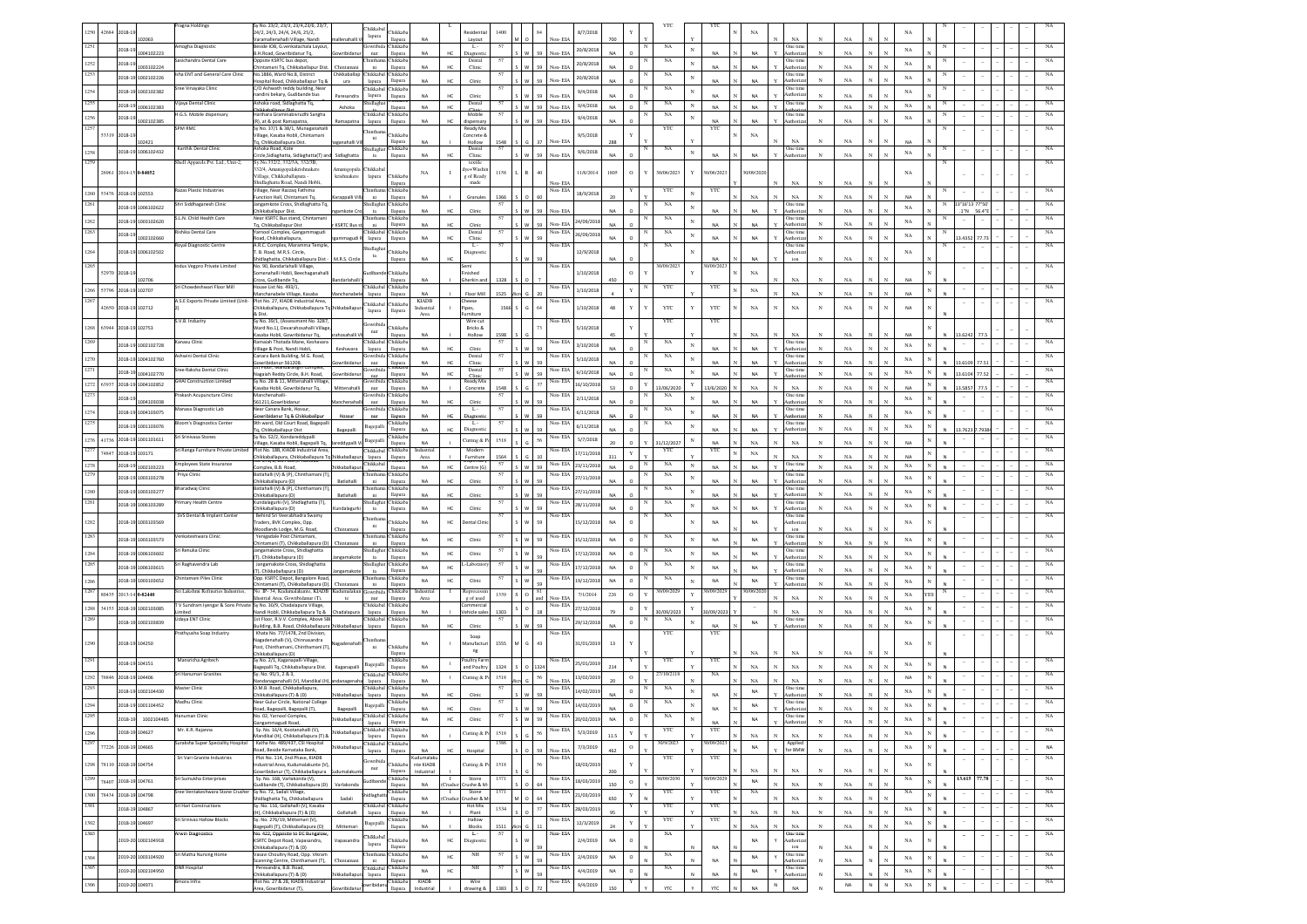|              |                |                               | ragna Holdings                       | y No. 23/2, 23/3, 23/4,23/6, 23/7                                                                               |                        | <b>Thikkabal</b>                         |                           |                            |                                     |            |              |    |                        |             |               |                  | YΤ                    |             |                              |              |             |                              |             |              |                |                          |      |  |                  |
|--------------|----------------|-------------------------------|--------------------------------------|-----------------------------------------------------------------------------------------------------------------|------------------------|------------------------------------------|---------------------------|----------------------------|-------------------------------------|------------|--------------|----|------------------------|-------------|---------------|------------------|-----------------------|-------------|------------------------------|--------------|-------------|------------------------------|-------------|--------------|----------------|--------------------------|------|--|------------------|
|              | 12684<br>2018- | 02063                         |                                      | 24/2, 24/3, 24/4, 24/6, 25/2,<br>aramallenahalli Village, Nand                                                  |                        | lapura                                   | <b>Thikkab</b><br>llapura | <b>NA</b>                  | Layout                              |            |              |    | 8/7/201<br>Non-EL      |             |               |                  |                       | NA          | NA                           |              | NA          |                              |             |              |                |                          |      |  |                  |
|              |                | 2018-19                       | nogha Diagnostic                     | eside IOB, G.venkatachala Layout                                                                                |                        | iowribi                                  | Chikkab                   |                            | Ļ.<br>HC.                           |            |              |    | 20/8/2018              |             |               | NA<br>$_{\rm N}$ |                       | <b>NA</b>   | One tim                      |              | NA          |                              | NA          |              |                |                          |      |  |                  |
|              |                | 004102223                     | asichandra Dental Care               | B.H.Road, Gowribidanur Tq,<br>ppsite KSRTC bus depot,                                                           | wrihidan               | nur<br>hintha                            | llapura<br><b>Chikkab</b> | <b>NA</b>                  | Diagnost<br>Dental                  | 57         |              |    | Non-FIA                |             |               | NA               | NA                    |             | luthoriz<br>One tim          |              |             |                              |             |              |                |                          |      |  |                  |
| 1252         | 2018-19        | 1003102224                    |                                      | .<br>intaman <u>i Tq, Chikkaballapur Dist</u>                                                                   | Chintaman              | ni                                       | llapura                   | <b>NA</b>                  | HC.<br>Clinic                       |            |              | 59 | 20/8/2018<br>Non-EIA   |             |               |                  | NA                    | <b>NA</b>   | luthoriz                     |              | NA          |                              | NA          |              |                |                          |      |  |                  |
| 1253         |                | 2018-19 1002102226            | Isha ENT and General Care Clinic     | No.1886. Ward No.8. District<br>lospital Road, Chikkaballapur To &                                              | ura                    | Chikkaballap Chikkabal Chikkab<br>lapura | llapura                   | <b>NA</b>                  | HC<br>Clinic                        | 57         |              | 59 | 20/8/201<br>Non-EIA    | NΔ          |               | NA<br>N          | <b>NA</b>             | NA          | One time<br>luthoriza        | N            | NA          |                              | NA          |              |                |                          |      |  |                  |
| 1254         |                | 2018-19 1002102382            | Sree Vinayaka Clinic                 | C/O Ashwath reddy building, Near                                                                                |                        | <b>Thikkabal</b>                         | Chikkab:                  |                            |                                     |            |              |    | 9/4/2018               |             |               | NA               |                       |             | One time                     |              |             |                              | NA          |              |                |                          |      |  |                  |
| 1255         |                |                               | Vijaya Dental Clinic                 | andini bekary. Gudibande bus<br>shoka road, Sidlaghatta Tq,                                                     | Paresandra             | lapura<br>Shidlaghat                     | llapura                   | <b>NA</b>                  | HC<br>Clinic                        |            |              | 59 | Non-EL                 |             |               |                  | <b>NA</b>             | <b>NA</b>   | luthoriz                     |              | NA          |                              |             |              |                |                          |      |  |                  |
|              | 2018-19        | 006102383                     |                                      |                                                                                                                 | Ashoka                 | Thikkabal Chikkab                        | llapura                   | <b>NA</b>                  | Dental<br>HC                        | 57         |              | 59 | 9/4/2018<br>Non-EL     | <b>NA</b>   | N<br>$\circ$  | NA               | <b>NA</b>             | NA          | One time                     |              | NA          |                              | NA          |              |                |                          |      |  |                  |
| 1256         |                | 2018-19<br>02102385           | H.G.S. Mobile dispensary             | arihara Graminabivrudhi Sangha<br>R), at & post Ramapatna,                                                      | lamapatr               | lapura                                   | llapura                   | <b>NA</b>                  | Mobile<br>HC<br>dispensar           | 57         |              |    | 9/4/2018<br>Non-EIA    |             |               | NA<br>N          |                       | <b>NA</b>   | One tim<br>uthoria           |              | NA          |                              | NA          |              |                |                          |      |  |                  |
| 1257         |                |                               | SPM RMC                              | y No. 37/1 & 38/1, Munaganahalli                                                                                |                        | hintha                                   | Chikkab                   |                            | Ready Mi:                           |            |              |    |                        |             |               | YTC              | YTC                   | $_{\rm NA}$ |                              |              |             |                              |             |              |                |                          |      |  |                  |
|              | 53319 2018-1   | 02421                         |                                      | illage, Kasaba Hobli, Chintamani<br>q, Chikkaballapura Dist.                                                    | ganahalli <sup>1</sup> | ni                                       | llapura                   | NA                         | Concrete &<br>Hollow                | 1548       |              | 37 | 9/5/2018<br>Non-EL     |             |               |                  |                       |             | NA                           |              | NA          |                              | NA          |              |                |                          |      |  |                  |
| 1258         |                | 2018-19 1006102432            | Karthik Dental Clini                 | Ashoka Road, Kote                                                                                               |                        | Shidlaghat Chikkaba                      | llapura                   | <b>NA</b>                  | Dental<br>HC.<br>Clinic             | 57         |              | ςq | 9/6/2018<br>Non-EIA    | $N\Delta$   |               | NA<br>$_{\rm N}$ | NA                    | <b>NA</b>   | One time<br>luthoriz         | $_{\rm N}$   | NA          |                              | $_{\rm NA}$ |              |                |                          |      |  |                  |
| 1259         |                |                               | Shell Apparels Pvt. Ltd., Unit-2,    | rcle, Sidlaghatta, Sidlaghatta(T) ar<br>Sy.No.332/2, 332/3A, 332/3B,                                            | Sidlaghatta            | ta                                       |                           |                            | textile                             |            |              |    |                        |             |               |                  |                       |             |                              |              |             |                              |             |              |                |                          |      |  | NA               |
|              |                | 26961 2014-15 0-84052         |                                      | 32/4, Amanigopalakrishnakere<br>Village Chikkaballanura -                                                       |                        | manigopala Chikkabal                     |                           | NA                         | lve+Washii<br>-1                    | 1158       |              | 40 | 11/6/2014              | 1805        | $\,$ O        | 30/06/2023<br>Y  | 30/06/2023            | 0/09/202    |                              |              |             |                              | NA          |              |                |                          |      |  |                  |
|              |                |                               |                                      | hidlaghatta Road, Nandi Hobli,                                                                                  | krishnakere            | lapura                                   | Chikkaba<br>llapura       |                            | g of Ready<br>made                  |            |              |    | Non-EIA                |             |               |                  |                       |             | NA                           | $\mathbb{N}$ | NA          |                              |             |              |                |                          |      |  |                  |
| 1260         |                | 53476 2018-19 102553          | Razas Plastic Industries             | Village, Near Razzaq Fathima<br>unction Hall Chintamani To                                                      |                        |                                          | Chikkab.                  |                            |                                     | 1366       |              | 60 | Non-EIA<br>18/9/201    |             |               | YTC              | YTC                   | NA          |                              |              |             |                              | <b>NA</b>   |              |                |                          |      |  |                  |
| 1261         |                | 2018-19 1006102622            | Shri Siddhaganesh Clinic             | angamkote Cross, Shidlaghatta Tq                                                                                | arappalli Vil          | ni<br>hidlagha                           | llapura<br>Chikkab        | <b>NA</b>                  | Granule:                            | 57         |              |    |                        |             |               | NA               |                       |             | NA<br>One tim                | N            | NA          |                              |             |              |                | 3"16"13 77"5             |      |  |                  |
|              |                |                               |                                      | hikkahallanur Dist                                                                                              | amkote Cr              | ta                                       | llapura                   | <b>NA</b>                  | HC.<br>Clinic                       |            |              | 59 | Non-EIA                |             |               |                  | <b>NA</b>             | <b>NA</b>   | luthoriz                     |              | NA          |                              | NA          |              |                | $.1"N$ 56.4"             |      |  |                  |
| 1262         |                | 2018-19 1003102620            | S.L.N. Child Health Care             | Near KSRTC Bus stand, Chintamani<br>Tq, Chikkaballapur Dist                                                     | <b>KSRTC Bus</b>       | <b>Thintham</b><br>ni                    | Chikkaba<br>llapura       | <b>NA</b>                  | HC<br>Clinic                        | 57         |              | 59 | 24/09/2018<br>Non-EIA  |             |               | NA               | <b>NA</b>             | <b>NA</b>   | One time<br>uthoriza         |              | NA          |                              | NA          |              |                | $\sim$                   |      |  | NA               |
| 1263         | 2018-19        |                               | kishika Dental Care                  | farnool Complex, Gangammagudi                                                                                   |                        | Chikkabal Chikkaba                       |                           | <b>NA</b>                  | Dental<br>HC                        | 57         |              |    | Non-EIA<br>26/09/2018  | <b>NA</b>   |               | NA<br>$_{\rm N}$ | <b>NA</b>             |             | One time                     |              |             |                              | $_{\rm NA}$ |              |                |                          |      |  | NA               |
|              |                | 1002102660                    | <b>Royal Diagnostic Centre</b>       | oad, Chikkaballapura,<br>A.R.C. Complex, Maramma Temple                                                         | ammagudi               | lapura                                   | llapura                   |                            | Clinic<br>- L -                     | 57         |              | 59 | Non-EIA                |             |               | NA               |                       | NA          | <b>Authoriza</b><br>One time |              | $_{\rm NA}$ |                              |             |              |                | 3.4352                   | 77.7 |  | NA               |
|              |                | 2018-19 1006102502            |                                      | B. Road, M.R.S. Circle,                                                                                         |                        | Shidlagha<br>$12$                        | Chikkaba                  |                            | Diagnosti                           |            |              |    | 12/9/2018              |             |               |                  |                       |             | luthoriz                     |              |             |                              | $_{\rm NA}$ |              |                |                          |      |  |                  |
|              |                |                               | ndus Vegpro Private Limited          | hidlaghatta, Chikkaballapura Dist-<br>No. 90, Bandarlahalli Village,                                            | M.R.S. Circle          |                                          | llapura                   | <b>NA</b>                  | HC                                  |            |              |    | Non-EIA                | <b>NA</b>   |               | 30/09/2023       | <b>NA</b><br>1/09/202 | NA          | ion                          |              | $_{\rm NA}$ |                              |             |              |                |                          |      |  |                  |
|              | 52970 2018-19  |                               |                                      | menahalli Hobli, Beechaganahall                                                                                 |                        |                                          | Chikkab                   |                            | tished                              |            |              |    | 1/10/201               |             | $\circ$<br>Y  |                  |                       | $_{\rm NA}$ |                              |              |             |                              |             |              |                |                          |      |  |                  |
|              |                | 02706                         | Sri Chowdeshwari Floor Mill          | ross, Gudibande Tq,<br>House List No. 493/1,                                                                    |                        | hikkaba                                  | llapura<br>Chikkab        | <b>NA</b>                  | Gherkin an                          | 1328       |              |    | Non-EIA                | 450         |               | YTC              | YTC                   |             | $_{\rm NA}$                  |              | NA          |                              | NA          |              |                |                          |      |  |                  |
|              |                | 1266 53796 2018-19 102707     |                                      | lanchanabele Village, Kasaba                                                                                    |                        | lapura                                   | llapura                   | NA                         | Floor Mil                           | 1525       |              |    | 1/10/2018              |             | Y             |                  |                       | $_{\rm NA}$ | NA                           |              | NA          |                              | NA          |              |                |                          |      |  |                  |
|              |                | 42650 2018-19 102712          | A.S.E Exports Private Limited (Unit- | Plot No. 27, KIADB Industrial Area<br>hikkaballapura, Chikkaballapura Tq                                        |                        | Chikkabal Chikkaba                       |                           | <b>KIADB</b><br>Industrial | Theese<br>lipes,                    | 1566       |              | 64 | Non-EIA<br>1/10/2018   | 48          |               | YTC              | YTC                   | $_{\rm NA}$ | $_{\rm NA}$                  | $_{\rm N}$   | $_{\rm NA}$ | N                            | NA          |              |                |                          |      |  |                  |
|              |                |                               |                                      | & Dist                                                                                                          |                        | lapura                                   | llapura                   | Area                       | nitur                               |            |              |    |                        |             |               |                  |                       |             |                              |              |             |                              |             |              |                |                          |      |  |                  |
|              |                | 1268 63944 2018-19 102753     | S.V.B. Industry                      | Sy No. 39/1, (Assessment No. 3287<br>Ward No.1), Devarahosahalli Villag                                         |                        | Jowribio                                 | Chikkab                   |                            | Wire cut<br>Bricks &                |            |              |    | Non-EIA<br>5/10/2018   |             |               | YTC              | YTC                   |             |                              |              |             |                              |             |              |                |                          |      |  |                  |
|              |                |                               |                                      | .<br>Gasaba Hobli, Gowribidanur Tq.                                                                             |                        | nur                                      | llapura                   | <b>NA</b>                  | Hollow                              | 1598       |              |    |                        |             |               |                  |                       | NA          | NA                           |              | NA          |                              |             |              |                | 3.6242                   |      |  |                  |
|              |                | 2018-19 1002102728            | Kanasu Clinic                        | amaiah Thotada Mane, Keshavar<br>illage & Post, Nandi Hobli,                                                    |                        | Chikkabal Chikkab<br>lapura              | llapura                   | NA                         | Clini                               | 57         |              |    | Non-EIA<br>3/10/2018   | <b>NA</b>   |               | NA               | <b>NA</b>             | NA          | One tim<br>uthoriz           |              | NA          |                              | $_{\rm NA}$ |              |                |                          |      |  |                  |
| 1270         |                | 2018-19 1004102760            | Ashwini Dental Clinic                | Canara Bank Building, M.G. Road,                                                                                |                        | lowribida Chikkab                        |                           |                            | Dental                              | 57         |              |    | Non-EIA<br>5/10/201    |             |               | NA               |                       |             | One tim                      |              |             |                              | NA          |              |                |                          |      |  |                  |
|              |                |                               | Sree Raksha Dental Clinic            | wribidanur-561208.<br>t Hoor, Mandarangir                                                                       |                        | nur<br>Gowribio                          | llapura                   | <b>NA</b>                  | HC.<br>Clinic<br>Dental             | 57         |              |    | Non-EIA<br>6/10/201    | $N\Delta$   | $\Omega$      | NA               | NA                    | <b>NA</b>   | uthoriza<br>One time         |              | NA          |                              |             |              |                | 3.6105                   |      |  |                  |
|              | 2018-19        | 1004102770                    |                                      | agaiah Reddy Circle, B.H. Road,<br>Sv No. 28 & 11, Mittenahalli Villag                                          | wrihidan               |                                          | llapura                   | <b>NA</b>                  | HC.<br>Clinic                       |            |              |    |                        | <b>NA</b>   |               |                  | NA                    | NA          | thori                        | N            | NA          |                              | NA          |              |                | 3 6104                   |      |  |                  |
|              |                | 1272 63937 2018-19 1004102852 | <b>GHAI Construction Limited</b>     | asaba Hobli, Gowribidanur To.                                                                                   | dittenahalli           | Gowribida Chikkab<br>nur                 | llapura                   | <b>NA</b>                  | Ready Mix<br>Concrete               | 1548       |              | 37 | Non-EIA<br>16/10/201   | 52          | Y<br>$\Omega$ | 13/06/2020       | 3/6/2020              | NA          | NA                           |              | NA          |                              | <b>NA</b>   |              |                | 3 5857                   |      |  |                  |
| 1273         |                | 1018-19                       | Prakash Acupuncture Clinic           | danchenahalli-                                                                                                  |                        | owribi                                   | <b>Chikkab</b>            | <b>NA</b>                  | нc<br>Clinic                        | 57         |              |    | Non-EIA<br>2/11/201    |             |               | NA               | <b>NA</b>             | <b>NA</b>   | One time                     |              | NA          |                              | $_{\rm NA}$ |              |                |                          |      |  |                  |
|              |                | 1004103038                    | Manasa Diagnostic Lab                | 61211.Gowribidanu<br><b>Near Canara Bank Hossur</b>                                                             |                        | nur<br>jowribida Chikkaba                | llapura                   |                            | $L -$                               | 57         |              |    | Non-EIA                |             |               | NA               |                       |             | uthoriz<br>One tim           |              |             |                              |             |              |                |                          |      |  |                  |
| 1274<br>1275 |                | 2018-19 1004103075            |                                      | owribidanur Tq & Chikkaballpu                                                                                   | Hossur                 | nur                                      | llapura                   | <b>NA</b>                  | нс<br>Diagnost                      |            |              |    | 6/11/201               |             |               |                  | <b>NA</b>             | NA          | Authoriza                    |              | $_{\rm NA}$ |                              | NA          |              |                |                          |      |  |                  |
|              |                | 2018-19 1001103076            | Iloom's Diagnostics Center           | 9th ward, Old Court Road, Bagepal<br>q, Chikkaballapur Dist                                                     | Bagepalli              | Bagepal                                  | Chikkaba<br>llapura       | <b>NA</b>                  | - L -<br>HC<br>Diagnos              | 57         |              |    | Non-EIA<br>6/11/2018   | <b>NA</b>   |               | NA               | <b>NA</b>             | <b>NA</b>   | One time<br>luthoriz         |              | NA          |                              | $_{\rm NA}$ |              |                | 3.7623                   |      |  |                  |
|              |                | 1276 41736 2018-19 1001101611 | Sri Sriniyasa Stones                 | Sy No. 52/2, Kondareddypall                                                                                     |                        | Bagepall                                 | Chikkaba                  | <b>NA</b>                  | Cutting & Po                        | 1518       |              | 56 | Non-EIA<br>5/7/2018    |             |               |                  | <b>NA</b>             | NA          |                              |              | NA          |                              | <b>NA</b>   |              |                |                          |      |  |                  |
| 1277         |                | 74847 2018-19 103171          |                                      | Village, Kasaba Hobli, Bagepalli Tq,<br>Sri Ranga Furniture Private Limited Plot No. 18B, KIADB Industrial Area | reddypalli \           | Chikkabal Chikkaba                       | llapura                   | Industrial                 | Modern                              |            |              |    | Non-EIA<br>17/11/2018  |             |               | 1/12/2027<br>YTC | YTC                   |             | $_{\rm NA}$                  |              |             |                              |             |              |                |                          |      |  | NA               |
|              |                |                               | Employees State Insurance            | hikkaballapura, Chikkaballapura Tq.                                                                             | iikkabal               | lapura<br>Thikkaba                       | llapura                   | Area                       | Furniture                           | 1564<br>57 |              |    | Non-EIA                | 311         | $\mathbf Y$   | NA               |                       | $_{\rm NA}$ | $_{\rm NA}$<br>One tim       |              | NA          |                              | <b>NA</b>   |              |                |                          |      |  | NA               |
| 1278<br>1279 |                | 2018-19 1002103223            |                                      | mplex, B.B. Road.<br>atlahalli (V) & (P), Chinthamani (T                                                        | hikkaballap            | <b>Thintham</b>                          | llapura<br>Chikkab        | NA                         | HC<br>Centre (G)                    |            | w            | 59 | 23/11/2018             | NA          | $\Omega$      | N                | NA                    | NA          | One tim                      | $_{\rm N}$   | NA          | $\mathbf N$<br>$\mathbf{N}$  | $_{\rm NA}$ |              |                |                          |      |  |                  |
|              |                | 2018-19 1003103278            | Priya Clinic                         | hikkaballapura (D)                                                                                              | Batlahalli             | ni                                       | llapura                   | <b>NA</b>                  | HC.<br>Clinic                       |            |              |    | Non-EIA<br>27/11/201   |             |               | NA               | <b>NA</b>             | <b>NA</b>   | luthoriz                     |              | NA          |                              | NA          |              |                |                          |      |  |                  |
| 1280         |                | 2018-19 1003103277            | Bharadwaj Clinic                     | Batlahalli (V) & (P), Chinthamani (T)<br>hikkaballapura (D)                                                     | Batlahalli             | <b>Thinthar</b><br>ni                    | Chikkaba<br>llapura       | <b>NA</b>                  | HC.<br>Clinic                       | 57         |              |    | Non-EIA<br>27/11/201   |             |               | NA               | <b>NA</b>             | <b>NA</b>   | One time<br>uthoriza         |              | NA          |                              | $_{\rm NA}$ |              |                |                          |      |  | NA               |
| 1281         |                | 2018-19 1006103289            | Primary Health Centre                | lundalagurki (V), Shidlaghatta (T),                                                                             |                        | Shidlaghat                               | Chikkab:                  |                            |                                     | 57         |              |    | Non-EIA<br>28/11/2018  |             |               | NA<br>$_{\rm N}$ |                       |             | One time                     |              |             |                              | NA          |              |                |                          |      |  |                  |
|              |                |                               | SVS Dental & Implant Center          | hikkaballapura (D)<br>Behind Sri Veerabhadra Swamy                                                              | ndalagurk              | ta                                       | llapura                   | <b>NA</b>                  | HC<br>Clinic                        | 57         |              |    | Non-EIA                | NA          |               | NA               | <b>NA</b>             | <b>NA</b>   | <b>Authoriza</b><br>One time |              | $_{\rm NA}$ |                              |             |              |                |                          |      |  |                  |
|              |                | 2018-19 1003103569            |                                      | raders, BVK Complex, Opp.                                                                                       |                        | hinthar<br>ni                            | Chikkaba                  | NA                         | HC<br>Dental Clini                  |            |              | 59 | 15/12/2018             | NA          | $\circ$       |                  | NA                    | NA          | luthoriz                     |              |             |                              | $_{\rm NA}$ |              |                |                          |      |  |                  |
|              |                |                               | enkateshwara Clinic                  | Voodlands Lodge, M.G. Road,<br>Yenigadale Post Chintamani,                                                      | hintaman               | hintha                                   | llapura<br>Chikkaba       |                            |                                     | 57         |              |    | Non-EIA                |             | N             | NA               |                       |             | ion<br>One time              |              | NA          |                              |             |              |                |                          |      |  |                  |
|              |                | 2018-19 1003103573            |                                      | hintamani (T), Chikkaballapura (D)                                                                              | Chintaman              | ni                                       | llapura                   | <b>NA</b>                  | HC<br>Clinic                        |            | $\mathsf{w}$ | 59 | 15/12/2018             | <b>NA</b>   | $\circ$       |                  | NA                    | NA          | uthoriz                      |              | $_{\rm NA}$ |                              | $_{\rm NA}$ |              |                |                          |      |  |                  |
| 1284         |                | 2018-19 1006103602            | ri Renuka Clinic                     | angamakote Cross, Shidlaghatta<br>T), Chikkaballapura (D)                                                       |                        | shidlagha<br>ta                          | Thikkaba<br>llapura       | <b>NA</b>                  | HC<br>Clinic                        | 57         | W            |    | √on- EIA<br>17/12/2018 | <b>NA</b>   | $\circ$       | NA<br>N          | NA                    | NA          | One time<br>luthoriz         |              | $_{\rm NA}$ |                              | NA          |              |                |                          |      |  |                  |
|              |                | 2018-19 1006103615            | iri Raghavendra Lab                  | Jangamakote Cross, Shidlaghatta                                                                                 |                        | hidlagh                                  | hikkab:                   | <b>NA</b>                  | Laborato<br>HC                      | 57         | w            |    | Non- EIA<br>17/12/2018 | <b>NA</b>   | $\circ$       | NA               | <b>NA</b>             | NA          | One tim                      |              |             |                              | NA          |              |                |                          |      |  |                  |
|              |                |                               | hintamani Piles Clinic               | [), Chikkaballapura (D)<br>Opp. KSRTC Depot, Bangalore Road                                                     | ngama                  | $12$<br>hintha                           | llapura<br>Chikkaba       |                            |                                     | 57         |              |    | Non-EIA                |             |               | $_{\rm NA}$      |                       |             | uthori<br>One time           |              | NA          |                              |             |              |                |                          |      |  |                  |
| 1286         |                | 2018-19 1003103652            |                                      | tamani (T), Chikkaballapura (D)                                                                                 | Chintaman              | ni                                       | llapura                   | NA                         | HC<br>Clinic                        |            |              |    | 19/12/2018             | NA          | $\circ$       |                  | NA                    | $_{\sf NA}$ | kuthoriz                     | $_{\rm N}$   | NA          |                              | NA          |              |                |                          |      |  |                  |
| 1287         |                | 80435 2013-14 0-82440         | šri Lakshmi Refineries Industries,   | No. IP-34, Kudumalakunte, KIADE<br>strial Area, Gowribidanur (T),                                               | lumalaku               | iowribi<br>nur                           | Chikkab<br>llapura        | Industria<br>Area          | Reproces:<br>g of used              | 1339       |              |    | 7/1/2014<br>Non-FIA    | 226         | $\circ$<br>Y  | 30/09/2029       | 10/09/202             | 0/06/20     | NA                           |              | NA          |                              | NA          |              |                |                          |      |  |                  |
| 1288         |                | 34153 2018-19 1002103085      | V Sundram Iyengar & Sons Private     | Sy No. 30/9, Chadalapura Village,                                                                               |                        | Chikkabal Chikkaba                       |                           |                            | nmercia                             |            |              |    | Non-EIA<br>27/12/2018  |             | $\circ$<br>Y  |                  |                       | $\sim$      |                              |              |             |                              | NA          |              |                |                          |      |  |                  |
|              |                |                               | hetin<br>Udaya ENT Clinic            | landi Hobli, Chikkaballapura Tq &<br>1st Floor, R.V.V. Complex, Above Si                                        | adalapura              | lapura<br>Chikkabal Chikkaba             | llapura                   | <b>NA</b>                  | Vehicle sale                        | 1303<br>57 |              |    | Non-EIA                |             |               | 0/09/2023<br>NA  | 1/09/2023             |             | NA<br>One time               |              | NA          |                              |             |              |                |                          |      |  |                  |
|              |                | 2018-19 1002103839            |                                      | uilding, B.B. Road, Chikkaballapura                                                                             | ikkaballapu            | lapura                                   | llapura                   | <b>NA</b>                  | HC.<br>Clini                        |            |              | 59 | 29/12/2018             | <b>NA</b>   | $\circ$       |                  | NA                    | $_{\sf NA}$ | luthoriz                     | $_{\rm N}$   | NA          |                              | $_{\rm NA}$ |              |                |                          |      |  |                  |
|              |                |                               | Prathyusha Soap Industry             | Khata No. 77/1478. 2nd Division.<br>Nagadenahalli (V), Chinnasandra                                             |                        | hinths                                   |                           |                            | Soap                                |            |              |    | Non-EIA                |             |               | YTC              | YTC                   |             |                              |              |             |                              |             |              |                |                          |      |  |                  |
|              |                | 2018-19 104250                |                                      | Post, Chinthamani, Chinthamani (T                                                                               |                        | ni                                       | <b>Chikkab</b>            | <b>NA</b>                  | fanufactu<br>ng                     | 1555       |              | 43 | 31/01/2019             | 13          |               |                  |                       |             |                              |              |             |                              | NA          |              |                |                          |      |  |                  |
| 1291         |                |                               | Mansricha Agritech                   | hikkaballapura (D)<br>Sy No. 2/1, Kaganapalli Village,                                                          |                        |                                          | llapura<br>Chikkaba       |                            | Poultry Farr                        |            |              |    | Non-EIA                |             |               | YTC              | YTC                   | NA          | NA                           |              | NA          |                              |             |              |                |                          |      |  |                  |
|              |                | 2018-19 104151                |                                      | agepalli Tq, Chikkaballapura Dist.                                                                              | Kaganapall             | Bagepal                                  | llapura                   | <b>NA</b>                  | $\mathbf{1}$<br>and Poultr          | 1324       |              |    | 25/01/2019             |             |               |                  |                       | NA          | $_{\rm NA}$                  |              | $_{\rm NA}$ |                              | NA          |              |                |                          |      |  |                  |
| 1292         | 76846          | 2018-19 104406                | Sri Hanuman Granites                 | Sv. No. 95/1, 2 & 3.<br>landanagenahalli (V), Mandikal (H                                                       |                        | Chikkabal Chikkaba<br>lapura             | llapura                   | <b>NA</b>                  | $\mathbf{I}$<br>Cutting & Po        | 1518       |              | 56 | 13/02/2019<br>Non-EIA  |             | $\circ$       | 27/10/2118       | NA                    | NA          | $_{\rm NA}$                  |              | NA          |                              | <b>NA</b>   |              |                |                          |      |  | NA               |
| 1293         |                | 2018-19 1002104430            | Master Clinic                        | ).M.B. Road, Chikkaballapura,                                                                                   |                        | Chikkabal Chikkab                        |                           |                            |                                     |            |              |    | Non-EIA<br>14/02/2019  |             | $\circ$       | NA               |                       | NA          | One time                     |              |             |                              | $_{\rm NA}$ |              |                |                          |      |  |                  |
|              |                |                               | Madhu Clinic                         | Chikkaballapura (T) & (D)<br>Near Gulur Circle, National College                                                | hikkaballapu           | lapura                                   | llapura<br>Chikkab:       | <b>NA</b>                  | Clinic                              | 57         |              |    | Non-EIA                | NA          | N             | NA               | NA                    |             | Authoriza<br>One time        |              | NA          |                              |             |              |                |                          |      |  |                  |
| 1294         |                | 2018-19 1001104452            |                                      | oad, Bagepalli, Bagepalli (T),                                                                                  | Bagepalli              | Bagepalli                                | llapura                   | <b>NA</b>                  |                                     |            |              |    | 14/02/2019             | NA          | $\circ$       |                  | <b>NA</b>             | NA          | uthoriza                     |              | NA          |                              | $_{\rm NA}$ |              |                |                          |      |  |                  |
| 1295         |                | 2018-19 1002104485            |                                      | ). 02. Yan<br>Gangammagudi Road,                                                                                | hikkaballap            | Chikkab<br>lapura llapura                |                           | <b>NA</b>                  | HC<br>Clinic                        |            | <b>W</b>     | 59 | Non-EIA<br>20/02/2019  | NA O        |               | N                | NA                    | <b>NA</b>   | Authorizat                   | $_{\rm N}$   | $_{\rm NA}$ | $_{\rm N}$<br>$_{\rm N}$     | NA          | $_{\rm N}$   | $\overline{N}$ |                          |      |  |                  |
| 1296         |                | 2018-19 104627                | Mr. K.R. Rajanna                     | Sy. No. 16/4, Kootanahalli (V),                                                                                 | hikkaballapu           | Chikkabal Chikkaba                       |                           |                            | Cutting & Po                        | 1518       |              | 56 | Non-EIA<br>5/3/2019    |             | $\mathbf Y$   | YTC              | YTC                   |             |                              |              |             |                              | $_{\rm NA}$ | $\mathbf{N}$ |                |                          |      |  | NA               |
| 1297         |                |                               | iuraksha Super Speciality Hospital   | indikal (H), Chikkaballapura (T) 8<br>Katha No. 489/437, CSI Hospital                                           |                        | lapura llapura<br>Chikkabal Chikkaba     |                           | NA                         |                                     | 1386       |              |    |                        | 11.5        |               | 30/9/2023        | 30/09/2023            | NA          | $_{\rm NA}$<br>Applied       | $\mathbf{N}$ | $_{\rm NA}$ |                              |             |              |                |                          |      |  |                  |
|              |                | 77226 2018-19 104665          |                                      | oad, Beside Karnataka Bank,                                                                                     | ikkaballap             | lapura                                   | llapura                   | NA                         | HC<br>Hospital                      |            |              | 59 | 7/3/2019<br>Non-EIA    | 462         | $\circ$       |                  |                       | NA          | for BMW                      | $_{\rm N}$   | $_{\rm NA}$ |                              | $_{\rm NA}$ | $_{\rm N}$   |                |                          |      |  | NA               |
|              |                | 1298 78110 2018-19 104754     | Sri Vari Granite Industries          | Plot No. 114, 2nd Phase, KIADB                                                                                  |                        | lowribida                                | Chikkaba                  | Kudumalaku                 |                                     | $1518\,$   |              | 56 | Non-EIA<br>18/03/2019  |             | $\mathbf Y$   | YTC              | YTC                   |             |                              |              |             |                              | $_{\rm NA}$ |              |                |                          |      |  | NA               |
|              |                |                               |                                      | lustrial Area, Kudumalakunte (V)<br>wribidanur (T), Chikkaballapura                                             | dumalakun              | $_{\rm nur}$                             | llapura                   | nte KIADB<br>Industrial    | Cutting & P                         |            |              |    |                        | 200         |               |                  |                       | $_{\rm NA}$ | $_{\rm NA}$                  | $_{\rm N}$   | $_{\rm NA}$ | N                            |             |              |                |                          |      |  |                  |
| 1299         |                | 78407 2018-19 104761          | iri Sumukha Enterprises              | Sy. No. 168, Varlakonda (V),                                                                                    | /arlakond              | sudiban                                  | Chikkaba                  | $_{\sf NA}$                | Stone<br>rushe & M                  | 1371       |              |    | Non-EIA<br>18/03/2019  | 150         | $\,$ O        | 0/09/2030        | 0/09/2029             | NA          | $_{\rm NA}$                  | $_{\rm N}$   | $_{\rm NA}$ | $\mathbf N$                  | NA          |              |                | 3.615                    |      |  | NA               |
|              |                | 1300 78434 2018-19 104798     | ree Ventakeshwara Stone Crusher      | fibande (T), Chikkaballapura (D)<br>Sy No. 72, Sadali Village,                                                  |                        |                                          | llapura<br>Chikkaba       |                            | hushe<br>Stone<br>$\mathbf{I}$      | 1371       |              |    | Non-EIA                |             |               | $_{\rm YTC}$     | YTC                   | $_{\rm NA}$ |                              |              |             |                              | $_{\rm NA}$ |              |                | $\overline{\phantom{a}}$ |      |  | $_{\rm NA}$      |
|              |                |                               |                                      | idlaghatta Tq, Chikkaballapura                                                                                  | Sadali                 | hidlaghatt <mark>.</mark>                | llapura                   | <b>NA</b>                  | Crusher<br>rusher & M               |            |              | 64 | 21/03/2019             | 650         | $\mathbf Y$   |                  |                       |             | $_{\rm NA}$                  | $_{\rm N}$   | $_{\rm NA}$ | $\mathbf{N}$<br>$\mathbb{N}$ |             |              |                |                          |      |  |                  |
| 1301         |                | 2018-19 104867                | Sri Hari Constructions               | šy. No. 116, Gollahalli (V), Kasaba<br>H), Chikkaballapura (T) & (D)                                            | Gollahalli             | Thikkabal Chikkaba<br>lapura             | llapura                   | <b>NA</b>                  | Hot Mix<br>Plant                    | 1334       |              | 37 | Non-EIA<br>28/03/2019  | 95          |               | YTC              | YTC                   | $_{\rm NA}$ | $_{\rm NA}$                  | $_{\rm N}$   | $_{\rm NA}$ | $\mathbf{N}$<br>N            | $_{\rm NA}$ |              | M              | $\sim$                   |      |  | NA               |
| 1302         |                | 2018-19 104697                | iri Srinivas Hallow Blocks           | y. No. 276/19, Mittemari (V),                                                                                   |                        | Bagepalli                                | Chikkab.                  | <b>NA</b>                  | Hallow                              | 1511       |              |    | Non-EIA<br>12/3/2019   | 24          | $\mathbf Y$   | YTC              | YTC                   | $_{\rm NA}$ | NA                           | $_{\rm N}$   | NA          | $\mathbf{N}$                 | $_{\rm NA}$ |              |                | $\sim$                   |      |  | NA               |
| 1303         |                |                               | <b>Arwin Diagnostics</b>             | lagepalli (T), Chikkaballapura (D)<br>No. 422, Opposite to DC Bungalow                                          | Mittema                |                                          | llapura                   |                            | Blocks<br>$\mathbf{L}_{\mathrm{B}}$ | 57         |              | 11 | Non-EIA                |             |               | $_{\rm NA}$      |                       |             | One time                     |              |             |                              |             |              |                | $\overline{\phantom{a}}$ |      |  | $_{\rm NA}$      |
|              |                | 2019-20 1002104918            |                                      | KSRTC Depot Road, Vapasandra,                                                                                   | /apasand               | Chikkabal<br>lapura                      | Chikkaba                  | NA                         | HC<br>Diagnostic                    |            |              |    | 2/4/2019               | NA          | $\circ$       |                  |                       | NA          | luthoriza                    |              |             |                              | $_{\rm NA}$ |              |                |                          |      |  |                  |
|              |                |                               | Sri Matha Nursing Home               | hikkaballapura (T) & (D)<br>Vasavi Choultry Road, Opp. Vikram                                                   |                        | hinthar                                  | llapura<br>Chikkaba       |                            | NH                                  | 57         |              |    | Non-EIA                |             |               | NA               | NA                    |             | ion<br>One time              | N            | $_{\rm NA}$ |                              |             |              |                |                          |      |  | NA               |
| 1304         |                | 2019-20 1003104920            |                                      | canning Centre, Chinthamani (T).                                                                                |                        | ni                                       | llapura                   | NA                         | HC                                  |            |              | 59 | 2/4/2019               | NA          | $\circ$       |                  | <b>NA</b>             | $_{\sf NA}$ | luthoriza                    | N            | NA          | $_{\rm N}$<br>N              | $_{\rm NA}$ |              |                |                          |      |  |                  |
| 1305         |                | 2019-20 1002104950            | <b>DNR Hospital</b>                  | Peresandra, B.B. Road.<br>hikkaballapura (T) & (D)                                                              |                        | Thikkabal Chikkaba<br>lapura             | llapura                   | NA                         | NH<br>HC                            | 57         |              | ςq | Non-EIA<br>4/4/2019    | $_{\sf NA}$ | $\circ$       | NA               | <b>NA</b>             | $_{\rm NA}$ | One time<br>luthoriza        | N            | NA          |                              | $_{\rm NA}$ |              |                | $\sim$                   |      |  | NA               |
|              |                |                               | Imora Infra                          | Plot No. 27 & 28, KIADB Industrial                                                                              |                        | wribid                                   | Chikkaba                  | KIADB                      | Wire                                | 1383       |              |    | Non-EIA<br>9/4/2019    | 150         |               | <b>YTC</b>       | YTC                   | NA          | <b>NA</b>                    |              | $_{\sf NA}$ | $\mathbf N$<br>$_{\rm N}$    | $_{\rm NA}$ |              |                |                          |      |  | $_{\mathrm{NA}}$ |
| 1306         |                | 2019-20 104971                |                                      | rea, Gowribidanur (T),                                                                                          |                        |                                          | llapura                   | Industria                  | rawing 8                            |            |              |    |                        |             |               |                  |                       |             |                              |              |             |                              |             |              |                |                          |      |  |                  |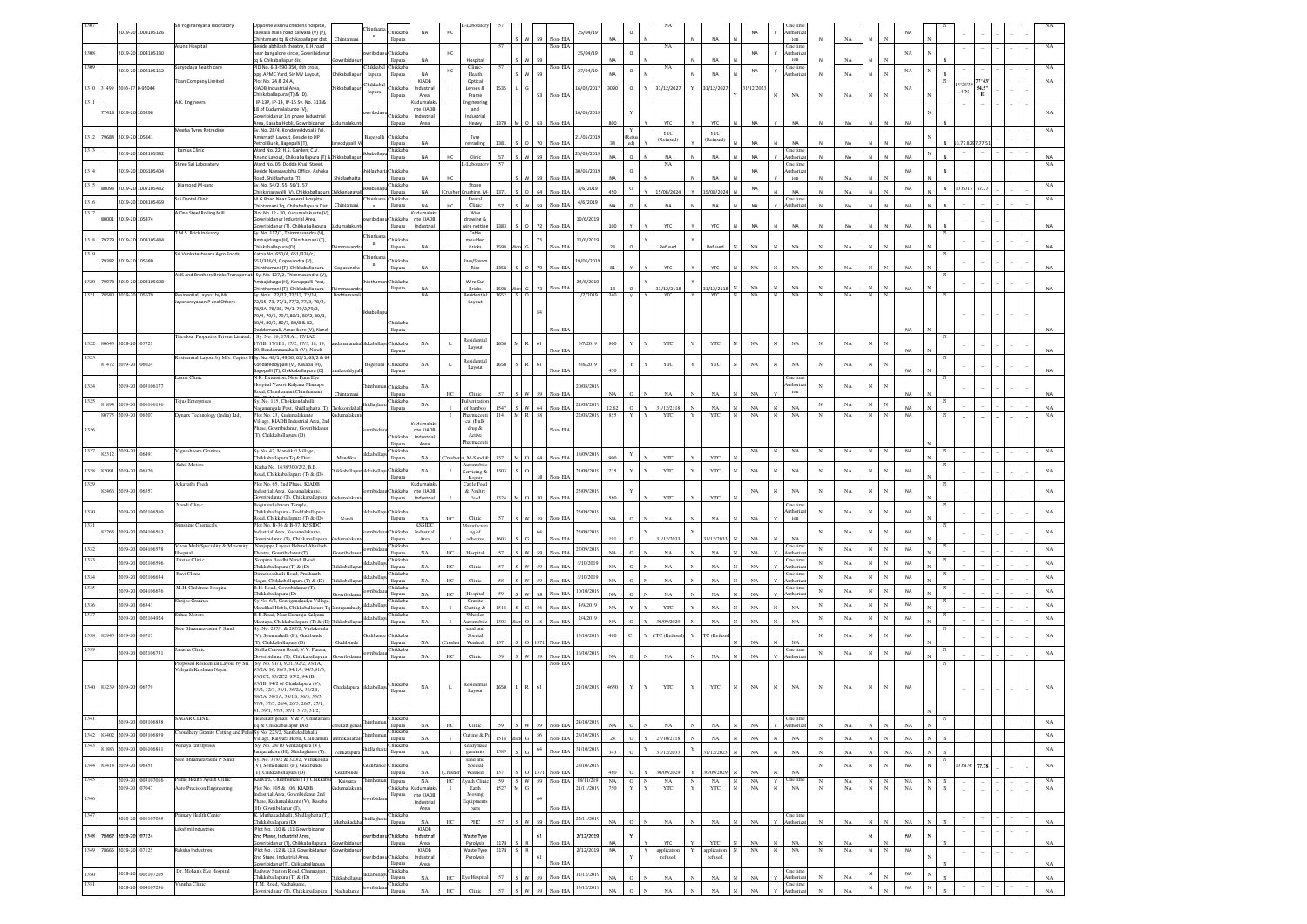|                           |       |                      | 2019-20 1003105126                          | Sri Yoginareyana laboratory                                                             | Opposite vishnu childens hospital,<br>kaiwara main road kaiwara (V) (P),                                                                         |                       | ni                | hikkab                               | <b>NA</b>                         | HC               |                                 |              |                                                |                  |                     | 25/04/19                                  |                        |             |                          |                 |                                        | NA                     |                   | Dne tin<br>uthoriz                |                          |                   |                          |                          |                 |                             |                          |            |  |                   |
|---------------------------|-------|----------------------|---------------------------------------------|-----------------------------------------------------------------------------------------|--------------------------------------------------------------------------------------------------------------------------------------------------|-----------------------|-------------------|--------------------------------------|-----------------------------------|------------------|---------------------------------|--------------|------------------------------------------------|------------------|---------------------|-------------------------------------------|------------------------|-------------|--------------------------|-----------------|----------------------------------------|------------------------|-------------------|-----------------------------------|--------------------------|-------------------|--------------------------|--------------------------|-----------------|-----------------------------|--------------------------|------------|--|-------------------|
| 308                       |       |                      | 2019-20 1004105130                          | runa Hospital                                                                           | hintamani tq & chikaballapur dist<br>side abhilash theatre, B.H.road<br>ear bangalore circle, Gowribidanu                                        | Chintaman             |                   | llapura<br>hikkab:                   |                                   | HC               |                                 |              |                                                | W 59             | Non-EIA<br>lon- El∕ | 25/04/19                                  | NA                     | $\circ$     | NA                       |                 |                                        | NA                     |                   | ion<br><b>Dne</b> time<br>uthoriz |                          | $_{\rm NA}$       |                          |                          | NA              |                             |                          |            |  |                   |
| 1309                      |       |                      |                                             | uryodaya health care                                                                    | & Chikaballapur dist<br>ID No. 6-3-590-350, 6th cross,                                                                                           |                       | hikkab            | lapura<br>Chikkaba                   |                                   |                  | Clinic                          | 57           |                                                |                  | Non-EIA             |                                           |                        |             | $_{\rm NA}$              |                 |                                        |                        |                   | ion<br>One time                   |                          | NA                |                          |                          |                 |                             |                          |            |  | NA                |
|                           |       |                      | 2019-20 1002105152                          | <b>Fitan Company Limited</b>                                                            | pp.APMC Yard, Sir MV Layout<br>lot No. 24 & 24 A,                                                                                                |                       | lapura<br>hikkaba | llapura                              | <b>NA</b><br>KIADB                | HC               | Health<br>Optical               |              |                                                |                  |                     | 27/04/19                                  | NΔ                     | $\circ$     |                          |                 | NA                                     | NA                     |                   | athoriz                           |                          | $_{\rm NA}$       |                          |                          | $_{\rm NA}$     |                             | 3°24'39                  | 77°43      |  | NA                |
| 1310                      | 31499 |                      | 2016-17 0-95044                             |                                                                                         | KIADB Industrial Area<br>hikkaballapura (T) & (D)                                                                                                |                       | lapura            | hikkab<br>lapura                     | Industria<br>Area                 |                  | Lenses &<br>Frame               | 1535         |                                                | 53               | Non-EIA             | 6/02/201                                  | 3090                   | $\circ$     | 31/12/2027               | Y               | 31/12/2027                             | /12/202                |                   | $_{\rm NA}$                       |                          | $_{\rm NA}$       |                          |                          | NA              |                             | $A^{\dagger}$ N          | 54.5"<br>Е |  |                   |
| 1311                      |       | 77418 2019-20 105298 |                                             | A.K. Engineers                                                                          | P-13P, IP-14, IP-15 Sy. No. 313 &<br>18 of Kudumalakunte (V),                                                                                    |                       | wribida           | hikkab                               | udumala<br>nte KIADB<br>Industria |                  | ngineerin<br>and<br>ndustrial   |              |                                                |                  |                     | 16/05/201                                 |                        |             |                          |                 |                                        |                        |                   |                                   |                          |                   |                          |                          |                 |                             |                          |            |  | NA                |
|                           |       |                      |                                             | Aegha Tyres Retrading                                                                   | wribidanur 1st phase Industrial<br>rea, Kasaba Hobli, Gowribidanur<br>y. No. 28/4, Kondareddypalli (V),                                          | lumalaku              |                   | llapura                              | Area                              |                  | Heavy                           | 1370         | M 0 63 Non-EIA                                 |                  |                     |                                           | 800                    |             | YTC                      |                 | YTC                                    | NA                     |                   | NA                                |                          | NA                |                          |                          | NA              |                             |                          |            |  |                   |
| 1312 79684 2019-20 105341 |       |                      |                                             |                                                                                         | narnath Layout, Beside to HP<br>etrol Bunk, Bagepalli (T),                                                                                       |                       | agepal            | <b>Thikkab</b><br>lapura             | <b>NA</b>                         |                  | Tyre<br>retradin                | 1381         |                                                | 70               | Non-ELA             | 1/05/201                                  |                        |             | YTC<br>(Refused)         |                 | YTC<br>(Refused)                       | <b>NA</b>              |                   | <b>NA</b>                         |                          | NA                |                          |                          | <b>NA</b>       |                             | .7782                    |            |  |                   |
| 1313                      |       |                      | 2019-20 1002105382                          | Ramus Clinic                                                                            | Ward No. 22, H.S. Garden, C.V.<br>nand Layout, Chikkaballapura (T) &                                                                             |                       | kkaballa          | Chikkaba<br>llapura                  | NA                                | HC.              | Clinic                          | 57           | w                                              | 59               | Non-EIA             | 25/05/201                                 | NΔ                     |             | <b>NA</b>                |                 | <b>NA</b>                              | <b>NA</b>              |                   | One tim<br>uthoriza               |                          | <b>NA</b>         |                          |                          | <b>NA</b>       |                             |                          |            |  | NA                |
| 1314                      |       |                      | 2019-20 1006105404                          | hree Sai Laboratory                                                                     | Ward No. 05. Dodda Khaii Street.<br>eside Nagarasabha Office, Ashoka<br>toad, Shidlaghatta (T).                                                  | Shidlaghatt           | idlagha           | Chikkab<br>llapura                   | <b>NA</b>                         | HC               | -Laborate                       | 57           |                                                | 59               | Non-EIA             | 30/05/201                                 | NΔ                     |             | NA                       |                 | NA                                     | <b>NA</b>              |                   | Dne tim<br>uthoriz<br>ion         |                          | NA                |                          |                          | <b>NA</b>       |                             |                          |            |  | NA                |
| 1315                      |       |                      | 80093 2019-20 1002105432                    | Diamond M-sand                                                                          | Sv. No. 54/2, 55, 56/1, 57<br>hikkanagavalli (V), Chikkaballapur                                                                                 | iikkanag              | kaballa           | Chikkaba<br>llapura                  | NA                                |                  | Stone<br>rushing, N             | 1371         |                                                |                  | Non-ELA             | 3/6/2019                                  | 450                    | $\circ$     | 15/08/2024               |                 | 15/08/2024                             | NA                     |                   | <b>NA</b>                         |                          | NA                |                          |                          | NA              | N                           | 3.6017 77.77             |            |  | NA                |
| 1316                      |       |                      | 2019-20 1003105459                          | Sai Dental Clinic                                                                       | M.G.Road Near General Hospital<br>hintamani Tq, Chikaballapura Dist.                                                                             | Chintaman             | hinthar<br>ni     | Chikkaba<br>llapura                  | <b>NA</b>                         |                  | Dental<br>Clinic                | 57           |                                                | 59               | Non-ELA             | 4/6/2019                                  |                        |             | NA                       |                 | <b>NA</b>                              | NΔ                     |                   | One tim<br>uthoriza               |                          | NA                |                          |                          | <b>NA</b>       |                             |                          |            |  | NA                |
| 1317                      | 80001 | 2019-20 105474       |                                             | <b>A One Steel Rolling Mill</b>                                                         | lot No. IP - 30, Kudumalakunte (V),<br>owribidanur Industrial Area.                                                                              |                       | vribida           | hikkaba                              | Cudumalak<br>nte KIADB            |                  | Wire<br>drawing &               |              |                                                |                  |                     | 10/6/2019                                 |                        |             |                          |                 |                                        |                        |                   |                                   |                          |                   |                          |                          |                 |                             |                          |            |  |                   |
|                           |       |                      |                                             | M.S. Brick Industry                                                                     | Sowribidanur (T), Chikkaballapura<br>Sy. No. 117/1, Thimmasandra (V),                                                                            | dumalakur             | hinth:            | llapura                              | Industrial                        |                  | wire nettin<br>Table            | 1383         |                                                | $0 \mid 72$      | Non-EIA             |                                           | 100                    |             | <b>YTC</b>               |                 | <b>YTC</b>                             | NA                     |                   | $_{\sf NA}$                       |                          | <b>NA</b>         |                          |                          | <b>NA</b>       |                             |                          |            |  |                   |
|                           |       |                      | 1318 79779 2019-20 1003105484               |                                                                                         | mbajidurga (H), Chinthamani (T),<br>Chikkaballapura (D)                                                                                          |                       | ni                | Thikkab<br>llapura                   | NA                                |                  | moulded<br>bricks               | 1598         |                                                | 73               | Non-EIA             | 11/6/2019                                 | 23                     |             | Refused                  |                 | Refused                                | NA                     |                   | $_{\rm NA}$                       |                          | $_{\rm NA}$       |                          |                          | N/              |                             |                          |            |  |                   |
| 1319                      |       | 79382 2019-20 105580 |                                             | Sri Venkateshwara Agro Foods                                                            | atha No. 650/A, 651/326/c,<br>551/326/d, Gopasandra (V),<br>inthamani (T), Chikkaballapura                                                       | Gopasandra            | hinthar<br>ni     | hikkab                               | NA                                |                  | law/Stear                       | 1358         |                                                | $0$ 79           | Non-EIA             | 9/06/201                                  | 81                     |             | YTC                      |                 | YTC                                    | $_{\rm NA}$            |                   | $_{\rm NA}$                       |                          | $_{\rm NA}$       |                          |                          | NA              |                             |                          |            |  |                   |
|                           |       |                      | 1320 79978 2019-20 1003105608               |                                                                                         | ANS and Brothers Bricks Transportat Sy. No. 127/2, Thimmasandra (V),<br>bajidurga (H), Konappalli Post,                                          |                       |                   | llapura<br>hikkab                    |                                   |                  | Rice<br>Wire Cu                 |              |                                                |                  |                     | 24/6/2019                                 |                        |             |                          |                 |                                        |                        |                   |                                   |                          |                   |                          |                          |                 |                             |                          |            |  |                   |
| 1321 78580 2019-20 105679 |       |                      |                                             | Residential Layout by Mr.                                                               | hinthamani (T), Chikkaballapura<br>y. No's. 72/12, 72/13, 72/14,                                                                                 | Doddamara             |                   | llapura                              | NA<br>NA                          | L.               | Bricks<br>lesidentia            | 1598<br>1652 | $S$ 0                                          | 73               | Non- EIA            | 1/7/2019                                  | 18<br>240              |             | 31/12/2118<br>YTC        |                 | 31/12/2118<br>YTC                      | NA<br>$_{\rm NA}$      | $_{\rm N}$        | $_{\rm NA}$<br>$_{\rm NA}$        | $_{\rm N}$               | NA<br>$_{\rm NA}$ | $_{\rm N}$               | $_{\rm N}$               |                 |                             |                          |            |  |                   |
|                           |       |                      |                                             | ayanarayanan P and Others                                                               | 72/15, 73, 77/1, 77/2, 77/3, 78/2,<br>78/3A, 78/3B, 79/1, 79/2,79/3,                                                                             |                       |                   |                                      |                                   |                  | Layout                          |              |                                                |                  |                     |                                           |                        |             |                          |                 |                                        |                        |                   |                                   |                          |                   |                          |                          |                 |                             |                          |            |  |                   |
|                           |       |                      |                                             |                                                                                         | 79/4, 79/5, 79/7,80/1, 80/2, 80/3,<br>80/4, 80/5, 80/7, 80/8 & 82,                                                                               |                       | ikkaballa         | <b>Thikkab</b>                       |                                   |                  |                                 |              |                                                |                  |                     |                                           |                        |             |                          |                 |                                        |                        |                   |                                   |                          |                   |                          |                          |                 |                             |                          |            |  |                   |
|                           |       |                      |                                             | Tricolour Properties Private Limited,                                                   | oddamarali, Amanikere (V), Nar<br>Sv. No. 16, 17/1A1, 17/1A2.                                                                                    |                       |                   | llapura                              |                                   |                  | <b>Residentia</b>               |              |                                                |                  | Non-ELA             |                                           |                        |             |                          |                 |                                        |                        |                   |                                   |                          |                   |                          |                          |                 |                             |                          |            |  |                   |
| 1322 80643 2019-20 105721 |       |                      |                                             |                                                                                         | 7/1B, 17/1B1, 17/2, 17/3, 18, 19,<br>0. Bandammanahalli (V), Nandi                                                                               |                       | ikkaball          | Chikkaba<br>llapura                  | NA                                | L                | Layout                          | 1650         | $\,$ M $\,$ R $\,$ 61 $\,$                     |                  | Non-EIA             | 5/7/2019                                  | 800                    |             | YTC                      | Y               | <b>YTC</b>                             | $_{\rm NA}$            |                   | $_{\rm NA}$                       | $_{\rm N}$               | NA                | $_{\rm N}$               | $_{\rm N}$               | <b>NA</b>       |                             |                          |            |  |                   |
| 1323                      |       | 81472 2019-20 106024 |                                             |                                                                                         | Residential Layout by M/s. Capitol HSy. No. 48/1, 49,50, 63/1, 63/2 & 64<br>ondareddypalli (V), Kasaba (H),<br>agepalli (T), Chikkaballapura (D) | areddyp               | Bagepalli         | Chikkab2<br>llapura                  | NA                                | $\mathbf{L}$     | <b>Residentia</b><br>Layout     | 1650         | R                                              | 61               | Non-EIA             | 3/8/2019                                  | 150                    |             | YTC                      | Y               | YTC                                    | $_{\rm NA}$            |                   | NA                                | N                        | $_{\rm NA}$       | $_{\rm N}$               | $\mathbf{N}$             | <b>NA</b>       |                             |                          |            |  |                   |
| 1324                      |       | 2019-20              | 1003106177                                  | axmi Clinic                                                                             | N.R. Extension, Near Puna Eye<br>Iospital Vasavi Kalyana Mantapa                                                                                 |                       |                   |                                      | NA                                |                  |                                 |              |                                                |                  |                     | 0/08/201                                  |                        |             |                          |                 |                                        |                        |                   | Dne tim<br>uthoriz                | $_{\rm N}$               | $_{\rm NA}$       |                          |                          |                 |                             |                          |            |  |                   |
| 1325                      |       |                      |                                             | l'ejus Enterprises                                                                      | oad, Chinthamani, Chinthamani<br>y. No. 115, Chokkondahalli,                                                                                     | Chintamar             |                   | <b>hikkaba</b><br>llapura<br>hikkaba |                                   | HC               | Clinic<br>lverizatio            | 57           | S W 59                                         |                  | Non-EIA             |                                           | NA                     |             | NA                       |                 | NA                                     | NA                     |                   | ion                               |                          |                   |                          |                          |                 |                             |                          |            |  | <b>NA</b>         |
|                           |       | 80775 2019-20 106207 | 81894 2019-20 1006106186                    | Dynarx Technology (India) Ltd.,                                                         | agamangala Post, Shidlaghatta (T), Thokkondahal<br>Plot No. 23. Kudumalakunte                                                                    | Kudumalaku            | hidlagha          | llapura                              | $_{\rm NA}$                       |                  | of bamboo<br>Pharmaceuti        | 1547<br>1141 | S W 64<br>A R 58                               |                  | Non-EIA             | 21/08/2019<br>22/08/2019                  | 12.62<br>855           | $\circ$     | 31/12/2118<br>YTC        | $_{\rm N}$<br>Y | NA<br>YTC                              | $_{\rm NA}$<br>NA      | $_{\rm N}$<br>N   | $_{\rm NA}$<br>NA                 | $_{\rm N}$<br>$_{\rm N}$ | $_{\rm NA}$<br>NA | $_{\rm N}$<br>N          | $_{\rm N}$<br>N          | <b>NA</b><br>NA |                             | $\sim$                   |            |  | $_{\rm NA}$<br>NA |
|                           |       |                      |                                             |                                                                                         | /illage, KIADB Industrial Area, 2nd<br>ase, Gowribidanur, Gowribidanu                                                                            |                       |                   |                                      | nte KIADB                         |                  | cal (Bulk<br>drug &             |              |                                                |                  | Non-EIA             |                                           |                        |             |                          |                 |                                        |                        |                   |                                   |                          |                   |                          |                          |                 |                             |                          |            |  |                   |
|                           |       |                      |                                             |                                                                                         | T), Chikkaballapura (D)                                                                                                                          |                       |                   | <b>Thikkab</b><br>lapura             | Industria<br>Area                 |                  | Active<br>harmaceu              |              |                                                |                  |                     |                                           |                        |             |                          |                 |                                        |                        |                   |                                   |                          |                   |                          |                          |                 |                             |                          |            |  |                   |
| 1327                      | 82312 |                      | $\overline{2019\cdot 20}$ <sub>106493</sub> | igneshwara Granites                                                                     | y No. 42, Mandikal Village<br>hikkaballapura Tq & Dist                                                                                           | Mandikal              | kkaball           | hikkab<br>llapura                    | NA                                |                  | M-Sand                          | 1371         |                                                | 0 <sub>164</sub> | Non-EIA             | 18/09/2019                                | 900                    |             | YTC                      |                 | <b>YTC</b>                             | NA                     |                   | NA                                | $_{\rm N}$               | NA                |                          |                          | <b>NA</b>       |                             |                          |            |  | NA                |
| 1328 82091                |       | 2019-20              | 106520                                      | Sahil Motors                                                                            | Katha No. 1638/300/2/2, B.B.<br>toad, Chikkaballapura (T) & (D)                                                                                  | ikkaballap            | ikaba             | hikkab                               | NA                                | $\mathbf{I}$     | utomobil<br>Servicing &         | 1303         |                                                |                  |                     | 21/09/2019                                | 235                    |             | YTC                      | Y               | YTC                                    | $_{\rm NA}$            | $_{\rm N}$        | $_{\rm NA}$                       | $_{\rm N}$               | $_{\rm NA}$       | $_{\rm N}$               | $_{\rm N}$               | NA              |                             |                          |            |  | $_{\rm NA}$       |
| 1329                      | 82466 | 2019-20 106557       |                                             | rkavathi Feeds                                                                          | Plot No. 65, 2nd Phase, KIADB<br>idustrial Area, Kudumalakunte                                                                                   |                       |                   | lapur<br>hikkaba                     | <b>Cudumalak</b><br>nte KIADB     |                  | Repair<br>Cattle Feed           |              |                                                | 18               | Non-EIA             | 25/09/2019                                |                        |             |                          |                 |                                        |                        | $_{\rm N}$        | $_{\rm NA}$                       | $_{\rm N}$               | $_{\rm NA}$       | $_{\rm N}$               | $_{\rm N}$               | NA              |                             |                          |            |  |                   |
|                           |       |                      |                                             | Nandi Clinic                                                                            | wribidanur (T), Chikkaballapura<br>oginandishwara Temple,                                                                                        | malaki                |                   | llapura                              | Industrial                        |                  | & Poultry<br>Feed               | 1324         | $M$ O 30                                       |                  | Non-EL              |                                           | 580                    |             | YTC                      |                 | YTC                                    | $_{\rm NA}$            |                   | One tin                           |                          |                   |                          |                          |                 |                             |                          |            |  |                   |
|                           |       |                      | 2019-20 1002106560                          |                                                                                         | hikkaballapura - Doddaballapura<br>coad, Chikkaballapura (T) & (D)                                                                               | Nandi                 |                   | Chikkab<br>llapura                   | NA                                | HC.              | Clini                           |              |                                                | 59               | Non-EIA             | 25/09/2019                                | NA.                    |             | NA                       |                 | NA                                     | NA                     |                   | uthoriz<br>ion                    | $_{\rm N}$               | $_{\rm NA}$       | $_{\rm N}$               | $_{\rm N}$               | NA              |                             |                          |            |  | $_{\rm NA}$       |
| 1331                      |       |                      | 82263 2019-20 1004106563                    | unshine Chemicals                                                                       | Plot No. B-36 & B-37, KSSIDC<br>dustrial Area, Kudumalakunte.                                                                                    |                       |                   | <b>Thikkah</b>                       | <b>KSSIDC</b><br>Industrial       |                  | Aanufactu<br>ng of              |              |                                                |                  |                     | 25/09/201                                 |                        |             |                          |                 |                                        |                        |                   |                                   | N                        | $_{\rm NA}$       | $_{\rm N}$               | $_{\rm N}$               | <b>NA</b>       |                             |                          |            |  | $_{\rm NA}$       |
|                           |       |                      | 2019-20 1004106578                          | ivan MultiSpeciality & Maternity                                                        | owribidanur (T), Chikkaballapura<br>Nanjappa Layout Behind Abhilash                                                                              | malaki                |                   | llapura<br><b>Thikkab</b>            | Area                              |                  | adhesiye                        | 1603         | w                                              |                  | Non-EIA             | 27/09/201                                 | 191                    |             | 31/12/2033               |                 | 31/12/2033                             | NA                     |                   | NA<br>Dne tim                     | $_{\rm N}$               | $_{\rm NA}$       | $_{\rm N}$               | $_{\rm N}$               | NA              |                             |                          |            |  | $_{\rm NA}$       |
|                           |       | 2019-20              | 1002106596                                  | lospital<br>Divine Clinic                                                               | heatre. Gowribidanur (T)<br>Soppina Beedhi Nandi Road.                                                                                           | aribida<br>kkaballa   |                   | llapura<br>hikkaba                   | NA<br>NA                          | HC<br>HC         | Hospital<br>Clinic              | 57<br>57     | w                                              | 59<br>59         | Non-EIA<br>Non-ELA  | 3/10/201                                  | NA<br>NA               |             | NA<br>NA                 |                 | NA<br>NA                               | <b>NA</b><br><b>NA</b> |                   | uthoriz<br>One time<br>uthoriz    | $_{\rm N}$               | $_{\rm NA}$       | $_{\rm N}$               | $_{\rm N}$               | NA              |                             |                          |            |  | $_{\rm NA}$       |
|                           |       | 2019-2               | 1002106634                                  | Ravi Clinic                                                                             | hikkaballapura (T) & (D)<br>linnehosahalli Road, Prashanth<br>lagar, Chikkaballapura (T) & (D)                                                   | ikkaballa             |                   | llapura<br><b>hikkaba</b><br>llapura | NA                                | HC               | Clinic                          | 58           | w                                              | 59               | Non-EIA             | 3/10/2019                                 | NA                     |             | NA                       |                 | NA                                     | <b>NA</b>              |                   | Dne time<br>uthoriza              | $_{\rm N}$               | $_{\rm NA}$       | N                        | N                        | NA              |                             |                          |            |  | NA                |
|                           |       |                      | 2019-20 1004106676                          | M.H. Childrens Hospital                                                                 | B.H. Road, Gowribidanur (T),<br>Chikkaballapura (D)                                                                                              |                       |                   | hikkab:<br>llapura                   | $_{\rm NA}$                       | HC               | Hospital                        | 59           |                                                | $W$ 59           | Non-EIA             | 10/10/20                                  | NA                     |             | NA                       |                 | NA                                     | NA                     |                   | One time<br>uthoriza              | $_{\rm N}$               | $_{\rm NA}$       | $_{\rm N}$               | $_{\rm N}$               | NA              |                             |                          |            |  | $_{\rm NA}$       |
|                           |       | 2019-20 106343       |                                             | Shrijee Granites                                                                        | iy No. 6/2, Gontiganahudya Village<br>Mandikal Hobli, Chikkaballapura To                                                                         |                       | :kabe             | hikkab:<br>llapura                   | $_{\rm NA}$                       |                  | Granite<br>Cutting &            | 1518         | $G$ 56                                         |                  | Non-EIA             | 4/9/2019                                  | NA                     |             | YTC                      |                 | NA                                     | NA                     |                   | $_{\rm NA}$                       | $_{\rm N}$               | $_{\rm NA}$       | $\mathbf{N}$             | $\mathbf{x}$             | NA              |                             |                          |            |  | $_{\rm NA}$       |
| 1337                      |       |                      | 2019-20 1002104924                          | uhas Motors                                                                             | B.B.Road, Near Gururaja Kalyana<br>Aantapa, Chikkaballapura (T) & (D) Thikkaballap                                                               |                       | kkaba             | Chikkaba<br>llapura                  | NA                                |                  | Wheeler<br>Automobil            | 1303         |                                                | $18\,$           | Non-EIA             | 2/4/201                                   | NA                     |             | 30/09/2029               |                 | NA                                     | NA                     |                   | $_{\rm NA}$                       | $_{\rm N}$               | $_{\rm NA}$       | $\mathbf{N}$             | $\mathbf{N}$             | NA              |                             |                          |            |  | $_{\rm NA}$       |
| 1338 82945 2019-20 106717 |       |                      |                                             | Sree Bhramaravasini P Sand                                                              | y. No. 287/1 & 287/2, Varlakonda<br>1. Somenahalli (H), Gudibande<br>I), Chikkaballapura (D)                                                     |                       |                   | hikkab                               | NA                                |                  | sand and<br>Special             | 1371         |                                                |                  | ∛on- El             | 15/10/2019                                | 480                    | C1          | TC (Refu                 | $\mathbf Y$     | TC (Ref                                | NA                     |                   | $_{\rm NA}$                       | $_{\rm N}$               | $_{\rm NA}$       | $_{\rm N}$               | $_{\rm N}$               | NA              |                             |                          |            |  | $_{\rm NA}$       |
|                           |       |                      | 2019-20 1002106731                          | anatha Clinic                                                                           | Stella Convent Road, V.V. Puram,<br>owribidanur (T), Chikkaballapura                                                                             | <b>Judibano</b>       | aribida           | llapura<br><b>Thikkab</b><br>llapura | NA                                | HC               | Washed<br>Clinic                | 59           | $\mathbf{w}$                                   | sa               | Non-EIA             | 16/10/2019                                | NA                     |             | NA                       |                 | NA                                     | NA                     |                   | Dne tim<br>uthoriz                | $_{\mathrm{N}}$          | NA                | $_{\rm N}$               | $_{\rm N}$               | <b>NA</b>       |                             |                          |            |  | $_{\rm NA}$       |
|                           |       |                      |                                             | Proposed Residential Layout by Sri.<br>Veliyath Krishnan Nayar                          | Sy. No. 91/1, 92/1, 92/2, 93/1A,<br>3/2A, 96, 86/3, 94/1A, 94/3,91/3.                                                                            |                       |                   |                                      |                                   |                  |                                 |              |                                                |                  | Non-EL              |                                           |                        |             |                          |                 |                                        |                        |                   |                                   |                          |                   |                          |                          |                 |                             |                          |            |  |                   |
|                           |       |                      |                                             |                                                                                         | 3/1C2, 93/2C2, 95/2, 94/1B,<br>95/1B, 94/2 of Chadalapura (V).                                                                                   |                       |                   | Chikkab                              |                                   |                  | <b>Residentia</b>               |              |                                                |                  |                     |                                           |                        | Y           |                          | Y               |                                        |                        | $_{\rm N}$        |                                   |                          |                   | $_{\rm N}$               | $_{\rm N}$               |                 |                             |                          |            |  |                   |
| 1340 83239 2019-20 106779 |       |                      |                                             |                                                                                         | 33/2, 32/3, 36/1, 36/2A, 36/2B.<br>38/2A, 38/1A, 38/1B, 36/3, 33/3.                                                                              | hadalapura iikkaballa |                   | llapura                              | NA                                | L                | Layout                          | 1650         | L R $61$                                       |                  |                     | 21/10/2019                                | 4650                   |             | YTC                      |                 | YTC                                    | NA                     |                   | $_{\rm NA}$                       | N                        | $_{\rm NA}$       |                          |                          | <b>NA</b>       |                             |                          |            |  | NA                |
|                           |       |                      |                                             |                                                                                         | 37/4, 37/5, 26/4, 26/5, 26/7, 27/1,<br>1, 39/1, 37/3, 37/1, 31/5, 31/2,                                                                          |                       |                   |                                      |                                   |                  |                                 |              |                                                |                  |                     |                                           |                        |             |                          |                 |                                        |                        |                   |                                   |                          |                   |                          |                          |                 |                             |                          |            |  |                   |
|                           |       |                      | 2019-20 1003106838                          | AGAR CLINIC                                                                             | alli V & P. Chintar<br>To & Chikkaballapur Dist                                                                                                  |                       |                   | hikkaba<br>llapura<br>hikkab:        | NA                                | $_{\mathrm{HC}}$ | Clinic                          | 59           | W 59                                           |                  | Non-EIA             | 24/10/2019                                | NA                     |             | NA                       |                 | NA                                     | NA                     |                   | One tim<br>Authoriza              | $_{\rm N}$               | NA                | $_{\rm N}$               | $\mathbb{N}$             | NA              |                             |                          |            |  | $_{\rm NA}$       |
| 1343                      |       |                      | 1342 83402 2019-20 1003106859               | Thoudhary Granite Cutting and Polis Sy No. 223/2, Santhekallahalli<br>inaya Enterprises | /illage, Kaiwara Hobli, Chintane<br>Sy. No. 28/10 Venkatapura (V),                                                                               | thekallaha            |                   | llapura<br>hikkaba                   | $_{\rm NA}$                       |                  | Cutting & F<br><b>Readymade</b> |              | $1518$ $Mice$ G $56$                           |                  | Non-EIA             | 28/10/2019                                | $24\,$                 |             | 27/10/2118               |                 | $_{\rm NA}$                            | $_{\rm NA}$            | $_{\rm N}$        | $_{\rm NA}$                       | $_{\rm N}$               | $_{\rm NA}$       | $_{\rm N}$               | $_{\rm N}$               | NA              |                             |                          |            |  | $_{\rm NA}$       |
|                           |       |                      | 81886 2019-20 1006106881                    | Sree Bhramaravasini P Sand                                                              | .<br>mgamakote (H), Shidlaghatta (T),<br>y. No. 319/2 & 320/2, Varlakonda                                                                        | Venkatapura           | hidlagh           | llapura                              | $_{\rm NA}$                       |                  | garments<br>sand and            | 1589         | $_{\rm G}$ $^{-64}$<br>$\overline{\mathbf{s}}$ |                  | Non-EIA             | 31/10/2019                                | 343                    | $\circ$     | 31/12/2033               | Y               | 31/12/2023 N                           | $_{\rm NA}$            | $_{\rm N}$        | $_{\rm NA}$                       | $_{\rm N}$               | $_{\rm NA}$       | $_{\rm N}$               | $_{\rm N}$               | $_{\rm NA}$     | $\mathbf{x}$                |                          |            |  | $_{\rm NA}$       |
| 1344 83414 2019-20 106858 |       |                      |                                             |                                                                                         | V), Somenahalli (H), Gudibande<br>T), Chikkaballapura (D)                                                                                        |                       |                   | hikkaba<br>llapura                   | NA                                |                  | Special<br>Washed               | 1371         |                                                |                  | Non-EL              | 28/10/2019                                | 480                    |             | 30/09/202                |                 | 0/09/2029                              | NA                     |                   | $_{\rm NA}$                       | $_{\rm N}$               | $_{\rm NA}$       | $_{\rm N}$               | $_{\rm N}$               | NA              |                             | 3.6136 77.78             |            |  | $_{\rm NA}$       |
| 1345                      |       | 2019-20 107047       | 2019-20 1003107016                          | Prime Health Ayush Clinic<br>Auto Precision Engineering                                 | Kaiwara, Chinthamani (T), Chikkabal Kaiwara<br>Plot No. 105 & 106, KIADB                                                                         | ıdumalaku             | inthar            | llapura                              | NA<br>Chikkaba Kudumalaku         | HC               | Avush Clini<br>Earth            | 1527         | MG                                             |                  |                     | 59 S W 59 Non-EIA 18/11/219<br>21/11/2019 | $NA$ $O$ $N$<br>750    | Y           | $_{\rm NA}$<br>YTC       | N<br>Y          | $\mathbf{NA}$ $\qquad$ N<br>YTC<br>I N | NA<br>NA               | $Y$ One time<br>N | NA                                | ${\bf N}$<br>$_{\rm N}$  | NA<br>NA          | $_{\rm N}$<br>$_{\rm N}$ | $_{\rm N}$<br>$_{\rm N}$ | NA<br>NA        | $\mathbb{N}$<br>$\mathbf N$ |                          |            |  | $_{\rm NA}$<br>NA |
| 1346                      |       |                      |                                             |                                                                                         | dustrial Area, Gowribidanur 2nd<br>hase, Kudumalakunte (V), Kasaba<br>H), Gowribidanur (T),                                                      |                       |                   | llapura                              | nte KIADB<br>Industrial           |                  | Moving<br><b>Equipment</b>      |              |                                                | 64               |                     |                                           |                        |             |                          |                 |                                        |                        |                   |                                   |                          |                   |                          |                          |                 |                             |                          |            |  |                   |
| 1347                      |       |                      | 2019-20 1006107055                          | rimary Health Center                                                                    | . Muthakadahalli, Shidlaghatta (T),<br>Chikkaballapura (D)                                                                                       | <b>Muthakadaha</b>    | hidlagha          | hikkaba                              | Area<br>NA                        | HC               | parts<br>$_{\rm PHC}$           | 57           | S W 59                                         |                  | Non-EIA<br>Non-EIA  | 22/11/2019                                | $_{\rm NA}$            | $\circ$     | NA                       |                 | $_{\rm NA}$                            | $_{\rm NA}$            |                   | Dne time<br>uthoriz               |                          | $_{\rm NA}$       | $_{\rm N}$               |                          | NA              |                             | $\overline{\phantom{a}}$ |            |  | $_{\rm NA}$       |
| 1348 78467 2019-20 107124 |       |                      |                                             | akshmi Industries                                                                       | Plot No. 110 & 111 Gowribidanur<br>Ind Phase, Industrial Area,                                                                                   |                       |                   | llapura<br>Chikkaba                  | KIADB<br>Industrial               |                  | Waste Tyre                      |              |                                                | 61               |                     | 2/12/2019                                 |                        |             |                          |                 |                                        |                        |                   |                                   |                          |                   |                          |                          | NA              |                             |                          |            |  |                   |
| 1349 78665 2019-20 107125 |       |                      |                                             | Raksha Industries                                                                       | iowribidanur (T), Chikkaballapura<br>lot No. 112 & 113, Gowribidanur                                                                             | wribidanu             |                   | llapura                              | Area<br><b>KIADB</b>              |                  | Pyrolysis<br>Waste Tyre         | 1178<br>1178 |                                                |                  | Non-EIA             | 2/12/2019                                 | <b>NA</b><br><b>NA</b> |             | YTC<br>application       |                 | YTC<br>applicatio                      | $_{\rm NA}$<br>NA      |                   | $_{\rm NA}$<br>NA                 | $_{\rm N}$<br>N          | $_{\rm NA}$<br>NA | N                        | N                        | <b>NA</b>       |                             |                          |            |  | $_{\rm NA}$       |
|                           |       |                      |                                             |                                                                                         | nd Stage, Industrial Area,<br>owribidanur(T), Chikkaballapura                                                                                    |                       |                   | <b>Thikkab</b><br>llapura            | Industrial<br>Area                |                  | Pyrolysis                       |              |                                                | 61               | Non-EL              |                                           |                        |             | $\operatorname{refused}$ |                 | refused                                |                        |                   |                                   |                          |                   |                          |                          |                 |                             |                          |            |  | $_{\rm NA}$       |
| 1350                      |       |                      | 2019-20 1002107205                          | Or. Mohan's Eye Hospital                                                                | tailway Station Road, Chamrajpet,<br>Chikkaballapura (T) & (D)                                                                                   | ikkaballa             | kkabal            | hikkaba<br>llapura                   | $_{\rm NA}$                       | HC               | Eye Hospita                     | 57           | w                                              | 59               | Non-EIA             | 11/12/2019                                | $_{\rm NA}$            | $\,$ O      | $_{\rm NA}$              |                 | $_{\rm NA}$                            | $_{\rm NA}$            |                   | One time<br>uthoriza              | $\mathbb{N}$             | $_{\rm NA}$       | $\mathbf{N}$             |                          | NA              | $\mathbf{v}$                | $\sim$                   |            |  | $_{\mathrm{NA}}$  |
| 1351                      |       |                      | 2019-20 1004107236                          | titha Clinic                                                                            | F.M. Road, Nachakunte,<br>owribidnaur (T), Chikkaballapura                                                                                       | Nachakunt             |                   | hikkaba<br>llapura                   | $_{\rm NA}$                       | HC               | Clinic                          | 57           | $\ensuremath{\mathbf{w}}\xspace$               | 59               | Non-EIA             | 13/12/2019                                | $_{\rm NA}$            | $\,$ O $\,$ | $_{\rm NA}$              |                 | $_{\rm NA}$                            | $_{\rm NA}$            | $\mathbf Y$       | One time<br>Authorizat            |                          | $_{\rm NA}$       | $_{\rm N}$               |                          | NA              |                             | $\overline{\phantom{a}}$ |            |  | NA                |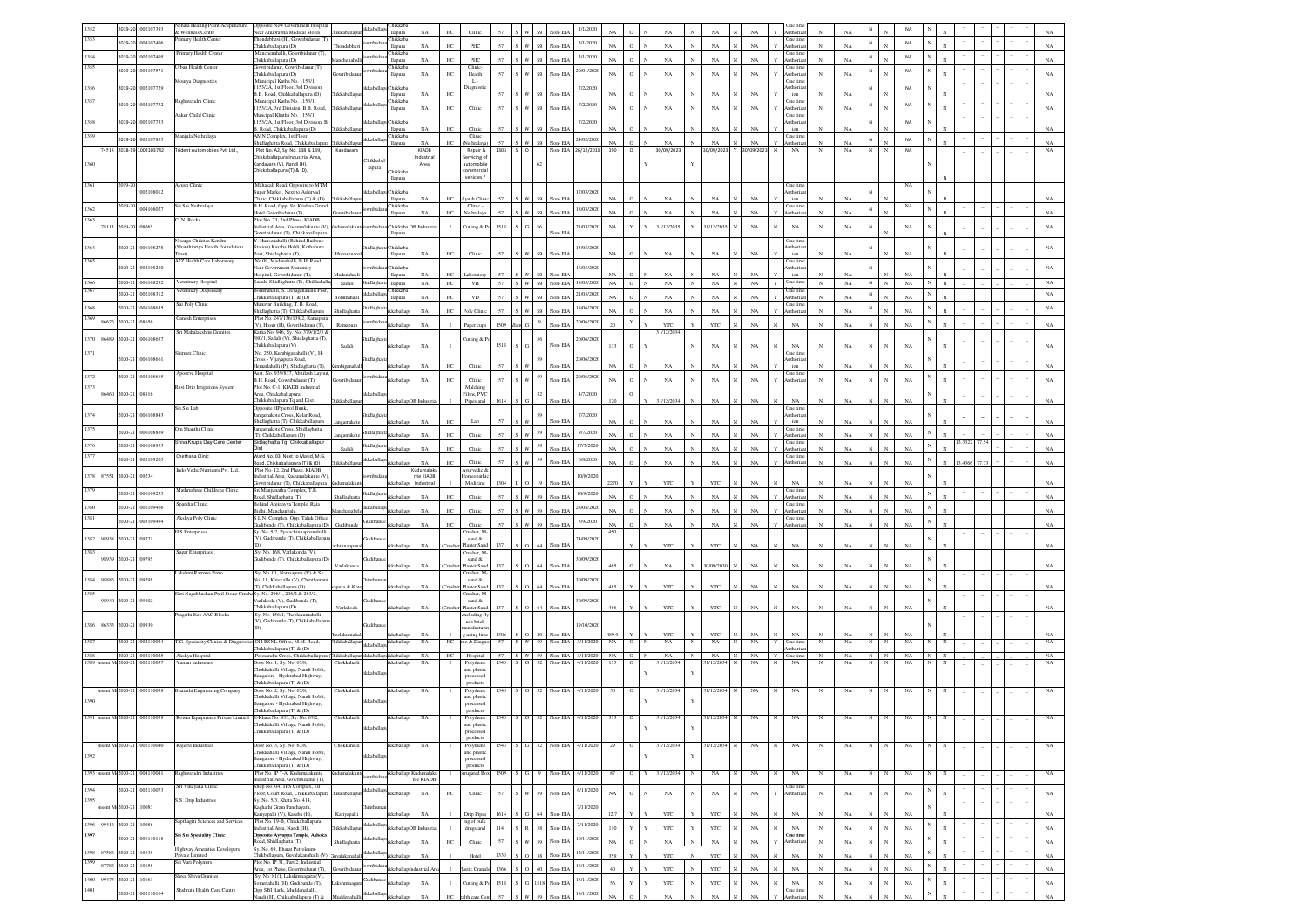|                           |                      |                                  | Nehala Healing Point Acupuncture              | Opposite New Government Hospital                                                                 |              |             | Chikkab.                  |                            |                  |                               |              |         |                             |                      |                      |                     |                             |              |                                  |                   |              |                                      |                              |                   |              |              |                   |   |         |      |  |                   |
|---------------------------|----------------------|----------------------------------|-----------------------------------------------|--------------------------------------------------------------------------------------------------|--------------|-------------|---------------------------|----------------------------|------------------|-------------------------------|--------------|---------|-----------------------------|----------------------|----------------------|---------------------|-----------------------------|--------------|----------------------------------|-------------------|--------------|--------------------------------------|------------------------------|-------------------|--------------|--------------|-------------------|---|---------|------|--|-------------------|
|                           |                      | 2019-20 1002107393               | Wellness Centre                               | Near Anuprabha Medical Stores                                                                    | hikkaball    |             | llapura                   | NA                         | HC <sub>1</sub>  | Clini                         |              |         |                             | 1/1/202              |                      |                     |                             |              |                                  |                   |              | uthoriza                             |                              | NA                |              |              |                   |   |         |      |  |                   |
|                           |                      | 2019-20 1004107406               | rimary Health Center                          | hondebhavi (H), Gowribidanur (T)<br>Thikkaballapura (D)                                          | Thondebh:    |             | Chikkab.<br>llapura       | $_{\rm NA}$                | HC.              | PHC                           | 57           |         | Non-EIA                     | 3/1/2020             | NA                   |                     | NA                          |              | $_{\rm NA}$                      | $_{\rm NA}$       |              | One time<br>uthoriza                 |                              | NA                | ${\sf N}$    |              | <b>NA</b>         |   |         |      |  | NA                |
| 1354                      |                      | 2019-20 1002107405               | Primary Health Center                         | Manchenahalli, Gowribidanur (T),                                                                 |              | rribic      | Chikkab.                  |                            |                  |                               |              |         |                             | 3/1/2020             |                      |                     |                             |              |                                  |                   |              | One time                             |                              |                   | $\,$ N       |              | NA                |   |         |      |  |                   |
|                           |                      |                                  |                                               | Thikkaballapura (D)                                                                              |              |             | llapura                   | NA                         | HC               | PHC                           |              |         | Non-ELA                     |                      | NA                   |                     | NA                          | NA           |                                  | NA                |              | Authoriza                            |                              | NA                |              |              |                   |   |         |      |  |                   |
|                           |                      | 2019-20 1004107571               | Jrban Health Center                           | Gowribidanur, Gowribidanur (T),<br>Thikkaballapura (D)                                           |              | ribid       | <b>Chikkab</b><br>llapura | NA                         | HC               | Clinic<br>Health              | 57           |         | Non-EL                      | 20/01/2020           |                      |                     | NA                          | NA           |                                  | NA                |              | One time<br>uthoriz                  |                              | $_{\rm NA}$       | $\,$ N       |              | NA                |   |         |      |  |                   |
|                           |                      |                                  | Mourya Diagnostics                            | Municipal Katha No. 1153/1,                                                                      |              |             |                           |                            |                  | L.                            |              |         |                             |                      |                      |                     |                             |              |                                  |                   |              | <b>Dne</b> time                      |                              |                   |              |              |                   |   |         |      |  |                   |
|                           | 019-20               | 1002107729                       |                                               | 153/2A, 1st Floor, 3rd Division<br>B.B. Road, Chikkaballapura (D)                                | hikkaballag  |             | hikkab<br>llapura         | NA                         | HC               | Jiagnos                       |              |         | Non-EL                      | 7/2/2020             |                      | $\circ$             |                             | NA           |                                  | NA                |              | thoriz<br>ion                        |                              | NA                |              |              | NA                |   |         |      |  |                   |
|                           |                      | 2019-20 1002107732               | Raghavendra Clinic                            | funicipal Katha No. 1153/1.                                                                      |              | kkaballa    | hikkab:                   |                            |                  |                               |              |         |                             | 7/2/2020             |                      |                     |                             |              |                                  |                   |              | Dne time                             |                              |                   | ${\sf N}$    |              | <b>NA</b>         |   |         |      |  |                   |
|                           |                      |                                  | ankur Child Clinic                            | 153/2A, 3rd Division, B.B. Road<br>funcipal Khatha No. 1153/1,                                   | ikkaballa    |             | llapura                   | $_{\rm NA}$                | $\rm{HC}$        | ${\bf C}$ linic               | 57           |         | 59<br>Non-EIA               |                      | NA                   | $\circ$             | NA                          |              | $_{\rm NA}$                      | $_{\rm NA}$       |              | uthoriz<br>Dne time                  | $\mathbf{N}$                 | $_{\rm NA}$       |              |              |                   |   |         |      |  |                   |
| 1358                      |                      | 2019-20 1002107733               |                                               | 153/2A, 1st Floor, 3rd Division, E                                                               |              | kkaball     | Chikkab                   |                            |                  |                               |              |         |                             | 7/2/2020             |                      |                     |                             |              |                                  |                   |              | uthori:                              |                              |                   |              |              | NA                |   |         |      |  |                   |
|                           |                      |                                  |                                               | 3. Road, Chikkaballapura (D)                                                                     | hikkaball    |             | llapura                   | $_{\rm NA}$                | HC               | Clinic                        | 57           |         | Non-EL                      |                      | NA                   |                     | NA                          | NA           |                                  | NA                |              | $\mathop{\text{ion}}$                |                              | NA                |              |              |                   |   |         |      |  |                   |
|                           |                      | 2019-20 1002107855               | Manjula Nethralaya                            | AMN Complex, 1st Floor,<br>hidlaghatta Road, Chikkaballapur                                      | hikkaball    | kkaballa    | Chikkab<br>llapura        | NA                         | HC.              | Clinic<br>Nethralay           |              |         | Non-FIA                     | 24/02/2020           | NA                   | $\alpha$            | NA                          | NA           |                                  | NA                |              | One time<br>uthoriz                  |                              | NA                | N            |              | NA                |   |         |      |  | NA                |
|                           |                      | 74518 2018-19 1002103742         | Trident Automobiles Pvt. Ltd.,                | Plot No. A2, Sy. No. 138 & 139,                                                                  | Kandavar     |             |                           | KIADB                      |                  | Repair &                      | 1303 S O     |         |                             | Non-EIA 26/12/2018   | 190                  | $\circ$             | 30/09/2023                  |              | 80/09/2023                       | 30/09/2023        | $_{\rm N}$   | $_{\rm NA}$                          |                              | $_{\rm NA}$       | $_{\rm N}$   | N            | NA                |   |         |      |  | $_{\rm NA}$       |
|                           |                      |                                  |                                               | .<br>hikkaballapura Industrial Area,<br>(andavara (V), Nandi (H),                                |              | Chikkabal   |                           | Industrial<br>Area         |                  | Servicing o<br>automobil      |              |         |                             |                      |                      |                     |                             |              |                                  |                   |              |                                      |                              |                   |              |              |                   |   |         |      |  |                   |
|                           |                      |                                  |                                               | Chikkaballapura (T) & (D).                                                                       |              | lapura      | hikkab.                   |                            |                  | ommercia                      |              |         |                             |                      |                      |                     |                             |              |                                  |                   |              |                                      |                              |                   |              |              |                   |   |         |      |  |                   |
|                           |                      |                                  |                                               |                                                                                                  |              |             | llapura                   |                            |                  | vehicles /                    |              |         |                             |                      |                      |                     |                             |              |                                  |                   |              |                                      |                              |                   |              |              |                   |   |         |      |  |                   |
|                           | 2019-2               | 002108012                        | yush Clinic                                   | Mahakali Road, Opposite to MTM<br>uper Market, Next to Ashirvad                                  |              |             | Chikkab                   |                            |                  |                               |              |         |                             | 17/03/202            |                      |                     |                             |              |                                  |                   |              | One time<br>thori:                   |                              |                   |              |              | NA                |   |         |      |  |                   |
|                           |                      |                                  |                                               | Clinic, Chikkaballapura (T) & (D)                                                                | hikkaballap  |             | llapura                   | NA                         | HC               | yush Clin                     | 57           |         | Non-EIA                     |                      | NA                   | $\circ$             | NA                          |              | $_{\rm NA}$                      | NA                |              | $\mathop{\mathrm{ion}}$              | N                            | NA                |              |              |                   |   |         |      |  | NA                |
|                           | 019-2                | 004108027                        | Sri Sai Nethralaya                            | B.H. Road, Opp: Sri Krishna Grand<br>Hotel Gowribidanur (T).                                     |              | bidira      | Chikkab                   | NA                         | HC.              | Clinic<br>Nethralay           | 57           |         | Non-FIA                     | 18/03/2020           | $N_A$                |                     | NA                          | NA           |                                  | NA                |              | <b>Dne</b> time<br>uthoriz           |                              | NA                | N            |              | $_{\rm NA}$       |   |         |      |  | NA                |
|                           |                      |                                  | C. N. Rocks                                   | Plot No. 73, 2nd Phase, KIADB                                                                    |              |             | llapura                   |                            |                  |                               |              |         |                             |                      |                      |                     |                             |              |                                  |                   |              |                                      |                              |                   |              |              |                   |   |         |      |  |                   |
|                           | 78111 2019-20 108065 |                                  |                                               | ndustrial Area, Kudumalakunte (V                                                                 | malaku       |             | Chikkab.                  | <b>B</b> Industria         | $\mathbf{I}$     | Cutting & P                   | 1518         |         |                             | 21/03/202            | $_{\rm NA}$          | Y                   | 31/12/2035                  | $\mathbf{v}$ | 31/12/203                        | $_{\rm NA}$       | N            | $_{\rm NA}$                          | N                            | $_{\rm NA}$       |              |              | $_{\rm NA}$       |   |         |      |  | $_{\rm NA}$       |
|                           |                      |                                  | Nisarga Chikitsa Kendra                       | Jowribidanur (T), Chikkaballapura<br>Y. Hunsenahalli (Behind Railway                             |              |             | llapura                   |                            |                  |                               |              |         | Non-EIA                     |                      |                      |                     |                             |              |                                  |                   |              | One tim                              |                              |                   |              |              |                   |   |         |      |  |                   |
|                           | 2020-21              | 1006108278                       | (Shanthipriya Health Foundation               | tation) Kasaba Hobli, Kothanuru                                                                  |              |             | Chikkab                   |                            |                  |                               |              |         |                             | 15/05/202            |                      |                     |                             |              |                                  |                   |              | uthoriza                             |                              |                   |              |              |                   |   |         |      |  | NA                |
|                           |                      |                                  | Trust)                                        | Post, Shidlaghatta (T),                                                                          |              |             | llapura                   | NA                         | HC               | Clinic                        | 57           | w       | 59<br>Non-EIA               |                      | NA                   | $\Omega$            | NA                          |              | NA                               | NA                |              | ion                                  |                              | <b>NA</b>         |              |              | NA                |   |         |      |  |                   |
|                           |                      | 2020-21 1004108280               | A2Z Health Care Laboratory                    | No.09, Madanahalli, B.H. Road,<br><b>Gear Government Maternity</b>                               |              |             | Chikkab                   |                            |                  |                               |              |         |                             | 16/05/2020           |                      |                     |                             |              |                                  |                   |              | One time<br>uthoriza                 |                              |                   | N            |              |                   |   |         |      |  | NA                |
|                           |                      |                                  |                                               | Iospital, Gowribidanur (T),                                                                      | Madanahall   |             | llapura                   | NA                         | HC.              | Laborator                     | 57           |         | Non-EIA                     |                      | NΑ                   |                     | NA                          |              | NA                               | NA                |              | ion                                  |                              | NA                |              |              |                   |   |         |      |  |                   |
| 1366                      |                      | 2020-21 1006108292               | Veterinary Hospital                           | Sadali, Shidlaghatta (T), Chikkaballa                                                            | Sadali       | Shidlaghatt | llapura                   | $_{\rm NA}$                | HC               | $_{\rm VH}$                   | 57           |         | S W 59 Non-EIA              | 18/05/2020           | $_{\rm NA}$          | $\circ$             | $_{\rm N}$<br>$_{\rm NA}$   | $_{\rm N}$   | $_{\rm NA}$<br>$\mathbb{N}$      | $_{\rm NA}$       | $\mathbf{v}$ | One time                             | $_{\mathrm{N}}$              | $_{\rm NA}$       | ${\sf N}$    | $_{\rm N}$   | $_{\rm NA}$       |   |         |      |  | $_{\rm NA}$       |
|                           |                      | 2020-21 1002108312               | /eterinary Dispensary                         | 3ommahalli, S. Devaganahalli Post<br>Chikkaballapura (T) & (D)                                   |              | kkaballa    | Chikkab.<br>llapura       | NA                         | HC               | $_{\rm VD}$                   | 57           |         | Non-EL                      | 21/05/2020           |                      |                     | NA                          |              | NA                               | NA                |              | One time                             |                              | NA                | ${\sf N}$    |              | NA                |   |         |      |  | $_{\rm NA}$       |
| 1368                      |                      |                                  | Sai Poly Clinic                               | Munavar Building, T. B. Road,                                                                    |              |             |                           |                            |                  |                               |              |         |                             |                      |                      |                     |                             |              |                                  |                   |              | One time                             |                              |                   |              |              |                   |   |         |      |  |                   |
|                           |                      | 2020-21 1006108635               |                                               | Shidlaghatta (T), Chikkaballapura                                                                |              | iidlagh     |                           | $_{\rm NA}$                | HC               | Poly Clin                     | 57           |         | Non-EIA                     | 18/06/2020           | $_{\rm NA}$          | $\circ$             | NA                          |              | $_{\rm NA}$                      | $_{\rm NA}$       |              | Authoriz                             | N                            | $_{\rm NA}$       | N            |              | NA                |   |         |      |  | $_{\rm NA}$       |
| 1369                      | 86626 2020-21        | 108656                           | <b>Sanesh Enterprises</b>                     | Plot No. 247/136/139/2, Ramapura<br>V), Hosur (H), Gowribidanur (T),                             | Ramapura     | wribid      |                           | $_{\rm NA}$                |                  | Paper cup                     | 1509         |         | Non-EIA                     | 20/06/2020           |                      | Y                   | YTC                         |              | YTC                              | NA                |              | $_{\rm NA}$                          |                              | NA                |              |              | NA                |   |         |      |  | $_{\rm NA}$       |
|                           |                      |                                  | Sri Mahalakshmi Granites                      | Katha No. 946, Sy. No. 379/1/2/3 &                                                               |              |             |                           |                            |                  |                               |              |         |                             |                      |                      |                     | 31/12/203                   |              |                                  |                   |              |                                      |                              |                   |              |              |                   |   |         |      |  |                   |
| 86489<br>1370             | 2020-21              | 1006108657                       |                                               | 380/1, Sadali (V), Shidlaghatta (T),                                                             |              |             |                           |                            |                  | lutting &                     | 1518         |         |                             | 20/06/20             |                      | $\circ$             |                             |              |                                  |                   |              |                                      |                              |                   |              |              |                   |   |         |      |  |                   |
|                           |                      |                                  | hirusti Clinic                                | Chikkaballapura (V)<br>No. 250, Kumbiganahalli (V), H-                                           | Sadali       |             | dcaballa                  | $_{\rm NA}$                |                  |                               |              |         | Non-EIA                     |                      | 133                  |                     |                             |              | NA                               | $_{\rm NA}$       |              | NA<br><b>Dne</b> time                |                              | $_{\rm NA}$       |              |              | NA                |   |         |      |  | $_{\rm NA}$       |
|                           |                      | 1020-21 1006108661               |                                               | Pross - Vijayapura Road,                                                                         |              |             |                           |                            |                  |                               |              |         |                             | 20/06/202            |                      |                     |                             |              |                                  |                   |              | thoriz                               |                              |                   |              |              |                   |   |         |      |  |                   |
|                           |                      |                                  | Apoorva Hospital                              | lemarlahalli (P), Shidlaehatta (T),<br>Asst. No. 939/837, Abhilash Layou                         |              |             | dcaball                   | NA                         | HC               | Clini                         |              |         | Non-EL                      |                      |                      |                     | N/                          | NA           |                                  | NA                |              | ion<br>One time                      |                              | NA                |              |              | NA                |   |         |      |  | $_{\rm NA}$       |
|                           | 020-21               | 1004108665                       |                                               | B.H. Road, Gowribidanur (T),                                                                     | wibidz       | wribid:     |                           | NA                         | HC.              | Clinic                        | 57           |         | 59<br>Non-EIA               | 20/06/202            | NA                   |                     | NA                          |              | NA                               | NA                |              | uthoriza                             |                              | $_{\rm NA}$       |              |              | NA                |   |         |      |  | $_{\rm NA}$       |
|                           | 86460 2020-21 108816 |                                  | Ravi Drip Irrigations System                  | Plot No. C-1, KIADB Industrial<br>Area, Chikkaballapura,                                         |              | ckabull     |                           |                            |                  | Malching<br>Films, PVO        |              |         |                             | 4/7/2020             |                      | $\circ$             |                             |              |                                  |                   |              |                                      |                              |                   |              |              |                   |   |         |      |  |                   |
|                           |                      |                                  |                                               | Chikkaballapura To and Dist.                                                                     | hikkaballar  |             | ikkaballanDR Industrial   |                            |                  | Pipes and                     | 1614         |         | Non-EIA                     |                      | 120                  |                     | 31/12/2034                  |              | NA                               | NA                | N            | NA                                   | N                            | NA                |              |              | NA                |   |         |      |  | NA                |
|                           |                      |                                  | Sri Sai Lab                                   | Opposite HP petrol Bunk.                                                                         |              |             |                           |                            |                  |                               |              |         |                             |                      |                      |                     |                             |              |                                  |                   |              | One time                             |                              |                   |              |              |                   |   |         |      |  |                   |
|                           |                      | 2020-21 1006108843               |                                               | ngamakote Cross, Kolar Road.<br>Shidlaghatta (T), Chikkaballapura                                | ingamako     |             | kkaball                   | NA                         | HC               | Lab                           | 57           |         | Non-EIA                     | 7/7/2020             |                      |                     | NA                          |              | NA                               | NA                |              | uthoriz<br>ion                       |                              | NA                |              |              | NA                |   |         |      |  | NA                |
|                           | 2020-21              | 1006108869                       | Om Shanthi Clinic                             | angamakote Cross, Shidlaghatta                                                                   |              | idlagh      |                           |                            |                  |                               |              |         |                             | 9/7/2020             |                      |                     |                             |              |                                  |                   |              | One time                             |                              |                   |              |              |                   |   |         |      |  |                   |
|                           |                      |                                  | ShivaKrupa Day Care Center                    | (T), Chikkaballapura (D)<br>Sidlaghatta To. Chikkaballapur                                       | ngamakot     |             | dcaball                   | NA                         | HC               | ${\bf C}$ linic               | 57           |         | Non-EIA                     |                      | NA                   |                     | NA                          |              | NA                               | NA                |              | uthoriza<br>One time                 |                              | NA                |              |              | NA                |   | 3.3322  |      |  | NA                |
|                           | 2020-21              | 006108953                        |                                               |                                                                                                  | Sadali       | idlag       | ikkaballa                 | $_{\rm NA}$                | HC               | ${\bf C}$ linic               | 57           |         | Non-EIA                     | 17/7/2020            | NA                   |                     | NA                          |              | $_{\rm NA}$                      | $_{\rm NA}$       |              | Authoriza                            |                              | $_{\rm NA}$       |              |              | NA                |   |         |      |  | NA                |
|                           |                      | 2020-21 1002109205               | <b>Chethana Clinic</b>                        | Ward No. 03, Next to Masid, M.G.                                                                 | hikkaballap  | ikkaball    | kkaballa                  | $_{\rm NA}$                | HC               | Clinic                        | 57           | 55      | Non-EIA                     | 6/8/2020             | NA                   | $\,$ $\,$           | $_{\rm NA}$                 |              | $_{\rm NA}$                      | $_{\rm NA}$       |              | One time<br>Authorizat               | N                            | $_{\rm NA}$       |              |              | $_{\rm NA}$       |   | 13,4366 | 77.7 |  | $_{\rm NA}$       |
|                           |                      |                                  | ndo Vedic Nutrients Pvt. Ltd.,                | Road, Chikkaballapura (T) & (D)<br>Plot No. 12, 2nd Phase, KIADB                                 |              |             |                           | dumalak                    |                  | vurvedic d                    |              |         |                             |                      |                      |                     |                             |              |                                  |                   |              |                                      |                              |                   |              |              |                   |   |         |      |  |                   |
| 1378 87551 2020-21 109234 |                      |                                  |                                               | astrial Area, Kudu<br>alakunte (V                                                                |              |             |                           | nte KIADB                  |                  | meopat                        |              |         |                             | 10/8/2020            |                      |                     |                             |              |                                  |                   |              |                                      |                              |                   |              |              |                   |   |         |      |  |                   |
|                           |                      |                                  |                                               |                                                                                                  |              |             |                           |                            |                  |                               |              |         |                             |                      |                      |                     |                             |              |                                  |                   |              |                                      |                              | NA                |              |              |                   |   |         |      |  |                   |
|                           |                      |                                  |                                               | Gowribidanur (T), Chikkaballapura                                                                |              |             |                           | Industria                  |                  | Medicine                      | 1304         |         | Non-EL                      |                      |                      |                     | YTO                         | YTC          |                                  | NA                |              | NA                                   |                              |                   |              |              | NA                |   |         |      |  |                   |
|                           |                      | 2020-21 1006109235               | Mathrushree Childrens Clinic                  | Sri Manjunatha Complex, T.B.                                                                     | Shidlagha    | hidlagh     | kkaball                   | NA                         | HC.              | Clini                         | 57           |         | Non-EIA                     | 10/8/2020            | <b>NA</b>            | $\Omega$            | NA                          | NA           |                                  | NA                |              | One time<br>uthoriz                  | $\mathbf{N}$                 |                   |              |              | NA                |   |         |      |  | NA                |
|                           |                      |                                  | Sparsha Clinic                                | Road, Shidlaghatta (T),<br>Behind Anjinayya Temple, Raja                                         |              |             |                           |                            |                  |                               |              |         |                             |                      |                      |                     |                             |              |                                  |                   |              | Dne tim                              |                              | $_{\rm NA}$       |              |              |                   |   |         |      |  |                   |
|                           | 1020-21              | 1002109466                       |                                               | Bidhi, Manchanbale,                                                                              |              | kkaball     | kkabal                    | NA                         | HC               | Clinic                        | 57           |         | Non-EIA                     | 28/08/202            | NA                   | $\Omega$            | NA                          | NA           |                                  | NA                |              | uthoriz                              | $\mathbf{N}$                 | $_{\rm NA}$       |              |              | NA                |   |         |      |  | NA                |
|                           |                      | 2020-21 1005109494               | Akshya Poly Clinic                            | S.L.N. Complex, Opp. Taluk Office<br>iudibande (T), Chikkaballapura (D)                          | Gudiband     | iudiba      | kkabal                    | NA                         | HC.              | Clini                         | 57           |         | Non-EIA                     | 3/9/2020             | NA                   | $\Omega$            | NA                          | NA           |                                  | NA                |              | Dne tim<br>uthoria                   | $\mathbf{v}$                 | NA                |              |              | NA                |   |         |      |  | NA                |
|                           |                      |                                  | <b>H</b> S Enterprises                        | Sy. No. 5/2, Pyalachinnappa<br>anahalli                                                          |              |             |                           |                            |                  | Crusher, M-                   |              |         |                             |                      | 450                  |                     |                             |              |                                  |                   |              |                                      |                              |                   |              |              |                   |   |         |      |  |                   |
| 1382                      | 98938 2020-21 109721 |                                  |                                               | (V), Gudibande (T), Chikkaballapu                                                                |              |             | kkaballa                  | NA                         |                  | s<br>and $\&$<br>Plaster Sand | 1371         |         | Non-EIA                     | 24/09/202            |                      |                     | YTC                         |              | YTC                              | NA                | N            | NA                                   | N                            | <b>NA</b>         |              |              | NA                |   |         |      |  | NA                |
| 1383                      |                      |                                  | Sagar Enterprises                             | Sv. No. 168, Varlakonda (V).                                                                     |              |             |                           |                            |                  | Tusher, M.                    |              |         |                             |                      |                      |                     |                             |              |                                  |                   |              |                                      |                              |                   |              |              |                   |   |         |      |  |                   |
|                           | 98939 2020-21 109795 |                                  |                                               | Judibande (T), Chikkaballapura (D                                                                |              | iudib:      |                           |                            |                  | sand &                        |              |         |                             | 30/09/202            |                      |                     |                             |              |                                  |                   |              |                                      |                              |                   |              |              |                   |   |         |      |  |                   |
|                           |                      |                                  | Lakshmi Ramana Petro                          | Sy. No. 01, Narasapura (V) & Sy.                                                                 | arlakond     |             | kkaball                   | NA                         |                  | laster San<br>Crusher, M      | 1371         |         | Non-EIA                     |                      | 465                  |                     | NA                          |              | 0/09/2030                        | NA                |              | NA                                   |                              | <b>NA</b>         |              |              | NA                |   |         |      |  | NA                |
| 1384 98886 2020-21 109798 |                      |                                  |                                               | Vo. 11, Kotekallu (V), Chinthama                                                                 |              |             |                           |                            |                  | sand &                        |              |         |                             | 30/09/202            |                      |                     |                             |              |                                  |                   |              |                                      |                              |                   |              |              |                   |   |         |      |  |                   |
| 1385                      |                      |                                  | Shri Nagabhushan Patil Stone Crus             | (T), Chikkaballapura (D)<br>as Sy. No. 206/1, 206/2 & 263/2,                                     | xura & Kot   |             | ikkaballa                 | $_{\rm NA}$                | Crushe           | Plaster Sand<br>Crusher, M    | 1371         |         | Non-EIA                     |                      | 485                  |                     | YTC                         |              | YTC                              | $_{\rm NA}$       |              | $_{\rm NA}$                          |                              | NA                |              |              | NA                |   |         |      |  | NA                |
| 98940                     | 2020-21              | 09802                            |                                               | Varlakoda (V), Gudibande (T),                                                                    |              |             |                           |                            |                  | sand &                        |              |         |                             | 30/09/202            |                      |                     |                             |              |                                  |                   |              |                                      |                              |                   |              |              |                   |   |         |      |  |                   |
|                           |                      |                                  |                                               | Chikkaballapura (D)                                                                              | Varlakoda    |             | ikkaballap                | $_{\rm NA}$                |                  | (Crusher Plaster Sand         | 1371 S       | $\circ$ | 64 Non-EIA                  |                      | 486                  | Y                   | YTC                         |              | YTC                              | $_{\rm NA}$       | N            | $_{\rm NA}$                          |                              | NA                |              |              | NA                |   |         |      |  | NA                |
|                           |                      |                                  | Pragathi Eco AAC Blocks                       | Sy. No. 156/1, Theelakuntahalli<br>V), Gudibande (T), Chikkaballapur                             |              |             |                           |                            |                  | xcluding fl<br>ash brick      |              |         |                             |                      |                      |                     |                             |              |                                  |                   |              |                                      |                              |                   |              |              |                   |   |         |      |  |                   |
| 1386 86333 2020-21 109930 |                      |                                  |                                               |                                                                                                  |              |             |                           |                            |                  | ifactur                       |              |         |                             | 19/10/202            |                      |                     |                             |              |                                  |                   |              |                                      |                              |                   |              |              |                   |   |         |      |  |                   |
|                           | 020-21               | 002110024                        | <b>T.G. Speciality Clinics &amp; Diagnost</b> | Old BSNL Office, M.M. Road,                                                                      | hikkaballapı |             | ikkaballap                | NA<br>$_{\rm NA}$          | $_{\mathrm{HC}}$ | g using lime<br>iic & Diagr   | 1306 S<br>57 |         | 20 Non-EIA<br>Non-EIA       | 3/11/2020            | 489.9<br>$_{\rm NA}$ | o                   | YTC<br>NA                   |              | YTC<br>NA                        | $_{\rm NA}$<br>NA | Y            | $_{\rm NA}$<br>One time              | N                            | $_{\rm NA}$<br>NA | N            |              | $_{\rm NA}$       | N |         |      |  | $_{\rm NA}$<br>NA |
|                           |                      |                                  |                                               | Chikkaballapura (T) & (D)                                                                        |              | ikkaballa   |                           |                            |                  |                               |              |         |                             |                      |                      |                     |                             |              |                                  |                   |              | uthorizz                             |                              |                   |              |              |                   |   |         |      |  |                   |
| 1388                      |                      | 002110025                        | Akshya Hospital                               | Peresandra Cross, Chikkaballapura                                                                | hikkaballag  |             | lapsikkaballa             | $_{\rm NA}$                | HC               | Hospital                      |              |         | 57 S W 59 Non-EIA 3/11/2020 | Non-EIA 4/11/2020    | $NA$ 0               |                     | $_{\rm NA}$<br>$\mathbb{N}$ | $_{\rm N}$   | $_{\rm NA}$<br>$\mathbb{N}$<br>N | $_{\rm NA}$       | $\mathbf Y$  | One time                             |                              | NA                | $N$   $N$    |              | $_{\rm NA}$       |   |         |      |  | $_{\rm NA}$       |
|                           |                      | 1389 msent Mc2020-21 1002110037  | Vaman Industrie                               | Joor No. 1, Sy. No. 67/8,<br>Chokkahalli Village, Nandi Hobli,                                   | Chokkaha     | ckabal      |                           | NA                         |                  | Polythen<br>and plastic       | 1543 S       |         | 32                          |                      | 155                  | $\circ$             | 31/12/2034                  |              | 1/12/2034                        | NA                | $_{\rm N}$   | $_{\rm NA}$                          |                              | NA                |              |              | NA                | N |         |      |  | NA                |
|                           |                      |                                  |                                               | angalore - Hyderabad Highway,                                                                    |              |             |                           |                            |                  | processed                     |              |         |                             |                      |                      |                     |                             |              |                                  |                   |              |                                      |                              |                   |              |              |                   |   |         |      |  |                   |
|                           |                      | nsent Mc2020-21 1002110038       | Bharathi Engineering Company                  | Chikkaballapura (T) & (D)<br>Door No. 2, Sy. No. 67/8,                                           |              |             | ikkaballa                 | NA                         |                  | products<br>Polythen          | 1543         | S G     |                             |                      | 30                   | $\circ$             |                             |              | $_{\rm N}$                       | NA.               |              | NA                                   |                              | NA                |              |              |                   |   |         |      |  |                   |
|                           |                      |                                  |                                               | "hokkahalli Village, Nandi Hobli,                                                                | Chokkahalli  |             |                           |                            |                  | and plastic                   |              |         |                             | 32 Non-EIA 4/11/2020 |                      |                     | 31/12/2034                  |              | 31/12/2034                       |                   |              |                                      |                              |                   |              |              |                   |   |         |      |  |                   |
|                           |                      |                                  |                                               | Bangalore - Hyderabad Highway.<br>Chikkaballapura (T) & (D)                                      |              |             |                           |                            |                  | processed<br>products         |              |         |                             |                      |                      |                     |                             |              |                                  |                   |              |                                      |                              |                   |              |              |                   |   |         |      |  |                   |
|                           |                      | 1391 insent Mi2020-21 1002110039 | Rowin Equipments Private Limited              | E-Khata No. 853, Sv. No. 67/2.                                                                   | Chokkahall   |             |                           | NA                         |                  | Polythene                     | 1543         |         | 32 Non-EIA 4/11/2020        |                      | 353                  | $\circ$             | 31/12/2034                  |              | 31/12/2034<br>N                  | <b>NA</b>         | N            | NA                                   |                              | NA                |              |              | NA                |   |         |      |  | NA                |
|                           |                      |                                  |                                               | Chokkahalli Village Nandi Hobli                                                                  |              | kkaball     |                           |                            |                  | and plastic                   |              |         |                             |                      |                      |                     |                             | $\mathbf Y$  |                                  |                   |              |                                      |                              |                   |              |              |                   |   |         |      |  |                   |
|                           |                      |                                  |                                               | Thikkaballapura (T) & (D)                                                                        |              |             |                           |                            |                  | processed<br>products         |              |         |                             |                      |                      |                     |                             |              |                                  |                   |              |                                      |                              |                   |              |              |                   |   |         |      |  |                   |
|                           |                      | sent Mr2020-21 1002110040        | Rajeevi Industries                            | Door No. 3, Sv. No. 67/8.                                                                        | Chokkahalli  |             | kkaballar                 | NA                         |                  | Polythene                     | 1543         |         | 32.                         | Non-EIA 4/11/2020    | 29                   | $\circ$             | 31/12/2034                  |              | 31/12/2034                       | NA                | N            | NA                                   | N                            | NA                | N            |              | NA                |   |         |      |  | NA                |
| 1392                      |                      |                                  |                                               | Chokkahalli Village, Nandi Hobli,                                                                |              |             |                           |                            |                  | and plastic                   |              |         |                             |                      |                      |                     |                             |              |                                  |                   |              |                                      |                              |                   |              |              |                   |   |         |      |  |                   |
|                           |                      |                                  |                                               | angalore - Hyderabad Highway,<br>Chikkaballapura (T) & (D)                                       |              |             |                           |                            |                  | processed<br>products         |              |         |                             |                      |                      |                     |                             |              |                                  |                   |              |                                      |                              |                   |              |              |                   |   |         |      |  |                   |
|                           |                      | 1393 nsent Mc2020-21 1004110041  | Raghavendra Industries                        | Plot No. IP 7-A, Kudumalakunte                                                                   | lumalakun    | wribida     | ikkaballap                | Kudumalakt                 |                  | rugated Box                   | 1509         |         |                             | Non-EIA 4/11/2020    | 87                   | $\circ$             | 31/12/2034                  |              | NA                               | NA                |              | NA                                   |                              | NA                |              |              | NA                |   |         |      |  | NA                |
|                           |                      |                                  | Sri Vinavaka Clinic                           | ndustrial Area, Gowribidanur (T),                                                                |              |             |                           | nte KIADB                  |                  |                               |              |         |                             |                      |                      |                     |                             |              |                                  |                   |              |                                      |                              |                   |              |              |                   |   |         |      |  |                   |
| 1394                      |                      | 2020-21 1002110073               |                                               | Shop No. 04, TPS Complex, 1st<br>Floor, Court Road, Chikkaballapura                              | hikkaballap  | ikkaballa   | ikkaballa                 | $_{\rm NA}$                | HC               | Clinic                        | 57 S         | w       | 59<br>Non- $\rm EIA$        | 6/11/2020            | NA                   | $\circ$             | NA                          |              | $_{\rm NA}$                      | $_{\rm NA}$       | $\mathbf Y$  | One time<br>Authoriza                |                              | $_{\rm NA}$       |              |              | NA                |   |         |      |  | $_{\rm NA}$       |
| 1395                      |                      |                                  | S.S. Drip Industries                          | Sy. No. 5/3, Khata No. 414,                                                                      |              |             |                           |                            |                  |                               |              |         |                             |                      |                      |                     |                             |              |                                  |                   |              |                                      |                              |                   |              |              |                   |   |         |      |  |                   |
|                           | ent Mc2020-21 110083 |                                  |                                               | Caghathi Gram Panchayath,                                                                        |              |             |                           | $_{\rm NA}$                |                  |                               | 1614         |         | Non-ELA                     | 7/11/2020            | 12.7                 |                     | YTC                         |              | YTC                              | $_{\rm NA}$       |              | $_{\rm NA}$                          | $_{\rm N}$                   | $_{\rm NA}$       |              |              | NA                |   |         |      |  | $_{\rm NA}$       |
| 1396                      | 99416 2020-21 110086 |                                  | Sapthagiri Sciences and Services              | Kariyapalli (V), Kasaba (H),<br>Plot No. 19-B, Chikkaballapura                                   | Kariyapall   | ikkaballar  |                           |                            |                  | Drip Pipes<br>ng of bulk      |              |         |                             |                      |                      |                     |                             |              |                                  |                   |              |                                      |                              |                   |              |              |                   |   |         |      |  |                   |
|                           |                      |                                  |                                               | ustrial Area, Nandi (H),                                                                         |              |             |                           |                            |                  | drugs and                     | 1141         |         | Non-ELA                     | 7/11/2020            | 110                  |                     | YTC                         |              | $_{\rm YTC}$                     | $_{\rm NA}$       |              | $_{\rm NA}$                          | $_{\rm N}$                   | $_{\rm NA}$       |              |              | $_{\rm NA}$       |   |         |      |  | $_{\rm NA}$       |
| 1397                      |                      | 2020-21 1006110118               | Sri Sai Speciality Clinic                     | Opposite Ayyappa Temple, Ashoka<br>Road, Shidlaghatta (T),                                       |              | ikkaballa   |                           | NA                         | $\rm{HC}$        | Clini                         | 57           |         | Non-EIA                     | 10/11/2020           | NA                   | $\alpha$            | NA                          |              | NA                               | NA                |              | One time<br>Authoriz                 | $\mathbf{N}$                 | $_{\rm NA}$       |              |              | $_{\rm NA}$       |   |         |      |  | $_{\rm NA}$       |
| 1398                      | 87586 2020-21 110135 |                                  | <b>Highway Amenities Developers</b>           | Sy. No. 69, Bharat Petroleun                                                                     |              | ikkaballa   |                           |                            |                  |                               |              | 38      |                             | 12/11/2020           |                      |                     |                             |              |                                  |                   |              |                                      |                              |                   |              | $\mathbf{v}$ |                   |   |         |      |  |                   |
| 1399                      |                      |                                  | Private Limited<br>Sri Vari Polymers          | Chikballapura, Guvalakanahalli (V), Guvalakan<br>Plot No. IP 31, Part 2, Industrial              |              |             | kkaball                   | $_{\rm NA}$                |                  | Hotel                         | 1335         |         | Non-EIA                     |                      | 359                  | $\mathbf{v}$        | $_{\rm YTC}$                | $\mathbf{N}$ | YTC                              | $_{\rm NA}$       |              | $_{\rm NA}$                          | $_{\rm N}$                   | $_{\rm NA}$       |              |              | $_{\rm NA}$       |   |         |      |  | $_{\rm NA}$       |
|                           | 87784 2020-21 110158 |                                  |                                               | Area, 1st Phase, Gowribidanur (T),                                                               |              | wribid      | deabal                    | trial A                    |                  | tic Gra                       | 1366         |         | 60<br>Non-FIA               | 18/11/2020           | $A\Omega$            | $\ddot{\mathbf{v}}$ | YTC                         | <b>YTC</b>   |                                  | NA                |              | NA                                   | $\mathbf{N}$                 | NA                |              |              | NA                |   |         |      |  | NA                |
| 99473<br>1400             | 2020-21              | 110161                           | Shree Shiva Granites                          | Sy. No. 81/1, Lakshmisagara (V),                                                                 |              | Judiba      |                           |                            |                  |                               |              |         |                             | 18/11/2020           | 56                   | $\ddot{\mathbf{v}}$ |                             |              |                                  |                   |              |                                      |                              |                   |              |              |                   |   |         |      |  |                   |
| 1401                      |                      | 020-21 1002110164                | Shshruta Health Care Centre                   | menahalli (H). Gudibande (T).<br>Opp SBI Bank, Muddenahalli,<br>landi (H), Chikkaballapura (T) & | Moddenahal   | ikkaball    | kkabal<br>likkaballa      | $_{\rm NA}$<br>$_{\rm NA}$ | $\rm{HC}$        | ine & I<br>alth care Cer      | 1518<br>57   |         | Non-EIA<br>1518<br>Non-EIA  | 18/11/2020           | $_{\rm NA}$          | $\circ$             | YTC<br>$_{\rm NA}$          | <b>YTC</b>   | $_{\rm NA}$                      | NA<br>$_{\rm NA}$ |              | $_{\rm NA}$<br>One time<br>Authoriza | $\mathbf{N}$<br>$\mathbf{N}$ | NA<br>$_{\rm NA}$ | $\mathbf{N}$ |              | NA<br>$_{\rm NA}$ |   |         |      |  | NA<br>$_{\rm NA}$ |